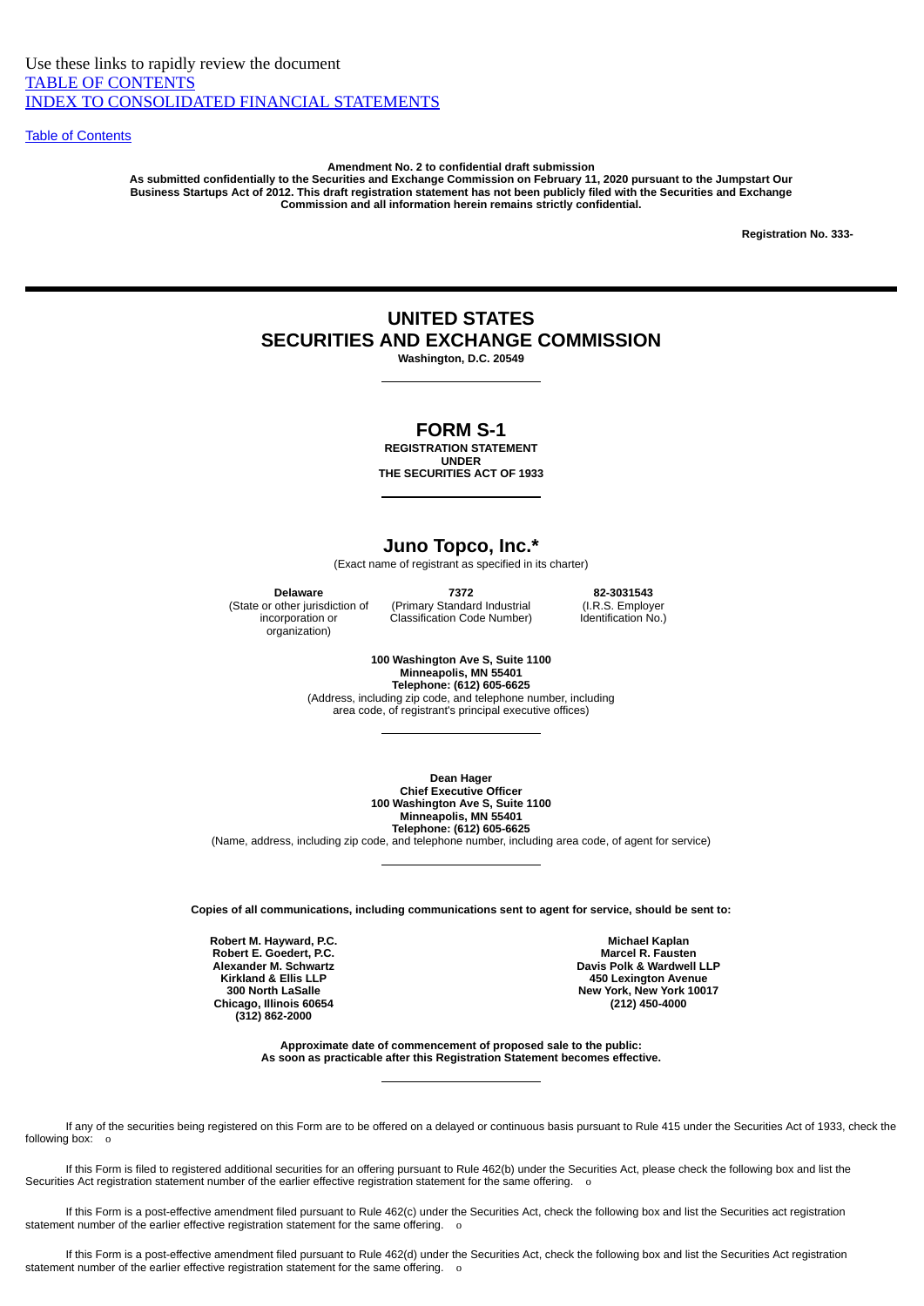#### [Table of Contents](#page-3-0)

**Amendment No. 2 to confidential draft submission**

As submitted confidentially to the Securities and Exchange Commission on February 11, 2020 pursuant to the Jumpstart Our Business Startups Act of 2012. This draft registration statement has not been publicly filed with the Securities and Exchange **Commission and all information herein remains strictly confidential.**

**Registration No. 333-**

# **UNITED STATES SECURITIES AND EXCHANGE COMMISSION**

**Washington, D.C. 20549**

# **FORM S-1**

**REGISTRATION STATEMENT UNDER**

**THE SECURITIES ACT OF 1933**

## **Juno Topco, Inc.\***

(Exact name of registrant as specified in its charter)

**Delaware**

(State or other jurisdiction of incorporation or organization)

**7372** (Primary Standard Industrial Classification Code Number)

**82-3031543** (I.R.S. Employer Identification No.)

**100 Washington Ave S, Suite 1100 Minneapolis, MN 55401 Telephone: (612) 605-6625**

(Address, including zip code, and telephone number, including area code, of registrant's principal executive offices)

> **Dean Hager Chief Executive Officer 100 Washington Ave S, Suite 1100 Minneapolis, MN 55401 Telephone: (612) 605-6625**

(Name, address, including zip code, and telephone number, including area code, of agent for service)

**Copies of all communications, including communications sent to agent for service, should be sent to:**

**Robert M. Hayward, P.C. Robert E. Goedert, P.C. Alexander M. Schwartz Kirkland & Ellis LLP 300 North LaSalle Chicago, Illinois 60654 (312) 862-2000**

**Michael Kaplan Marcel R. Fausten Davis Polk & Wardwell LLP 450 Lexington Avenue New York, New York 10017 (212) 450-4000**

**Approximate date of commencement of proposed sale to the public: As soon as practicable after this Registration Statement becomes effective.**

If any of the securities being registered on this Form are to be offered on a delayed or continuous basis pursuant to Rule 415 under the Securities Act of 1933, check the following box: o

If this Form is filed to registered additional securities for an offering pursuant to Rule 462(b) under the Securities Act, please check the following box and list the Securities Act registration statement number of the earlier effective registration statement for the same offering. o

If this Form is a post-effective amendment filed pursuant to Rule 462(c) under the Securities Act, check the following box and list the Securities act registration statement number of the earlier effective registration statement for the same offering. o

If this Form is a post-effective amendment filed pursuant to Rule 462(d) under the Securities Act, check the following box and list the Securities Act registration statement number of the earlier effective registration statement for the same offering. o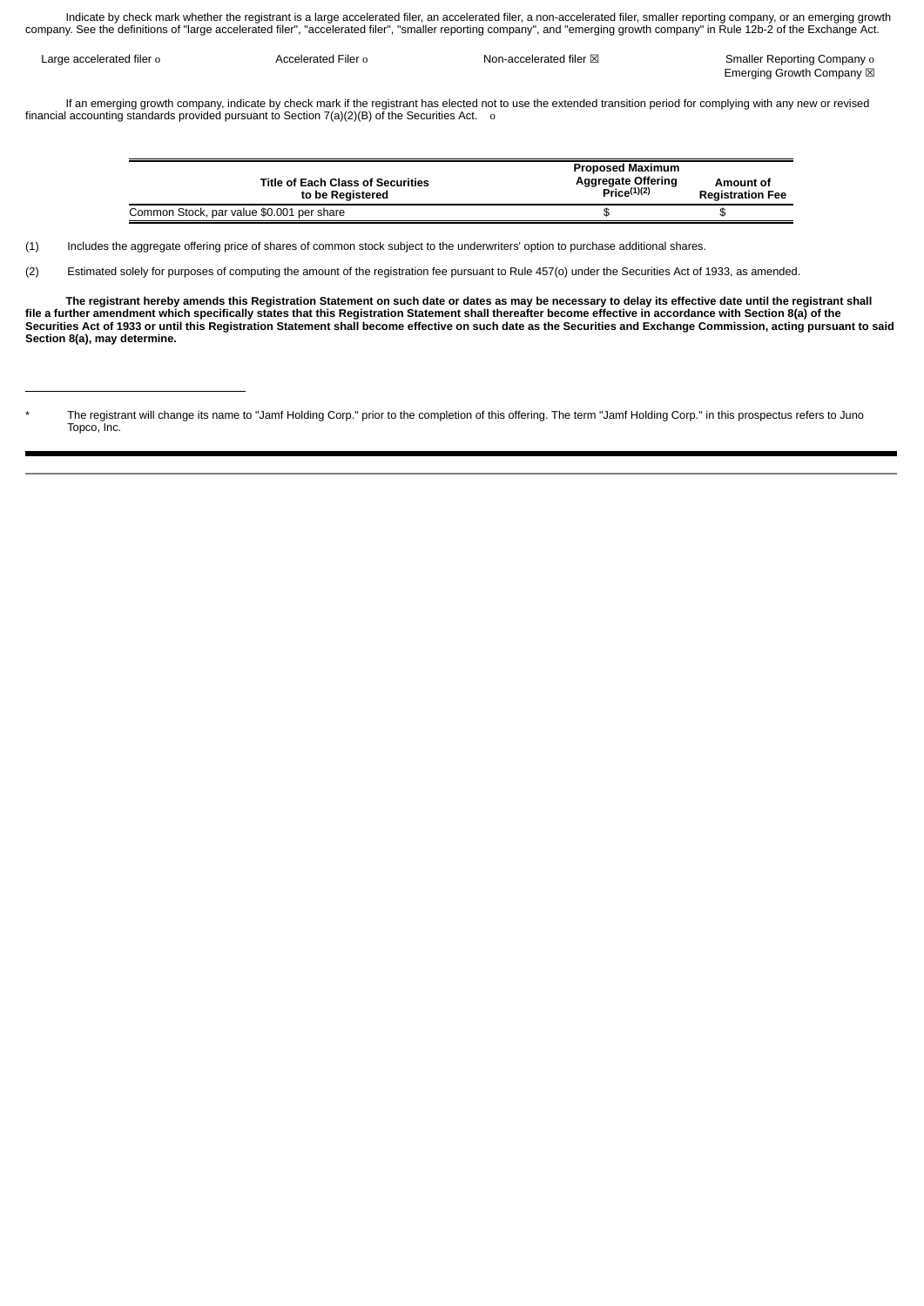Indicate by check mark whether the registrant is a large accelerated filer, an accelerated filer, a non-accelerated filer, smaller reporting company, or an emerging growth company. See the definitions of "large accelerated filer", "accelerated filer", "smaller reporting company", and "emerging growth company" in Rule 12b-2 of the Exchange Act.

Large accelerated filer o Accelerated Filer o Non-accelerated filer X Smaller Reporting Company o Emerging Growth Company  $\boxtimes$ 

If an emerging growth company, indicate by check mark if the registrant has elected not to use the extended transition period for complying with any new or revised financial accounting standards provided pursuant to Section 7(a)(2)(B) of the Securities Act. o

| <b>Title of Each Class of Securities</b><br>to be Registered | <b>Proposed Maximum</b><br><b>Aggregate Offering</b><br>Price(1)(2) | Amount of<br><b>Registration Fee</b> |
|--------------------------------------------------------------|---------------------------------------------------------------------|--------------------------------------|
| Common Stock, par value \$0.001 per share                    |                                                                     |                                      |

(1) Includes the aggregate offering price of shares of common stock subject to the underwriters' option to purchase additional shares.

(2) Estimated solely for purposes of computing the amount of the registration fee pursuant to Rule 457(o) under the Securities Act of 1933, as amended.

The registrant hereby amends this Registration Statement on such date or dates as may be necessary to delay its effective date until the registrant shall file a further amendment which specifically states that this Registration Statement shall thereafter become effective in accordance with Section 8(a) of the Securities Act of 1933 or until this Registration Statement shall become effective on such date as the Securities and Exchange Commission, acting pursuant to said **Section 8(a), may determine.**

The registrant will change its name to "Jamf Holding Corp." prior to the completion of this offering. The term "Jamf Holding Corp." in this prospectus refers to Juno Topco, Inc.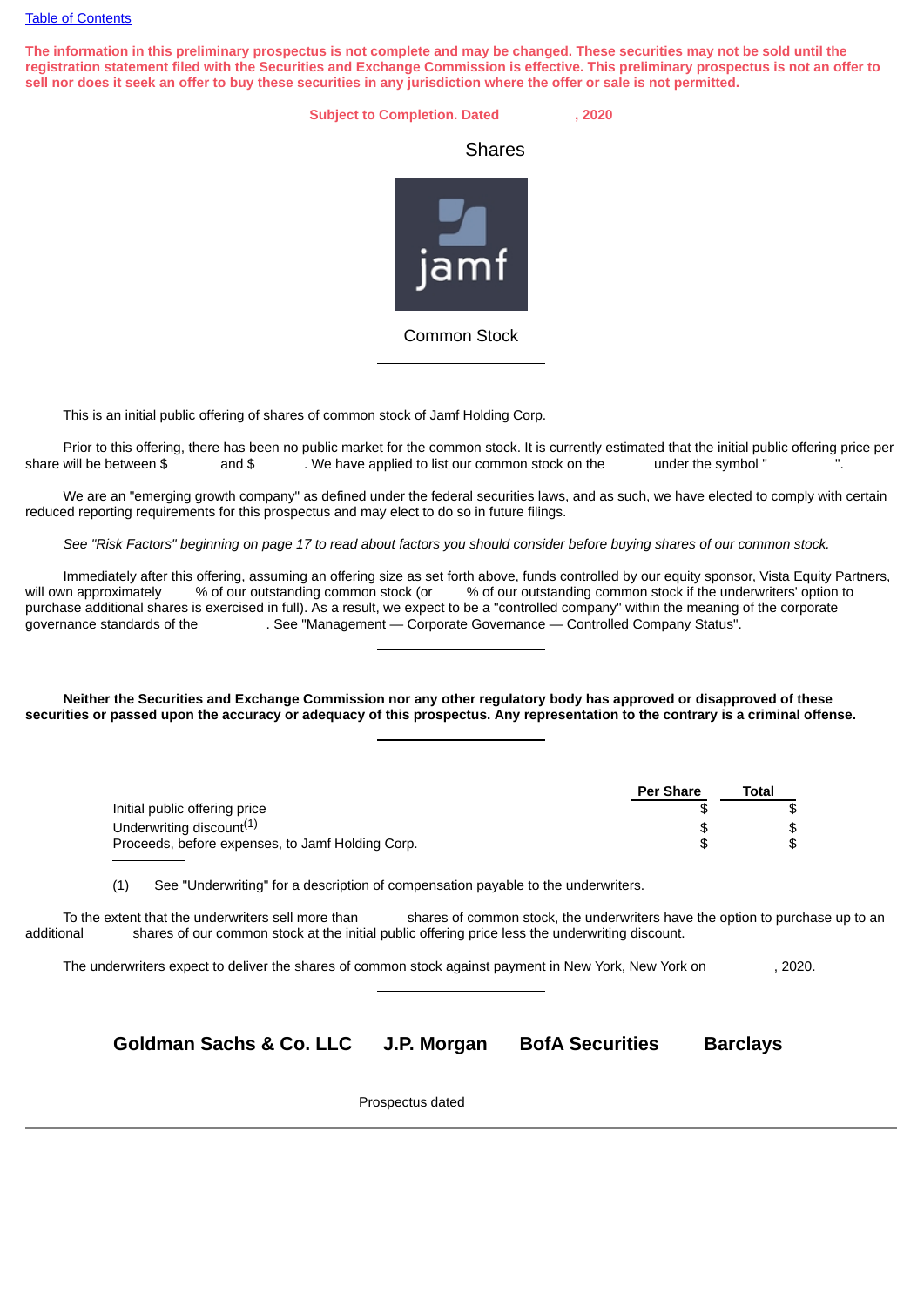#### [Table of Contents](#page-3-0)

**The information in this preliminary prospectus is not complete and may be changed. These securities may not be sold until the registration statement filed with the Securities and Exchange Commission is effective. This preliminary prospectus is not an offer to sell nor does it seek an offer to buy these securities in any jurisdiction where the offer or sale is not permitted.**



**Shares** 



This is an initial public offering of shares of common stock of Jamf Holding Corp.

 Prior to this offering, there has been no public market for the common stock. It is currently estimated that the initial public offering price per share will be between \$ and \$ . We have applied to list our common stock on the under the symbol "

 We are an "emerging growth company" as defined under the federal securities laws, and as such, we have elected to comply with certain reduced reporting requirements for this prospectus and may elect to do so in future filings.

*See "Risk Factors" beginning on page 17 to read about factors you should consider before buying shares of our common stock.*

 Immediately after this offering, assuming an offering size as set forth above, funds controlled by our equity sponsor, Vista Equity Partners, will own approximately % of our outstanding common stock (or % of our outstanding common stock if the underwriters' option to purchase additional shares is exercised in full). As a result, we expect to be a "controlled company" within the meaning of the corporate governance standards of the . See "Management — Corporate Governance — Controlled Company Status".

 **Neither the Securities and Exchange Commission nor any other regulatory body has approved or disapproved of these securities or passed upon the accuracy or adequacy of this prospectus. Any representation to the contrary is a criminal offense.**

|                                                  | <b>Per Share</b> | Total |
|--------------------------------------------------|------------------|-------|
| Initial public offering price                    |                  |       |
| Underwriting discount <sup>(1)</sup>             |                  |       |
| Proceeds, before expenses, to Jamf Holding Corp. |                  |       |

(1) See "Underwriting" for a description of compensation payable to the underwriters.

To the extent that the underwriters sell more than shares of common stock, the underwriters have the option to purchase up to an additional shares of our common stock at the initial public offering price less the underwriting discount.

The underwriters expect to deliver the shares of common stock against payment in New York, New York on , 2020.

**Goldman Sachs & Co. LLC J.P. Morgan BofA Securities Barclays**

Prospectus dated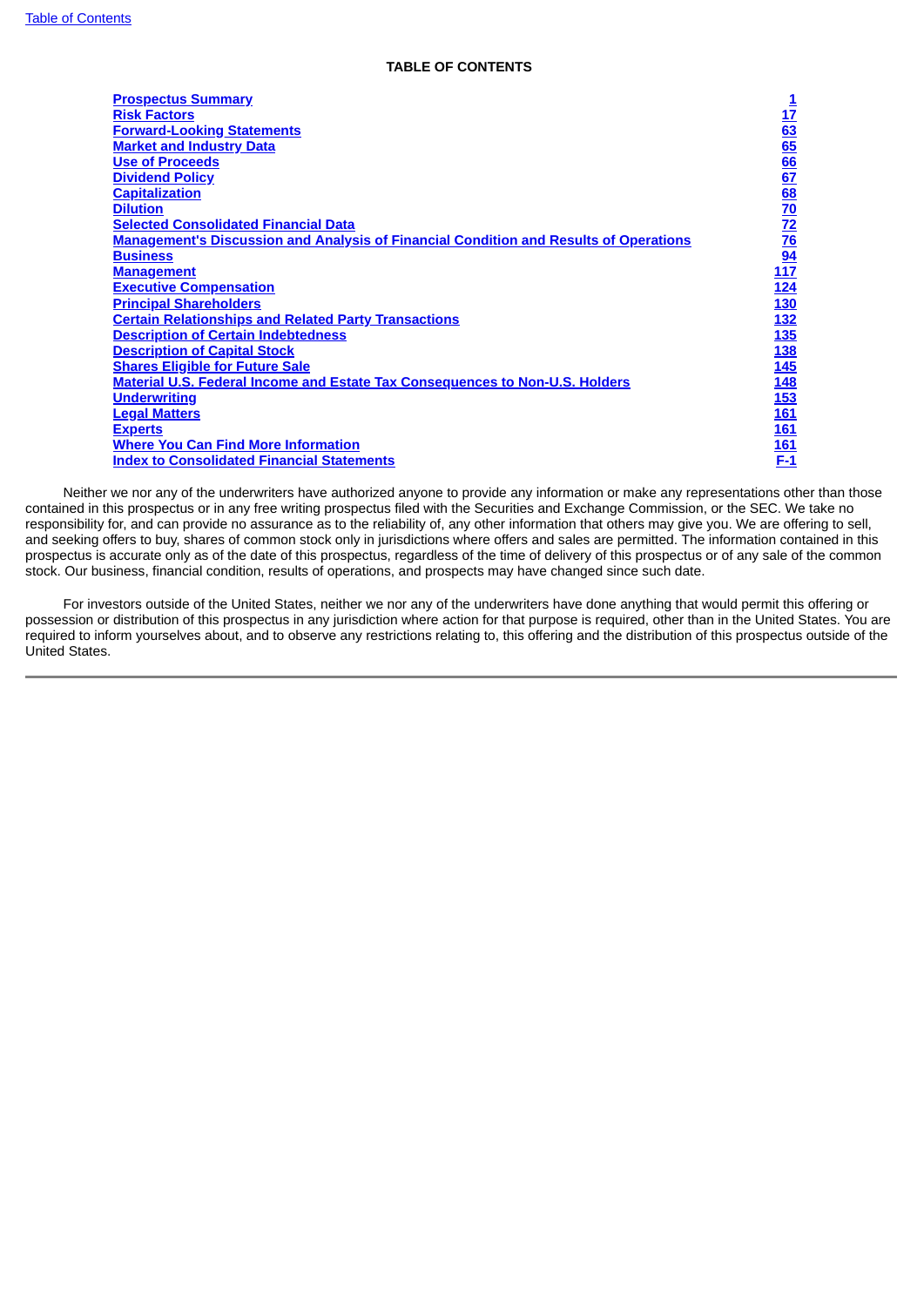## **TABLE OF CONTENTS**

<span id="page-3-0"></span>

| <b>Prospectus Summary</b>                                                                    |                                                                                                     |
|----------------------------------------------------------------------------------------------|-----------------------------------------------------------------------------------------------------|
| <b>Risk Factors</b>                                                                          |                                                                                                     |
| <b>Forward-Looking Statements</b>                                                            |                                                                                                     |
| <b>Market and Industry Data</b>                                                              |                                                                                                     |
| <b>Use of Proceeds</b>                                                                       |                                                                                                     |
| <b>Dividend Policy</b>                                                                       |                                                                                                     |
| <b>Capitalization</b>                                                                        |                                                                                                     |
| <b>Dilution</b>                                                                              | $\frac{17}{17} \frac{63}{65} \frac{66}{65} \frac{67}{72} \frac{68}{72} \frac{72}{72} \frac{64}{94}$ |
| <b>Selected Consolidated Financial Data</b>                                                  |                                                                                                     |
| <b>Management's Discussion and Analysis of Financial Condition and Results of Operations</b> |                                                                                                     |
| <b>Business</b>                                                                              |                                                                                                     |
| <b>Management</b>                                                                            | 117                                                                                                 |
| <b>Executive Compensation</b>                                                                | <u>124</u>                                                                                          |
| <b>Principal Shareholders</b>                                                                | 130                                                                                                 |
| <b>Certain Relationships and Related Party Transactions</b>                                  | 132                                                                                                 |
| <b>Description of Certain Indebtedness</b>                                                   | 135                                                                                                 |
| <b>Description of Capital Stock</b>                                                          | <b>138</b>                                                                                          |
| <b>Shares Eligible for Future Sale</b>                                                       | <u>145</u>                                                                                          |
| <b>Material U.S. Federal Income and Estate Tax Consequences to Non-U.S. Holders</b>          | <u>148</u>                                                                                          |
| <b>Underwriting</b>                                                                          | <b>153</b>                                                                                          |
| <b>Legal Matters</b>                                                                         | 161                                                                                                 |
| <b>Experts</b>                                                                               | <b>161</b>                                                                                          |
| <b>Where You Can Find More Information</b>                                                   | <u>161</u>                                                                                          |
| <b>Index to Consolidated Financial Statements</b>                                            | $F-1$                                                                                               |

 Neither we nor any of the underwriters have authorized anyone to provide any information or make any representations other than those contained in this prospectus or in any free writing prospectus filed with the Securities and Exchange Commission, or the SEC. We take no responsibility for, and can provide no assurance as to the reliability of, any other information that others may give you. We are offering to sell, and seeking offers to buy, shares of common stock only in jurisdictions where offers and sales are permitted. The information contained in this prospectus is accurate only as of the date of this prospectus, regardless of the time of delivery of this prospectus or of any sale of the common stock. Our business, financial condition, results of operations, and prospects may have changed since such date.

 For investors outside of the United States, neither we nor any of the underwriters have done anything that would permit this offering or possession or distribution of this prospectus in any jurisdiction where action for that purpose is required, other than in the United States. You are required to inform yourselves about, and to observe any restrictions relating to, this offering and the distribution of this prospectus outside of the United States.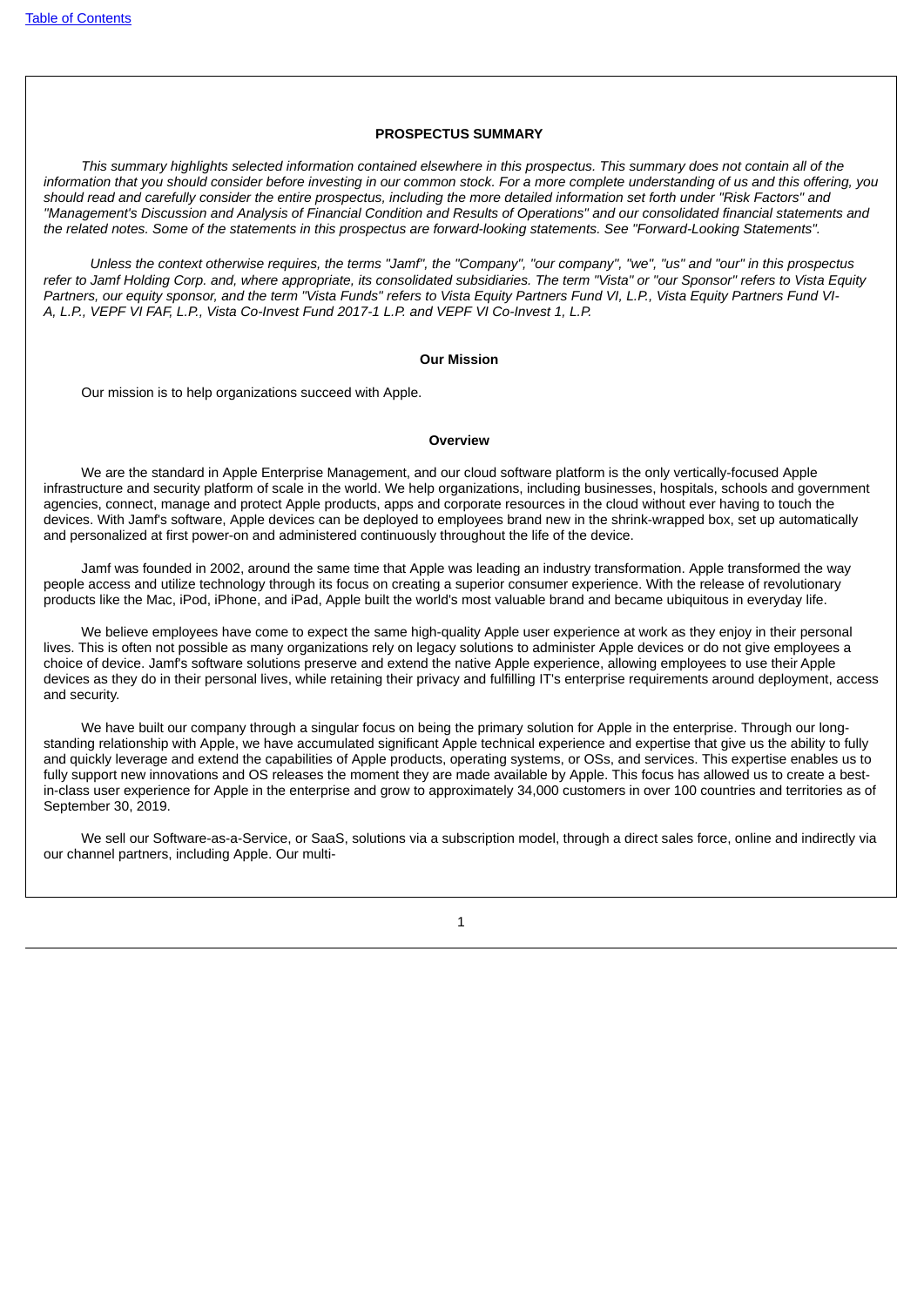#### **PROSPECTUS SUMMARY**

<span id="page-4-0"></span> *This summary highlights selected information contained elsewhere in this prospectus. This summary does not contain all of the information that you should consider before investing in our common stock. For a more complete understanding of us and this offering, you should read and carefully consider the entire prospectus, including the more detailed information set forth under "Risk Factors" and "Management's Discussion and Analysis of Financial Condition and Results of Operations" and our consolidated financial statements and the related notes. Some of the statements in this prospectus are forward-looking statements. See "Forward-Looking Statements".*

 *Unless the context otherwise requires, the terms "Jamf", the "Company", "our company", "we", "us" and "our" in this prospectus refer to Jamf Holding Corp. and, where appropriate, its consolidated subsidiaries. The term "Vista" or "our Sponsor" refers to Vista Equity Partners, our equity sponsor, and the term "Vista Funds" refers to Vista Equity Partners Fund VI, L.P., Vista Equity Partners Fund VI-A, L.P., VEPF VI FAF, L.P., Vista Co-Invest Fund 2017-1 L.P. and VEPF VI Co-Invest 1, L.P.*

#### **Our Mission**

Our mission is to help organizations succeed with Apple.

#### **Overview**

 We are the standard in Apple Enterprise Management, and our cloud software platform is the only vertically-focused Apple infrastructure and security platform of scale in the world. We help organizations, including businesses, hospitals, schools and government agencies, connect, manage and protect Apple products, apps and corporate resources in the cloud without ever having to touch the devices. With Jamf's software, Apple devices can be deployed to employees brand new in the shrink-wrapped box, set up automatically and personalized at first power-on and administered continuously throughout the life of the device.

 Jamf was founded in 2002, around the same time that Apple was leading an industry transformation. Apple transformed the way people access and utilize technology through its focus on creating a superior consumer experience. With the release of revolutionary products like the Mac, iPod, iPhone, and iPad, Apple built the world's most valuable brand and became ubiquitous in everyday life.

 We believe employees have come to expect the same high-quality Apple user experience at work as they enjoy in their personal lives. This is often not possible as many organizations rely on legacy solutions to administer Apple devices or do not give employees a choice of device. Jamf's software solutions preserve and extend the native Apple experience, allowing employees to use their Apple devices as they do in their personal lives, while retaining their privacy and fulfilling IT's enterprise requirements around deployment, access and security.

We have built our company through a singular focus on being the primary solution for Apple in the enterprise. Through our longstanding relationship with Apple, we have accumulated significant Apple technical experience and expertise that give us the ability to fully and quickly leverage and extend the capabilities of Apple products, operating systems, or OSs, and services. This expertise enables us to fully support new innovations and OS releases the moment they are made available by Apple. This focus has allowed us to create a bestin-class user experience for Apple in the enterprise and grow to approximately 34,000 customers in over 100 countries and territories as of September 30, 2019.

 We sell our Software-as-a-Service, or SaaS, solutions via a subscription model, through a direct sales force, online and indirectly via our channel partners, including Apple. Our multi-

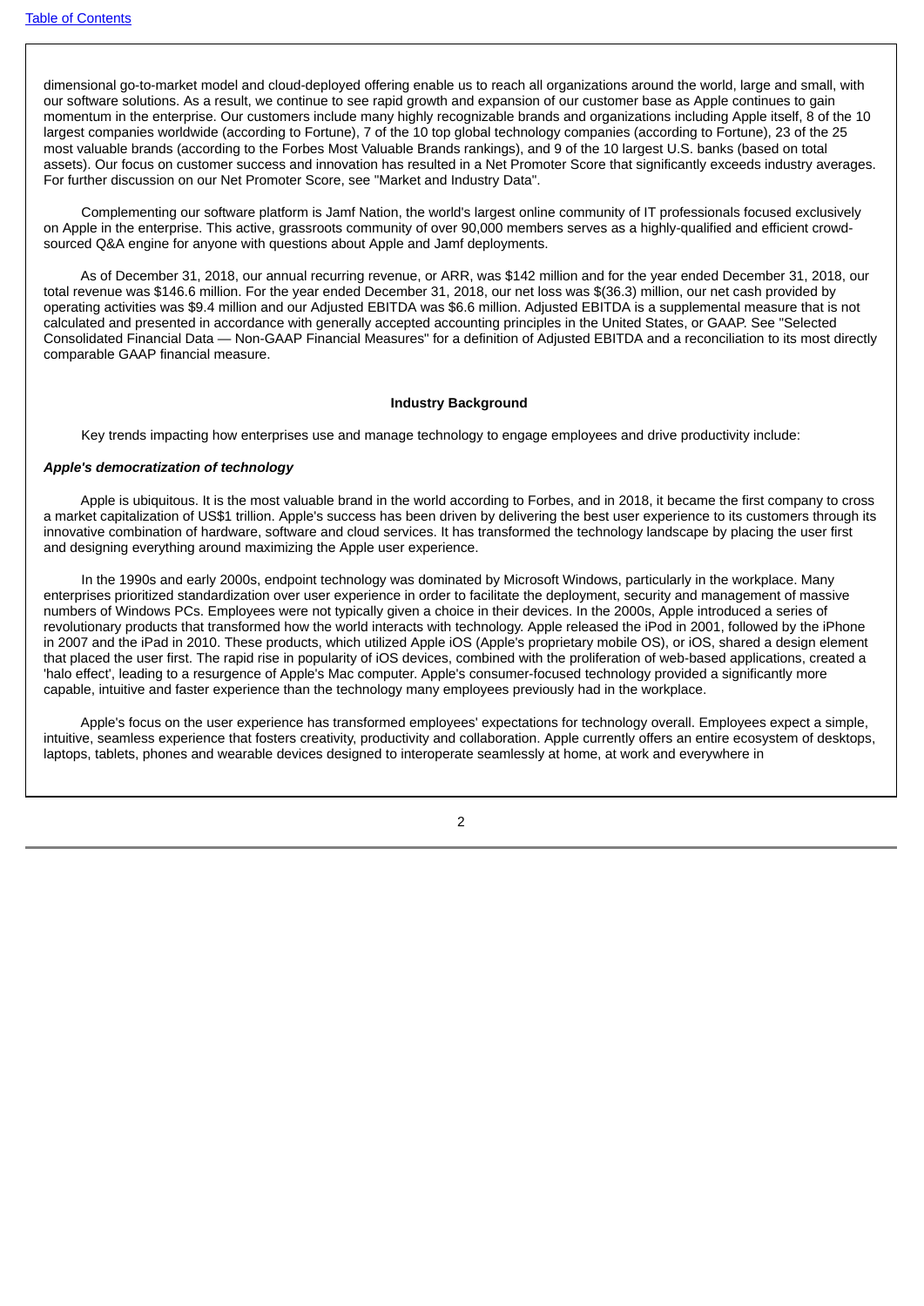dimensional go-to-market model and cloud-deployed offering enable us to reach all organizations around the world, large and small, with our software solutions. As a result, we continue to see rapid growth and expansion of our customer base as Apple continues to gain momentum in the enterprise. Our customers include many highly recognizable brands and organizations including Apple itself, 8 of the 10 largest companies worldwide (according to Fortune), 7 of the 10 top global technology companies (according to Fortune), 23 of the 25 most valuable brands (according to the Forbes Most Valuable Brands rankings), and 9 of the 10 largest U.S. banks (based on total assets). Our focus on customer success and innovation has resulted in a Net Promoter Score that significantly exceeds industry averages. For further discussion on our Net Promoter Score, see "Market and Industry Data".

 Complementing our software platform is Jamf Nation, the world's largest online community of IT professionals focused exclusively on Apple in the enterprise. This active, grassroots community of over 90,000 members serves as a highly-qualified and efficient crowdsourced Q&A engine for anyone with questions about Apple and Jamf deployments.

 As of December 31, 2018, our annual recurring revenue, or ARR, was \$142 million and for the year ended December 31, 2018, our total revenue was \$146.6 million. For the year ended December 31, 2018, our net loss was \$(36.3) million, our net cash provided by operating activities was \$9.4 million and our Adjusted EBITDA was \$6.6 million. Adjusted EBITDA is a supplemental measure that is not calculated and presented in accordance with generally accepted accounting principles in the United States, or GAAP. See "Selected Consolidated Financial Data — Non-GAAP Financial Measures" for a definition of Adjusted EBITDA and a reconciliation to its most directly comparable GAAP financial measure.

#### **Industry Background**

Key trends impacting how enterprises use and manage technology to engage employees and drive productivity include:

### *Apple's democratization of technology*

 Apple is ubiquitous. It is the most valuable brand in the world according to Forbes, and in 2018, it became the first company to cross a market capitalization of US\$1 trillion. Apple's success has been driven by delivering the best user experience to its customers through its innovative combination of hardware, software and cloud services. It has transformed the technology landscape by placing the user first and designing everything around maximizing the Apple user experience.

 In the 1990s and early 2000s, endpoint technology was dominated by Microsoft Windows, particularly in the workplace. Many enterprises prioritized standardization over user experience in order to facilitate the deployment, security and management of massive numbers of Windows PCs. Employees were not typically given a choice in their devices. In the 2000s, Apple introduced a series of revolutionary products that transformed how the world interacts with technology. Apple released the iPod in 2001, followed by the iPhone in 2007 and the iPad in 2010. These products, which utilized Apple iOS (Apple's proprietary mobile OS), or iOS, shared a design element that placed the user first. The rapid rise in popularity of iOS devices, combined with the proliferation of web-based applications, created a 'halo effect', leading to a resurgence of Apple's Mac computer. Apple's consumer-focused technology provided a significantly more capable, intuitive and faster experience than the technology many employees previously had in the workplace.

 Apple's focus on the user experience has transformed employees' expectations for technology overall. Employees expect a simple, intuitive, seamless experience that fosters creativity, productivity and collaboration. Apple currently offers an entire ecosystem of desktops, laptops, tablets, phones and wearable devices designed to interoperate seamlessly at home, at work and everywhere in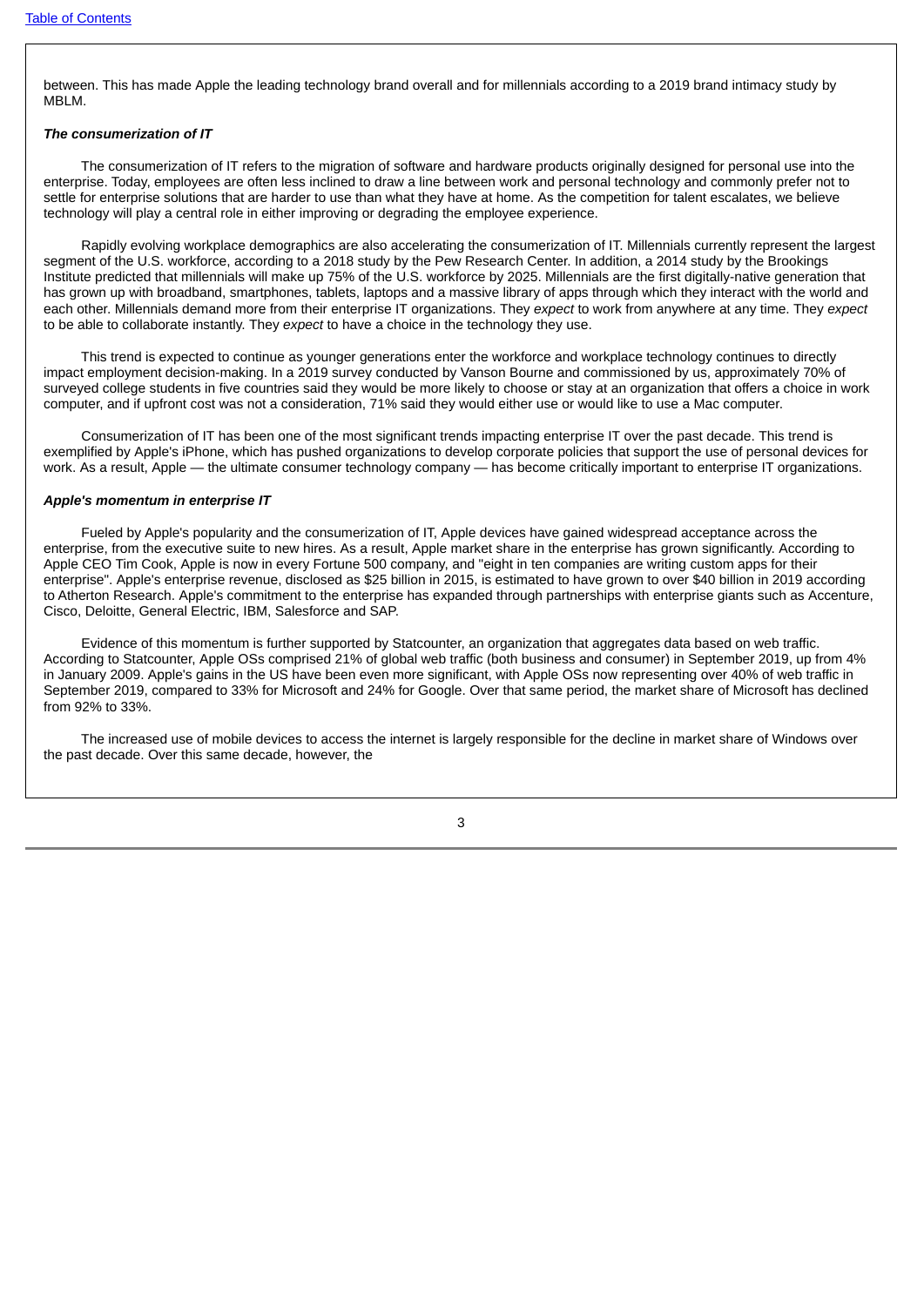between. This has made Apple the leading technology brand overall and for millennials according to a 2019 brand intimacy study by MBLM.

## *The consumerization of IT*

 The consumerization of IT refers to the migration of software and hardware products originally designed for personal use into the enterprise. Today, employees are often less inclined to draw a line between work and personal technology and commonly prefer not to settle for enterprise solutions that are harder to use than what they have at home. As the competition for talent escalates, we believe technology will play a central role in either improving or degrading the employee experience.

 Rapidly evolving workplace demographics are also accelerating the consumerization of IT. Millennials currently represent the largest segment of the U.S. workforce, according to a 2018 study by the Pew Research Center. In addition, a 2014 study by the Brookings Institute predicted that millennials will make up 75% of the U.S. workforce by 2025. Millennials are the first digitally-native generation that has grown up with broadband, smartphones, tablets, laptops and a massive library of apps through which they interact with the world and each other. Millennials demand more from their enterprise IT organizations. They *expect* to work from anywhere at any time. They *expect* to be able to collaborate instantly. They *expect* to have a choice in the technology they use.

 This trend is expected to continue as younger generations enter the workforce and workplace technology continues to directly impact employment decision-making. In a 2019 survey conducted by Vanson Bourne and commissioned by us, approximately 70% of surveyed college students in five countries said they would be more likely to choose or stay at an organization that offers a choice in work computer, and if upfront cost was not a consideration, 71% said they would either use or would like to use a Mac computer.

 Consumerization of IT has been one of the most significant trends impacting enterprise IT over the past decade. This trend is exemplified by Apple's iPhone, which has pushed organizations to develop corporate policies that support the use of personal devices for work. As a result, Apple — the ultimate consumer technology company — has become critically important to enterprise IT organizations.

## *Apple's momentum in enterprise IT*

 Fueled by Apple's popularity and the consumerization of IT, Apple devices have gained widespread acceptance across the enterprise, from the executive suite to new hires. As a result, Apple market share in the enterprise has grown significantly. According to Apple CEO Tim Cook, Apple is now in every Fortune 500 company, and "eight in ten companies are writing custom apps for their enterprise". Apple's enterprise revenue, disclosed as \$25 billion in 2015, is estimated to have grown to over \$40 billion in 2019 according to Atherton Research. Apple's commitment to the enterprise has expanded through partnerships with enterprise giants such as Accenture, Cisco, Deloitte, General Electric, IBM, Salesforce and SAP.

 Evidence of this momentum is further supported by Statcounter, an organization that aggregates data based on web traffic. According to Statcounter, Apple OSs comprised 21% of global web traffic (both business and consumer) in September 2019, up from 4% in January 2009. Apple's gains in the US have been even more significant, with Apple OSs now representing over 40% of web traffic in September 2019, compared to 33% for Microsoft and 24% for Google. Over that same period, the market share of Microsoft has declined from 92% to 33%.

 The increased use of mobile devices to access the internet is largely responsible for the decline in market share of Windows over the past decade. Over this same decade, however, the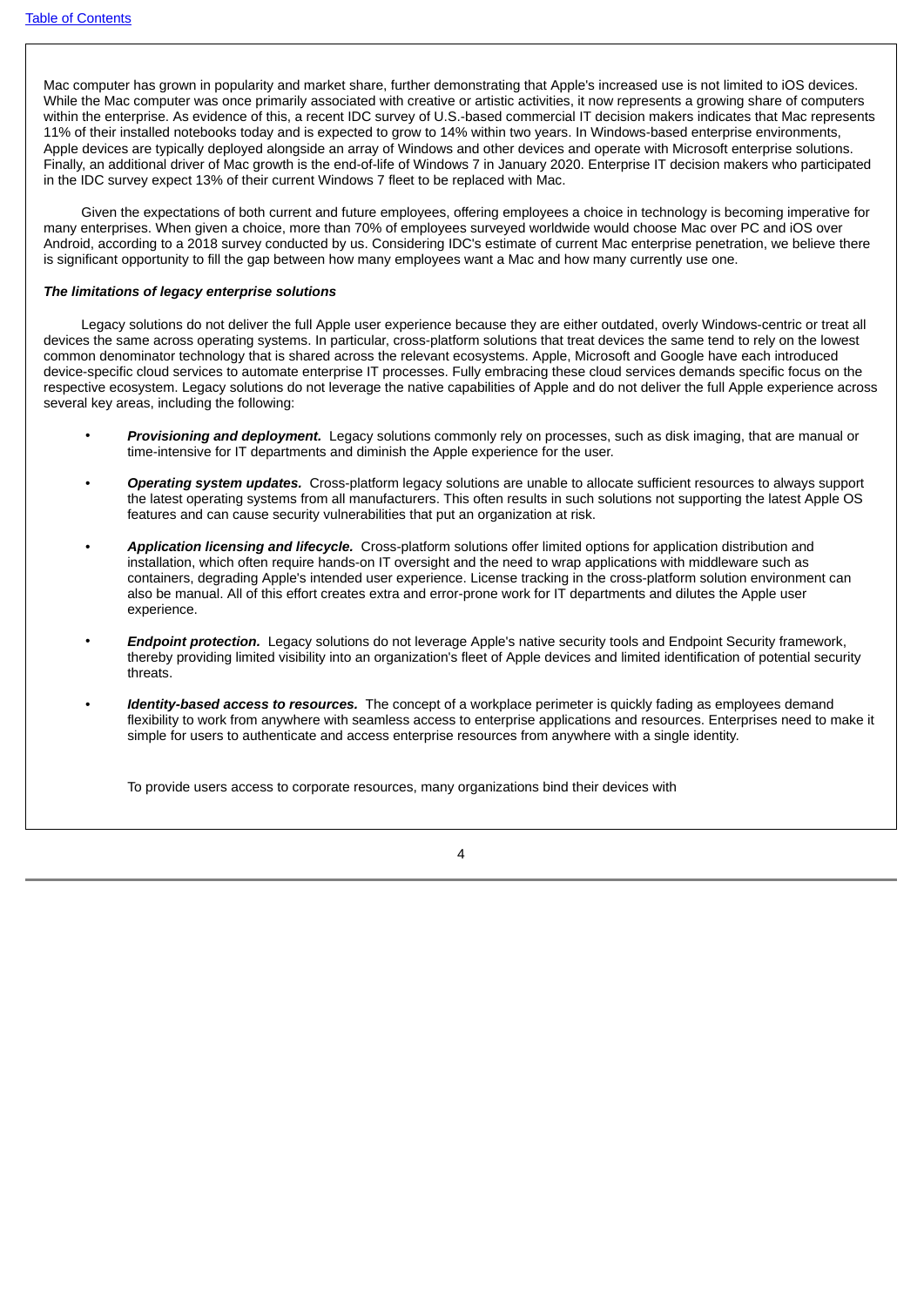Mac computer has grown in popularity and market share, further demonstrating that Apple's increased use is not limited to iOS devices. While the Mac computer was once primarily associated with creative or artistic activities, it now represents a growing share of computers within the enterprise. As evidence of this, a recent IDC survey of U.S.-based commercial IT decision makers indicates that Mac represents 11% of their installed notebooks today and is expected to grow to 14% within two years. In Windows-based enterprise environments, Apple devices are typically deployed alongside an array of Windows and other devices and operate with Microsoft enterprise solutions. Finally, an additional driver of Mac growth is the end-of-life of Windows 7 in January 2020. Enterprise IT decision makers who participated in the IDC survey expect 13% of their current Windows 7 fleet to be replaced with Mac.

 Given the expectations of both current and future employees, offering employees a choice in technology is becoming imperative for many enterprises. When given a choice, more than 70% of employees surveyed worldwide would choose Mac over PC and iOS over Android, according to a 2018 survey conducted by us. Considering IDC's estimate of current Mac enterprise penetration, we believe there is significant opportunity to fill the gap between how many employees want a Mac and how many currently use one.

## *The limitations of legacy enterprise solutions*

 Legacy solutions do not deliver the full Apple user experience because they are either outdated, overly Windows-centric or treat all devices the same across operating systems. In particular, cross-platform solutions that treat devices the same tend to rely on the lowest common denominator technology that is shared across the relevant ecosystems. Apple, Microsoft and Google have each introduced device-specific cloud services to automate enterprise IT processes. Fully embracing these cloud services demands specific focus on the respective ecosystem. Legacy solutions do not leverage the native capabilities of Apple and do not deliver the full Apple experience across several key areas, including the following:

- **Provisioning and deployment.** Legacy solutions commonly rely on processes, such as disk imaging, that are manual or time-intensive for IT departments and diminish the Apple experience for the user.
- *Operating system updates.* Cross-platform legacy solutions are unable to allocate sufficient resources to always support the latest operating systems from all manufacturers. This often results in such solutions not supporting the latest Apple OS features and can cause security vulnerabilities that put an organization at risk.
- *Application licensing and lifecycle.* Cross-platform solutions offer limited options for application distribution and installation, which often require hands-on IT oversight and the need to wrap applications with middleware such as containers, degrading Apple's intended user experience. License tracking in the cross-platform solution environment can also be manual. All of this effort creates extra and error-prone work for IT departments and dilutes the Apple user experience.
- *Endpoint protection.* Legacy solutions do not leverage Apple's native security tools and Endpoint Security framework, thereby providing limited visibility into an organization's fleet of Apple devices and limited identification of potential security threats.
- *Identity-based access to resources.* The concept of a workplace perimeter is quickly fading as employees demand flexibility to work from anywhere with seamless access to enterprise applications and resources. Enterprises need to make it simple for users to authenticate and access enterprise resources from anywhere with a single identity.

To provide users access to corporate resources, many organizations bind their devices with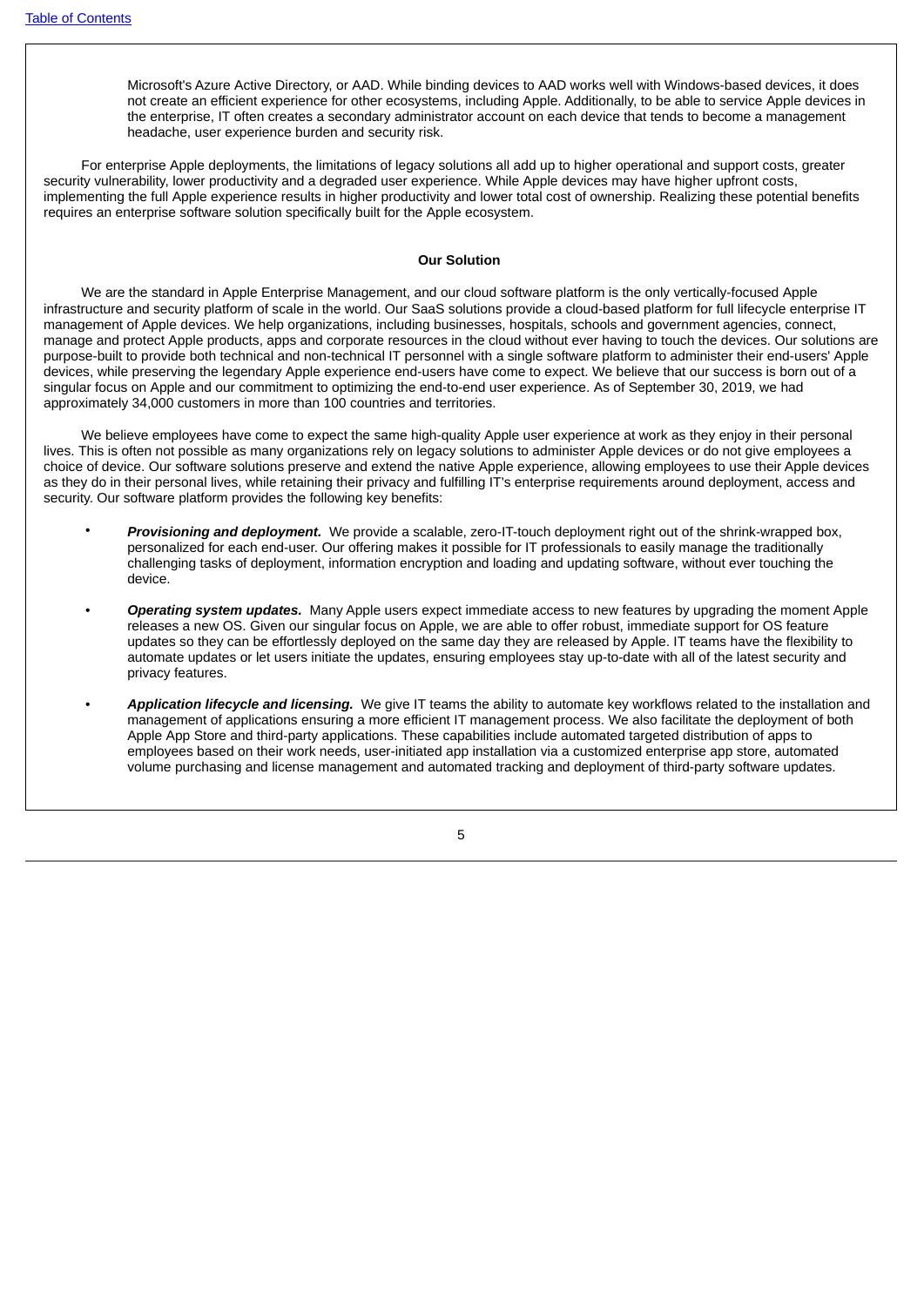Microsoft's Azure Active Directory, or AAD. While binding devices to AAD works well with Windows-based devices, it does not create an efficient experience for other ecosystems, including Apple. Additionally, to be able to service Apple devices in the enterprise, IT often creates a secondary administrator account on each device that tends to become a management headache, user experience burden and security risk.

 For enterprise Apple deployments, the limitations of legacy solutions all add up to higher operational and support costs, greater security vulnerability, lower productivity and a degraded user experience. While Apple devices may have higher upfront costs, implementing the full Apple experience results in higher productivity and lower total cost of ownership. Realizing these potential benefits requires an enterprise software solution specifically built for the Apple ecosystem.

## **Our Solution**

 We are the standard in Apple Enterprise Management, and our cloud software platform is the only vertically-focused Apple infrastructure and security platform of scale in the world. Our SaaS solutions provide a cloud-based platform for full lifecycle enterprise IT management of Apple devices. We help organizations, including businesses, hospitals, schools and government agencies, connect, manage and protect Apple products, apps and corporate resources in the cloud without ever having to touch the devices. Our solutions are purpose-built to provide both technical and non-technical IT personnel with a single software platform to administer their end-users' Apple devices, while preserving the legendary Apple experience end-users have come to expect. We believe that our success is born out of a singular focus on Apple and our commitment to optimizing the end-to-end user experience. As of September 30, 2019, we had approximately 34,000 customers in more than 100 countries and territories.

We believe employees have come to expect the same high-quality Apple user experience at work as they enjoy in their personal lives. This is often not possible as many organizations rely on legacy solutions to administer Apple devices or do not give employees a choice of device. Our software solutions preserve and extend the native Apple experience, allowing employees to use their Apple devices as they do in their personal lives, while retaining their privacy and fulfilling IT's enterprise requirements around deployment, access and security. Our software platform provides the following key benefits:

- *Provisioning and deployment.* We provide a scalable, zero-IT-touch deployment right out of the shrink-wrapped box, personalized for each end-user. Our offering makes it possible for IT professionals to easily manage the traditionally challenging tasks of deployment, information encryption and loading and updating software, without ever touching the device.
- *Operating system updates.* Many Apple users expect immediate access to new features by upgrading the moment Apple releases a new OS. Given our singular focus on Apple, we are able to offer robust, immediate support for OS feature updates so they can be effortlessly deployed on the same day they are released by Apple. IT teams have the flexibility to automate updates or let users initiate the updates, ensuring employees stay up-to-date with all of the latest security and privacy features.
- *Application lifecycle and licensing.* We give IT teams the ability to automate key workflows related to the installation and management of applications ensuring a more efficient IT management process. We also facilitate the deployment of both Apple App Store and third-party applications. These capabilities include automated targeted distribution of apps to employees based on their work needs, user-initiated app installation via a customized enterprise app store, automated volume purchasing and license management and automated tracking and deployment of third-party software updates.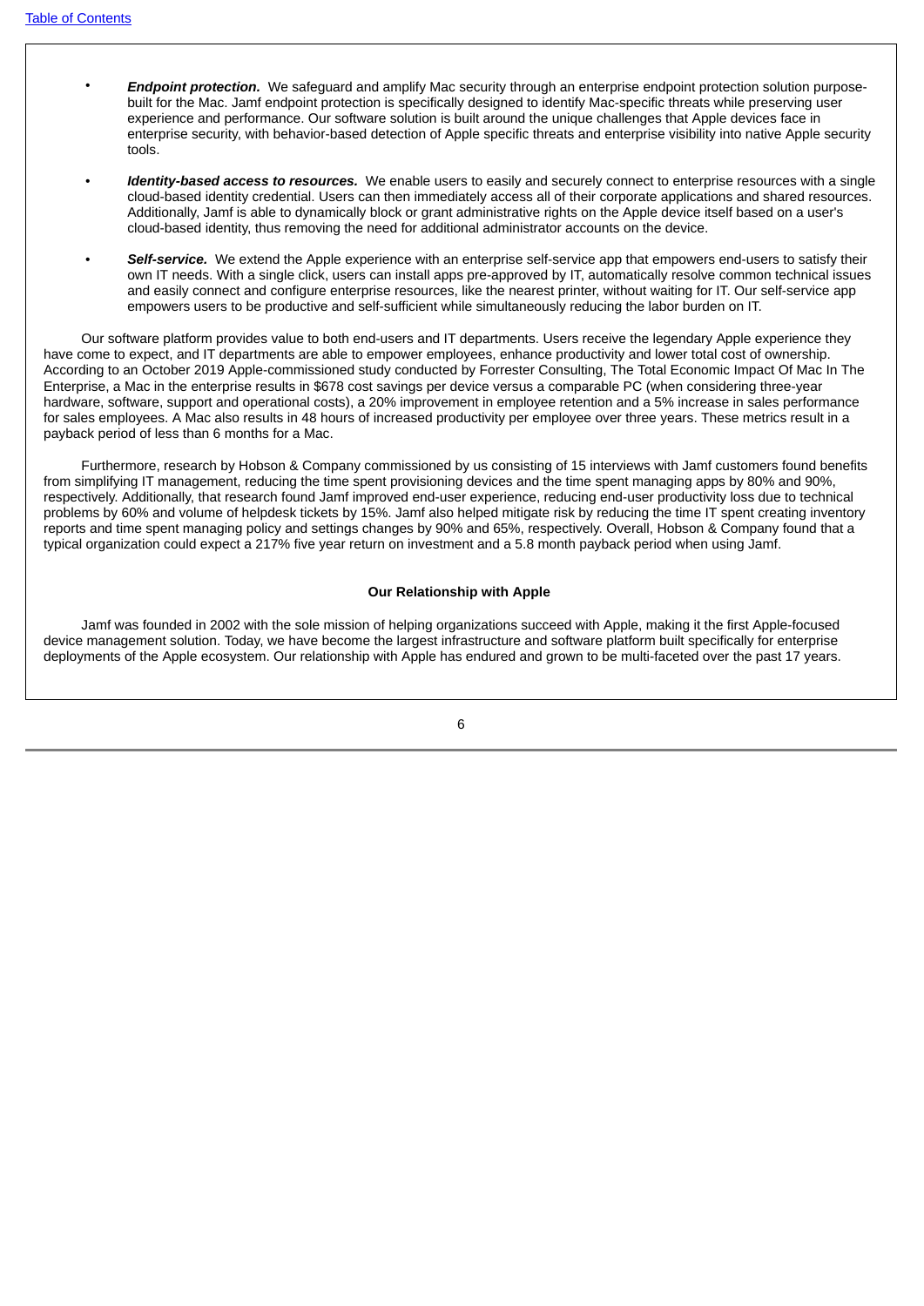- *Endpoint protection.* We safeguard and amplify Mac security through an enterprise endpoint protection solution purposebuilt for the Mac. Jamf endpoint protection is specifically designed to identify Mac-specific threats while preserving user experience and performance. Our software solution is built around the unique challenges that Apple devices face in enterprise security, with behavior-based detection of Apple specific threats and enterprise visibility into native Apple security tools.
- *Identity-based access to resources.* We enable users to easily and securely connect to enterprise resources with a single cloud-based identity credential. Users can then immediately access all of their corporate applications and shared resources. Additionally, Jamf is able to dynamically block or grant administrative rights on the Apple device itself based on a user's cloud-based identity, thus removing the need for additional administrator accounts on the device.
- *Self-service.* We extend the Apple experience with an enterprise self-service app that empowers end-users to satisfy their own IT needs. With a single click, users can install apps pre-approved by IT, automatically resolve common technical issues and easily connect and configure enterprise resources, like the nearest printer, without waiting for IT. Our self-service app empowers users to be productive and self-sufficient while simultaneously reducing the labor burden on IT.

 Our software platform provides value to both end-users and IT departments. Users receive the legendary Apple experience they have come to expect, and IT departments are able to empower employees, enhance productivity and lower total cost of ownership. According to an October 2019 Apple-commissioned study conducted by Forrester Consulting, The Total Economic Impact Of Mac In The Enterprise, a Mac in the enterprise results in \$678 cost savings per device versus a comparable PC (when considering three-year hardware, software, support and operational costs), a 20% improvement in employee retention and a 5% increase in sales performance for sales employees. A Mac also results in 48 hours of increased productivity per employee over three years. These metrics result in a payback period of less than 6 months for a Mac.

 Furthermore, research by Hobson & Company commissioned by us consisting of 15 interviews with Jamf customers found benefits from simplifying IT management, reducing the time spent provisioning devices and the time spent managing apps by 80% and 90%, respectively. Additionally, that research found Jamf improved end-user experience, reducing end-user productivity loss due to technical problems by 60% and volume of helpdesk tickets by 15%. Jamf also helped mitigate risk by reducing the time IT spent creating inventory reports and time spent managing policy and settings changes by 90% and 65%, respectively. Overall, Hobson & Company found that a typical organization could expect a 217% five year return on investment and a 5.8 month payback period when using Jamf.

## **Our Relationship with Apple**

 Jamf was founded in 2002 with the sole mission of helping organizations succeed with Apple, making it the first Apple-focused device management solution. Today, we have become the largest infrastructure and software platform built specifically for enterprise deployments of the Apple ecosystem. Our relationship with Apple has endured and grown to be multi-faceted over the past 17 years.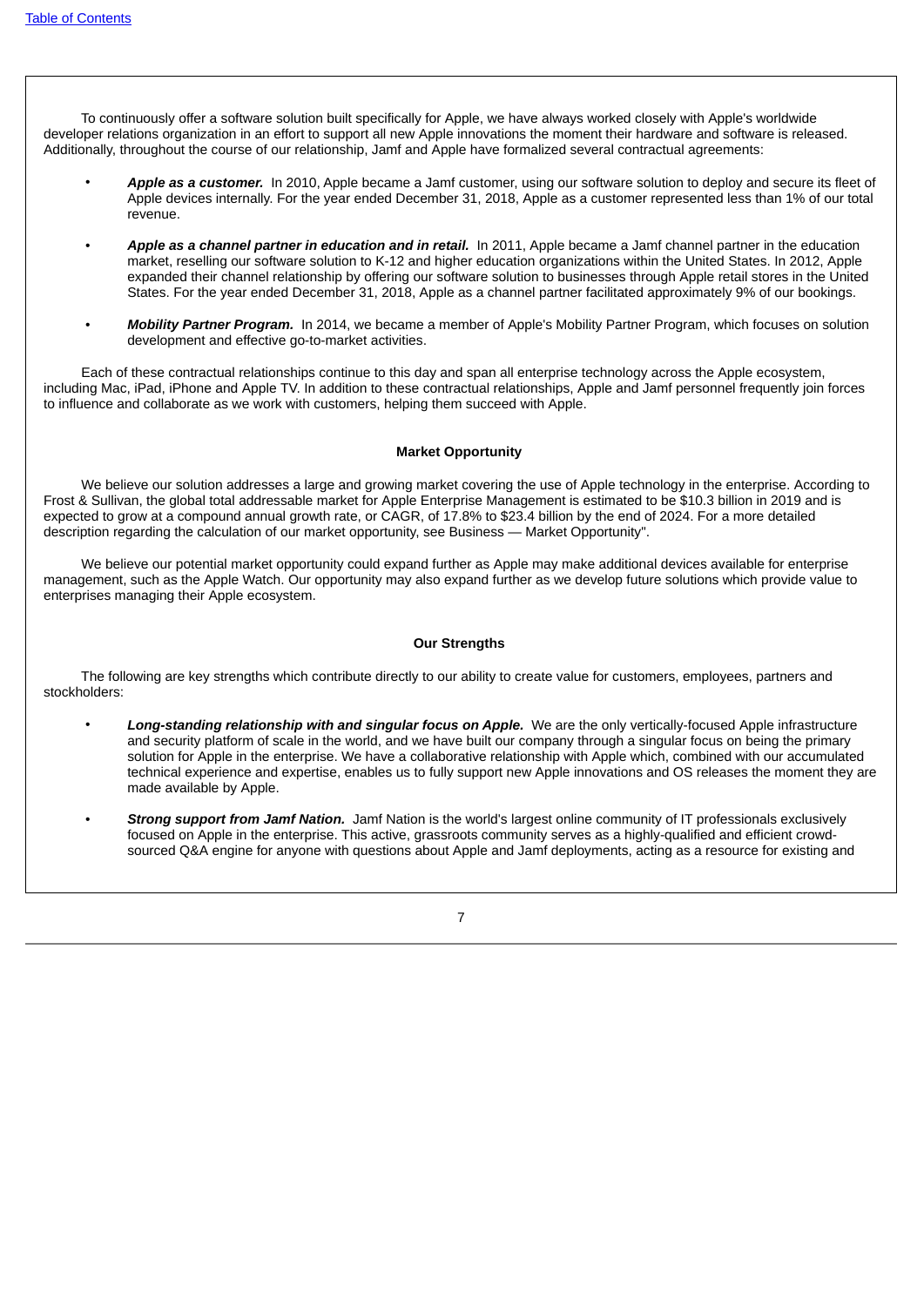To continuously offer a software solution built specifically for Apple, we have always worked closely with Apple's worldwide developer relations organization in an effort to support all new Apple innovations the moment their hardware and software is released. Additionally, throughout the course of our relationship, Jamf and Apple have formalized several contractual agreements:

- *Apple as a customer.* In 2010, Apple became a Jamf customer, using our software solution to deploy and secure its fleet of Apple devices internally. For the year ended December 31, 2018, Apple as a customer represented less than 1% of our total revenue.
- *Apple as a channel partner in education and in retail.* In 2011, Apple became a Jamf channel partner in the education market, reselling our software solution to K-12 and higher education organizations within the United States. In 2012, Apple expanded their channel relationship by offering our software solution to businesses through Apple retail stores in the United States. For the year ended December 31, 2018, Apple as a channel partner facilitated approximately 9% of our bookings.
- *Mobility Partner Program.* In 2014, we became a member of Apple's Mobility Partner Program, which focuses on solution development and effective go-to-market activities.

 Each of these contractual relationships continue to this day and span all enterprise technology across the Apple ecosystem, including Mac, iPad, iPhone and Apple TV. In addition to these contractual relationships, Apple and Jamf personnel frequently join forces to influence and collaborate as we work with customers, helping them succeed with Apple.

## **Market Opportunity**

 We believe our solution addresses a large and growing market covering the use of Apple technology in the enterprise. According to Frost & Sullivan, the global total addressable market for Apple Enterprise Management is estimated to be \$10.3 billion in 2019 and is expected to grow at a compound annual growth rate, or CAGR, of 17.8% to \$23.4 billion by the end of 2024. For a more detailed description regarding the calculation of our market opportunity, see Business — Market Opportunity".

 We believe our potential market opportunity could expand further as Apple may make additional devices available for enterprise management, such as the Apple Watch. Our opportunity may also expand further as we develop future solutions which provide value to enterprises managing their Apple ecosystem.

## **Our Strengths**

 The following are key strengths which contribute directly to our ability to create value for customers, employees, partners and stockholders:

- *Long-standing relationship with and singular focus on Apple.* We are the only vertically-focused Apple infrastructure and security platform of scale in the world, and we have built our company through a singular focus on being the primary solution for Apple in the enterprise. We have a collaborative relationship with Apple which, combined with our accumulated technical experience and expertise, enables us to fully support new Apple innovations and OS releases the moment they are made available by Apple.
- *Strong support from Jamf Nation.* Jamf Nation is the world's largest online community of IT professionals exclusively focused on Apple in the enterprise. This active, grassroots community serves as a highly-qualified and efficient crowdsourced Q&A engine for anyone with questions about Apple and Jamf deployments, acting as a resource for existing and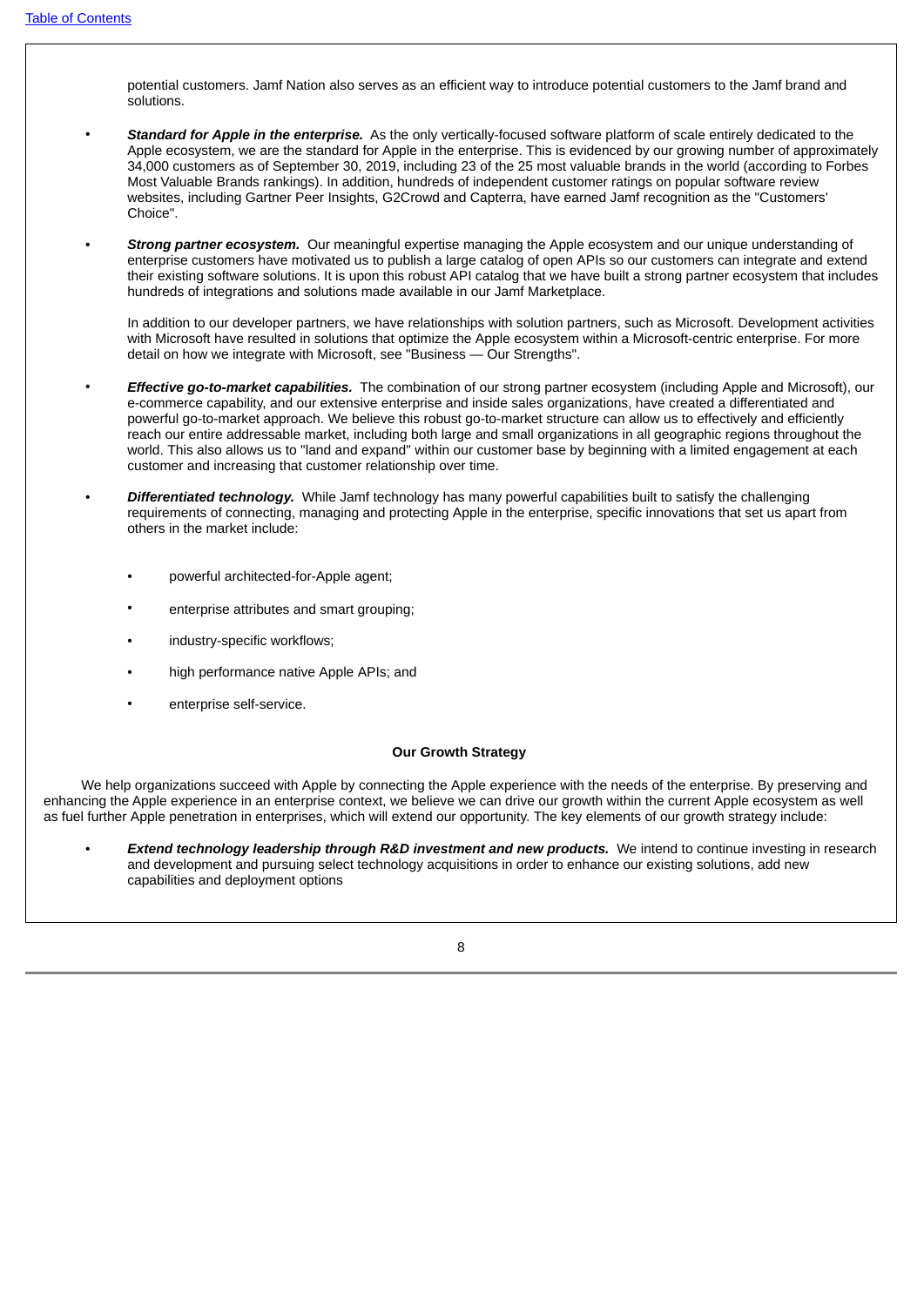potential customers. Jamf Nation also serves as an efficient way to introduce potential customers to the Jamf brand and solutions.

- *Standard for Apple in the enterprise.* As the only vertically-focused software platform of scale entirely dedicated to the Apple ecosystem, we are the standard for Apple in the enterprise. This is evidenced by our growing number of approximately 34,000 customers as of September 30, 2019, including 23 of the 25 most valuable brands in the world (according to Forbes Most Valuable Brands rankings). In addition, hundreds of independent customer ratings on popular software review websites, including Gartner Peer Insights, G2Crowd and Capterra, have earned Jamf recognition as the "Customers' Choice".
- *Strong partner ecosystem.* Our meaningful expertise managing the Apple ecosystem and our unique understanding of enterprise customers have motivated us to publish a large catalog of open APIs so our customers can integrate and extend their existing software solutions. It is upon this robust API catalog that we have built a strong partner ecosystem that includes hundreds of integrations and solutions made available in our Jamf Marketplace.

In addition to our developer partners, we have relationships with solution partners, such as Microsoft. Development activities with Microsoft have resulted in solutions that optimize the Apple ecosystem within a Microsoft-centric enterprise. For more detail on how we integrate with Microsoft, see "Business — Our Strengths".

- *Effective go-to-market capabilities.* The combination of our strong partner ecosystem (including Apple and Microsoft), our e-commerce capability, and our extensive enterprise and inside sales organizations, have created a differentiated and powerful go-to-market approach. We believe this robust go-to-market structure can allow us to effectively and efficiently reach our entire addressable market, including both large and small organizations in all geographic regions throughout the world. This also allows us to "land and expand" within our customer base by beginning with a limited engagement at each customer and increasing that customer relationship over time.
- *Differentiated technology.* While Jamf technology has many powerful capabilities built to satisfy the challenging requirements of connecting, managing and protecting Apple in the enterprise, specific innovations that set us apart from others in the market include:
	- powerful architected-for-Apple agent;
	- enterprise attributes and smart grouping;
	- industry-specific workflows;
	- high performance native Apple APIs; and
	- enterprise self-service.

## **Our Growth Strategy**

 We help organizations succeed with Apple by connecting the Apple experience with the needs of the enterprise. By preserving and enhancing the Apple experience in an enterprise context, we believe we can drive our growth within the current Apple ecosystem as well as fuel further Apple penetration in enterprises, which will extend our opportunity. The key elements of our growth strategy include:

• *Extend technology leadership through R&D investment and new products.* We intend to continue investing in research and development and pursuing select technology acquisitions in order to enhance our existing solutions, add new capabilities and deployment options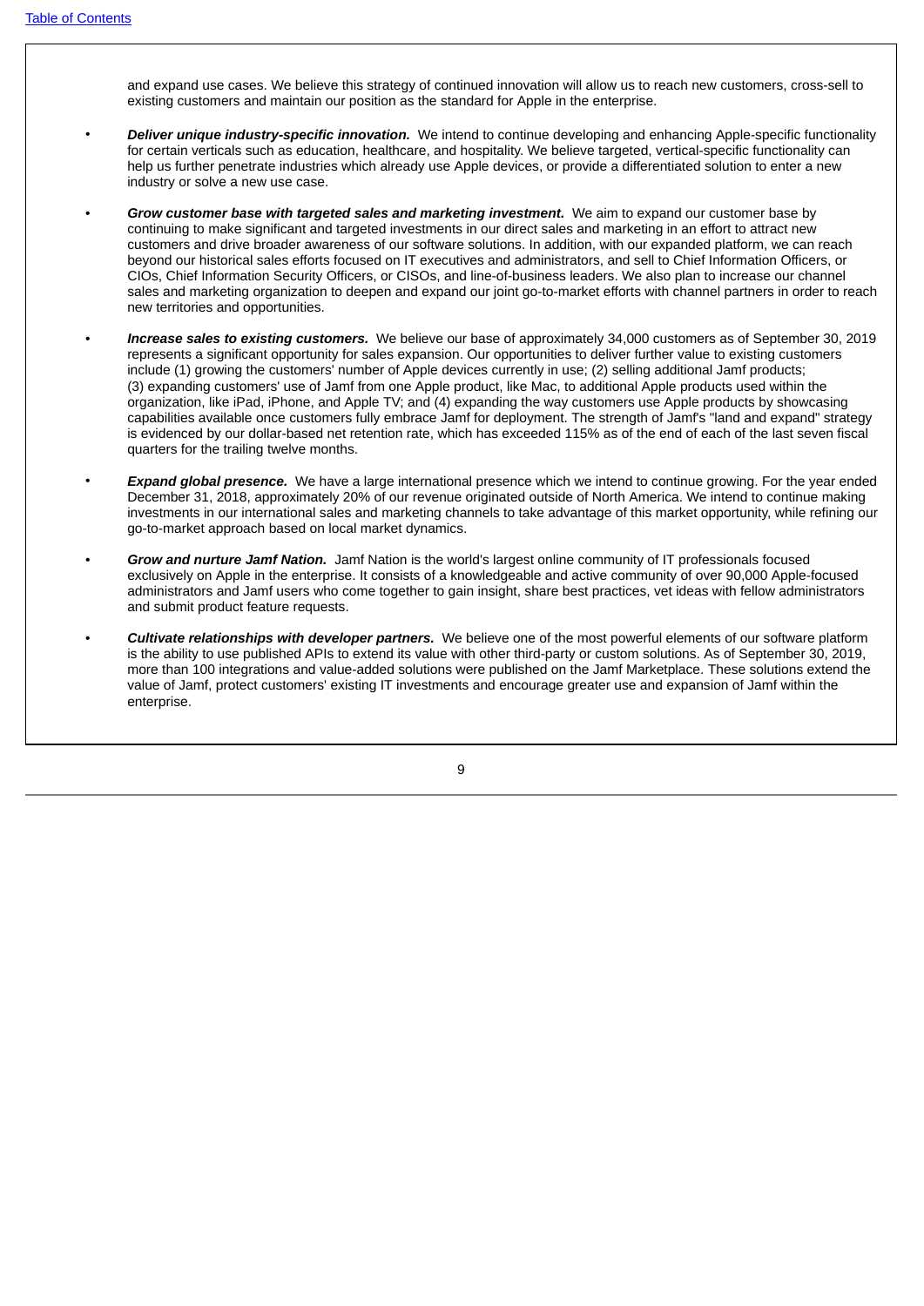and expand use cases. We believe this strategy of continued innovation will allow us to reach new customers, cross-sell to existing customers and maintain our position as the standard for Apple in the enterprise.

- *Deliver unique industry-specific innovation.* We intend to continue developing and enhancing Apple-specific functionality for certain verticals such as education, healthcare, and hospitality. We believe targeted, vertical-specific functionality can help us further penetrate industries which already use Apple devices, or provide a differentiated solution to enter a new industry or solve a new use case.
- *Grow customer base with targeted sales and marketing investment.* We aim to expand our customer base by continuing to make significant and targeted investments in our direct sales and marketing in an effort to attract new customers and drive broader awareness of our software solutions. In addition, with our expanded platform, we can reach beyond our historical sales efforts focused on IT executives and administrators, and sell to Chief Information Officers, or CIOs, Chief Information Security Officers, or CISOs, and line-of-business leaders. We also plan to increase our channel sales and marketing organization to deepen and expand our joint go-to-market efforts with channel partners in order to reach new territories and opportunities.
- *Increase sales to existing customers.* We believe our base of approximately 34,000 customers as of September 30, 2019 represents a significant opportunity for sales expansion. Our opportunities to deliver further value to existing customers include (1) growing the customers' number of Apple devices currently in use; (2) selling additional Jamf products; (3) expanding customers' use of Jamf from one Apple product, like Mac, to additional Apple products used within the organization, like iPad, iPhone, and Apple TV; and (4) expanding the way customers use Apple products by showcasing capabilities available once customers fully embrace Jamf for deployment. The strength of Jamf's "land and expand" strategy is evidenced by our dollar-based net retention rate, which has exceeded 115% as of the end of each of the last seven fiscal quarters for the trailing twelve months.
- *Expand global presence.* We have a large international presence which we intend to continue growing. For the year ended December 31, 2018, approximately 20% of our revenue originated outside of North America. We intend to continue making investments in our international sales and marketing channels to take advantage of this market opportunity, while refining our go-to-market approach based on local market dynamics.
- *Grow and nurture Jamf Nation.* Jamf Nation is the world's largest online community of IT professionals focused exclusively on Apple in the enterprise. It consists of a knowledgeable and active community of over 90,000 Apple-focused administrators and Jamf users who come together to gain insight, share best practices, vet ideas with fellow administrators and submit product feature requests.
- *Cultivate relationships with developer partners.* We believe one of the most powerful elements of our software platform is the ability to use published APIs to extend its value with other third-party or custom solutions. As of September 30, 2019, more than 100 integrations and value-added solutions were published on the Jamf Marketplace. These solutions extend the value of Jamf, protect customers' existing IT investments and encourage greater use and expansion of Jamf within the enterprise.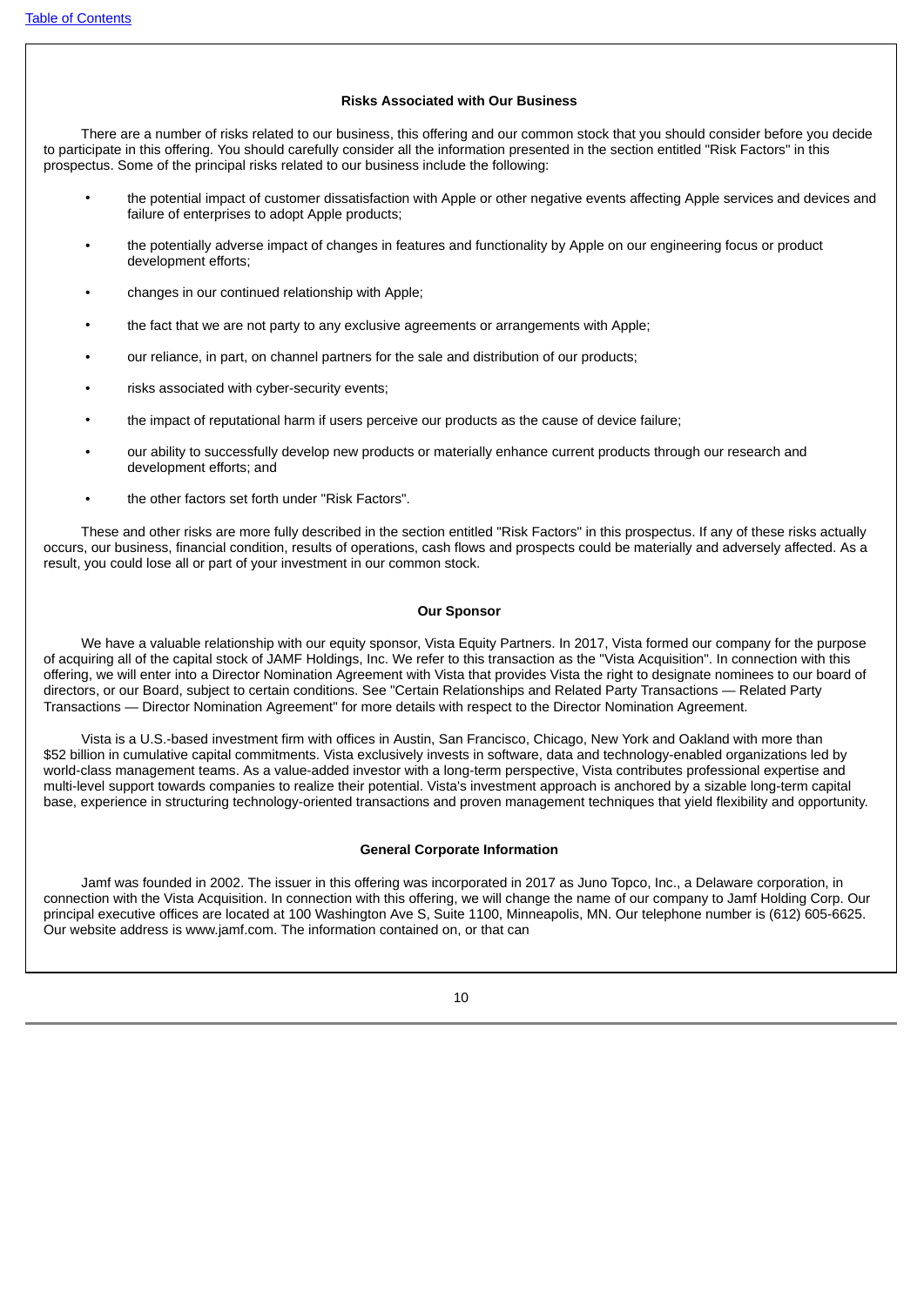## **Risks Associated with Our Business**

 There are a number of risks related to our business, this offering and our common stock that you should consider before you decide to participate in this offering. You should carefully consider all the information presented in the section entitled "Risk Factors" in this prospectus. Some of the principal risks related to our business include the following:

- the potential impact of customer dissatisfaction with Apple or other negative events affecting Apple services and devices and failure of enterprises to adopt Apple products;
- the potentially adverse impact of changes in features and functionality by Apple on our engineering focus or product development efforts;
- changes in our continued relationship with Apple;
- the fact that we are not party to any exclusive agreements or arrangements with Apple;
- our reliance, in part, on channel partners for the sale and distribution of our products;
- risks associated with cyber-security events;
- the impact of reputational harm if users perceive our products as the cause of device failure;
- our ability to successfully develop new products or materially enhance current products through our research and development efforts; and
- the other factors set forth under "Risk Factors".

 These and other risks are more fully described in the section entitled "Risk Factors" in this prospectus. If any of these risks actually occurs, our business, financial condition, results of operations, cash flows and prospects could be materially and adversely affected. As a result, you could lose all or part of your investment in our common stock.

#### **Our Sponsor**

 We have a valuable relationship with our equity sponsor, Vista Equity Partners. In 2017, Vista formed our company for the purpose of acquiring all of the capital stock of JAMF Holdings, Inc. We refer to this transaction as the "Vista Acquisition". In connection with this offering, we will enter into a Director Nomination Agreement with Vista that provides Vista the right to designate nominees to our board of directors, or our Board, subject to certain conditions. See "Certain Relationships and Related Party Transactions — Related Party Transactions — Director Nomination Agreement" for more details with respect to the Director Nomination Agreement.

 Vista is a U.S.-based investment firm with offices in Austin, San Francisco, Chicago, New York and Oakland with more than \$52 billion in cumulative capital commitments. Vista exclusively invests in software, data and technology-enabled organizations led by world-class management teams. As a value-added investor with a long-term perspective, Vista contributes professional expertise and multi-level support towards companies to realize their potential. Vista's investment approach is anchored by a sizable long-term capital base, experience in structuring technology-oriented transactions and proven management techniques that yield flexibility and opportunity.

#### **General Corporate Information**

 Jamf was founded in 2002. The issuer in this offering was incorporated in 2017 as Juno Topco, Inc., a Delaware corporation, in connection with the Vista Acquisition. In connection with this offering, we will change the name of our company to Jamf Holding Corp. Our principal executive offices are located at 100 Washington Ave S, Suite 1100, Minneapolis, MN. Our telephone number is (612) 605-6625. Our website address is www.jamf.com. The information contained on, or that can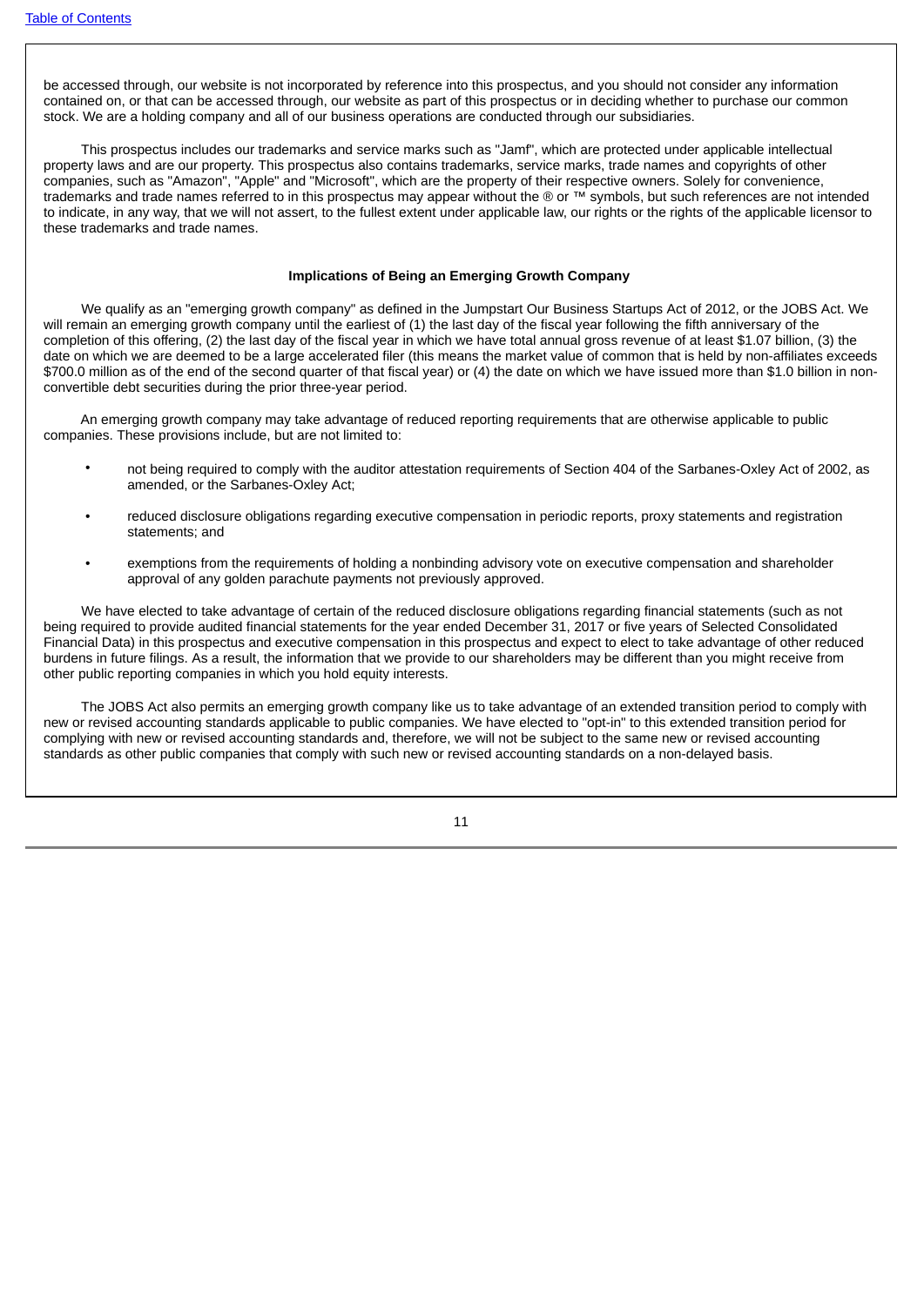be accessed through, our website is not incorporated by reference into this prospectus, and you should not consider any information contained on, or that can be accessed through, our website as part of this prospectus or in deciding whether to purchase our common stock. We are a holding company and all of our business operations are conducted through our subsidiaries.

 This prospectus includes our trademarks and service marks such as "Jamf", which are protected under applicable intellectual property laws and are our property. This prospectus also contains trademarks, service marks, trade names and copyrights of other companies, such as "Amazon", "Apple" and "Microsoft", which are the property of their respective owners. Solely for convenience, trademarks and trade names referred to in this prospectus may appear without the ® or ™ symbols, but such references are not intended to indicate, in any way, that we will not assert, to the fullest extent under applicable law, our rights or the rights of the applicable licensor to these trademarks and trade names.

#### **Implications of Being an Emerging Growth Company**

 We qualify as an "emerging growth company" as defined in the Jumpstart Our Business Startups Act of 2012, or the JOBS Act. We will remain an emerging growth company until the earliest of (1) the last day of the fiscal year following the fifth anniversary of the completion of this offering, (2) the last day of the fiscal year in which we have total annual gross revenue of at least \$1.07 billion, (3) the date on which we are deemed to be a large accelerated filer (this means the market value of common that is held by non-affiliates exceeds \$700.0 million as of the end of the second quarter of that fiscal year) or (4) the date on which we have issued more than \$1.0 billion in nonconvertible debt securities during the prior three-year period.

 An emerging growth company may take advantage of reduced reporting requirements that are otherwise applicable to public companies. These provisions include, but are not limited to:

- not being required to comply with the auditor attestation requirements of Section 404 of the Sarbanes-Oxley Act of 2002, as amended, or the Sarbanes-Oxley Act;
- reduced disclosure obligations regarding executive compensation in periodic reports, proxy statements and registration statements; and
- exemptions from the requirements of holding a nonbinding advisory vote on executive compensation and shareholder approval of any golden parachute payments not previously approved.

 We have elected to take advantage of certain of the reduced disclosure obligations regarding financial statements (such as not being required to provide audited financial statements for the year ended December 31, 2017 or five years of Selected Consolidated Financial Data) in this prospectus and executive compensation in this prospectus and expect to elect to take advantage of other reduced burdens in future filings. As a result, the information that we provide to our shareholders may be different than you might receive from other public reporting companies in which you hold equity interests.

 The JOBS Act also permits an emerging growth company like us to take advantage of an extended transition period to comply with new or revised accounting standards applicable to public companies. We have elected to "opt-in" to this extended transition period for complying with new or revised accounting standards and, therefore, we will not be subject to the same new or revised accounting standards as other public companies that comply with such new or revised accounting standards on a non-delayed basis.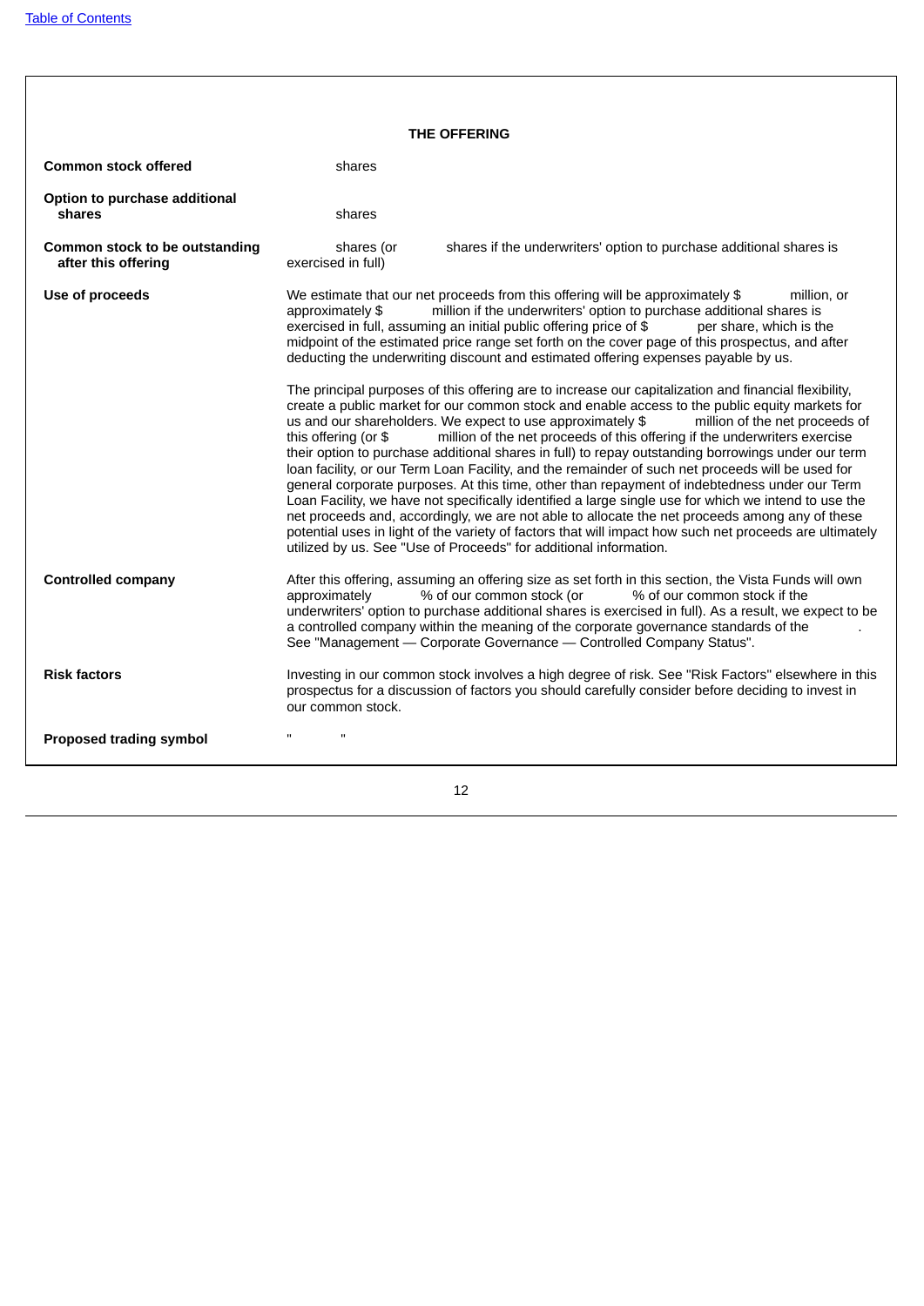| <b>THE OFFERING</b>                                   |                                                                                                                                                                                                                                                                                                                                                                                                                                                                                                                                                                                                                                                                                                                                                                                                                                                                                                                                                                                                                                                                                                                                                                                                                                                                                                                                                                                                                                                                                                                                                                                                          |  |  |
|-------------------------------------------------------|----------------------------------------------------------------------------------------------------------------------------------------------------------------------------------------------------------------------------------------------------------------------------------------------------------------------------------------------------------------------------------------------------------------------------------------------------------------------------------------------------------------------------------------------------------------------------------------------------------------------------------------------------------------------------------------------------------------------------------------------------------------------------------------------------------------------------------------------------------------------------------------------------------------------------------------------------------------------------------------------------------------------------------------------------------------------------------------------------------------------------------------------------------------------------------------------------------------------------------------------------------------------------------------------------------------------------------------------------------------------------------------------------------------------------------------------------------------------------------------------------------------------------------------------------------------------------------------------------------|--|--|
|                                                       |                                                                                                                                                                                                                                                                                                                                                                                                                                                                                                                                                                                                                                                                                                                                                                                                                                                                                                                                                                                                                                                                                                                                                                                                                                                                                                                                                                                                                                                                                                                                                                                                          |  |  |
| <b>Common stock offered</b>                           | shares                                                                                                                                                                                                                                                                                                                                                                                                                                                                                                                                                                                                                                                                                                                                                                                                                                                                                                                                                                                                                                                                                                                                                                                                                                                                                                                                                                                                                                                                                                                                                                                                   |  |  |
| Option to purchase additional<br>shares               | shares                                                                                                                                                                                                                                                                                                                                                                                                                                                                                                                                                                                                                                                                                                                                                                                                                                                                                                                                                                                                                                                                                                                                                                                                                                                                                                                                                                                                                                                                                                                                                                                                   |  |  |
| Common stock to be outstanding<br>after this offering | shares if the underwriters' option to purchase additional shares is<br>shares (or<br>exercised in full)                                                                                                                                                                                                                                                                                                                                                                                                                                                                                                                                                                                                                                                                                                                                                                                                                                                                                                                                                                                                                                                                                                                                                                                                                                                                                                                                                                                                                                                                                                  |  |  |
| Use of proceeds                                       | We estimate that our net proceeds from this offering will be approximately \$<br>million, or<br>million if the underwriters' option to purchase additional shares is<br>approximately \$<br>exercised in full, assuming an initial public offering price of \$<br>per share, which is the<br>midpoint of the estimated price range set forth on the cover page of this prospectus, and after<br>deducting the underwriting discount and estimated offering expenses payable by us.<br>The principal purposes of this offering are to increase our capitalization and financial flexibility,<br>create a public market for our common stock and enable access to the public equity markets for<br>us and our shareholders. We expect to use approximately \$<br>million of the net proceeds of<br>this offering (or \$<br>million of the net proceeds of this offering if the underwriters exercise<br>their option to purchase additional shares in full) to repay outstanding borrowings under our term<br>loan facility, or our Term Loan Facility, and the remainder of such net proceeds will be used for<br>general corporate purposes. At this time, other than repayment of indebtedness under our Term<br>Loan Facility, we have not specifically identified a large single use for which we intend to use the<br>net proceeds and, accordingly, we are not able to allocate the net proceeds among any of these<br>potential uses in light of the variety of factors that will impact how such net proceeds are ultimately<br>utilized by us. See "Use of Proceeds" for additional information. |  |  |
| <b>Controlled company</b>                             | After this offering, assuming an offering size as set forth in this section, the Vista Funds will own<br>% of our common stock (or<br>% of our common stock if the<br>approximately<br>underwriters' option to purchase additional shares is exercised in full). As a result, we expect to be<br>a controlled company within the meaning of the corporate governance standards of the<br>See "Management - Corporate Governance - Controlled Company Status".                                                                                                                                                                                                                                                                                                                                                                                                                                                                                                                                                                                                                                                                                                                                                                                                                                                                                                                                                                                                                                                                                                                                            |  |  |
| <b>Risk factors</b>                                   | Investing in our common stock involves a high degree of risk. See "Risk Factors" elsewhere in this<br>prospectus for a discussion of factors you should carefully consider before deciding to invest in<br>our common stock.                                                                                                                                                                                                                                                                                                                                                                                                                                                                                                                                                                                                                                                                                                                                                                                                                                                                                                                                                                                                                                                                                                                                                                                                                                                                                                                                                                             |  |  |
| Proposed trading symbol                               | $\mathbf{u}$<br>H.                                                                                                                                                                                                                                                                                                                                                                                                                                                                                                                                                                                                                                                                                                                                                                                                                                                                                                                                                                                                                                                                                                                                                                                                                                                                                                                                                                                                                                                                                                                                                                                       |  |  |
|                                                       |                                                                                                                                                                                                                                                                                                                                                                                                                                                                                                                                                                                                                                                                                                                                                                                                                                                                                                                                                                                                                                                                                                                                                                                                                                                                                                                                                                                                                                                                                                                                                                                                          |  |  |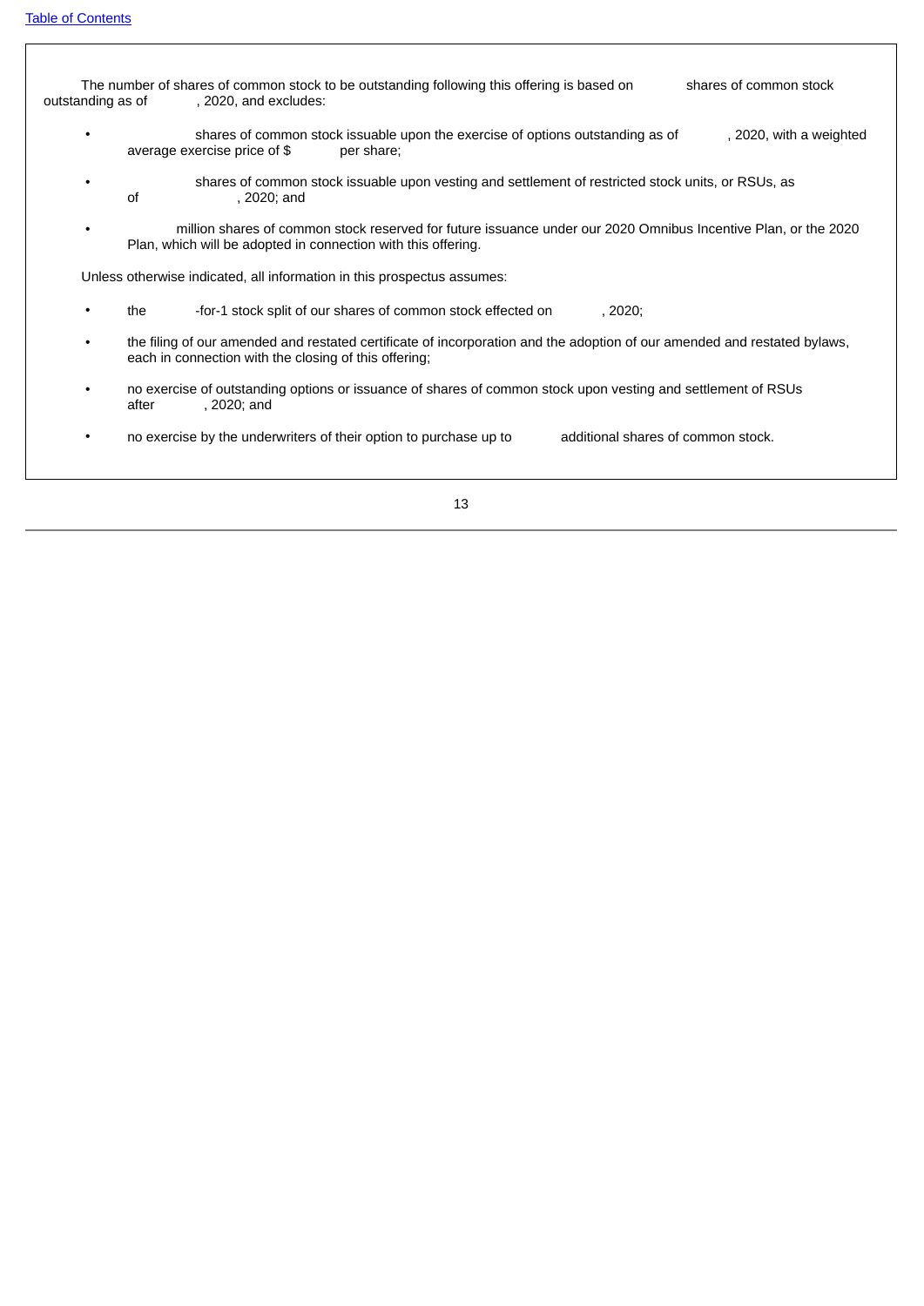The number of shares of common stock to be outstanding following this offering is based on shares of common stock outstanding as of , 2020, and excludes: , 2020, and excludes: shares of common stock issuable upon the exercise of options outstanding as of , 2020, with a weighted average exercise price of \$ per share; • shares of common stock issuable upon vesting and settlement of restricted stock units, or RSUs, as  $, 2020;$  and • million shares of common stock reserved for future issuance under our 2020 Omnibus Incentive Plan, or the 2020 Plan, which will be adopted in connection with this offering. Unless otherwise indicated, all information in this prospectus assumes: • the -for-1 stock split of our shares of common stock effected on , 2020; • the filing of our amended and restated certificate of incorporation and the adoption of our amended and restated bylaws, each in connection with the closing of this offering; no exercise of outstanding options or issuance of shares of common stock upon vesting and settlement of RSUs after ... 2020: and  $.2020;$  and • no exercise by the underwriters of their option to purchase up to additional shares of common stock.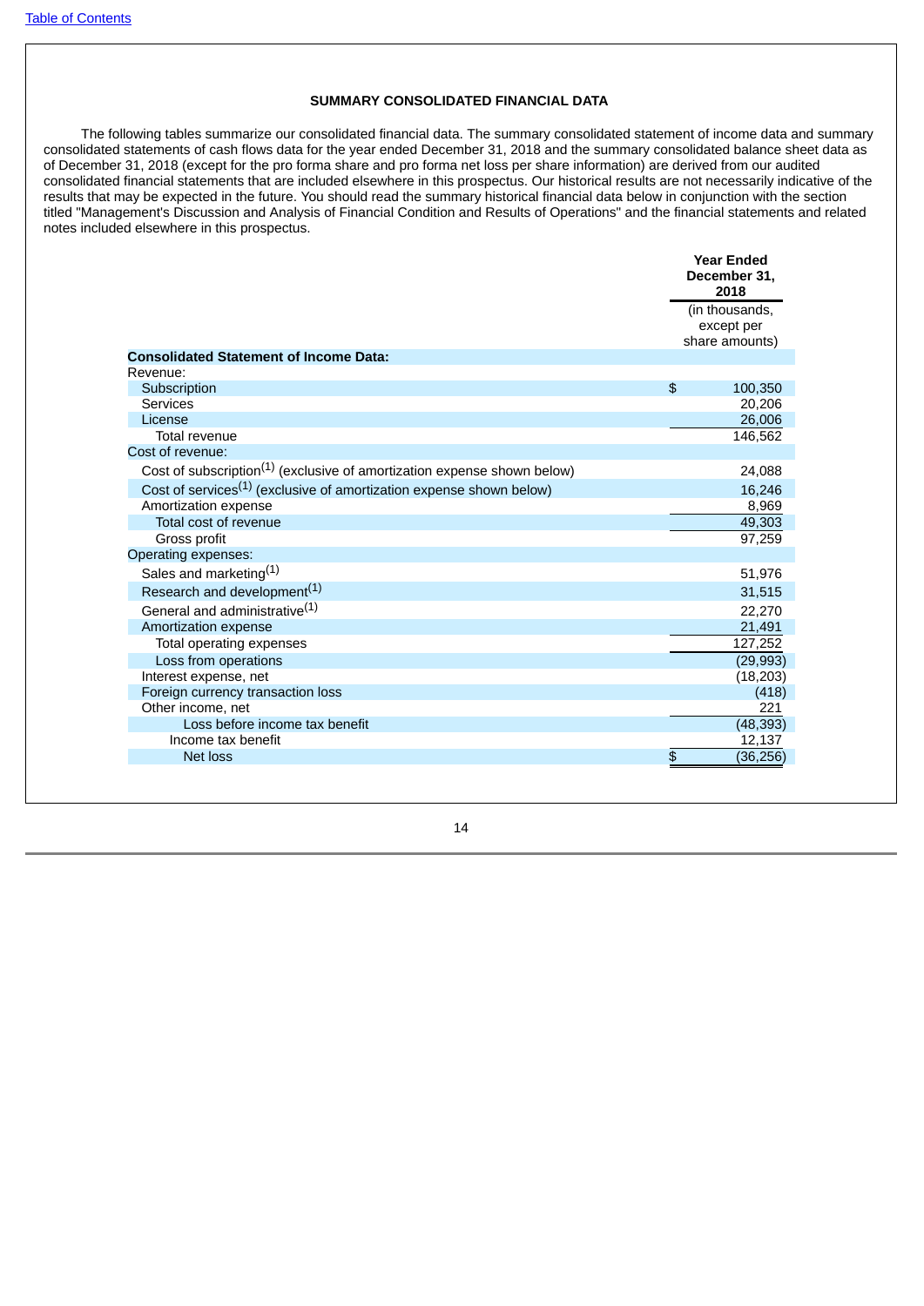## **SUMMARY CONSOLIDATED FINANCIAL DATA**

 The following tables summarize our consolidated financial data. The summary consolidated statement of income data and summary consolidated statements of cash flows data for the year ended December 31, 2018 and the summary consolidated balance sheet data as of December 31, 2018 (except for the pro forma share and pro forma net loss per share information) are derived from our audited consolidated financial statements that are included elsewhere in this prospectus. Our historical results are not necessarily indicative of the results that may be expected in the future. You should read the summary historical financial data below in conjunction with the section titled "Management's Discussion and Analysis of Financial Condition and Results of Operations" and the financial statements and related notes included elsewhere in this prospectus.

|                                                                                                  | <b>Year Ended</b><br>December 31.<br>2018 |                              |  |
|--------------------------------------------------------------------------------------------------|-------------------------------------------|------------------------------|--|
|                                                                                                  |                                           | (in thousands,<br>except per |  |
|                                                                                                  |                                           | share amounts)               |  |
| <b>Consolidated Statement of Income Data:</b>                                                    |                                           |                              |  |
| Revenue:                                                                                         |                                           |                              |  |
| Subscription                                                                                     | \$                                        | 100,350                      |  |
| Services                                                                                         |                                           | 20,206                       |  |
| License                                                                                          |                                           | 26,006                       |  |
| Total revenue                                                                                    |                                           | 146.562                      |  |
| Cost of revenue:                                                                                 |                                           |                              |  |
| Cost of subscription <sup><math>(1)</math></sup> (exclusive of amortization expense shown below) |                                           | 24,088                       |  |
| Cost of services <sup>(1)</sup> (exclusive of amortization expense shown below)                  |                                           | 16,246                       |  |
| Amortization expense                                                                             |                                           | 8,969                        |  |
| Total cost of revenue                                                                            |                                           | 49,303                       |  |
| Gross profit                                                                                     |                                           | 97,259                       |  |
| Operating expenses:                                                                              |                                           |                              |  |
| Sales and marketing <sup>(1)</sup>                                                               |                                           | 51,976                       |  |
| Research and development <sup>(1)</sup>                                                          |                                           | 31,515                       |  |
| General and administrative <sup>(1)</sup>                                                        |                                           | 22.270                       |  |
| Amortization expense                                                                             |                                           | 21,491                       |  |
| Total operating expenses                                                                         |                                           | 127.252                      |  |
| Loss from operations                                                                             |                                           | (29, 993)                    |  |
| Interest expense, net                                                                            |                                           | (18, 203)                    |  |
| Foreign currency transaction loss                                                                |                                           | (418)                        |  |
| Other income, net                                                                                |                                           | 221                          |  |
| Loss before income tax benefit                                                                   |                                           | (48, 393)                    |  |
| Income tax benefit                                                                               |                                           | 12,137                       |  |
| Net loss                                                                                         | \$                                        | (36, 256)                    |  |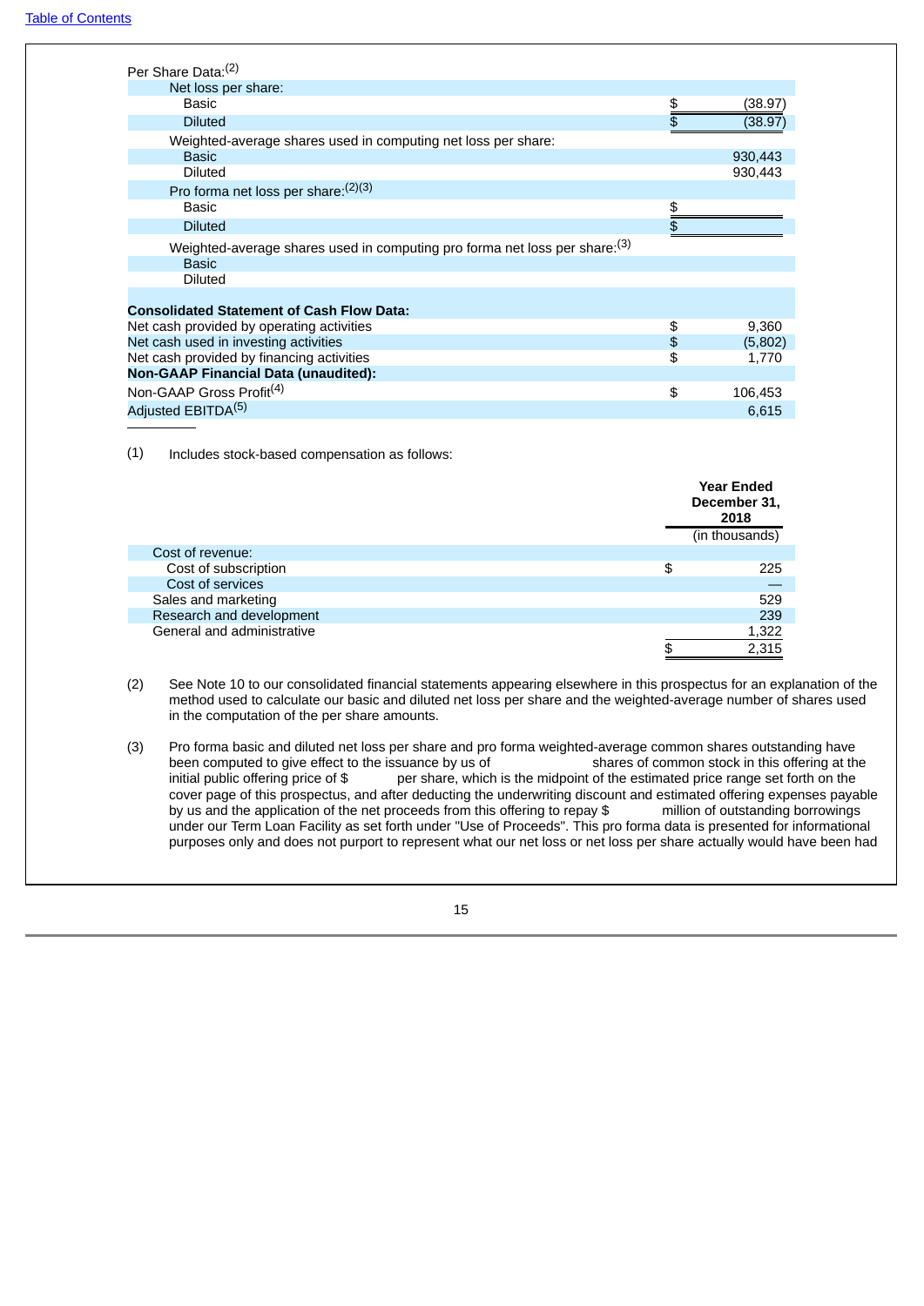| Per Share Data: <sup>(2)</sup>                                                                                                                                                      |                                                             |                           |
|-------------------------------------------------------------------------------------------------------------------------------------------------------------------------------------|-------------------------------------------------------------|---------------------------|
| Net loss per share:                                                                                                                                                                 |                                                             |                           |
| <b>Basic</b>                                                                                                                                                                        | \$                                                          | (38.97)                   |
| <b>Diluted</b>                                                                                                                                                                      | \$                                                          | (38.97                    |
| Weighted-average shares used in computing net loss per share:                                                                                                                       |                                                             |                           |
| <b>Basic</b>                                                                                                                                                                        |                                                             | 930,443                   |
| <b>Diluted</b>                                                                                                                                                                      |                                                             | 930,443                   |
| Pro forma net loss per share: (2)(3)                                                                                                                                                |                                                             |                           |
| <b>Basic</b>                                                                                                                                                                        | \$                                                          |                           |
| <b>Diluted</b>                                                                                                                                                                      | \$                                                          |                           |
| Weighted-average shares used in computing pro forma net loss per share: <sup>(3)</sup><br><b>Basic</b>                                                                              |                                                             |                           |
| <b>Diluted</b>                                                                                                                                                                      |                                                             |                           |
| <b>Consolidated Statement of Cash Flow Data:</b><br>Net cash provided by operating activities<br>Net cash used in investing activities<br>Net cash provided by financing activities | \$<br>$\,$<br>\$                                            | 9,360<br>(5,802)<br>1,770 |
| <b>Non-GAAP Financial Data (unaudited):</b>                                                                                                                                         |                                                             |                           |
| Non-GAAP Gross Profit <sup>(4)</sup>                                                                                                                                                | \$                                                          | 106,453                   |
| Adjusted EBITDA <sup>(5)</sup>                                                                                                                                                      |                                                             | 6,615                     |
|                                                                                                                                                                                     |                                                             |                           |
| (1)<br>Includes stock-based compensation as follows:                                                                                                                                |                                                             |                           |
|                                                                                                                                                                                     | <b>Year Ended</b><br>December 31,<br>2018<br>(in thousands) |                           |
| Cost of revenue:                                                                                                                                                                    |                                                             |                           |
| Cost of subscription                                                                                                                                                                | ¢                                                           | つつに                       |

Cost of subscription  $\sim$  225 Cost of services Sales and marketing 529 Research and development **239** General and administrative 1,322  $$ 2,315$ 

- (2) See Note 10 to our consolidated financial statements appearing elsewhere in this prospectus for an explanation of the method used to calculate our basic and diluted net loss per share and the weighted-average number of shares used in the computation of the per share amounts.
- (3) Pro forma basic and diluted net loss per share and pro forma weighted-average common shares outstanding have<br>been computed to give effect to the issuance by us of shares of common stock in this offering at the been computed to give effect to the issuance by us of initial public offering price of \$ per share, which is the midpoint of the estimated price range set forth on the cover page of this prospectus, and after deducting the underwriting discount and estimated offering expenses payable<br>by us and the application of the net proceeds from this offering to repay \$million of outstanding borrowi by us and the application of the net proceeds from this offering to repay  $\frac{1}{2}$ under our Term Loan Facility as set forth under "Use of Proceeds". This pro forma data is presented for informational purposes only and does not purport to represent what our net loss or net loss per share actually would have been had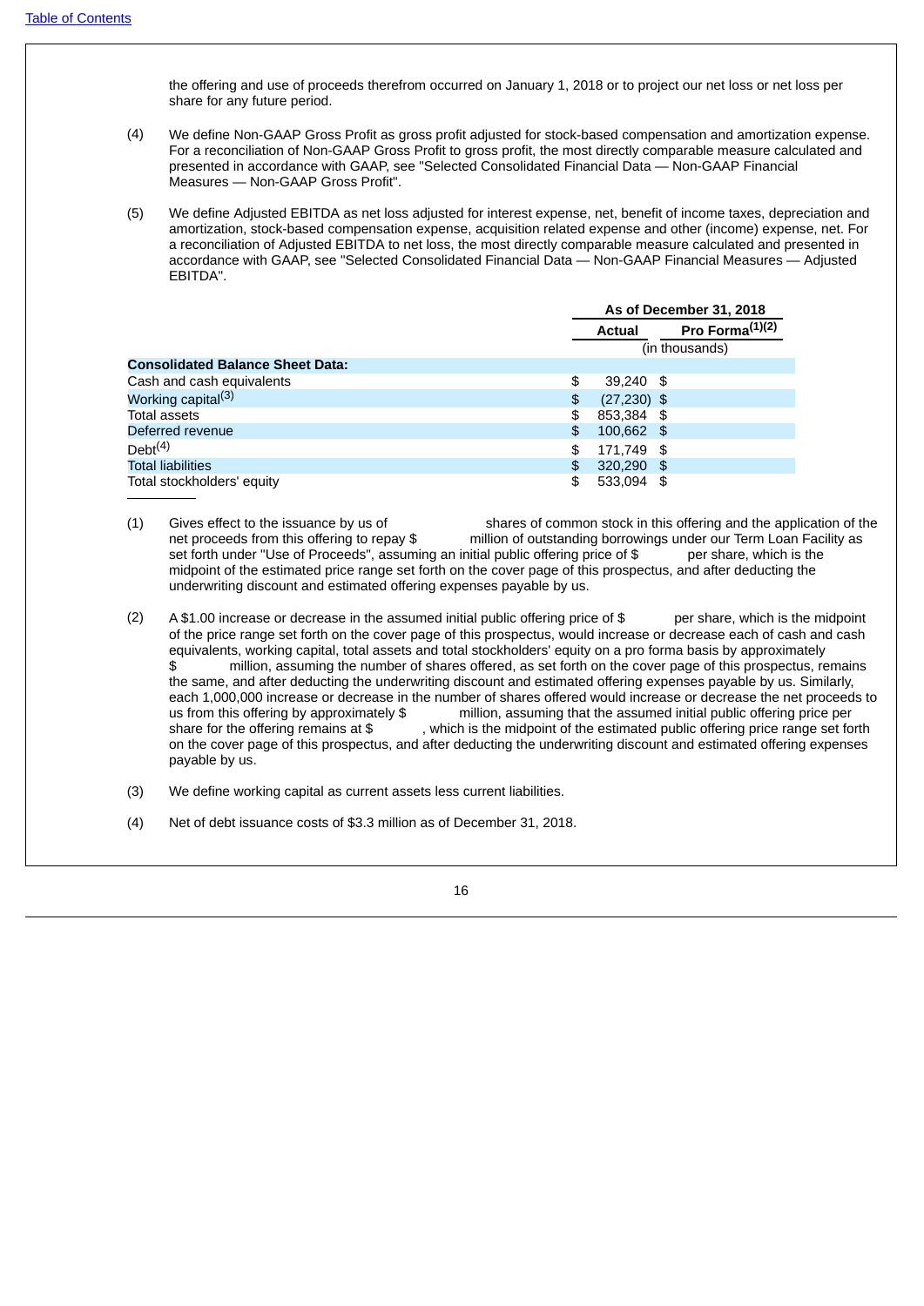the offering and use of proceeds therefrom occurred on January 1, 2018 or to project our net loss or net loss per share for any future period.

- (4) We define Non-GAAP Gross Profit as gross profit adjusted for stock-based compensation and amortization expense. For a reconciliation of Non-GAAP Gross Profit to gross profit, the most directly comparable measure calculated and presented in accordance with GAAP, see "Selected Consolidated Financial Data — Non-GAAP Financial Measures — Non-GAAP Gross Profit".
- (5) We define Adjusted EBITDA as net loss adjusted for interest expense, net, benefit of income taxes, depreciation and amortization, stock-based compensation expense, acquisition related expense and other (income) expense, net. For a reconciliation of Adjusted EBITDA to net loss, the most directly comparable measure calculated and presented in accordance with GAAP, see "Selected Consolidated Financial Data — Non-GAAP Financial Measures — Adjusted EBITDA".

|                                         | As of December 31, 2018 |                             |  |
|-----------------------------------------|-------------------------|-----------------------------|--|
|                                         | <b>Actual</b>           | Pro Forma <sup>(1)(2)</sup> |  |
|                                         | (in thousands)          |                             |  |
| <b>Consolidated Balance Sheet Data:</b> |                         |                             |  |
| Cash and cash equivalents               | \$<br>39,240 \$         |                             |  |
| Working capital <sup>(3)</sup>          | \$<br>$(27,230)$ \$     |                             |  |
| Total assets                            | \$<br>853,384 \$        |                             |  |
| Deferred revenue                        | \$<br>100,662 \$        |                             |  |
| $Debt^{(4)}$                            | \$<br>171,749 \$        |                             |  |
| <b>Total liabilities</b>                | \$<br>320,290 \$        |                             |  |
| Total stockholders' equity              | \$<br>533,094 \$        |                             |  |

- (1) Gives effect to the issuance by us of shares of common stock in this offering and the application of the net proceeds from this offering to repay \$ million of outstanding borrowings under our Term Loan Facility as set forth under "Use of Proceeds", assuming an initial public offering price of \$ per share, which is the set forth under "Use of Proceeds", assuming an initial public offering price of \$ midpoint of the estimated price range set forth on the cover page of this prospectus, and after deducting the underwriting discount and estimated offering expenses payable by us.
- (2) A \$1.00 increase or decrease in the assumed initial public offering price of \$ per share, which is the midpoint of the price range set forth on the cover page of this prospectus, would increase or decrease each of cash and cash equivalents, working capital, total assets and total stockholders' equity on a pro forma basis by approximately \$ million, assuming the number of shares offered, as set forth on the cover page of this prospectus, remains the same, and after deducting the underwriting discount and estimated offering expenses payable by us. Similarly, each 1,000,000 increase or decrease in the number of shares offered would increase or decrease the net proceeds to us from this offering by approximately \$ million, assuming that the assumed initial public offering price per share for the offering remains at \$ , which is the midpoint of the estimated public offering price range set forth on the cover page of this prospectus, and after deducting the underwriting discount and estimated offering expenses payable by us.
- (3) We define working capital as current assets less current liabilities.
- (4) Net of debt issuance costs of \$3.3 million as of December 31, 2018.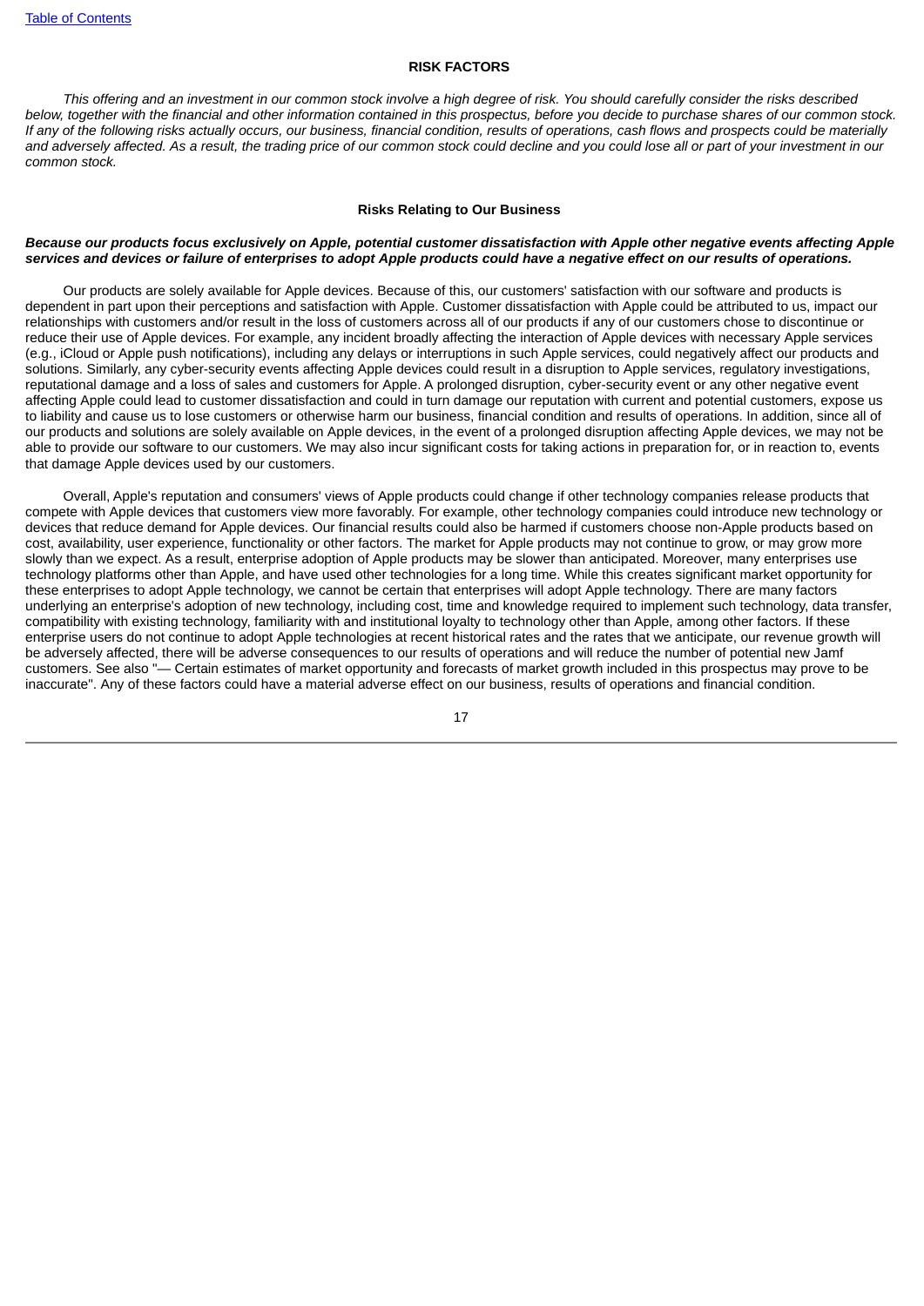#### **RISK FACTORS**

<span id="page-20-0"></span> *This offering and an investment in our common stock involve a high degree of risk. You should carefully consider the risks described below, together with the financial and other information contained in this prospectus, before you decide to purchase shares of our common stock. If any of the following risks actually occurs, our business, financial condition, results of operations, cash flows and prospects could be materially and adversely affected. As a result, the trading price of our common stock could decline and you could lose all or part of your investment in our common stock.*

#### **Risks Relating to Our Business**

#### *Because our products focus exclusively on Apple, potential customer dissatisfaction with Apple other negative events affecting Apple services and devices or failure of enterprises to adopt Apple products could have a negative effect on our results of operations.*

 Our products are solely available for Apple devices. Because of this, our customers' satisfaction with our software and products is dependent in part upon their perceptions and satisfaction with Apple. Customer dissatisfaction with Apple could be attributed to us, impact our relationships with customers and/or result in the loss of customers across all of our products if any of our customers chose to discontinue or reduce their use of Apple devices. For example, any incident broadly affecting the interaction of Apple devices with necessary Apple services (e.g., iCloud or Apple push notifications), including any delays or interruptions in such Apple services, could negatively affect our products and solutions. Similarly, any cyber-security events affecting Apple devices could result in a disruption to Apple services, regulatory investigations, reputational damage and a loss of sales and customers for Apple. A prolonged disruption, cyber-security event or any other negative event affecting Apple could lead to customer dissatisfaction and could in turn damage our reputation with current and potential customers, expose us to liability and cause us to lose customers or otherwise harm our business, financial condition and results of operations. In addition, since all of our products and solutions are solely available on Apple devices, in the event of a prolonged disruption affecting Apple devices, we may not be able to provide our software to our customers. We may also incur significant costs for taking actions in preparation for, or in reaction to, events that damage Apple devices used by our customers.

 Overall, Apple's reputation and consumers' views of Apple products could change if other technology companies release products that compete with Apple devices that customers view more favorably. For example, other technology companies could introduce new technology or devices that reduce demand for Apple devices. Our financial results could also be harmed if customers choose non-Apple products based on cost, availability, user experience, functionality or other factors. The market for Apple products may not continue to grow, or may grow more slowly than we expect. As a result, enterprise adoption of Apple products may be slower than anticipated. Moreover, many enterprises use technology platforms other than Apple, and have used other technologies for a long time. While this creates significant market opportunity for these enterprises to adopt Apple technology, we cannot be certain that enterprises will adopt Apple technology. There are many factors underlying an enterprise's adoption of new technology, including cost, time and knowledge required to implement such technology, data transfer, compatibility with existing technology, familiarity with and institutional loyalty to technology other than Apple, among other factors. If these enterprise users do not continue to adopt Apple technologies at recent historical rates and the rates that we anticipate, our revenue growth will be adversely affected, there will be adverse consequences to our results of operations and will reduce the number of potential new Jamf customers. See also "— Certain estimates of market opportunity and forecasts of market growth included in this prospectus may prove to be inaccurate". Any of these factors could have a material adverse effect on our business, results of operations and financial condition.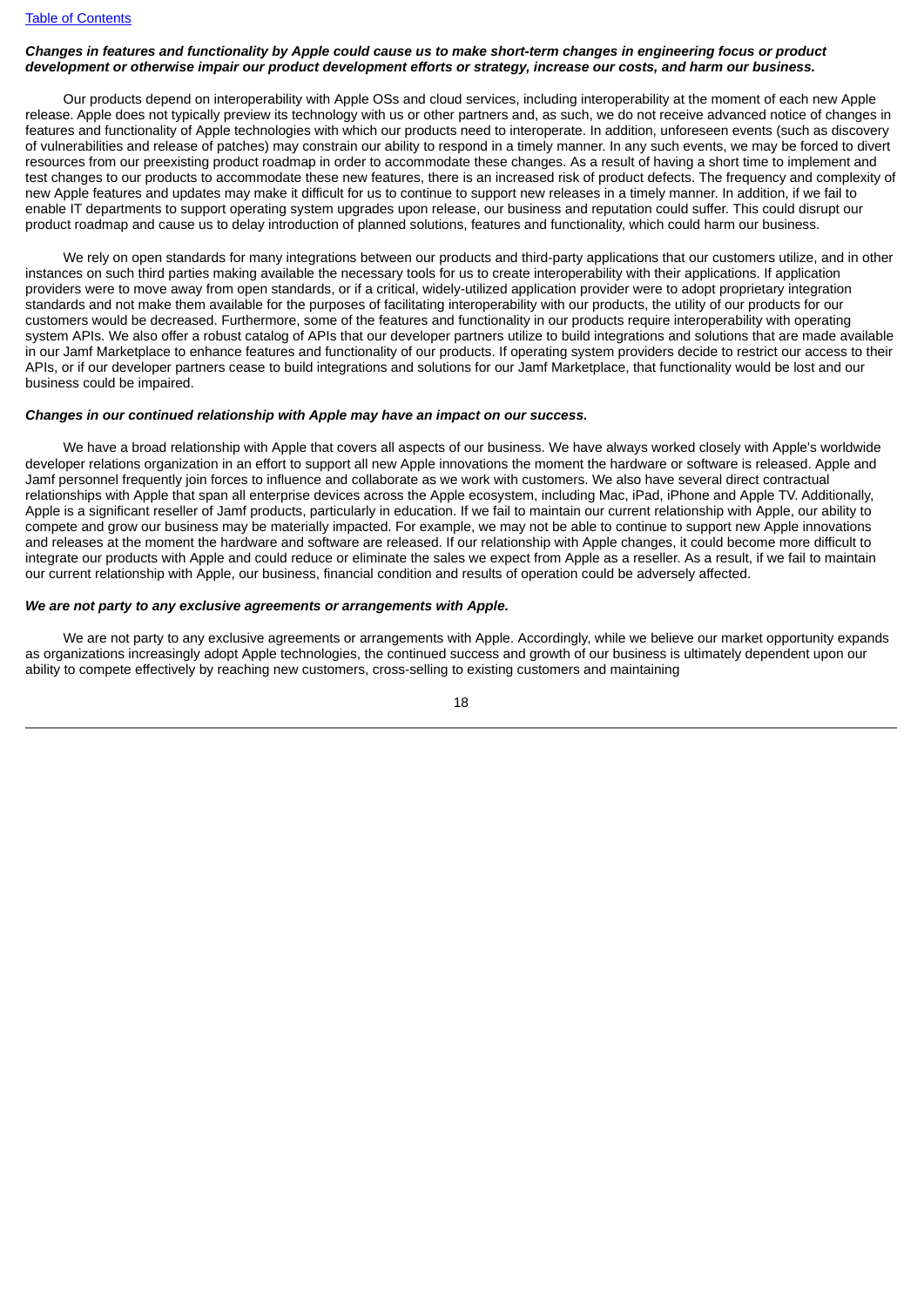## *Changes in features and functionality by Apple could cause us to make short-term changes in engineering focus or product development or otherwise impair our product development efforts or strategy, increase our costs, and harm our business.*

 Our products depend on interoperability with Apple OSs and cloud services, including interoperability at the moment of each new Apple release. Apple does not typically preview its technology with us or other partners and, as such, we do not receive advanced notice of changes in features and functionality of Apple technologies with which our products need to interoperate. In addition, unforeseen events (such as discovery of vulnerabilities and release of patches) may constrain our ability to respond in a timely manner. In any such events, we may be forced to divert resources from our preexisting product roadmap in order to accommodate these changes. As a result of having a short time to implement and test changes to our products to accommodate these new features, there is an increased risk of product defects. The frequency and complexity of new Apple features and updates may make it difficult for us to continue to support new releases in a timely manner. In addition, if we fail to enable IT departments to support operating system upgrades upon release, our business and reputation could suffer. This could disrupt our product roadmap and cause us to delay introduction of planned solutions, features and functionality, which could harm our business.

We rely on open standards for many integrations between our products and third-party applications that our customers utilize, and in other instances on such third parties making available the necessary tools for us to create interoperability with their applications. If application providers were to move away from open standards, or if a critical, widely-utilized application provider were to adopt proprietary integration standards and not make them available for the purposes of facilitating interoperability with our products, the utility of our products for our customers would be decreased. Furthermore, some of the features and functionality in our products require interoperability with operating system APIs. We also offer a robust catalog of APIs that our developer partners utilize to build integrations and solutions that are made available in our Jamf Marketplace to enhance features and functionality of our products. If operating system providers decide to restrict our access to their APIs, or if our developer partners cease to build integrations and solutions for our Jamf Marketplace, that functionality would be lost and our business could be impaired.

## *Changes in our continued relationship with Apple may have an impact on our success.*

 We have a broad relationship with Apple that covers all aspects of our business. We have always worked closely with Apple's worldwide developer relations organization in an effort to support all new Apple innovations the moment the hardware or software is released. Apple and Jamf personnel frequently join forces to influence and collaborate as we work with customers. We also have several direct contractual relationships with Apple that span all enterprise devices across the Apple ecosystem, including Mac, iPad, iPhone and Apple TV. Additionally, Apple is a significant reseller of Jamf products, particularly in education. If we fail to maintain our current relationship with Apple, our ability to compete and grow our business may be materially impacted. For example, we may not be able to continue to support new Apple innovations and releases at the moment the hardware and software are released. If our relationship with Apple changes, it could become more difficult to integrate our products with Apple and could reduce or eliminate the sales we expect from Apple as a reseller. As a result, if we fail to maintain our current relationship with Apple, our business, financial condition and results of operation could be adversely affected.

## *We are not party to any exclusive agreements or arrangements with Apple.*

 We are not party to any exclusive agreements or arrangements with Apple. Accordingly, while we believe our market opportunity expands as organizations increasingly adopt Apple technologies, the continued success and growth of our business is ultimately dependent upon our ability to compete effectively by reaching new customers, cross-selling to existing customers and maintaining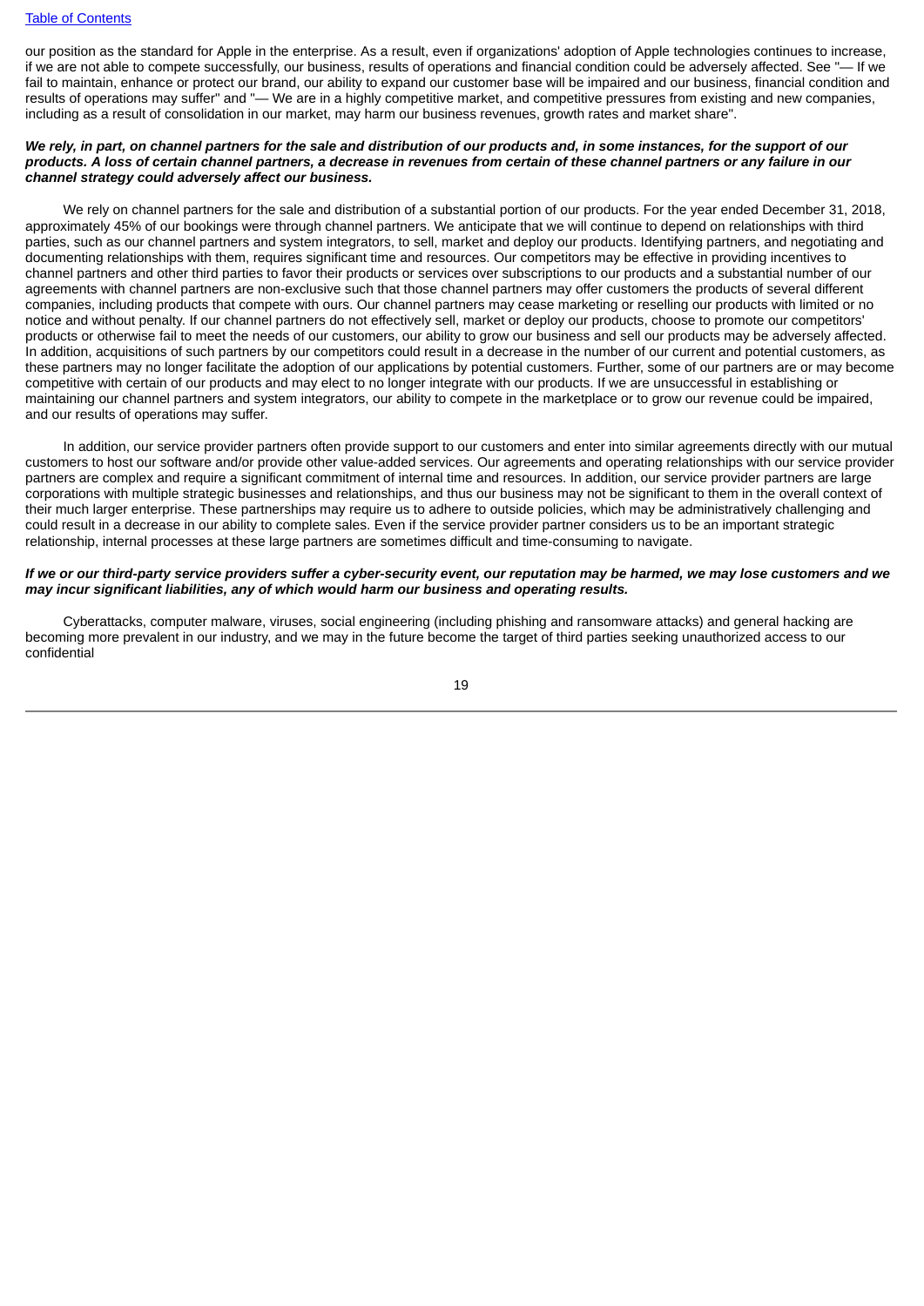#### [Table of Contents](#page-3-0)

our position as the standard for Apple in the enterprise. As a result, even if organizations' adoption of Apple technologies continues to increase, if we are not able to compete successfully, our business, results of operations and financial condition could be adversely affected. See "— If we fail to maintain, enhance or protect our brand, our ability to expand our customer base will be impaired and our business, financial condition and results of operations may suffer" and "— We are in a highly competitive market, and competitive pressures from existing and new companies, including as a result of consolidation in our market, may harm our business revenues, growth rates and market share".

## *We rely, in part, on channel partners for the sale and distribution of our products and, in some instances, for the support of our products. A loss of certain channel partners, a decrease in revenues from certain of these channel partners or any failure in our channel strategy could adversely affect our business.*

We rely on channel partners for the sale and distribution of a substantial portion of our products. For the year ended December 31, 2018, approximately 45% of our bookings were through channel partners. We anticipate that we will continue to depend on relationships with third parties, such as our channel partners and system integrators, to sell, market and deploy our products. Identifying partners, and negotiating and documenting relationships with them, requires significant time and resources. Our competitors may be effective in providing incentives to channel partners and other third parties to favor their products or services over subscriptions to our products and a substantial number of our agreements with channel partners are non-exclusive such that those channel partners may offer customers the products of several different companies, including products that compete with ours. Our channel partners may cease marketing or reselling our products with limited or no notice and without penalty. If our channel partners do not effectively sell, market or deploy our products, choose to promote our competitors' products or otherwise fail to meet the needs of our customers, our ability to grow our business and sell our products may be adversely affected. In addition, acquisitions of such partners by our competitors could result in a decrease in the number of our current and potential customers, as these partners may no longer facilitate the adoption of our applications by potential customers. Further, some of our partners are or may become competitive with certain of our products and may elect to no longer integrate with our products. If we are unsuccessful in establishing or maintaining our channel partners and system integrators, our ability to compete in the marketplace or to grow our revenue could be impaired, and our results of operations may suffer.

 In addition, our service provider partners often provide support to our customers and enter into similar agreements directly with our mutual customers to host our software and/or provide other value-added services. Our agreements and operating relationships with our service provider partners are complex and require a significant commitment of internal time and resources. In addition, our service provider partners are large corporations with multiple strategic businesses and relationships, and thus our business may not be significant to them in the overall context of their much larger enterprise. These partnerships may require us to adhere to outside policies, which may be administratively challenging and could result in a decrease in our ability to complete sales. Even if the service provider partner considers us to be an important strategic relationship, internal processes at these large partners are sometimes difficult and time-consuming to navigate.

## *If we or our third-party service providers suffer a cyber-security event, our reputation may be harmed, we may lose customers and we may incur significant liabilities, any of which would harm our business and operating results.*

 Cyberattacks, computer malware, viruses, social engineering (including phishing and ransomware attacks) and general hacking are becoming more prevalent in our industry, and we may in the future become the target of third parties seeking unauthorized access to our confidential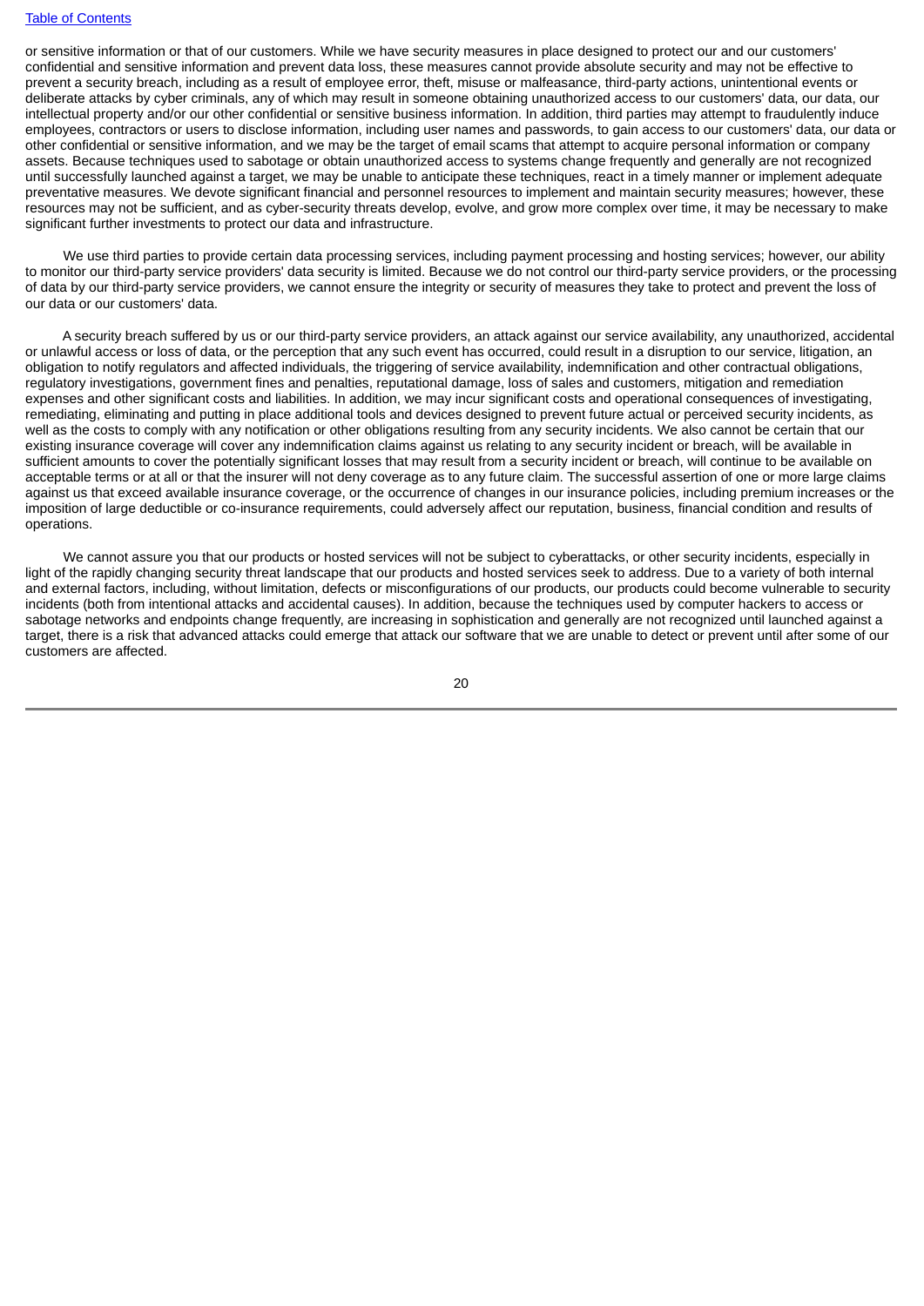or sensitive information or that of our customers. While we have security measures in place designed to protect our and our customers' confidential and sensitive information and prevent data loss, these measures cannot provide absolute security and may not be effective to prevent a security breach, including as a result of employee error, theft, misuse or malfeasance, third-party actions, unintentional events or deliberate attacks by cyber criminals, any of which may result in someone obtaining unauthorized access to our customers' data, our data, our intellectual property and/or our other confidential or sensitive business information. In addition, third parties may attempt to fraudulently induce employees, contractors or users to disclose information, including user names and passwords, to gain access to our customers' data, our data or other confidential or sensitive information, and we may be the target of email scams that attempt to acquire personal information or company assets. Because techniques used to sabotage or obtain unauthorized access to systems change frequently and generally are not recognized until successfully launched against a target, we may be unable to anticipate these techniques, react in a timely manner or implement adequate preventative measures. We devote significant financial and personnel resources to implement and maintain security measures; however, these resources may not be sufficient, and as cyber-security threats develop, evolve, and grow more complex over time, it may be necessary to make significant further investments to protect our data and infrastructure.

We use third parties to provide certain data processing services, including payment processing and hosting services; however, our ability to monitor our third-party service providers' data security is limited. Because we do not control our third-party service providers, or the processing of data by our third-party service providers, we cannot ensure the integrity or security of measures they take to protect and prevent the loss of our data or our customers' data.

 A security breach suffered by us or our third-party service providers, an attack against our service availability, any unauthorized, accidental or unlawful access or loss of data, or the perception that any such event has occurred, could result in a disruption to our service, litigation, an obligation to notify regulators and affected individuals, the triggering of service availability, indemnification and other contractual obligations, regulatory investigations, government fines and penalties, reputational damage, loss of sales and customers, mitigation and remediation expenses and other significant costs and liabilities. In addition, we may incur significant costs and operational consequences of investigating, remediating, eliminating and putting in place additional tools and devices designed to prevent future actual or perceived security incidents, as well as the costs to comply with any notification or other obligations resulting from any security incidents. We also cannot be certain that our existing insurance coverage will cover any indemnification claims against us relating to any security incident or breach, will be available in sufficient amounts to cover the potentially significant losses that may result from a security incident or breach, will continue to be available on acceptable terms or at all or that the insurer will not deny coverage as to any future claim. The successful assertion of one or more large claims against us that exceed available insurance coverage, or the occurrence of changes in our insurance policies, including premium increases or the imposition of large deductible or co-insurance requirements, could adversely affect our reputation, business, financial condition and results of operations.

We cannot assure you that our products or hosted services will not be subject to cyberattacks, or other security incidents, especially in light of the rapidly changing security threat landscape that our products and hosted services seek to address. Due to a variety of both internal and external factors, including, without limitation, defects or misconfigurations of our products, our products could become vulnerable to security incidents (both from intentional attacks and accidental causes). In addition, because the techniques used by computer hackers to access or sabotage networks and endpoints change frequently, are increasing in sophistication and generally are not recognized until launched against a target, there is a risk that advanced attacks could emerge that attack our software that we are unable to detect or prevent until after some of our customers are affected.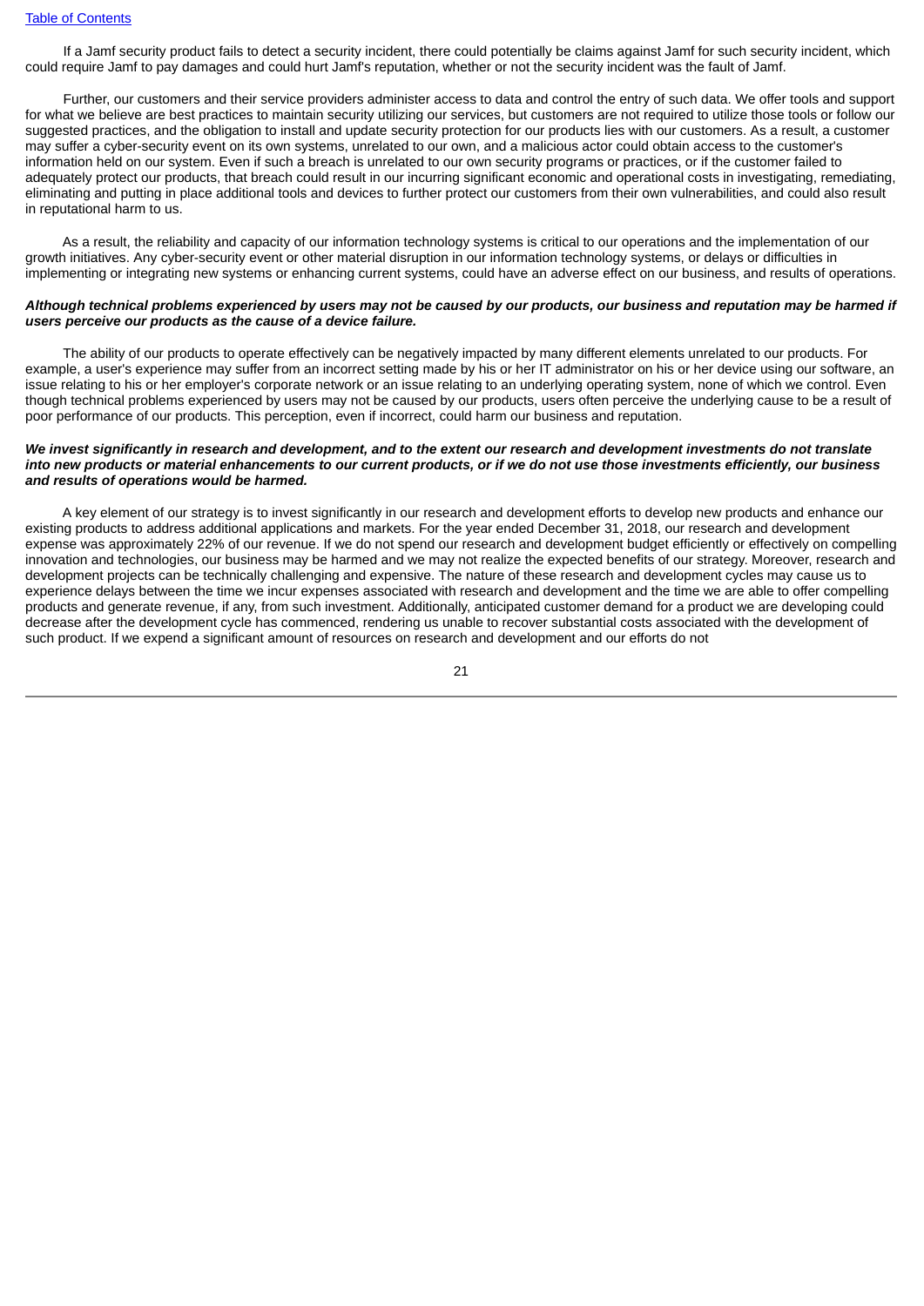If a Jamf security product fails to detect a security incident, there could potentially be claims against Jamf for such security incident, which could require Jamf to pay damages and could hurt Jamf's reputation, whether or not the security incident was the fault of Jamf.

 Further, our customers and their service providers administer access to data and control the entry of such data. We offer tools and support for what we believe are best practices to maintain security utilizing our services, but customers are not required to utilize those tools or follow our suggested practices, and the obligation to install and update security protection for our products lies with our customers. As a result, a customer may suffer a cyber-security event on its own systems, unrelated to our own, and a malicious actor could obtain access to the customer's information held on our system. Even if such a breach is unrelated to our own security programs or practices, or if the customer failed to adequately protect our products, that breach could result in our incurring significant economic and operational costs in investigating, remediating, eliminating and putting in place additional tools and devices to further protect our customers from their own vulnerabilities, and could also result in reputational harm to us.

 As a result, the reliability and capacity of our information technology systems is critical to our operations and the implementation of our growth initiatives. Any cyber-security event or other material disruption in our information technology systems, or delays or difficulties in implementing or integrating new systems or enhancing current systems, could have an adverse effect on our business, and results of operations.

## *Although technical problems experienced by users may not be caused by our products, our business and reputation may be harmed if users perceive our products as the cause of a device failure.*

 The ability of our products to operate effectively can be negatively impacted by many different elements unrelated to our products. For example, a user's experience may suffer from an incorrect setting made by his or her IT administrator on his or her device using our software, an issue relating to his or her employer's corporate network or an issue relating to an underlying operating system, none of which we control. Even though technical problems experienced by users may not be caused by our products, users often perceive the underlying cause to be a result of poor performance of our products. This perception, even if incorrect, could harm our business and reputation.

## *We invest significantly in research and development, and to the extent our research and development investments do not translate into new products or material enhancements to our current products, or if we do not use those investments efficiently, our business and results of operations would be harmed.*

 A key element of our strategy is to invest significantly in our research and development efforts to develop new products and enhance our existing products to address additional applications and markets. For the year ended December 31, 2018, our research and development expense was approximately 22% of our revenue. If we do not spend our research and development budget efficiently or effectively on compelling innovation and technologies, our business may be harmed and we may not realize the expected benefits of our strategy. Moreover, research and development projects can be technically challenging and expensive. The nature of these research and development cycles may cause us to experience delays between the time we incur expenses associated with research and development and the time we are able to offer compelling products and generate revenue, if any, from such investment. Additionally, anticipated customer demand for a product we are developing could decrease after the development cycle has commenced, rendering us unable to recover substantial costs associated with the development of such product. If we expend a significant amount of resources on research and development and our efforts do not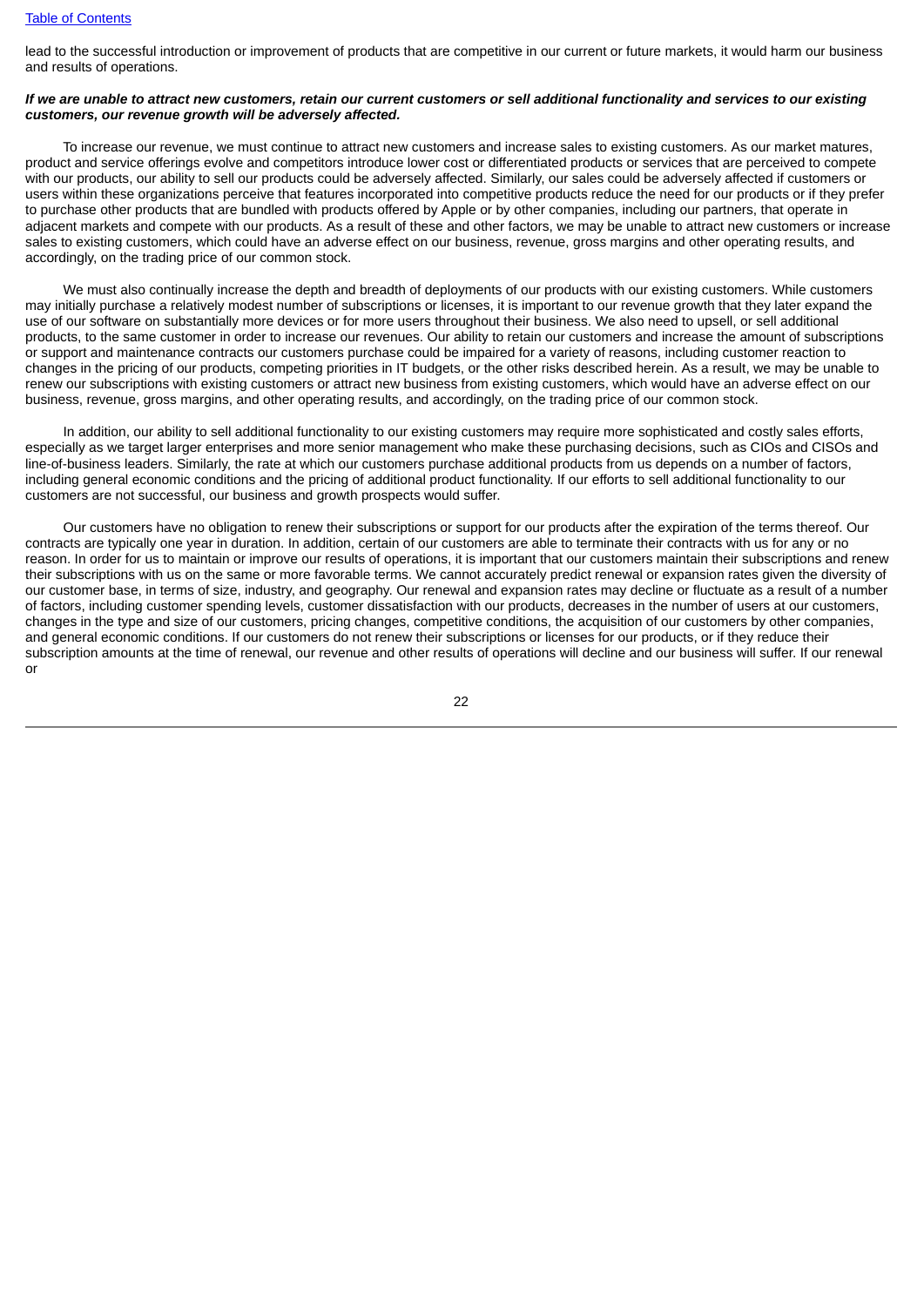lead to the successful introduction or improvement of products that are competitive in our current or future markets, it would harm our business and results of operations.

## *If we are unable to attract new customers, retain our current customers or sell additional functionality and services to our existing customers, our revenue growth will be adversely affected.*

 To increase our revenue, we must continue to attract new customers and increase sales to existing customers. As our market matures, product and service offerings evolve and competitors introduce lower cost or differentiated products or services that are perceived to compete with our products, our ability to sell our products could be adversely affected. Similarly, our sales could be adversely affected if customers or users within these organizations perceive that features incorporated into competitive products reduce the need for our products or if they prefer to purchase other products that are bundled with products offered by Apple or by other companies, including our partners, that operate in adjacent markets and compete with our products. As a result of these and other factors, we may be unable to attract new customers or increase sales to existing customers, which could have an adverse effect on our business, revenue, gross margins and other operating results, and accordingly, on the trading price of our common stock.

We must also continually increase the depth and breadth of deployments of our products with our existing customers. While customers may initially purchase a relatively modest number of subscriptions or licenses, it is important to our revenue growth that they later expand the use of our software on substantially more devices or for more users throughout their business. We also need to upsell, or sell additional products, to the same customer in order to increase our revenues. Our ability to retain our customers and increase the amount of subscriptions or support and maintenance contracts our customers purchase could be impaired for a variety of reasons, including customer reaction to changes in the pricing of our products, competing priorities in IT budgets, or the other risks described herein. As a result, we may be unable to renew our subscriptions with existing customers or attract new business from existing customers, which would have an adverse effect on our business, revenue, gross margins, and other operating results, and accordingly, on the trading price of our common stock.

 In addition, our ability to sell additional functionality to our existing customers may require more sophisticated and costly sales efforts, especially as we target larger enterprises and more senior management who make these purchasing decisions, such as CIOs and CISOs and line-of-business leaders. Similarly, the rate at which our customers purchase additional products from us depends on a number of factors, including general economic conditions and the pricing of additional product functionality. If our efforts to sell additional functionality to our customers are not successful, our business and growth prospects would suffer.

 Our customers have no obligation to renew their subscriptions or support for our products after the expiration of the terms thereof. Our contracts are typically one year in duration. In addition, certain of our customers are able to terminate their contracts with us for any or no reason. In order for us to maintain or improve our results of operations, it is important that our customers maintain their subscriptions and renew their subscriptions with us on the same or more favorable terms. We cannot accurately predict renewal or expansion rates given the diversity of our customer base, in terms of size, industry, and geography. Our renewal and expansion rates may decline or fluctuate as a result of a number of factors, including customer spending levels, customer dissatisfaction with our products, decreases in the number of users at our customers, changes in the type and size of our customers, pricing changes, competitive conditions, the acquisition of our customers by other companies, and general economic conditions. If our customers do not renew their subscriptions or licenses for our products, or if they reduce their subscription amounts at the time of renewal, our revenue and other results of operations will decline and our business will suffer. If our renewal or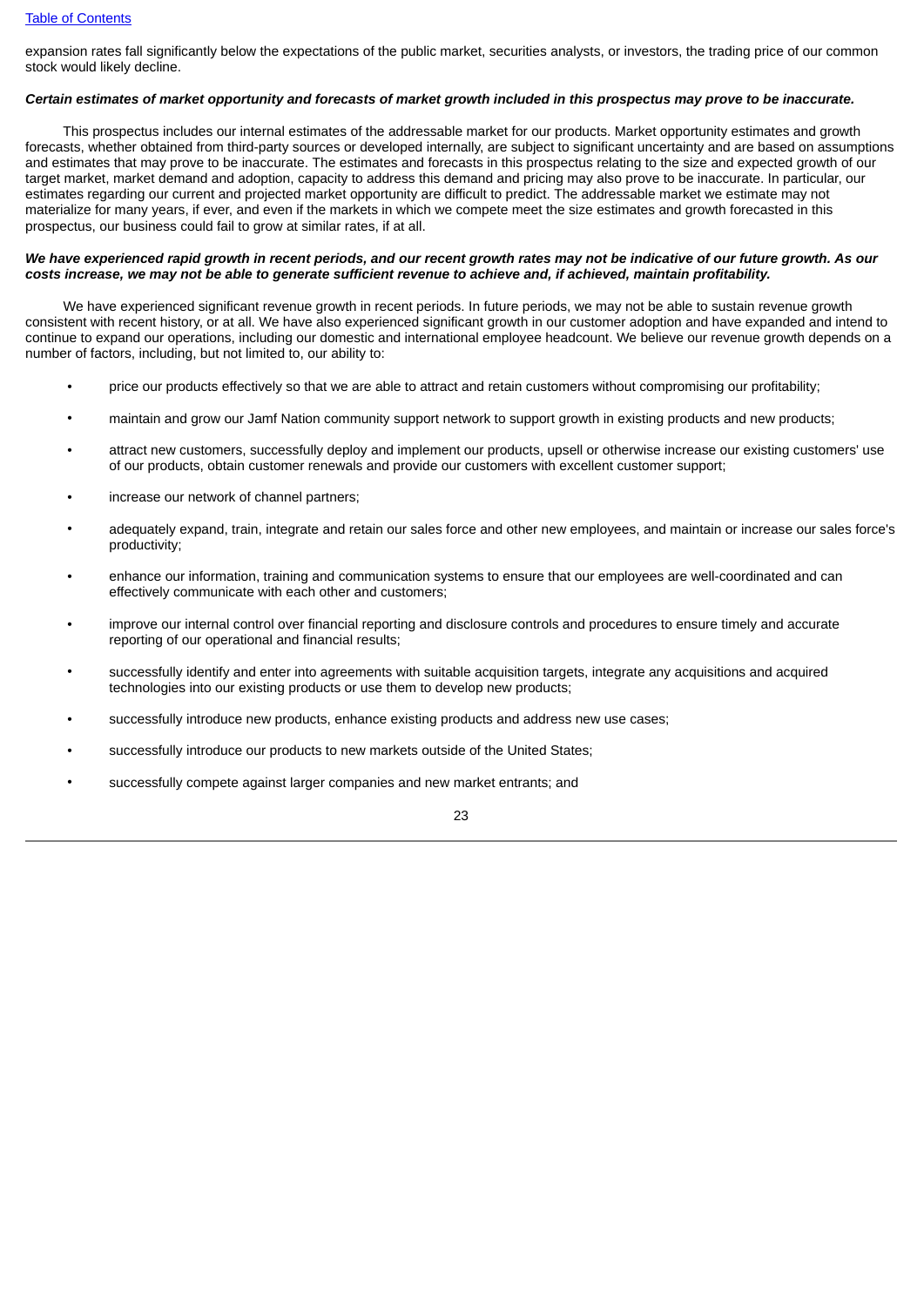expansion rates fall significantly below the expectations of the public market, securities analysts, or investors, the trading price of our common stock would likely decline.

## *Certain estimates of market opportunity and forecasts of market growth included in this prospectus may prove to be inaccurate.*

 This prospectus includes our internal estimates of the addressable market for our products. Market opportunity estimates and growth forecasts, whether obtained from third-party sources or developed internally, are subject to significant uncertainty and are based on assumptions and estimates that may prove to be inaccurate. The estimates and forecasts in this prospectus relating to the size and expected growth of our target market, market demand and adoption, capacity to address this demand and pricing may also prove to be inaccurate. In particular, our estimates regarding our current and projected market opportunity are difficult to predict. The addressable market we estimate may not materialize for many years, if ever, and even if the markets in which we compete meet the size estimates and growth forecasted in this prospectus, our business could fail to grow at similar rates, if at all.

#### *We have experienced rapid growth in recent periods, and our recent growth rates may not be indicative of our future growth. As our costs increase, we may not be able to generate sufficient revenue to achieve and, if achieved, maintain profitability.*

 We have experienced significant revenue growth in recent periods. In future periods, we may not be able to sustain revenue growth consistent with recent history, or at all. We have also experienced significant growth in our customer adoption and have expanded and intend to continue to expand our operations, including our domestic and international employee headcount. We believe our revenue growth depends on a number of factors, including, but not limited to, our ability to:

- price our products effectively so that we are able to attract and retain customers without compromising our profitability;
- maintain and grow our Jamf Nation community support network to support growth in existing products and new products;
- attract new customers, successfully deploy and implement our products, upsell or otherwise increase our existing customers' use of our products, obtain customer renewals and provide our customers with excellent customer support;
- increase our network of channel partners;
- adequately expand, train, integrate and retain our sales force and other new employees, and maintain or increase our sales force's productivity;
- enhance our information, training and communication systems to ensure that our employees are well-coordinated and can effectively communicate with each other and customers;
- improve our internal control over financial reporting and disclosure controls and procedures to ensure timely and accurate reporting of our operational and financial results;
- successfully identify and enter into agreements with suitable acquisition targets, integrate any acquisitions and acquired technologies into our existing products or use them to develop new products;
- successfully introduce new products, enhance existing products and address new use cases;
- successfully introduce our products to new markets outside of the United States:
- successfully compete against larger companies and new market entrants; and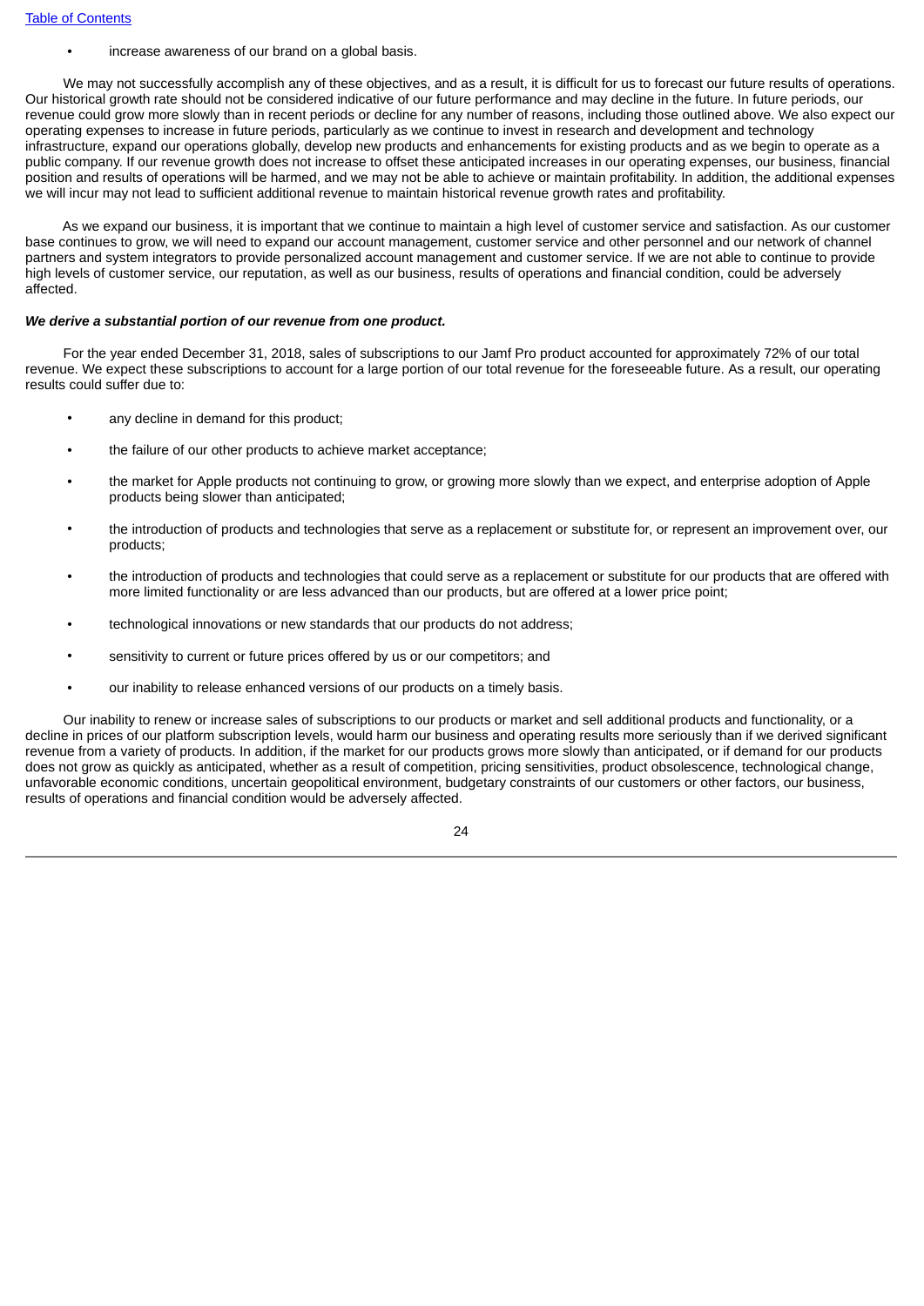increase awareness of our brand on a global basis.

We may not successfully accomplish any of these objectives, and as a result, it is difficult for us to forecast our future results of operations. Our historical growth rate should not be considered indicative of our future performance and may decline in the future. In future periods, our revenue could grow more slowly than in recent periods or decline for any number of reasons, including those outlined above. We also expect our operating expenses to increase in future periods, particularly as we continue to invest in research and development and technology infrastructure, expand our operations globally, develop new products and enhancements for existing products and as we begin to operate as a public company. If our revenue growth does not increase to offset these anticipated increases in our operating expenses, our business, financial position and results of operations will be harmed, and we may not be able to achieve or maintain profitability. In addition, the additional expenses we will incur may not lead to sufficient additional revenue to maintain historical revenue growth rates and profitability.

 As we expand our business, it is important that we continue to maintain a high level of customer service and satisfaction. As our customer base continues to grow, we will need to expand our account management, customer service and other personnel and our network of channel partners and system integrators to provide personalized account management and customer service. If we are not able to continue to provide high levels of customer service, our reputation, as well as our business, results of operations and financial condition, could be adversely affected.

#### *We derive a substantial portion of our revenue from one product.*

 For the year ended December 31, 2018, sales of subscriptions to our Jamf Pro product accounted for approximately 72% of our total revenue. We expect these subscriptions to account for a large portion of our total revenue for the foreseeable future. As a result, our operating results could suffer due to:

- any decline in demand for this product;
- the failure of our other products to achieve market acceptance;
- the market for Apple products not continuing to grow, or growing more slowly than we expect, and enterprise adoption of Apple products being slower than anticipated;
- the introduction of products and technologies that serve as a replacement or substitute for, or represent an improvement over, our products;
- the introduction of products and technologies that could serve as a replacement or substitute for our products that are offered with more limited functionality or are less advanced than our products, but are offered at a lower price point;
- technological innovations or new standards that our products do not address;
- sensitivity to current or future prices offered by us or our competitors; and
- our inability to release enhanced versions of our products on a timely basis.

 Our inability to renew or increase sales of subscriptions to our products or market and sell additional products and functionality, or a decline in prices of our platform subscription levels, would harm our business and operating results more seriously than if we derived significant revenue from a variety of products. In addition, if the market for our products grows more slowly than anticipated, or if demand for our products does not grow as quickly as anticipated, whether as a result of competition, pricing sensitivities, product obsolescence, technological change, unfavorable economic conditions, uncertain geopolitical environment, budgetary constraints of our customers or other factors, our business, results of operations and financial condition would be adversely affected.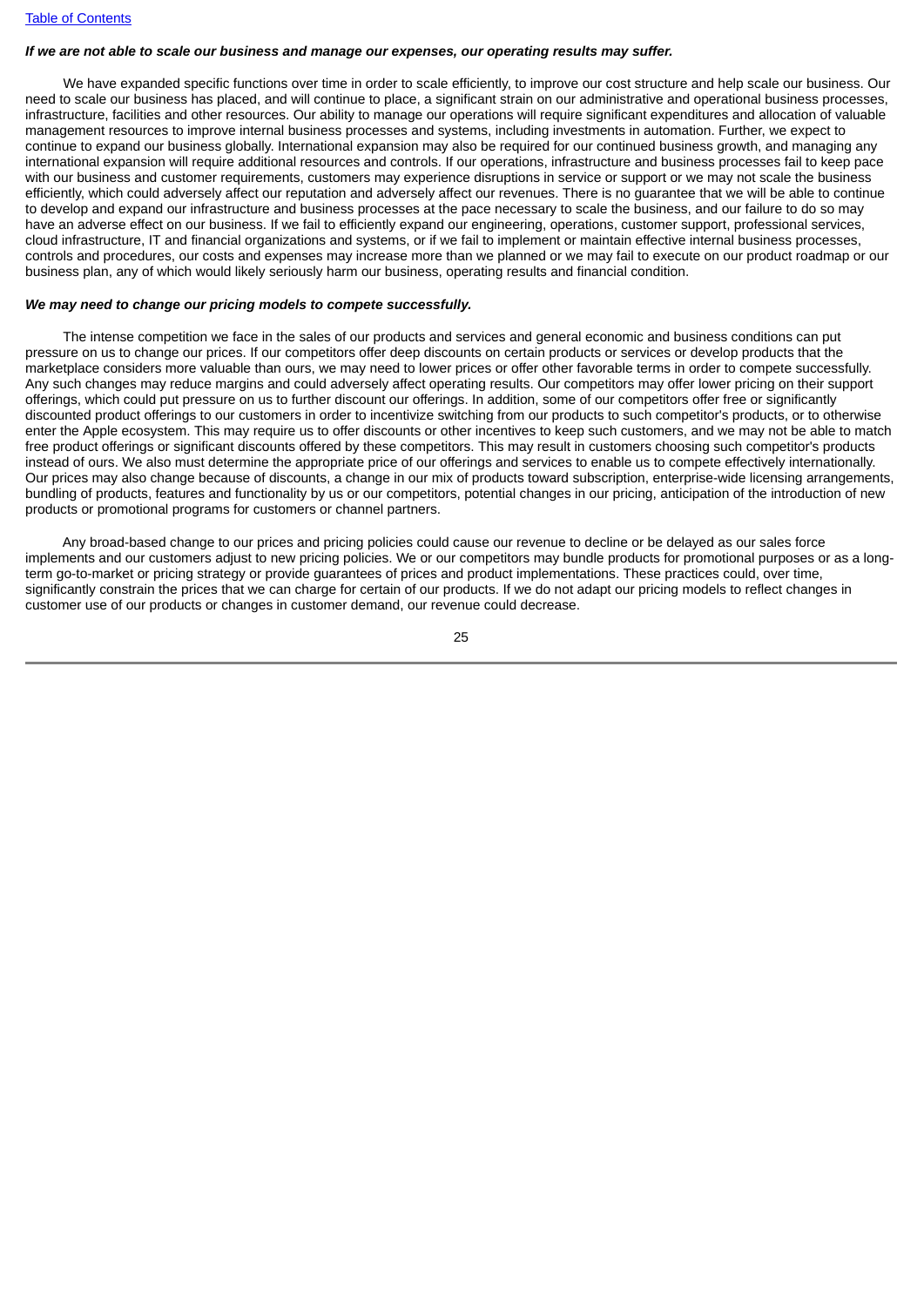## *If we are not able to scale our business and manage our expenses, our operating results may suffer.*

We have expanded specific functions over time in order to scale efficiently, to improve our cost structure and help scale our business. Our need to scale our business has placed, and will continue to place, a significant strain on our administrative and operational business processes, infrastructure, facilities and other resources. Our ability to manage our operations will require significant expenditures and allocation of valuable management resources to improve internal business processes and systems, including investments in automation. Further, we expect to continue to expand our business globally. International expansion may also be required for our continued business growth, and managing any international expansion will require additional resources and controls. If our operations, infrastructure and business processes fail to keep pace with our business and customer requirements, customers may experience disruptions in service or support or we may not scale the business efficiently, which could adversely affect our reputation and adversely affect our revenues. There is no guarantee that we will be able to continue to develop and expand our infrastructure and business processes at the pace necessary to scale the business, and our failure to do so may have an adverse effect on our business. If we fail to efficiently expand our engineering, operations, customer support, professional services, cloud infrastructure, IT and financial organizations and systems, or if we fail to implement or maintain effective internal business processes, controls and procedures, our costs and expenses may increase more than we planned or we may fail to execute on our product roadmap or our business plan, any of which would likely seriously harm our business, operating results and financial condition.

## *We may need to change our pricing models to compete successfully.*

 The intense competition we face in the sales of our products and services and general economic and business conditions can put pressure on us to change our prices. If our competitors offer deep discounts on certain products or services or develop products that the marketplace considers more valuable than ours, we may need to lower prices or offer other favorable terms in order to compete successfully. Any such changes may reduce margins and could adversely affect operating results. Our competitors may offer lower pricing on their support offerings, which could put pressure on us to further discount our offerings. In addition, some of our competitors offer free or significantly discounted product offerings to our customers in order to incentivize switching from our products to such competitor's products, or to otherwise enter the Apple ecosystem. This may require us to offer discounts or other incentives to keep such customers, and we may not be able to match free product offerings or significant discounts offered by these competitors. This may result in customers choosing such competitor's products instead of ours. We also must determine the appropriate price of our offerings and services to enable us to compete effectively internationally. Our prices may also change because of discounts, a change in our mix of products toward subscription, enterprise-wide licensing arrangements, bundling of products, features and functionality by us or our competitors, potential changes in our pricing, anticipation of the introduction of new products or promotional programs for customers or channel partners.

 Any broad-based change to our prices and pricing policies could cause our revenue to decline or be delayed as our sales force implements and our customers adjust to new pricing policies. We or our competitors may bundle products for promotional purposes or as a longterm go-to-market or pricing strategy or provide guarantees of prices and product implementations. These practices could, over time, significantly constrain the prices that we can charge for certain of our products. If we do not adapt our pricing models to reflect changes in customer use of our products or changes in customer demand, our revenue could decrease.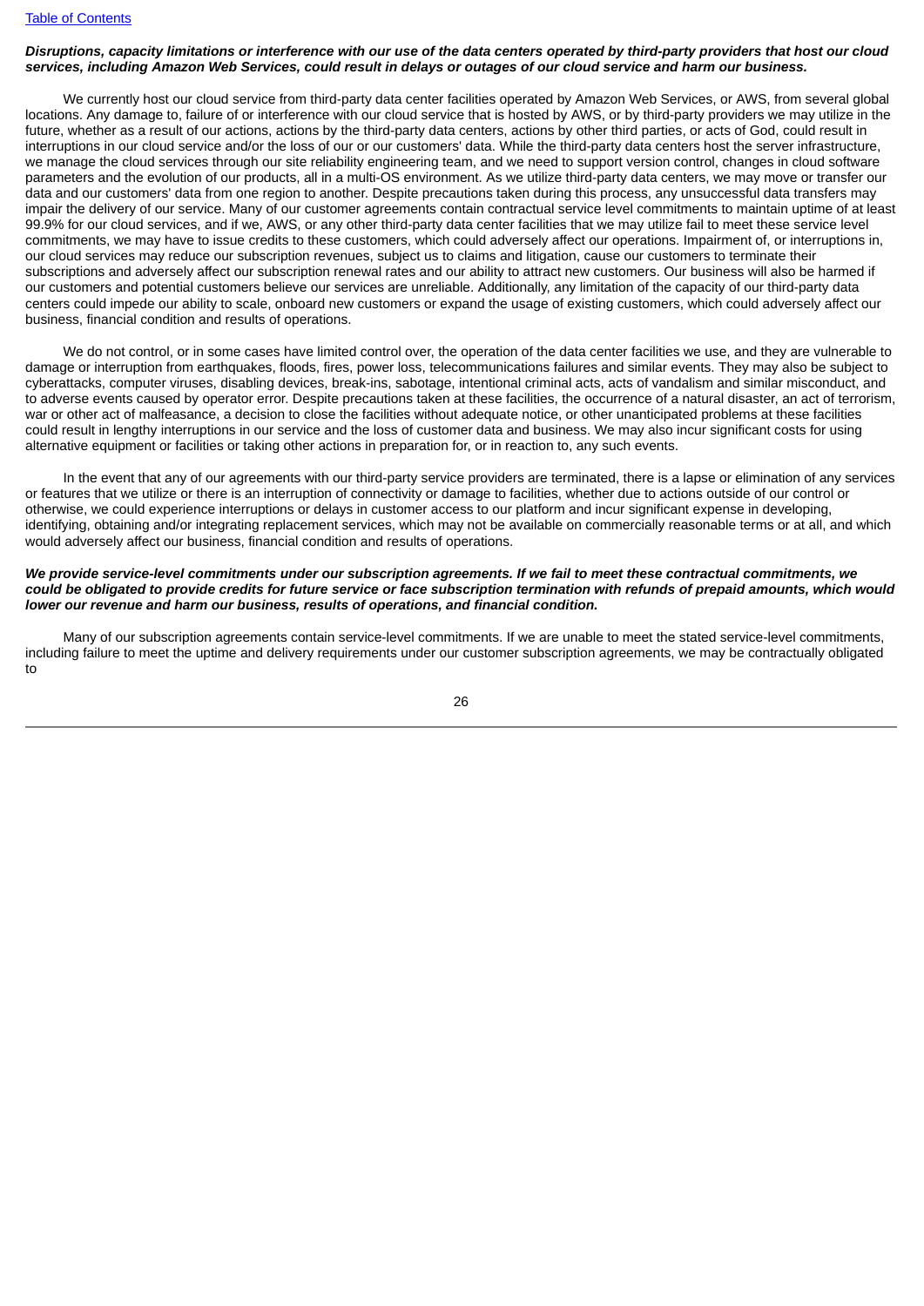### *Disruptions, capacity limitations or interference with our use of the data centers operated by third-party providers that host our cloud services, including Amazon Web Services, could result in delays or outages of our cloud service and harm our business.*

We currently host our cloud service from third-party data center facilities operated by Amazon Web Services, or AWS, from several global locations. Any damage to, failure of or interference with our cloud service that is hosted by AWS, or by third-party providers we may utilize in the future, whether as a result of our actions, actions by the third-party data centers, actions by other third parties, or acts of God, could result in interruptions in our cloud service and/or the loss of our or our customers' data. While the third-party data centers host the server infrastructure, we manage the cloud services through our site reliability engineering team, and we need to support version control, changes in cloud software parameters and the evolution of our products, all in a multi-OS environment. As we utilize third-party data centers, we may move or transfer our data and our customers' data from one region to another. Despite precautions taken during this process, any unsuccessful data transfers may impair the delivery of our service. Many of our customer agreements contain contractual service level commitments to maintain uptime of at least 99.9% for our cloud services, and if we, AWS, or any other third-party data center facilities that we may utilize fail to meet these service level commitments, we may have to issue credits to these customers, which could adversely affect our operations. Impairment of, or interruptions in, our cloud services may reduce our subscription revenues, subject us to claims and litigation, cause our customers to terminate their subscriptions and adversely affect our subscription renewal rates and our ability to attract new customers. Our business will also be harmed if our customers and potential customers believe our services are unreliable. Additionally, any limitation of the capacity of our third-party data centers could impede our ability to scale, onboard new customers or expand the usage of existing customers, which could adversely affect our business, financial condition and results of operations.

We do not control, or in some cases have limited control over, the operation of the data center facilities we use, and they are vulnerable to damage or interruption from earthquakes, floods, fires, power loss, telecommunications failures and similar events. They may also be subject to cyberattacks, computer viruses, disabling devices, break-ins, sabotage, intentional criminal acts, acts of vandalism and similar misconduct, and to adverse events caused by operator error. Despite precautions taken at these facilities, the occurrence of a natural disaster, an act of terrorism, war or other act of malfeasance, a decision to close the facilities without adequate notice, or other unanticipated problems at these facilities could result in lengthy interruptions in our service and the loss of customer data and business. We may also incur significant costs for using alternative equipment or facilities or taking other actions in preparation for, or in reaction to, any such events.

 In the event that any of our agreements with our third-party service providers are terminated, there is a lapse or elimination of any services or features that we utilize or there is an interruption of connectivity or damage to facilities, whether due to actions outside of our control or otherwise, we could experience interruptions or delays in customer access to our platform and incur significant expense in developing, identifying, obtaining and/or integrating replacement services, which may not be available on commercially reasonable terms or at all, and which would adversely affect our business, financial condition and results of operations.

## *We provide service-level commitments under our subscription agreements. If we fail to meet these contractual commitments, we could be obligated to provide credits for future service or face subscription termination with refunds of prepaid amounts, which would lower our revenue and harm our business, results of operations, and financial condition.*

 Many of our subscription agreements contain service-level commitments. If we are unable to meet the stated service-level commitments, including failure to meet the uptime and delivery requirements under our customer subscription agreements, we may be contractually obligated to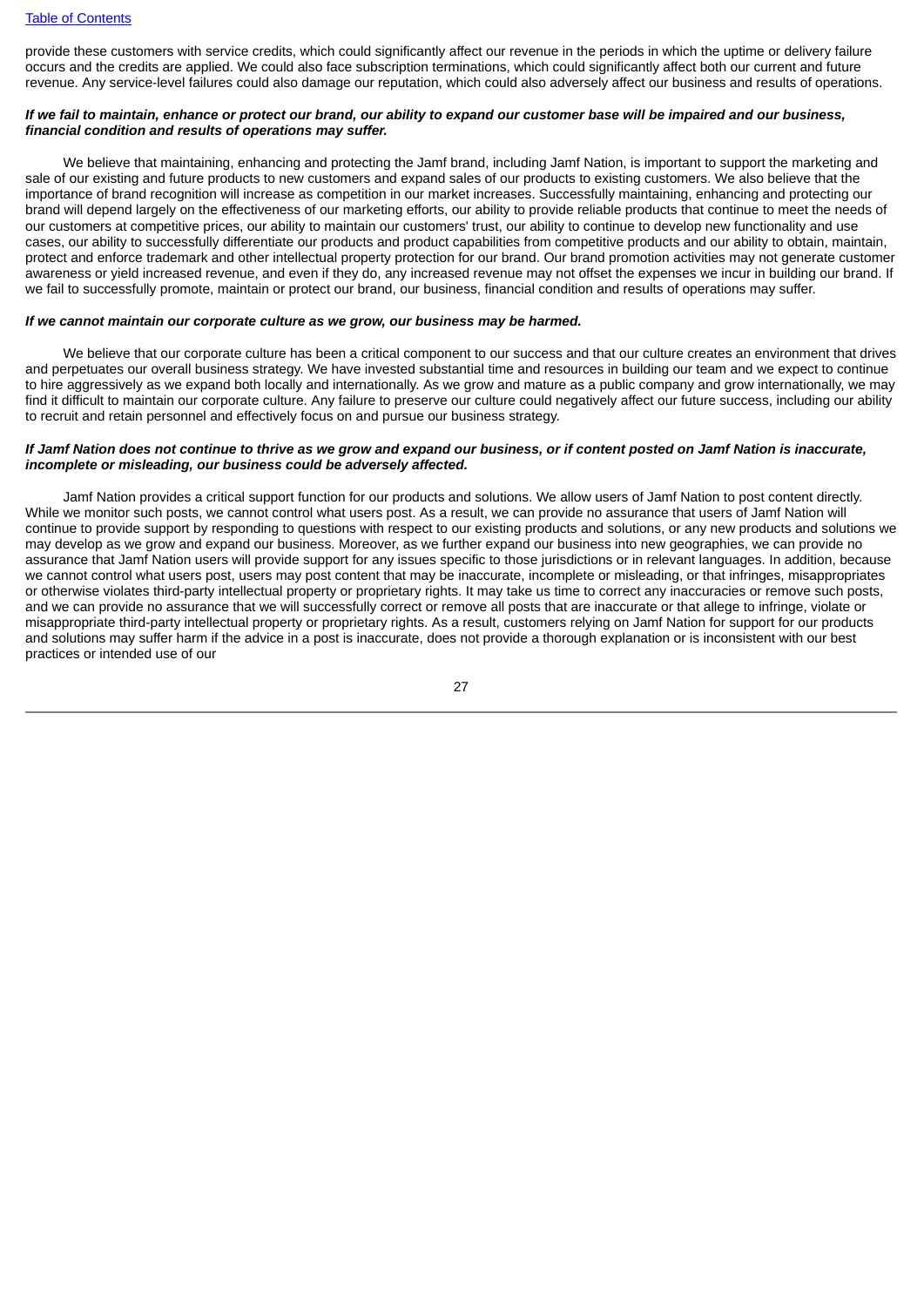provide these customers with service credits, which could significantly affect our revenue in the periods in which the uptime or delivery failure occurs and the credits are applied. We could also face subscription terminations, which could significantly affect both our current and future revenue. Any service-level failures could also damage our reputation, which could also adversely affect our business and results of operations.

#### *If we fail to maintain, enhance or protect our brand, our ability to expand our customer base will be impaired and our business, financial condition and results of operations may suffer.*

We believe that maintaining, enhancing and protecting the Jamf brand, including Jamf Nation, is important to support the marketing and sale of our existing and future products to new customers and expand sales of our products to existing customers. We also believe that the importance of brand recognition will increase as competition in our market increases. Successfully maintaining, enhancing and protecting our brand will depend largely on the effectiveness of our marketing efforts, our ability to provide reliable products that continue to meet the needs of our customers at competitive prices, our ability to maintain our customers' trust, our ability to continue to develop new functionality and use cases, our ability to successfully differentiate our products and product capabilities from competitive products and our ability to obtain, maintain, protect and enforce trademark and other intellectual property protection for our brand. Our brand promotion activities may not generate customer awareness or yield increased revenue, and even if they do, any increased revenue may not offset the expenses we incur in building our brand. If we fail to successfully promote, maintain or protect our brand, our business, financial condition and results of operations may suffer.

#### *If we cannot maintain our corporate culture as we grow, our business may be harmed.*

We believe that our corporate culture has been a critical component to our success and that our culture creates an environment that drives and perpetuates our overall business strategy. We have invested substantial time and resources in building our team and we expect to continue to hire aggressively as we expand both locally and internationally. As we grow and mature as a public company and grow internationally, we may find it difficult to maintain our corporate culture. Any failure to preserve our culture could negatively affect our future success, including our ability to recruit and retain personnel and effectively focus on and pursue our business strategy.

## *If Jamf Nation does not continue to thrive as we grow and expand our business, or if content posted on Jamf Nation is inaccurate, incomplete or misleading, our business could be adversely affected.*

 Jamf Nation provides a critical support function for our products and solutions. We allow users of Jamf Nation to post content directly. While we monitor such posts, we cannot control what users post. As a result, we can provide no assurance that users of Jamf Nation will continue to provide support by responding to questions with respect to our existing products and solutions, or any new products and solutions we may develop as we grow and expand our business. Moreover, as we further expand our business into new geographies, we can provide no assurance that Jamf Nation users will provide support for any issues specific to those jurisdictions or in relevant languages. In addition, because we cannot control what users post, users may post content that may be inaccurate, incomplete or misleading, or that infringes, misappropriates or otherwise violates third-party intellectual property or proprietary rights. It may take us time to correct any inaccuracies or remove such posts, and we can provide no assurance that we will successfully correct or remove all posts that are inaccurate or that allege to infringe, violate or misappropriate third-party intellectual property or proprietary rights. As a result, customers relying on Jamf Nation for support for our products and solutions may suffer harm if the advice in a post is inaccurate, does not provide a thorough explanation or is inconsistent with our best practices or intended use of our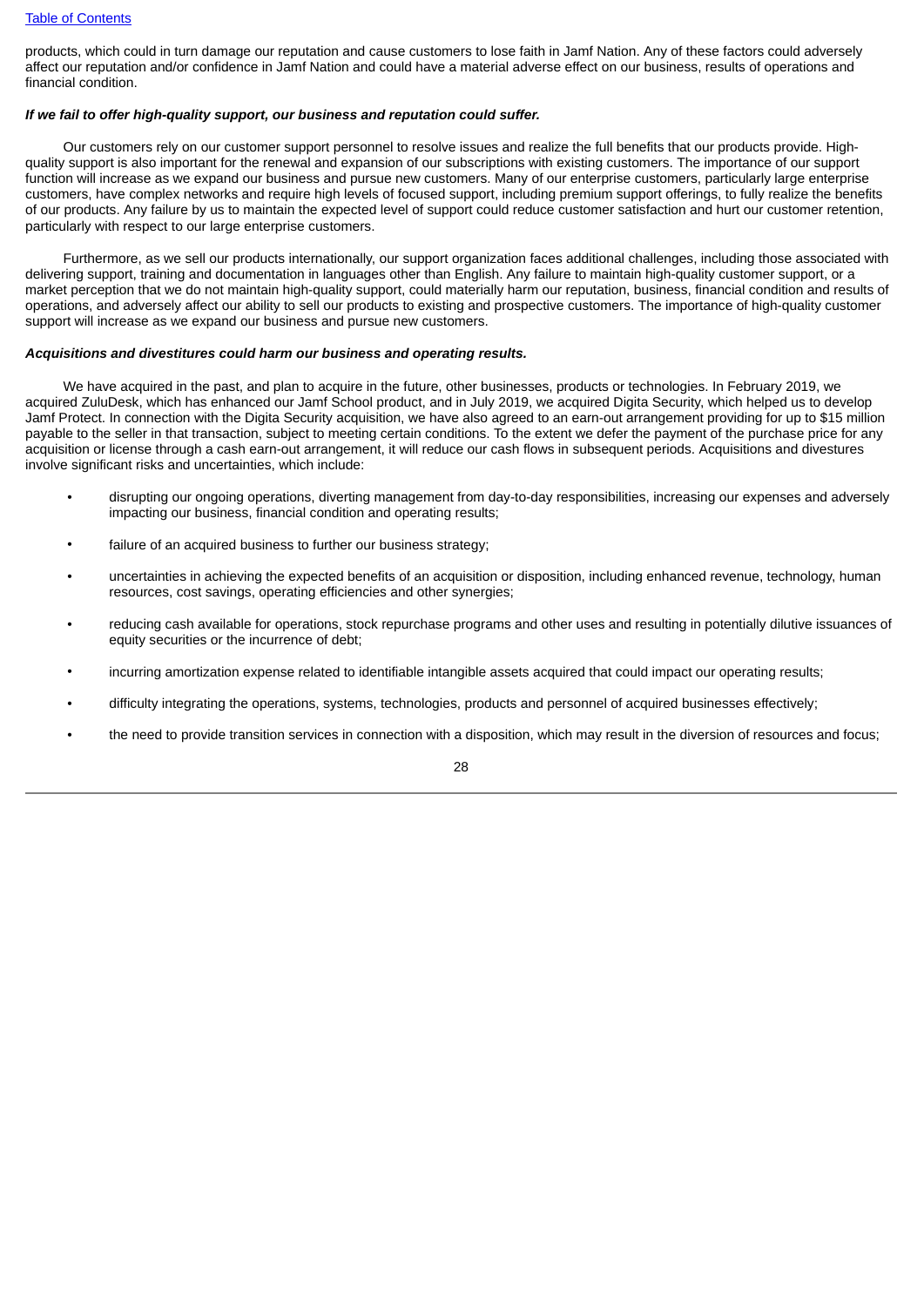products, which could in turn damage our reputation and cause customers to lose faith in Jamf Nation. Any of these factors could adversely affect our reputation and/or confidence in Jamf Nation and could have a material adverse effect on our business, results of operations and financial condition.

## *If we fail to offer high-quality support, our business and reputation could suffer.*

 Our customers rely on our customer support personnel to resolve issues and realize the full benefits that our products provide. Highquality support is also important for the renewal and expansion of our subscriptions with existing customers. The importance of our support function will increase as we expand our business and pursue new customers. Many of our enterprise customers, particularly large enterprise customers, have complex networks and require high levels of focused support, including premium support offerings, to fully realize the benefits of our products. Any failure by us to maintain the expected level of support could reduce customer satisfaction and hurt our customer retention, particularly with respect to our large enterprise customers.

 Furthermore, as we sell our products internationally, our support organization faces additional challenges, including those associated with delivering support, training and documentation in languages other than English. Any failure to maintain high-quality customer support, or a market perception that we do not maintain high-quality support, could materially harm our reputation, business, financial condition and results of operations, and adversely affect our ability to sell our products to existing and prospective customers. The importance of high-quality customer support will increase as we expand our business and pursue new customers.

## *Acquisitions and divestitures could harm our business and operating results.*

 We have acquired in the past, and plan to acquire in the future, other businesses, products or technologies. In February 2019, we acquired ZuluDesk, which has enhanced our Jamf School product, and in July 2019, we acquired Digita Security, which helped us to develop Jamf Protect. In connection with the Digita Security acquisition, we have also agreed to an earn-out arrangement providing for up to \$15 million payable to the seller in that transaction, subject to meeting certain conditions. To the extent we defer the payment of the purchase price for any acquisition or license through a cash earn-out arrangement, it will reduce our cash flows in subsequent periods. Acquisitions and divestures involve significant risks and uncertainties, which include:

- disrupting our ongoing operations, diverting management from day-to-day responsibilities, increasing our expenses and adversely impacting our business, financial condition and operating results;
- failure of an acquired business to further our business strategy;
- uncertainties in achieving the expected benefits of an acquisition or disposition, including enhanced revenue, technology, human resources, cost savings, operating efficiencies and other synergies;
- reducing cash available for operations, stock repurchase programs and other uses and resulting in potentially dilutive issuances of equity securities or the incurrence of debt;
- incurring amortization expense related to identifiable intangible assets acquired that could impact our operating results;
- difficulty integrating the operations, systems, technologies, products and personnel of acquired businesses effectively;
- the need to provide transition services in connection with a disposition, which may result in the diversion of resources and focus;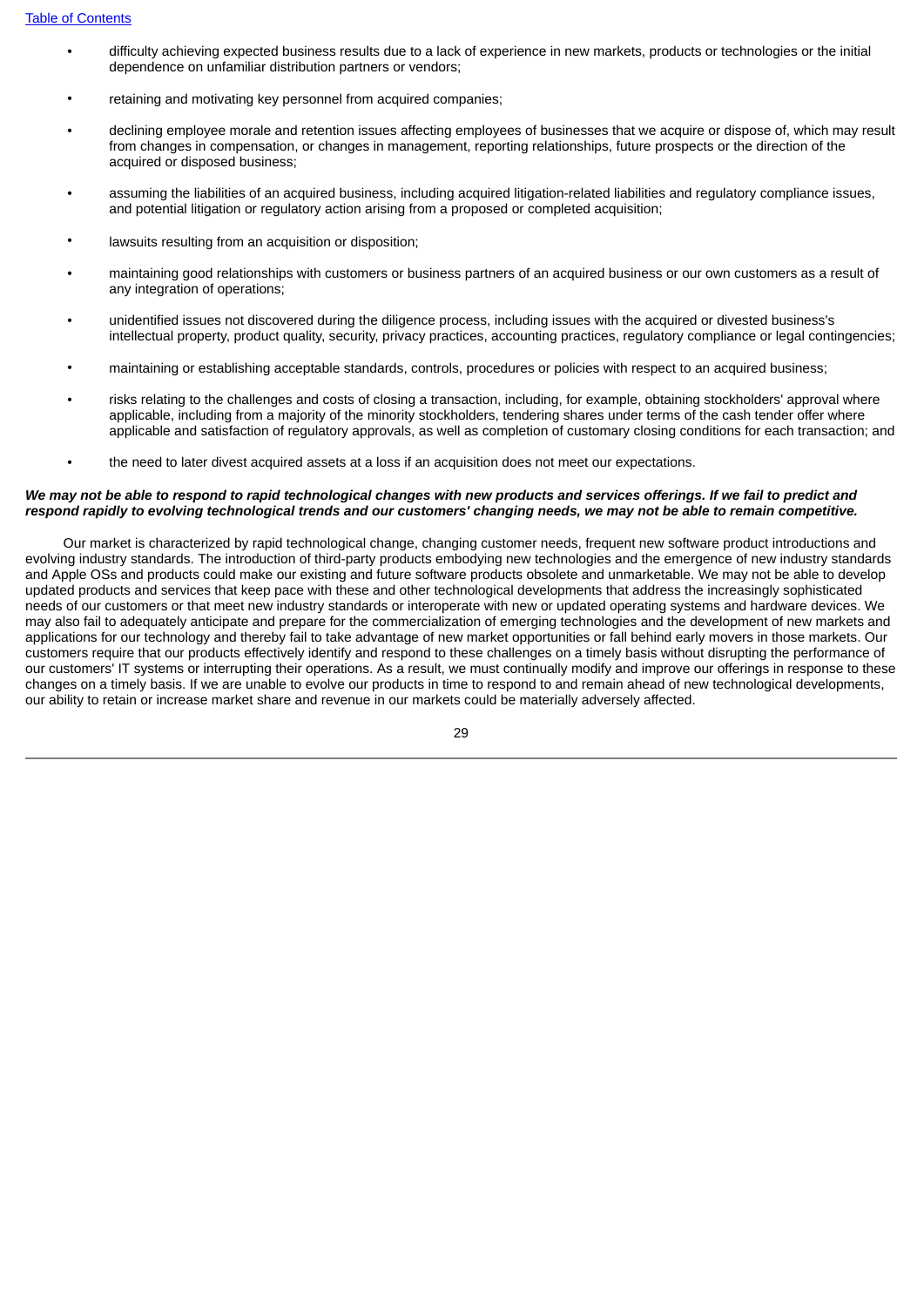- difficulty achieving expected business results due to a lack of experience in new markets, products or technologies or the initial dependence on unfamiliar distribution partners or vendors;
- retaining and motivating key personnel from acquired companies;
- declining employee morale and retention issues affecting employees of businesses that we acquire or dispose of, which may result from changes in compensation, or changes in management, reporting relationships, future prospects or the direction of the acquired or disposed business;
- assuming the liabilities of an acquired business, including acquired litigation-related liabilities and regulatory compliance issues, and potential litigation or regulatory action arising from a proposed or completed acquisition;
- lawsuits resulting from an acquisition or disposition;
- maintaining good relationships with customers or business partners of an acquired business or our own customers as a result of any integration of operations;
- unidentified issues not discovered during the diligence process, including issues with the acquired or divested business's intellectual property, product quality, security, privacy practices, accounting practices, regulatory compliance or legal contingencies;
- maintaining or establishing acceptable standards, controls, procedures or policies with respect to an acquired business;
- risks relating to the challenges and costs of closing a transaction, including, for example, obtaining stockholders' approval where applicable, including from a majority of the minority stockholders, tendering shares under terms of the cash tender offer where applicable and satisfaction of regulatory approvals, as well as completion of customary closing conditions for each transaction; and
- the need to later divest acquired assets at a loss if an acquisition does not meet our expectations.

## *We may not be able to respond to rapid technological changes with new products and services offerings. If we fail to predict and respond rapidly to evolving technological trends and our customers' changing needs, we may not be able to remain competitive.*

 Our market is characterized by rapid technological change, changing customer needs, frequent new software product introductions and evolving industry standards. The introduction of third-party products embodying new technologies and the emergence of new industry standards and Apple OSs and products could make our existing and future software products obsolete and unmarketable. We may not be able to develop updated products and services that keep pace with these and other technological developments that address the increasingly sophisticated needs of our customers or that meet new industry standards or interoperate with new or updated operating systems and hardware devices. We may also fail to adequately anticipate and prepare for the commercialization of emerging technologies and the development of new markets and applications for our technology and thereby fail to take advantage of new market opportunities or fall behind early movers in those markets. Our customers require that our products effectively identify and respond to these challenges on a timely basis without disrupting the performance of our customers' IT systems or interrupting their operations. As a result, we must continually modify and improve our offerings in response to these changes on a timely basis. If we are unable to evolve our products in time to respond to and remain ahead of new technological developments, our ability to retain or increase market share and revenue in our markets could be materially adversely affected.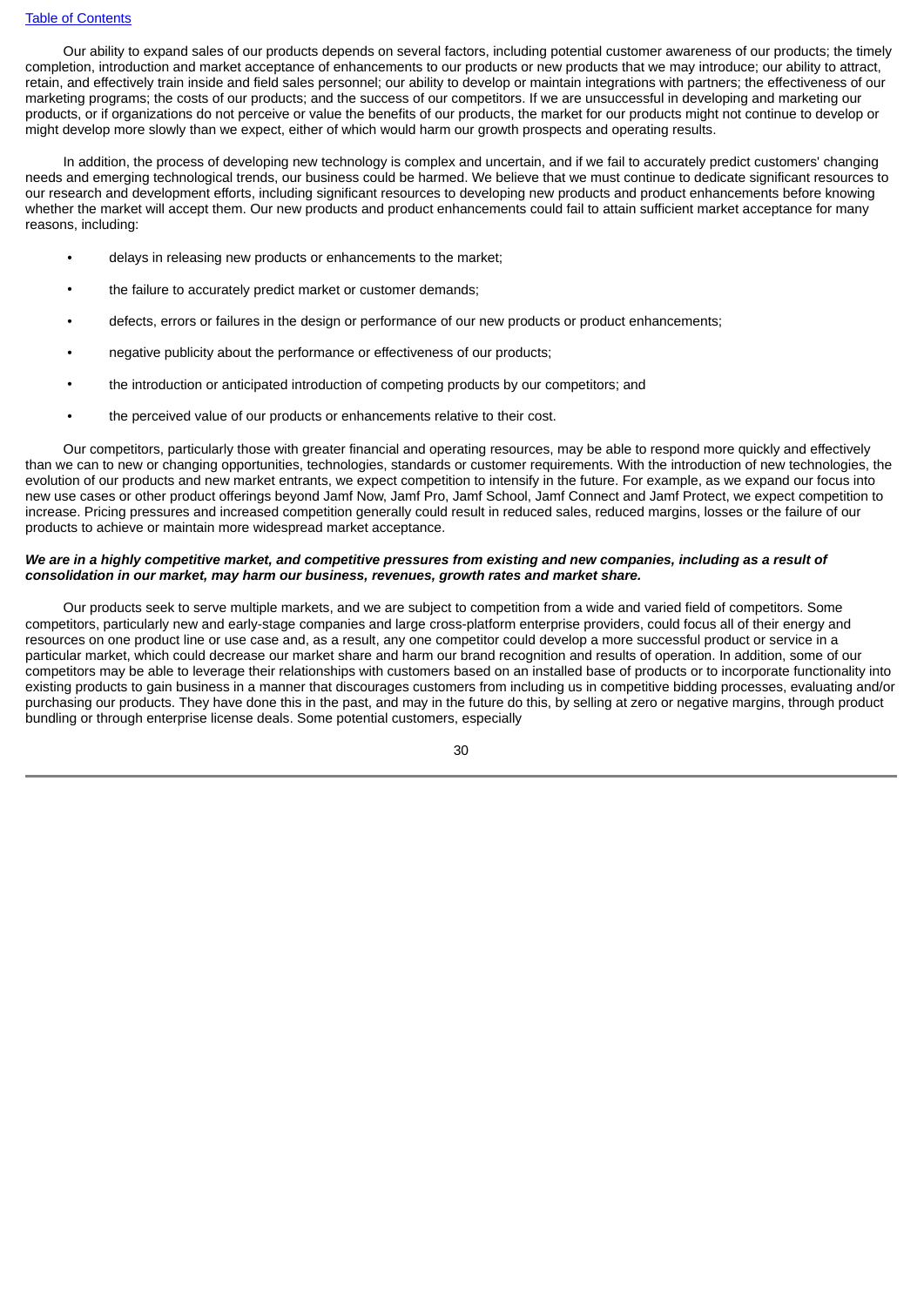Our ability to expand sales of our products depends on several factors, including potential customer awareness of our products; the timely completion, introduction and market acceptance of enhancements to our products or new products that we may introduce; our ability to attract, retain, and effectively train inside and field sales personnel; our ability to develop or maintain integrations with partners; the effectiveness of our marketing programs; the costs of our products; and the success of our competitors. If we are unsuccessful in developing and marketing our products, or if organizations do not perceive or value the benefits of our products, the market for our products might not continue to develop or might develop more slowly than we expect, either of which would harm our growth prospects and operating results.

 In addition, the process of developing new technology is complex and uncertain, and if we fail to accurately predict customers' changing needs and emerging technological trends, our business could be harmed. We believe that we must continue to dedicate significant resources to our research and development efforts, including significant resources to developing new products and product enhancements before knowing whether the market will accept them. Our new products and product enhancements could fail to attain sufficient market acceptance for many reasons, including:

- delays in releasing new products or enhancements to the market;
- the failure to accurately predict market or customer demands;
- defects, errors or failures in the design or performance of our new products or product enhancements;
- negative publicity about the performance or effectiveness of our products;
- the introduction or anticipated introduction of competing products by our competitors; and
- the perceived value of our products or enhancements relative to their cost.

 Our competitors, particularly those with greater financial and operating resources, may be able to respond more quickly and effectively than we can to new or changing opportunities, technologies, standards or customer requirements. With the introduction of new technologies, the evolution of our products and new market entrants, we expect competition to intensify in the future. For example, as we expand our focus into new use cases or other product offerings beyond Jamf Now, Jamf Pro, Jamf School, Jamf Connect and Jamf Protect, we expect competition to increase. Pricing pressures and increased competition generally could result in reduced sales, reduced margins, losses or the failure of our products to achieve or maintain more widespread market acceptance.

#### *We are in a highly competitive market, and competitive pressures from existing and new companies, including as a result of consolidation in our market, may harm our business, revenues, growth rates and market share.*

 Our products seek to serve multiple markets, and we are subject to competition from a wide and varied field of competitors. Some competitors, particularly new and early-stage companies and large cross-platform enterprise providers, could focus all of their energy and resources on one product line or use case and, as a result, any one competitor could develop a more successful product or service in a particular market, which could decrease our market share and harm our brand recognition and results of operation. In addition, some of our competitors may be able to leverage their relationships with customers based on an installed base of products or to incorporate functionality into existing products to gain business in a manner that discourages customers from including us in competitive bidding processes, evaluating and/or purchasing our products. They have done this in the past, and may in the future do this, by selling at zero or negative margins, through product bundling or through enterprise license deals. Some potential customers, especially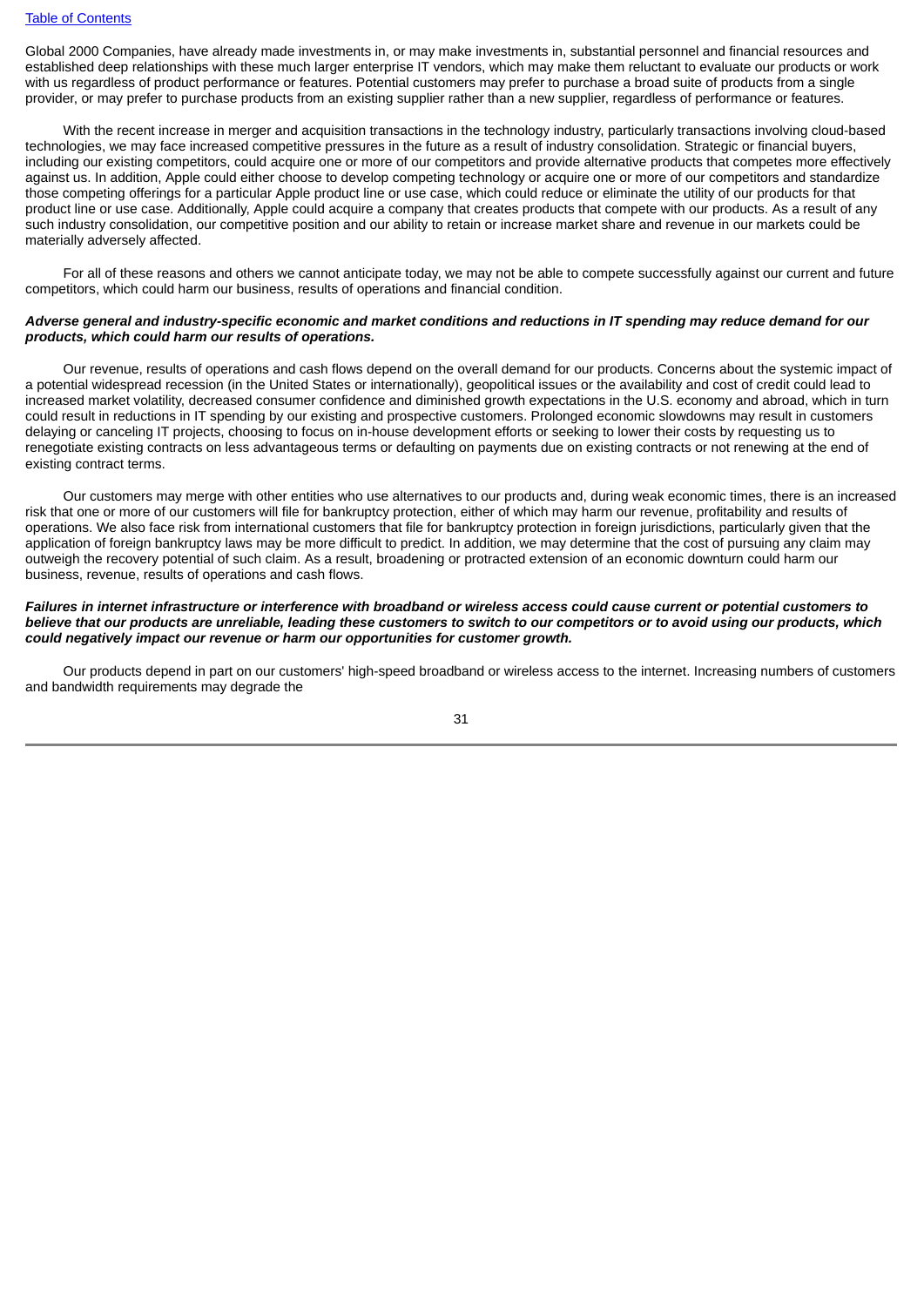Global 2000 Companies, have already made investments in, or may make investments in, substantial personnel and financial resources and established deep relationships with these much larger enterprise IT vendors, which may make them reluctant to evaluate our products or work with us regardless of product performance or features. Potential customers may prefer to purchase a broad suite of products from a single provider, or may prefer to purchase products from an existing supplier rather than a new supplier, regardless of performance or features.

With the recent increase in merger and acquisition transactions in the technology industry, particularly transactions involving cloud-based technologies, we may face increased competitive pressures in the future as a result of industry consolidation. Strategic or financial buyers, including our existing competitors, could acquire one or more of our competitors and provide alternative products that competes more effectively against us. In addition, Apple could either choose to develop competing technology or acquire one or more of our competitors and standardize those competing offerings for a particular Apple product line or use case, which could reduce or eliminate the utility of our products for that product line or use case. Additionally, Apple could acquire a company that creates products that compete with our products. As a result of any such industry consolidation, our competitive position and our ability to retain or increase market share and revenue in our markets could be materially adversely affected.

 For all of these reasons and others we cannot anticipate today, we may not be able to compete successfully against our current and future competitors, which could harm our business, results of operations and financial condition.

## *Adverse general and industry-specific economic and market conditions and reductions in IT spending may reduce demand for our products, which could harm our results of operations.*

 Our revenue, results of operations and cash flows depend on the overall demand for our products. Concerns about the systemic impact of a potential widespread recession (in the United States or internationally), geopolitical issues or the availability and cost of credit could lead to increased market volatility, decreased consumer confidence and diminished growth expectations in the U.S. economy and abroad, which in turn could result in reductions in IT spending by our existing and prospective customers. Prolonged economic slowdowns may result in customers delaying or canceling IT projects, choosing to focus on in-house development efforts or seeking to lower their costs by requesting us to renegotiate existing contracts on less advantageous terms or defaulting on payments due on existing contracts or not renewing at the end of existing contract terms.

 Our customers may merge with other entities who use alternatives to our products and, during weak economic times, there is an increased risk that one or more of our customers will file for bankruptcy protection, either of which may harm our revenue, profitability and results of operations. We also face risk from international customers that file for bankruptcy protection in foreign jurisdictions, particularly given that the application of foreign bankruptcy laws may be more difficult to predict. In addition, we may determine that the cost of pursuing any claim may outweigh the recovery potential of such claim. As a result, broadening or protracted extension of an economic downturn could harm our business, revenue, results of operations and cash flows.

## *Failures in internet infrastructure or interference with broadband or wireless access could cause current or potential customers to believe that our products are unreliable, leading these customers to switch to our competitors or to avoid using our products, which could negatively impact our revenue or harm our opportunities for customer growth.*

 Our products depend in part on our customers' high-speed broadband or wireless access to the internet. Increasing numbers of customers and bandwidth requirements may degrade the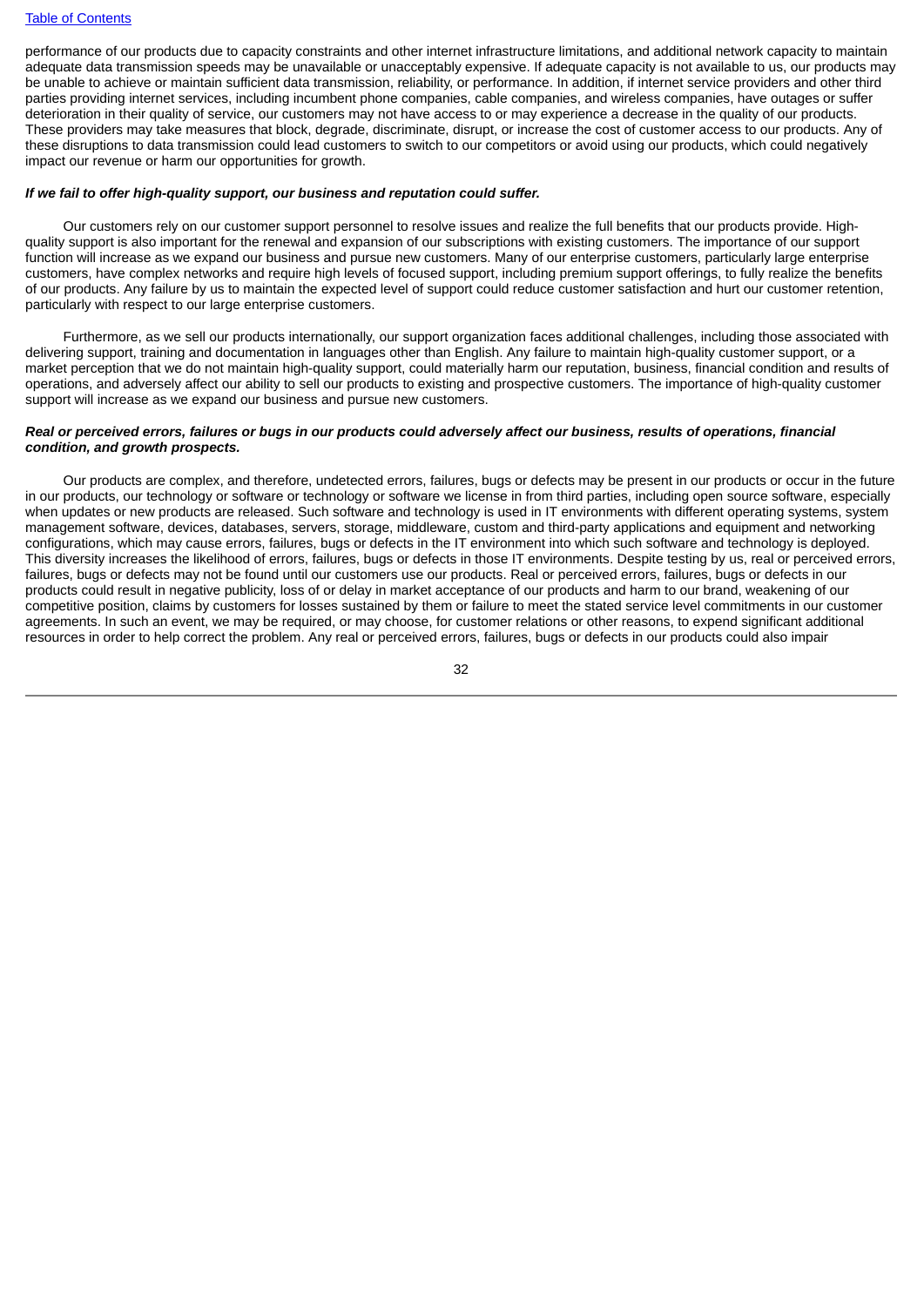#### [Table of Contents](#page-3-0)

performance of our products due to capacity constraints and other internet infrastructure limitations, and additional network capacity to maintain adequate data transmission speeds may be unavailable or unacceptably expensive. If adequate capacity is not available to us, our products may be unable to achieve or maintain sufficient data transmission, reliability, or performance. In addition, if internet service providers and other third parties providing internet services, including incumbent phone companies, cable companies, and wireless companies, have outages or suffer deterioration in their quality of service, our customers may not have access to or may experience a decrease in the quality of our products. These providers may take measures that block, degrade, discriminate, disrupt, or increase the cost of customer access to our products. Any of these disruptions to data transmission could lead customers to switch to our competitors or avoid using our products, which could negatively impact our revenue or harm our opportunities for growth.

## *If we fail to offer high-quality support, our business and reputation could suffer.*

 Our customers rely on our customer support personnel to resolve issues and realize the full benefits that our products provide. Highquality support is also important for the renewal and expansion of our subscriptions with existing customers. The importance of our support function will increase as we expand our business and pursue new customers. Many of our enterprise customers, particularly large enterprise customers, have complex networks and require high levels of focused support, including premium support offerings, to fully realize the benefits of our products. Any failure by us to maintain the expected level of support could reduce customer satisfaction and hurt our customer retention, particularly with respect to our large enterprise customers.

 Furthermore, as we sell our products internationally, our support organization faces additional challenges, including those associated with delivering support, training and documentation in languages other than English. Any failure to maintain high-quality customer support, or a market perception that we do not maintain high-quality support, could materially harm our reputation, business, financial condition and results of operations, and adversely affect our ability to sell our products to existing and prospective customers. The importance of high-quality customer support will increase as we expand our business and pursue new customers.

## *Real or perceived errors, failures or bugs in our products could adversely affect our business, results of operations, financial condition, and growth prospects.*

 Our products are complex, and therefore, undetected errors, failures, bugs or defects may be present in our products or occur in the future in our products, our technology or software or technology or software we license in from third parties, including open source software, especially when updates or new products are released. Such software and technology is used in IT environments with different operating systems, system management software, devices, databases, servers, storage, middleware, custom and third-party applications and equipment and networking configurations, which may cause errors, failures, bugs or defects in the IT environment into which such software and technology is deployed. This diversity increases the likelihood of errors, failures, bugs or defects in those IT environments. Despite testing by us, real or perceived errors, failures, bugs or defects may not be found until our customers use our products. Real or perceived errors, failures, bugs or defects in our products could result in negative publicity, loss of or delay in market acceptance of our products and harm to our brand, weakening of our competitive position, claims by customers for losses sustained by them or failure to meet the stated service level commitments in our customer agreements. In such an event, we may be required, or may choose, for customer relations or other reasons, to expend significant additional resources in order to help correct the problem. Any real or perceived errors, failures, bugs or defects in our products could also impair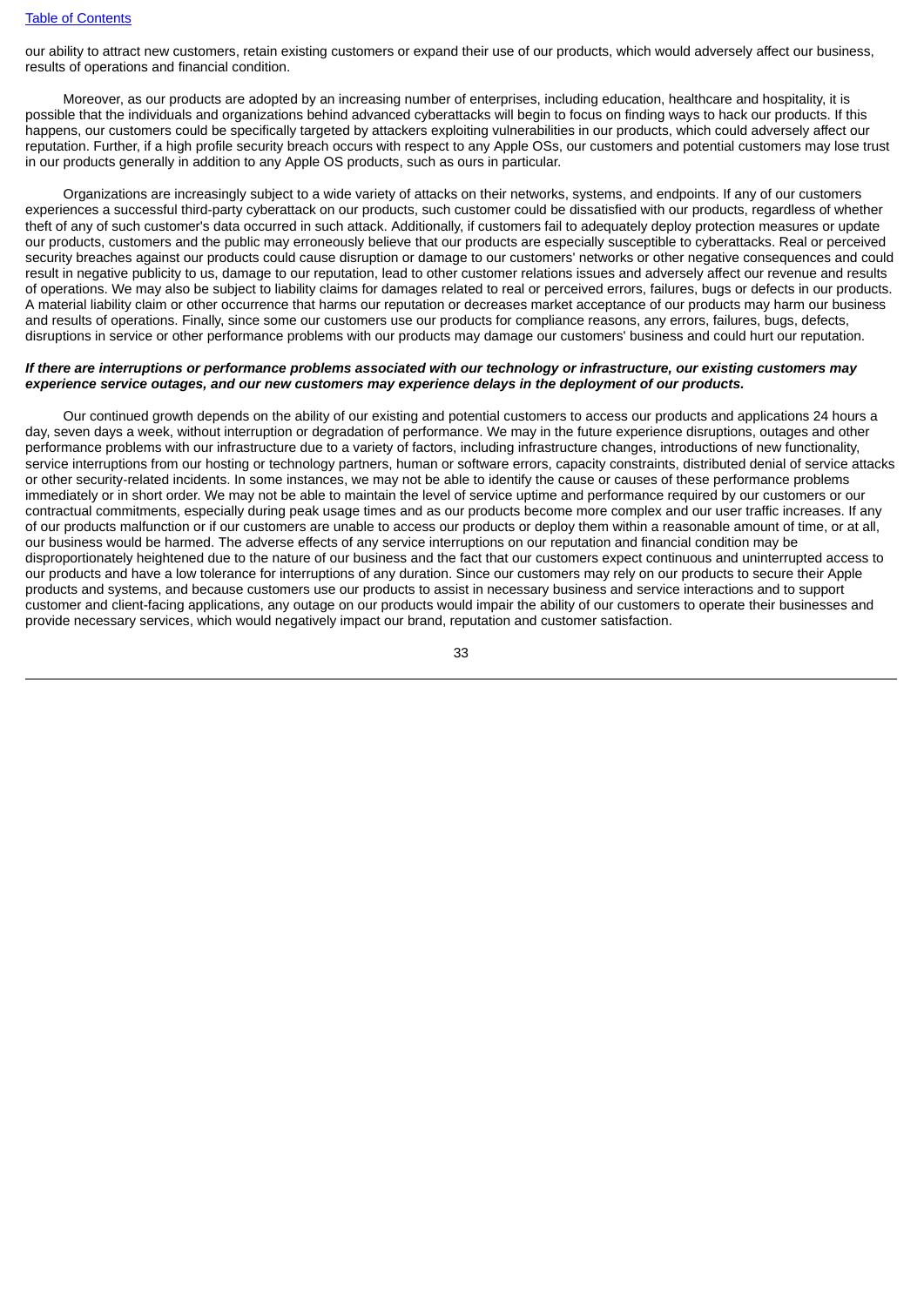our ability to attract new customers, retain existing customers or expand their use of our products, which would adversely affect our business, results of operations and financial condition.

 Moreover, as our products are adopted by an increasing number of enterprises, including education, healthcare and hospitality, it is possible that the individuals and organizations behind advanced cyberattacks will begin to focus on finding ways to hack our products. If this happens, our customers could be specifically targeted by attackers exploiting vulnerabilities in our products, which could adversely affect our reputation. Further, if a high profile security breach occurs with respect to any Apple OSs, our customers and potential customers may lose trust in our products generally in addition to any Apple OS products, such as ours in particular.

 Organizations are increasingly subject to a wide variety of attacks on their networks, systems, and endpoints. If any of our customers experiences a successful third-party cyberattack on our products, such customer could be dissatisfied with our products, regardless of whether theft of any of such customer's data occurred in such attack. Additionally, if customers fail to adequately deploy protection measures or update our products, customers and the public may erroneously believe that our products are especially susceptible to cyberattacks. Real or perceived security breaches against our products could cause disruption or damage to our customers' networks or other negative consequences and could result in negative publicity to us, damage to our reputation, lead to other customer relations issues and adversely affect our revenue and results of operations. We may also be subject to liability claims for damages related to real or perceived errors, failures, bugs or defects in our products. A material liability claim or other occurrence that harms our reputation or decreases market acceptance of our products may harm our business and results of operations. Finally, since some our customers use our products for compliance reasons, any errors, failures, bugs, defects, disruptions in service or other performance problems with our products may damage our customers' business and could hurt our reputation.

### *If there are interruptions or performance problems associated with our technology or infrastructure, our existing customers may experience service outages, and our new customers may experience delays in the deployment of our products.*

 Our continued growth depends on the ability of our existing and potential customers to access our products and applications 24 hours a day, seven days a week, without interruption or degradation of performance. We may in the future experience disruptions, outages and other performance problems with our infrastructure due to a variety of factors, including infrastructure changes, introductions of new functionality, service interruptions from our hosting or technology partners, human or software errors, capacity constraints, distributed denial of service attacks or other security-related incidents. In some instances, we may not be able to identify the cause or causes of these performance problems immediately or in short order. We may not be able to maintain the level of service uptime and performance required by our customers or our contractual commitments, especially during peak usage times and as our products become more complex and our user traffic increases. If any of our products malfunction or if our customers are unable to access our products or deploy them within a reasonable amount of time, or at all, our business would be harmed. The adverse effects of any service interruptions on our reputation and financial condition may be disproportionately heightened due to the nature of our business and the fact that our customers expect continuous and uninterrupted access to our products and have a low tolerance for interruptions of any duration. Since our customers may rely on our products to secure their Apple products and systems, and because customers use our products to assist in necessary business and service interactions and to support customer and client-facing applications, any outage on our products would impair the ability of our customers to operate their businesses and provide necessary services, which would negatively impact our brand, reputation and customer satisfaction.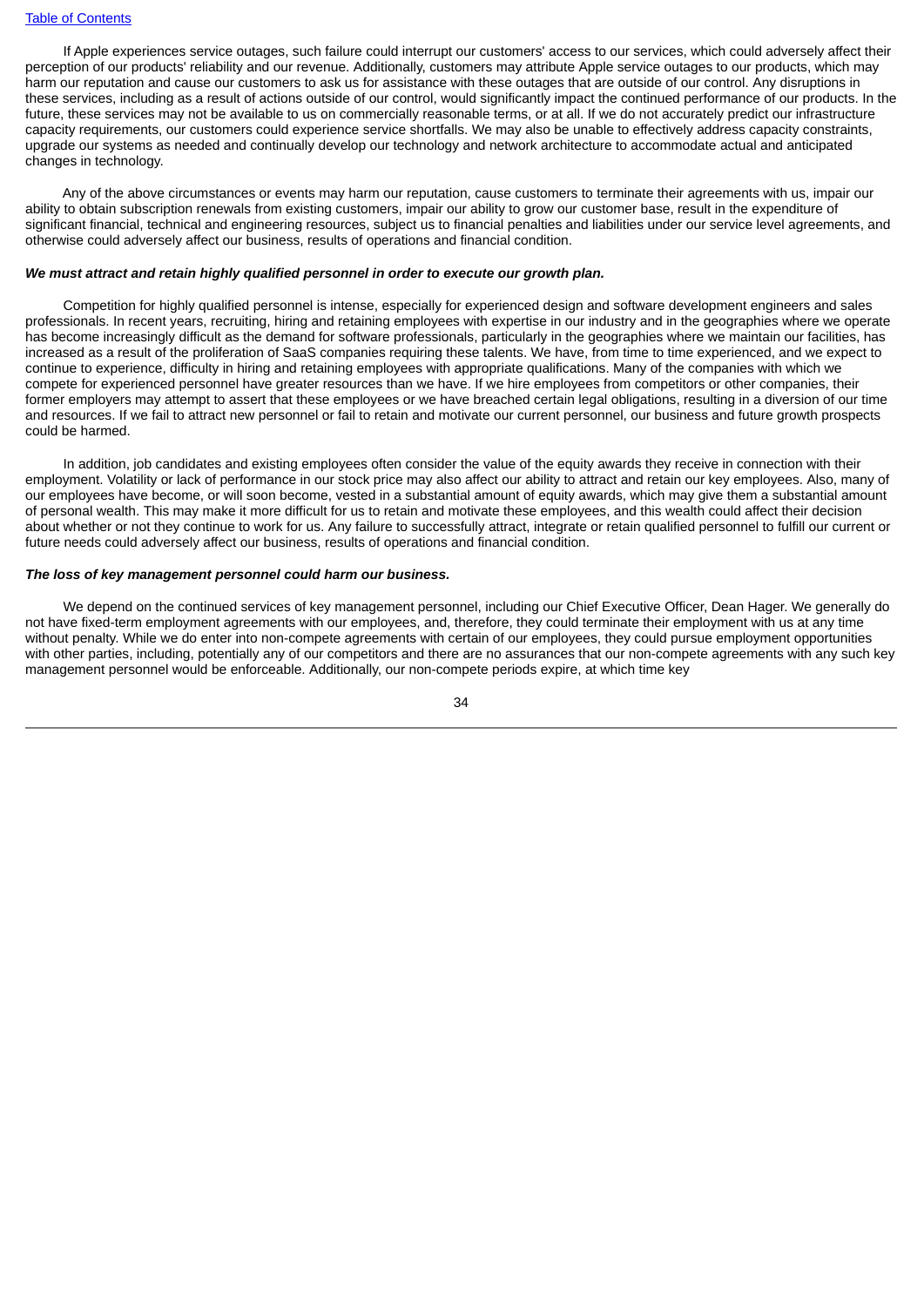If Apple experiences service outages, such failure could interrupt our customers' access to our services, which could adversely affect their perception of our products' reliability and our revenue. Additionally, customers may attribute Apple service outages to our products, which may harm our reputation and cause our customers to ask us for assistance with these outages that are outside of our control. Any disruptions in these services, including as a result of actions outside of our control, would significantly impact the continued performance of our products. In the future, these services may not be available to us on commercially reasonable terms, or at all. If we do not accurately predict our infrastructure capacity requirements, our customers could experience service shortfalls. We may also be unable to effectively address capacity constraints, upgrade our systems as needed and continually develop our technology and network architecture to accommodate actual and anticipated changes in technology.

 Any of the above circumstances or events may harm our reputation, cause customers to terminate their agreements with us, impair our ability to obtain subscription renewals from existing customers, impair our ability to grow our customer base, result in the expenditure of significant financial, technical and engineering resources, subject us to financial penalties and liabilities under our service level agreements, and otherwise could adversely affect our business, results of operations and financial condition.

#### *We must attract and retain highly qualified personnel in order to execute our growth plan.*

 Competition for highly qualified personnel is intense, especially for experienced design and software development engineers and sales professionals. In recent years, recruiting, hiring and retaining employees with expertise in our industry and in the geographies where we operate has become increasingly difficult as the demand for software professionals, particularly in the geographies where we maintain our facilities, has increased as a result of the proliferation of SaaS companies requiring these talents. We have, from time to time experienced, and we expect to continue to experience, difficulty in hiring and retaining employees with appropriate qualifications. Many of the companies with which we compete for experienced personnel have greater resources than we have. If we hire employees from competitors or other companies, their former employers may attempt to assert that these employees or we have breached certain legal obligations, resulting in a diversion of our time and resources. If we fail to attract new personnel or fail to retain and motivate our current personnel, our business and future growth prospects could be harmed.

 In addition, job candidates and existing employees often consider the value of the equity awards they receive in connection with their employment. Volatility or lack of performance in our stock price may also affect our ability to attract and retain our key employees. Also, many of our employees have become, or will soon become, vested in a substantial amount of equity awards, which may give them a substantial amount of personal wealth. This may make it more difficult for us to retain and motivate these employees, and this wealth could affect their decision about whether or not they continue to work for us. Any failure to successfully attract, integrate or retain qualified personnel to fulfill our current or future needs could adversely affect our business, results of operations and financial condition.

## *The loss of key management personnel could harm our business.*

 We depend on the continued services of key management personnel, including our Chief Executive Officer, Dean Hager. We generally do not have fixed-term employment agreements with our employees, and, therefore, they could terminate their employment with us at any time without penalty. While we do enter into non-compete agreements with certain of our employees, they could pursue employment opportunities with other parties, including, potentially any of our competitors and there are no assurances that our non-compete agreements with any such key management personnel would be enforceable. Additionally, our non-compete periods expire, at which time key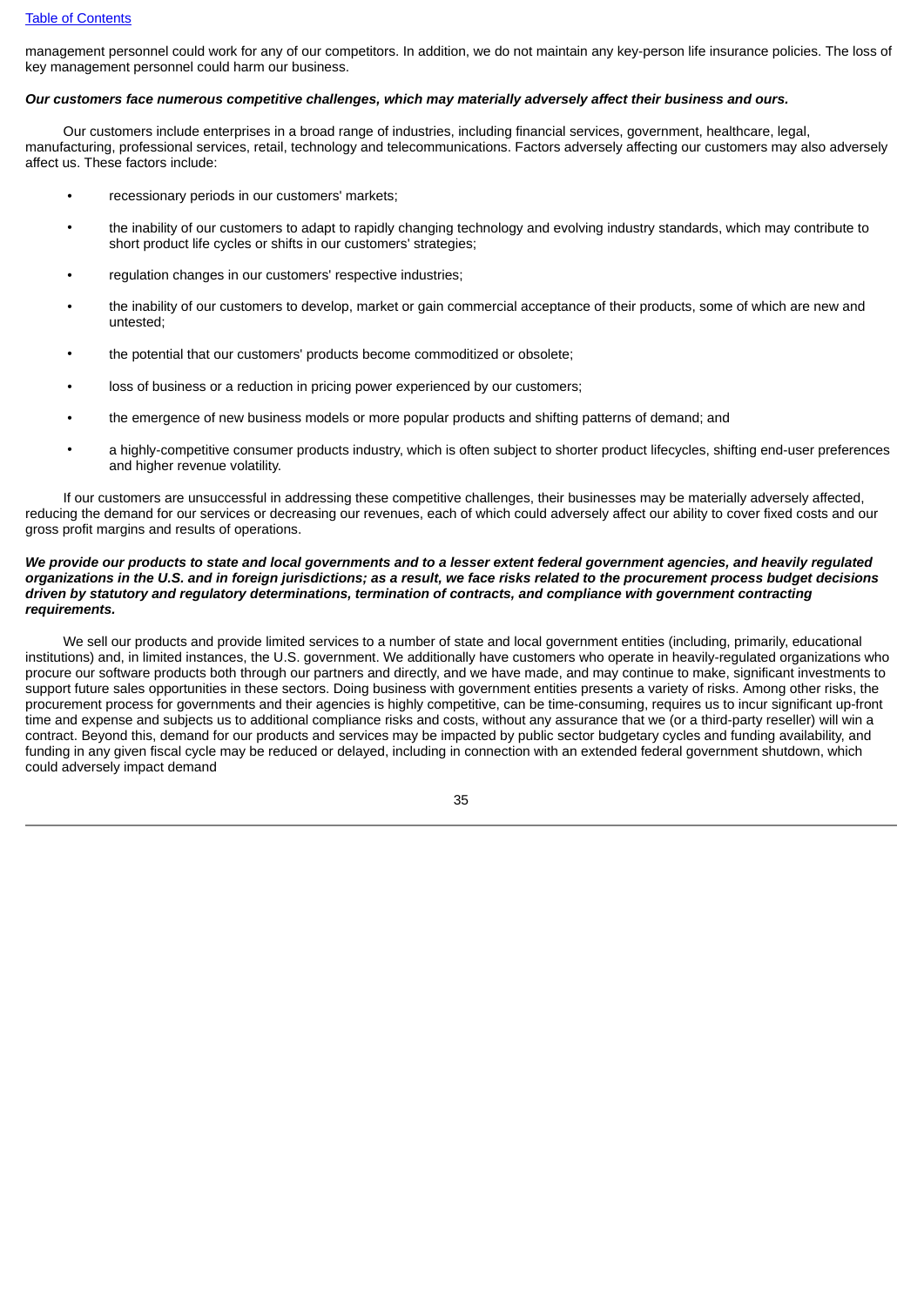management personnel could work for any of our competitors. In addition, we do not maintain any key-person life insurance policies. The loss of key management personnel could harm our business.

### *Our customers face numerous competitive challenges, which may materially adversely affect their business and ours.*

 Our customers include enterprises in a broad range of industries, including financial services, government, healthcare, legal, manufacturing, professional services, retail, technology and telecommunications. Factors adversely affecting our customers may also adversely affect us. These factors include:

- recessionary periods in our customers' markets;
- the inability of our customers to adapt to rapidly changing technology and evolving industry standards, which may contribute to short product life cycles or shifts in our customers' strategies;
- regulation changes in our customers' respective industries;
- the inability of our customers to develop, market or gain commercial acceptance of their products, some of which are new and untested;
- the potential that our customers' products become commoditized or obsolete;
- loss of business or a reduction in pricing power experienced by our customers;
- the emergence of new business models or more popular products and shifting patterns of demand; and
- a highly-competitive consumer products industry, which is often subject to shorter product lifecycles, shifting end-user preferences and higher revenue volatility.

 If our customers are unsuccessful in addressing these competitive challenges, their businesses may be materially adversely affected, reducing the demand for our services or decreasing our revenues, each of which could adversely affect our ability to cover fixed costs and our gross profit margins and results of operations.

### *We provide our products to state and local governments and to a lesser extent federal government agencies, and heavily regulated organizations in the U.S. and in foreign jurisdictions; as a result, we face risks related to the procurement process budget decisions driven by statutory and regulatory determinations, termination of contracts, and compliance with government contracting requirements.*

 We sell our products and provide limited services to a number of state and local government entities (including, primarily, educational institutions) and, in limited instances, the U.S. government. We additionally have customers who operate in heavily-regulated organizations who procure our software products both through our partners and directly, and we have made, and may continue to make, significant investments to support future sales opportunities in these sectors. Doing business with government entities presents a variety of risks. Among other risks, the procurement process for governments and their agencies is highly competitive, can be time-consuming, requires us to incur significant up-front time and expense and subjects us to additional compliance risks and costs, without any assurance that we (or a third-party reseller) will win a contract. Beyond this, demand for our products and services may be impacted by public sector budgetary cycles and funding availability, and funding in any given fiscal cycle may be reduced or delayed, including in connection with an extended federal government shutdown, which could adversely impact demand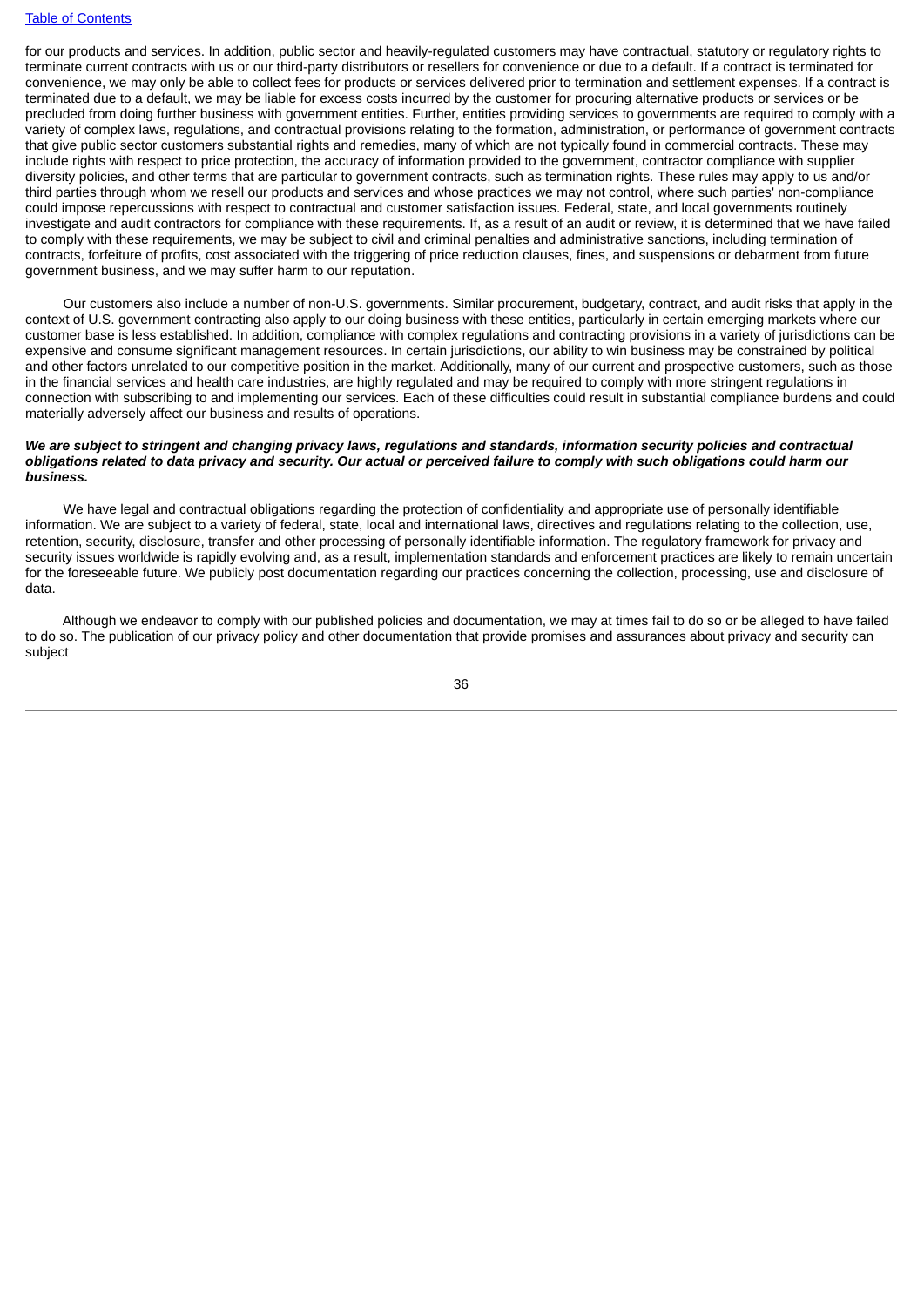for our products and services. In addition, public sector and heavily-regulated customers may have contractual, statutory or regulatory rights to terminate current contracts with us or our third-party distributors or resellers for convenience or due to a default. If a contract is terminated for convenience, we may only be able to collect fees for products or services delivered prior to termination and settlement expenses. If a contract is terminated due to a default, we may be liable for excess costs incurred by the customer for procuring alternative products or services or be precluded from doing further business with government entities. Further, entities providing services to governments are required to comply with a variety of complex laws, regulations, and contractual provisions relating to the formation, administration, or performance of government contracts that give public sector customers substantial rights and remedies, many of which are not typically found in commercial contracts. These may include rights with respect to price protection, the accuracy of information provided to the government, contractor compliance with supplier diversity policies, and other terms that are particular to government contracts, such as termination rights. These rules may apply to us and/or third parties through whom we resell our products and services and whose practices we may not control, where such parties' non-compliance could impose repercussions with respect to contractual and customer satisfaction issues. Federal, state, and local governments routinely investigate and audit contractors for compliance with these requirements. If, as a result of an audit or review, it is determined that we have failed to comply with these requirements, we may be subject to civil and criminal penalties and administrative sanctions, including termination of contracts, forfeiture of profits, cost associated with the triggering of price reduction clauses, fines, and suspensions or debarment from future government business, and we may suffer harm to our reputation.

 Our customers also include a number of non-U.S. governments. Similar procurement, budgetary, contract, and audit risks that apply in the context of U.S. government contracting also apply to our doing business with these entities, particularly in certain emerging markets where our customer base is less established. In addition, compliance with complex regulations and contracting provisions in a variety of jurisdictions can be expensive and consume significant management resources. In certain jurisdictions, our ability to win business may be constrained by political and other factors unrelated to our competitive position in the market. Additionally, many of our current and prospective customers, such as those in the financial services and health care industries, are highly regulated and may be required to comply with more stringent regulations in connection with subscribing to and implementing our services. Each of these difficulties could result in substantial compliance burdens and could materially adversely affect our business and results of operations.

### *We are subject to stringent and changing privacy laws, regulations and standards, information security policies and contractual obligations related to data privacy and security. Our actual or perceived failure to comply with such obligations could harm our business.*

We have legal and contractual obligations regarding the protection of confidentiality and appropriate use of personally identifiable information. We are subject to a variety of federal, state, local and international laws, directives and regulations relating to the collection, use, retention, security, disclosure, transfer and other processing of personally identifiable information. The regulatory framework for privacy and security issues worldwide is rapidly evolving and, as a result, implementation standards and enforcement practices are likely to remain uncertain for the foreseeable future. We publicly post documentation regarding our practices concerning the collection, processing, use and disclosure of data.

 Although we endeavor to comply with our published policies and documentation, we may at times fail to do so or be alleged to have failed to do so. The publication of our privacy policy and other documentation that provide promises and assurances about privacy and security can subject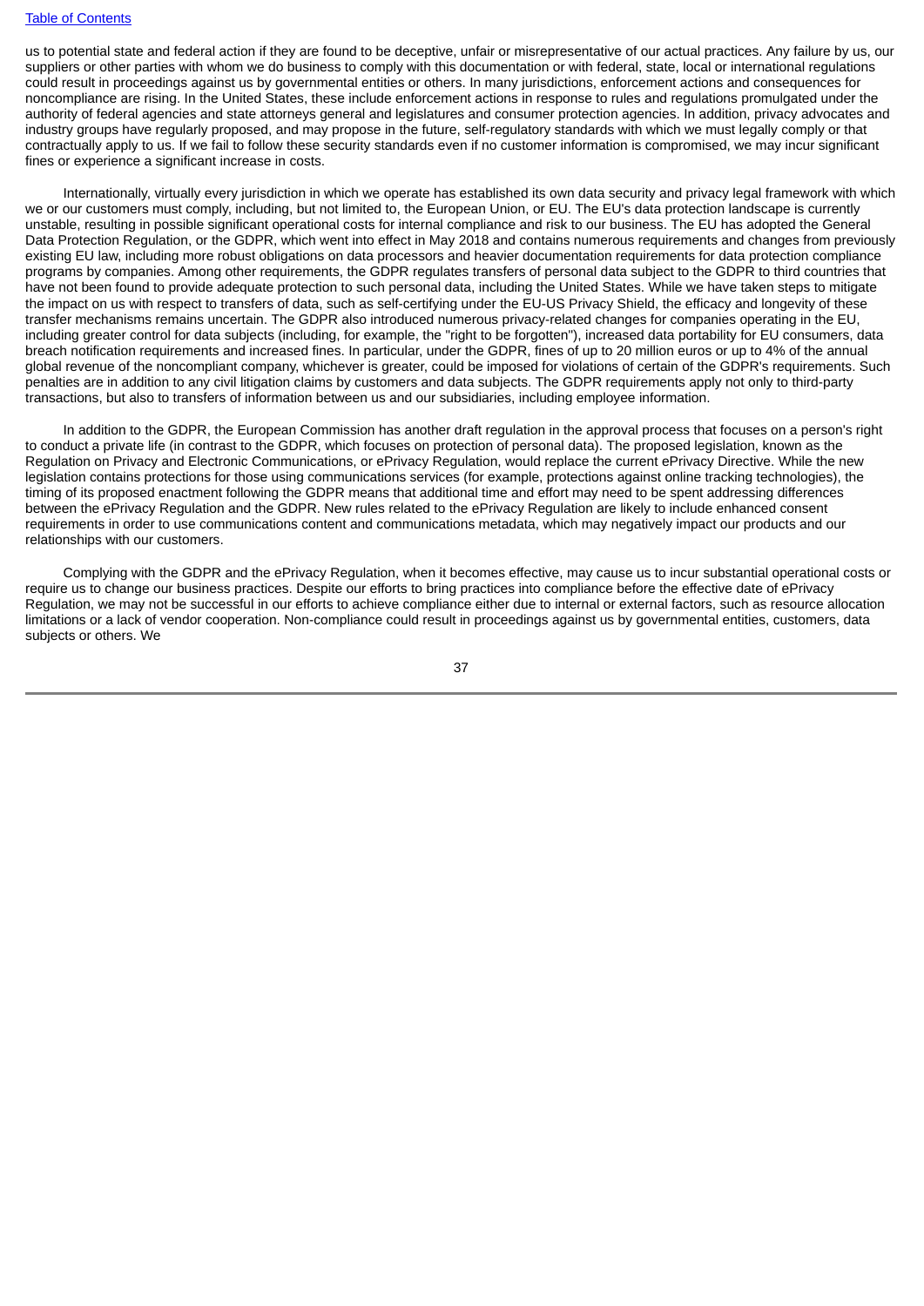us to potential state and federal action if they are found to be deceptive, unfair or misrepresentative of our actual practices. Any failure by us, our suppliers or other parties with whom we do business to comply with this documentation or with federal, state, local or international regulations could result in proceedings against us by governmental entities or others. In many jurisdictions, enforcement actions and consequences for noncompliance are rising. In the United States, these include enforcement actions in response to rules and regulations promulgated under the authority of federal agencies and state attorneys general and legislatures and consumer protection agencies. In addition, privacy advocates and industry groups have regularly proposed, and may propose in the future, self-regulatory standards with which we must legally comply or that contractually apply to us. If we fail to follow these security standards even if no customer information is compromised, we may incur significant fines or experience a significant increase in costs.

 Internationally, virtually every jurisdiction in which we operate has established its own data security and privacy legal framework with which we or our customers must comply, including, but not limited to, the European Union, or EU. The EU's data protection landscape is currently unstable, resulting in possible significant operational costs for internal compliance and risk to our business. The EU has adopted the General Data Protection Regulation, or the GDPR, which went into effect in May 2018 and contains numerous requirements and changes from previously existing EU law, including more robust obligations on data processors and heavier documentation requirements for data protection compliance programs by companies. Among other requirements, the GDPR regulates transfers of personal data subject to the GDPR to third countries that have not been found to provide adequate protection to such personal data, including the United States. While we have taken steps to mitigate the impact on us with respect to transfers of data, such as self-certifying under the EU-US Privacy Shield, the efficacy and longevity of these transfer mechanisms remains uncertain. The GDPR also introduced numerous privacy-related changes for companies operating in the EU, including greater control for data subjects (including, for example, the "right to be forgotten"), increased data portability for EU consumers, data breach notification requirements and increased fines. In particular, under the GDPR, fines of up to 20 million euros or up to 4% of the annual global revenue of the noncompliant company, whichever is greater, could be imposed for violations of certain of the GDPR's requirements. Such penalties are in addition to any civil litigation claims by customers and data subjects. The GDPR requirements apply not only to third-party transactions, but also to transfers of information between us and our subsidiaries, including employee information.

 In addition to the GDPR, the European Commission has another draft regulation in the approval process that focuses on a person's right to conduct a private life (in contrast to the GDPR, which focuses on protection of personal data). The proposed legislation, known as the Regulation on Privacy and Electronic Communications, or ePrivacy Regulation, would replace the current ePrivacy Directive. While the new legislation contains protections for those using communications services (for example, protections against online tracking technologies), the timing of its proposed enactment following the GDPR means that additional time and effort may need to be spent addressing differences between the ePrivacy Regulation and the GDPR. New rules related to the ePrivacy Regulation are likely to include enhanced consent requirements in order to use communications content and communications metadata, which may negatively impact our products and our relationships with our customers.

 Complying with the GDPR and the ePrivacy Regulation, when it becomes effective, may cause us to incur substantial operational costs or require us to change our business practices. Despite our efforts to bring practices into compliance before the effective date of ePrivacy Regulation, we may not be successful in our efforts to achieve compliance either due to internal or external factors, such as resource allocation limitations or a lack of vendor cooperation. Non-compliance could result in proceedings against us by governmental entities, customers, data subjects or others. We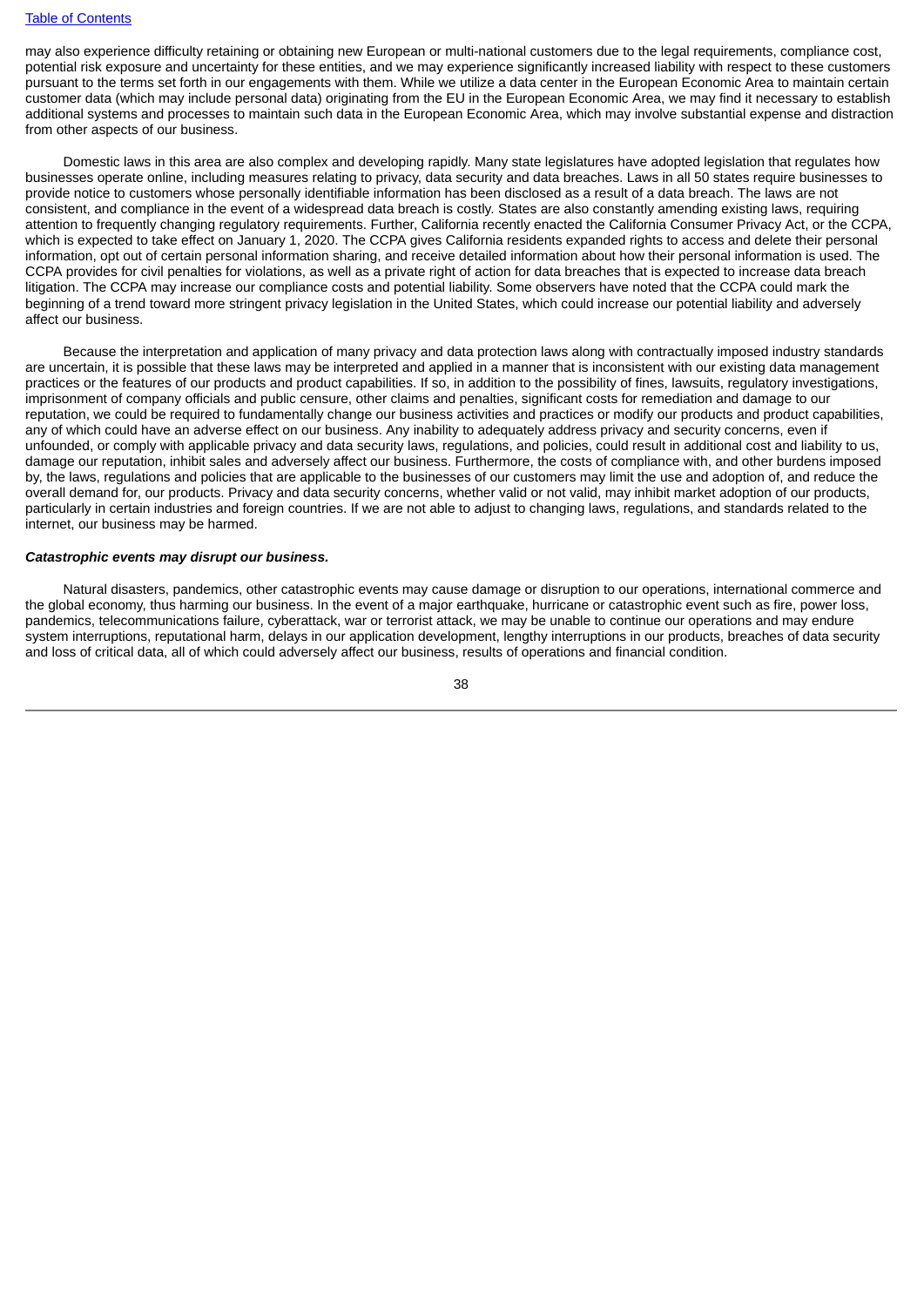may also experience difficulty retaining or obtaining new European or multi-national customers due to the legal requirements, compliance cost, potential risk exposure and uncertainty for these entities, and we may experience significantly increased liability with respect to these customers pursuant to the terms set forth in our engagements with them. While we utilize a data center in the European Economic Area to maintain certain customer data (which may include personal data) originating from the EU in the European Economic Area, we may find it necessary to establish additional systems and processes to maintain such data in the European Economic Area, which may involve substantial expense and distraction from other aspects of our business.

 Domestic laws in this area are also complex and developing rapidly. Many state legislatures have adopted legislation that regulates how businesses operate online, including measures relating to privacy, data security and data breaches. Laws in all 50 states require businesses to provide notice to customers whose personally identifiable information has been disclosed as a result of a data breach. The laws are not consistent, and compliance in the event of a widespread data breach is costly. States are also constantly amending existing laws, requiring attention to frequently changing regulatory requirements. Further, California recently enacted the California Consumer Privacy Act, or the CCPA, which is expected to take effect on January 1, 2020. The CCPA gives California residents expanded rights to access and delete their personal information, opt out of certain personal information sharing, and receive detailed information about how their personal information is used. The CCPA provides for civil penalties for violations, as well as a private right of action for data breaches that is expected to increase data breach litigation. The CCPA may increase our compliance costs and potential liability. Some observers have noted that the CCPA could mark the beginning of a trend toward more stringent privacy legislation in the United States, which could increase our potential liability and adversely affect our business.

 Because the interpretation and application of many privacy and data protection laws along with contractually imposed industry standards are uncertain, it is possible that these laws may be interpreted and applied in a manner that is inconsistent with our existing data management practices or the features of our products and product capabilities. If so, in addition to the possibility of fines, lawsuits, regulatory investigations, imprisonment of company officials and public censure, other claims and penalties, significant costs for remediation and damage to our reputation, we could be required to fundamentally change our business activities and practices or modify our products and product capabilities, any of which could have an adverse effect on our business. Any inability to adequately address privacy and security concerns, even if unfounded, or comply with applicable privacy and data security laws, regulations, and policies, could result in additional cost and liability to us, damage our reputation, inhibit sales and adversely affect our business. Furthermore, the costs of compliance with, and other burdens imposed by, the laws, regulations and policies that are applicable to the businesses of our customers may limit the use and adoption of, and reduce the overall demand for, our products. Privacy and data security concerns, whether valid or not valid, may inhibit market adoption of our products, particularly in certain industries and foreign countries. If we are not able to adjust to changing laws, regulations, and standards related to the internet, our business may be harmed.

### *Catastrophic events may disrupt our business.*

 Natural disasters, pandemics, other catastrophic events may cause damage or disruption to our operations, international commerce and the global economy, thus harming our business. In the event of a major earthquake, hurricane or catastrophic event such as fire, power loss, pandemics, telecommunications failure, cyberattack, war or terrorist attack, we may be unable to continue our operations and may endure system interruptions, reputational harm, delays in our application development, lengthy interruptions in our products, breaches of data security and loss of critical data, all of which could adversely affect our business, results of operations and financial condition.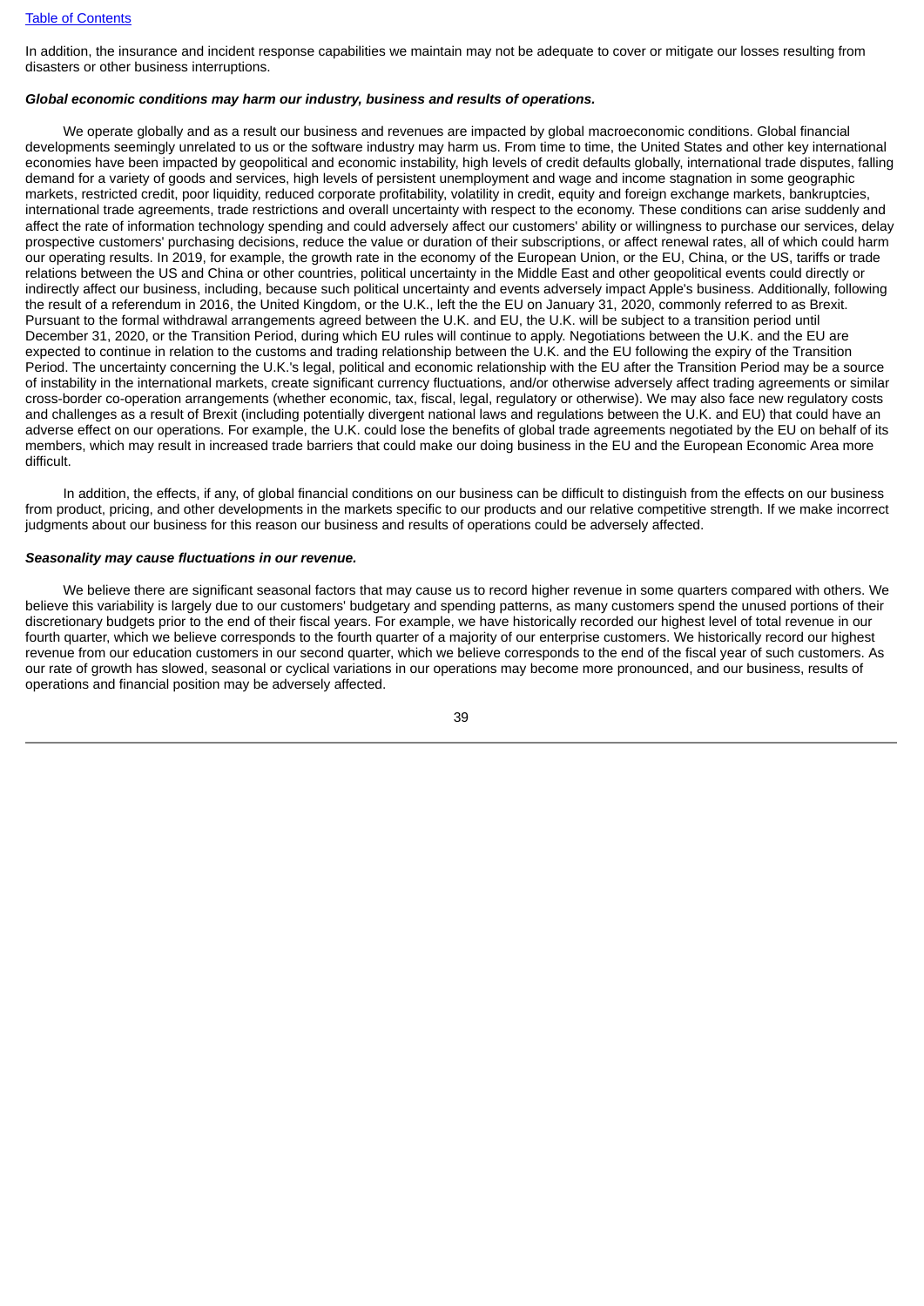### [Table of Contents](#page-3-0)

In addition, the insurance and incident response capabilities we maintain may not be adequate to cover or mitigate our losses resulting from disasters or other business interruptions.

### *Global economic conditions may harm our industry, business and results of operations.*

We operate globally and as a result our business and revenues are impacted by global macroeconomic conditions. Global financial developments seemingly unrelated to us or the software industry may harm us. From time to time, the United States and other key international economies have been impacted by geopolitical and economic instability, high levels of credit defaults globally, international trade disputes, falling demand for a variety of goods and services, high levels of persistent unemployment and wage and income stagnation in some geographic markets, restricted credit, poor liquidity, reduced corporate profitability, volatility in credit, equity and foreign exchange markets, bankruptcies, international trade agreements, trade restrictions and overall uncertainty with respect to the economy. These conditions can arise suddenly and affect the rate of information technology spending and could adversely affect our customers' ability or willingness to purchase our services, delay prospective customers' purchasing decisions, reduce the value or duration of their subscriptions, or affect renewal rates, all of which could harm our operating results. In 2019, for example, the growth rate in the economy of the European Union, or the EU, China, or the US, tariffs or trade relations between the US and China or other countries, political uncertainty in the Middle East and other geopolitical events could directly or indirectly affect our business, including, because such political uncertainty and events adversely impact Apple's business. Additionally, following the result of a referendum in 2016, the United Kingdom, or the U.K., left the the EU on January 31, 2020, commonly referred to as Brexit. Pursuant to the formal withdrawal arrangements agreed between the U.K. and EU, the U.K. will be subject to a transition period until December 31, 2020, or the Transition Period, during which EU rules will continue to apply. Negotiations between the U.K. and the EU are expected to continue in relation to the customs and trading relationship between the U.K. and the EU following the expiry of the Transition Period. The uncertainty concerning the U.K.'s legal, political and economic relationship with the EU after the Transition Period may be a source of instability in the international markets, create significant currency fluctuations, and/or otherwise adversely affect trading agreements or similar cross-border co-operation arrangements (whether economic, tax, fiscal, legal, regulatory or otherwise). We may also face new regulatory costs and challenges as a result of Brexit (including potentially divergent national laws and regulations between the U.K. and EU) that could have an adverse effect on our operations. For example, the U.K. could lose the benefits of global trade agreements negotiated by the EU on behalf of its members, which may result in increased trade barriers that could make our doing business in the EU and the European Economic Area more difficult.

 In addition, the effects, if any, of global financial conditions on our business can be difficult to distinguish from the effects on our business from product, pricing, and other developments in the markets specific to our products and our relative competitive strength. If we make incorrect judgments about our business for this reason our business and results of operations could be adversely affected.

#### *Seasonality may cause fluctuations in our revenue.*

 We believe there are significant seasonal factors that may cause us to record higher revenue in some quarters compared with others. We believe this variability is largely due to our customers' budgetary and spending patterns, as many customers spend the unused portions of their discretionary budgets prior to the end of their fiscal years. For example, we have historically recorded our highest level of total revenue in our fourth quarter, which we believe corresponds to the fourth quarter of a majority of our enterprise customers. We historically record our highest revenue from our education customers in our second quarter, which we believe corresponds to the end of the fiscal year of such customers. As our rate of growth has slowed, seasonal or cyclical variations in our operations may become more pronounced, and our business, results of operations and financial position may be adversely affected.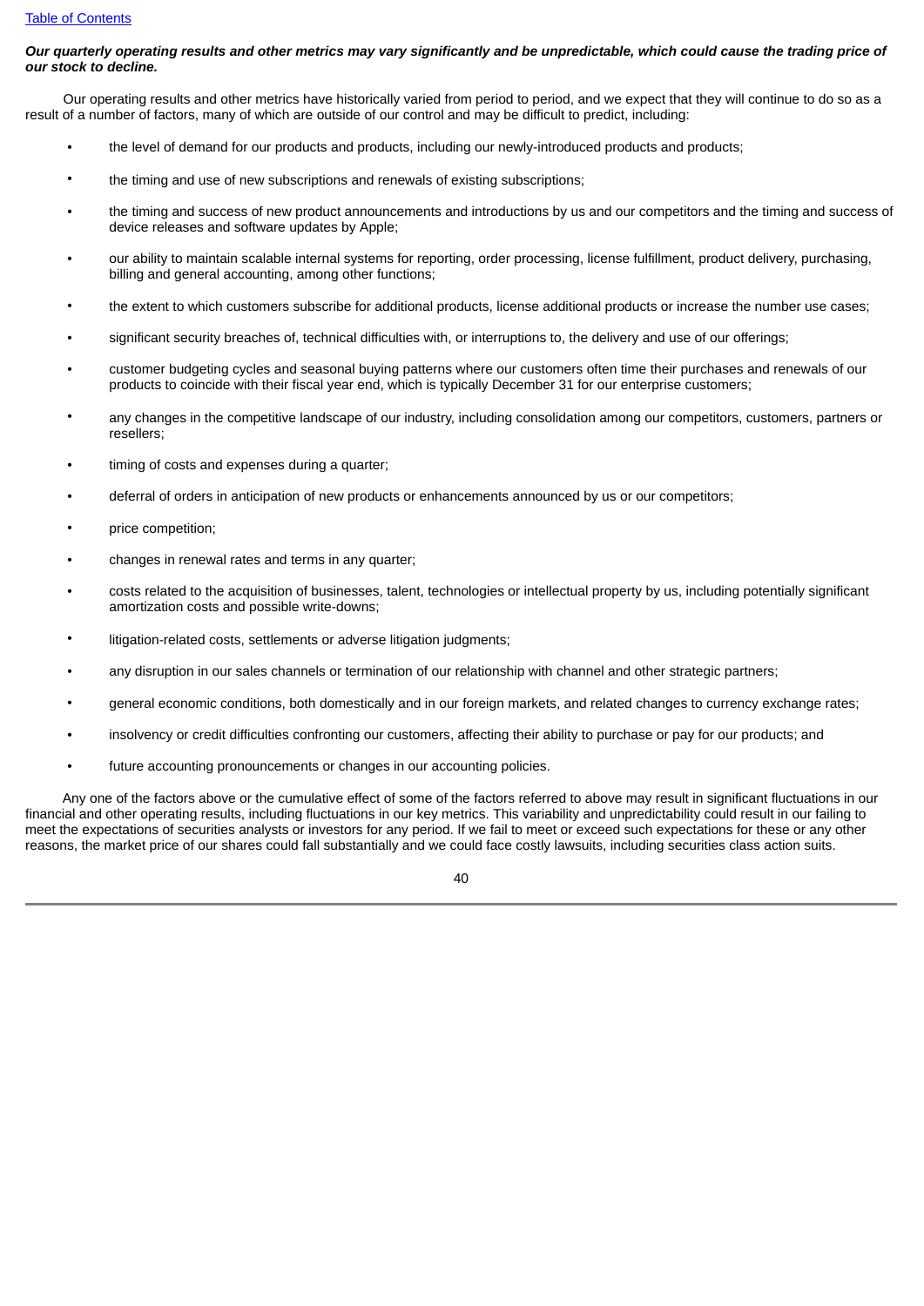# *Our quarterly operating results and other metrics may vary significantly and be unpredictable, which could cause the trading price of our stock to decline.*

 Our operating results and other metrics have historically varied from period to period, and we expect that they will continue to do so as a result of a number of factors, many of which are outside of our control and may be difficult to predict, including:

- the level of demand for our products and products, including our newly-introduced products and products;
- the timing and use of new subscriptions and renewals of existing subscriptions;
- the timing and success of new product announcements and introductions by us and our competitors and the timing and success of device releases and software updates by Apple;
- our ability to maintain scalable internal systems for reporting, order processing, license fulfillment, product delivery, purchasing, billing and general accounting, among other functions;
- the extent to which customers subscribe for additional products, license additional products or increase the number use cases;
- significant security breaches of, technical difficulties with, or interruptions to, the delivery and use of our offerings;
- customer budgeting cycles and seasonal buying patterns where our customers often time their purchases and renewals of our products to coincide with their fiscal year end, which is typically December 31 for our enterprise customers;
- any changes in the competitive landscape of our industry, including consolidation among our competitors, customers, partners or resellers;
- timing of costs and expenses during a quarter;
- deferral of orders in anticipation of new products or enhancements announced by us or our competitors;
- price competition;
- changes in renewal rates and terms in any quarter;
- costs related to the acquisition of businesses, talent, technologies or intellectual property by us, including potentially significant amortization costs and possible write-downs;
- litigation-related costs, settlements or adverse litigation judgments;
- any disruption in our sales channels or termination of our relationship with channel and other strategic partners;
- general economic conditions, both domestically and in our foreign markets, and related changes to currency exchange rates;
- insolvency or credit difficulties confronting our customers, affecting their ability to purchase or pay for our products; and
- future accounting pronouncements or changes in our accounting policies.

 Any one of the factors above or the cumulative effect of some of the factors referred to above may result in significant fluctuations in our financial and other operating results, including fluctuations in our key metrics. This variability and unpredictability could result in our failing to meet the expectations of securities analysts or investors for any period. If we fail to meet or exceed such expectations for these or any other reasons, the market price of our shares could fall substantially and we could face costly lawsuits, including securities class action suits.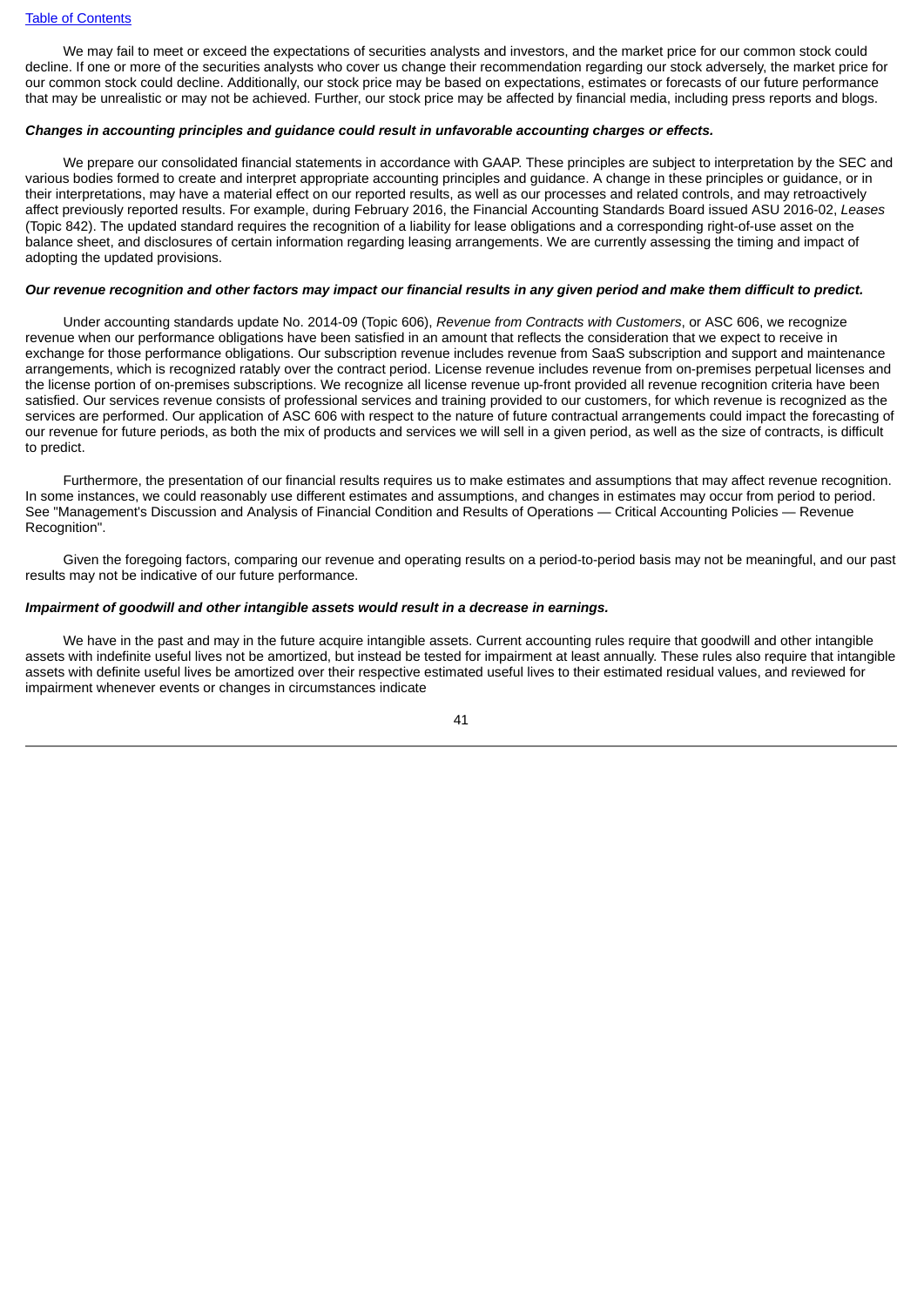We may fail to meet or exceed the expectations of securities analysts and investors, and the market price for our common stock could decline. If one or more of the securities analysts who cover us change their recommendation regarding our stock adversely, the market price for our common stock could decline. Additionally, our stock price may be based on expectations, estimates or forecasts of our future performance that may be unrealistic or may not be achieved. Further, our stock price may be affected by financial media, including press reports and blogs.

### *Changes in accounting principles and guidance could result in unfavorable accounting charges or effects.*

 We prepare our consolidated financial statements in accordance with GAAP. These principles are subject to interpretation by the SEC and various bodies formed to create and interpret appropriate accounting principles and guidance. A change in these principles or guidance, or in their interpretations, may have a material effect on our reported results, as well as our processes and related controls, and may retroactively affect previously reported results. For example, during February 2016, the Financial Accounting Standards Board issued ASU 2016-02, *Leases* (Topic 842). The updated standard requires the recognition of a liability for lease obligations and a corresponding right-of-use asset on the balance sheet, and disclosures of certain information regarding leasing arrangements. We are currently assessing the timing and impact of adopting the updated provisions.

## *Our revenue recognition and other factors may impact our financial results in any given period and make them difficult to predict.*

 Under accounting standards update No. 2014-09 (Topic 606), *Revenue from Contracts with Customers*, or ASC 606, we recognize revenue when our performance obligations have been satisfied in an amount that reflects the consideration that we expect to receive in exchange for those performance obligations. Our subscription revenue includes revenue from SaaS subscription and support and maintenance arrangements, which is recognized ratably over the contract period. License revenue includes revenue from on-premises perpetual licenses and the license portion of on-premises subscriptions. We recognize all license revenue up-front provided all revenue recognition criteria have been satisfied. Our services revenue consists of professional services and training provided to our customers, for which revenue is recognized as the services are performed. Our application of ASC 606 with respect to the nature of future contractual arrangements could impact the forecasting of our revenue for future periods, as both the mix of products and services we will sell in a given period, as well as the size of contracts, is difficult to predict.

 Furthermore, the presentation of our financial results requires us to make estimates and assumptions that may affect revenue recognition. In some instances, we could reasonably use different estimates and assumptions, and changes in estimates may occur from period to period. See "Management's Discussion and Analysis of Financial Condition and Results of Operations — Critical Accounting Policies — Revenue Recognition".

 Given the foregoing factors, comparing our revenue and operating results on a period-to-period basis may not be meaningful, and our past results may not be indicative of our future performance.

#### *Impairment of goodwill and other intangible assets would result in a decrease in earnings.*

We have in the past and may in the future acquire intangible assets. Current accounting rules require that goodwill and other intangible assets with indefinite useful lives not be amortized, but instead be tested for impairment at least annually. These rules also require that intangible assets with definite useful lives be amortized over their respective estimated useful lives to their estimated residual values, and reviewed for impairment whenever events or changes in circumstances indicate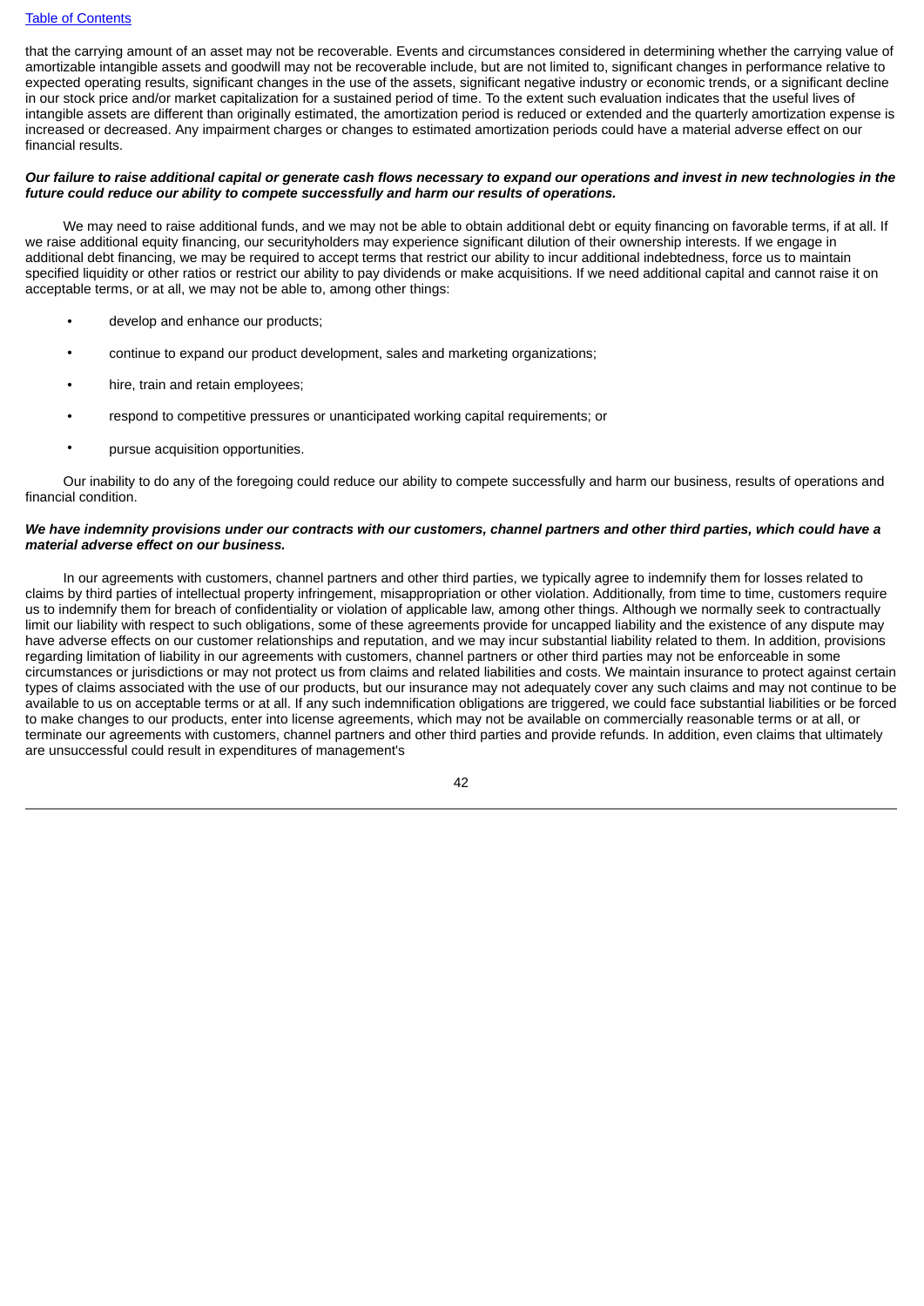### [Table of Contents](#page-3-0)

that the carrying amount of an asset may not be recoverable. Events and circumstances considered in determining whether the carrying value of amortizable intangible assets and goodwill may not be recoverable include, but are not limited to, significant changes in performance relative to expected operating results, significant changes in the use of the assets, significant negative industry or economic trends, or a significant decline in our stock price and/or market capitalization for a sustained period of time. To the extent such evaluation indicates that the useful lives of intangible assets are different than originally estimated, the amortization period is reduced or extended and the quarterly amortization expense is increased or decreased. Any impairment charges or changes to estimated amortization periods could have a material adverse effect on our financial results.

### *Our failure to raise additional capital or generate cash flows necessary to expand our operations and invest in new technologies in the future could reduce our ability to compete successfully and harm our results of operations.*

We may need to raise additional funds, and we may not be able to obtain additional debt or equity financing on favorable terms, if at all. If we raise additional equity financing, our securityholders may experience significant dilution of their ownership interests. If we engage in additional debt financing, we may be required to accept terms that restrict our ability to incur additional indebtedness, force us to maintain specified liquidity or other ratios or restrict our ability to pay dividends or make acquisitions. If we need additional capital and cannot raise it on acceptable terms, or at all, we may not be able to, among other things:

- develop and enhance our products;
- continue to expand our product development, sales and marketing organizations;
- hire, train and retain employees;
- respond to competitive pressures or unanticipated working capital requirements; or
- pursue acquisition opportunities.

 Our inability to do any of the foregoing could reduce our ability to compete successfully and harm our business, results of operations and financial condition.

### *We have indemnity provisions under our contracts with our customers, channel partners and other third parties, which could have a material adverse effect on our business.*

 In our agreements with customers, channel partners and other third parties, we typically agree to indemnify them for losses related to claims by third parties of intellectual property infringement, misappropriation or other violation. Additionally, from time to time, customers require us to indemnify them for breach of confidentiality or violation of applicable law, among other things. Although we normally seek to contractually limit our liability with respect to such obligations, some of these agreements provide for uncapped liability and the existence of any dispute may have adverse effects on our customer relationships and reputation, and we may incur substantial liability related to them. In addition, provisions regarding limitation of liability in our agreements with customers, channel partners or other third parties may not be enforceable in some circumstances or jurisdictions or may not protect us from claims and related liabilities and costs. We maintain insurance to protect against certain types of claims associated with the use of our products, but our insurance may not adequately cover any such claims and may not continue to be available to us on acceptable terms or at all. If any such indemnification obligations are triggered, we could face substantial liabilities or be forced to make changes to our products, enter into license agreements, which may not be available on commercially reasonable terms or at all, or terminate our agreements with customers, channel partners and other third parties and provide refunds. In addition, even claims that ultimately are unsuccessful could result in expenditures of management's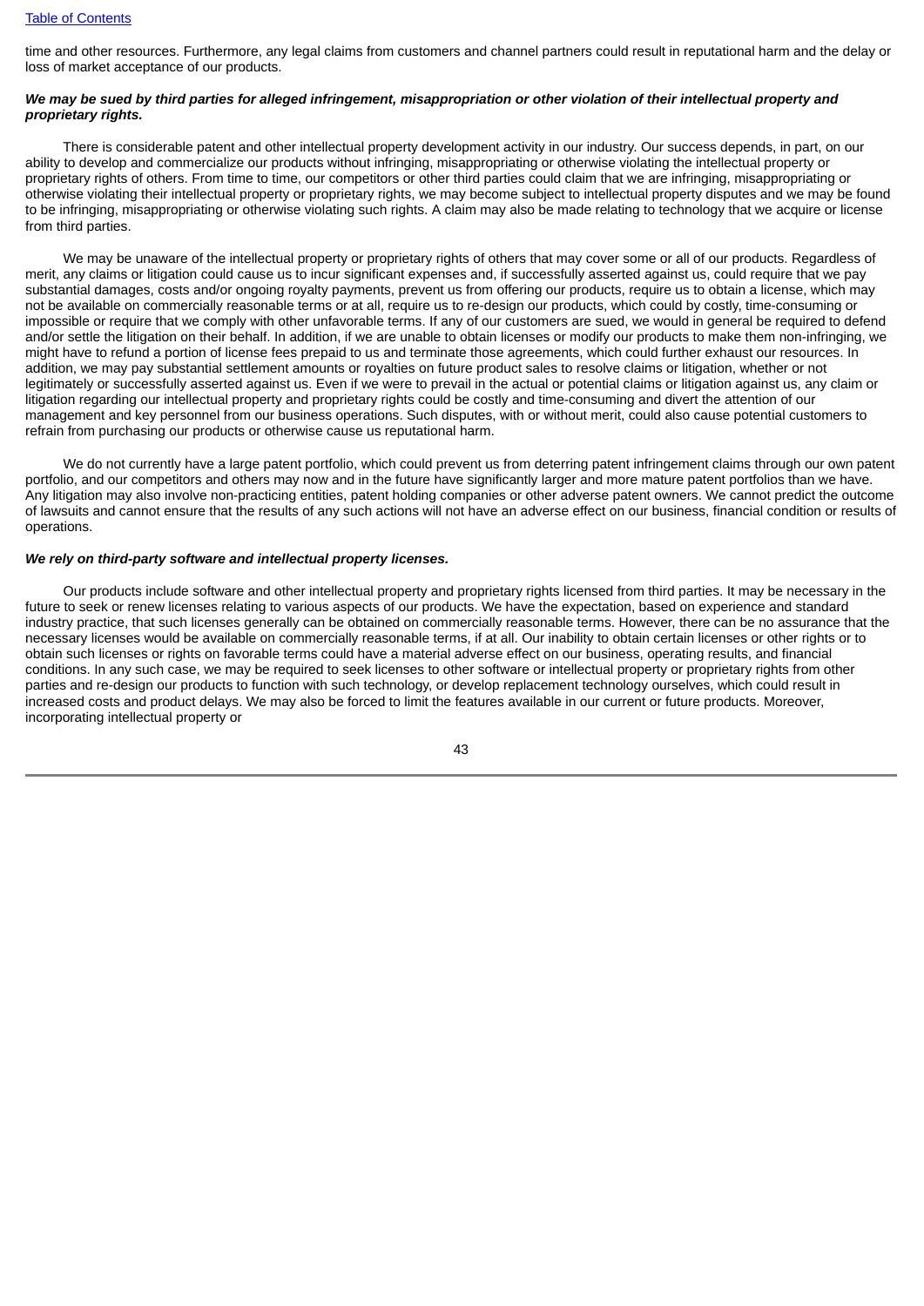time and other resources. Furthermore, any legal claims from customers and channel partners could result in reputational harm and the delay or loss of market acceptance of our products.

# *We may be sued by third parties for alleged infringement, misappropriation or other violation of their intellectual property and proprietary rights.*

 There is considerable patent and other intellectual property development activity in our industry. Our success depends, in part, on our ability to develop and commercialize our products without infringing, misappropriating or otherwise violating the intellectual property or proprietary rights of others. From time to time, our competitors or other third parties could claim that we are infringing, misappropriating or otherwise violating their intellectual property or proprietary rights, we may become subject to intellectual property disputes and we may be found to be infringing, misappropriating or otherwise violating such rights. A claim may also be made relating to technology that we acquire or license from third parties.

We may be unaware of the intellectual property or proprietary rights of others that may cover some or all of our products. Regardless of merit, any claims or litigation could cause us to incur significant expenses and, if successfully asserted against us, could require that we pay substantial damages, costs and/or ongoing royalty payments, prevent us from offering our products, require us to obtain a license, which may not be available on commercially reasonable terms or at all, require us to re-design our products, which could by costly, time-consuming or impossible or require that we comply with other unfavorable terms. If any of our customers are sued, we would in general be required to defend and/or settle the litigation on their behalf. In addition, if we are unable to obtain licenses or modify our products to make them non-infringing, we might have to refund a portion of license fees prepaid to us and terminate those agreements, which could further exhaust our resources. In addition, we may pay substantial settlement amounts or royalties on future product sales to resolve claims or litigation, whether or not legitimately or successfully asserted against us. Even if we were to prevail in the actual or potential claims or litigation against us, any claim or litigation regarding our intellectual property and proprietary rights could be costly and time-consuming and divert the attention of our management and key personnel from our business operations. Such disputes, with or without merit, could also cause potential customers to refrain from purchasing our products or otherwise cause us reputational harm.

We do not currently have a large patent portfolio, which could prevent us from deterring patent infringement claims through our own patent portfolio, and our competitors and others may now and in the future have significantly larger and more mature patent portfolios than we have. Any litigation may also involve non-practicing entities, patent holding companies or other adverse patent owners. We cannot predict the outcome of lawsuits and cannot ensure that the results of any such actions will not have an adverse effect on our business, financial condition or results of operations.

### *We rely on third-party software and intellectual property licenses.*

 Our products include software and other intellectual property and proprietary rights licensed from third parties. It may be necessary in the future to seek or renew licenses relating to various aspects of our products. We have the expectation, based on experience and standard industry practice, that such licenses generally can be obtained on commercially reasonable terms. However, there can be no assurance that the necessary licenses would be available on commercially reasonable terms, if at all. Our inability to obtain certain licenses or other rights or to obtain such licenses or rights on favorable terms could have a material adverse effect on our business, operating results, and financial conditions. In any such case, we may be required to seek licenses to other software or intellectual property or proprietary rights from other parties and re-design our products to function with such technology, or develop replacement technology ourselves, which could result in increased costs and product delays. We may also be forced to limit the features available in our current or future products. Moreover, incorporating intellectual property or

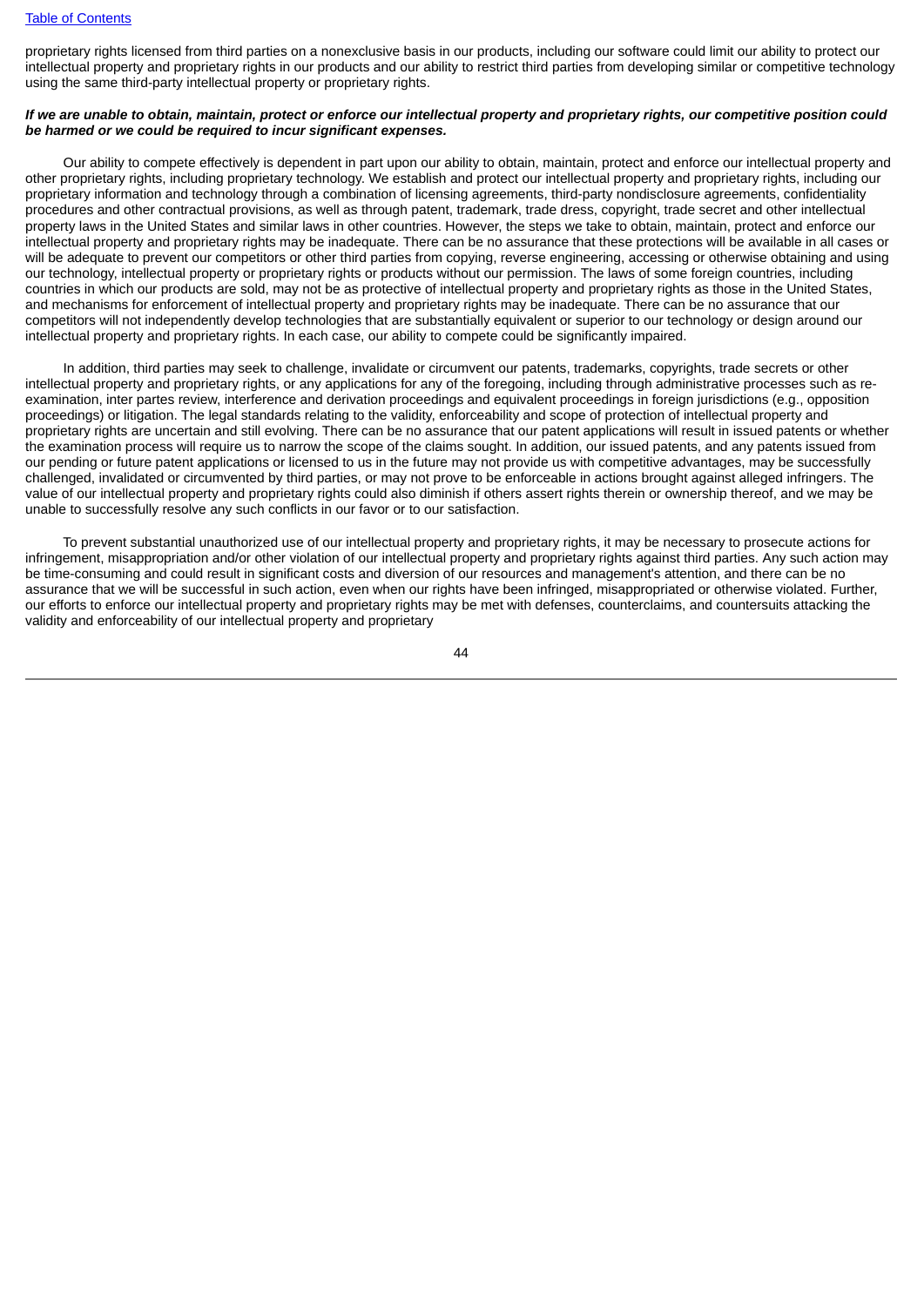#### [Table of Contents](#page-3-0)

proprietary rights licensed from third parties on a nonexclusive basis in our products, including our software could limit our ability to protect our intellectual property and proprietary rights in our products and our ability to restrict third parties from developing similar or competitive technology using the same third-party intellectual property or proprietary rights.

### *If we are unable to obtain, maintain, protect or enforce our intellectual property and proprietary rights, our competitive position could be harmed or we could be required to incur significant expenses.*

 Our ability to compete effectively is dependent in part upon our ability to obtain, maintain, protect and enforce our intellectual property and other proprietary rights, including proprietary technology. We establish and protect our intellectual property and proprietary rights, including our proprietary information and technology through a combination of licensing agreements, third-party nondisclosure agreements, confidentiality procedures and other contractual provisions, as well as through patent, trademark, trade dress, copyright, trade secret and other intellectual property laws in the United States and similar laws in other countries. However, the steps we take to obtain, maintain, protect and enforce our intellectual property and proprietary rights may be inadequate. There can be no assurance that these protections will be available in all cases or will be adequate to prevent our competitors or other third parties from copying, reverse engineering, accessing or otherwise obtaining and using our technology, intellectual property or proprietary rights or products without our permission. The laws of some foreign countries, including countries in which our products are sold, may not be as protective of intellectual property and proprietary rights as those in the United States, and mechanisms for enforcement of intellectual property and proprietary rights may be inadequate. There can be no assurance that our competitors will not independently develop technologies that are substantially equivalent or superior to our technology or design around our intellectual property and proprietary rights. In each case, our ability to compete could be significantly impaired.

 In addition, third parties may seek to challenge, invalidate or circumvent our patents, trademarks, copyrights, trade secrets or other intellectual property and proprietary rights, or any applications for any of the foregoing, including through administrative processes such as reexamination, inter partes review, interference and derivation proceedings and equivalent proceedings in foreign jurisdictions (e.g., opposition proceedings) or litigation. The legal standards relating to the validity, enforceability and scope of protection of intellectual property and proprietary rights are uncertain and still evolving. There can be no assurance that our patent applications will result in issued patents or whether the examination process will require us to narrow the scope of the claims sought. In addition, our issued patents, and any patents issued from our pending or future patent applications or licensed to us in the future may not provide us with competitive advantages, may be successfully challenged, invalidated or circumvented by third parties, or may not prove to be enforceable in actions brought against alleged infringers. The value of our intellectual property and proprietary rights could also diminish if others assert rights therein or ownership thereof, and we may be unable to successfully resolve any such conflicts in our favor or to our satisfaction.

 To prevent substantial unauthorized use of our intellectual property and proprietary rights, it may be necessary to prosecute actions for infringement, misappropriation and/or other violation of our intellectual property and proprietary rights against third parties. Any such action may be time-consuming and could result in significant costs and diversion of our resources and management's attention, and there can be no assurance that we will be successful in such action, even when our rights have been infringed, misappropriated or otherwise violated. Further, our efforts to enforce our intellectual property and proprietary rights may be met with defenses, counterclaims, and countersuits attacking the validity and enforceability of our intellectual property and proprietary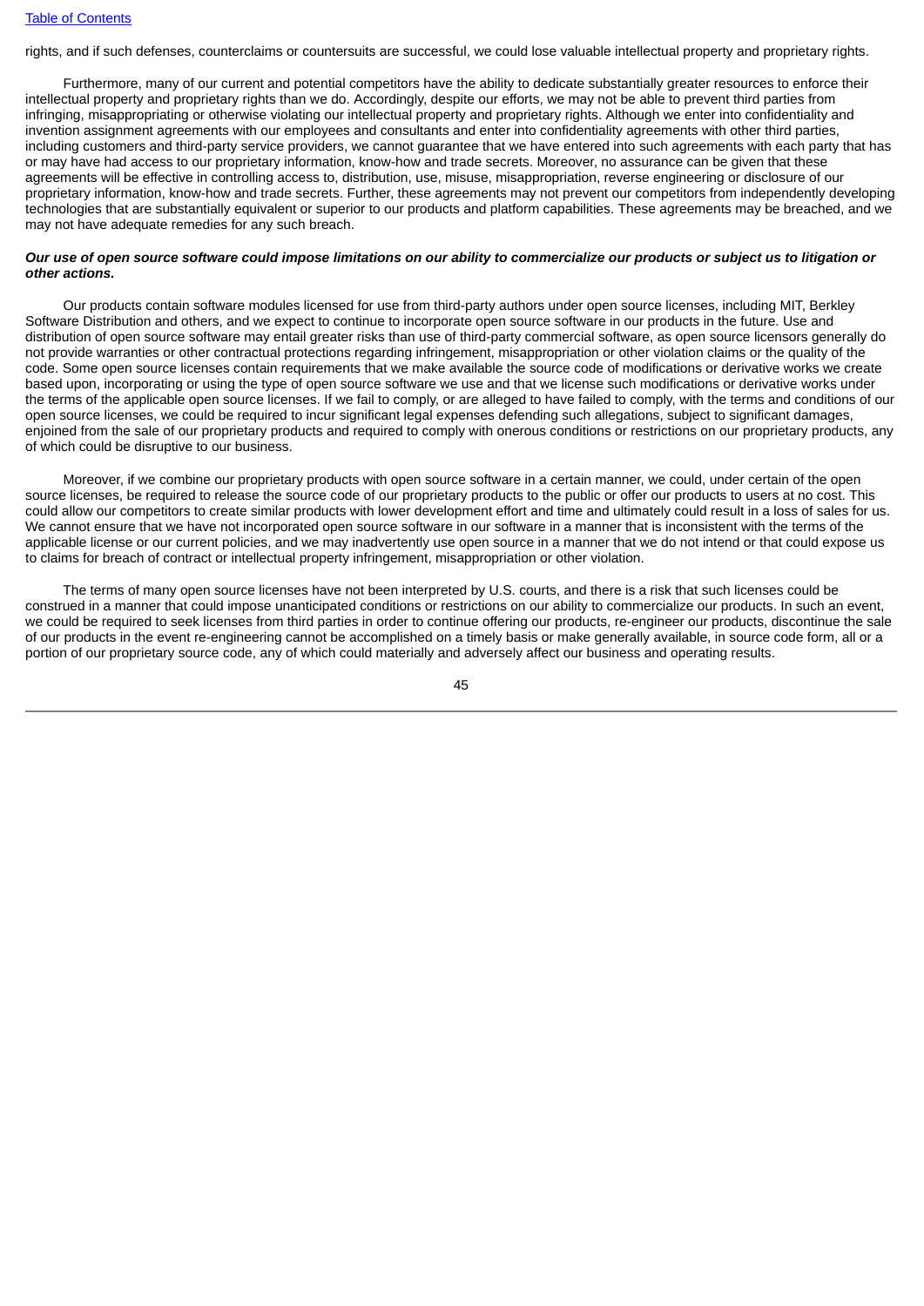rights, and if such defenses, counterclaims or countersuits are successful, we could lose valuable intellectual property and proprietary rights.

 Furthermore, many of our current and potential competitors have the ability to dedicate substantially greater resources to enforce their intellectual property and proprietary rights than we do. Accordingly, despite our efforts, we may not be able to prevent third parties from infringing, misappropriating or otherwise violating our intellectual property and proprietary rights. Although we enter into confidentiality and invention assignment agreements with our employees and consultants and enter into confidentiality agreements with other third parties, including customers and third-party service providers, we cannot guarantee that we have entered into such agreements with each party that has or may have had access to our proprietary information, know-how and trade secrets. Moreover, no assurance can be given that these agreements will be effective in controlling access to, distribution, use, misuse, misappropriation, reverse engineering or disclosure of our proprietary information, know-how and trade secrets. Further, these agreements may not prevent our competitors from independently developing technologies that are substantially equivalent or superior to our products and platform capabilities. These agreements may be breached, and we may not have adequate remedies for any such breach.

## *Our use of open source software could impose limitations on our ability to commercialize our products or subject us to litigation or other actions.*

 Our products contain software modules licensed for use from third-party authors under open source licenses, including MIT, Berkley Software Distribution and others, and we expect to continue to incorporate open source software in our products in the future. Use and distribution of open source software may entail greater risks than use of third-party commercial software, as open source licensors generally do not provide warranties or other contractual protections regarding infringement, misappropriation or other violation claims or the quality of the code. Some open source licenses contain requirements that we make available the source code of modifications or derivative works we create based upon, incorporating or using the type of open source software we use and that we license such modifications or derivative works under the terms of the applicable open source licenses. If we fail to comply, or are alleged to have failed to comply, with the terms and conditions of our open source licenses, we could be required to incur significant legal expenses defending such allegations, subject to significant damages, enjoined from the sale of our proprietary products and required to comply with onerous conditions or restrictions on our proprietary products, any of which could be disruptive to our business.

 Moreover, if we combine our proprietary products with open source software in a certain manner, we could, under certain of the open source licenses, be required to release the source code of our proprietary products to the public or offer our products to users at no cost. This could allow our competitors to create similar products with lower development effort and time and ultimately could result in a loss of sales for us. We cannot ensure that we have not incorporated open source software in our software in a manner that is inconsistent with the terms of the applicable license or our current policies, and we may inadvertently use open source in a manner that we do not intend or that could expose us to claims for breach of contract or intellectual property infringement, misappropriation or other violation.

 The terms of many open source licenses have not been interpreted by U.S. courts, and there is a risk that such licenses could be construed in a manner that could impose unanticipated conditions or restrictions on our ability to commercialize our products. In such an event, we could be required to seek licenses from third parties in order to continue offering our products, re-engineer our products, discontinue the sale of our products in the event re-engineering cannot be accomplished on a timely basis or make generally available, in source code form, all or a portion of our proprietary source code, any of which could materially and adversely affect our business and operating results.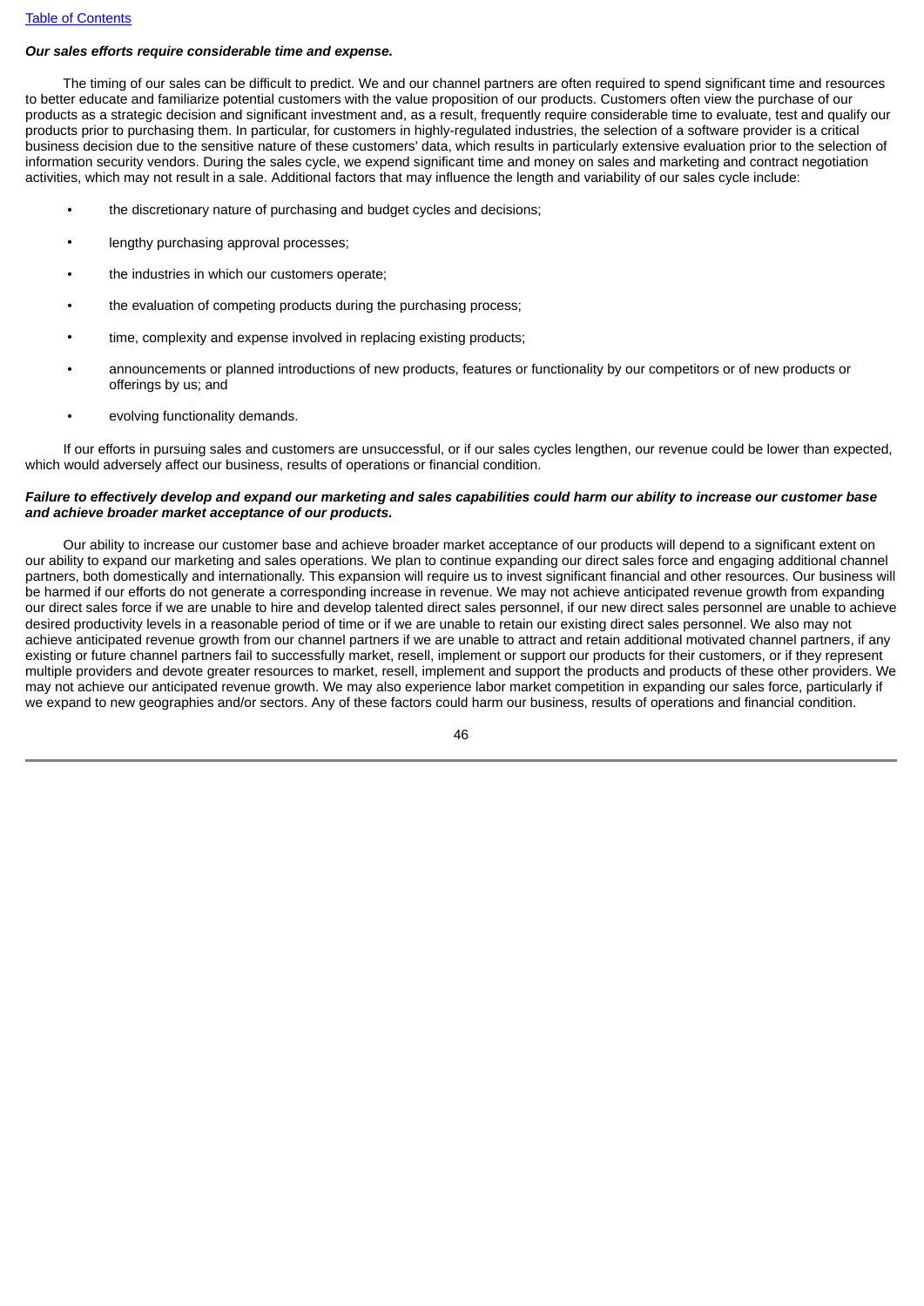# *Our sales efforts require considerable time and expense.*

 The timing of our sales can be difficult to predict. We and our channel partners are often required to spend significant time and resources to better educate and familiarize potential customers with the value proposition of our products. Customers often view the purchase of our products as a strategic decision and significant investment and, as a result, frequently require considerable time to evaluate, test and qualify our products prior to purchasing them. In particular, for customers in highly-regulated industries, the selection of a software provider is a critical business decision due to the sensitive nature of these customers' data, which results in particularly extensive evaluation prior to the selection of information security vendors. During the sales cycle, we expend significant time and money on sales and marketing and contract negotiation activities, which may not result in a sale. Additional factors that may influence the length and variability of our sales cycle include:

- the discretionary nature of purchasing and budget cycles and decisions;
- lengthy purchasing approval processes;
- the industries in which our customers operate;
- the evaluation of competing products during the purchasing process;
- time, complexity and expense involved in replacing existing products;
- announcements or planned introductions of new products, features or functionality by our competitors or of new products or offerings by us; and
- evolving functionality demands.

 If our efforts in pursuing sales and customers are unsuccessful, or if our sales cycles lengthen, our revenue could be lower than expected, which would adversely affect our business, results of operations or financial condition.

# *Failure to effectively develop and expand our marketing and sales capabilities could harm our ability to increase our customer base and achieve broader market acceptance of our products.*

 Our ability to increase our customer base and achieve broader market acceptance of our products will depend to a significant extent on our ability to expand our marketing and sales operations. We plan to continue expanding our direct sales force and engaging additional channel partners, both domestically and internationally. This expansion will require us to invest significant financial and other resources. Our business will be harmed if our efforts do not generate a corresponding increase in revenue. We may not achieve anticipated revenue growth from expanding our direct sales force if we are unable to hire and develop talented direct sales personnel, if our new direct sales personnel are unable to achieve desired productivity levels in a reasonable period of time or if we are unable to retain our existing direct sales personnel. We also may not achieve anticipated revenue growth from our channel partners if we are unable to attract and retain additional motivated channel partners, if any existing or future channel partners fail to successfully market, resell, implement or support our products for their customers, or if they represent multiple providers and devote greater resources to market, resell, implement and support the products and products of these other providers. We may not achieve our anticipated revenue growth. We may also experience labor market competition in expanding our sales force, particularly if we expand to new geographies and/or sectors. Any of these factors could harm our business, results of operations and financial condition.

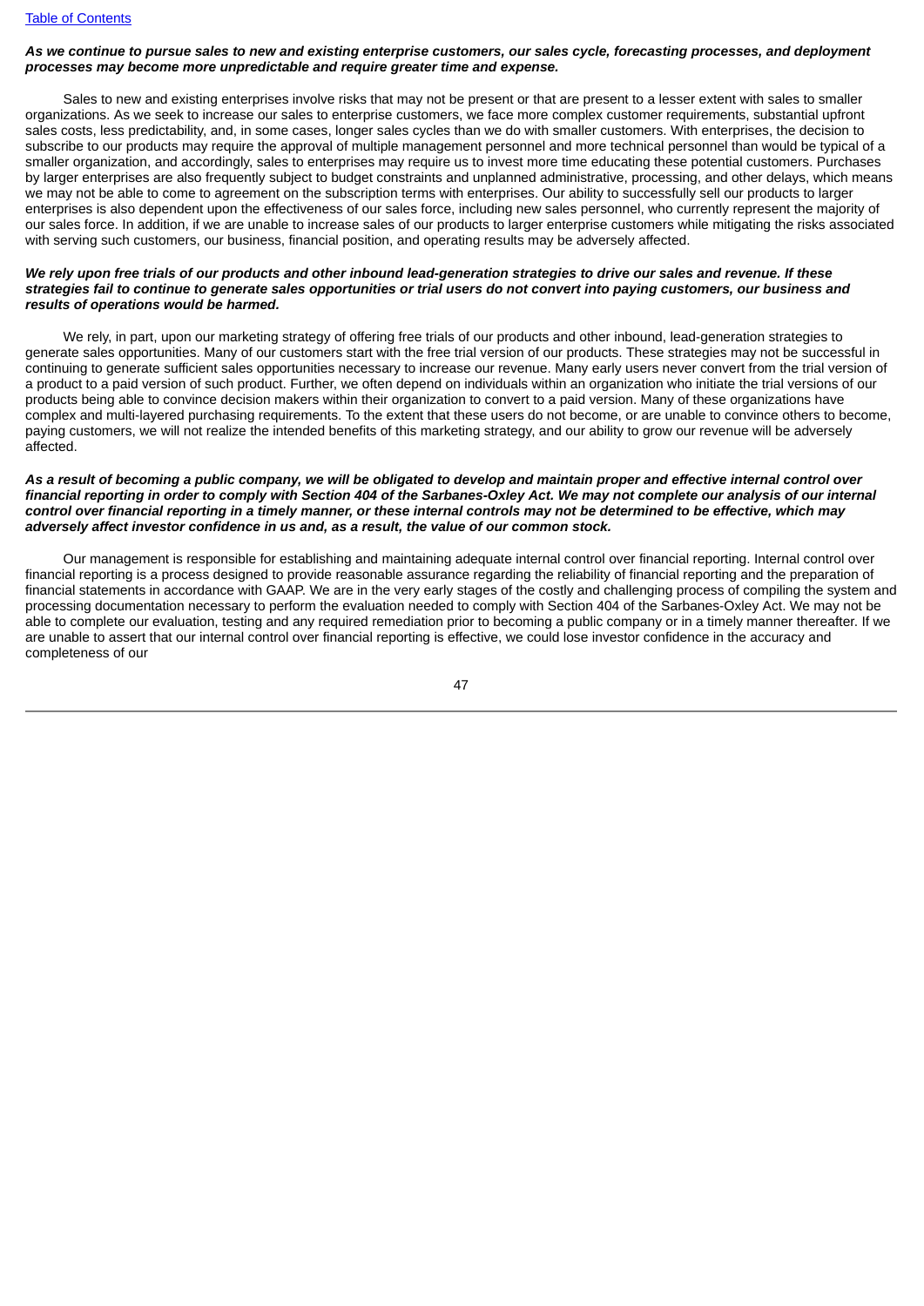### *As we continue to pursue sales to new and existing enterprise customers, our sales cycle, forecasting processes, and deployment processes may become more unpredictable and require greater time and expense.*

 Sales to new and existing enterprises involve risks that may not be present or that are present to a lesser extent with sales to smaller organizations. As we seek to increase our sales to enterprise customers, we face more complex customer requirements, substantial upfront sales costs, less predictability, and, in some cases, longer sales cycles than we do with smaller customers. With enterprises, the decision to subscribe to our products may require the approval of multiple management personnel and more technical personnel than would be typical of a smaller organization, and accordingly, sales to enterprises may require us to invest more time educating these potential customers. Purchases by larger enterprises are also frequently subject to budget constraints and unplanned administrative, processing, and other delays, which means we may not be able to come to agreement on the subscription terms with enterprises. Our ability to successfully sell our products to larger enterprises is also dependent upon the effectiveness of our sales force, including new sales personnel, who currently represent the majority of our sales force. In addition, if we are unable to increase sales of our products to larger enterprise customers while mitigating the risks associated with serving such customers, our business, financial position, and operating results may be adversely affected.

# *We rely upon free trials of our products and other inbound lead-generation strategies to drive our sales and revenue. If these strategies fail to continue to generate sales opportunities or trial users do not convert into paying customers, our business and results of operations would be harmed.*

 We rely, in part, upon our marketing strategy of offering free trials of our products and other inbound, lead-generation strategies to generate sales opportunities. Many of our customers start with the free trial version of our products. These strategies may not be successful in continuing to generate sufficient sales opportunities necessary to increase our revenue. Many early users never convert from the trial version of a product to a paid version of such product. Further, we often depend on individuals within an organization who initiate the trial versions of our products being able to convince decision makers within their organization to convert to a paid version. Many of these organizations have complex and multi-layered purchasing requirements. To the extent that these users do not become, or are unable to convince others to become, paying customers, we will not realize the intended benefits of this marketing strategy, and our ability to grow our revenue will be adversely affected.

### *As a result of becoming a public company, we will be obligated to develop and maintain proper and effective internal control over financial reporting in order to comply with Section 404 of the Sarbanes-Oxley Act. We may not complete our analysis of our internal control over financial reporting in a timely manner, or these internal controls may not be determined to be effective, which may adversely affect investor confidence in us and, as a result, the value of our common stock.*

 Our management is responsible for establishing and maintaining adequate internal control over financial reporting. Internal control over financial reporting is a process designed to provide reasonable assurance regarding the reliability of financial reporting and the preparation of financial statements in accordance with GAAP. We are in the very early stages of the costly and challenging process of compiling the system and processing documentation necessary to perform the evaluation needed to comply with Section 404 of the Sarbanes-Oxley Act. We may not be able to complete our evaluation, testing and any required remediation prior to becoming a public company or in a timely manner thereafter. If we are unable to assert that our internal control over financial reporting is effective, we could lose investor confidence in the accuracy and completeness of our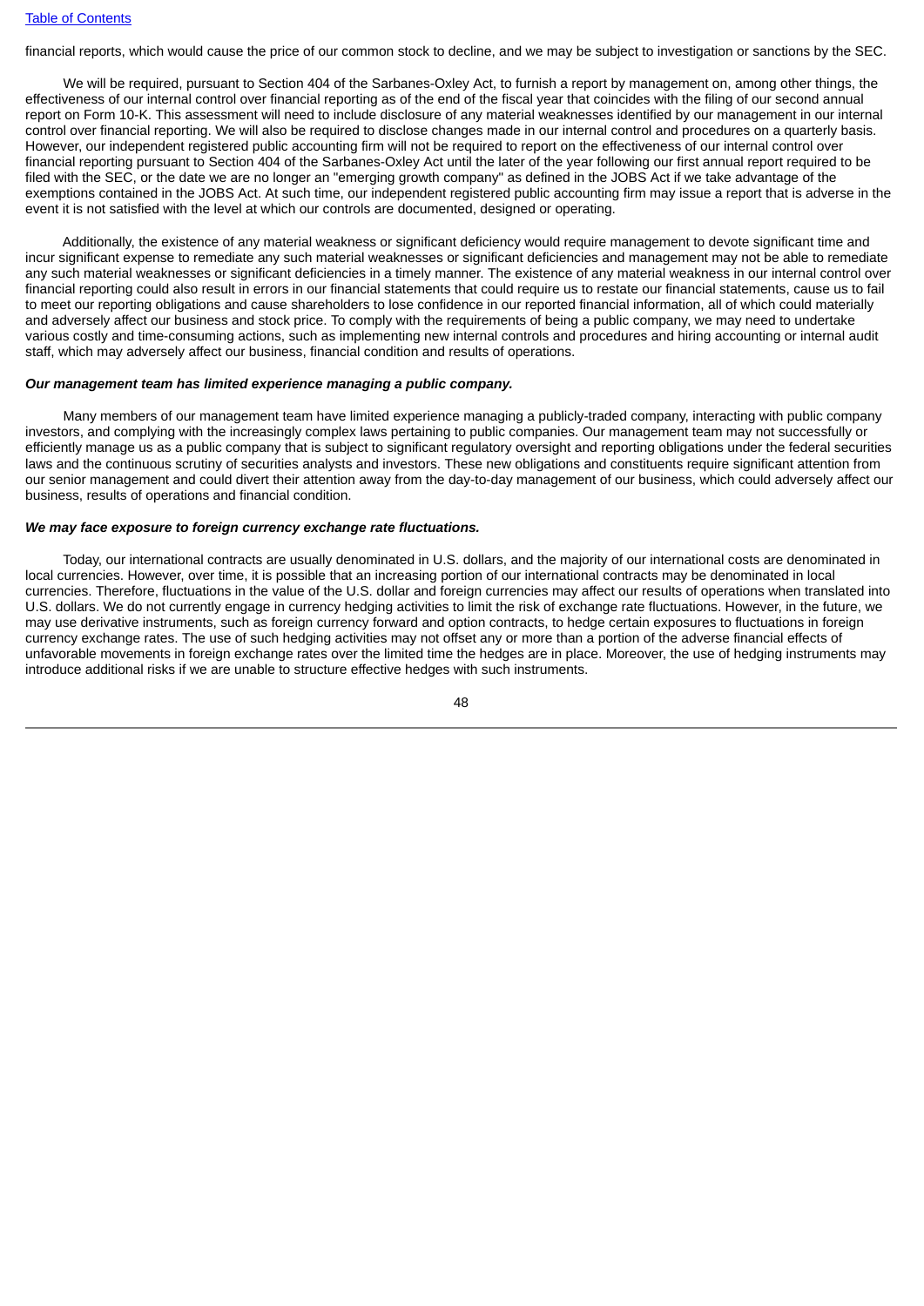financial reports, which would cause the price of our common stock to decline, and we may be subject to investigation or sanctions by the SEC.

We will be required, pursuant to Section 404 of the Sarbanes-Oxley Act, to furnish a report by management on, among other things, the effectiveness of our internal control over financial reporting as of the end of the fiscal year that coincides with the filing of our second annual report on Form 10-K. This assessment will need to include disclosure of any material weaknesses identified by our management in our internal control over financial reporting. We will also be required to disclose changes made in our internal control and procedures on a quarterly basis. However, our independent registered public accounting firm will not be required to report on the effectiveness of our internal control over financial reporting pursuant to Section 404 of the Sarbanes-Oxley Act until the later of the year following our first annual report required to be filed with the SEC, or the date we are no longer an "emerging growth company" as defined in the JOBS Act if we take advantage of the exemptions contained in the JOBS Act. At such time, our independent registered public accounting firm may issue a report that is adverse in the event it is not satisfied with the level at which our controls are documented, designed or operating.

 Additionally, the existence of any material weakness or significant deficiency would require management to devote significant time and incur significant expense to remediate any such material weaknesses or significant deficiencies and management may not be able to remediate any such material weaknesses or significant deficiencies in a timely manner. The existence of any material weakness in our internal control over financial reporting could also result in errors in our financial statements that could require us to restate our financial statements, cause us to fail to meet our reporting obligations and cause shareholders to lose confidence in our reported financial information, all of which could materially and adversely affect our business and stock price. To comply with the requirements of being a public company, we may need to undertake various costly and time-consuming actions, such as implementing new internal controls and procedures and hiring accounting or internal audit staff, which may adversely affect our business, financial condition and results of operations.

### *Our management team has limited experience managing a public company.*

 Many members of our management team have limited experience managing a publicly-traded company, interacting with public company investors, and complying with the increasingly complex laws pertaining to public companies. Our management team may not successfully or efficiently manage us as a public company that is subject to significant regulatory oversight and reporting obligations under the federal securities laws and the continuous scrutiny of securities analysts and investors. These new obligations and constituents require significant attention from our senior management and could divert their attention away from the day-to-day management of our business, which could adversely affect our business, results of operations and financial condition.

### *We may face exposure to foreign currency exchange rate fluctuations.*

 Today, our international contracts are usually denominated in U.S. dollars, and the majority of our international costs are denominated in local currencies. However, over time, it is possible that an increasing portion of our international contracts may be denominated in local currencies. Therefore, fluctuations in the value of the U.S. dollar and foreign currencies may affect our results of operations when translated into U.S. dollars. We do not currently engage in currency hedging activities to limit the risk of exchange rate fluctuations. However, in the future, we may use derivative instruments, such as foreign currency forward and option contracts, to hedge certain exposures to fluctuations in foreign currency exchange rates. The use of such hedging activities may not offset any or more than a portion of the adverse financial effects of unfavorable movements in foreign exchange rates over the limited time the hedges are in place. Moreover, the use of hedging instruments may introduce additional risks if we are unable to structure effective hedges with such instruments.

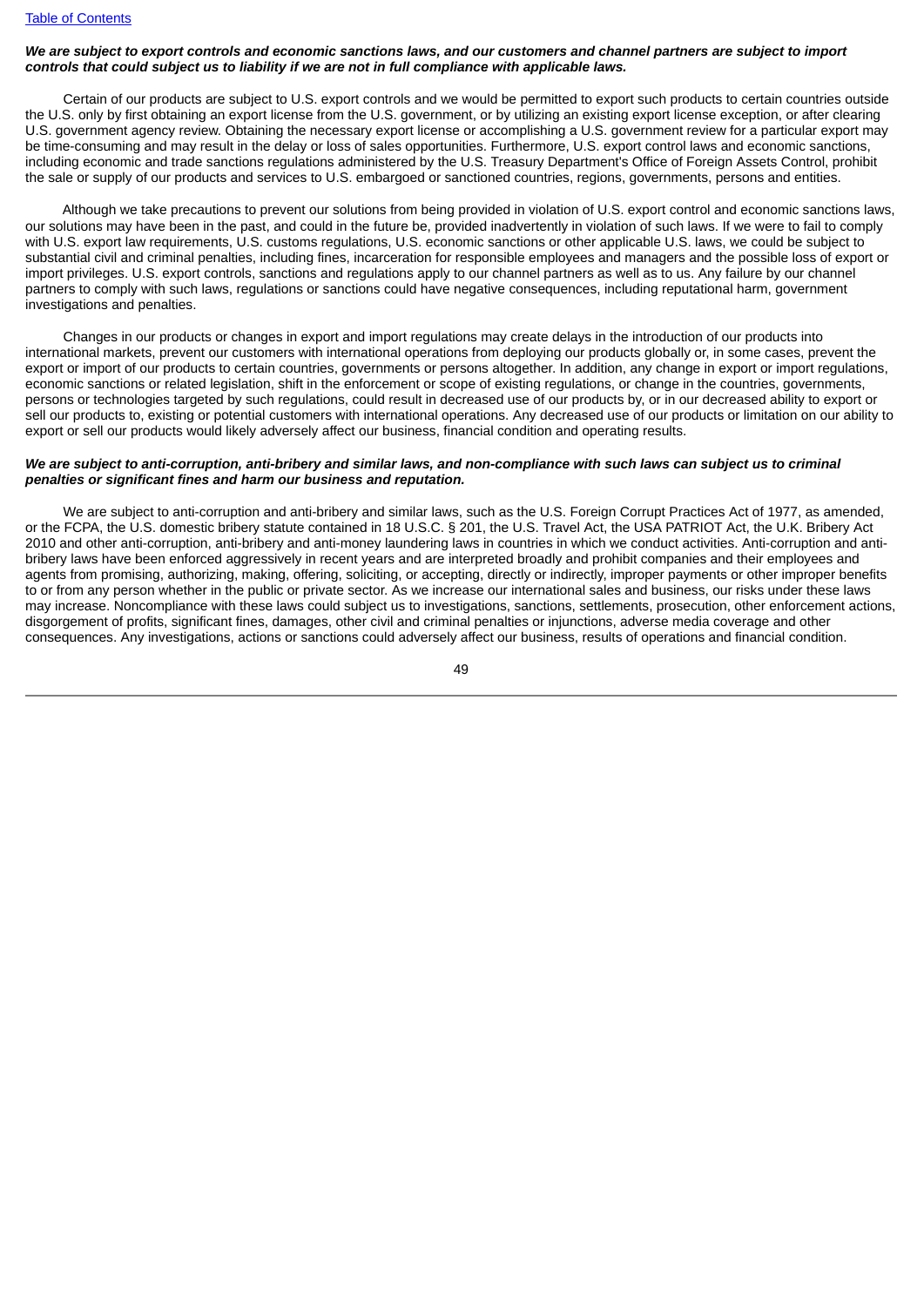## *We are subject to export controls and economic sanctions laws, and our customers and channel partners are subject to import controls that could subject us to liability if we are not in full compliance with applicable laws.*

 Certain of our products are subject to U.S. export controls and we would be permitted to export such products to certain countries outside the U.S. only by first obtaining an export license from the U.S. government, or by utilizing an existing export license exception, or after clearing U.S. government agency review. Obtaining the necessary export license or accomplishing a U.S. government review for a particular export may be time-consuming and may result in the delay or loss of sales opportunities. Furthermore, U.S. export control laws and economic sanctions, including economic and trade sanctions regulations administered by the U.S. Treasury Department's Office of Foreign Assets Control, prohibit the sale or supply of our products and services to U.S. embargoed or sanctioned countries, regions, governments, persons and entities.

 Although we take precautions to prevent our solutions from being provided in violation of U.S. export control and economic sanctions laws, our solutions may have been in the past, and could in the future be, provided inadvertently in violation of such laws. If we were to fail to comply with U.S. export law requirements, U.S. customs regulations, U.S. economic sanctions or other applicable U.S. laws, we could be subject to substantial civil and criminal penalties, including fines, incarceration for responsible employees and managers and the possible loss of export or import privileges. U.S. export controls, sanctions and regulations apply to our channel partners as well as to us. Any failure by our channel partners to comply with such laws, regulations or sanctions could have negative consequences, including reputational harm, government investigations and penalties.

 Changes in our products or changes in export and import regulations may create delays in the introduction of our products into international markets, prevent our customers with international operations from deploying our products globally or, in some cases, prevent the export or import of our products to certain countries, governments or persons altogether. In addition, any change in export or import regulations, economic sanctions or related legislation, shift in the enforcement or scope of existing regulations, or change in the countries, governments, persons or technologies targeted by such regulations, could result in decreased use of our products by, or in our decreased ability to export or sell our products to, existing or potential customers with international operations. Any decreased use of our products or limitation on our ability to export or sell our products would likely adversely affect our business, financial condition and operating results.

### *We are subject to anti-corruption, anti-bribery and similar laws, and non-compliance with such laws can subject us to criminal penalties or significant fines and harm our business and reputation.*

 We are subject to anti-corruption and anti-bribery and similar laws, such as the U.S. Foreign Corrupt Practices Act of 1977, as amended, or the FCPA, the U.S. domestic bribery statute contained in 18 U.S.C. § 201, the U.S. Travel Act, the USA PATRIOT Act, the U.K. Bribery Act 2010 and other anti-corruption, anti-bribery and anti-money laundering laws in countries in which we conduct activities. Anti-corruption and antibribery laws have been enforced aggressively in recent years and are interpreted broadly and prohibit companies and their employees and agents from promising, authorizing, making, offering, soliciting, or accepting, directly or indirectly, improper payments or other improper benefits to or from any person whether in the public or private sector. As we increase our international sales and business, our risks under these laws may increase. Noncompliance with these laws could subject us to investigations, sanctions, settlements, prosecution, other enforcement actions, disgorgement of profits, significant fines, damages, other civil and criminal penalties or injunctions, adverse media coverage and other consequences. Any investigations, actions or sanctions could adversely affect our business, results of operations and financial condition.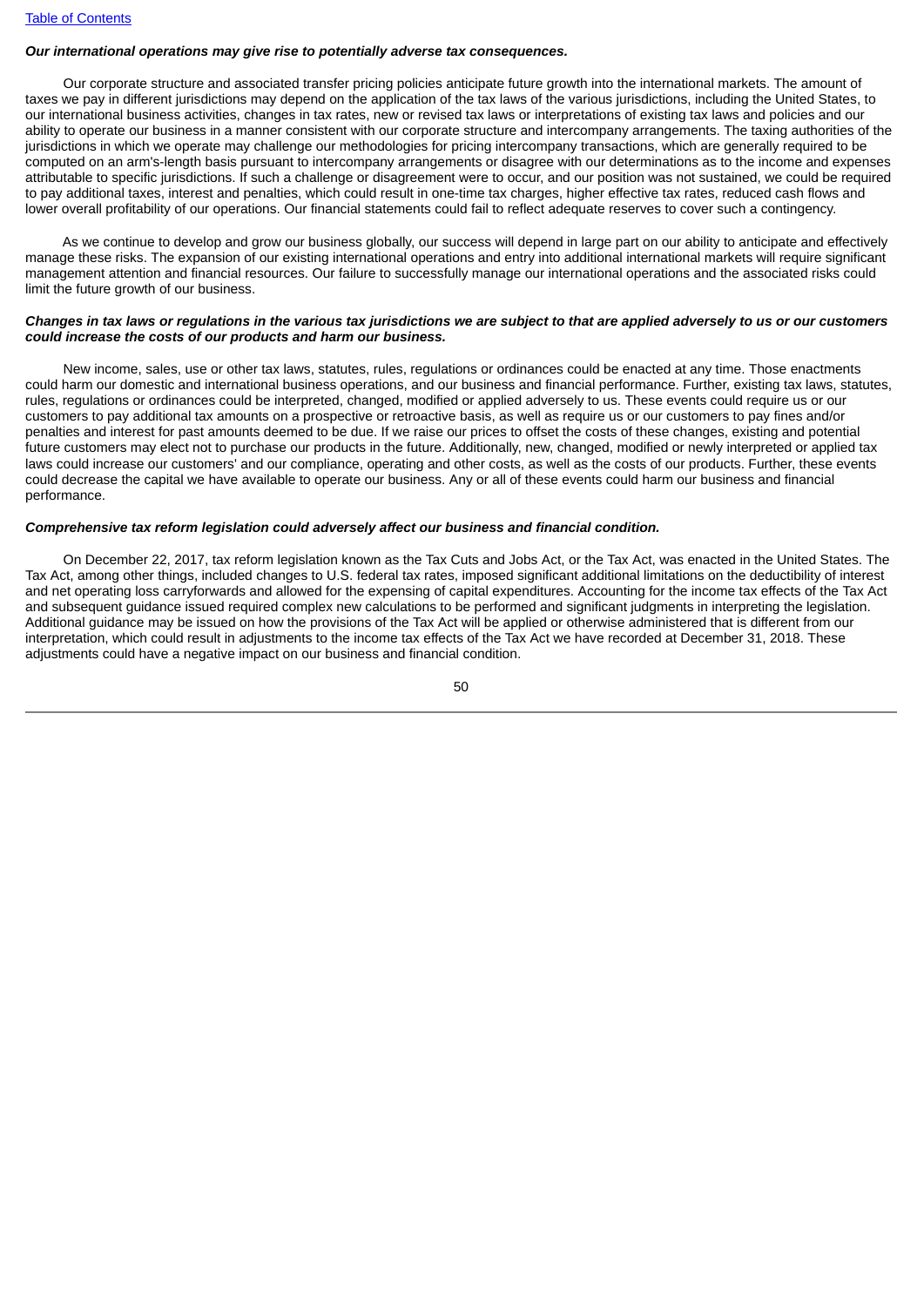# *Our international operations may give rise to potentially adverse tax consequences.*

 Our corporate structure and associated transfer pricing policies anticipate future growth into the international markets. The amount of taxes we pay in different jurisdictions may depend on the application of the tax laws of the various jurisdictions, including the United States, to our international business activities, changes in tax rates, new or revised tax laws or interpretations of existing tax laws and policies and our ability to operate our business in a manner consistent with our corporate structure and intercompany arrangements. The taxing authorities of the jurisdictions in which we operate may challenge our methodologies for pricing intercompany transactions, which are generally required to be computed on an arm's-length basis pursuant to intercompany arrangements or disagree with our determinations as to the income and expenses attributable to specific jurisdictions. If such a challenge or disagreement were to occur, and our position was not sustained, we could be required to pay additional taxes, interest and penalties, which could result in one-time tax charges, higher effective tax rates, reduced cash flows and lower overall profitability of our operations. Our financial statements could fail to reflect adequate reserves to cover such a contingency.

 As we continue to develop and grow our business globally, our success will depend in large part on our ability to anticipate and effectively manage these risks. The expansion of our existing international operations and entry into additional international markets will require significant management attention and financial resources. Our failure to successfully manage our international operations and the associated risks could limit the future growth of our business.

# *Changes in tax laws or regulations in the various tax jurisdictions we are subject to that are applied adversely to us or our customers could increase the costs of our products and harm our business.*

 New income, sales, use or other tax laws, statutes, rules, regulations or ordinances could be enacted at any time. Those enactments could harm our domestic and international business operations, and our business and financial performance. Further, existing tax laws, statutes, rules, regulations or ordinances could be interpreted, changed, modified or applied adversely to us. These events could require us or our customers to pay additional tax amounts on a prospective or retroactive basis, as well as require us or our customers to pay fines and/or penalties and interest for past amounts deemed to be due. If we raise our prices to offset the costs of these changes, existing and potential future customers may elect not to purchase our products in the future. Additionally, new, changed, modified or newly interpreted or applied tax laws could increase our customers' and our compliance, operating and other costs, as well as the costs of our products. Further, these events could decrease the capital we have available to operate our business. Any or all of these events could harm our business and financial performance.

# *Comprehensive tax reform legislation could adversely affect our business and financial condition.*

 On December 22, 2017, tax reform legislation known as the Tax Cuts and Jobs Act, or the Tax Act, was enacted in the United States. The Tax Act, among other things, included changes to U.S. federal tax rates, imposed significant additional limitations on the deductibility of interest and net operating loss carryforwards and allowed for the expensing of capital expenditures. Accounting for the income tax effects of the Tax Act and subsequent guidance issued required complex new calculations to be performed and significant judgments in interpreting the legislation. Additional guidance may be issued on how the provisions of the Tax Act will be applied or otherwise administered that is different from our interpretation, which could result in adjustments to the income tax effects of the Tax Act we have recorded at December 31, 2018. These adjustments could have a negative impact on our business and financial condition.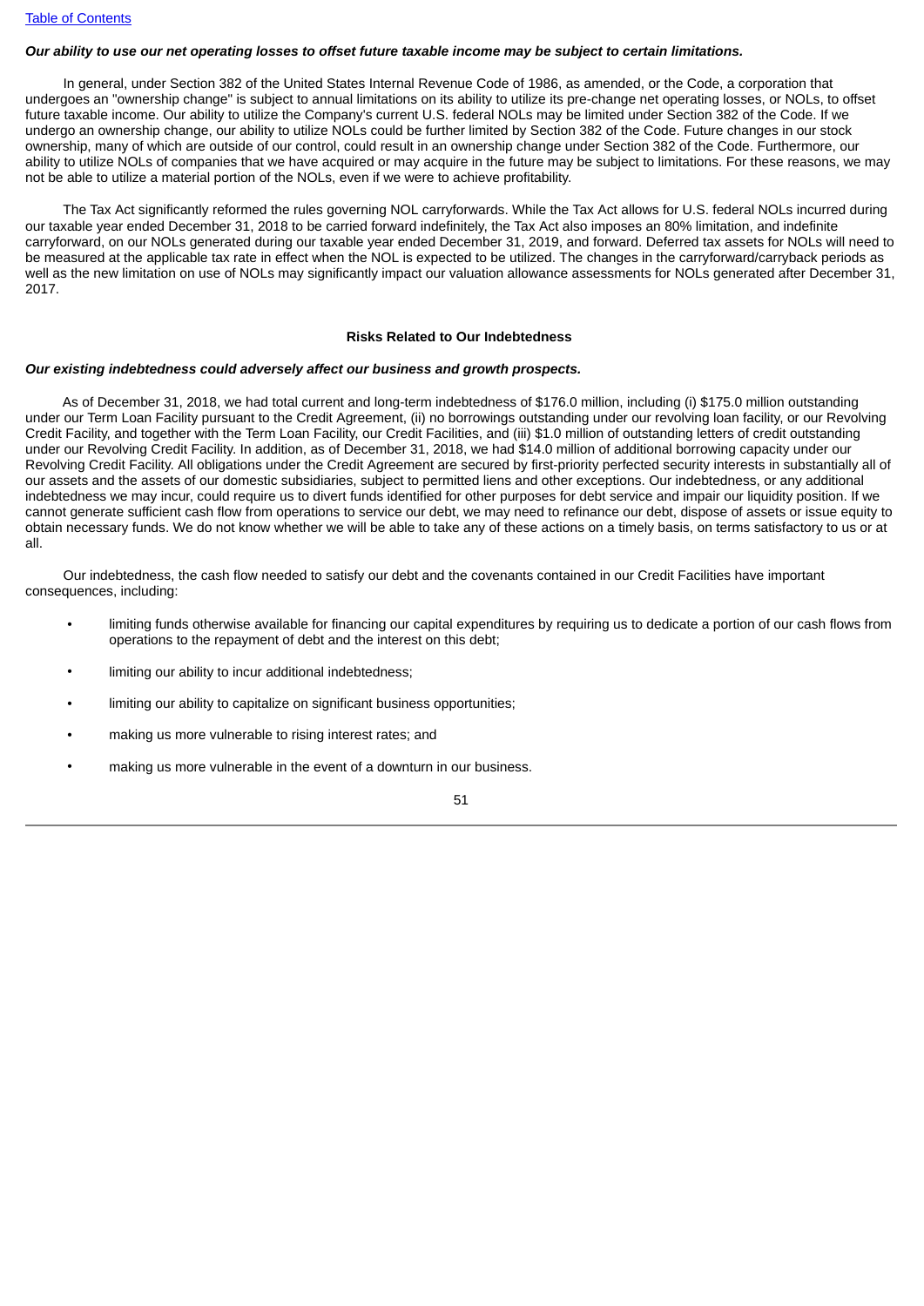# *Our ability to use our net operating losses to offset future taxable income may be subject to certain limitations.*

 In general, under Section 382 of the United States Internal Revenue Code of 1986, as amended, or the Code, a corporation that undergoes an "ownership change" is subject to annual limitations on its ability to utilize its pre-change net operating losses, or NOLs, to offset future taxable income. Our ability to utilize the Company's current U.S. federal NOLs may be limited under Section 382 of the Code. If we undergo an ownership change, our ability to utilize NOLs could be further limited by Section 382 of the Code. Future changes in our stock ownership, many of which are outside of our control, could result in an ownership change under Section 382 of the Code. Furthermore, our ability to utilize NOLs of companies that we have acquired or may acquire in the future may be subject to limitations. For these reasons, we may not be able to utilize a material portion of the NOLs, even if we were to achieve profitability.

 The Tax Act significantly reformed the rules governing NOL carryforwards. While the Tax Act allows for U.S. federal NOLs incurred during our taxable year ended December 31, 2018 to be carried forward indefinitely, the Tax Act also imposes an 80% limitation, and indefinite carryforward, on our NOLs generated during our taxable year ended December 31, 2019, and forward. Deferred tax assets for NOLs will need to be measured at the applicable tax rate in effect when the NOL is expected to be utilized. The changes in the carryforward/carryback periods as well as the new limitation on use of NOLs may significantly impact our valuation allowance assessments for NOLs generated after December 31, 2017.

# **Risks Related to Our Indebtedness**

# *Our existing indebtedness could adversely affect our business and growth prospects.*

 As of December 31, 2018, we had total current and long-term indebtedness of \$176.0 million, including (i) \$175.0 million outstanding under our Term Loan Facility pursuant to the Credit Agreement, (ii) no borrowings outstanding under our revolving loan facility, or our Revolving Credit Facility, and together with the Term Loan Facility, our Credit Facilities, and (iii) \$1.0 million of outstanding letters of credit outstanding under our Revolving Credit Facility. In addition, as of December 31, 2018, we had \$14.0 million of additional borrowing capacity under our Revolving Credit Facility. All obligations under the Credit Agreement are secured by first-priority perfected security interests in substantially all of our assets and the assets of our domestic subsidiaries, subject to permitted liens and other exceptions. Our indebtedness, or any additional indebtedness we may incur, could require us to divert funds identified for other purposes for debt service and impair our liquidity position. If we cannot generate sufficient cash flow from operations to service our debt, we may need to refinance our debt, dispose of assets or issue equity to obtain necessary funds. We do not know whether we will be able to take any of these actions on a timely basis, on terms satisfactory to us or at all.

 Our indebtedness, the cash flow needed to satisfy our debt and the covenants contained in our Credit Facilities have important consequences, including:

- limiting funds otherwise available for financing our capital expenditures by requiring us to dedicate a portion of our cash flows from operations to the repayment of debt and the interest on this debt;
- limiting our ability to incur additional indebtedness;
- limiting our ability to capitalize on significant business opportunities;
- making us more vulnerable to rising interest rates; and
- making us more vulnerable in the event of a downturn in our business.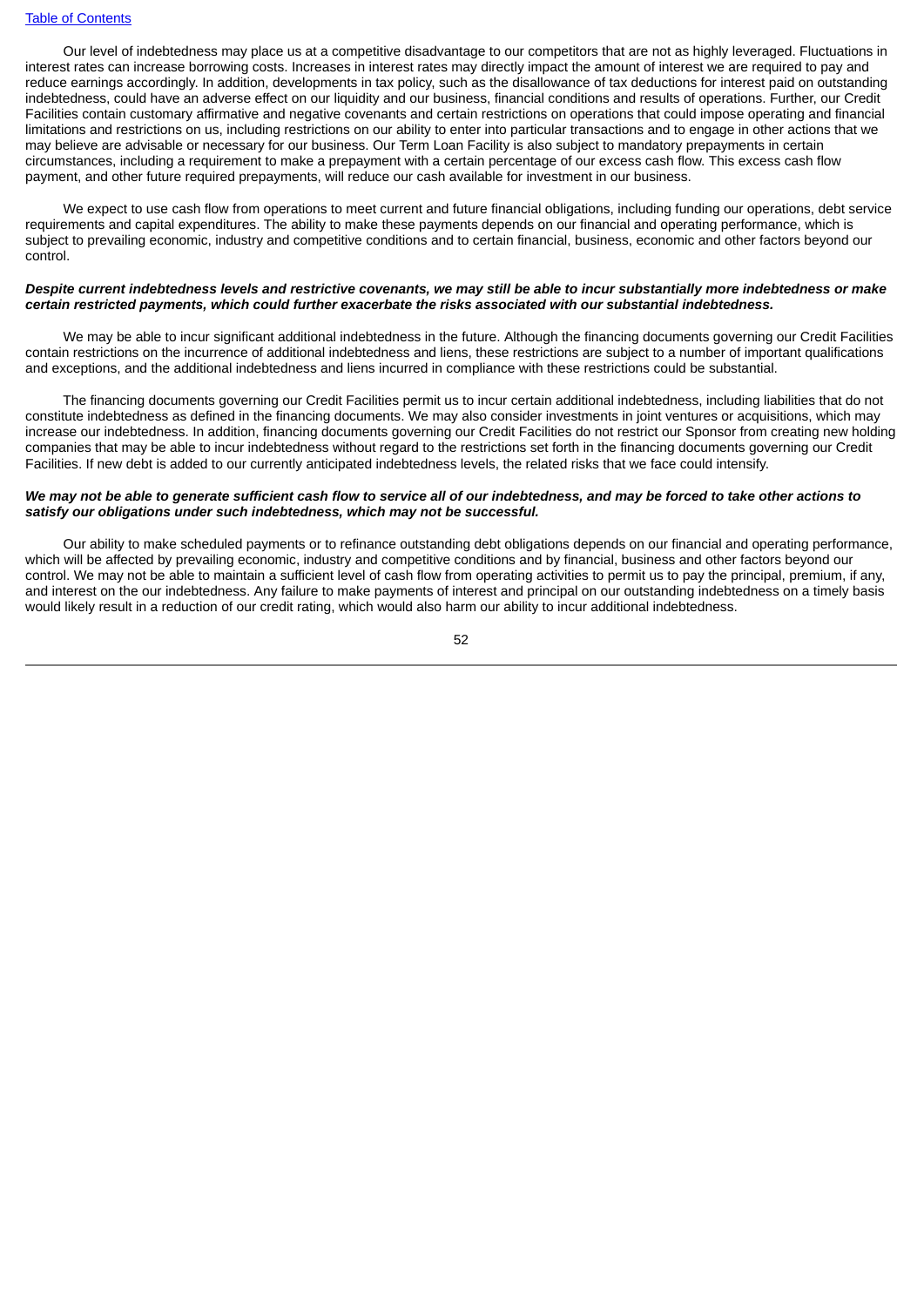Our level of indebtedness may place us at a competitive disadvantage to our competitors that are not as highly leveraged. Fluctuations in interest rates can increase borrowing costs. Increases in interest rates may directly impact the amount of interest we are required to pay and reduce earnings accordingly. In addition, developments in tax policy, such as the disallowance of tax deductions for interest paid on outstanding indebtedness, could have an adverse effect on our liquidity and our business, financial conditions and results of operations. Further, our Credit Facilities contain customary affirmative and negative covenants and certain restrictions on operations that could impose operating and financial limitations and restrictions on us, including restrictions on our ability to enter into particular transactions and to engage in other actions that we may believe are advisable or necessary for our business. Our Term Loan Facility is also subject to mandatory prepayments in certain circumstances, including a requirement to make a prepayment with a certain percentage of our excess cash flow. This excess cash flow payment, and other future required prepayments, will reduce our cash available for investment in our business.

 We expect to use cash flow from operations to meet current and future financial obligations, including funding our operations, debt service requirements and capital expenditures. The ability to make these payments depends on our financial and operating performance, which is subject to prevailing economic, industry and competitive conditions and to certain financial, business, economic and other factors beyond our control.

## *Despite current indebtedness levels and restrictive covenants, we may still be able to incur substantially more indebtedness or make certain restricted payments, which could further exacerbate the risks associated with our substantial indebtedness.*

We may be able to incur significant additional indebtedness in the future. Although the financing documents governing our Credit Facilities contain restrictions on the incurrence of additional indebtedness and liens, these restrictions are subject to a number of important qualifications and exceptions, and the additional indebtedness and liens incurred in compliance with these restrictions could be substantial.

 The financing documents governing our Credit Facilities permit us to incur certain additional indebtedness, including liabilities that do not constitute indebtedness as defined in the financing documents. We may also consider investments in joint ventures or acquisitions, which may increase our indebtedness. In addition, financing documents governing our Credit Facilities do not restrict our Sponsor from creating new holding companies that may be able to incur indebtedness without regard to the restrictions set forth in the financing documents governing our Credit Facilities. If new debt is added to our currently anticipated indebtedness levels, the related risks that we face could intensify.

## *We may not be able to generate sufficient cash flow to service all of our indebtedness, and may be forced to take other actions to satisfy our obligations under such indebtedness, which may not be successful.*

 Our ability to make scheduled payments or to refinance outstanding debt obligations depends on our financial and operating performance, which will be affected by prevailing economic, industry and competitive conditions and by financial, business and other factors beyond our control. We may not be able to maintain a sufficient level of cash flow from operating activities to permit us to pay the principal, premium, if any, and interest on the our indebtedness. Any failure to make payments of interest and principal on our outstanding indebtedness on a timely basis would likely result in a reduction of our credit rating, which would also harm our ability to incur additional indebtedness.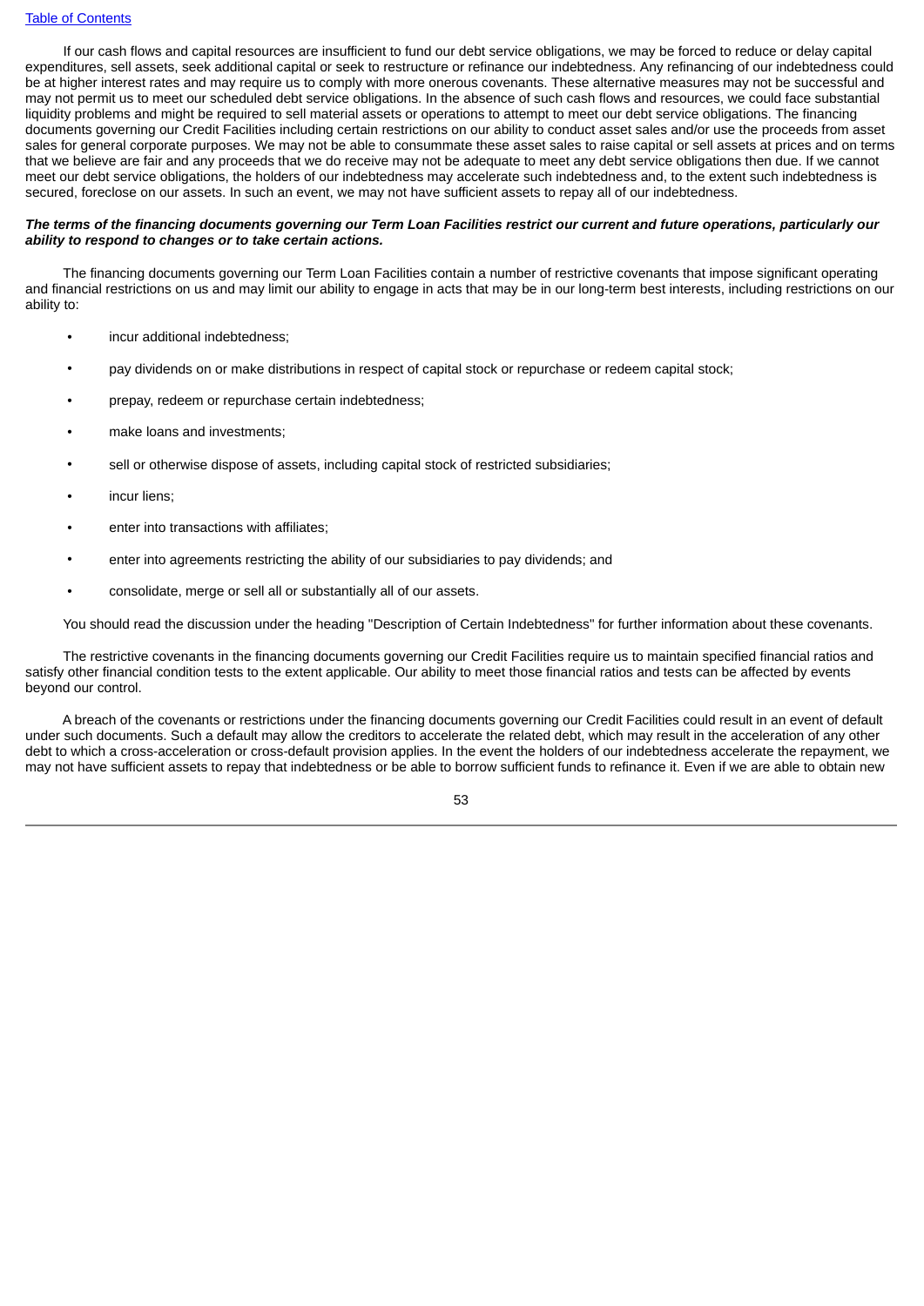#### [Table of Contents](#page-3-0)

 If our cash flows and capital resources are insufficient to fund our debt service obligations, we may be forced to reduce or delay capital expenditures, sell assets, seek additional capital or seek to restructure or refinance our indebtedness. Any refinancing of our indebtedness could be at higher interest rates and may require us to comply with more onerous covenants. These alternative measures may not be successful and may not permit us to meet our scheduled debt service obligations. In the absence of such cash flows and resources, we could face substantial liquidity problems and might be required to sell material assets or operations to attempt to meet our debt service obligations. The financing documents governing our Credit Facilities including certain restrictions on our ability to conduct asset sales and/or use the proceeds from asset sales for general corporate purposes. We may not be able to consummate these asset sales to raise capital or sell assets at prices and on terms that we believe are fair and any proceeds that we do receive may not be adequate to meet any debt service obligations then due. If we cannot meet our debt service obligations, the holders of our indebtedness may accelerate such indebtedness and, to the extent such indebtedness is secured, foreclose on our assets. In such an event, we may not have sufficient assets to repay all of our indebtedness.

# *The terms of the financing documents governing our Term Loan Facilities restrict our current and future operations, particularly our ability to respond to changes or to take certain actions.*

 The financing documents governing our Term Loan Facilities contain a number of restrictive covenants that impose significant operating and financial restrictions on us and may limit our ability to engage in acts that may be in our long-term best interests, including restrictions on our ability to:

- incur additional indebtedness;
- pay dividends on or make distributions in respect of capital stock or repurchase or redeem capital stock;
- prepay, redeem or repurchase certain indebtedness;
- make loans and investments;
- sell or otherwise dispose of assets, including capital stock of restricted subsidiaries;
- incur liens;
- enter into transactions with affiliates;
- enter into agreements restricting the ability of our subsidiaries to pay dividends; and
- consolidate, merge or sell all or substantially all of our assets.

You should read the discussion under the heading "Description of Certain Indebtedness" for further information about these covenants.

 The restrictive covenants in the financing documents governing our Credit Facilities require us to maintain specified financial ratios and satisfy other financial condition tests to the extent applicable. Our ability to meet those financial ratios and tests can be affected by events beyond our control.

 A breach of the covenants or restrictions under the financing documents governing our Credit Facilities could result in an event of default under such documents. Such a default may allow the creditors to accelerate the related debt, which may result in the acceleration of any other debt to which a cross-acceleration or cross-default provision applies. In the event the holders of our indebtedness accelerate the repayment, we may not have sufficient assets to repay that indebtedness or be able to borrow sufficient funds to refinance it. Even if we are able to obtain new

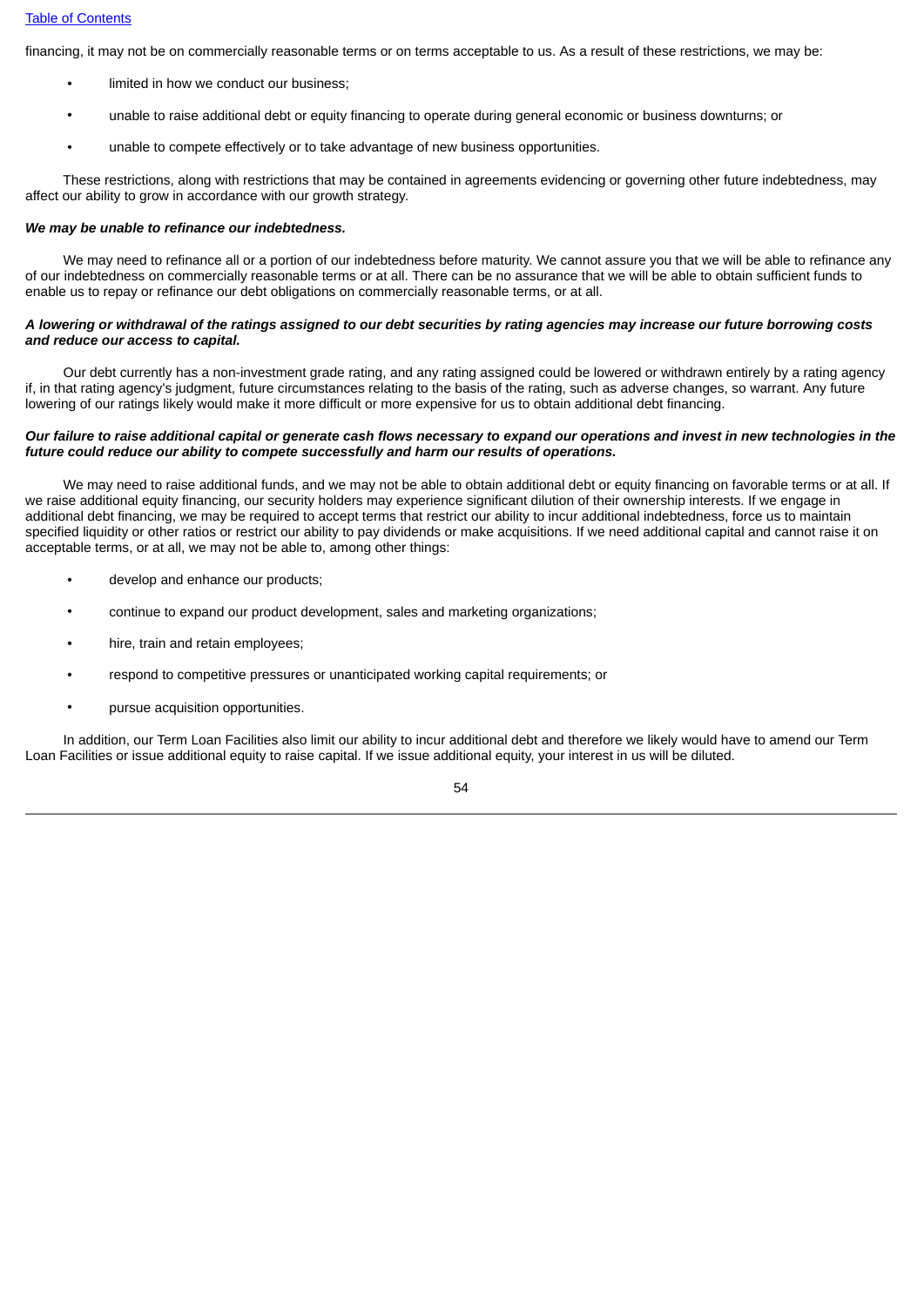financing, it may not be on commercially reasonable terms or on terms acceptable to us. As a result of these restrictions, we may be:

- limited in how we conduct our business:
- unable to raise additional debt or equity financing to operate during general economic or business downturns; or
- unable to compete effectively or to take advantage of new business opportunities.

 These restrictions, along with restrictions that may be contained in agreements evidencing or governing other future indebtedness, may affect our ability to grow in accordance with our growth strategy.

### *We may be unable to refinance our indebtedness.*

 We may need to refinance all or a portion of our indebtedness before maturity. We cannot assure you that we will be able to refinance any of our indebtedness on commercially reasonable terms or at all. There can be no assurance that we will be able to obtain sufficient funds to enable us to repay or refinance our debt obligations on commercially reasonable terms, or at all.

### *A lowering or withdrawal of the ratings assigned to our debt securities by rating agencies may increase our future borrowing costs and reduce our access to capital.*

 Our debt currently has a non-investment grade rating, and any rating assigned could be lowered or withdrawn entirely by a rating agency if, in that rating agency's judgment, future circumstances relating to the basis of the rating, such as adverse changes, so warrant. Any future lowering of our ratings likely would make it more difficult or more expensive for us to obtain additional debt financing.

### *Our failure to raise additional capital or generate cash flows necessary to expand our operations and invest in new technologies in the future could reduce our ability to compete successfully and harm our results of operations.*

We may need to raise additional funds, and we may not be able to obtain additional debt or equity financing on favorable terms or at all. If we raise additional equity financing, our security holders may experience significant dilution of their ownership interests. If we engage in additional debt financing, we may be required to accept terms that restrict our ability to incur additional indebtedness, force us to maintain specified liquidity or other ratios or restrict our ability to pay dividends or make acquisitions. If we need additional capital and cannot raise it on acceptable terms, or at all, we may not be able to, among other things:

- develop and enhance our products;
- continue to expand our product development, sales and marketing organizations;
- hire, train and retain employees;
- respond to competitive pressures or unanticipated working capital requirements; or
- pursue acquisition opportunities.

 In addition, our Term Loan Facilities also limit our ability to incur additional debt and therefore we likely would have to amend our Term Loan Facilities or issue additional equity to raise capital. If we issue additional equity, your interest in us will be diluted.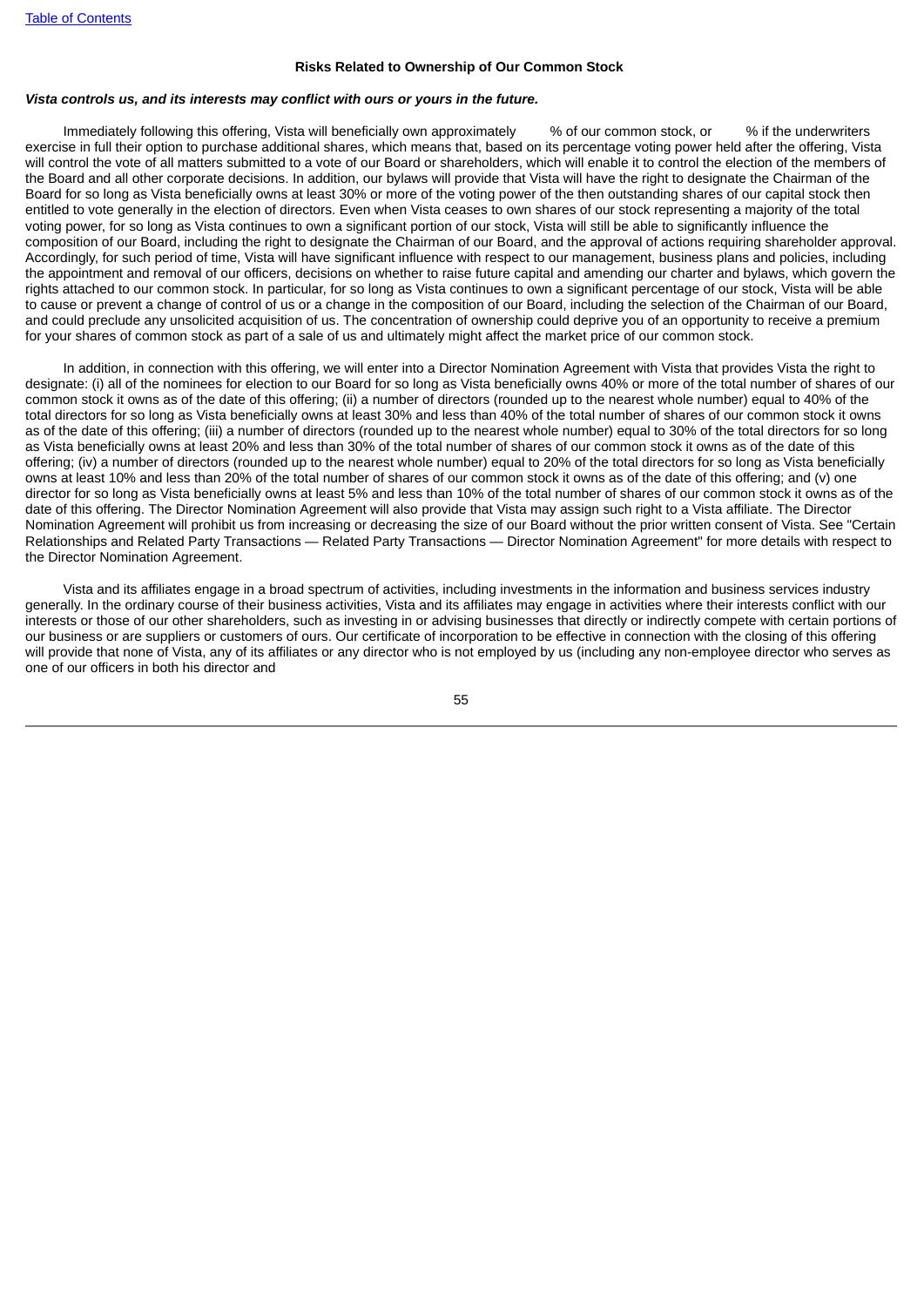### **Risks Related to Ownership of Our Common Stock**

# *Vista controls us, and its interests may conflict with ours or yours in the future.*

Immediately following this offering. Vista will beneficially own approximately % of our common stock, or % if the underwriters exercise in full their option to purchase additional shares, which means that, based on its percentage voting power held after the offering, Vista will control the vote of all matters submitted to a vote of our Board or shareholders, which will enable it to control the election of the members of the Board and all other corporate decisions. In addition, our bylaws will provide that Vista will have the right to designate the Chairman of the Board for so long as Vista beneficially owns at least 30% or more of the voting power of the then outstanding shares of our capital stock then entitled to vote generally in the election of directors. Even when Vista ceases to own shares of our stock representing a majority of the total voting power, for so long as Vista continues to own a significant portion of our stock, Vista will still be able to significantly influence the composition of our Board, including the right to designate the Chairman of our Board, and the approval of actions requiring shareholder approval. Accordingly, for such period of time, Vista will have significant influence with respect to our management, business plans and policies, including the appointment and removal of our officers, decisions on whether to raise future capital and amending our charter and bylaws, which govern the rights attached to our common stock. In particular, for so long as Vista continues to own a significant percentage of our stock, Vista will be able to cause or prevent a change of control of us or a change in the composition of our Board, including the selection of the Chairman of our Board, and could preclude any unsolicited acquisition of us. The concentration of ownership could deprive you of an opportunity to receive a premium for your shares of common stock as part of a sale of us and ultimately might affect the market price of our common stock.

 In addition, in connection with this offering, we will enter into a Director Nomination Agreement with Vista that provides Vista the right to designate: (i) all of the nominees for election to our Board for so long as Vista beneficially owns 40% or more of the total number of shares of our common stock it owns as of the date of this offering; (ii) a number of directors (rounded up to the nearest whole number) equal to 40% of the total directors for so long as Vista beneficially owns at least 30% and less than 40% of the total number of shares of our common stock it owns as of the date of this offering; (iii) a number of directors (rounded up to the nearest whole number) equal to 30% of the total directors for so long as Vista beneficially owns at least 20% and less than 30% of the total number of shares of our common stock it owns as of the date of this offering; (iv) a number of directors (rounded up to the nearest whole number) equal to 20% of the total directors for so long as Vista beneficially owns at least 10% and less than 20% of the total number of shares of our common stock it owns as of the date of this offering; and (v) one director for so long as Vista beneficially owns at least 5% and less than 10% of the total number of shares of our common stock it owns as of the date of this offering. The Director Nomination Agreement will also provide that Vista may assign such right to a Vista affiliate. The Director Nomination Agreement will prohibit us from increasing or decreasing the size of our Board without the prior written consent of Vista. See "Certain Relationships and Related Party Transactions — Related Party Transactions — Director Nomination Agreement" for more details with respect to the Director Nomination Agreement.

 Vista and its affiliates engage in a broad spectrum of activities, including investments in the information and business services industry generally. In the ordinary course of their business activities, Vista and its affiliates may engage in activities where their interests conflict with our interests or those of our other shareholders, such as investing in or advising businesses that directly or indirectly compete with certain portions of our business or are suppliers or customers of ours. Our certificate of incorporation to be effective in connection with the closing of this offering will provide that none of Vista, any of its affiliates or any director who is not employed by us (including any non-employee director who serves as one of our officers in both his director and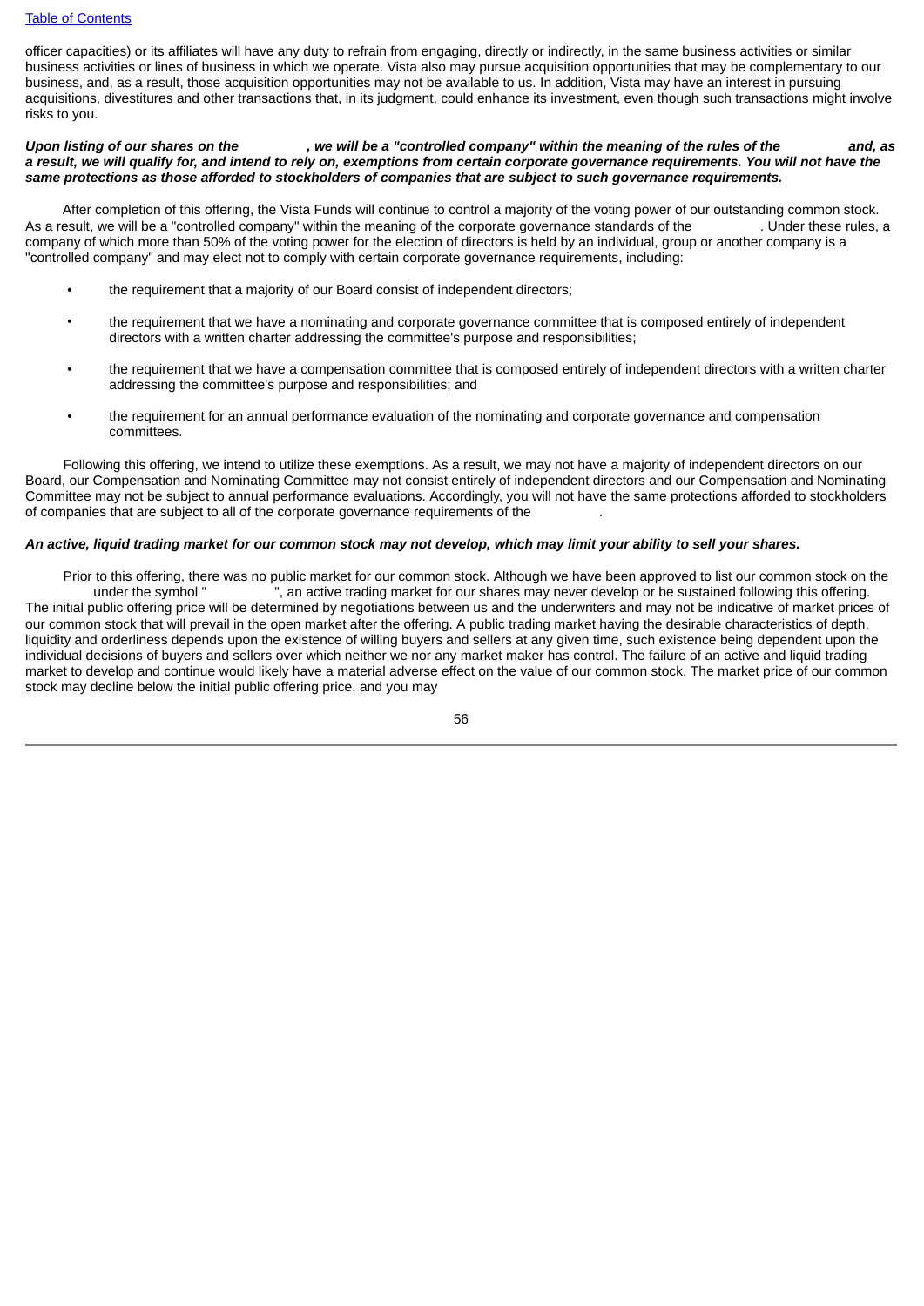### [Table of Contents](#page-3-0)

officer capacities) or its affiliates will have any duty to refrain from engaging, directly or indirectly, in the same business activities or similar business activities or lines of business in which we operate. Vista also may pursue acquisition opportunities that may be complementary to our business, and, as a result, those acquisition opportunities may not be available to us. In addition, Vista may have an interest in pursuing acquisitions, divestitures and other transactions that, in its judgment, could enhance its investment, even though such transactions might involve risks to you.

# *Upon listing of our shares on the , we will be a "controlled company" within the meaning of the rules of the and, as a result, we will qualify for, and intend to rely on, exemptions from certain corporate governance requirements. You will not have the same protections as those afforded to stockholders of companies that are subject to such governance requirements.*

 After completion of this offering, the Vista Funds will continue to control a majority of the voting power of our outstanding common stock. As a result, we will be a "controlled company" within the meaning of the corporate governance standards of the . Under these rules, a company of which more than 50% of the voting power for the election of directors is held by an individual, group or another company is a "controlled company" and may elect not to comply with certain corporate governance requirements, including:

- the requirement that a majority of our Board consist of independent directors:
- the requirement that we have a nominating and corporate governance committee that is composed entirely of independent directors with a written charter addressing the committee's purpose and responsibilities;
- the requirement that we have a compensation committee that is composed entirely of independent directors with a written charter addressing the committee's purpose and responsibilities; and
- the requirement for an annual performance evaluation of the nominating and corporate governance and compensation committees.

 Following this offering, we intend to utilize these exemptions. As a result, we may not have a majority of independent directors on our Board, our Compensation and Nominating Committee may not consist entirely of independent directors and our Compensation and Nominating Committee may not be subject to annual performance evaluations. Accordingly, you will not have the same protections afforded to stockholders of companies that are subject to all of the corporate governance requirements of the .

## *An active, liquid trading market for our common stock may not develop, which may limit your ability to sell your shares.*

 Prior to this offering, there was no public market for our common stock. Although we have been approved to list our common stock on the under the symbol " ", an active trading market for our shares may never develop or be sustained following this offering. The initial public offering price will be determined by negotiations between us and the underwriters and may not be indicative of market prices of our common stock that will prevail in the open market after the offering. A public trading market having the desirable characteristics of depth, liquidity and orderliness depends upon the existence of willing buyers and sellers at any given time, such existence being dependent upon the individual decisions of buyers and sellers over which neither we nor any market maker has control. The failure of an active and liquid trading market to develop and continue would likely have a material adverse effect on the value of our common stock. The market price of our common stock may decline below the initial public offering price, and you may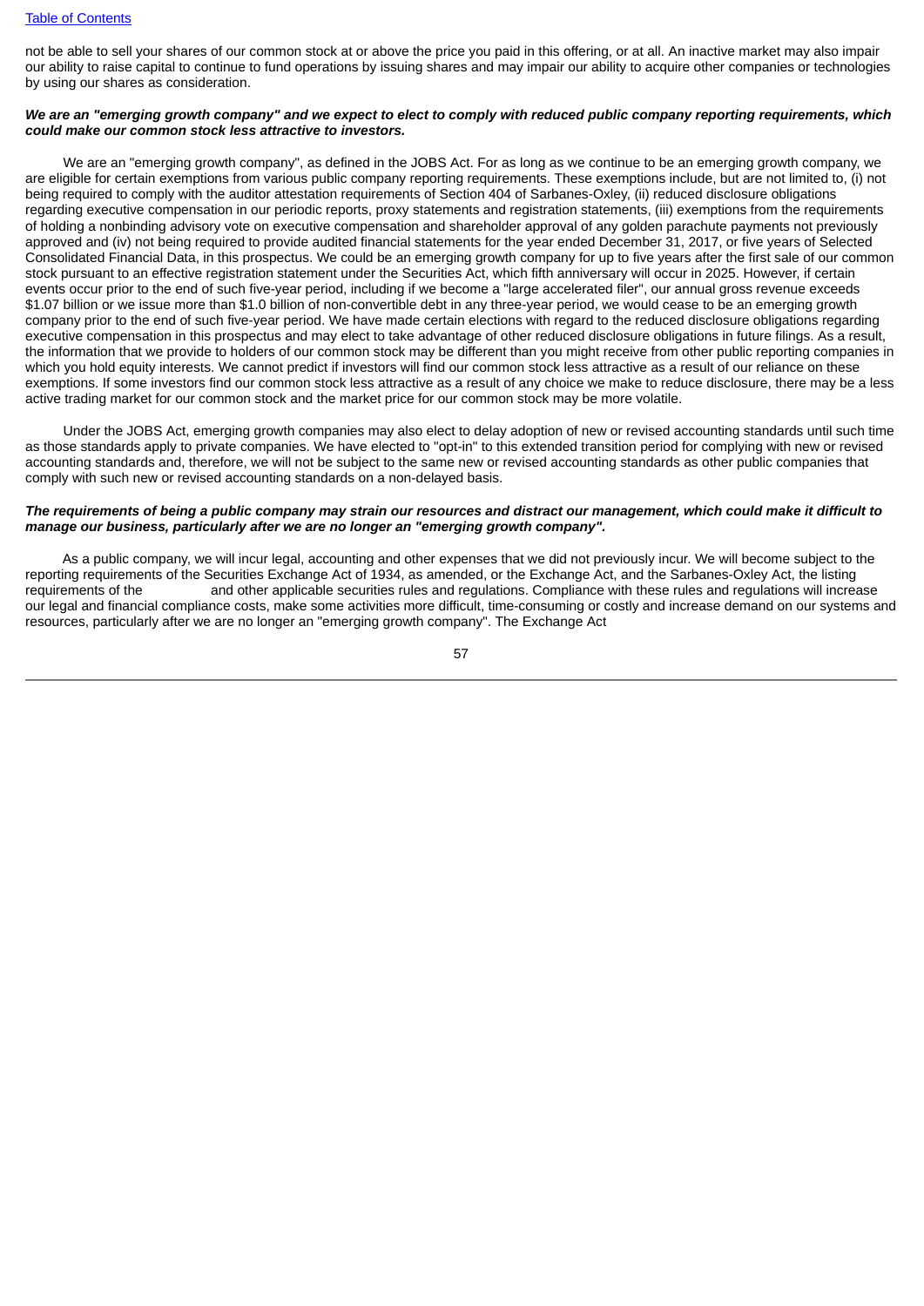### [Table of Contents](#page-3-0)

not be able to sell your shares of our common stock at or above the price you paid in this offering, or at all. An inactive market may also impair our ability to raise capital to continue to fund operations by issuing shares and may impair our ability to acquire other companies or technologies by using our shares as consideration.

### *We are an "emerging growth company" and we expect to elect to comply with reduced public company reporting requirements, which could make our common stock less attractive to investors.*

 We are an "emerging growth company", as defined in the JOBS Act. For as long as we continue to be an emerging growth company, we are eligible for certain exemptions from various public company reporting requirements. These exemptions include, but are not limited to, (i) not being required to comply with the auditor attestation requirements of Section 404 of Sarbanes-Oxley, (ii) reduced disclosure obligations regarding executive compensation in our periodic reports, proxy statements and registration statements, (iii) exemptions from the requirements of holding a nonbinding advisory vote on executive compensation and shareholder approval of any golden parachute payments not previously approved and (iv) not being required to provide audited financial statements for the year ended December 31, 2017, or five years of Selected Consolidated Financial Data, in this prospectus. We could be an emerging growth company for up to five years after the first sale of our common stock pursuant to an effective registration statement under the Securities Act, which fifth anniversary will occur in 2025. However, if certain events occur prior to the end of such five-year period, including if we become a "large accelerated filer", our annual gross revenue exceeds \$1.07 billion or we issue more than \$1.0 billion of non-convertible debt in any three-year period, we would cease to be an emerging growth company prior to the end of such five-year period. We have made certain elections with regard to the reduced disclosure obligations regarding executive compensation in this prospectus and may elect to take advantage of other reduced disclosure obligations in future filings. As a result, the information that we provide to holders of our common stock may be different than you might receive from other public reporting companies in which you hold equity interests. We cannot predict if investors will find our common stock less attractive as a result of our reliance on these exemptions. If some investors find our common stock less attractive as a result of any choice we make to reduce disclosure, there may be a less active trading market for our common stock and the market price for our common stock may be more volatile.

 Under the JOBS Act, emerging growth companies may also elect to delay adoption of new or revised accounting standards until such time as those standards apply to private companies. We have elected to "opt-in" to this extended transition period for complying with new or revised accounting standards and, therefore, we will not be subject to the same new or revised accounting standards as other public companies that comply with such new or revised accounting standards on a non-delayed basis.

### *The requirements of being a public company may strain our resources and distract our management, which could make it difficult to manage our business, particularly after we are no longer an "emerging growth company".*

 As a public company, we will incur legal, accounting and other expenses that we did not previously incur. We will become subject to the reporting requirements of the Securities Exchange Act of 1934, as amended, or the Exchange Act, and the Sarbanes-Oxley Act, the listing requirements of the and other applicable securities rules and regulations. Compliance with these rules and regulations will increase our legal and financial compliance costs, make some activities more difficult, time-consuming or costly and increase demand on our systems and resources, particularly after we are no longer an "emerging growth company". The Exchange Act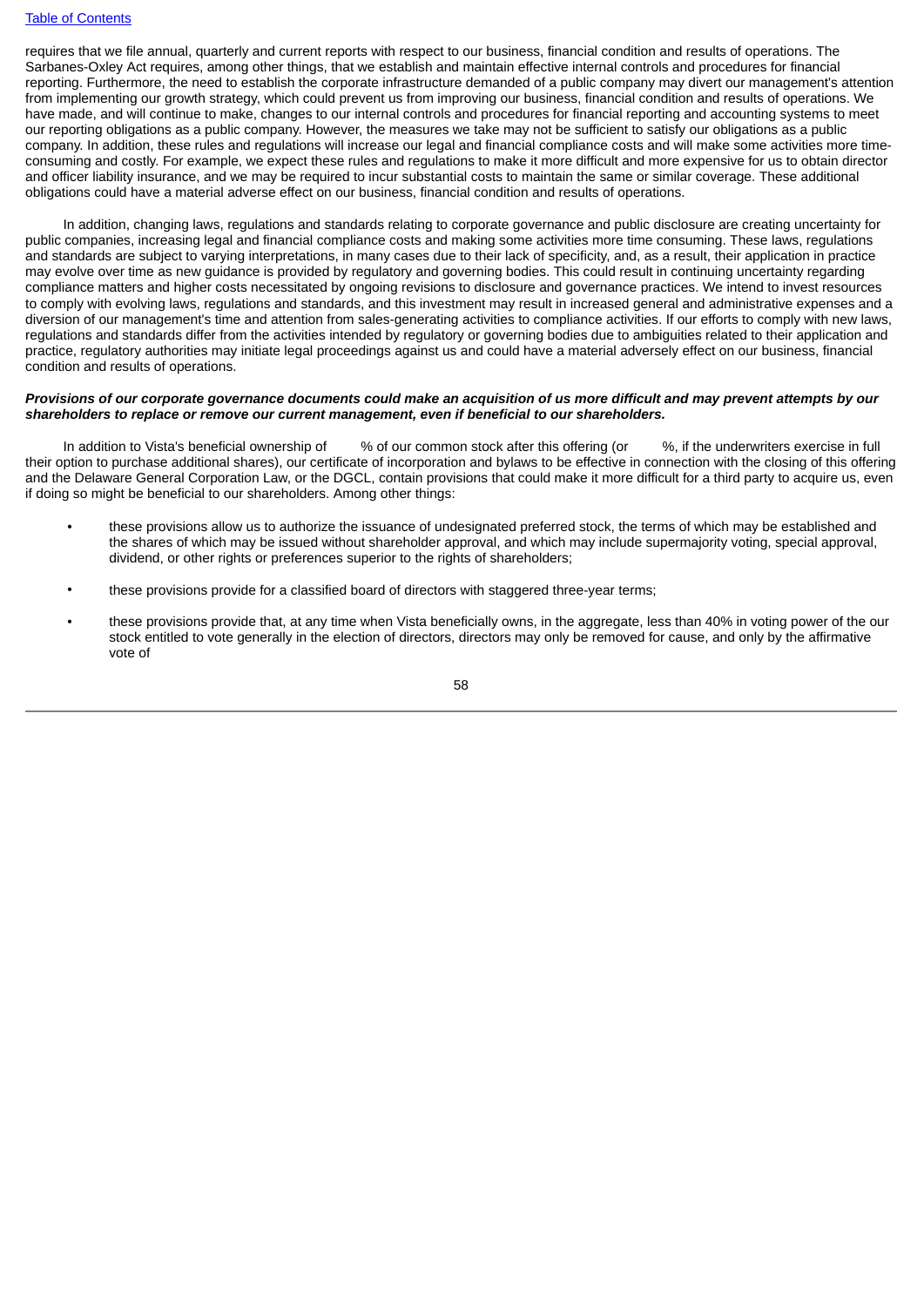requires that we file annual, quarterly and current reports with respect to our business, financial condition and results of operations. The Sarbanes-Oxley Act requires, among other things, that we establish and maintain effective internal controls and procedures for financial reporting. Furthermore, the need to establish the corporate infrastructure demanded of a public company may divert our management's attention from implementing our growth strategy, which could prevent us from improving our business, financial condition and results of operations. We have made, and will continue to make, changes to our internal controls and procedures for financial reporting and accounting systems to meet our reporting obligations as a public company. However, the measures we take may not be sufficient to satisfy our obligations as a public company. In addition, these rules and regulations will increase our legal and financial compliance costs and will make some activities more timeconsuming and costly. For example, we expect these rules and regulations to make it more difficult and more expensive for us to obtain director and officer liability insurance, and we may be required to incur substantial costs to maintain the same or similar coverage. These additional obligations could have a material adverse effect on our business, financial condition and results of operations.

 In addition, changing laws, regulations and standards relating to corporate governance and public disclosure are creating uncertainty for public companies, increasing legal and financial compliance costs and making some activities more time consuming. These laws, regulations and standards are subject to varying interpretations, in many cases due to their lack of specificity, and, as a result, their application in practice may evolve over time as new guidance is provided by regulatory and governing bodies. This could result in continuing uncertainty regarding compliance matters and higher costs necessitated by ongoing revisions to disclosure and governance practices. We intend to invest resources to comply with evolving laws, regulations and standards, and this investment may result in increased general and administrative expenses and a diversion of our management's time and attention from sales-generating activities to compliance activities. If our efforts to comply with new laws, regulations and standards differ from the activities intended by regulatory or governing bodies due to ambiguities related to their application and practice, regulatory authorities may initiate legal proceedings against us and could have a material adversely effect on our business, financial condition and results of operations.

### *Provisions of our corporate governance documents could make an acquisition of us more difficult and may prevent attempts by our shareholders to replace or remove our current management, even if beneficial to our shareholders.*

In addition to Vista's beneficial ownership of % of our common stock after this offering (or %, if the underwriters exercise in full their option to purchase additional shares), our certificate of incorporation and bylaws to be effective in connection with the closing of this offering and the Delaware General Corporation Law, or the DGCL, contain provisions that could make it more difficult for a third party to acquire us, even if doing so might be beneficial to our shareholders. Among other things:

- these provisions allow us to authorize the issuance of undesignated preferred stock, the terms of which may be established and the shares of which may be issued without shareholder approval, and which may include supermajority voting, special approval, dividend, or other rights or preferences superior to the rights of shareholders;
- these provisions provide for a classified board of directors with staggered three-year terms;
- these provisions provide that, at any time when Vista beneficially owns, in the aggregate, less than 40% in voting power of the our stock entitled to vote generally in the election of directors, directors may only be removed for cause, and only by the affirmative vote of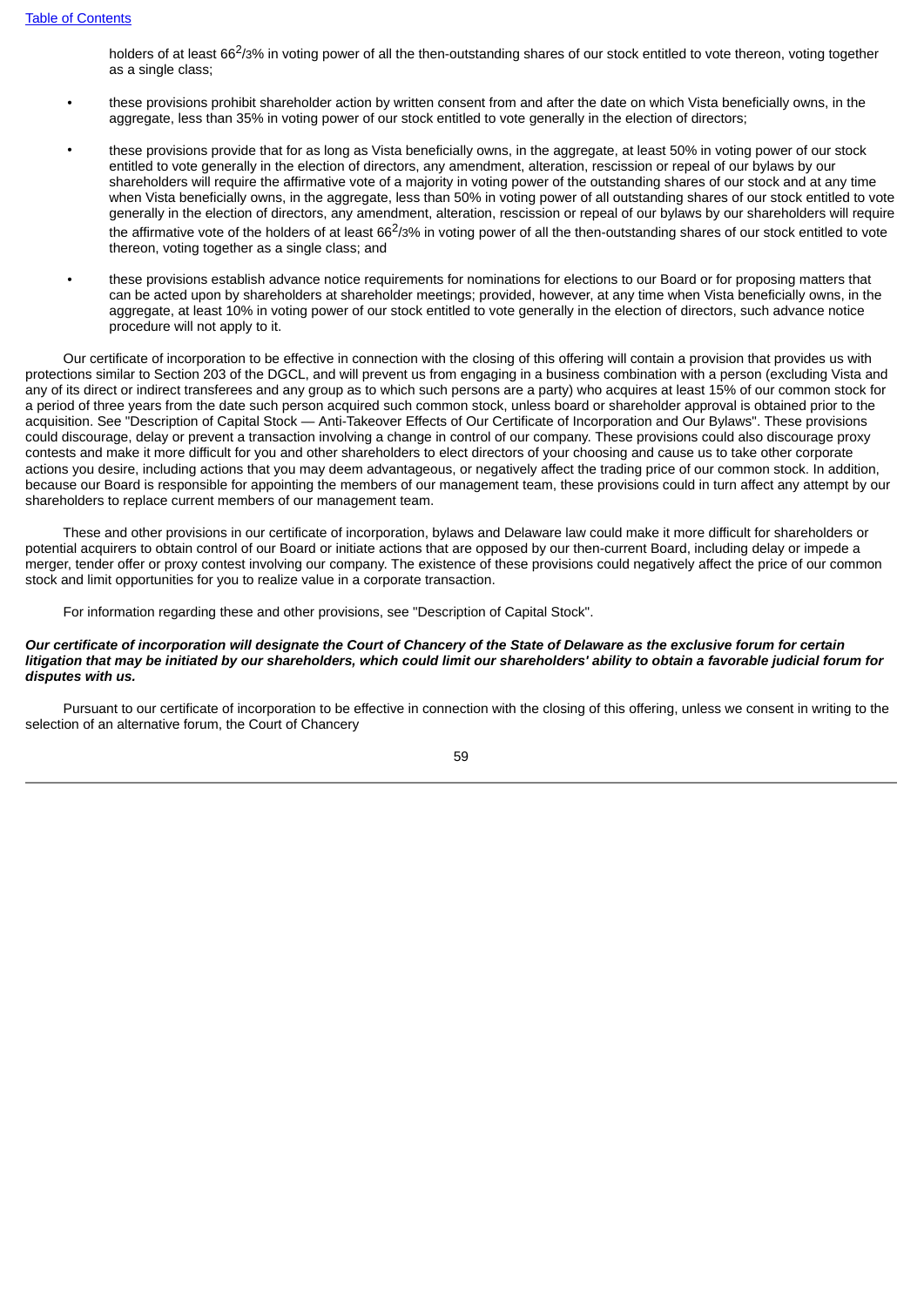holders of at least 66<sup>2</sup>/3% in voting power of all the then-outstanding shares of our stock entitled to vote thereon, voting together as a single class;

- these provisions prohibit shareholder action by written consent from and after the date on which Vista beneficially owns, in the aggregate, less than 35% in voting power of our stock entitled to vote generally in the election of directors;
- these provisions provide that for as long as Vista beneficially owns, in the aggregate, at least 50% in voting power of our stock entitled to vote generally in the election of directors, any amendment, alteration, rescission or repeal of our bylaws by our shareholders will require the affirmative vote of a majority in voting power of the outstanding shares of our stock and at any time when Vista beneficially owns, in the aggregate, less than 50% in voting power of all outstanding shares of our stock entitled to vote generally in the election of directors, any amendment, alteration, rescission or repeal of our bylaws by our shareholders will require the affirmative vote of the holders of at least 66<sup>2</sup>/3% in voting power of all the then-outstanding shares of our stock entitled to vote thereon, voting together as a single class; and
- these provisions establish advance notice requirements for nominations for elections to our Board or for proposing matters that can be acted upon by shareholders at shareholder meetings; provided, however, at any time when Vista beneficially owns, in the aggregate, at least 10% in voting power of our stock entitled to vote generally in the election of directors, such advance notice procedure will not apply to it.

 Our certificate of incorporation to be effective in connection with the closing of this offering will contain a provision that provides us with protections similar to Section 203 of the DGCL, and will prevent us from engaging in a business combination with a person (excluding Vista and any of its direct or indirect transferees and any group as to which such persons are a party) who acquires at least 15% of our common stock for a period of three years from the date such person acquired such common stock, unless board or shareholder approval is obtained prior to the acquisition. See "Description of Capital Stock — Anti-Takeover Effects of Our Certificate of Incorporation and Our Bylaws". These provisions could discourage, delay or prevent a transaction involving a change in control of our company. These provisions could also discourage proxy contests and make it more difficult for you and other shareholders to elect directors of your choosing and cause us to take other corporate actions you desire, including actions that you may deem advantageous, or negatively affect the trading price of our common stock. In addition, because our Board is responsible for appointing the members of our management team, these provisions could in turn affect any attempt by our shareholders to replace current members of our management team.

 These and other provisions in our certificate of incorporation, bylaws and Delaware law could make it more difficult for shareholders or potential acquirers to obtain control of our Board or initiate actions that are opposed by our then-current Board, including delay or impede a merger, tender offer or proxy contest involving our company. The existence of these provisions could negatively affect the price of our common stock and limit opportunities for you to realize value in a corporate transaction.

For information regarding these and other provisions, see "Description of Capital Stock".

# *Our certificate of incorporation will designate the Court of Chancery of the State of Delaware as the exclusive forum for certain litigation that may be initiated by our shareholders, which could limit our shareholders' ability to obtain a favorable judicial forum for disputes with us.*

 Pursuant to our certificate of incorporation to be effective in connection with the closing of this offering, unless we consent in writing to the selection of an alternative forum, the Court of Chancery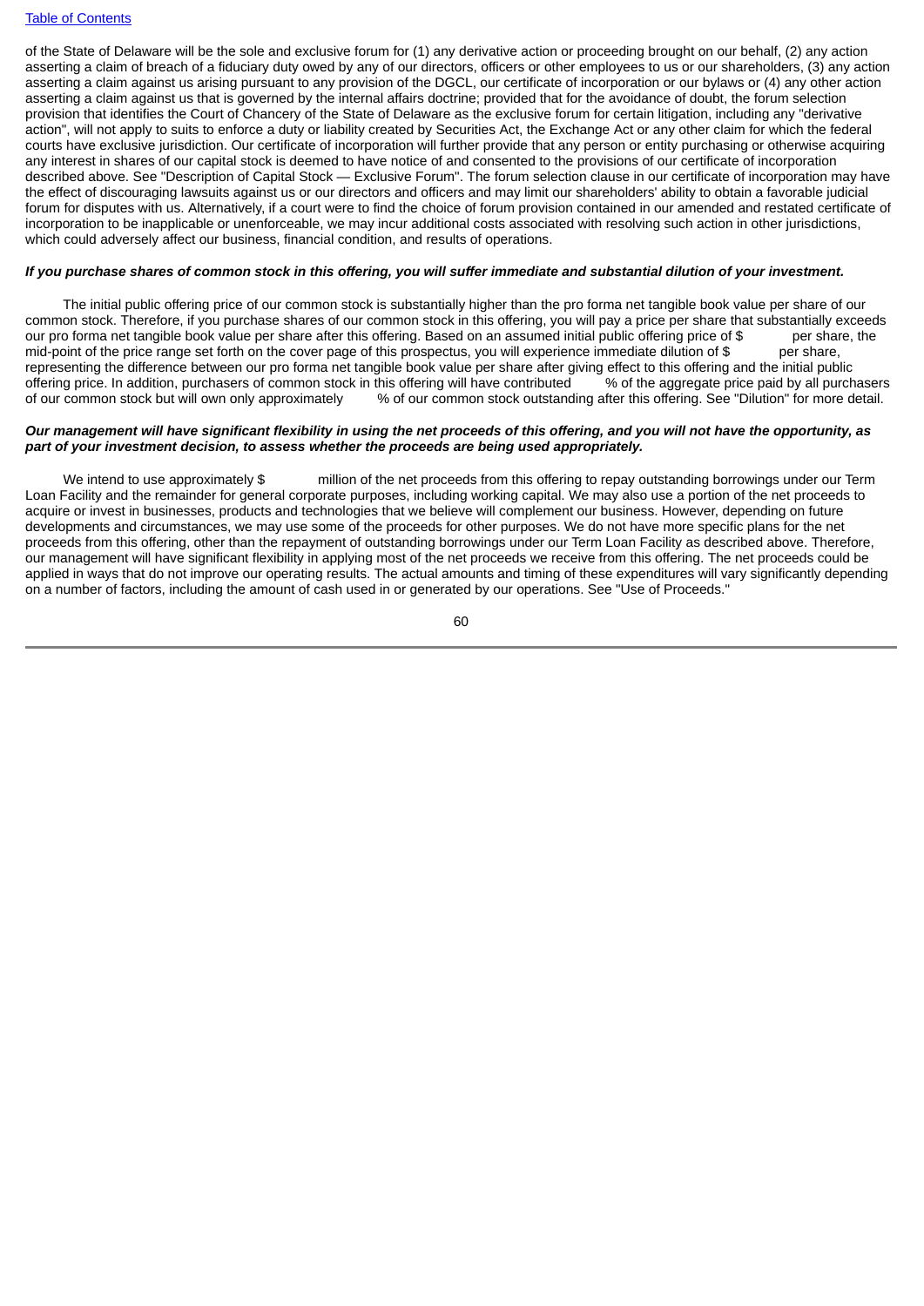of the State of Delaware will be the sole and exclusive forum for (1) any derivative action or proceeding brought on our behalf, (2) any action asserting a claim of breach of a fiduciary duty owed by any of our directors, officers or other employees to us or our shareholders, (3) any action asserting a claim against us arising pursuant to any provision of the DGCL, our certificate of incorporation or our bylaws or (4) any other action asserting a claim against us that is governed by the internal affairs doctrine; provided that for the avoidance of doubt, the forum selection provision that identifies the Court of Chancery of the State of Delaware as the exclusive forum for certain litigation, including any "derivative action", will not apply to suits to enforce a duty or liability created by Securities Act, the Exchange Act or any other claim for which the federal courts have exclusive jurisdiction. Our certificate of incorporation will further provide that any person or entity purchasing or otherwise acquiring any interest in shares of our capital stock is deemed to have notice of and consented to the provisions of our certificate of incorporation described above. See "Description of Capital Stock — Exclusive Forum". The forum selection clause in our certificate of incorporation may have the effect of discouraging lawsuits against us or our directors and officers and may limit our shareholders' ability to obtain a favorable judicial forum for disputes with us. Alternatively, if a court were to find the choice of forum provision contained in our amended and restated certificate of incorporation to be inapplicable or unenforceable, we may incur additional costs associated with resolving such action in other jurisdictions, which could adversely affect our business, financial condition, and results of operations.

# *If you purchase shares of common stock in this offering, you will suffer immediate and substantial dilution of your investment.*

 The initial public offering price of our common stock is substantially higher than the pro forma net tangible book value per share of our common stock. Therefore, if you purchase shares of our common stock in this offering, you will pay a price per share that substantially exceeds our pro forma net tangible book value per share after this offering. Based on an assumed initial public offering price of \$ per share, the mid-point of the price range set forth on the cover page of this prospectus, you will experience immediate dilution of \$ per share, representing the difference between our pro forma net tangible book value per share after giving effect to this offering and the initial public offering price. In addition, purchasers of common stock in this offering will offering price. In addition, purchasers of common stock in this offering will have contributed of our common stock but will own only approximately % of our common stock outstanding after this offering. See "Dilution" for more detail.

### *Our management will have significant flexibility in using the net proceeds of this offering, and you will not have the opportunity, as part of your investment decision, to assess whether the proceeds are being used appropriately.*

We intend to use approximately \$ million of the net proceeds from this offering to repay outstanding borrowings under our Term Loan Facility and the remainder for general corporate purposes, including working capital. We may also use a portion of the net proceeds to acquire or invest in businesses, products and technologies that we believe will complement our business. However, depending on future developments and circumstances, we may use some of the proceeds for other purposes. We do not have more specific plans for the net proceeds from this offering, other than the repayment of outstanding borrowings under our Term Loan Facility as described above. Therefore, our management will have significant flexibility in applying most of the net proceeds we receive from this offering. The net proceeds could be applied in ways that do not improve our operating results. The actual amounts and timing of these expenditures will vary significantly depending on a number of factors, including the amount of cash used in or generated by our operations. See "Use of Proceeds."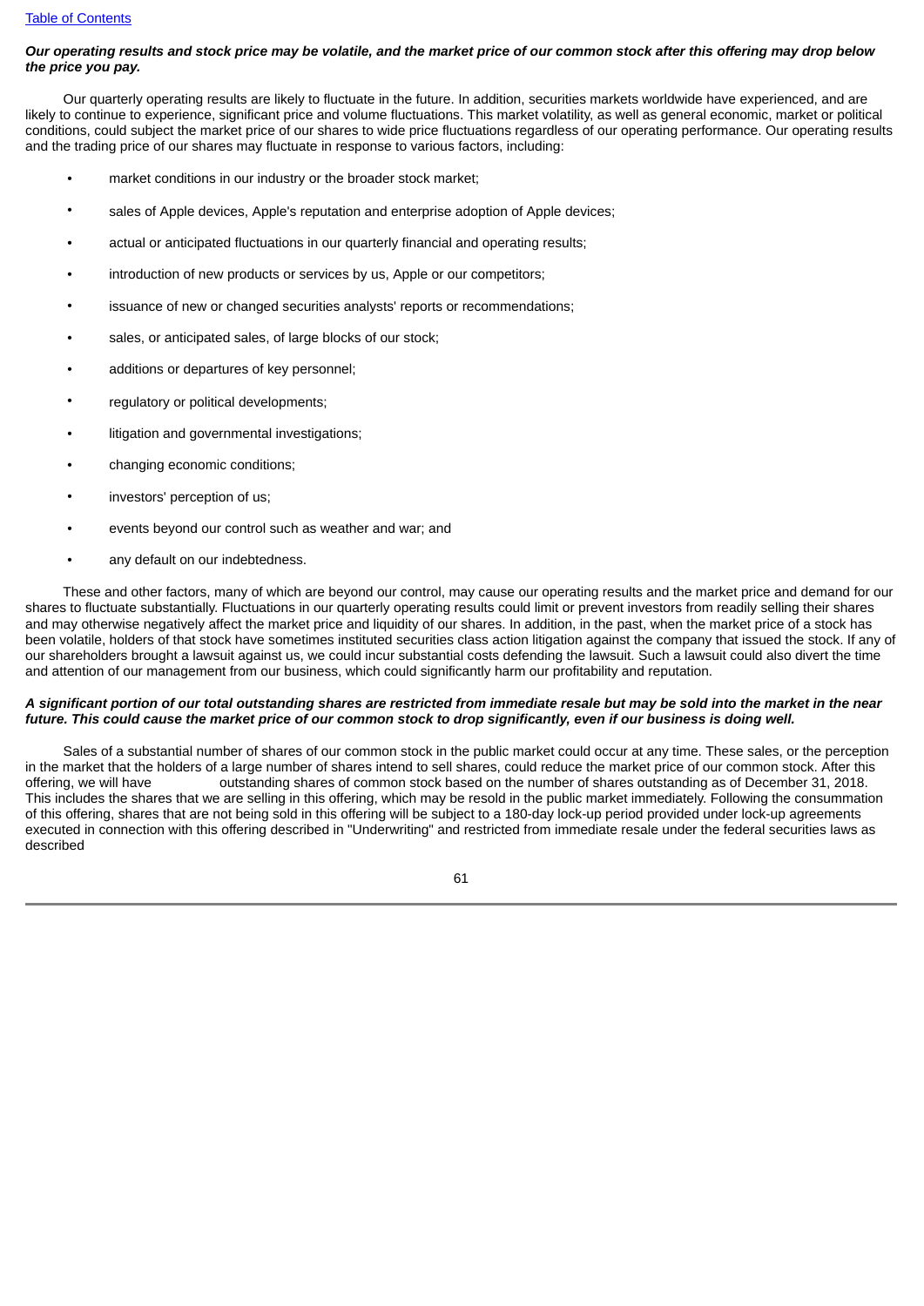## *Our operating results and stock price may be volatile, and the market price of our common stock after this offering may drop below the price you pay.*

 Our quarterly operating results are likely to fluctuate in the future. In addition, securities markets worldwide have experienced, and are likely to continue to experience, significant price and volume fluctuations. This market volatility, as well as general economic, market or political conditions, could subject the market price of our shares to wide price fluctuations regardless of our operating performance. Our operating results and the trading price of our shares may fluctuate in response to various factors, including:

- market conditions in our industry or the broader stock market;
- sales of Apple devices, Apple's reputation and enterprise adoption of Apple devices;
- actual or anticipated fluctuations in our quarterly financial and operating results;
- introduction of new products or services by us, Apple or our competitors;
- issuance of new or changed securities analysts' reports or recommendations;
- sales, or anticipated sales, of large blocks of our stock;
- additions or departures of key personnel;
- regulatory or political developments;
- litigation and governmental investigations;
- changing economic conditions;
- investors' perception of us;
- events beyond our control such as weather and war; and
- any default on our indebtedness.

 These and other factors, many of which are beyond our control, may cause our operating results and the market price and demand for our shares to fluctuate substantially. Fluctuations in our quarterly operating results could limit or prevent investors from readily selling their shares and may otherwise negatively affect the market price and liquidity of our shares. In addition, in the past, when the market price of a stock has been volatile, holders of that stock have sometimes instituted securities class action litigation against the company that issued the stock. If any of our shareholders brought a lawsuit against us, we could incur substantial costs defending the lawsuit. Such a lawsuit could also divert the time and attention of our management from our business, which could significantly harm our profitability and reputation.

### *A significant portion of our total outstanding shares are restricted from immediate resale but may be sold into the market in the near future. This could cause the market price of our common stock to drop significantly, even if our business is doing well.*

 Sales of a substantial number of shares of our common stock in the public market could occur at any time. These sales, or the perception in the market that the holders of a large number of shares intend to sell shares, could reduce the market price of our common stock. After this offering, we will have outstanding shares of common stock based on the number of shares outstanding as of December 31, 2018. This includes the shares that we are selling in this offering, which may be resold in the public market immediately. Following the consummation of this offering, shares that are not being sold in this offering will be subject to a 180-day lock-up period provided under lock-up agreements executed in connection with this offering described in "Underwriting" and restricted from immediate resale under the federal securities laws as described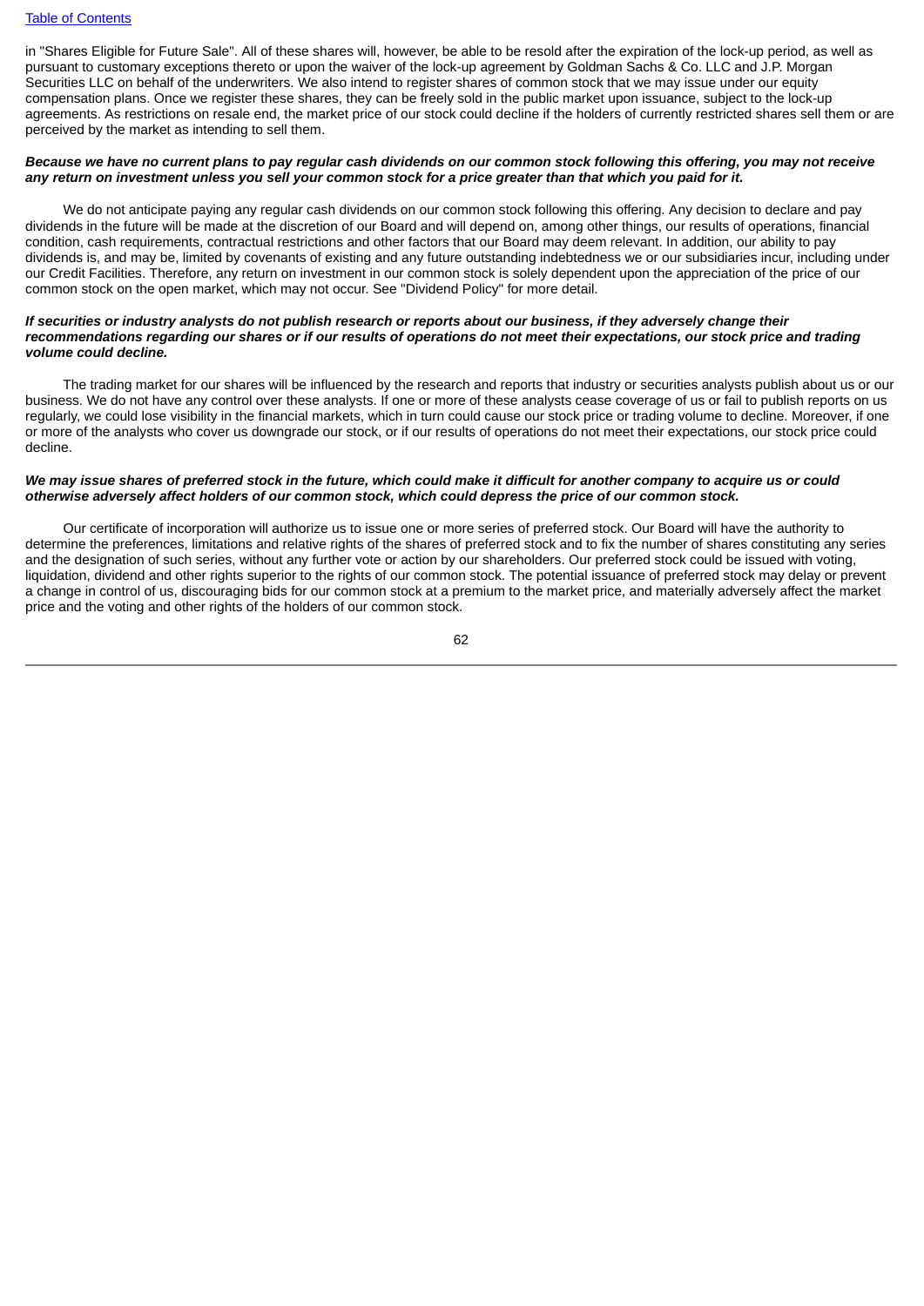in "Shares Eligible for Future Sale". All of these shares will, however, be able to be resold after the expiration of the lock-up period, as well as pursuant to customary exceptions thereto or upon the waiver of the lock-up agreement by Goldman Sachs & Co. LLC and J.P. Morgan Securities LLC on behalf of the underwriters. We also intend to register shares of common stock that we may issue under our equity compensation plans. Once we register these shares, they can be freely sold in the public market upon issuance, subject to the lock-up agreements. As restrictions on resale end, the market price of our stock could decline if the holders of currently restricted shares sell them or are perceived by the market as intending to sell them.

### *Because we have no current plans to pay regular cash dividends on our common stock following this offering, you may not receive any return on investment unless you sell your common stock for a price greater than that which you paid for it.*

We do not anticipate paying any regular cash dividends on our common stock following this offering. Any decision to declare and pay dividends in the future will be made at the discretion of our Board and will depend on, among other things, our results of operations, financial condition, cash requirements, contractual restrictions and other factors that our Board may deem relevant. In addition, our ability to pay dividends is, and may be, limited by covenants of existing and any future outstanding indebtedness we or our subsidiaries incur, including under our Credit Facilities. Therefore, any return on investment in our common stock is solely dependent upon the appreciation of the price of our common stock on the open market, which may not occur. See "Dividend Policy" for more detail.

### *If securities or industry analysts do not publish research or reports about our business, if they adversely change their recommendations regarding our shares or if our results of operations do not meet their expectations, our stock price and trading volume could decline.*

 The trading market for our shares will be influenced by the research and reports that industry or securities analysts publish about us or our business. We do not have any control over these analysts. If one or more of these analysts cease coverage of us or fail to publish reports on us regularly, we could lose visibility in the financial markets, which in turn could cause our stock price or trading volume to decline. Moreover, if one or more of the analysts who cover us downgrade our stock, or if our results of operations do not meet their expectations, our stock price could decline.

# *We may issue shares of preferred stock in the future, which could make it difficult for another company to acquire us or could otherwise adversely affect holders of our common stock, which could depress the price of our common stock.*

 Our certificate of incorporation will authorize us to issue one or more series of preferred stock. Our Board will have the authority to determine the preferences, limitations and relative rights of the shares of preferred stock and to fix the number of shares constituting any series and the designation of such series, without any further vote or action by our shareholders. Our preferred stock could be issued with voting, liquidation, dividend and other rights superior to the rights of our common stock. The potential issuance of preferred stock may delay or prevent a change in control of us, discouraging bids for our common stock at a premium to the market price, and materially adversely affect the market price and the voting and other rights of the holders of our common stock.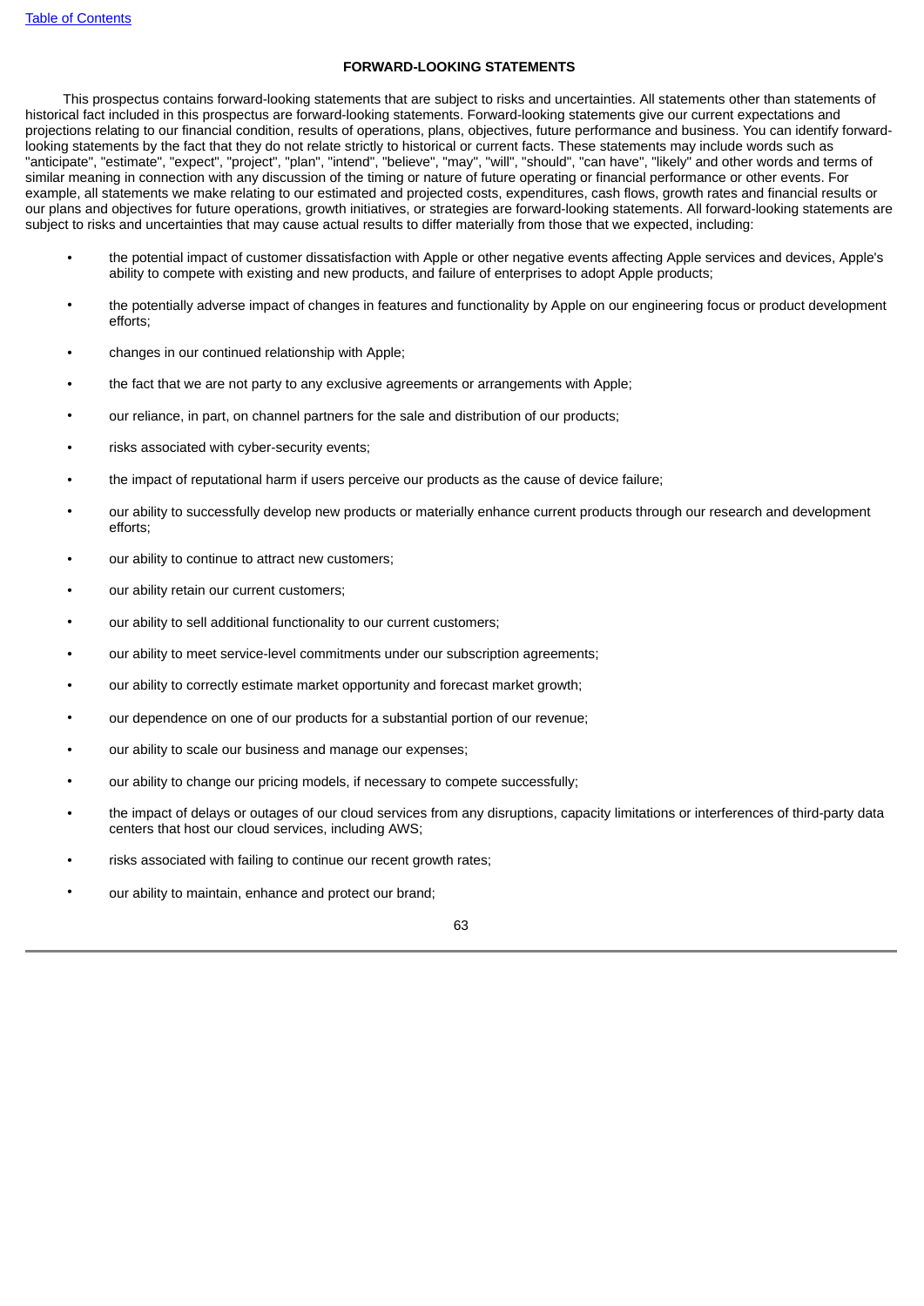## **FORWARD-LOOKING STATEMENTS**

 This prospectus contains forward-looking statements that are subject to risks and uncertainties. All statements other than statements of historical fact included in this prospectus are forward-looking statements. Forward-looking statements give our current expectations and projections relating to our financial condition, results of operations, plans, objectives, future performance and business. You can identify forwardlooking statements by the fact that they do not relate strictly to historical or current facts. These statements may include words such as "anticipate", "estimate", "expect", "project", "plan", "intend", "believe", "may", "will", "should", "can have", "likely" and other words and terms of similar meaning in connection with any discussion of the timing or nature of future operating or financial performance or other events. For example, all statements we make relating to our estimated and projected costs, expenditures, cash flows, growth rates and financial results or our plans and objectives for future operations, growth initiatives, or strategies are forward-looking statements. All forward-looking statements are subject to risks and uncertainties that may cause actual results to differ materially from those that we expected, including:

- the potential impact of customer dissatisfaction with Apple or other negative events affecting Apple services and devices, Apple's ability to compete with existing and new products, and failure of enterprises to adopt Apple products;
- the potentially adverse impact of changes in features and functionality by Apple on our engineering focus or product development efforts;
- changes in our continued relationship with Apple;
- the fact that we are not party to any exclusive agreements or arrangements with Apple;
- our reliance, in part, on channel partners for the sale and distribution of our products;
- risks associated with cyber-security events;
- the impact of reputational harm if users perceive our products as the cause of device failure;
- our ability to successfully develop new products or materially enhance current products through our research and development efforts;
- our ability to continue to attract new customers;
- our ability retain our current customers;
- our ability to sell additional functionality to our current customers;
- our ability to meet service-level commitments under our subscription agreements;
- our ability to correctly estimate market opportunity and forecast market growth;
- our dependence on one of our products for a substantial portion of our revenue;
- our ability to scale our business and manage our expenses;
- our ability to change our pricing models, if necessary to compete successfully;
- the impact of delays or outages of our cloud services from any disruptions, capacity limitations or interferences of third-party data centers that host our cloud services, including AWS;
- risks associated with failing to continue our recent growth rates;
- our ability to maintain, enhance and protect our brand;

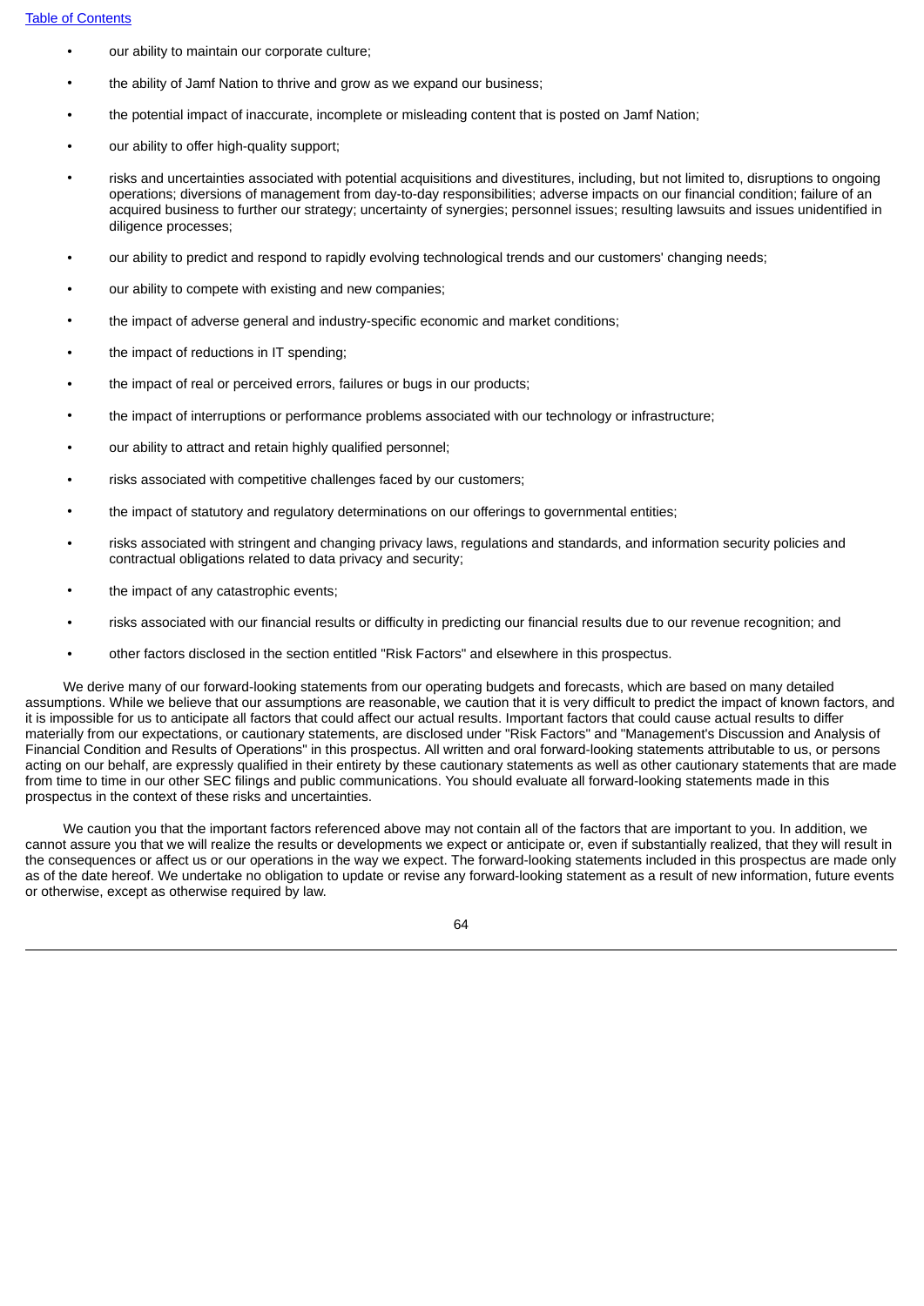- our ability to maintain our corporate culture;
- the ability of Jamf Nation to thrive and grow as we expand our business;
- the potential impact of inaccurate, incomplete or misleading content that is posted on Jamf Nation;
- our ability to offer high-quality support;
- risks and uncertainties associated with potential acquisitions and divestitures, including, but not limited to, disruptions to ongoing operations; diversions of management from day-to-day responsibilities; adverse impacts on our financial condition; failure of an acquired business to further our strategy; uncertainty of synergies; personnel issues; resulting lawsuits and issues unidentified in diligence processes;
- our ability to predict and respond to rapidly evolving technological trends and our customers' changing needs;
- our ability to compete with existing and new companies;
- the impact of adverse general and industry-specific economic and market conditions;
- the impact of reductions in IT spending:
- the impact of real or perceived errors, failures or bugs in our products;
- the impact of interruptions or performance problems associated with our technology or infrastructure;
- our ability to attract and retain highly qualified personnel;
- risks associated with competitive challenges faced by our customers;
- the impact of statutory and regulatory determinations on our offerings to governmental entities;
- risks associated with stringent and changing privacy laws, regulations and standards, and information security policies and contractual obligations related to data privacy and security;
- the impact of any catastrophic events;
- risks associated with our financial results or difficulty in predicting our financial results due to our revenue recognition; and
- other factors disclosed in the section entitled "Risk Factors" and elsewhere in this prospectus.

 We derive many of our forward-looking statements from our operating budgets and forecasts, which are based on many detailed assumptions. While we believe that our assumptions are reasonable, we caution that it is very difficult to predict the impact of known factors, and it is impossible for us to anticipate all factors that could affect our actual results. Important factors that could cause actual results to differ materially from our expectations, or cautionary statements, are disclosed under "Risk Factors" and "Management's Discussion and Analysis of Financial Condition and Results of Operations" in this prospectus. All written and oral forward-looking statements attributable to us, or persons acting on our behalf, are expressly qualified in their entirety by these cautionary statements as well as other cautionary statements that are made from time to time in our other SEC filings and public communications. You should evaluate all forward-looking statements made in this prospectus in the context of these risks and uncertainties.

 We caution you that the important factors referenced above may not contain all of the factors that are important to you. In addition, we cannot assure you that we will realize the results or developments we expect or anticipate or, even if substantially realized, that they will result in the consequences or affect us or our operations in the way we expect. The forward-looking statements included in this prospectus are made only as of the date hereof. We undertake no obligation to update or revise any forward-looking statement as a result of new information, future events or otherwise, except as otherwise required by law.

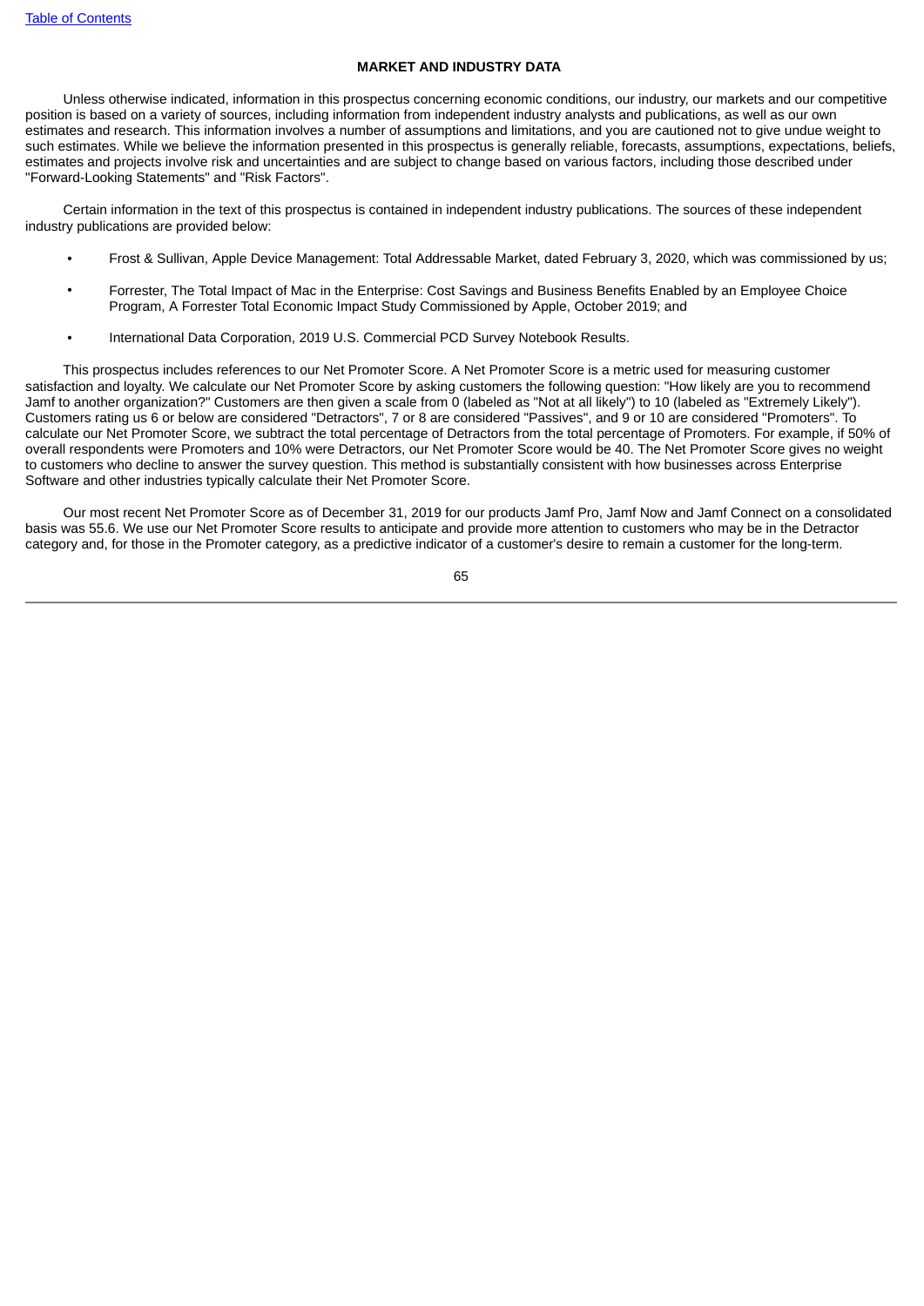### **MARKET AND INDUSTRY DATA**

 Unless otherwise indicated, information in this prospectus concerning economic conditions, our industry, our markets and our competitive position is based on a variety of sources, including information from independent industry analysts and publications, as well as our own estimates and research. This information involves a number of assumptions and limitations, and you are cautioned not to give undue weight to such estimates. While we believe the information presented in this prospectus is generally reliable, forecasts, assumptions, expectations, beliefs, estimates and projects involve risk and uncertainties and are subject to change based on various factors, including those described under "Forward-Looking Statements" and "Risk Factors".

 Certain information in the text of this prospectus is contained in independent industry publications. The sources of these independent industry publications are provided below:

- Frost & Sullivan, Apple Device Management: Total Addressable Market, dated February 3, 2020, which was commissioned by us;
- Forrester, The Total Impact of Mac in the Enterprise: Cost Savings and Business Benefits Enabled by an Employee Choice Program, A Forrester Total Economic Impact Study Commissioned by Apple, October 2019; and
- International Data Corporation, 2019 U.S. Commercial PCD Survey Notebook Results.

 This prospectus includes references to our Net Promoter Score. A Net Promoter Score is a metric used for measuring customer satisfaction and loyalty. We calculate our Net Promoter Score by asking customers the following question: "How likely are you to recommend Jamf to another organization?" Customers are then given a scale from 0 (labeled as "Not at all likely") to 10 (labeled as "Extremely Likely"). Customers rating us 6 or below are considered "Detractors", 7 or 8 are considered "Passives", and 9 or 10 are considered "Promoters". To calculate our Net Promoter Score, we subtract the total percentage of Detractors from the total percentage of Promoters. For example, if 50% of overall respondents were Promoters and 10% were Detractors, our Net Promoter Score would be 40. The Net Promoter Score gives no weight to customers who decline to answer the survey question. This method is substantially consistent with how businesses across Enterprise Software and other industries typically calculate their Net Promoter Score.

 Our most recent Net Promoter Score as of December 31, 2019 for our products Jamf Pro, Jamf Now and Jamf Connect on a consolidated basis was 55.6. We use our Net Promoter Score results to anticipate and provide more attention to customers who may be in the Detractor category and, for those in the Promoter category, as a predictive indicator of a customer's desire to remain a customer for the long-term.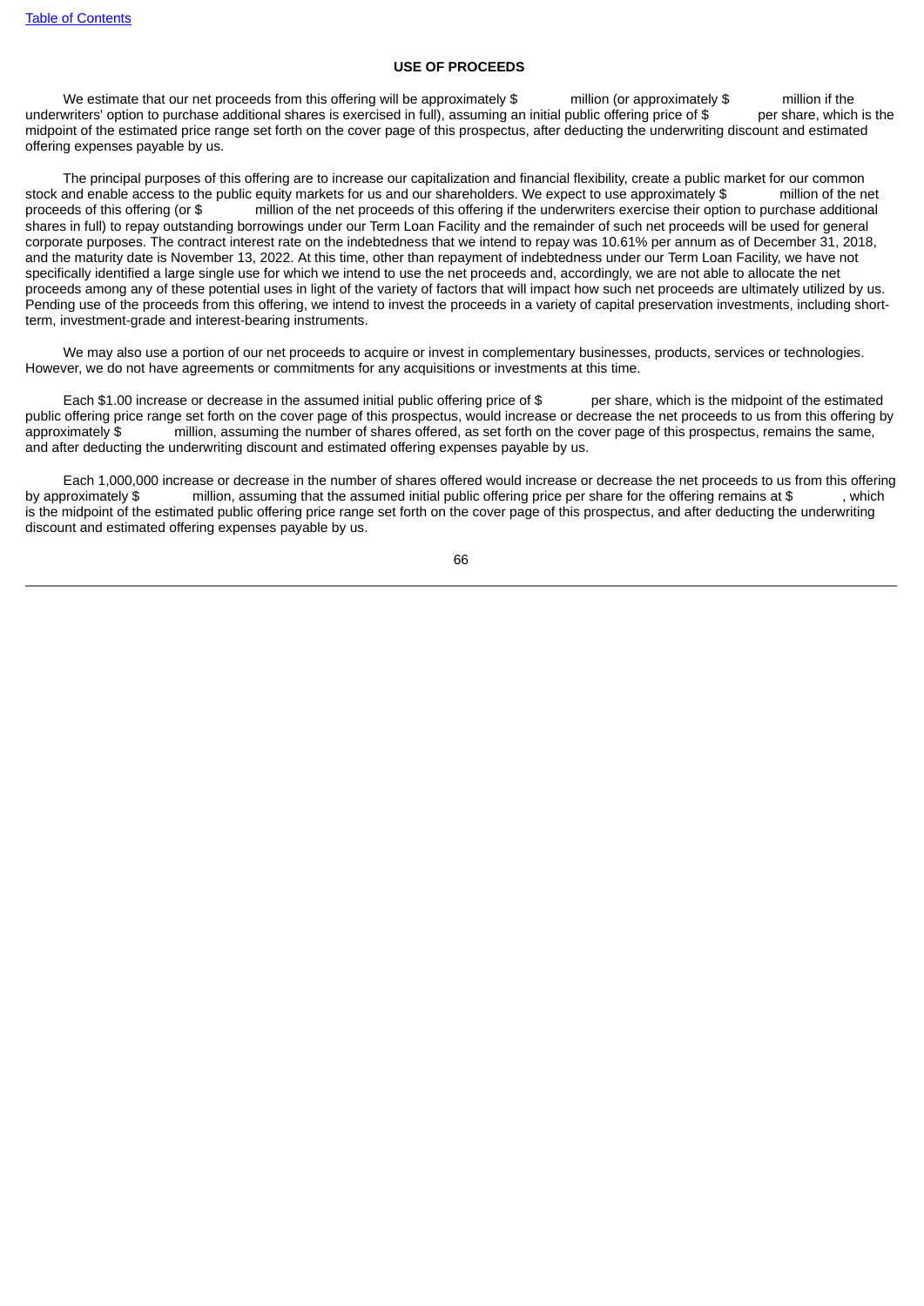### **USE OF PROCEEDS**

We estimate that our net proceeds from this offering will be approximately \$ million (or approximately \$ million if the mullion if the mer share, which is the million of the mer share, which is the mullion of the mer share underwriters' option to purchase additional shares is exercised in full), assuming an initial public offering price of  $$$ midpoint of the estimated price range set forth on the cover page of this prospectus, after deducting the underwriting discount and estimated offering expenses payable by us.

The principal purposes of this offering are to increase our capitalization and financial flexibility, create a public market for our common<br>and enable access to the public equity markets for us and our shareholders. We exp stock and enable access to the public equity markets for us and our shareholders. We expect to use approximately \$ proceeds of this offering (or \$ million of the net proceeds of this offering if the underwriters exercise t million of the net proceeds of this offering if the underwriters exercise their option to purchase additional shares in full) to repay outstanding borrowings under our Term Loan Facility and the remainder of such net proceeds will be used for general corporate purposes. The contract interest rate on the indebtedness that we intend to repay was 10.61% per annum as of December 31, 2018, and the maturity date is November 13, 2022. At this time, other than repayment of indebtedness under our Term Loan Facility, we have not specifically identified a large single use for which we intend to use the net proceeds and, accordingly, we are not able to allocate the net proceeds among any of these potential uses in light of the variety of factors that will impact how such net proceeds are ultimately utilized by us. Pending use of the proceeds from this offering, we intend to invest the proceeds in a variety of capital preservation investments, including shortterm, investment-grade and interest-bearing instruments.

We may also use a portion of our net proceeds to acquire or invest in complementary businesses, products, services or technologies. However, we do not have agreements or commitments for any acquisitions or investments at this time.

Each \$1.00 increase or decrease in the assumed initial public offering price of \$ per share, which is the midpoint of the estimated public offering price range set forth on the cover page of this prospectus, would increase or decrease the net proceeds to us from this offering by approximately \$ million, assuming the number of shares offered, as set for million, assuming the number of shares offered, as set forth on the cover page of this prospectus, remains the same, and after deducting the underwriting discount and estimated offering expenses payable by us.

 Each 1,000,000 increase or decrease in the number of shares offered would increase or decrease the net proceeds to us from this offering by approximately \$ million, assuming that the assumed initial public offering price per share for the offering remains at \$, is the midpoint of the estimated public offering price range set forth on the cover page of this prospectus, and after deducting the underwriting discount and estimated offering expenses payable by us.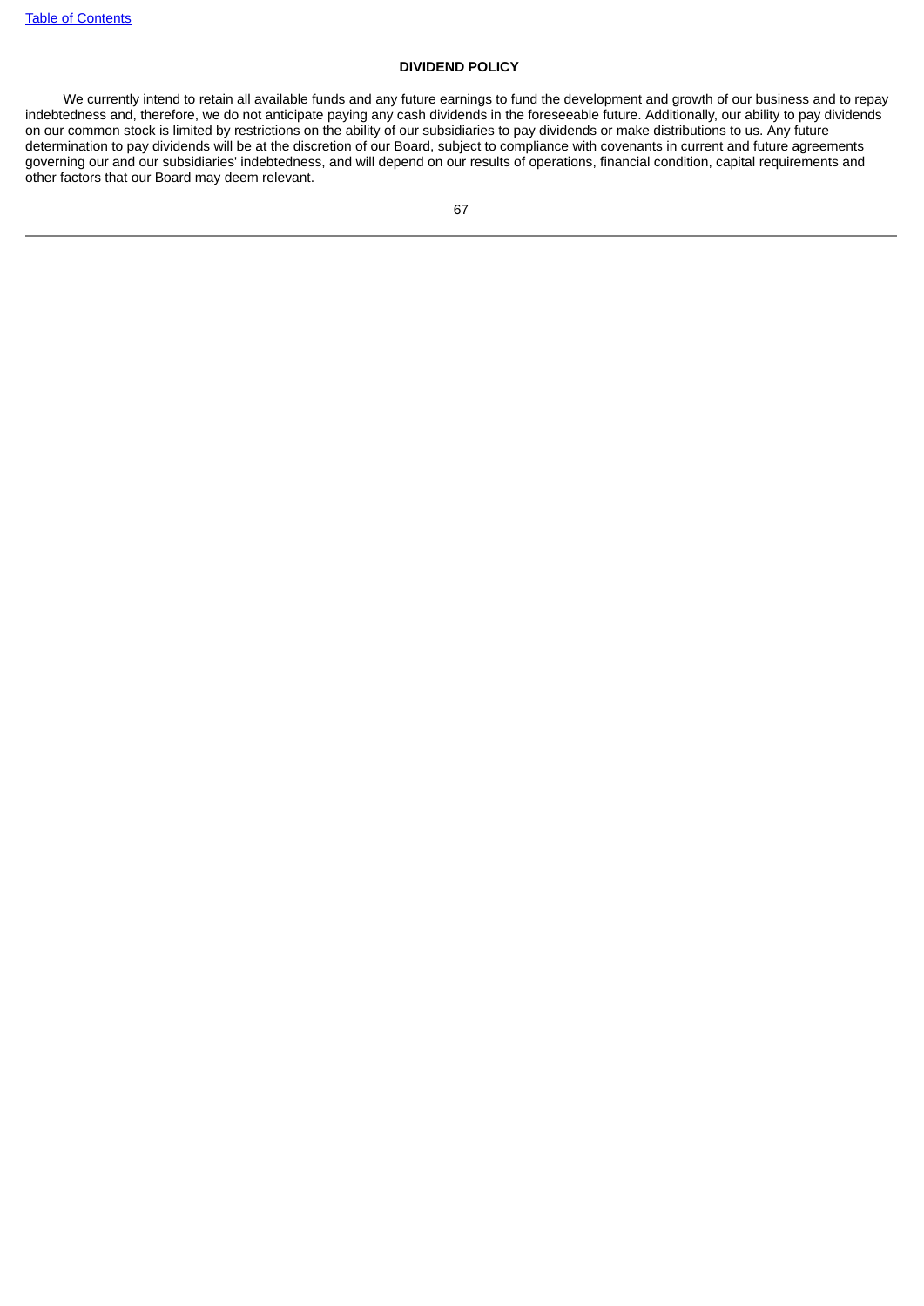# **DIVIDEND POLICY**

 We currently intend to retain all available funds and any future earnings to fund the development and growth of our business and to repay indebtedness and, therefore, we do not anticipate paying any cash dividends in the foreseeable future. Additionally, our ability to pay dividends on our common stock is limited by restrictions on the ability of our subsidiaries to pay dividends or make distributions to us. Any future determination to pay dividends will be at the discretion of our Board, subject to compliance with covenants in current and future agreements governing our and our subsidiaries' indebtedness, and will depend on our results of operations, financial condition, capital requirements and other factors that our Board may deem relevant.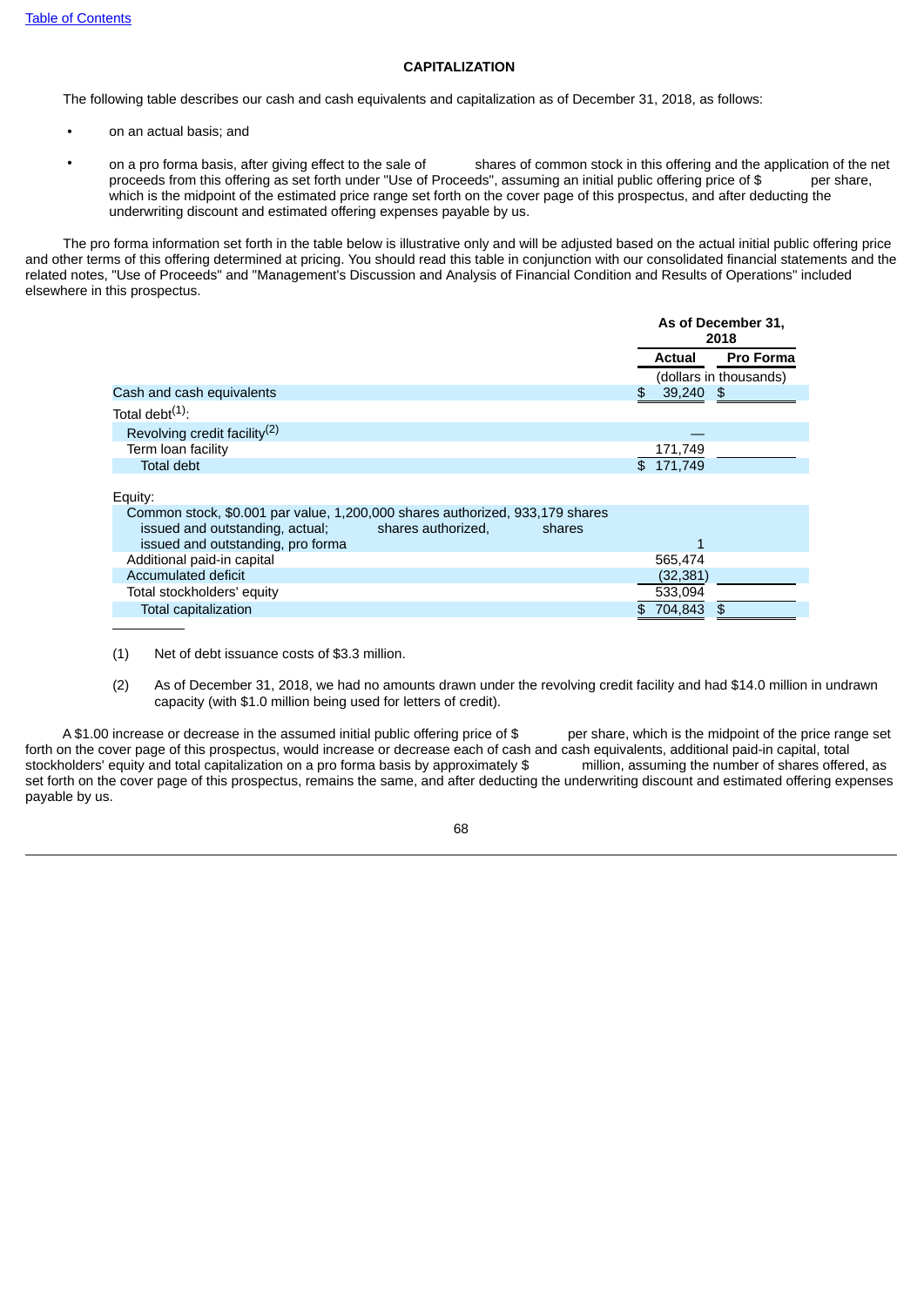# **CAPITALIZATION**

The following table describes our cash and cash equivalents and capitalization as of December 31, 2018, as follows:

- on an actual basis; and
- on a pro forma basis, after giving effect to the sale of shares of common stock in this offering and the application of the net proceeds from this offering as set forth under "Use of Proceeds", assuming an initial public o proceeds from this offering as set forth under "Use of Proceeds", assuming an initial public offering price of \$ which is the midpoint of the estimated price range set forth on the cover page of this prospectus, and after deducting the underwriting discount and estimated offering expenses payable by us.

 The pro forma information set forth in the table below is illustrative only and will be adjusted based on the actual initial public offering price and other terms of this offering determined at pricing. You should read this table in conjunction with our consolidated financial statements and the related notes, "Use of Proceeds" and "Management's Discussion and Analysis of Financial Condition and Results of Operations" included elsewhere in this prospectus.

|                                                                                                                                             | As of December 31,<br>2018 |
|---------------------------------------------------------------------------------------------------------------------------------------------|----------------------------|
|                                                                                                                                             | <b>Pro Forma</b><br>Actual |
|                                                                                                                                             | (dollars in thousands)     |
| Cash and cash equivalents                                                                                                                   | 39,240 \$<br>\$            |
| Total debt $^{(1)}$ :                                                                                                                       |                            |
| Revolving credit facility <sup>(2)</sup>                                                                                                    |                            |
| Term Ioan facility                                                                                                                          | 171,749                    |
| <b>Total debt</b>                                                                                                                           | \$171,749                  |
| Equity:                                                                                                                                     |                            |
| Common stock, \$0.001 par value, 1,200,000 shares authorized, 933,179 shares<br>issued and outstanding, actual; bases authorized,<br>shares |                            |
| issued and outstanding, pro forma                                                                                                           | 1                          |
| Additional paid-in capital                                                                                                                  | 565.474                    |
| Accumulated deficit                                                                                                                         | (32, 381)                  |
| Total stockholders' equity                                                                                                                  | 533,094                    |
| <b>Total capitalization</b>                                                                                                                 | 704.843<br>\$<br>\$        |

(1) Net of debt issuance costs of \$3.3 million.

(2) As of December 31, 2018, we had no amounts drawn under the revolving credit facility and had \$14.0 million in undrawn capacity (with \$1.0 million being used for letters of credit).

A \$1.00 increase or decrease in the assumed initial public offering price of \$ per share, which is the midpoint of the price range set forth on the cover page of this prospectus, would increase or decrease each of cash and cash equivalents, additional paid-in capital, total stockholders' equity and total capitalization on a pro forma basis by approximately \$ million, assuming the number of shares offered, as set forth on the cover page of this prospectus, remains the same, and after deducting the underwriting discount and estimated offering expenses payable by us.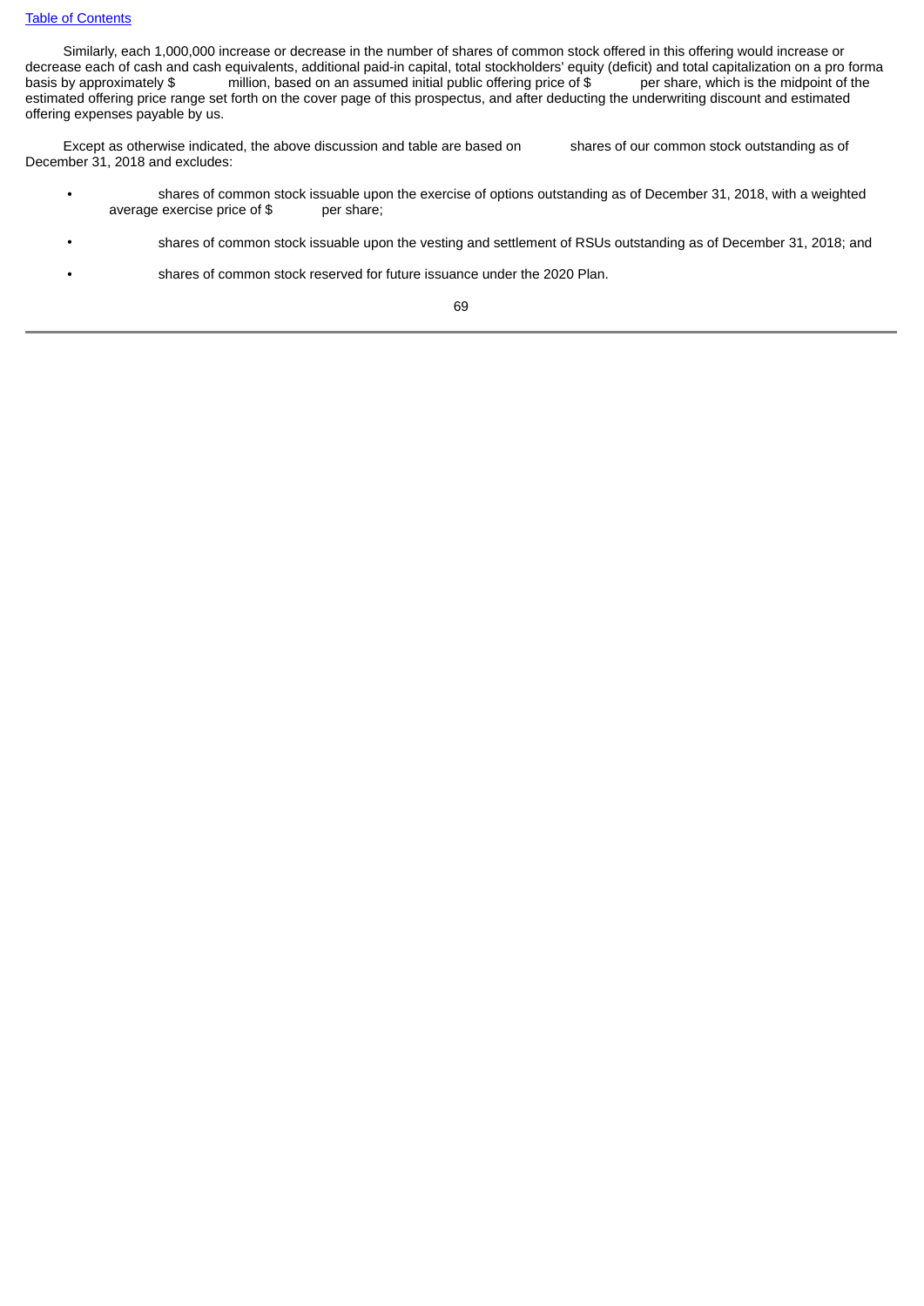Similarly, each 1,000,000 increase or decrease in the number of shares of common stock offered in this offering would increase or decrease each of cash and cash equivalents, additional paid-in capital, total stockholders' equity (deficit) and total capitalization on a pro forma basis by approximately \$ million, based on an assumed initial public offering price of \$ per share, which is the midpoint of the estimated offering price range set forth on the cover page of this prospectus, and after deducting the underwriting discount and estimated offering expenses payable by us.

Except as otherwise indicated, the above discussion and table are based on shares of our common stock outstanding as of December 31, 2018 and excludes:

- shares of common stock issuable upon the exercise of options outstanding as of December 31, 2018, with a weighted average exercise price of \$ per share;
	- shares of common stock issuable upon the vesting and settlement of RSUs outstanding as of December 31, 2018; and
		- shares of common stock reserved for future issuance under the 2020 Plan.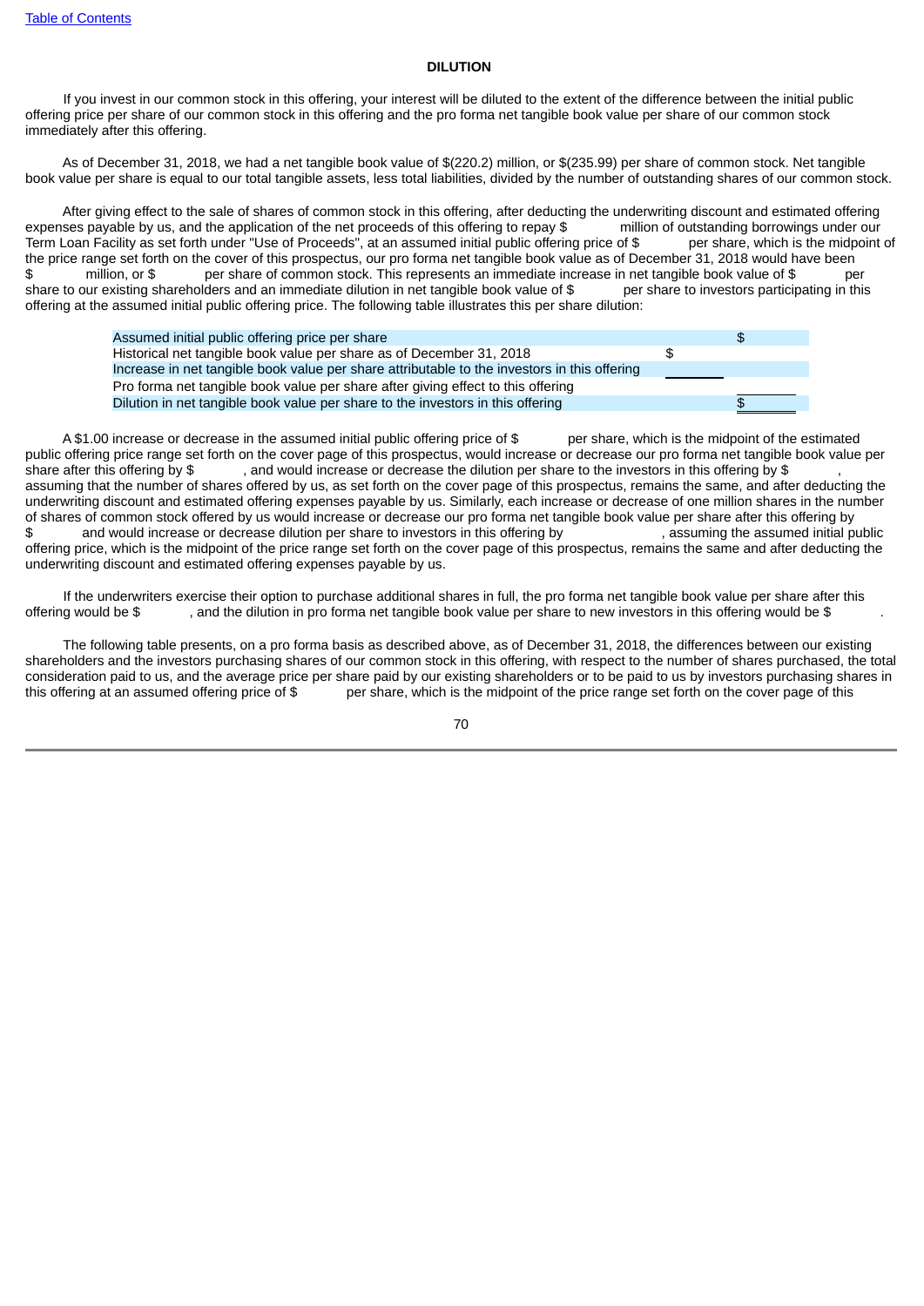### **DILUTION**

 If you invest in our common stock in this offering, your interest will be diluted to the extent of the difference between the initial public offering price per share of our common stock in this offering and the pro forma net tangible book value per share of our common stock immediately after this offering.

 As of December 31, 2018, we had a net tangible book value of \$(220.2) million, or \$(235.99) per share of common stock. Net tangible book value per share is equal to our total tangible assets, less total liabilities, divided by the number of outstanding shares of our common stock.

After giving effect to the sale of shares of common stock in this offering, after deducting the underwriting discount and estimated offering<br>ses payable by us, and the application of the net proceeds of this offering to re expenses payable by us, and the application of the net proceeds of this offering to repay \$ Term Loan Facility as set forth under "Use of Proceeds", at an assumed initial public offering price of \$ per share, which is the midpoint of the price range set forth on the cover of this prospectus, our pro forma net tangible book value as of December 31, 2018 would have been million, or \$ per share of common stock. This represents an immediate increase in net tangible book value of \$ per<br>
per share to investors participating in this share to our existing shareholders and an immediate dilution in net tangible book value of  $$$ offering at the assumed initial public offering price. The following table illustrates this per share dilution:

| Assumed initial public offering price per share                                              |    |  |
|----------------------------------------------------------------------------------------------|----|--|
| Historical net tangible book value per share as of December 31, 2018                         | æ. |  |
| Increase in net tangible book value per share attributable to the investors in this offering |    |  |
| Pro forma net tangible book value per share after giving effect to this offering             |    |  |
| Dilution in net tangible book value per share to the investors in this offering              |    |  |

 A \$1.00 increase or decrease in the assumed initial public offering price of \$ per share, which is the midpoint of the estimated public offering price range set forth on the cover page of this prospectus, would increase or decrease our pro forma net tangible book value per share after this offering by \$ , and would increase or decrease the dilution per share to the investors in this offering by \$ assuming that the number of shares offered by us, as set forth on the cover page of this prospectus, remains the same, and after deducting the underwriting discount and estimated offering expenses payable by us. Similarly, each increase or decrease of one million shares in the number of shares of common stock offered by us would increase or decrease our pro forma net tangible book value per share after this offering by<br>\$ and would increase or decrease dilution per share to investors in this offering by \$ and would increase or decrease dilution per share to investors in this offering by offering price, which is the midpoint of the price range set forth on the cover page of this prospectus, remains the same and after deducting the underwriting discount and estimated offering expenses payable by us.

 If the underwriters exercise their option to purchase additional shares in full, the pro forma net tangible book value per share after this offering would be \$ , and the dilution in pro forma net tangible book value per share to new investors in this offering would be \$

 The following table presents, on a pro forma basis as described above, as of December 31, 2018, the differences between our existing shareholders and the investors purchasing shares of our common stock in this offering, with respect to the number of shares purchased, the total consideration paid to us, and the average price per share paid by our existing shareholders or to be paid to us by investors purchasing shares in this offering at an assumed offering price of \$ per share, which is the midpoint of the price range set forth on the cover page of this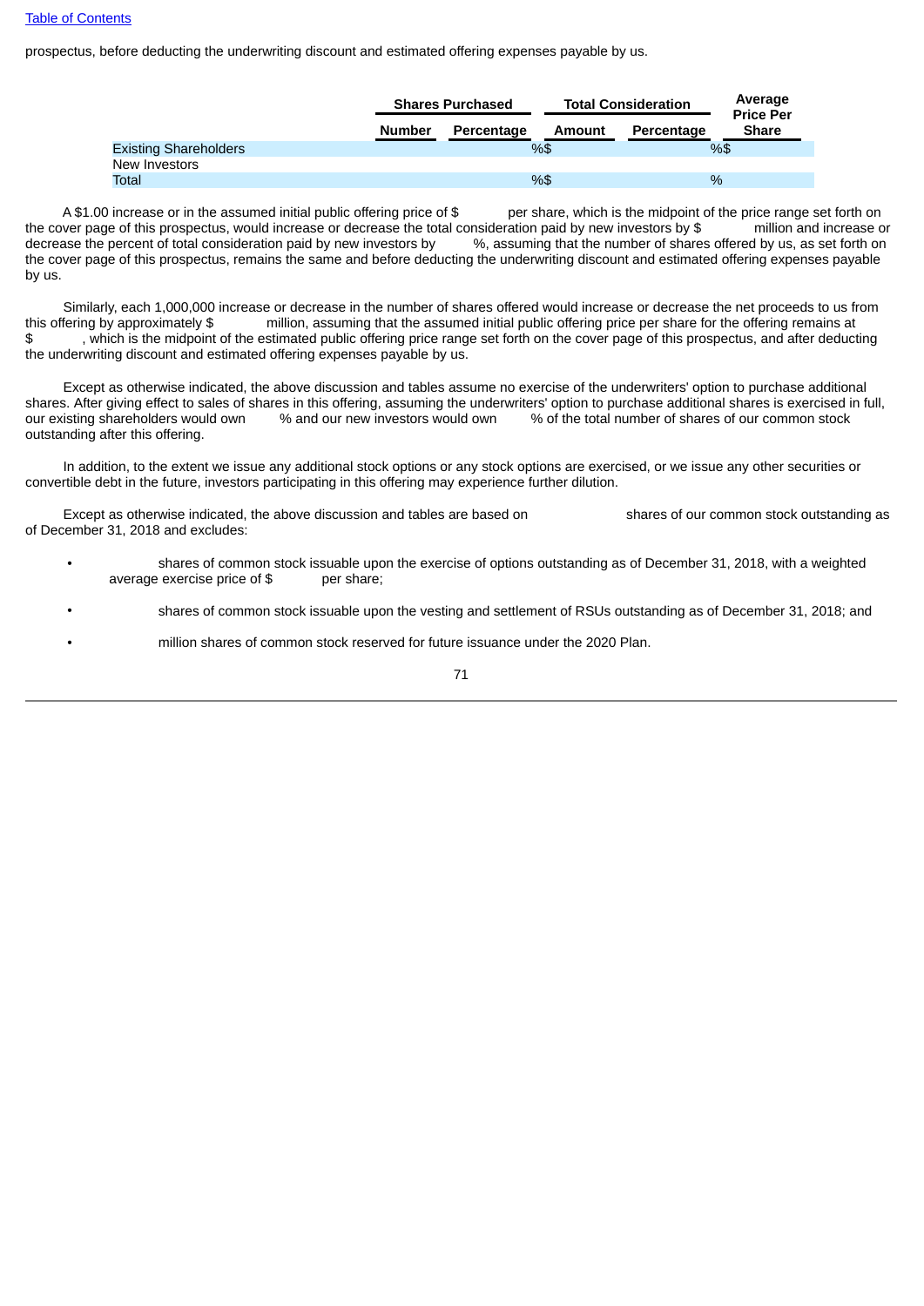prospectus, before deducting the underwriting discount and estimated offering expenses payable by us.

|                              | <b>Shares Purchased</b> |            |        | <b>Total Consideration</b> |                                  |
|------------------------------|-------------------------|------------|--------|----------------------------|----------------------------------|
|                              | Number                  | Percentage | Amount | Percentage                 | <b>Price Per</b><br><b>Share</b> |
| <b>Existing Shareholders</b> |                         | %\$        |        |                            | %\$                              |
| New Investors                |                         |            |        |                            |                                  |
| Total                        |                         | %\$        |        | $\frac{0}{0}$              |                                  |

A \$1.00 increase or in the assumed initial public offering price of \$ per share, which is the midpoint of the price range set forth on wer page of this prospectus, would increase or decrease the total consideration paid by the cover page of this prospectus, would increase or decrease the total consideration paid by new investors by  $$$ decrease the percent of total consideration paid by new investors by  $\frac{1}{2}$ , assuming that the number of shares offered by us, as set forth on the cover page of this prospectus, remains the same and before deducting the underwriting discount and estimated offering expenses payable by us.

 Similarly, each 1,000,000 increase or decrease in the number of shares offered would increase or decrease the net proceeds to us from this offering by approximately \$ million, assuming that the assumed initial public offering price per share for the offering remains at \$ , which is the midpoint of the estimated public offering price range set forth on the cover page of this prospectus, and after deducting the underwriting discount and estimated offering expenses payable by us.

 Except as otherwise indicated, the above discussion and tables assume no exercise of the underwriters' option to purchase additional shares. After giving effect to sales of shares in this offering, assuming the underwriters' option to purchase additional shares is exercised in full, our existing shareholders would own % and our new investors would own % our existing shareholders would own % and our new investors would own % of the total number of shares of our common stock outstanding after this offering.

 In addition, to the extent we issue any additional stock options or any stock options are exercised, or we issue any other securities or convertible debt in the future, investors participating in this offering may experience further dilution.

Except as otherwise indicated, the above discussion and tables are based on shares of our common stock outstanding as of December 31, 2018 and excludes:

- shares of common stock issuable upon the exercise of options outstanding as of December 31, 2018, with a weighted average exercise price of \$ per share;
	- shares of common stock issuable upon the vesting and settlement of RSUs outstanding as of December 31, 2018; and
		- million shares of common stock reserved for future issuance under the 2020 Plan.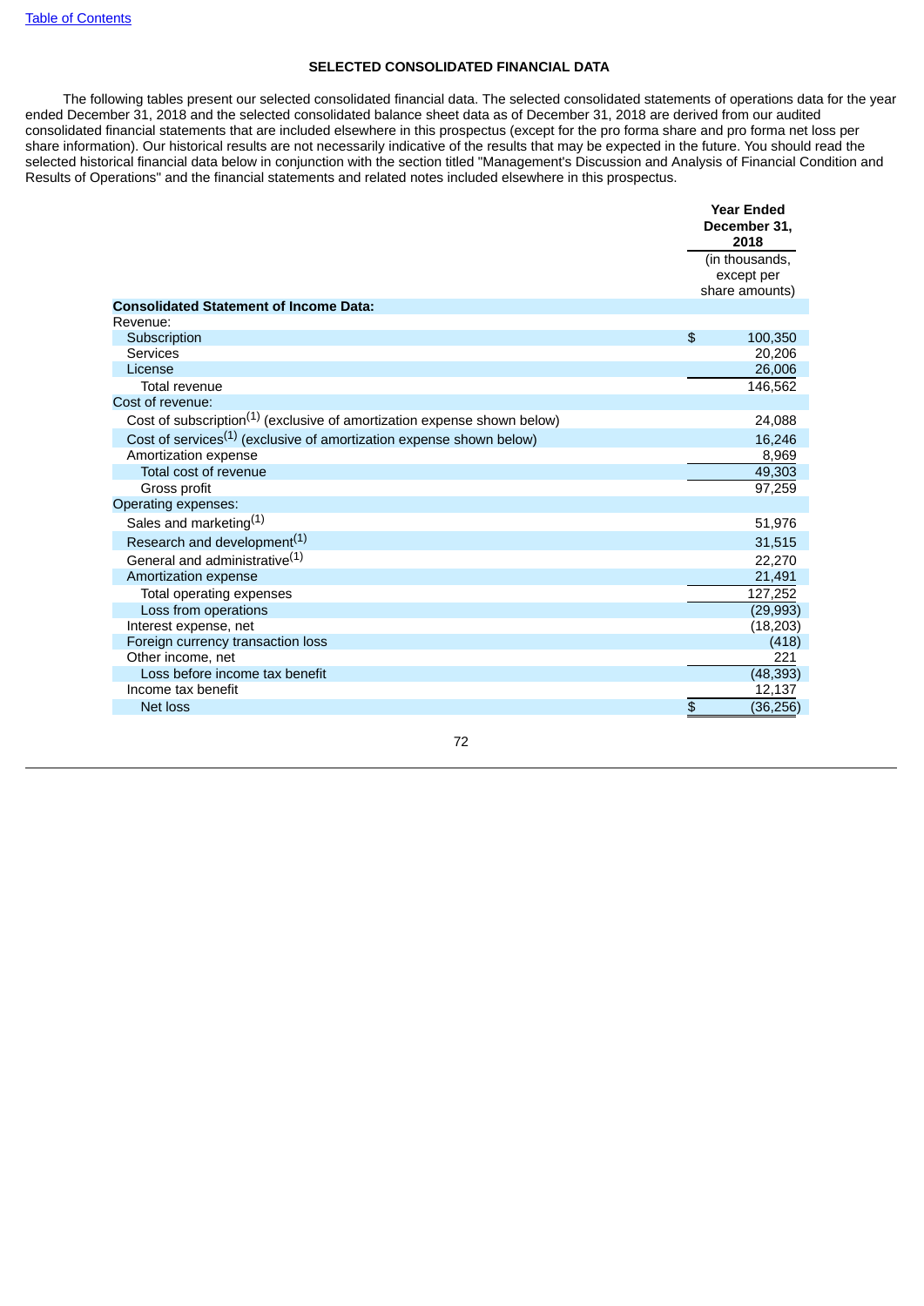# **SELECTED CONSOLIDATED FINANCIAL DATA**

 The following tables present our selected consolidated financial data. The selected consolidated statements of operations data for the year ended December 31, 2018 and the selected consolidated balance sheet data as of December 31, 2018 are derived from our audited consolidated financial statements that are included elsewhere in this prospectus (except for the pro forma share and pro forma net loss per share information). Our historical results are not necessarily indicative of the results that may be expected in the future. You should read the selected historical financial data below in conjunction with the section titled "Management's Discussion and Analysis of Financial Condition and Results of Operations" and the financial statements and related notes included elsewhere in this prospectus.

|                                                                                              |                | <b>Year Ended</b><br>December 31.<br>2018<br>(in thousands,<br>except per<br>share amounts) |
|----------------------------------------------------------------------------------------------|----------------|---------------------------------------------------------------------------------------------|
| <b>Consolidated Statement of Income Data:</b>                                                |                |                                                                                             |
| Revenue:                                                                                     |                |                                                                                             |
| Subscription                                                                                 | $\mathfrak{D}$ | 100,350                                                                                     |
| <b>Services</b>                                                                              |                | 20,206                                                                                      |
| License                                                                                      |                | 26,006                                                                                      |
| Total revenue<br>Cost of revenue:                                                            |                | 146,562                                                                                     |
|                                                                                              |                |                                                                                             |
| Cost of subscription <sup>(1)</sup> (exclusive of amortization expense shown below)          |                | 24,088                                                                                      |
| Cost of services <sup><math>(1)</math></sup> (exclusive of amortization expense shown below) |                | 16,246                                                                                      |
| Amortization expense                                                                         |                | 8,969                                                                                       |
| Total cost of revenue                                                                        |                | 49,303                                                                                      |
| Gross profit                                                                                 |                | 97,259                                                                                      |
| Operating expenses:                                                                          |                |                                                                                             |
| Sales and marketing <sup>(1)</sup>                                                           |                | 51,976                                                                                      |
| Research and development <sup>(1)</sup>                                                      |                | 31,515                                                                                      |
| General and administrative <sup>(1)</sup>                                                    |                | 22,270                                                                                      |
| Amortization expense                                                                         |                | 21,491                                                                                      |
| Total operating expenses                                                                     |                | 127,252                                                                                     |
| Loss from operations                                                                         |                | (29, 993)                                                                                   |
| Interest expense, net                                                                        |                | (18, 203)                                                                                   |
| Foreign currency transaction loss                                                            |                | (418)                                                                                       |
| Other income, net                                                                            |                | 221                                                                                         |
| Loss before income tax benefit                                                               |                | (48, 393)                                                                                   |
| Income tax benefit                                                                           |                | 12,137                                                                                      |
| Net loss                                                                                     | \$             | (36, 256)                                                                                   |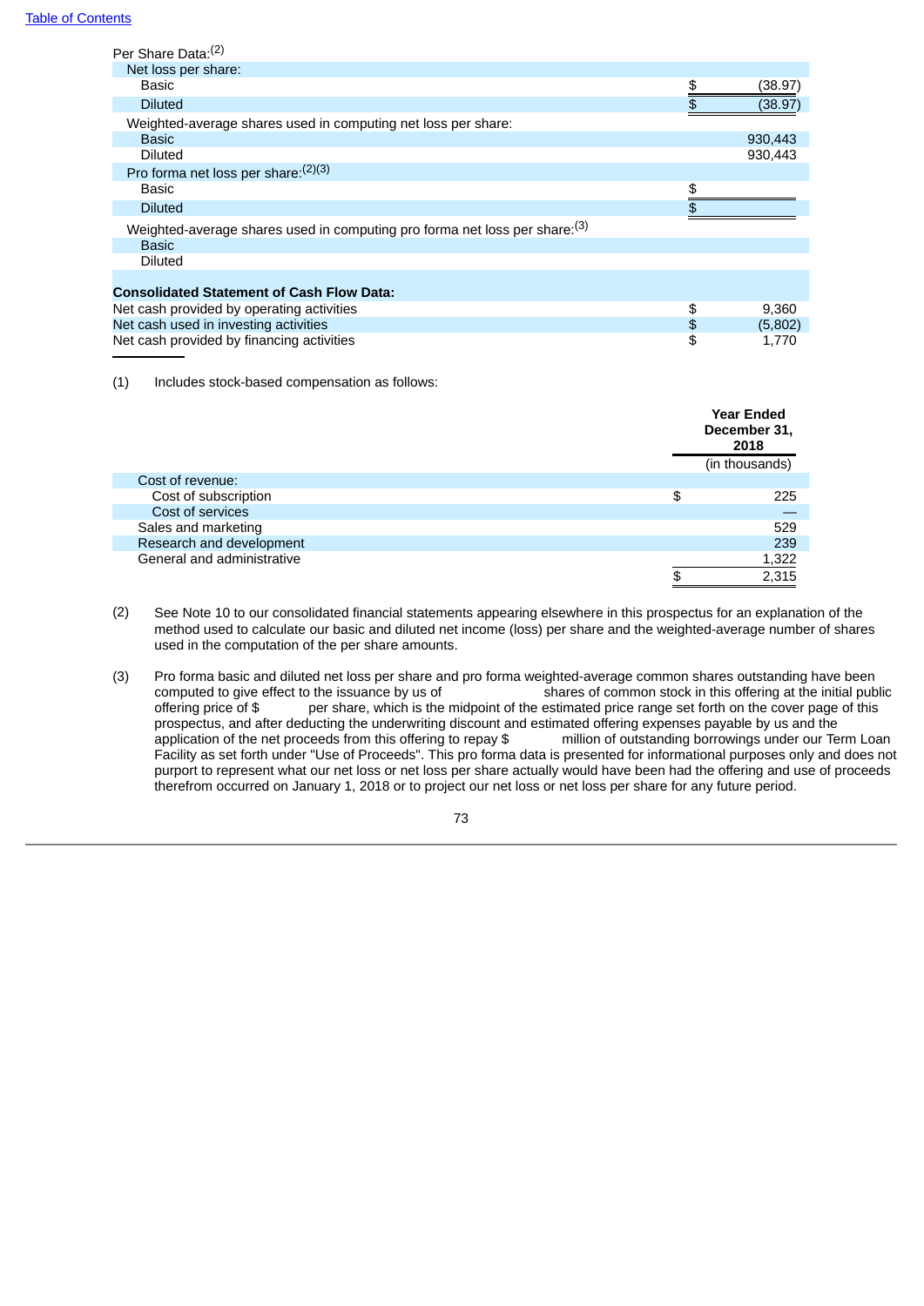| Per Share Data: <sup>(2)</sup>                                                         |               |
|----------------------------------------------------------------------------------------|---------------|
| Net loss per share:                                                                    |               |
| Basic                                                                                  | \$<br>(38.97) |
| <b>Diluted</b>                                                                         | (38.97)       |
| Weighted-average shares used in computing net loss per share:                          |               |
| <b>Basic</b>                                                                           | 930,443       |
| Diluted                                                                                | 930,443       |
| Pro forma net loss per share: (2)(3)                                                   |               |
| Basic                                                                                  | \$            |
| <b>Diluted</b>                                                                         | \$            |
| Weighted-average shares used in computing pro forma net loss per share: <sup>(3)</sup> |               |
| <b>Basic</b>                                                                           |               |
| Diluted                                                                                |               |
|                                                                                        |               |
| <b>Consolidated Statement of Cash Flow Data:</b>                                       |               |
| Net cash provided by operating activities                                              | \$<br>9,360   |
| Net cash used in investing activities                                                  | \$<br>(5,802) |
| Net cash provided by financing activities                                              | \$<br>1.770   |

(1) Includes stock-based compensation as follows:

|                            | <b>Year Ended</b><br>December 31,<br>2018<br>(in thousands) |
|----------------------------|-------------------------------------------------------------|
| Cost of revenue:           |                                                             |
| Cost of subscription       | \$<br>225                                                   |
| Cost of services           |                                                             |
| Sales and marketing        | 529                                                         |
| Research and development   | 239                                                         |
| General and administrative | 1,322                                                       |
|                            | 2.315                                                       |

(2) See Note 10 to our consolidated financial statements appearing elsewhere in this prospectus for an explanation of the method used to calculate our basic and diluted net income (loss) per share and the weighted-average number of shares used in the computation of the per share amounts.

(3) Pro forma basic and diluted net loss per share and pro forma weighted-average common shares outstanding have been computed to give effect to the issuance by us of shares of common stock in this offering at the initial public<br>offering price of \$ per share, which is the midpoint of the estimated price range set forth on the cover page o per share, which is the midpoint of the estimated price range set forth on the cover page of this prospectus, and after deducting the underwriting discount and estimated offering expenses payable by us and the application of the net proceeds from this offering to repay \$ million of outstanding borrowings under our Term application of the net proceeds from this offering to repay \$ Facility as set forth under "Use of Proceeds". This pro forma data is presented for informational purposes only and does not purport to represent what our net loss or net loss per share actually would have been had the offering and use of proceeds therefrom occurred on January 1, 2018 or to project our net loss or net loss per share for any future period.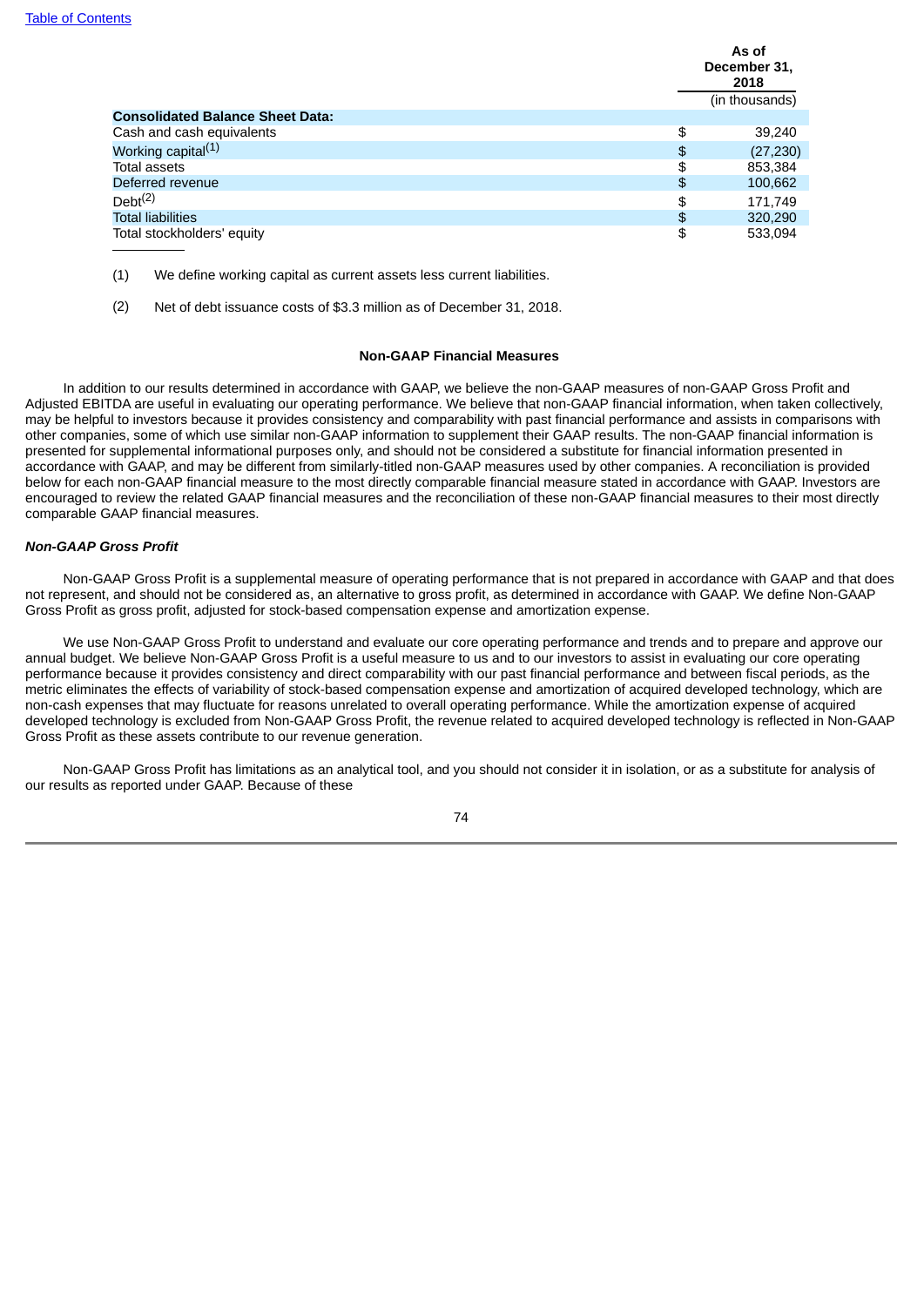|                                         | AS VI<br>December 31,<br>2018 |  |
|-----------------------------------------|-------------------------------|--|
|                                         | (in thousands)                |  |
| <b>Consolidated Balance Sheet Data:</b> |                               |  |
| Cash and cash equivalents               | \$<br>39,240                  |  |
| Working capital <sup>(1)</sup>          | \$<br>(27, 230)               |  |
| <b>Total assets</b>                     | \$<br>853,384                 |  |
| Deferred revenue                        | \$<br>100,662                 |  |
| Debt <sup>(2)</sup>                     | \$<br>171.749                 |  |
| <b>Total liabilities</b>                | \$<br>320,290                 |  |
| Total stockholders' equity              | \$<br>533,094                 |  |

**As of**

(1) We define working capital as current assets less current liabilities.

(2) Net of debt issuance costs of \$3.3 million as of December 31, 2018.

### **Non-GAAP Financial Measures**

 In addition to our results determined in accordance with GAAP, we believe the non-GAAP measures of non-GAAP Gross Profit and Adjusted EBITDA are useful in evaluating our operating performance. We believe that non-GAAP financial information, when taken collectively, may be helpful to investors because it provides consistency and comparability with past financial performance and assists in comparisons with other companies, some of which use similar non-GAAP information to supplement their GAAP results. The non-GAAP financial information is presented for supplemental informational purposes only, and should not be considered a substitute for financial information presented in accordance with GAAP, and may be different from similarly-titled non-GAAP measures used by other companies. A reconciliation is provided below for each non-GAAP financial measure to the most directly comparable financial measure stated in accordance with GAAP. Investors are encouraged to review the related GAAP financial measures and the reconciliation of these non-GAAP financial measures to their most directly comparable GAAP financial measures.

## *Non-GAAP Gross Profit*

 Non-GAAP Gross Profit is a supplemental measure of operating performance that is not prepared in accordance with GAAP and that does not represent, and should not be considered as, an alternative to gross profit, as determined in accordance with GAAP. We define Non-GAAP Gross Profit as gross profit, adjusted for stock-based compensation expense and amortization expense.

 We use Non-GAAP Gross Profit to understand and evaluate our core operating performance and trends and to prepare and approve our annual budget. We believe Non-GAAP Gross Profit is a useful measure to us and to our investors to assist in evaluating our core operating performance because it provides consistency and direct comparability with our past financial performance and between fiscal periods, as the metric eliminates the effects of variability of stock-based compensation expense and amortization of acquired developed technology, which are non-cash expenses that may fluctuate for reasons unrelated to overall operating performance. While the amortization expense of acquired developed technology is excluded from Non-GAAP Gross Profit, the revenue related to acquired developed technology is reflected in Non-GAAP Gross Profit as these assets contribute to our revenue generation.

 Non-GAAP Gross Profit has limitations as an analytical tool, and you should not consider it in isolation, or as a substitute for analysis of our results as reported under GAAP. Because of these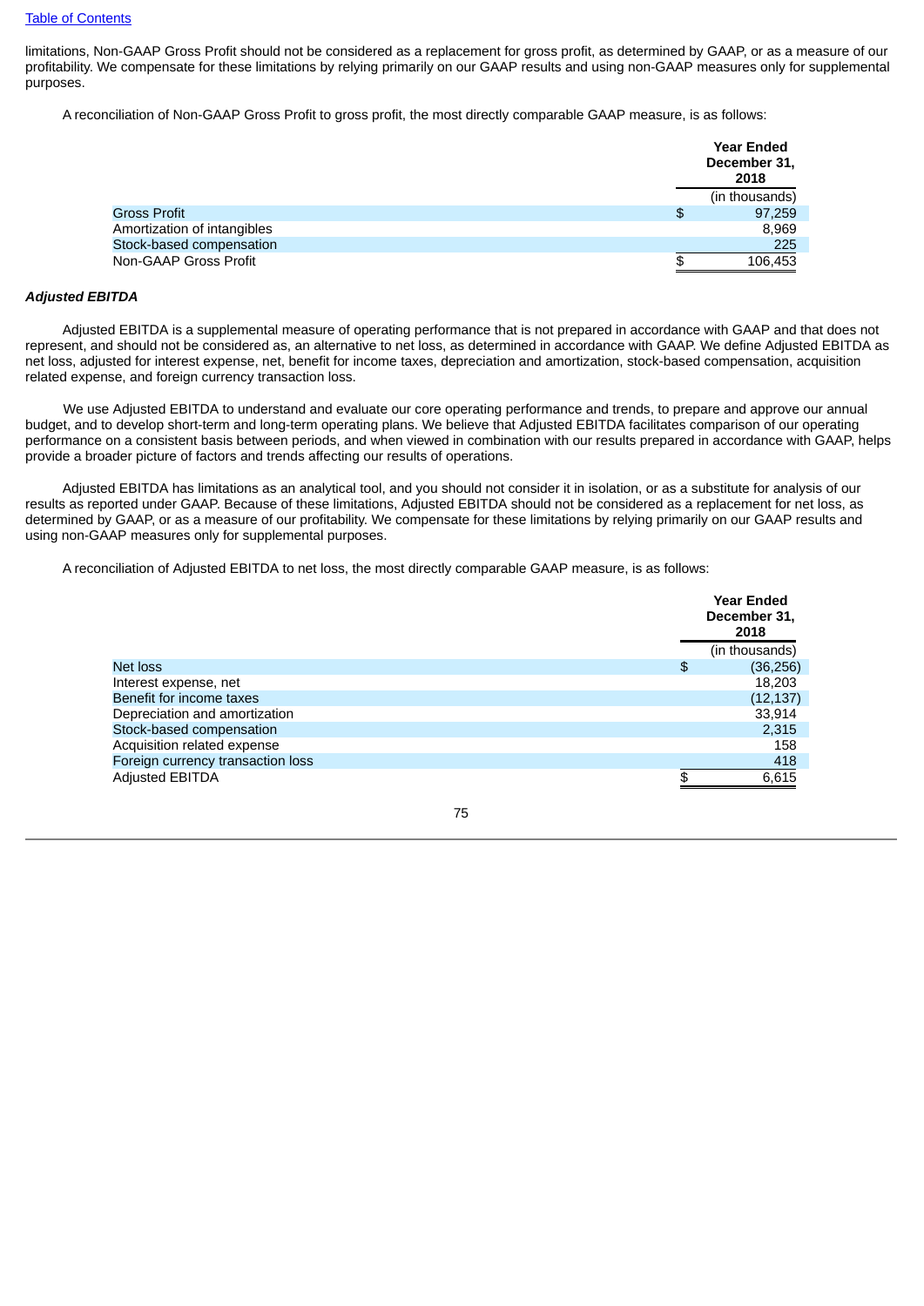limitations, Non-GAAP Gross Profit should not be considered as a replacement for gross profit, as determined by GAAP, or as a measure of our profitability. We compensate for these limitations by relying primarily on our GAAP results and using non-GAAP measures only for supplemental purposes.

A reconciliation of Non-GAAP Gross Profit to gross profit, the most directly comparable GAAP measure, is as follows:

|                             | <b>Year Ended</b><br>December 31,<br>2018 |  |
|-----------------------------|-------------------------------------------|--|
|                             | (in thousands)                            |  |
| Gross Profit                | \$<br>97.259                              |  |
| Amortization of intangibles | 8.969                                     |  |
| Stock-based compensation    | 225                                       |  |
| Non-GAAP Gross Profit       | 106,453                                   |  |

# *Adjusted EBITDA*

 Adjusted EBITDA is a supplemental measure of operating performance that is not prepared in accordance with GAAP and that does not represent, and should not be considered as, an alternative to net loss, as determined in accordance with GAAP. We define Adjusted EBITDA as net loss, adjusted for interest expense, net, benefit for income taxes, depreciation and amortization, stock-based compensation, acquisition related expense, and foreign currency transaction loss.

 We use Adjusted EBITDA to understand and evaluate our core operating performance and trends, to prepare and approve our annual budget, and to develop short-term and long-term operating plans. We believe that Adjusted EBITDA facilitates comparison of our operating performance on a consistent basis between periods, and when viewed in combination with our results prepared in accordance with GAAP, helps provide a broader picture of factors and trends affecting our results of operations.

 Adjusted EBITDA has limitations as an analytical tool, and you should not consider it in isolation, or as a substitute for analysis of our results as reported under GAAP. Because of these limitations, Adjusted EBITDA should not be considered as a replacement for net loss, as determined by GAAP, or as a measure of our profitability. We compensate for these limitations by relying primarily on our GAAP results and using non-GAAP measures only for supplemental purposes.

A reconciliation of Adjusted EBITDA to net loss, the most directly comparable GAAP measure, is as follows:

|                                   | <b>Year Ended</b><br>December 31,<br>2018 |
|-----------------------------------|-------------------------------------------|
|                                   | (in thousands)                            |
| Net loss                          | \$<br>(36, 256)                           |
| Interest expense, net             | 18,203                                    |
| Benefit for income taxes          | (12, 137)                                 |
| Depreciation and amortization     | 33,914                                    |
| Stock-based compensation          | 2,315                                     |
| Acquisition related expense       | 158                                       |
| Foreign currency transaction loss | 418                                       |
| <b>Adjusted EBITDA</b>            | 6,615                                     |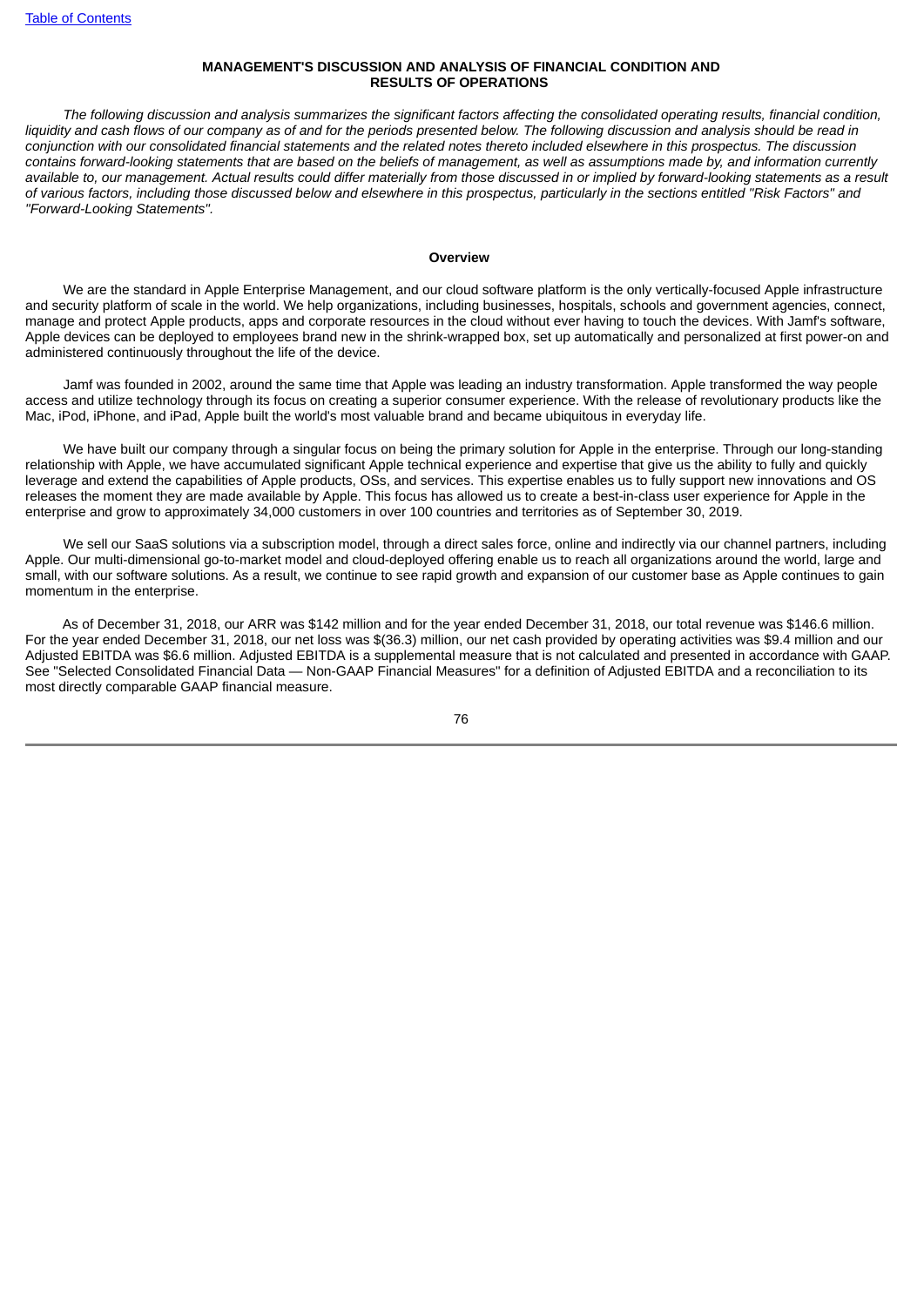#### **MANAGEMENT'S DISCUSSION AND ANALYSIS OF FINANCIAL CONDITION AND RESULTS OF OPERATIONS**

 *The following discussion and analysis summarizes the significant factors affecting the consolidated operating results, financial condition, liquidity and cash flows of our company as of and for the periods presented below. The following discussion and analysis should be read in conjunction with our consolidated financial statements and the related notes thereto included elsewhere in this prospectus. The discussion contains forward-looking statements that are based on the beliefs of management, as well as assumptions made by, and information currently available to, our management. Actual results could differ materially from those discussed in or implied by forward-looking statements as a result of various factors, including those discussed below and elsewhere in this prospectus, particularly in the sections entitled "Risk Factors" and "Forward-Looking Statements".*

### **Overview**

We are the standard in Apple Enterprise Management, and our cloud software platform is the only vertically-focused Apple infrastructure and security platform of scale in the world. We help organizations, including businesses, hospitals, schools and government agencies, connect, manage and protect Apple products, apps and corporate resources in the cloud without ever having to touch the devices. With Jamf's software, Apple devices can be deployed to employees brand new in the shrink-wrapped box, set up automatically and personalized at first power-on and administered continuously throughout the life of the device.

 Jamf was founded in 2002, around the same time that Apple was leading an industry transformation. Apple transformed the way people access and utilize technology through its focus on creating a superior consumer experience. With the release of revolutionary products like the Mac, iPod, iPhone, and iPad, Apple built the world's most valuable brand and became ubiquitous in everyday life.

 We have built our company through a singular focus on being the primary solution for Apple in the enterprise. Through our long-standing relationship with Apple, we have accumulated significant Apple technical experience and expertise that give us the ability to fully and quickly leverage and extend the capabilities of Apple products, OSs, and services. This expertise enables us to fully support new innovations and OS releases the moment they are made available by Apple. This focus has allowed us to create a best-in-class user experience for Apple in the enterprise and grow to approximately 34,000 customers in over 100 countries and territories as of September 30, 2019.

We sell our SaaS solutions via a subscription model, through a direct sales force, online and indirectly via our channel partners, including Apple. Our multi-dimensional go-to-market model and cloud-deployed offering enable us to reach all organizations around the world, large and small, with our software solutions. As a result, we continue to see rapid growth and expansion of our customer base as Apple continues to gain momentum in the enterprise.

 As of December 31, 2018, our ARR was \$142 million and for the year ended December 31, 2018, our total revenue was \$146.6 million. For the year ended December 31, 2018, our net loss was \$(36.3) million, our net cash provided by operating activities was \$9.4 million and our Adjusted EBITDA was \$6.6 million. Adjusted EBITDA is a supplemental measure that is not calculated and presented in accordance with GAAP. See "Selected Consolidated Financial Data — Non-GAAP Financial Measures" for a definition of Adjusted EBITDA and a reconciliation to its most directly comparable GAAP financial measure.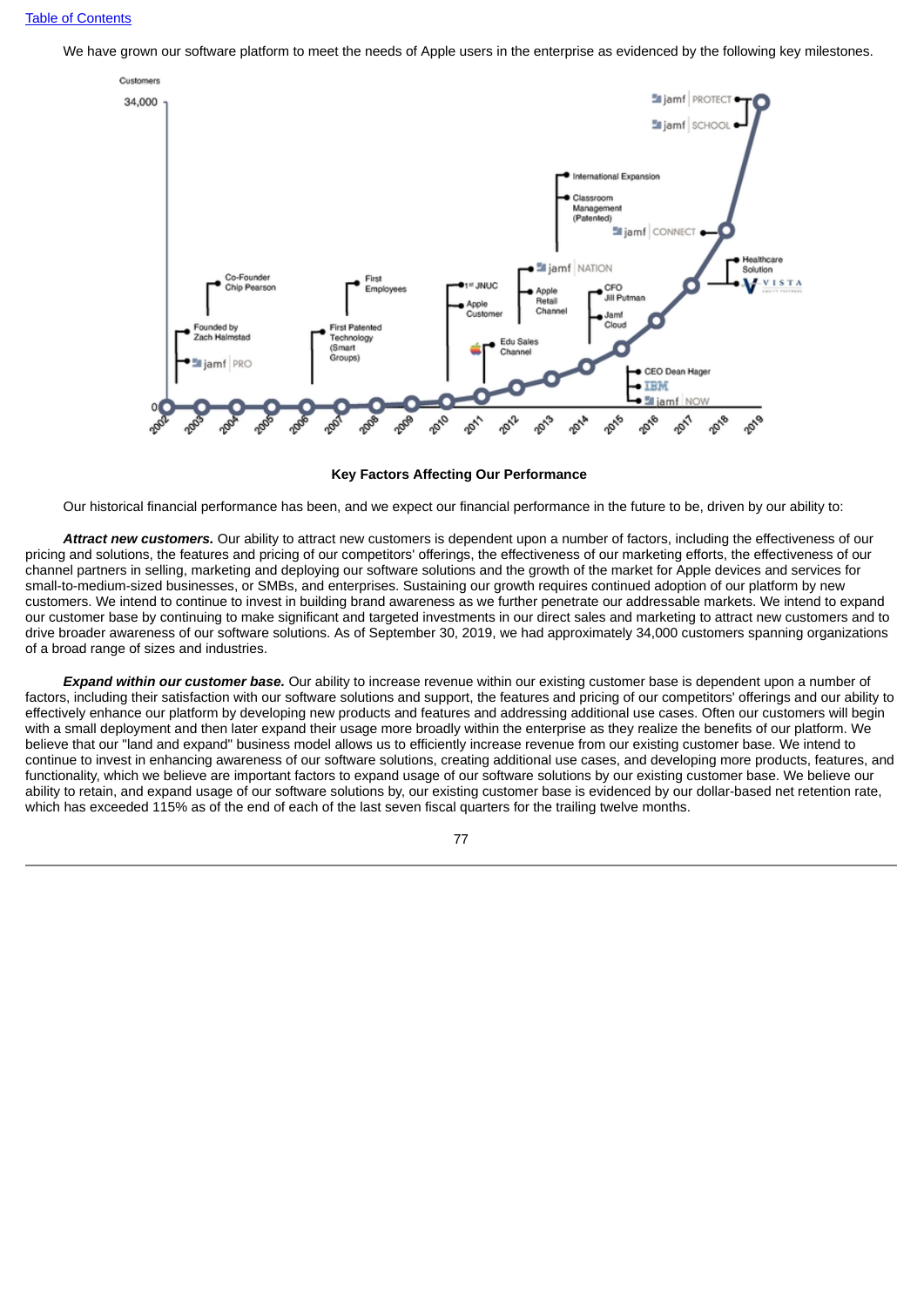We have grown our software platform to meet the needs of Apple users in the enterprise as evidenced by the following key milestones.



**Key Factors Affecting Our Performance** 

Our historical financial performance has been, and we expect our financial performance in the future to be, driven by our ability to:

 *Attract new customers.* Our ability to attract new customers is dependent upon a number of factors, including the effectiveness of our pricing and solutions, the features and pricing of our competitors' offerings, the effectiveness of our marketing efforts, the effectiveness of our channel partners in selling, marketing and deploying our software solutions and the growth of the market for Apple devices and services for small-to-medium-sized businesses, or SMBs, and enterprises. Sustaining our growth requires continued adoption of our platform by new customers. We intend to continue to invest in building brand awareness as we further penetrate our addressable markets. We intend to expand our customer base by continuing to make significant and targeted investments in our direct sales and marketing to attract new customers and to drive broader awareness of our software solutions. As of September 30, 2019, we had approximately 34,000 customers spanning organizations of a broad range of sizes and industries.

 *Expand within our customer base.* Our ability to increase revenue within our existing customer base is dependent upon a number of factors, including their satisfaction with our software solutions and support, the features and pricing of our competitors' offerings and our ability to effectively enhance our platform by developing new products and features and addressing additional use cases. Often our customers will begin with a small deployment and then later expand their usage more broadly within the enterprise as they realize the benefits of our platform. We believe that our "land and expand" business model allows us to efficiently increase revenue from our existing customer base. We intend to continue to invest in enhancing awareness of our software solutions, creating additional use cases, and developing more products, features, and functionality, which we believe are important factors to expand usage of our software solutions by our existing customer base. We believe our ability to retain, and expand usage of our software solutions by, our existing customer base is evidenced by our dollar-based net retention rate, which has exceeded 115% as of the end of each of the last seven fiscal quarters for the trailing twelve months.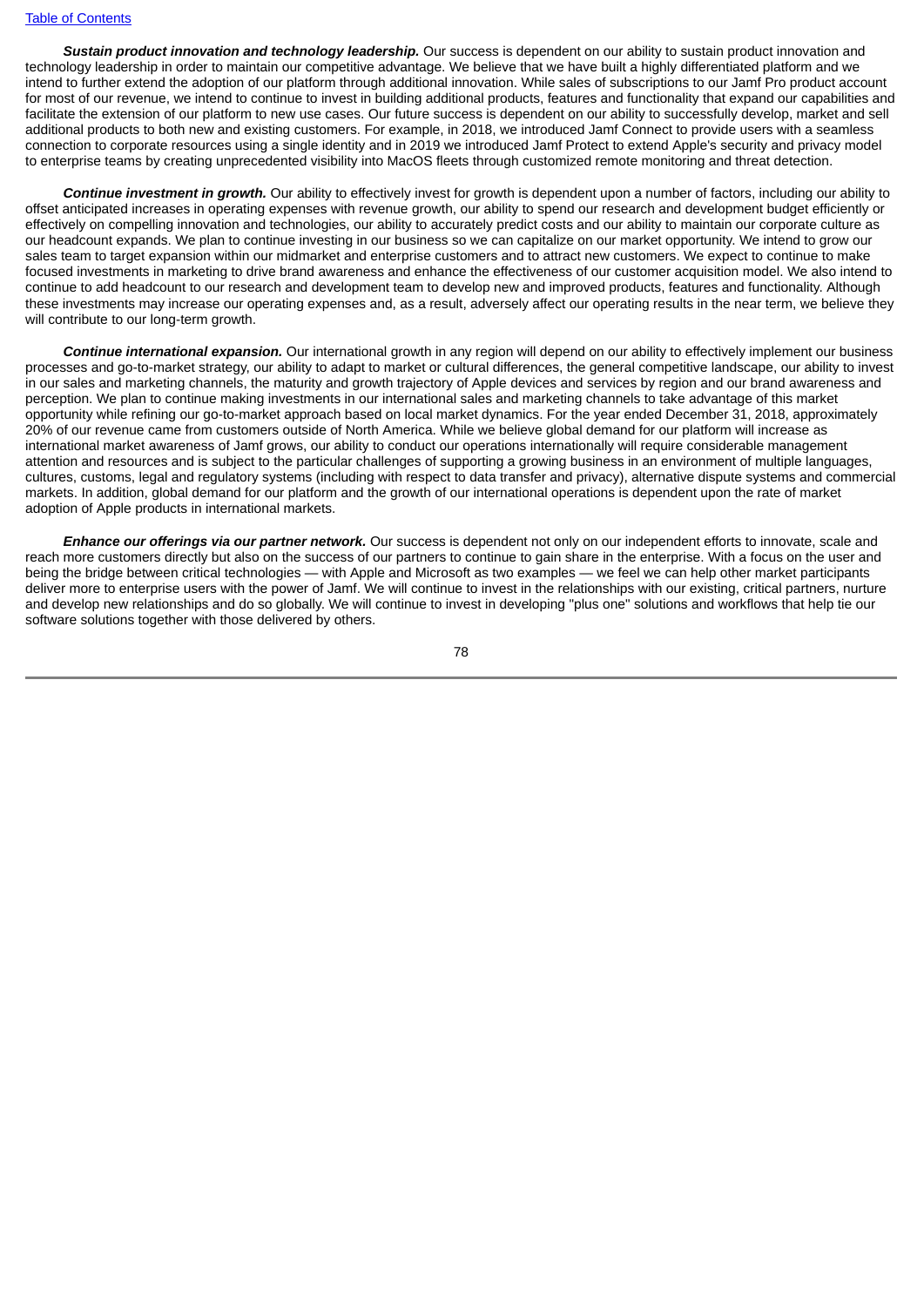*Sustain product innovation and technology leadership.* Our success is dependent on our ability to sustain product innovation and technology leadership in order to maintain our competitive advantage. We believe that we have built a highly differentiated platform and we intend to further extend the adoption of our platform through additional innovation. While sales of subscriptions to our Jamf Pro product account for most of our revenue, we intend to continue to invest in building additional products, features and functionality that expand our capabilities and facilitate the extension of our platform to new use cases. Our future success is dependent on our ability to successfully develop, market and sell additional products to both new and existing customers. For example, in 2018, we introduced Jamf Connect to provide users with a seamless connection to corporate resources using a single identity and in 2019 we introduced Jamf Protect to extend Apple's security and privacy model to enterprise teams by creating unprecedented visibility into MacOS fleets through customized remote monitoring and threat detection.

 *Continue investment in growth.* Our ability to effectively invest for growth is dependent upon a number of factors, including our ability to offset anticipated increases in operating expenses with revenue growth, our ability to spend our research and development budget efficiently or effectively on compelling innovation and technologies, our ability to accurately predict costs and our ability to maintain our corporate culture as our headcount expands. We plan to continue investing in our business so we can capitalize on our market opportunity. We intend to grow our sales team to target expansion within our midmarket and enterprise customers and to attract new customers. We expect to continue to make focused investments in marketing to drive brand awareness and enhance the effectiveness of our customer acquisition model. We also intend to continue to add headcount to our research and development team to develop new and improved products, features and functionality. Although these investments may increase our operating expenses and, as a result, adversely affect our operating results in the near term, we believe they will contribute to our long-term growth.

 *Continue international expansion.* Our international growth in any region will depend on our ability to effectively implement our business processes and go-to-market strategy, our ability to adapt to market or cultural differences, the general competitive landscape, our ability to invest in our sales and marketing channels, the maturity and growth trajectory of Apple devices and services by region and our brand awareness and perception. We plan to continue making investments in our international sales and marketing channels to take advantage of this market opportunity while refining our go-to-market approach based on local market dynamics. For the year ended December 31, 2018, approximately 20% of our revenue came from customers outside of North America. While we believe global demand for our platform will increase as international market awareness of Jamf grows, our ability to conduct our operations internationally will require considerable management attention and resources and is subject to the particular challenges of supporting a growing business in an environment of multiple languages, cultures, customs, legal and regulatory systems (including with respect to data transfer and privacy), alternative dispute systems and commercial markets. In addition, global demand for our platform and the growth of our international operations is dependent upon the rate of market adoption of Apple products in international markets.

 *Enhance our offerings via our partner network.* Our success is dependent not only on our independent efforts to innovate, scale and reach more customers directly but also on the success of our partners to continue to gain share in the enterprise. With a focus on the user and being the bridge between critical technologies — with Apple and Microsoft as two examples — we feel we can help other market participants deliver more to enterprise users with the power of Jamf. We will continue to invest in the relationships with our existing, critical partners, nurture and develop new relationships and do so globally. We will continue to invest in developing "plus one" solutions and workflows that help tie our software solutions together with those delivered by others.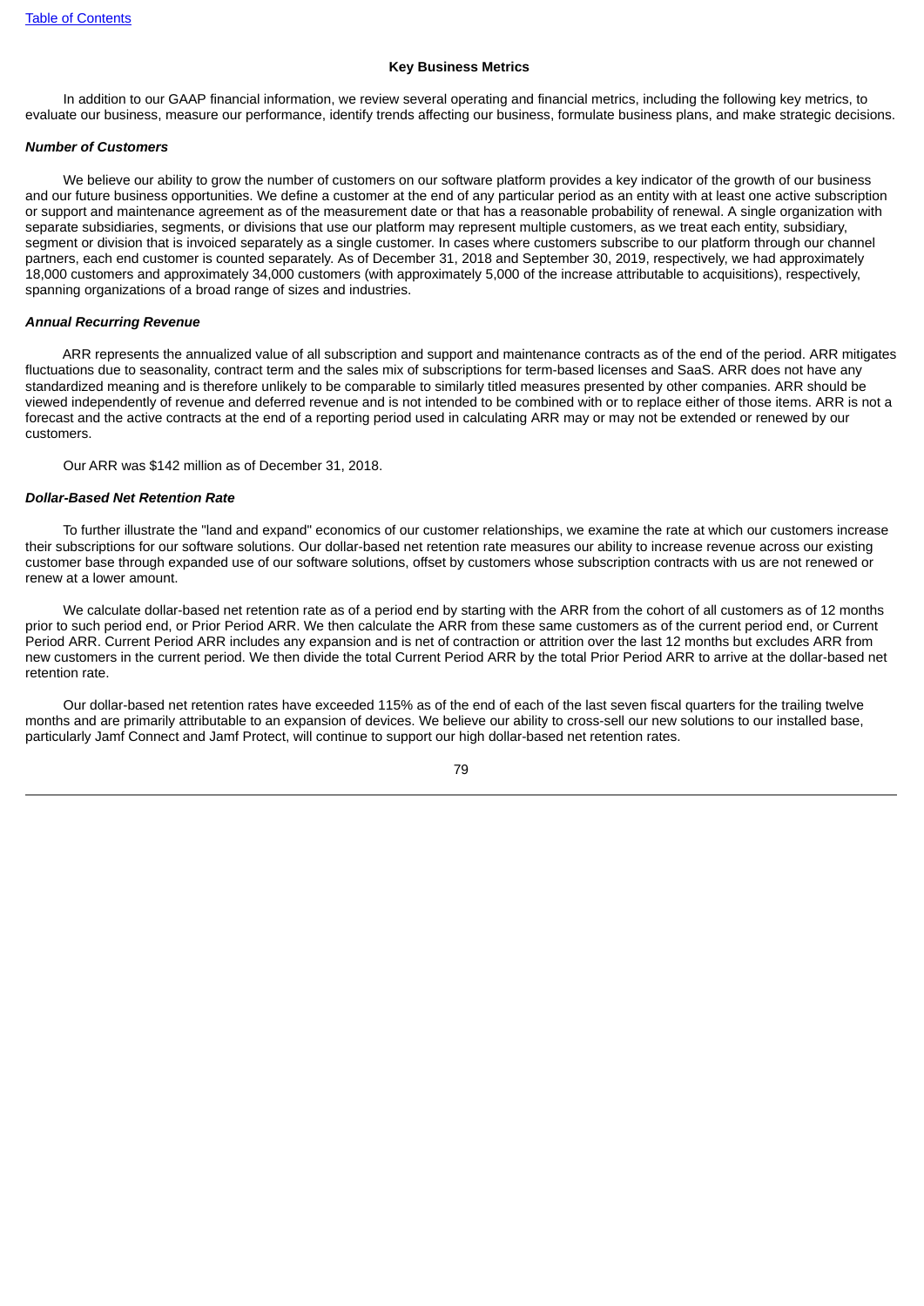#### **Key Business Metrics**

 In addition to our GAAP financial information, we review several operating and financial metrics, including the following key metrics, to evaluate our business, measure our performance, identify trends affecting our business, formulate business plans, and make strategic decisions.

## *Number of Customers*

We believe our ability to grow the number of customers on our software platform provides a key indicator of the growth of our business and our future business opportunities. We define a customer at the end of any particular period as an entity with at least one active subscription or support and maintenance agreement as of the measurement date or that has a reasonable probability of renewal. A single organization with separate subsidiaries, segments, or divisions that use our platform may represent multiple customers, as we treat each entity, subsidiary, segment or division that is invoiced separately as a single customer. In cases where customers subscribe to our platform through our channel partners, each end customer is counted separately. As of December 31, 2018 and September 30, 2019, respectively, we had approximately 18,000 customers and approximately 34,000 customers (with approximately 5,000 of the increase attributable to acquisitions), respectively, spanning organizations of a broad range of sizes and industries.

#### *Annual Recurring Revenue*

 ARR represents the annualized value of all subscription and support and maintenance contracts as of the end of the period. ARR mitigates fluctuations due to seasonality, contract term and the sales mix of subscriptions for term-based licenses and SaaS. ARR does not have any standardized meaning and is therefore unlikely to be comparable to similarly titled measures presented by other companies. ARR should be viewed independently of revenue and deferred revenue and is not intended to be combined with or to replace either of those items. ARR is not a forecast and the active contracts at the end of a reporting period used in calculating ARR may or may not be extended or renewed by our customers.

Our ARR was \$142 million as of December 31, 2018.

#### *Dollar-Based Net Retention Rate*

 To further illustrate the "land and expand" economics of our customer relationships, we examine the rate at which our customers increase their subscriptions for our software solutions. Our dollar-based net retention rate measures our ability to increase revenue across our existing customer base through expanded use of our software solutions, offset by customers whose subscription contracts with us are not renewed or renew at a lower amount.

We calculate dollar-based net retention rate as of a period end by starting with the ARR from the cohort of all customers as of 12 months prior to such period end, or Prior Period ARR. We then calculate the ARR from these same customers as of the current period end, or Current Period ARR. Current Period ARR includes any expansion and is net of contraction or attrition over the last 12 months but excludes ARR from new customers in the current period. We then divide the total Current Period ARR by the total Prior Period ARR to arrive at the dollar-based net retention rate.

 Our dollar-based net retention rates have exceeded 115% as of the end of each of the last seven fiscal quarters for the trailing twelve months and are primarily attributable to an expansion of devices. We believe our ability to cross-sell our new solutions to our installed base, particularly Jamf Connect and Jamf Protect, will continue to support our high dollar-based net retention rates.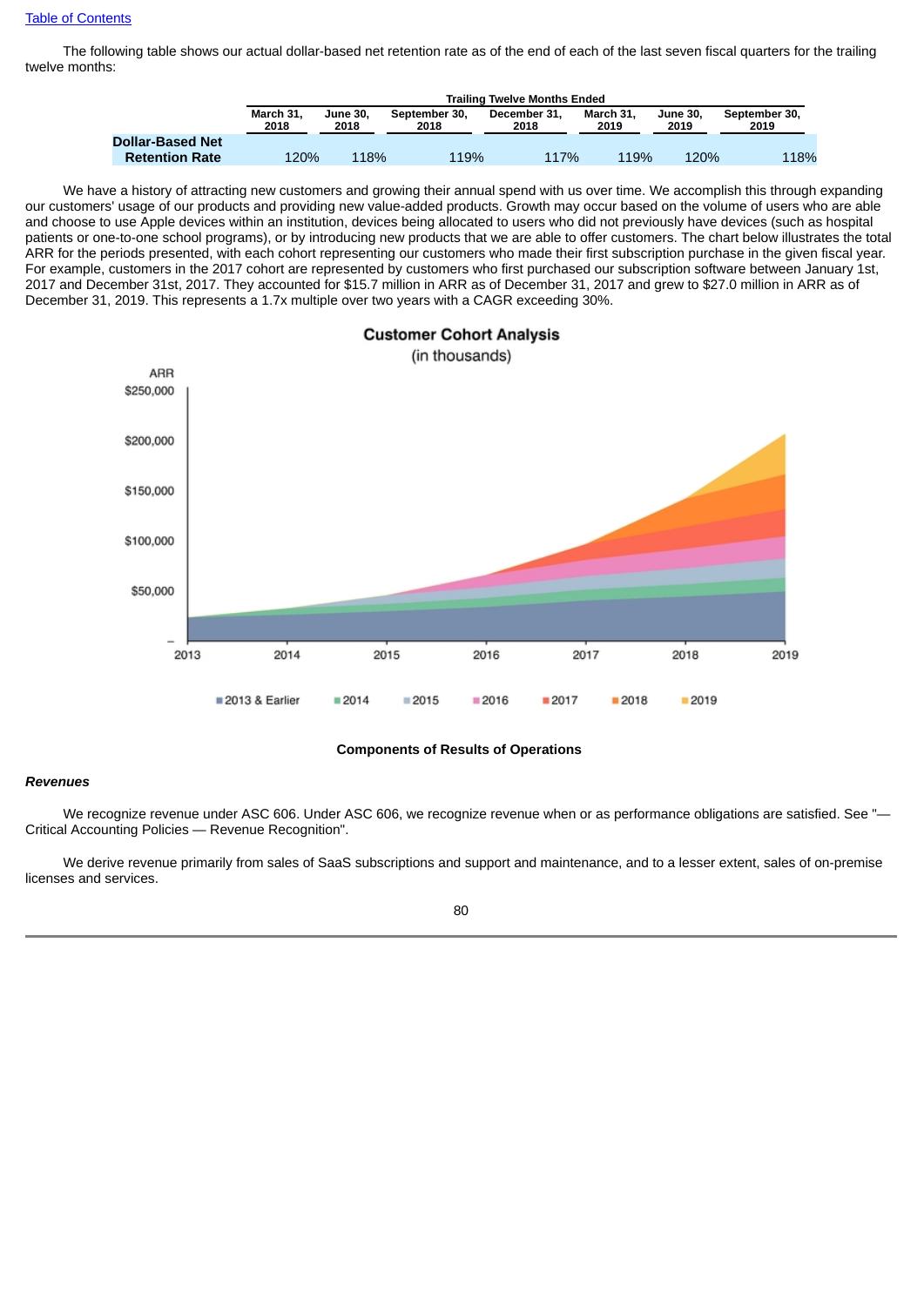The following table shows our actual dollar-based net retention rate as of the end of each of the last seven fiscal quarters for the trailing twelve months:

|                         | <b>Trailing Twelve Months Ended</b> |                         |                       |                      |                   |                         |                       |
|-------------------------|-------------------------------------|-------------------------|-----------------------|----------------------|-------------------|-------------------------|-----------------------|
|                         | March 31.<br>2018                   | <b>June 30.</b><br>2018 | September 30.<br>2018 | December 31.<br>2018 | March 31.<br>2019 | <b>June 30.</b><br>2019 | September 30.<br>2019 |
| <b>Dollar-Based Net</b> |                                     |                         |                       |                      |                   |                         |                       |
| <b>Retention Rate</b>   | 120%                                | 118%                    | 119%                  | 117%                 | 119%              | 120%                    | 118%                  |

We have a history of attracting new customers and growing their annual spend with us over time. We accomplish this through expanding our customers' usage of our products and providing new value-added products. Growth may occur based on the volume of users who are able and choose to use Apple devices within an institution, devices being allocated to users who did not previously have devices (such as hospital patients or one-to-one school programs), or by introducing new products that we are able to offer customers. The chart below illustrates the total ARR for the periods presented, with each cohort representing our customers who made their first subscription purchase in the given fiscal year. For example, customers in the 2017 cohort are represented by customers who first purchased our subscription software between January 1st, 2017 and December 31st, 2017. They accounted for \$15.7 million in ARR as of December 31, 2017 and grew to \$27.0 million in ARR as of December 31, 2019. This represents a 1.7x multiple over two years with a CAGR exceeding 30%.



## **Components of Results of Operations**

#### *Revenues*

 We recognize revenue under ASC 606. Under ASC 606, we recognize revenue when or as performance obligations are satisfied. See "— Critical Accounting Policies — Revenue Recognition".

 We derive revenue primarily from sales of SaaS subscriptions and support and maintenance, and to a lesser extent, sales of on-premise licenses and services.

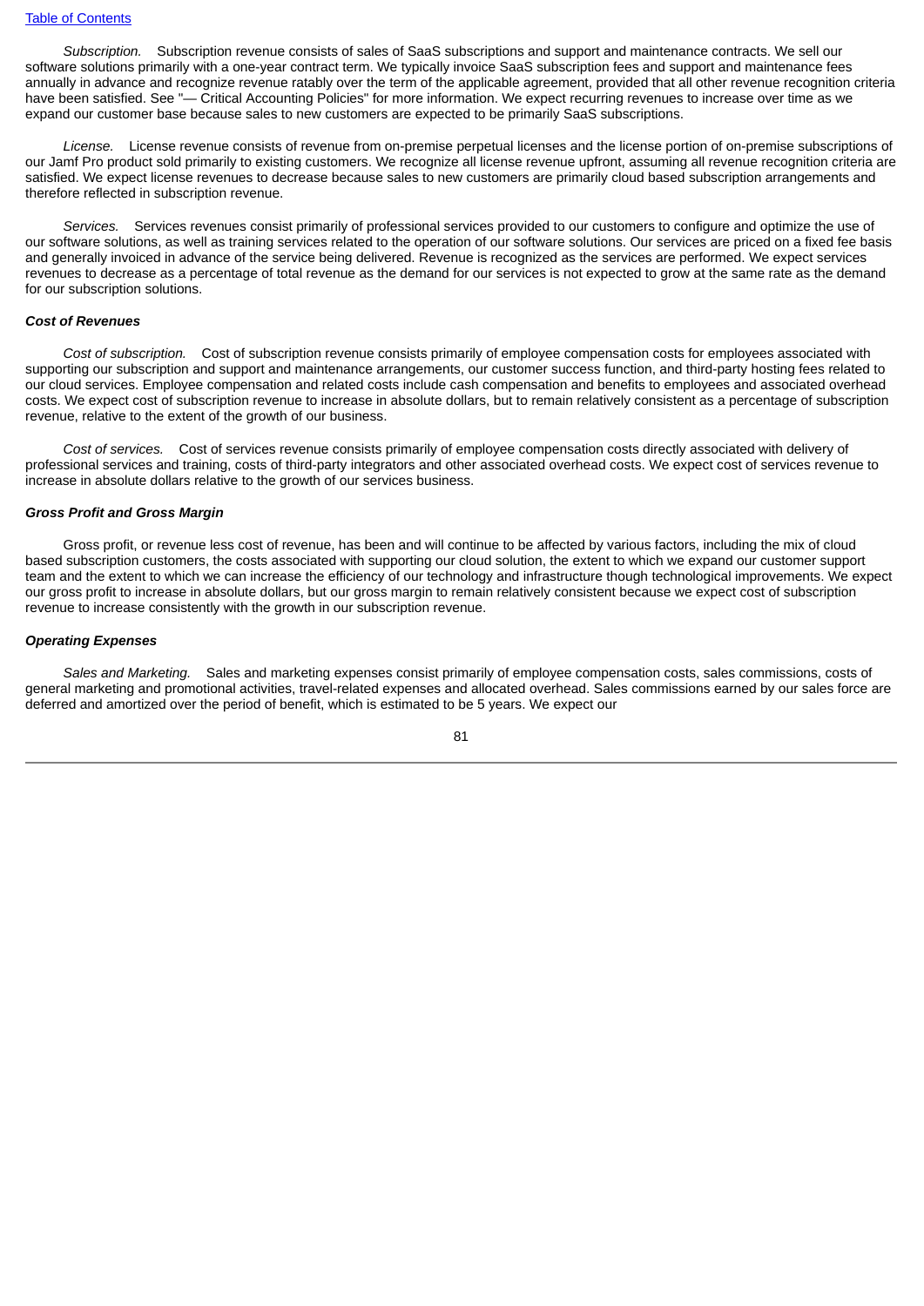*Subscription.* Subscription revenue consists of sales of SaaS subscriptions and support and maintenance contracts. We sell our software solutions primarily with a one-year contract term. We typically invoice SaaS subscription fees and support and maintenance fees annually in advance and recognize revenue ratably over the term of the applicable agreement, provided that all other revenue recognition criteria have been satisfied. See "— Critical Accounting Policies" for more information. We expect recurring revenues to increase over time as we expand our customer base because sales to new customers are expected to be primarily SaaS subscriptions.

 *License.* License revenue consists of revenue from on-premise perpetual licenses and the license portion of on-premise subscriptions of our Jamf Pro product sold primarily to existing customers. We recognize all license revenue upfront, assuming all revenue recognition criteria are satisfied. We expect license revenues to decrease because sales to new customers are primarily cloud based subscription arrangements and therefore reflected in subscription revenue.

 *Services.* Services revenues consist primarily of professional services provided to our customers to configure and optimize the use of our software solutions, as well as training services related to the operation of our software solutions. Our services are priced on a fixed fee basis and generally invoiced in advance of the service being delivered. Revenue is recognized as the services are performed. We expect services revenues to decrease as a percentage of total revenue as the demand for our services is not expected to grow at the same rate as the demand for our subscription solutions.

#### *Cost of Revenues*

 *Cost of subscription.* Cost of subscription revenue consists primarily of employee compensation costs for employees associated with supporting our subscription and support and maintenance arrangements, our customer success function, and third-party hosting fees related to our cloud services. Employee compensation and related costs include cash compensation and benefits to employees and associated overhead costs. We expect cost of subscription revenue to increase in absolute dollars, but to remain relatively consistent as a percentage of subscription revenue, relative to the extent of the growth of our business.

 *Cost of services.* Cost of services revenue consists primarily of employee compensation costs directly associated with delivery of professional services and training, costs of third-party integrators and other associated overhead costs. We expect cost of services revenue to increase in absolute dollars relative to the growth of our services business.

#### *Gross Profit and Gross Margin*

 Gross profit, or revenue less cost of revenue, has been and will continue to be affected by various factors, including the mix of cloud based subscription customers, the costs associated with supporting our cloud solution, the extent to which we expand our customer support team and the extent to which we can increase the efficiency of our technology and infrastructure though technological improvements. We expect our gross profit to increase in absolute dollars, but our gross margin to remain relatively consistent because we expect cost of subscription revenue to increase consistently with the growth in our subscription revenue.

### *Operating Expenses*

 *Sales and Marketing.* Sales and marketing expenses consist primarily of employee compensation costs, sales commissions, costs of general marketing and promotional activities, travel-related expenses and allocated overhead. Sales commissions earned by our sales force are deferred and amortized over the period of benefit, which is estimated to be 5 years. We expect our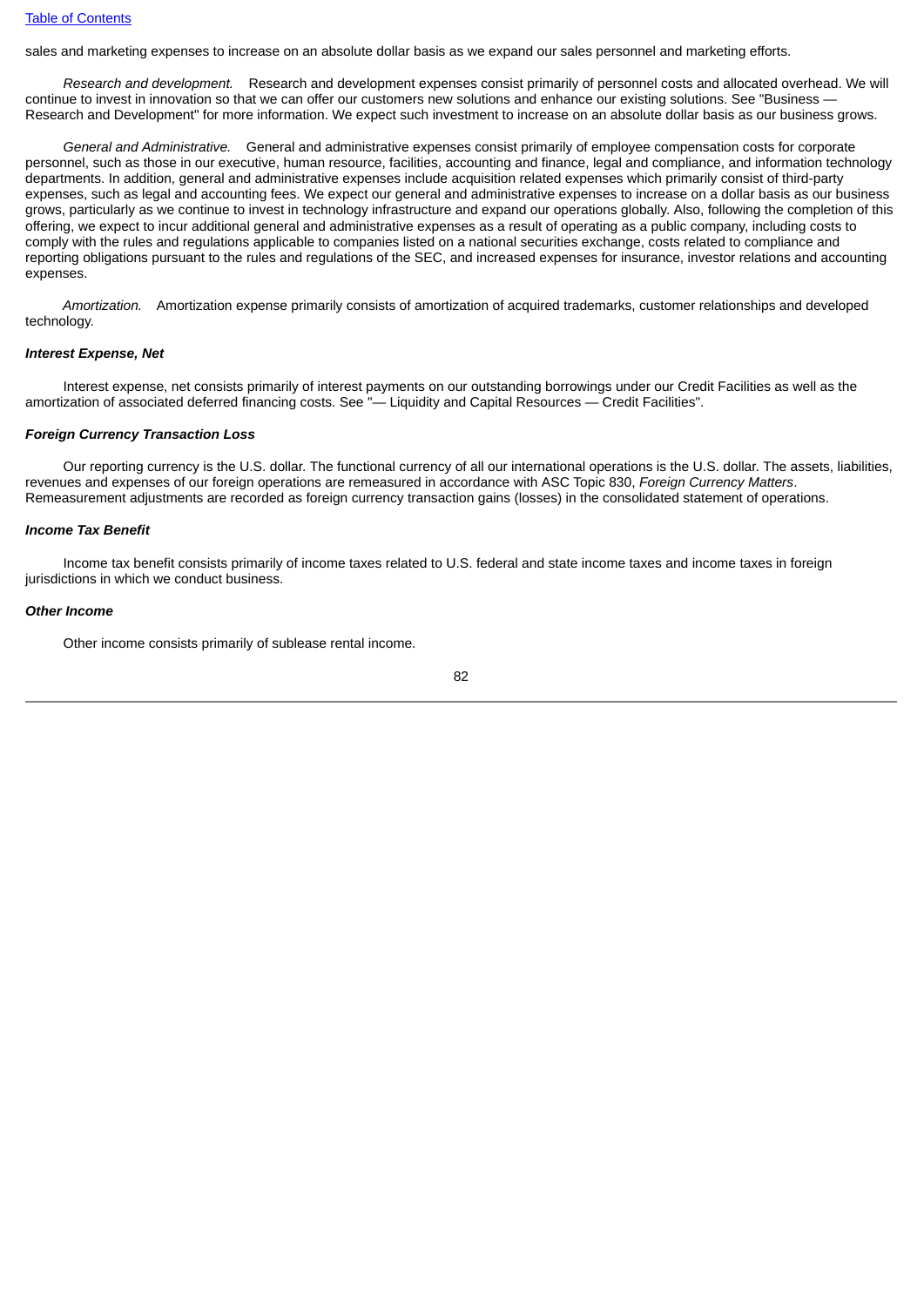sales and marketing expenses to increase on an absolute dollar basis as we expand our sales personnel and marketing efforts.

 *Research and development.* Research and development expenses consist primarily of personnel costs and allocated overhead. We will continue to invest in innovation so that we can offer our customers new solutions and enhance our existing solutions. See "Business -Research and Development" for more information. We expect such investment to increase on an absolute dollar basis as our business grows.

 *General and Administrative.* General and administrative expenses consist primarily of employee compensation costs for corporate personnel, such as those in our executive, human resource, facilities, accounting and finance, legal and compliance, and information technology departments. In addition, general and administrative expenses include acquisition related expenses which primarily consist of third-party expenses, such as legal and accounting fees. We expect our general and administrative expenses to increase on a dollar basis as our business grows, particularly as we continue to invest in technology infrastructure and expand our operations globally. Also, following the completion of this offering, we expect to incur additional general and administrative expenses as a result of operating as a public company, including costs to comply with the rules and regulations applicable to companies listed on a national securities exchange, costs related to compliance and reporting obligations pursuant to the rules and regulations of the SEC, and increased expenses for insurance, investor relations and accounting expenses.

 *Amortization.* Amortization expense primarily consists of amortization of acquired trademarks, customer relationships and developed technology.

#### *Interest Expense, Net*

 Interest expense, net consists primarily of interest payments on our outstanding borrowings under our Credit Facilities as well as the amortization of associated deferred financing costs. See "— Liquidity and Capital Resources — Credit Facilities".

#### *Foreign Currency Transaction Loss*

 Our reporting currency is the U.S. dollar. The functional currency of all our international operations is the U.S. dollar. The assets, liabilities, revenues and expenses of our foreign operations are remeasured in accordance with ASC Topic 830, *Foreign Currency Matters*. Remeasurement adjustments are recorded as foreign currency transaction gains (losses) in the consolidated statement of operations.

#### *Income Tax Benefit*

 Income tax benefit consists primarily of income taxes related to U.S. federal and state income taxes and income taxes in foreign jurisdictions in which we conduct business.

#### *Other Income*

Other income consists primarily of sublease rental income.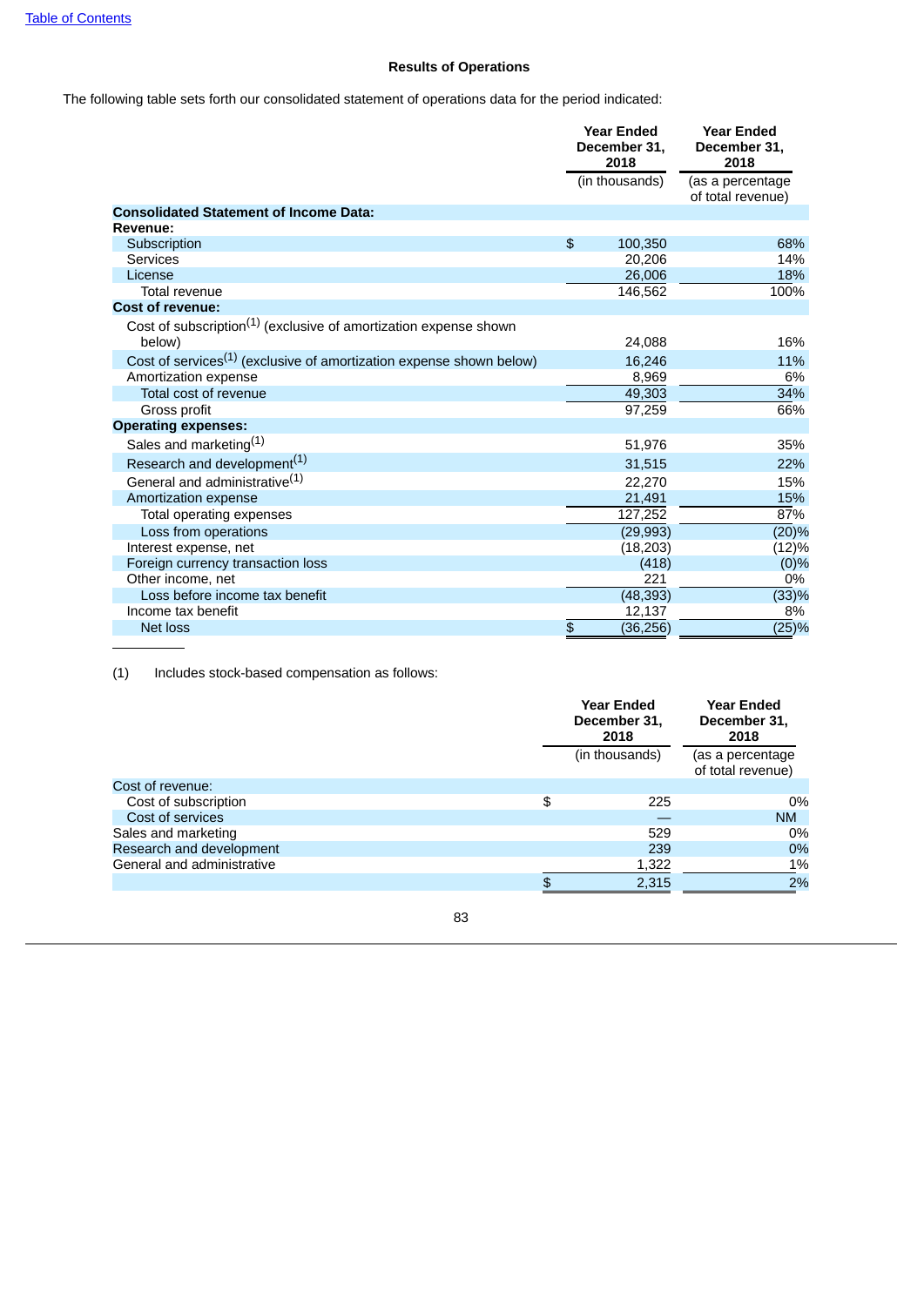# **Results of Operations**

The following table sets forth our consolidated statement of operations data for the period indicated:

|                                                                                                     |                         | <b>Year Ended</b><br>December 31,<br>2018 | <b>Year Ended</b><br>December 31,<br>2018 |
|-----------------------------------------------------------------------------------------------------|-------------------------|-------------------------------------------|-------------------------------------------|
|                                                                                                     |                         | (in thousands)                            | (as a percentage<br>of total revenue)     |
| <b>Consolidated Statement of Income Data:</b>                                                       |                         |                                           |                                           |
| Revenue:                                                                                            |                         |                                           |                                           |
| Subscription                                                                                        | \$                      | 100,350                                   | 68%                                       |
| <b>Services</b>                                                                                     |                         | 20,206                                    | 14%                                       |
| License                                                                                             |                         | 26,006                                    | 18%                                       |
| Total revenue                                                                                       |                         | 146,562                                   | 100%                                      |
| <b>Cost of revenue:</b>                                                                             |                         |                                           |                                           |
| Cost of subscription <sup><math>(1)</math></sup> (exclusive of amortization expense shown<br>below) |                         | 24,088                                    | 16%                                       |
| Cost of services <sup><math>(1)</math></sup> (exclusive of amortization expense shown below)        |                         | 16,246                                    | 11%                                       |
| Amortization expense                                                                                |                         | 8,969                                     | 6%                                        |
| Total cost of revenue                                                                               |                         | 49,303                                    | 34%                                       |
| Gross profit                                                                                        |                         | 97,259                                    | 66%                                       |
| <b>Operating expenses:</b>                                                                          |                         |                                           |                                           |
| Sales and marketing $(1)$                                                                           |                         | 51,976                                    | 35%                                       |
| Research and development <sup>(1)</sup>                                                             |                         | 31,515                                    | 22%                                       |
| General and administrative <sup>(1)</sup>                                                           |                         | 22.270                                    | 15%                                       |
| Amortization expense                                                                                |                         | 21,491                                    | 15%                                       |
| Total operating expenses                                                                            |                         | 127,252                                   | 87%                                       |
| Loss from operations                                                                                |                         | (29,993)                                  | (20)%                                     |
| Interest expense, net                                                                               |                         | (18, 203)                                 | (12)%                                     |
| Foreign currency transaction loss                                                                   |                         | (418)                                     | $(0)\%$                                   |
| Other income, net                                                                                   |                         | 221                                       | 0%                                        |
| Loss before income tax benefit                                                                      |                         | (48, 393)                                 | (33)%                                     |
| Income tax benefit                                                                                  |                         | 12,137                                    | 8%                                        |
| Net loss                                                                                            | $\overline{\mathbf{e}}$ | (36,256)                                  | (25)%                                     |

(1) Includes stock-based compensation as follows:

|                            | <b>Year Ended</b><br>December 31,<br>2018 | <b>Year Ended</b><br>December 31,<br>2018 |
|----------------------------|-------------------------------------------|-------------------------------------------|
|                            | (in thousands)                            | (as a percentage)<br>of total revenue)    |
| Cost of revenue:           |                                           |                                           |
| Cost of subscription       | \$<br>225                                 | 0%                                        |
| Cost of services           |                                           | <b>NM</b>                                 |
| Sales and marketing        | 529                                       | 0%                                        |
| Research and development   | 239                                       | 0%                                        |
| General and administrative | 1,322                                     | 1%                                        |
|                            | 2,315                                     | 2%                                        |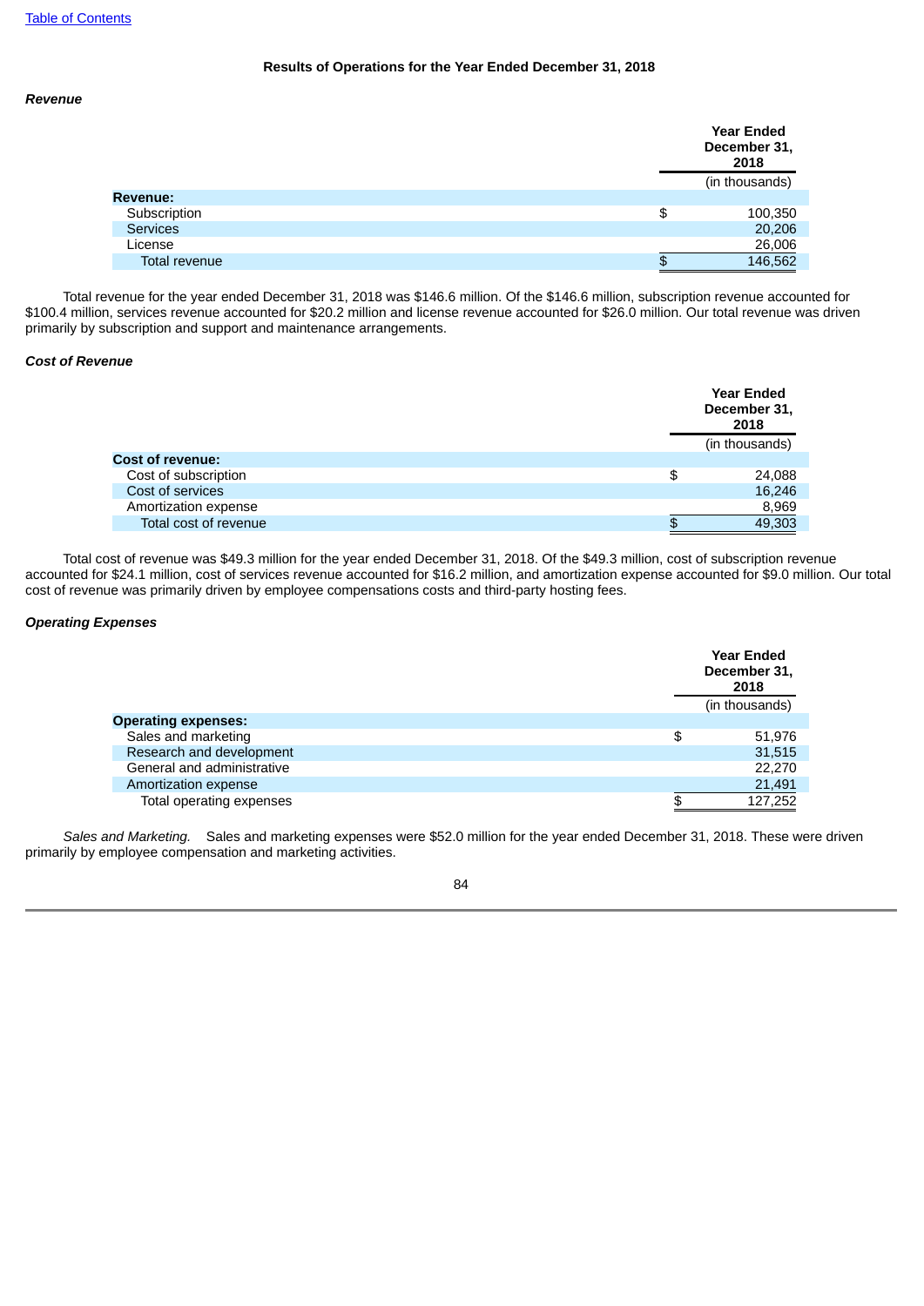# **Results of Operations for the Year Ended December 31, 2018**

# *Revenue*

|                 | <b>Year Ended</b><br>December 31,<br>2018<br>(in thousands) |  |
|-----------------|-------------------------------------------------------------|--|
| Revenue:        |                                                             |  |
| Subscription    | \$<br>100,350                                               |  |
| <b>Services</b> | 20,206                                                      |  |
| License         | 26,006                                                      |  |
| Total revenue   | \$<br>146,562                                               |  |

 Total revenue for the year ended December 31, 2018 was \$146.6 million. Of the \$146.6 million, subscription revenue accounted for \$100.4 million, services revenue accounted for \$20.2 million and license revenue accounted for \$26.0 million. Our total revenue was driven primarily by subscription and support and maintenance arrangements.

#### *Cost of Revenue*

|                         | <b>Year Ended</b><br>December 31,<br>2018<br>(in thousands) |
|-------------------------|-------------------------------------------------------------|
| <b>Cost of revenue:</b> |                                                             |
| Cost of subscription    | \$<br>24,088                                                |
| Cost of services        | 16,246                                                      |
| Amortization expense    | 8,969                                                       |
| Total cost of revenue   | \$<br>49.303                                                |

 Total cost of revenue was \$49.3 million for the year ended December 31, 2018. Of the \$49.3 million, cost of subscription revenue accounted for \$24.1 million, cost of services revenue accounted for \$16.2 million, and amortization expense accounted for \$9.0 million. Our total cost of revenue was primarily driven by employee compensations costs and third-party hosting fees.

# *Operating Expenses*

|                            | <b>Year Ended</b><br>December 31,<br>2018 |
|----------------------------|-------------------------------------------|
|                            | (in thousands)                            |
| <b>Operating expenses:</b> |                                           |
| Sales and marketing        | \$<br>51,976                              |
| Research and development   | 31,515                                    |
| General and administrative | 22,270                                    |
| Amortization expense       | 21,491                                    |
| Total operating expenses   | 127,252                                   |

 *Sales and Marketing.* Sales and marketing expenses were \$52.0 million for the year ended December 31, 2018. These were driven primarily by employee compensation and marketing activities.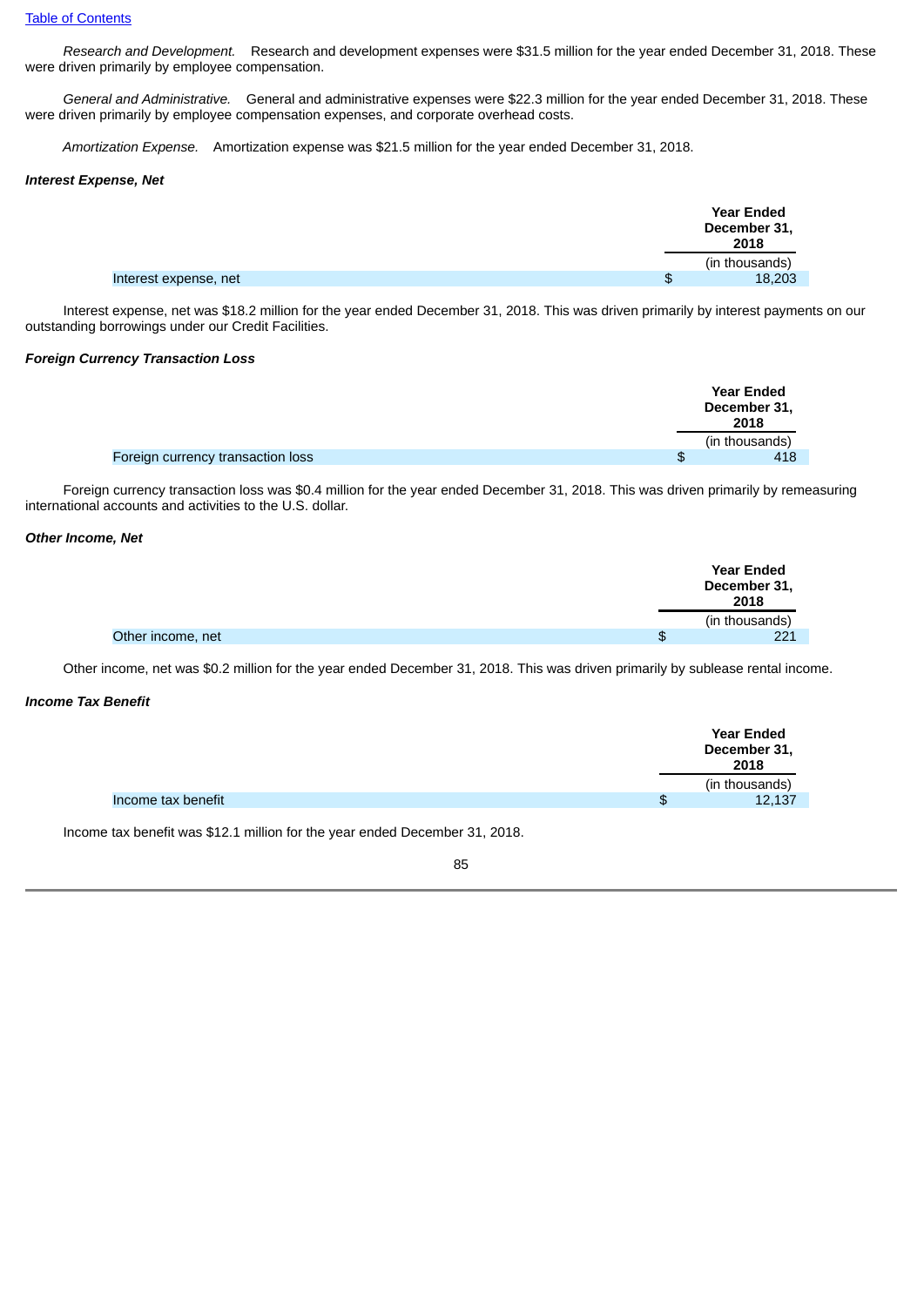*Research and Development.* Research and development expenses were \$31.5 million for the year ended December 31, 2018. These were driven primarily by employee compensation.

 *General and Administrative.* General and administrative expenses were \$22.3 million for the year ended December 31, 2018. These were driven primarily by employee compensation expenses, and corporate overhead costs.

 *Amortization Expense.* Amortization expense was \$21.5 million for the year ended December 31, 2018.

#### *Interest Expense, Net*

|                       |   | <b>Year Ended</b><br>December 31,<br>2018 |
|-----------------------|---|-------------------------------------------|
|                       |   | (in thousands)                            |
| Interest expense, net | S | 18,203                                    |

 Interest expense, net was \$18.2 million for the year ended December 31, 2018. This was driven primarily by interest payments on our outstanding borrowings under our Credit Facilities.

#### *Foreign Currency Transaction Loss*

|                                          | <b>Year Ended</b><br>December 31,<br>2018 |
|------------------------------------------|-------------------------------------------|
|                                          | (in thousands)                            |
| <b>Foreign currency transaction loss</b> | 418                                       |

 Foreign currency transaction loss was \$0.4 million for the year ended December 31, 2018. This was driven primarily by remeasuring international accounts and activities to the U.S. dollar.

### *Other Income, Net*

|                   |    | <b>Year Ended</b><br>December 31,<br>2018 |
|-------------------|----|-------------------------------------------|
|                   |    | (in thousands)                            |
| Other income, net | £. | 221                                       |

Other income, net was \$0.2 million for the year ended December 31, 2018. This was driven primarily by sublease rental income.

## *Income Tax Benefit*

|                    |     | <b>Year Ended</b><br>December 31,<br>2018 |
|--------------------|-----|-------------------------------------------|
|                    |     | (in thousands)                            |
| Income tax benefit | \$. | 12,137                                    |
|                    |     |                                           |

Income tax benefit was \$12.1 million for the year ended December 31, 2018.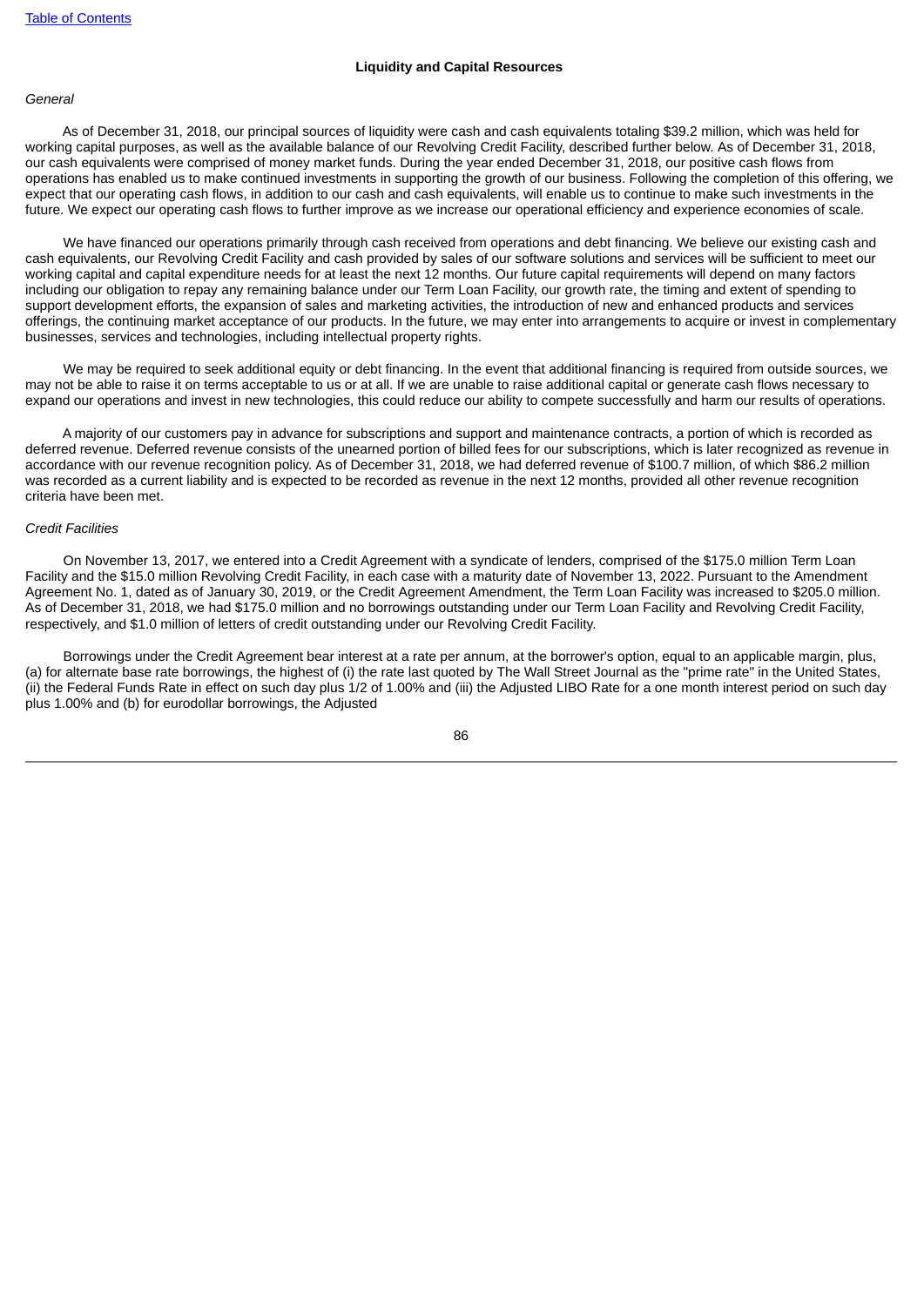#### **Liquidity and Capital Resources**

#### *General*

 As of December 31, 2018, our principal sources of liquidity were cash and cash equivalents totaling \$39.2 million, which was held for working capital purposes, as well as the available balance of our Revolving Credit Facility, described further below. As of December 31, 2018, our cash equivalents were comprised of money market funds. During the year ended December 31, 2018, our positive cash flows from operations has enabled us to make continued investments in supporting the growth of our business. Following the completion of this offering, we expect that our operating cash flows, in addition to our cash and cash equivalents, will enable us to continue to make such investments in the future. We expect our operating cash flows to further improve as we increase our operational efficiency and experience economies of scale.

 We have financed our operations primarily through cash received from operations and debt financing. We believe our existing cash and cash equivalents, our Revolving Credit Facility and cash provided by sales of our software solutions and services will be sufficient to meet our working capital and capital expenditure needs for at least the next 12 months. Our future capital requirements will depend on many factors including our obligation to repay any remaining balance under our Term Loan Facility, our growth rate, the timing and extent of spending to support development efforts, the expansion of sales and marketing activities, the introduction of new and enhanced products and services offerings, the continuing market acceptance of our products. In the future, we may enter into arrangements to acquire or invest in complementary businesses, services and technologies, including intellectual property rights.

 We may be required to seek additional equity or debt financing. In the event that additional financing is required from outside sources, we may not be able to raise it on terms acceptable to us or at all. If we are unable to raise additional capital or generate cash flows necessary to expand our operations and invest in new technologies, this could reduce our ability to compete successfully and harm our results of operations.

 A majority of our customers pay in advance for subscriptions and support and maintenance contracts, a portion of which is recorded as deferred revenue. Deferred revenue consists of the unearned portion of billed fees for our subscriptions, which is later recognized as revenue in accordance with our revenue recognition policy. As of December 31, 2018, we had deferred revenue of \$100.7 million, of which \$86.2 million was recorded as a current liability and is expected to be recorded as revenue in the next 12 months, provided all other revenue recognition criteria have been met.

#### *Credit Facilities*

 On November 13, 2017, we entered into a Credit Agreement with a syndicate of lenders, comprised of the \$175.0 million Term Loan Facility and the \$15.0 million Revolving Credit Facility, in each case with a maturity date of November 13, 2022. Pursuant to the Amendment Agreement No. 1, dated as of January 30, 2019, or the Credit Agreement Amendment, the Term Loan Facility was increased to \$205.0 million. As of December 31, 2018, we had \$175.0 million and no borrowings outstanding under our Term Loan Facility and Revolving Credit Facility, respectively, and \$1.0 million of letters of credit outstanding under our Revolving Credit Facility.

 Borrowings under the Credit Agreement bear interest at a rate per annum, at the borrower's option, equal to an applicable margin, plus, (a) for alternate base rate borrowings, the highest of (i) the rate last quoted by The Wall Street Journal as the "prime rate" in the United States, (ii) the Federal Funds Rate in effect on such day plus 1/2 of 1.00% and (iii) the Adjusted LIBO Rate for a one month interest period on such day plus 1.00% and (b) for eurodollar borrowings, the Adjusted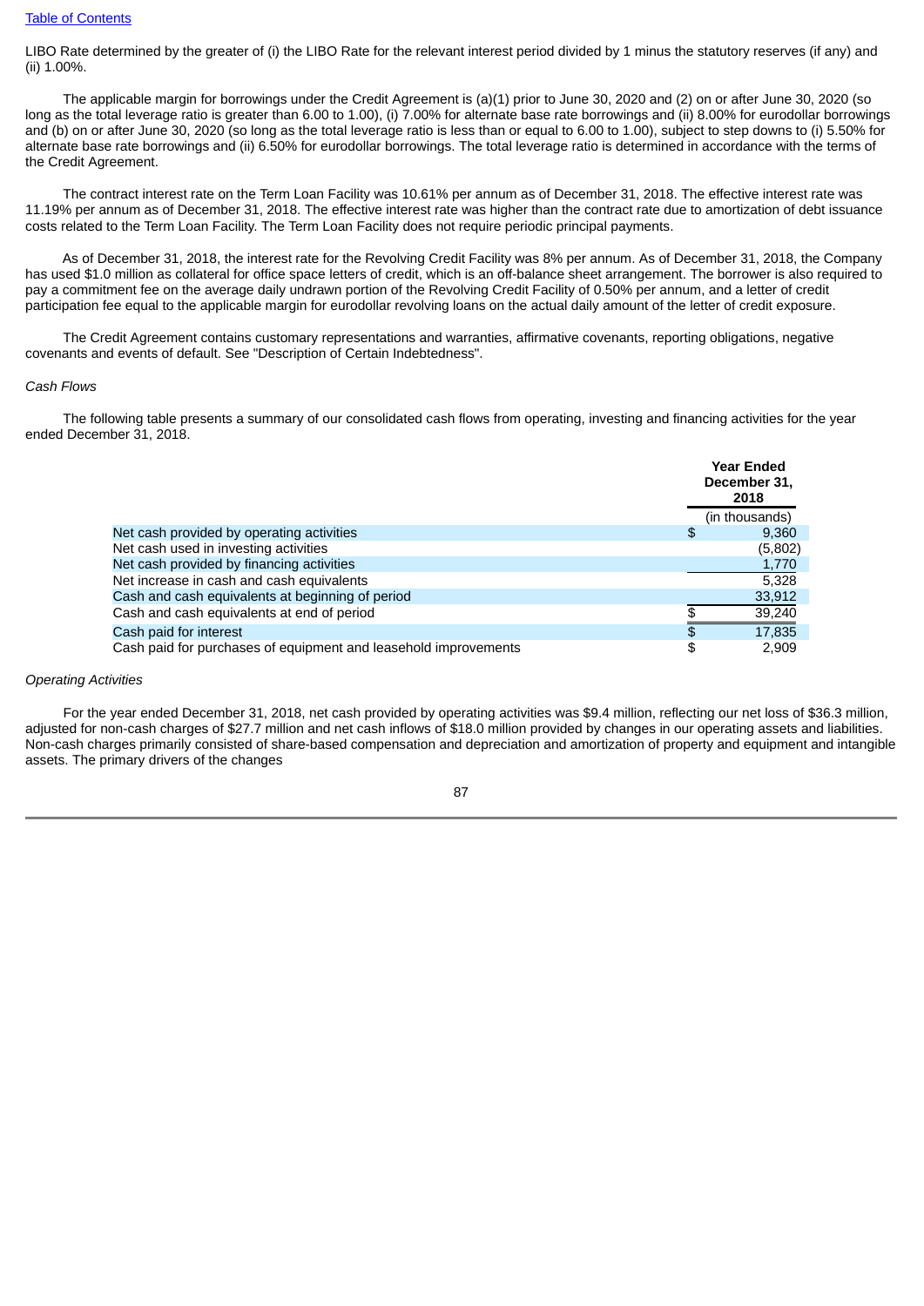LIBO Rate determined by the greater of (i) the LIBO Rate for the relevant interest period divided by 1 minus the statutory reserves (if any) and (ii) 1.00%.

 The applicable margin for borrowings under the Credit Agreement is (a)(1) prior to June 30, 2020 and (2) on or after June 30, 2020 (so long as the total leverage ratio is greater than 6.00 to 1.00), (i) 7.00% for alternate base rate borrowings and (ii) 8.00% for eurodollar borrowings and (b) on or after June 30, 2020 (so long as the total leverage ratio is less than or equal to 6.00 to 1.00), subject to step downs to (i) 5.50% for alternate base rate borrowings and (ii) 6.50% for eurodollar borrowings. The total leverage ratio is determined in accordance with the terms of the Credit Agreement.

 The contract interest rate on the Term Loan Facility was 10.61% per annum as of December 31, 2018. The effective interest rate was 11.19% per annum as of December 31, 2018. The effective interest rate was higher than the contract rate due to amortization of debt issuance costs related to the Term Loan Facility. The Term Loan Facility does not require periodic principal payments.

 As of December 31, 2018, the interest rate for the Revolving Credit Facility was 8% per annum. As of December 31, 2018, the Company has used \$1.0 million as collateral for office space letters of credit, which is an off-balance sheet arrangement. The borrower is also required to pay a commitment fee on the average daily undrawn portion of the Revolving Credit Facility of 0.50% per annum, and a letter of credit participation fee equal to the applicable margin for eurodollar revolving loans on the actual daily amount of the letter of credit exposure.

 The Credit Agreement contains customary representations and warranties, affirmative covenants, reporting obligations, negative covenants and events of default. See "Description of Certain Indebtedness".

#### *Cash Flows*

 The following table presents a summary of our consolidated cash flows from operating, investing and financing activities for the year ended December 31, 2018.

|                                                                 | <b>Year Ended</b><br>December 31,<br>2018<br>(in thousands) |
|-----------------------------------------------------------------|-------------------------------------------------------------|
| Net cash provided by operating activities                       | \$<br>9,360                                                 |
| Net cash used in investing activities                           | (5,802)                                                     |
| Net cash provided by financing activities                       | 1,770                                                       |
| Net increase in cash and cash equivalents                       | 5.328                                                       |
| Cash and cash equivalents at beginning of period                | 33,912                                                      |
| Cash and cash equivalents at end of period                      | 39,240                                                      |
| Cash paid for interest                                          | \$<br>17,835                                                |
| Cash paid for purchases of equipment and leasehold improvements | \$<br>2.909                                                 |
|                                                                 |                                                             |

#### *Operating Activities*

 For the year ended December 31, 2018, net cash provided by operating activities was \$9.4 million, reflecting our net loss of \$36.3 million, adiusted for non-cash charges of \$27.7 million and net cash inflows of \$18.0 million provided by changes in our operating assets and liabilities. Non-cash charges primarily consisted of share-based compensation and depreciation and amortization of property and equipment and intangible assets. The primary drivers of the changes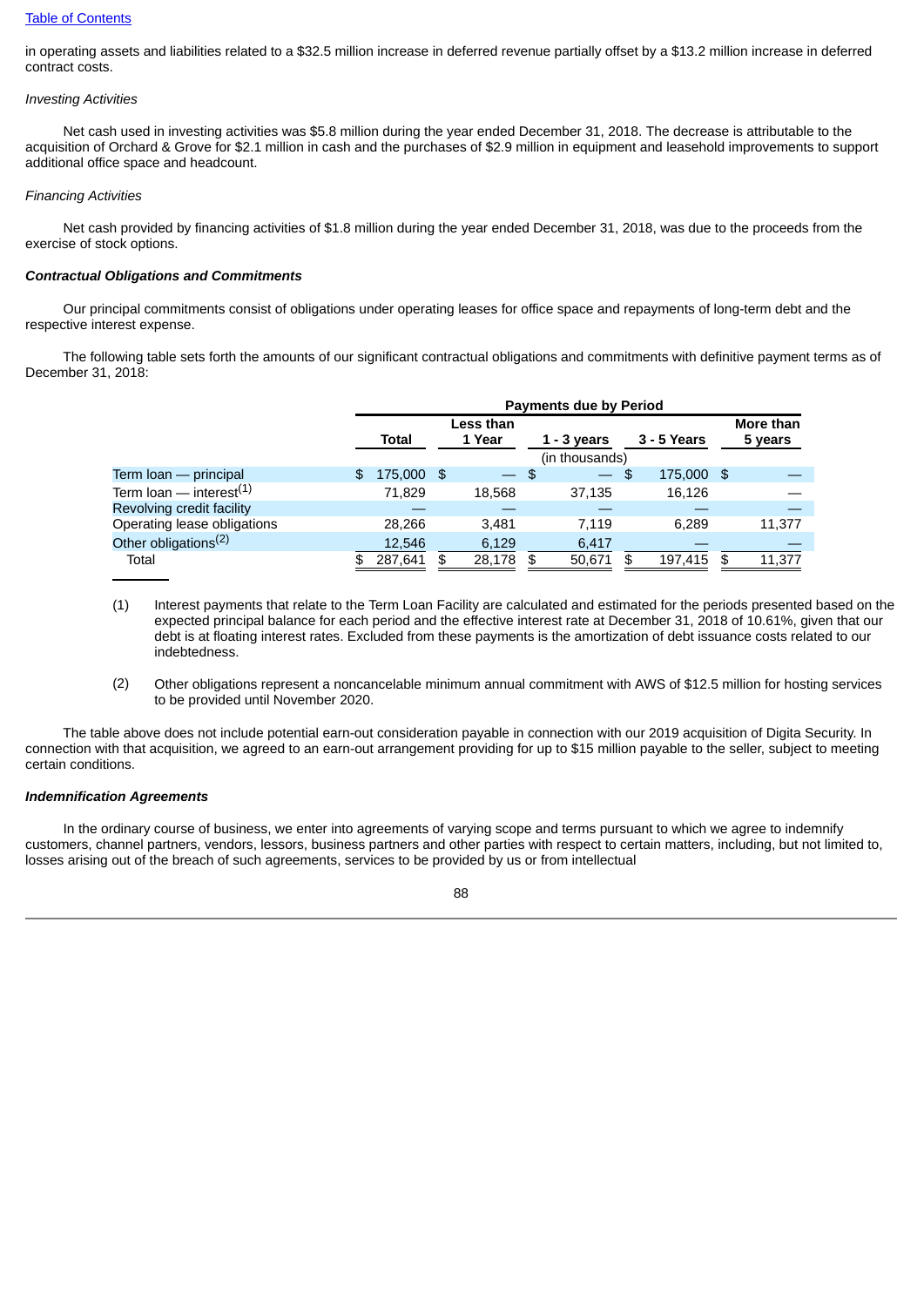## [Table of Contents](#page-3-0)

in operating assets and liabilities related to a \$32.5 million increase in deferred revenue partially offset by a \$13.2 million increase in deferred contract costs.

#### *Investing Activities*

 Net cash used in investing activities was \$5.8 million during the year ended December 31, 2018. The decrease is attributable to the acquisition of Orchard & Grove for \$2.1 million in cash and the purchases of \$2.9 million in equipment and leasehold improvements to support additional office space and headcount.

# *Financing Activities*

 Net cash provided by financing activities of \$1.8 million during the year ended December 31, 2018, was due to the proceeds from the exercise of stock options.

#### *Contractual Obligations and Commitments*

 Our principal commitments consist of obligations under operating leases for office space and repayments of long-term debt and the respective interest expense.

 The following table sets forth the amounts of our significant contractual obligations and commitments with definitive payment terms as of December 31, 2018:

|                                     | <b>Payments due by Period</b> |         |    |                          |    |                          |     |                    |              |
|-------------------------------------|-------------------------------|---------|----|--------------------------|----|--------------------------|-----|--------------------|--------------|
|                                     |                               |         |    | <b>Less than</b>         |    |                          |     |                    | More than    |
|                                     |                               | Total   |    | 1 Year                   |    | $1 - 3$ years            |     | <b>3 - 5 Years</b> | 5 years      |
|                                     |                               |         |    |                          |    | (in thousands)           |     |                    |              |
| Term loan - principal               | \$                            | 175,000 | \$ | $\overline{\phantom{0}}$ | \$ | $\overline{\phantom{a}}$ | \$  | 175,000 \$         |              |
| Term loan — interest <sup>(1)</sup> |                               | 71,829  |    | 18.568                   |    | 37.135                   |     | 16,126             |              |
| Revolving credit facility           |                               |         |    |                          |    |                          |     |                    |              |
| Operating lease obligations         |                               | 28,266  |    | 3,481                    |    | 7,119                    |     | 6,289              | 11,377       |
| Other obligations <sup>(2)</sup>    |                               | 12.546  |    | 6,129                    |    | 6,417                    |     |                    |              |
| Total                               |                               | 287,641 | \$ | 28,178                   | \$ | 50,671                   | \$. | 197,415            | \$<br>11,377 |

- (1) Interest payments that relate to the Term Loan Facility are calculated and estimated for the periods presented based on the expected principal balance for each period and the effective interest rate at December 31, 2018 of 10.61%, given that our debt is at floating interest rates. Excluded from these payments is the amortization of debt issuance costs related to our indebtedness.
- (2) Other obligations represent a noncancelable minimum annual commitment with AWS of \$12.5 million for hosting services to be provided until November 2020.

 The table above does not include potential earn-out consideration payable in connection with our 2019 acquisition of Digita Security. In connection with that acquisition, we agreed to an earn-out arrangement providing for up to \$15 million payable to the seller, subject to meeting certain conditions.

#### *Indemnification Agreements*

 In the ordinary course of business, we enter into agreements of varying scope and terms pursuant to which we agree to indemnify customers, channel partners, vendors, lessors, business partners and other parties with respect to certain matters, including, but not limited to, losses arising out of the breach of such agreements, services to be provided by us or from intellectual

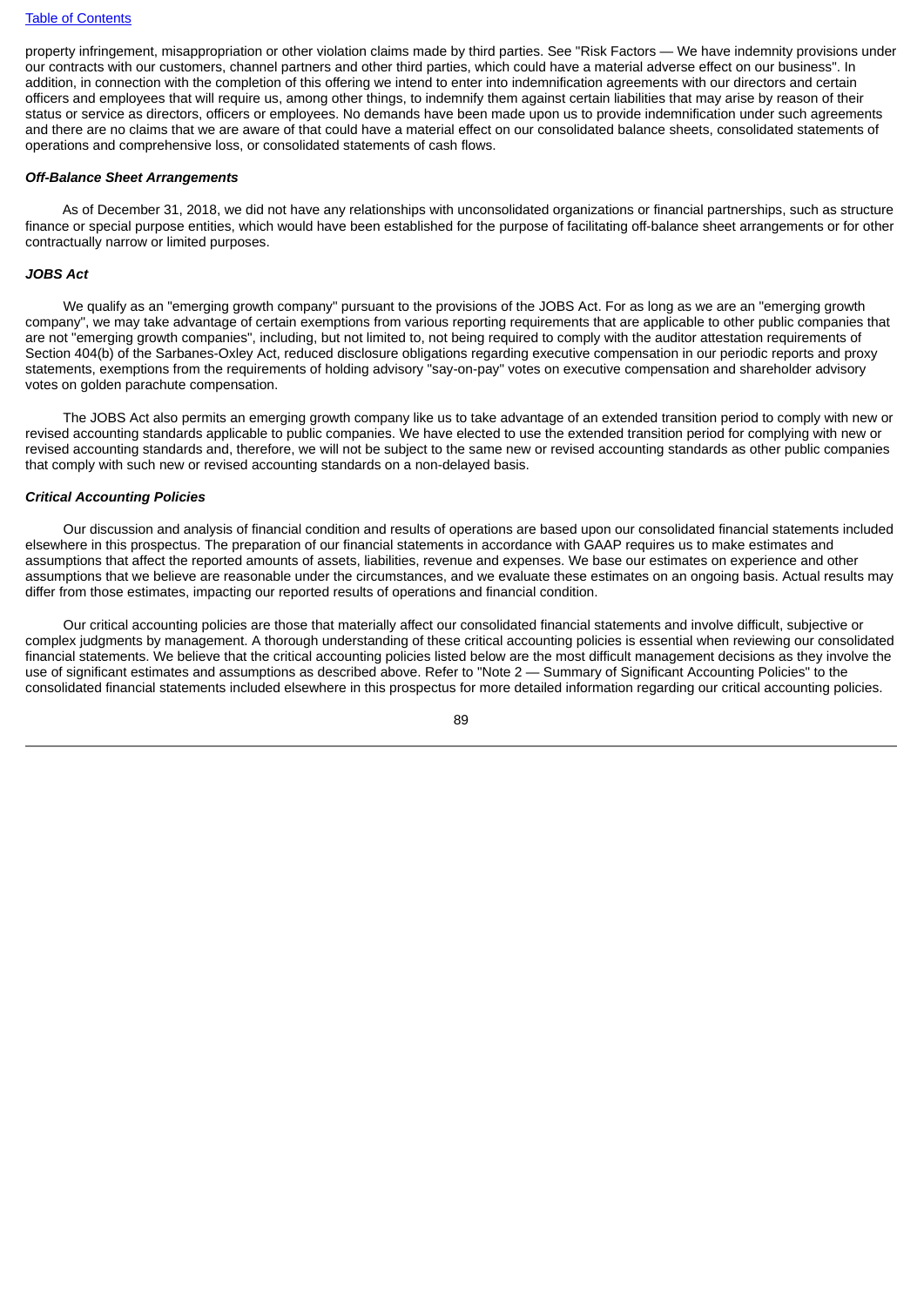property infringement, misappropriation or other violation claims made by third parties. See "Risk Factors — We have indemnity provisions under our contracts with our customers, channel partners and other third parties, which could have a material adverse effect on our business". In addition, in connection with the completion of this offering we intend to enter into indemnification agreements with our directors and certain officers and employees that will require us, among other things, to indemnify them against certain liabilities that may arise by reason of their status or service as directors, officers or employees. No demands have been made upon us to provide indemnification under such agreements and there are no claims that we are aware of that could have a material effect on our consolidated balance sheets, consolidated statements of operations and comprehensive loss, or consolidated statements of cash flows.

#### *Off-Balance Sheet Arrangements*

 As of December 31, 2018, we did not have any relationships with unconsolidated organizations or financial partnerships, such as structure finance or special purpose entities, which would have been established for the purpose of facilitating off-balance sheet arrangements or for other contractually narrow or limited purposes.

### *JOBS Act*

 We qualify as an "emerging growth company" pursuant to the provisions of the JOBS Act. For as long as we are an "emerging growth company", we may take advantage of certain exemptions from various reporting requirements that are applicable to other public companies that are not "emerging growth companies", including, but not limited to, not being required to comply with the auditor attestation requirements of Section 404(b) of the Sarbanes-Oxley Act, reduced disclosure obligations regarding executive compensation in our periodic reports and proxy statements, exemptions from the requirements of holding advisory "say-on-pay" votes on executive compensation and shareholder advisory votes on golden parachute compensation.

 The JOBS Act also permits an emerging growth company like us to take advantage of an extended transition period to comply with new or revised accounting standards applicable to public companies. We have elected to use the extended transition period for complying with new or revised accounting standards and, therefore, we will not be subject to the same new or revised accounting standards as other public companies that comply with such new or revised accounting standards on a non-delayed basis.

## *Critical Accounting Policies*

 Our discussion and analysis of financial condition and results of operations are based upon our consolidated financial statements included elsewhere in this prospectus. The preparation of our financial statements in accordance with GAAP requires us to make estimates and assumptions that affect the reported amounts of assets, liabilities, revenue and expenses. We base our estimates on experience and other assumptions that we believe are reasonable under the circumstances, and we evaluate these estimates on an ongoing basis. Actual results may differ from those estimates, impacting our reported results of operations and financial condition.

 Our critical accounting policies are those that materially affect our consolidated financial statements and involve difficult, subjective or complex judgments by management. A thorough understanding of these critical accounting policies is essential when reviewing our consolidated financial statements. We believe that the critical accounting policies listed below are the most difficult management decisions as they involve the use of significant estimates and assumptions as described above. Refer to "Note 2 — Summary of Significant Accounting Policies" to the consolidated financial statements included elsewhere in this prospectus for more detailed information regarding our critical accounting policies.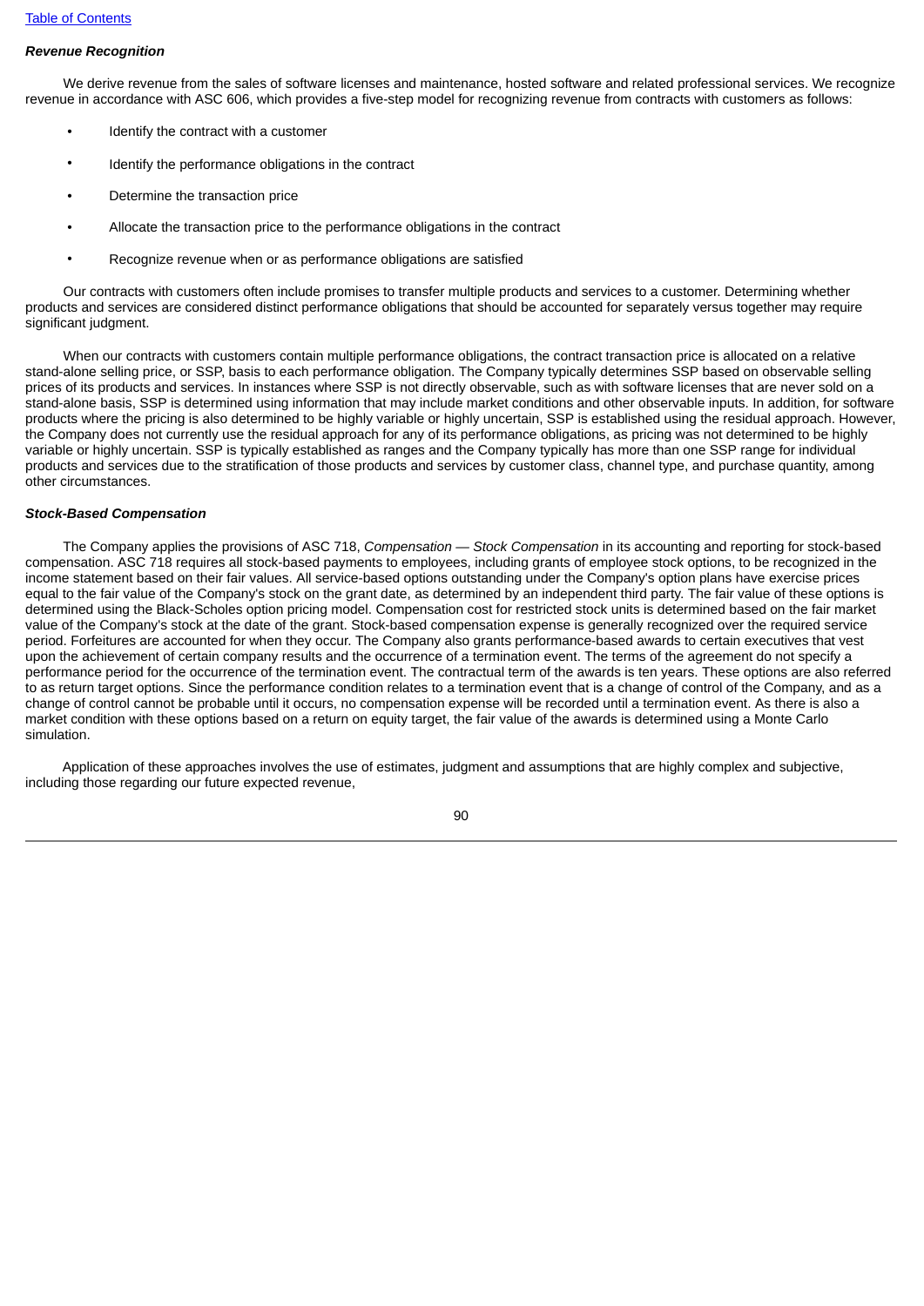# *Revenue Recognition*

We derive revenue from the sales of software licenses and maintenance, hosted software and related professional services. We recognize revenue in accordance with ASC 606, which provides a five-step model for recognizing revenue from contracts with customers as follows:

- Identify the contract with a customer
- Identify the performance obligations in the contract
- Determine the transaction price
- Allocate the transaction price to the performance obligations in the contract
- Recognize revenue when or as performance obligations are satisfied

 Our contracts with customers often include promises to transfer multiple products and services to a customer. Determining whether products and services are considered distinct performance obligations that should be accounted for separately versus together may require significant judgment.

 When our contracts with customers contain multiple performance obligations, the contract transaction price is allocated on a relative stand-alone selling price, or SSP, basis to each performance obligation. The Company typically determines SSP based on observable selling prices of its products and services. In instances where SSP is not directly observable, such as with software licenses that are never sold on a stand-alone basis, SSP is determined using information that may include market conditions and other observable inputs. In addition, for software products where the pricing is also determined to be highly variable or highly uncertain, SSP is established using the residual approach. However, the Company does not currently use the residual approach for any of its performance obligations, as pricing was not determined to be highly variable or highly uncertain. SSP is typically established as ranges and the Company typically has more than one SSP range for individual products and services due to the stratification of those products and services by customer class, channel type, and purchase quantity, among other circumstances.

## *Stock-Based Compensation*

 The Company applies the provisions of ASC 718, *Compensation — Stock Compensation* in its accounting and reporting for stock-based compensation. ASC 718 requires all stock-based payments to employees, including grants of employee stock options, to be recognized in the income statement based on their fair values. All service-based options outstanding under the Company's option plans have exercise prices equal to the fair value of the Company's stock on the grant date, as determined by an independent third party. The fair value of these options is determined using the Black-Scholes option pricing model. Compensation cost for restricted stock units is determined based on the fair market value of the Company's stock at the date of the grant. Stock-based compensation expense is generally recognized over the required service period. Forfeitures are accounted for when they occur. The Company also grants performance-based awards to certain executives that vest upon the achievement of certain company results and the occurrence of a termination event. The terms of the agreement do not specify a performance period for the occurrence of the termination event. The contractual term of the awards is ten years. These options are also referred to as return target options. Since the performance condition relates to a termination event that is a change of control of the Company, and as a change of control cannot be probable until it occurs, no compensation expense will be recorded until a termination event. As there is also a market condition with these options based on a return on equity target, the fair value of the awards is determined using a Monte Carlo simulation.

 Application of these approaches involves the use of estimates, judgment and assumptions that are highly complex and subjective, including those regarding our future expected revenue,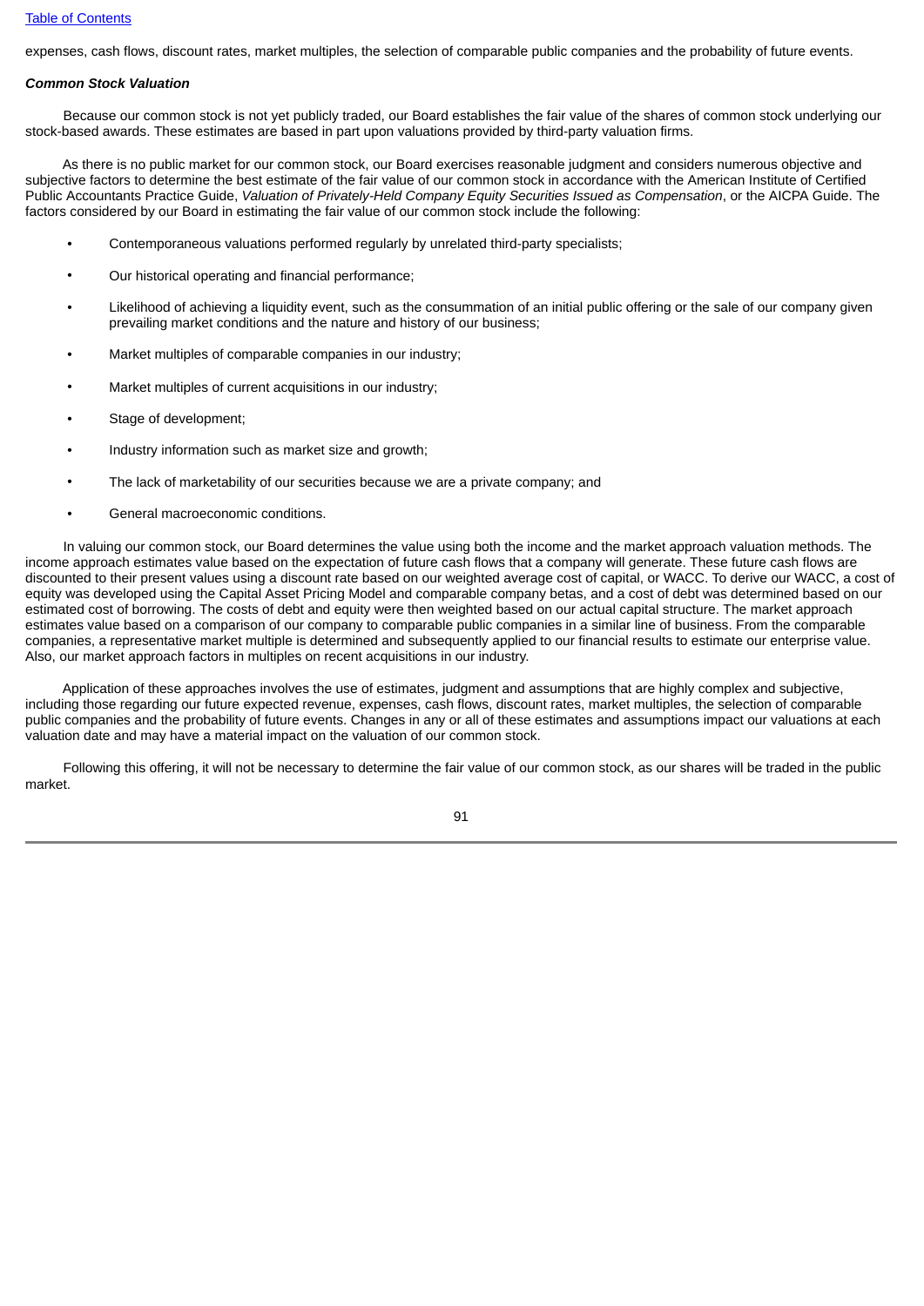expenses, cash flows, discount rates, market multiples, the selection of comparable public companies and the probability of future events.

#### *Common Stock Valuation*

 Because our common stock is not yet publicly traded, our Board establishes the fair value of the shares of common stock underlying our stock-based awards. These estimates are based in part upon valuations provided by third-party valuation firms.

 As there is no public market for our common stock, our Board exercises reasonable judgment and considers numerous objective and subjective factors to determine the best estimate of the fair value of our common stock in accordance with the American Institute of Certified Public Accountants Practice Guide, *Valuation of Privately-Held Company Equity Securities Issued as Compensation*, or the AICPA Guide. The factors considered by our Board in estimating the fair value of our common stock include the following:

- Contemporaneous valuations performed regularly by unrelated third-party specialists;
- Our historical operating and financial performance;
- Likelihood of achieving a liquidity event, such as the consummation of an initial public offering or the sale of our company given prevailing market conditions and the nature and history of our business;
- Market multiples of comparable companies in our industry;
- Market multiples of current acquisitions in our industry;
- Stage of development:
- Industry information such as market size and growth;
- The lack of marketability of our securities because we are a private company; and
- General macroeconomic conditions.

 In valuing our common stock, our Board determines the value using both the income and the market approach valuation methods. The income approach estimates value based on the expectation of future cash flows that a company will generate. These future cash flows are discounted to their present values using a discount rate based on our weighted average cost of capital, or WACC. To derive our WACC, a cost of equity was developed using the Capital Asset Pricing Model and comparable company betas, and a cost of debt was determined based on our estimated cost of borrowing. The costs of debt and equity were then weighted based on our actual capital structure. The market approach estimates value based on a comparison of our company to comparable public companies in a similar line of business. From the comparable companies, a representative market multiple is determined and subsequently applied to our financial results to estimate our enterprise value. Also, our market approach factors in multiples on recent acquisitions in our industry.

 Application of these approaches involves the use of estimates, judgment and assumptions that are highly complex and subjective, including those regarding our future expected revenue, expenses, cash flows, discount rates, market multiples, the selection of comparable public companies and the probability of future events. Changes in any or all of these estimates and assumptions impact our valuations at each valuation date and may have a material impact on the valuation of our common stock.

 Following this offering, it will not be necessary to determine the fair value of our common stock, as our shares will be traded in the public market.

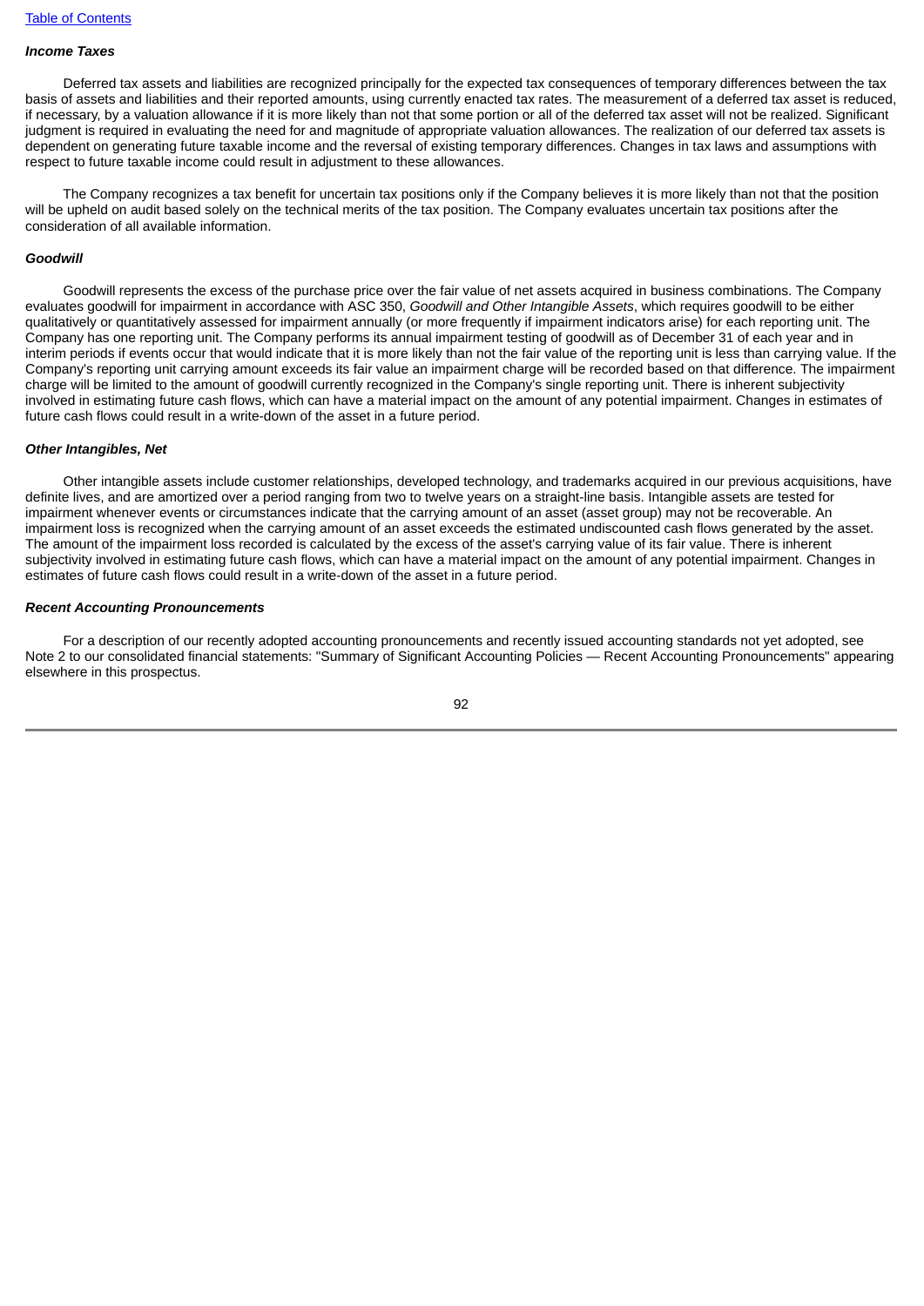## *Income Taxes*

Deferred tax assets and liabilities are recognized principally for the expected tax consequences of temporary differences between the tax basis of assets and liabilities and their reported amounts, using currently enacted tax rates. The measurement of a deferred tax asset is reduced, if necessary, by a valuation allowance if it is more likely than not that some portion or all of the deferred tax asset will not be realized. Significant judgment is required in evaluating the need for and magnitude of appropriate valuation allowances. The realization of our deferred tax assets is dependent on generating future taxable income and the reversal of existing temporary differences. Changes in tax laws and assumptions with respect to future taxable income could result in adjustment to these allowances.

 The Company recognizes a tax benefit for uncertain tax positions only if the Company believes it is more likely than not that the position will be upheld on audit based solely on the technical merits of the tax position. The Company evaluates uncertain tax positions after the consideration of all available information.

#### *Goodwill*

 Goodwill represents the excess of the purchase price over the fair value of net assets acquired in business combinations. The Company evaluates goodwill for impairment in accordance with ASC 350, *Goodwill and Other Intangible Assets*, which requires goodwill to be either qualitatively or quantitatively assessed for impairment annually (or more frequently if impairment indicators arise) for each reporting unit. The Company has one reporting unit. The Company performs its annual impairment testing of goodwill as of December 31 of each year and in interim periods if events occur that would indicate that it is more likely than not the fair value of the reporting unit is less than carrying value. If the Company's reporting unit carrying amount exceeds its fair value an impairment charge will be recorded based on that difference. The impairment charge will be limited to the amount of goodwill currently recognized in the Company's single reporting unit. There is inherent subjectivity involved in estimating future cash flows, which can have a material impact on the amount of any potential impairment. Changes in estimates of future cash flows could result in a write-down of the asset in a future period.

#### *Other Intangibles, Net*

 Other intangible assets include customer relationships, developed technology, and trademarks acquired in our previous acquisitions, have definite lives, and are amortized over a period ranging from two to twelve years on a straight-line basis. Intangible assets are tested for impairment whenever events or circumstances indicate that the carrying amount of an asset (asset group) may not be recoverable. An impairment loss is recognized when the carrying amount of an asset exceeds the estimated undiscounted cash flows generated by the asset. The amount of the impairment loss recorded is calculated by the excess of the asset's carrying value of its fair value. There is inherent subjectivity involved in estimating future cash flows, which can have a material impact on the amount of any potential impairment. Changes in estimates of future cash flows could result in a write-down of the asset in a future period.

#### *Recent Accounting Pronouncements*

 For a description of our recently adopted accounting pronouncements and recently issued accounting standards not yet adopted, see Note 2 to our consolidated financial statements: "Summary of Significant Accounting Policies — Recent Accounting Pronouncements" appearing elsewhere in this prospectus.

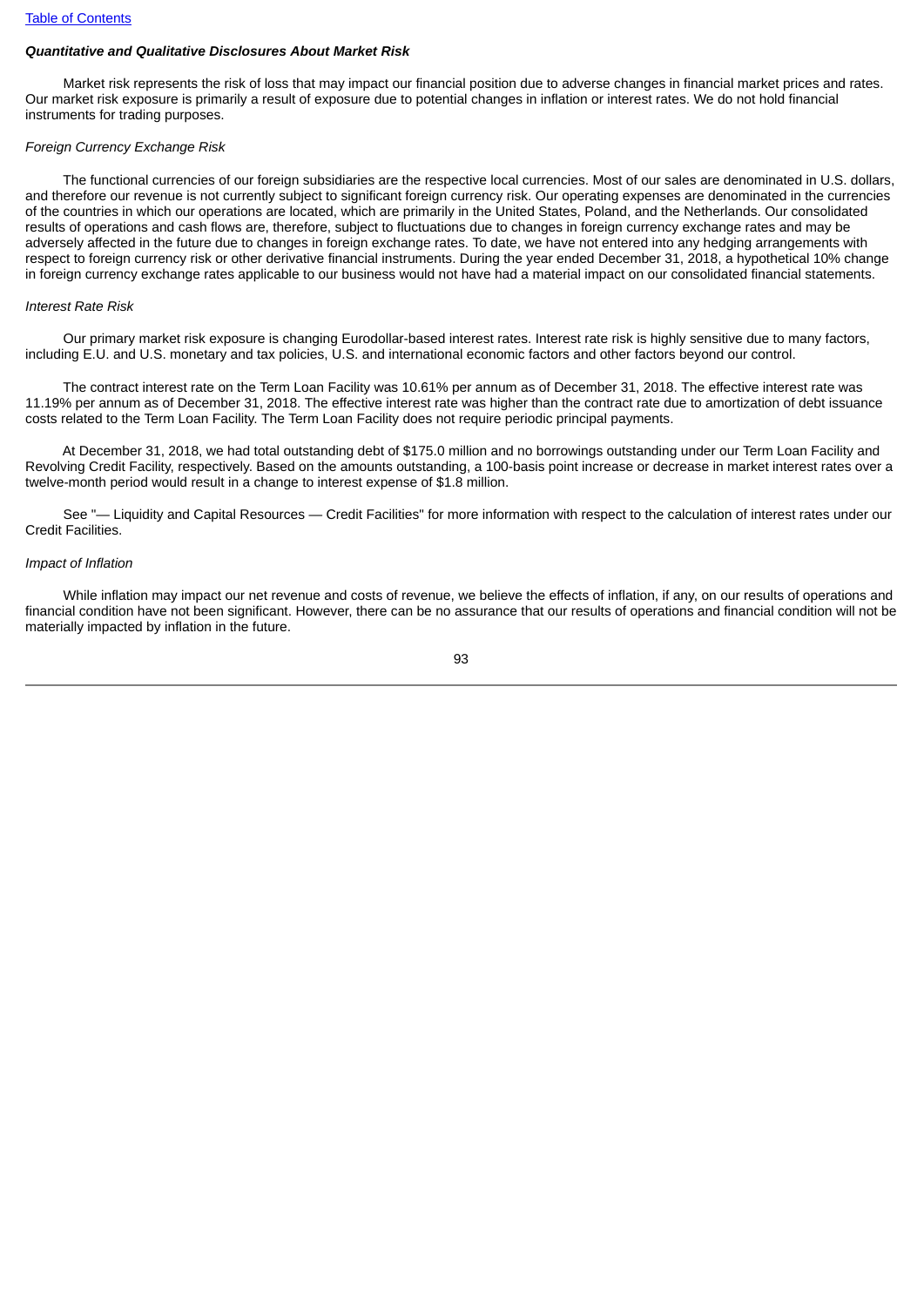# *Quantitative and Qualitative Disclosures About Market Risk*

 Market risk represents the risk of loss that may impact our financial position due to adverse changes in financial market prices and rates. Our market risk exposure is primarily a result of exposure due to potential changes in inflation or interest rates. We do not hold financial instruments for trading purposes.

### *Foreign Currency Exchange Risk*

 The functional currencies of our foreign subsidiaries are the respective local currencies. Most of our sales are denominated in U.S. dollars, and therefore our revenue is not currently subject to significant foreign currency risk. Our operating expenses are denominated in the currencies of the countries in which our operations are located, which are primarily in the United States, Poland, and the Netherlands. Our consolidated results of operations and cash flows are, therefore, subject to fluctuations due to changes in foreign currency exchange rates and may be adversely affected in the future due to changes in foreign exchange rates. To date, we have not entered into any hedging arrangements with respect to foreign currency risk or other derivative financial instruments. During the year ended December 31, 2018, a hypothetical 10% change in foreign currency exchange rates applicable to our business would not have had a material impact on our consolidated financial statements.

#### *Interest Rate Risk*

 Our primary market risk exposure is changing Eurodollar-based interest rates. Interest rate risk is highly sensitive due to many factors, including E.U. and U.S. monetary and tax policies, U.S. and international economic factors and other factors beyond our control.

 The contract interest rate on the Term Loan Facility was 10.61% per annum as of December 31, 2018. The effective interest rate was 11.19% per annum as of December 31, 2018. The effective interest rate was higher than the contract rate due to amortization of debt issuance costs related to the Term Loan Facility. The Term Loan Facility does not require periodic principal payments.

 At December 31, 2018, we had total outstanding debt of \$175.0 million and no borrowings outstanding under our Term Loan Facility and Revolving Credit Facility, respectively. Based on the amounts outstanding, a 100-basis point increase or decrease in market interest rates over a twelve-month period would result in a change to interest expense of \$1.8 million.

 See "— Liquidity and Capital Resources — Credit Facilities" for more information with respect to the calculation of interest rates under our Credit Facilities.

#### *Impact of Inflation*

 While inflation may impact our net revenue and costs of revenue, we believe the effects of inflation, if any, on our results of operations and financial condition have not been significant. However, there can be no assurance that our results of operations and financial condition will not be materially impacted by inflation in the future.

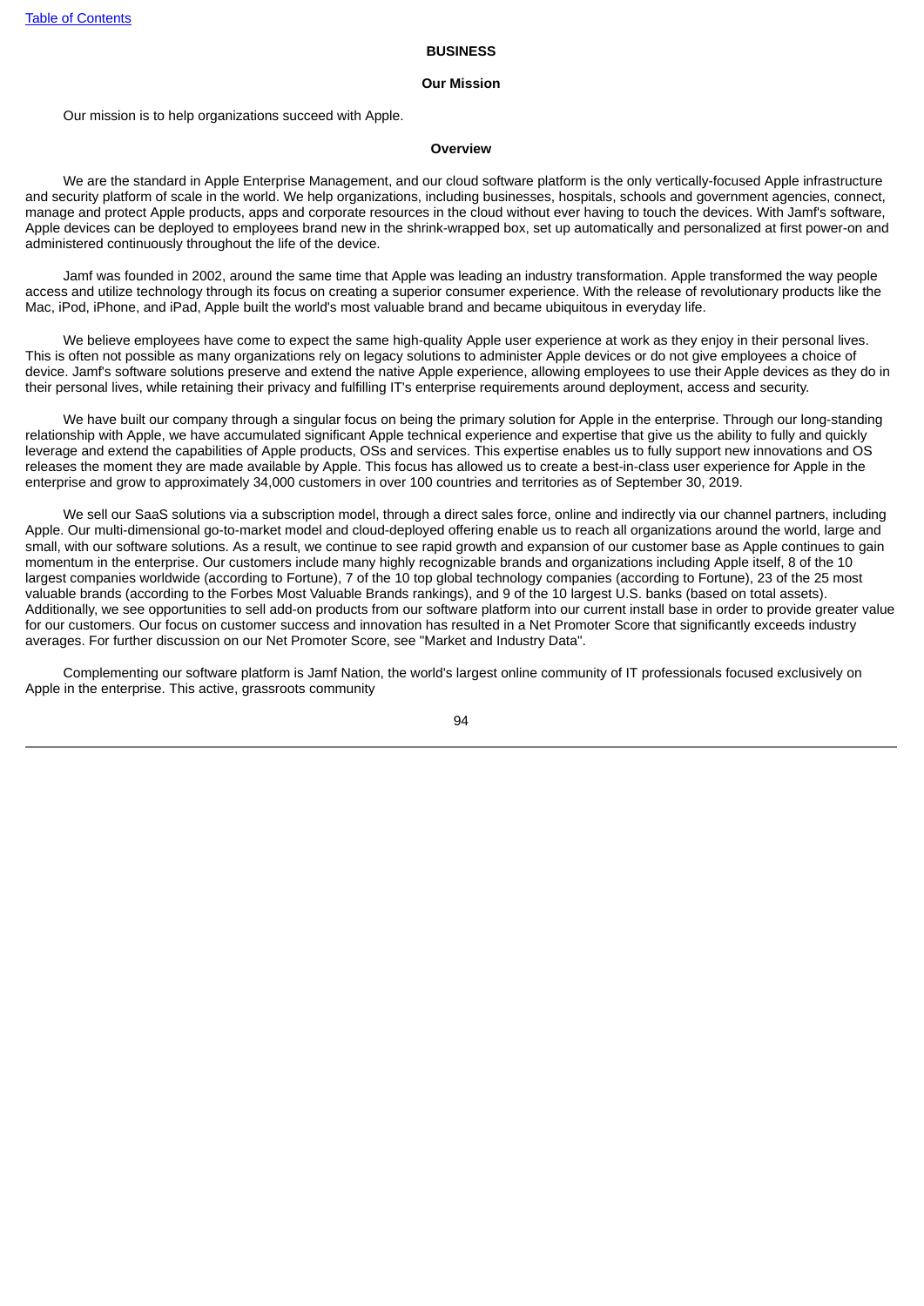## **BUSINESS**

#### **Our Mission**

Our mission is to help organizations succeed with Apple.

#### **Overview**

 We are the standard in Apple Enterprise Management, and our cloud software platform is the only vertically-focused Apple infrastructure and security platform of scale in the world. We help organizations, including businesses, hospitals, schools and government agencies, connect, manage and protect Apple products, apps and corporate resources in the cloud without ever having to touch the devices. With Jamf's software, Apple devices can be deployed to employees brand new in the shrink-wrapped box, set up automatically and personalized at first power-on and administered continuously throughout the life of the device.

 Jamf was founded in 2002, around the same time that Apple was leading an industry transformation. Apple transformed the way people access and utilize technology through its focus on creating a superior consumer experience. With the release of revolutionary products like the Mac, iPod, iPhone, and iPad, Apple built the world's most valuable brand and became ubiquitous in everyday life.

We believe employees have come to expect the same high-quality Apple user experience at work as they enjoy in their personal lives. This is often not possible as many organizations rely on legacy solutions to administer Apple devices or do not give employees a choice of device. Jamf's software solutions preserve and extend the native Apple experience, allowing employees to use their Apple devices as they do in their personal lives, while retaining their privacy and fulfilling IT's enterprise requirements around deployment, access and security.

 We have built our company through a singular focus on being the primary solution for Apple in the enterprise. Through our long-standing relationship with Apple, we have accumulated significant Apple technical experience and expertise that give us the ability to fully and quickly leverage and extend the capabilities of Apple products, OSs and services. This expertise enables us to fully support new innovations and OS releases the moment they are made available by Apple. This focus has allowed us to create a best-in-class user experience for Apple in the enterprise and grow to approximately 34,000 customers in over 100 countries and territories as of September 30, 2019.

We sell our SaaS solutions via a subscription model, through a direct sales force, online and indirectly via our channel partners, including Apple. Our multi-dimensional go-to-market model and cloud-deployed offering enable us to reach all organizations around the world, large and small, with our software solutions. As a result, we continue to see rapid growth and expansion of our customer base as Apple continues to gain momentum in the enterprise. Our customers include many highly recognizable brands and organizations including Apple itself, 8 of the 10 largest companies worldwide (according to Fortune), 7 of the 10 top global technology companies (according to Fortune), 23 of the 25 most valuable brands (according to the Forbes Most Valuable Brands rankings), and 9 of the 10 largest U.S. banks (based on total assets). Additionally, we see opportunities to sell add-on products from our software platform into our current install base in order to provide greater value for our customers. Our focus on customer success and innovation has resulted in a Net Promoter Score that significantly exceeds industry averages. For further discussion on our Net Promoter Score, see "Market and Industry Data".

 Complementing our software platform is Jamf Nation, the world's largest online community of IT professionals focused exclusively on Apple in the enterprise. This active, grassroots community

 $Q_{\Delta}$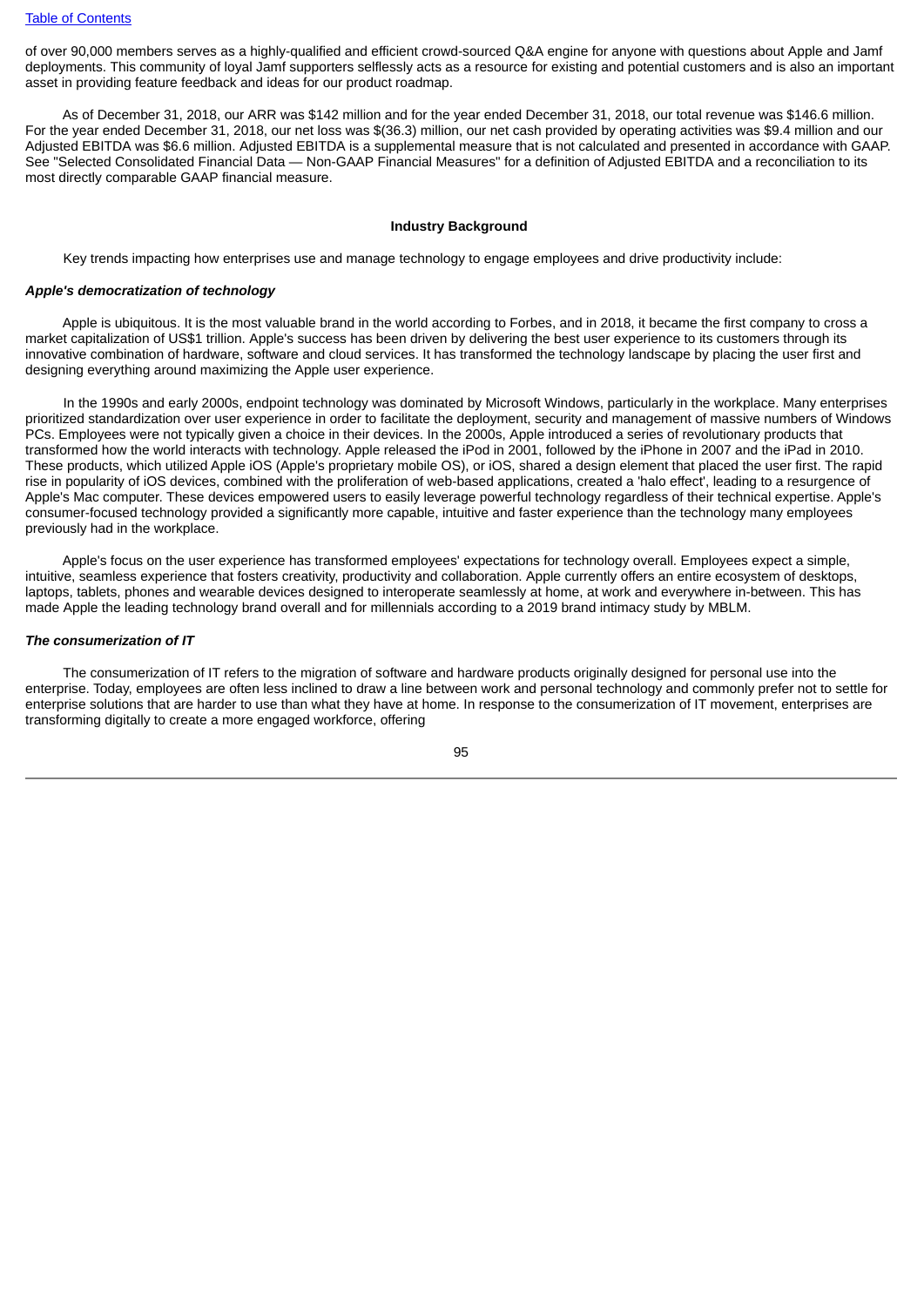of over 90,000 members serves as a highly-qualified and efficient crowd-sourced Q&A engine for anyone with questions about Apple and Jamf deployments. This community of loyal Jamf supporters selflessly acts as a resource for existing and potential customers and is also an important asset in providing feature feedback and ideas for our product roadmap.

 As of December 31, 2018, our ARR was \$142 million and for the year ended December 31, 2018, our total revenue was \$146.6 million. For the year ended December 31, 2018, our net loss was \$(36.3) million, our net cash provided by operating activities was \$9.4 million and our Adjusted EBITDA was \$6.6 million. Adjusted EBITDA is a supplemental measure that is not calculated and presented in accordance with GAAP. See "Selected Consolidated Financial Data — Non-GAAP Financial Measures" for a definition of Adjusted EBITDA and a reconciliation to its most directly comparable GAAP financial measure.

#### **Industry Background**

Key trends impacting how enterprises use and manage technology to engage employees and drive productivity include:

#### *Apple's democratization of technology*

 Apple is ubiquitous. It is the most valuable brand in the world according to Forbes, and in 2018, it became the first company to cross a market capitalization of US\$1 trillion. Apple's success has been driven by delivering the best user experience to its customers through its innovative combination of hardware, software and cloud services. It has transformed the technology landscape by placing the user first and designing everything around maximizing the Apple user experience.

 In the 1990s and early 2000s, endpoint technology was dominated by Microsoft Windows, particularly in the workplace. Many enterprises prioritized standardization over user experience in order to facilitate the deployment, security and management of massive numbers of Windows PCs. Employees were not typically given a choice in their devices. In the 2000s, Apple introduced a series of revolutionary products that transformed how the world interacts with technology. Apple released the iPod in 2001, followed by the iPhone in 2007 and the iPad in 2010. These products, which utilized Apple iOS (Apple's proprietary mobile OS), or iOS, shared a design element that placed the user first. The rapid rise in popularity of iOS devices, combined with the proliferation of web-based applications, created a 'halo effect', leading to a resurgence of Apple's Mac computer. These devices empowered users to easily leverage powerful technology regardless of their technical expertise. Apple's consumer-focused technology provided a significantly more capable, intuitive and faster experience than the technology many employees previously had in the workplace.

 Apple's focus on the user experience has transformed employees' expectations for technology overall. Employees expect a simple, intuitive, seamless experience that fosters creativity, productivity and collaboration. Apple currently offers an entire ecosystem of desktops, laptops, tablets, phones and wearable devices designed to interoperate seamlessly at home, at work and everywhere in-between. This has made Apple the leading technology brand overall and for millennials according to a 2019 brand intimacy study by MBLM.

#### *The consumerization of IT*

 The consumerization of IT refers to the migration of software and hardware products originally designed for personal use into the enterprise. Today, employees are often less inclined to draw a line between work and personal technology and commonly prefer not to settle for enterprise solutions that are harder to use than what they have at home. In response to the consumerization of IT movement, enterprises are transforming digitally to create a more engaged workforce, offering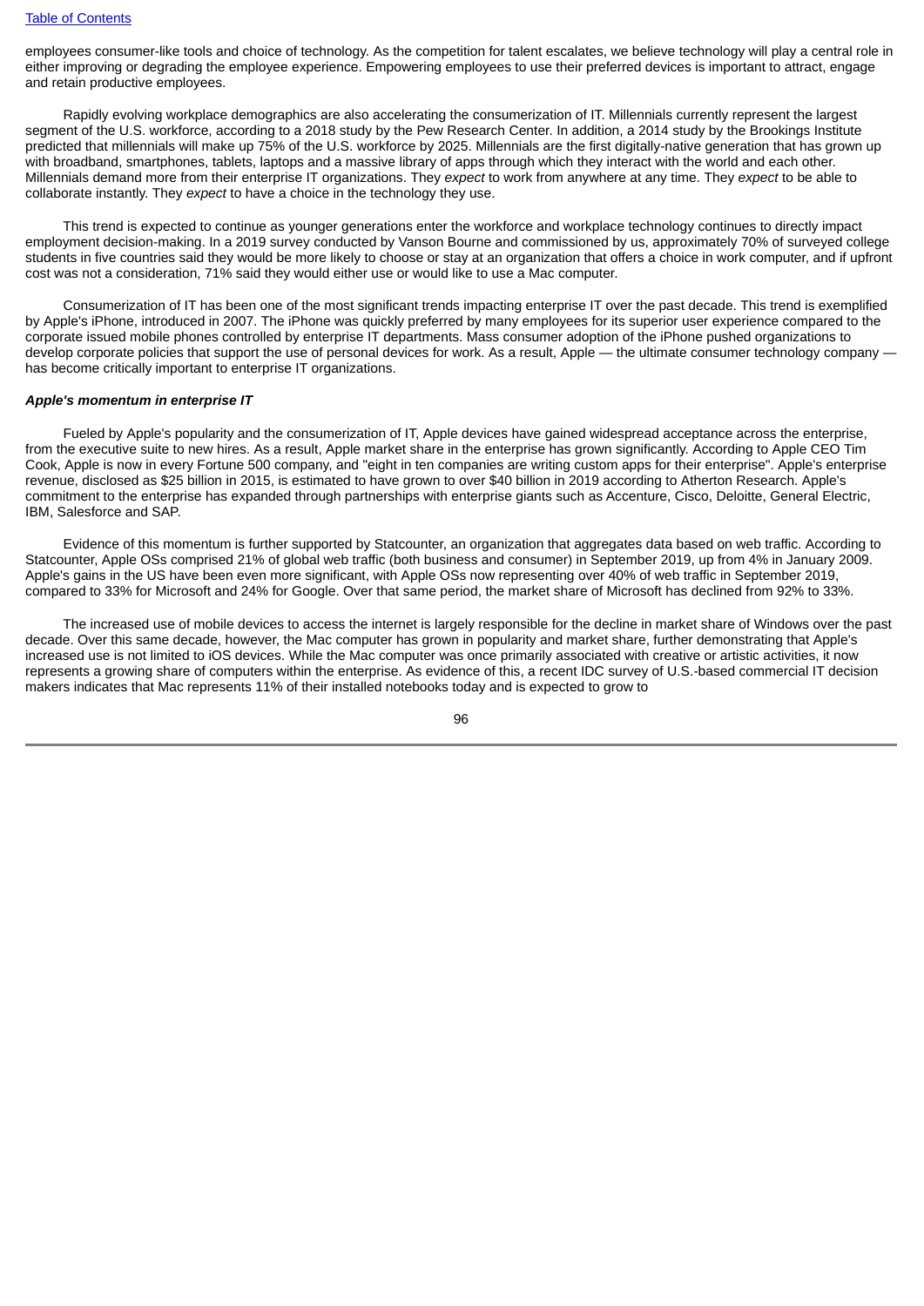employees consumer-like tools and choice of technology. As the competition for talent escalates, we believe technology will play a central role in either improving or degrading the employee experience. Empowering employees to use their preferred devices is important to attract, engage and retain productive employees.

 Rapidly evolving workplace demographics are also accelerating the consumerization of IT. Millennials currently represent the largest segment of the U.S. workforce, according to a 2018 study by the Pew Research Center. In addition, a 2014 study by the Brookings Institute predicted that millennials will make up 75% of the U.S. workforce by 2025. Millennials are the first digitally-native generation that has grown up with broadband, smartphones, tablets, laptops and a massive library of apps through which they interact with the world and each other. Millennials demand more from their enterprise IT organizations. They *expect* to work from anywhere at any time. They *expect* to be able to collaborate instantly. They *expect* to have a choice in the technology they use.

 This trend is expected to continue as younger generations enter the workforce and workplace technology continues to directly impact employment decision-making. In a 2019 survey conducted by Vanson Bourne and commissioned by us, approximately 70% of surveyed college students in five countries said they would be more likely to choose or stay at an organization that offers a choice in work computer, and if upfront cost was not a consideration, 71% said they would either use or would like to use a Mac computer.

 Consumerization of IT has been one of the most significant trends impacting enterprise IT over the past decade. This trend is exemplified by Apple's iPhone, introduced in 2007. The iPhone was quickly preferred by many employees for its superior user experience compared to the corporate issued mobile phones controlled by enterprise IT departments. Mass consumer adoption of the iPhone pushed organizations to develop corporate policies that support the use of personal devices for work. As a result, Apple — the ultimate consumer technology company has become critically important to enterprise IT organizations.

#### *Apple's momentum in enterprise IT*

 Fueled by Apple's popularity and the consumerization of IT, Apple devices have gained widespread acceptance across the enterprise, from the executive suite to new hires. As a result, Apple market share in the enterprise has grown significantly. According to Apple CEO Tim Cook, Apple is now in every Fortune 500 company, and "eight in ten companies are writing custom apps for their enterprise". Apple's enterprise revenue, disclosed as \$25 billion in 2015, is estimated to have grown to over \$40 billion in 2019 according to Atherton Research. Apple's commitment to the enterprise has expanded through partnerships with enterprise giants such as Accenture, Cisco, Deloitte, General Electric, IBM, Salesforce and SAP.

 Evidence of this momentum is further supported by Statcounter, an organization that aggregates data based on web traffic. According to Statcounter, Apple OSs comprised 21% of global web traffic (both business and consumer) in September 2019, up from 4% in January 2009. Apple's gains in the US have been even more significant, with Apple OSs now representing over 40% of web traffic in September 2019, compared to 33% for Microsoft and 24% for Google. Over that same period, the market share of Microsoft has declined from 92% to 33%.

 The increased use of mobile devices to access the internet is largely responsible for the decline in market share of Windows over the past decade. Over this same decade, however, the Mac computer has grown in popularity and market share, further demonstrating that Apple's increased use is not limited to iOS devices. While the Mac computer was once primarily associated with creative or artistic activities, it now represents a growing share of computers within the enterprise. As evidence of this, a recent IDC survey of U.S.-based commercial IT decision makers indicates that Mac represents 11% of their installed notebooks today and is expected to grow to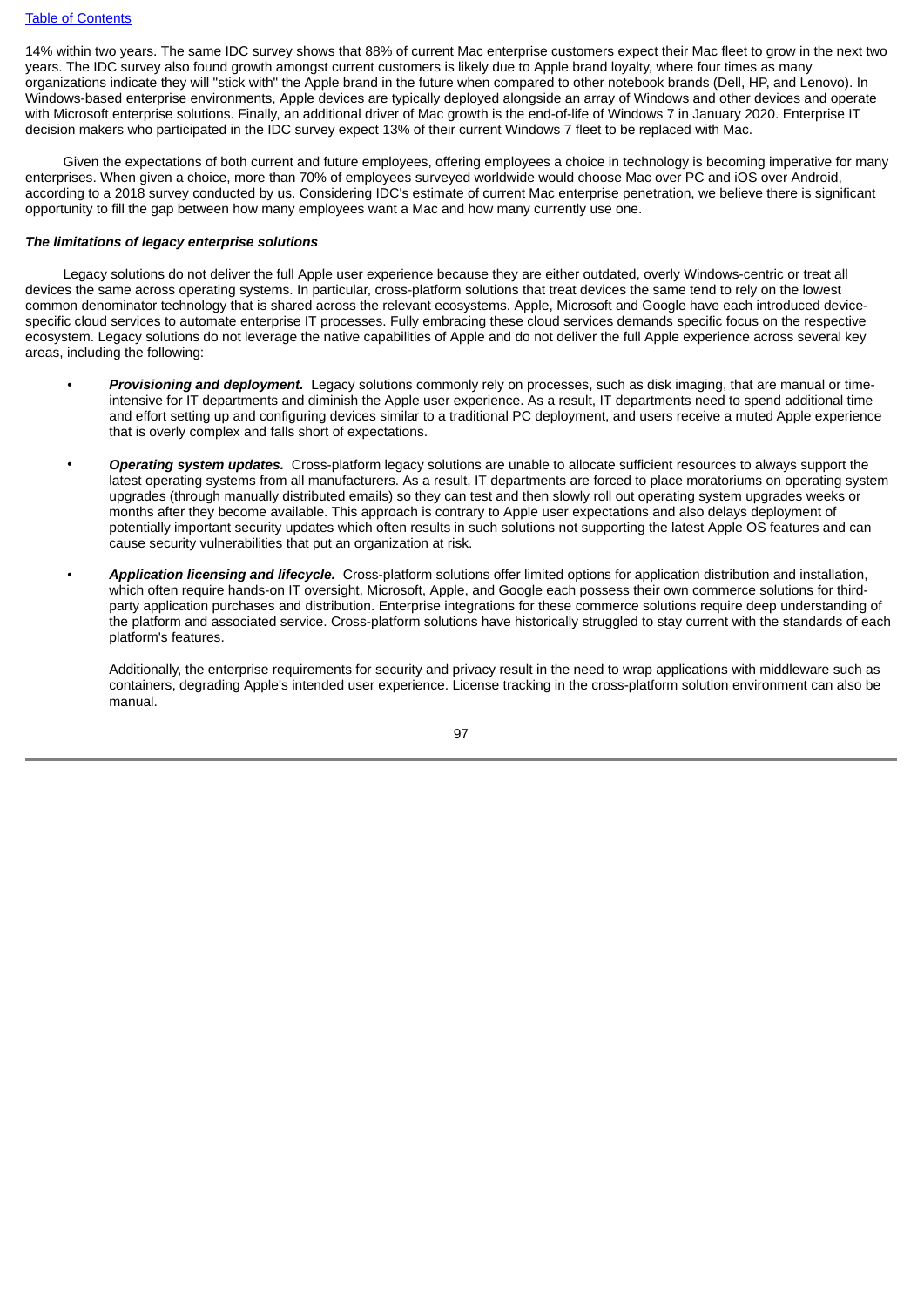14% within two years. The same IDC survey shows that 88% of current Mac enterprise customers expect their Mac fleet to grow in the next two years. The IDC survey also found growth amongst current customers is likely due to Apple brand loyalty, where four times as many organizations indicate they will "stick with" the Apple brand in the future when compared to other notebook brands (Dell, HP, and Lenovo). In Windows-based enterprise environments, Apple devices are typically deployed alongside an array of Windows and other devices and operate with Microsoft enterprise solutions. Finally, an additional driver of Mac growth is the end-of-life of Windows 7 in January 2020. Enterprise IT decision makers who participated in the IDC survey expect 13% of their current Windows 7 fleet to be replaced with Mac.

 Given the expectations of both current and future employees, offering employees a choice in technology is becoming imperative for many enterprises. When given a choice, more than 70% of employees surveyed worldwide would choose Mac over PC and iOS over Android, according to a 2018 survey conducted by us. Considering IDC's estimate of current Mac enterprise penetration, we believe there is significant opportunity to fill the gap between how many employees want a Mac and how many currently use one.

#### *The limitations of legacy enterprise solutions*

 Legacy solutions do not deliver the full Apple user experience because they are either outdated, overly Windows-centric or treat all devices the same across operating systems. In particular, cross-platform solutions that treat devices the same tend to rely on the lowest common denominator technology that is shared across the relevant ecosystems. Apple, Microsoft and Google have each introduced devicespecific cloud services to automate enterprise IT processes. Fully embracing these cloud services demands specific focus on the respective ecosystem. Legacy solutions do not leverage the native capabilities of Apple and do not deliver the full Apple experience across several key areas, including the following:

- *Provisioning and deployment.* Legacy solutions commonly rely on processes, such as disk imaging, that are manual or timeintensive for IT departments and diminish the Apple user experience. As a result, IT departments need to spend additional time and effort setting up and configuring devices similar to a traditional PC deployment, and users receive a muted Apple experience that is overly complex and falls short of expectations.
- *Operating system updates.* Cross-platform legacy solutions are unable to allocate sufficient resources to always support the latest operating systems from all manufacturers. As a result, IT departments are forced to place moratoriums on operating system upgrades (through manually distributed emails) so they can test and then slowly roll out operating system upgrades weeks or months after they become available. This approach is contrary to Apple user expectations and also delays deployment of potentially important security updates which often results in such solutions not supporting the latest Apple OS features and can cause security vulnerabilities that put an organization at risk.
- *Application licensing and lifecycle.* Cross-platform solutions offer limited options for application distribution and installation, which often require hands-on IT oversight. Microsoft, Apple, and Google each possess their own commerce solutions for thirdparty application purchases and distribution. Enterprise integrations for these commerce solutions require deep understanding of the platform and associated service. Cross-platform solutions have historically struggled to stay current with the standards of each platform's features.

Additionally, the enterprise requirements for security and privacy result in the need to wrap applications with middleware such as containers, degrading Apple's intended user experience. License tracking in the cross-platform solution environment can also be manual.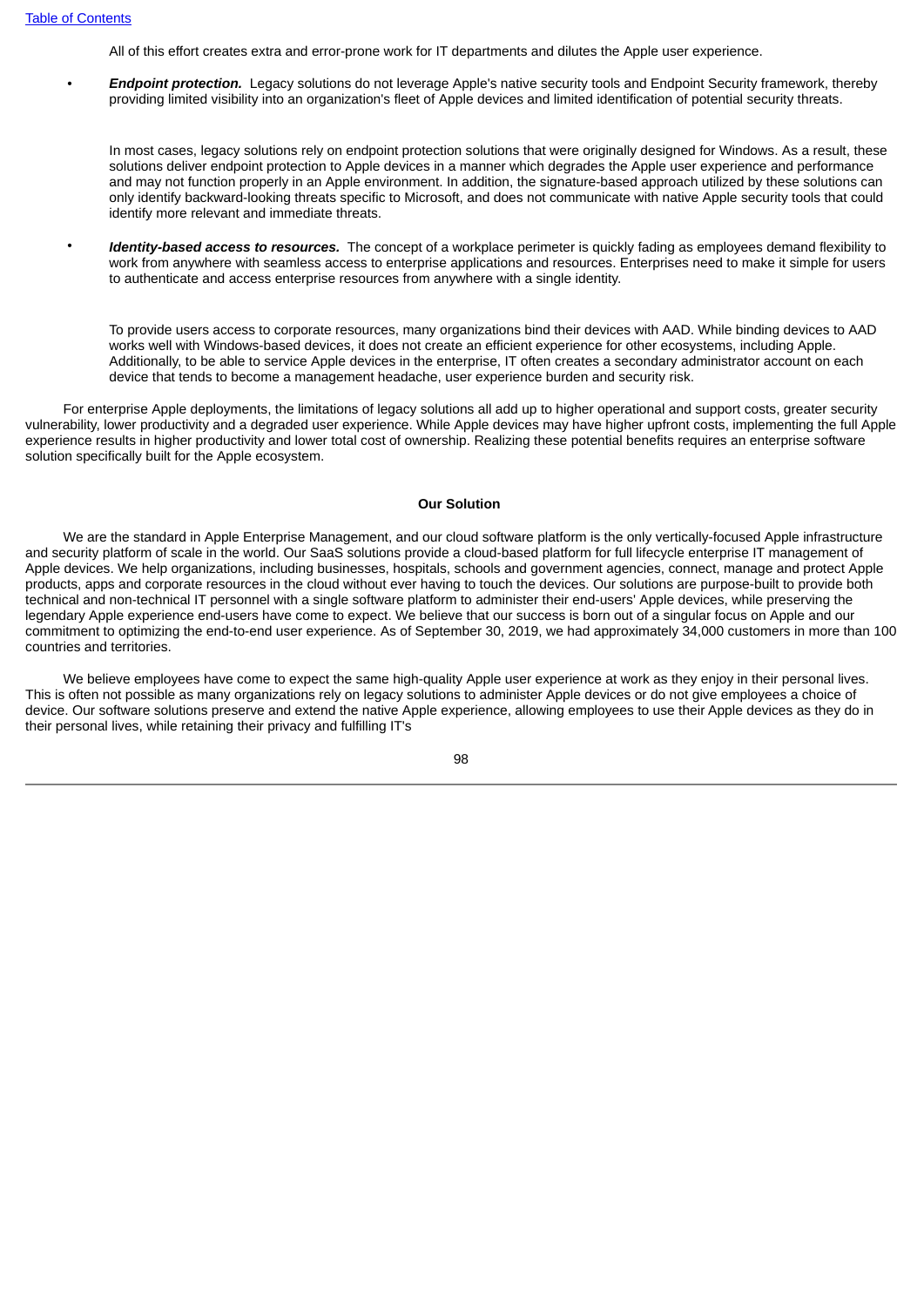All of this effort creates extra and error-prone work for IT departments and dilutes the Apple user experience.

• *Endpoint protection.* Legacy solutions do not leverage Apple's native security tools and Endpoint Security framework, thereby providing limited visibility into an organization's fleet of Apple devices and limited identification of potential security threats.

In most cases, legacy solutions rely on endpoint protection solutions that were originally designed for Windows. As a result, these solutions deliver endpoint protection to Apple devices in a manner which degrades the Apple user experience and performance and may not function properly in an Apple environment. In addition, the signature-based approach utilized by these solutions can only identify backward-looking threats specific to Microsoft, and does not communicate with native Apple security tools that could identify more relevant and immediate threats.

• *Identity-based access to resources.* The concept of a workplace perimeter is quickly fading as employees demand flexibility to work from anywhere with seamless access to enterprise applications and resources. Enterprises need to make it simple for users to authenticate and access enterprise resources from anywhere with a single identity.

To provide users access to corporate resources, many organizations bind their devices with AAD. While binding devices to AAD works well with Windows-based devices, it does not create an efficient experience for other ecosystems, including Apple. Additionally, to be able to service Apple devices in the enterprise, IT often creates a secondary administrator account on each device that tends to become a management headache, user experience burden and security risk.

 For enterprise Apple deployments, the limitations of legacy solutions all add up to higher operational and support costs, greater security vulnerability, lower productivity and a degraded user experience. While Apple devices may have higher upfront costs, implementing the full Apple experience results in higher productivity and lower total cost of ownership. Realizing these potential benefits requires an enterprise software solution specifically built for the Apple ecosystem.

#### **Our Solution**

We are the standard in Apple Enterprise Management, and our cloud software platform is the only vertically-focused Apple infrastructure and security platform of scale in the world. Our SaaS solutions provide a cloud-based platform for full lifecycle enterprise IT management of Apple devices. We help organizations, including businesses, hospitals, schools and government agencies, connect, manage and protect Apple products, apps and corporate resources in the cloud without ever having to touch the devices. Our solutions are purpose-built to provide both technical and non-technical IT personnel with a single software platform to administer their end-users' Apple devices, while preserving the legendary Apple experience end-users have come to expect. We believe that our success is born out of a singular focus on Apple and our commitment to optimizing the end-to-end user experience. As of September 30, 2019, we had approximately 34,000 customers in more than 100 countries and territories.

We believe employees have come to expect the same high-quality Apple user experience at work as they enjoy in their personal lives. This is often not possible as many organizations rely on legacy solutions to administer Apple devices or do not give employees a choice of device. Our software solutions preserve and extend the native Apple experience, allowing employees to use their Apple devices as they do in their personal lives, while retaining their privacy and fulfilling IT's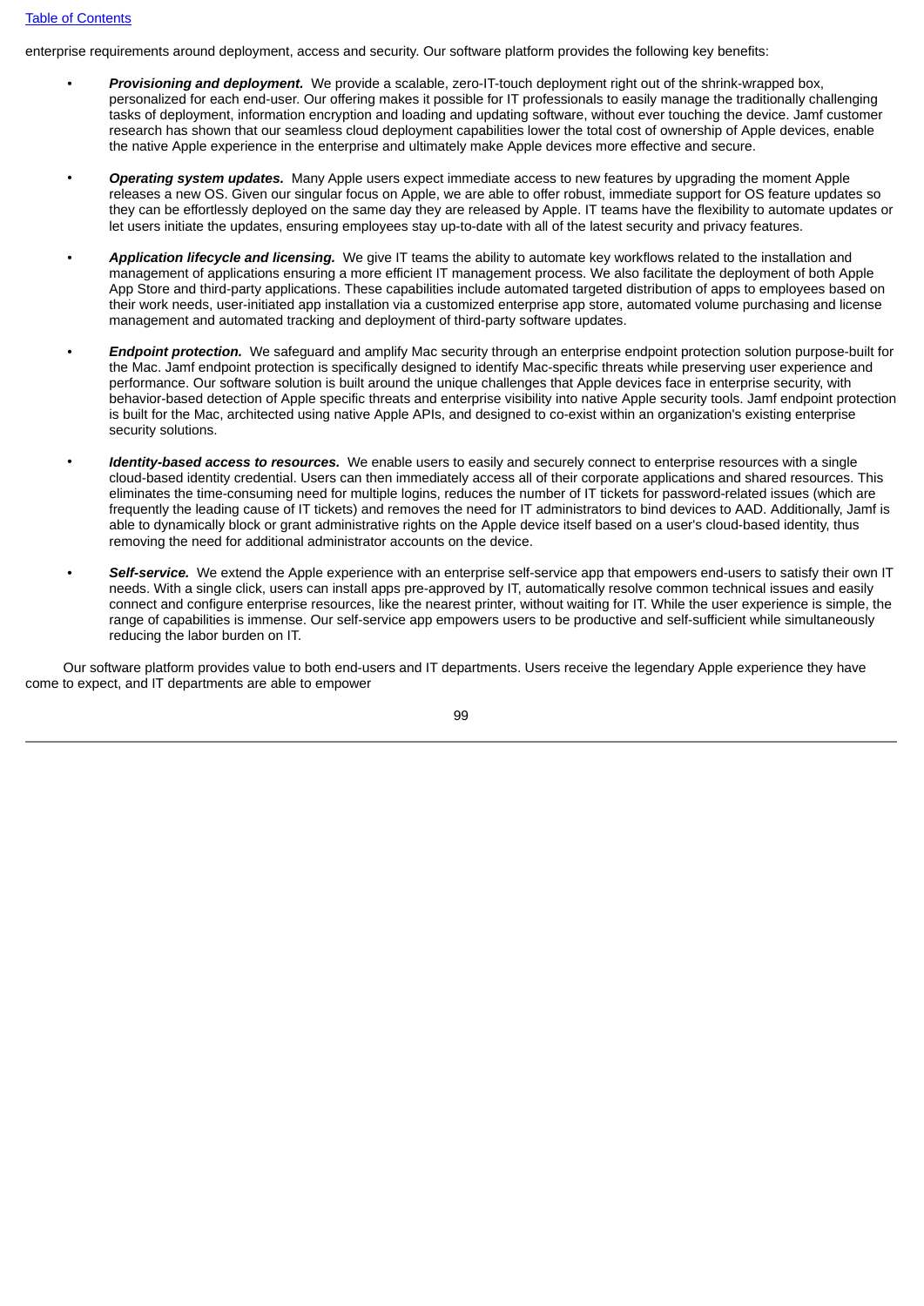enterprise requirements around deployment, access and security. Our software platform provides the following key benefits:

- *Provisioning and deployment.* We provide a scalable, zero-IT-touch deployment right out of the shrink-wrapped box, personalized for each end-user. Our offering makes it possible for IT professionals to easily manage the traditionally challenging tasks of deployment, information encryption and loading and updating software, without ever touching the device. Jamf customer research has shown that our seamless cloud deployment capabilities lower the total cost of ownership of Apple devices, enable the native Apple experience in the enterprise and ultimately make Apple devices more effective and secure.
- *Operating system updates.* Many Apple users expect immediate access to new features by upgrading the moment Apple releases a new OS. Given our singular focus on Apple, we are able to offer robust, immediate support for OS feature updates so they can be effortlessly deployed on the same day they are released by Apple. IT teams have the flexibility to automate updates or let users initiate the updates, ensuring employees stay up-to-date with all of the latest security and privacy features.
- *Application lifecycle and licensing.* We give IT teams the ability to automate key workflows related to the installation and management of applications ensuring a more efficient IT management process. We also facilitate the deployment of both Apple App Store and third-party applications. These capabilities include automated targeted distribution of apps to employees based on their work needs, user-initiated app installation via a customized enterprise app store, automated volume purchasing and license management and automated tracking and deployment of third-party software updates.
- *Endpoint protection.* We safeguard and amplify Mac security through an enterprise endpoint protection solution purpose-built for the Mac. Jamf endpoint protection is specifically designed to identify Mac-specific threats while preserving user experience and performance. Our software solution is built around the unique challenges that Apple devices face in enterprise security, with behavior-based detection of Apple specific threats and enterprise visibility into native Apple security tools. Jamf endpoint protection is built for the Mac, architected using native Apple APIs, and designed to co-exist within an organization's existing enterprise security solutions.
- *Identity-based access to resources.* We enable users to easily and securely connect to enterprise resources with a single cloud-based identity credential. Users can then immediately access all of their corporate applications and shared resources. This eliminates the time-consuming need for multiple logins, reduces the number of IT tickets for password-related issues (which are frequently the leading cause of IT tickets) and removes the need for IT administrators to bind devices to AAD. Additionally, Jamf is able to dynamically block or grant administrative rights on the Apple device itself based on a user's cloud-based identity, thus removing the need for additional administrator accounts on the device.
- Self-service. We extend the Apple experience with an enterprise self-service app that empowers end-users to satisfy their own IT needs. With a single click, users can install apps pre-approved by IT, automatically resolve common technical issues and easily connect and configure enterprise resources, like the nearest printer, without waiting for IT. While the user experience is simple, the range of capabilities is immense. Our self-service app empowers users to be productive and self-sufficient while simultaneously reducing the labor burden on IT.

 Our software platform provides value to both end-users and IT departments. Users receive the legendary Apple experience they have come to expect, and IT departments are able to empower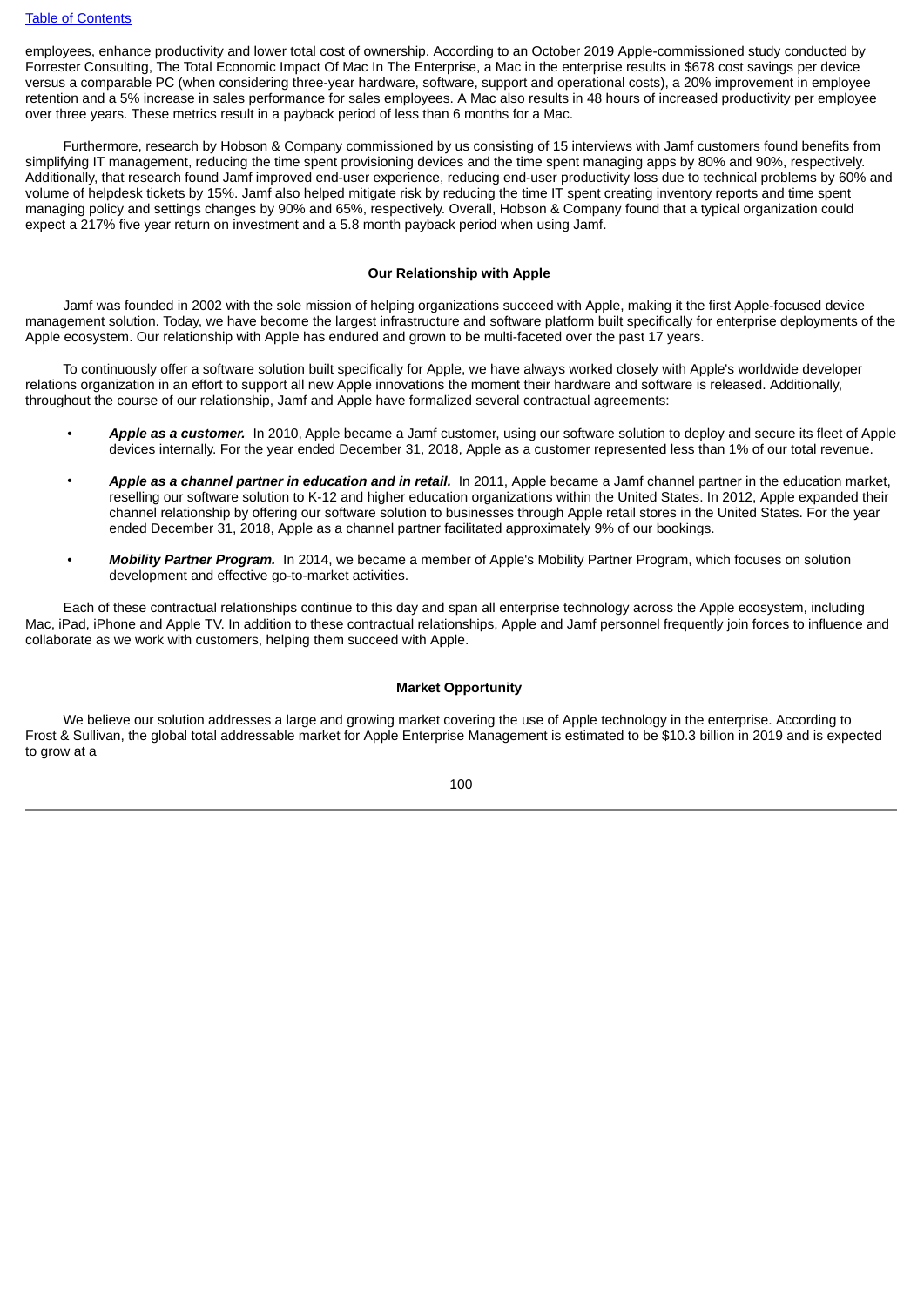employees, enhance productivity and lower total cost of ownership. According to an October 2019 Apple-commissioned study conducted by Forrester Consulting, The Total Economic Impact Of Mac In The Enterprise, a Mac in the enterprise results in \$678 cost savings per device versus a comparable PC (when considering three-year hardware, software, support and operational costs), a 20% improvement in employee retention and a 5% increase in sales performance for sales employees. A Mac also results in 48 hours of increased productivity per employee over three years. These metrics result in a payback period of less than 6 months for a Mac.

 Furthermore, research by Hobson & Company commissioned by us consisting of 15 interviews with Jamf customers found benefits from simplifying IT management, reducing the time spent provisioning devices and the time spent managing apps by 80% and 90%, respectively. Additionally, that research found Jamf improved end-user experience, reducing end-user productivity loss due to technical problems by 60% and volume of helpdesk tickets by 15%. Jamf also helped mitigate risk by reducing the time IT spent creating inventory reports and time spent managing policy and settings changes by 90% and 65%, respectively. Overall, Hobson & Company found that a typical organization could expect a 217% five year return on investment and a 5.8 month payback period when using Jamf.

### **Our Relationship with Apple**

 Jamf was founded in 2002 with the sole mission of helping organizations succeed with Apple, making it the first Apple-focused device management solution. Today, we have become the largest infrastructure and software platform built specifically for enterprise deployments of the Apple ecosystem. Our relationship with Apple has endured and grown to be multi-faceted over the past 17 years.

 To continuously offer a software solution built specifically for Apple, we have always worked closely with Apple's worldwide developer relations organization in an effort to support all new Apple innovations the moment their hardware and software is released. Additionally, throughout the course of our relationship, Jamf and Apple have formalized several contractual agreements:

- *Apple as a customer.* In 2010, Apple became a Jamf customer, using our software solution to deploy and secure its fleet of Apple devices internally. For the year ended December 31, 2018, Apple as a customer represented less than 1% of our total revenue.
- *Apple as a channel partner in education and in retail.* In 2011, Apple became a Jamf channel partner in the education market, reselling our software solution to K-12 and higher education organizations within the United States. In 2012, Apple expanded their channel relationship by offering our software solution to businesses through Apple retail stores in the United States. For the year ended December 31, 2018, Apple as a channel partner facilitated approximately 9% of our bookings.
- *Mobility Partner Program.* In 2014, we became a member of Apple's Mobility Partner Program, which focuses on solution development and effective go-to-market activities.

 Each of these contractual relationships continue to this day and span all enterprise technology across the Apple ecosystem, including Mac, iPad, iPhone and Apple TV. In addition to these contractual relationships, Apple and Jamf personnel frequently join forces to influence and collaborate as we work with customers, helping them succeed with Apple.

# **Market Opportunity**

 We believe our solution addresses a large and growing market covering the use of Apple technology in the enterprise. According to Frost & Sullivan, the global total addressable market for Apple Enterprise Management is estimated to be \$10.3 billion in 2019 and is expected to grow at a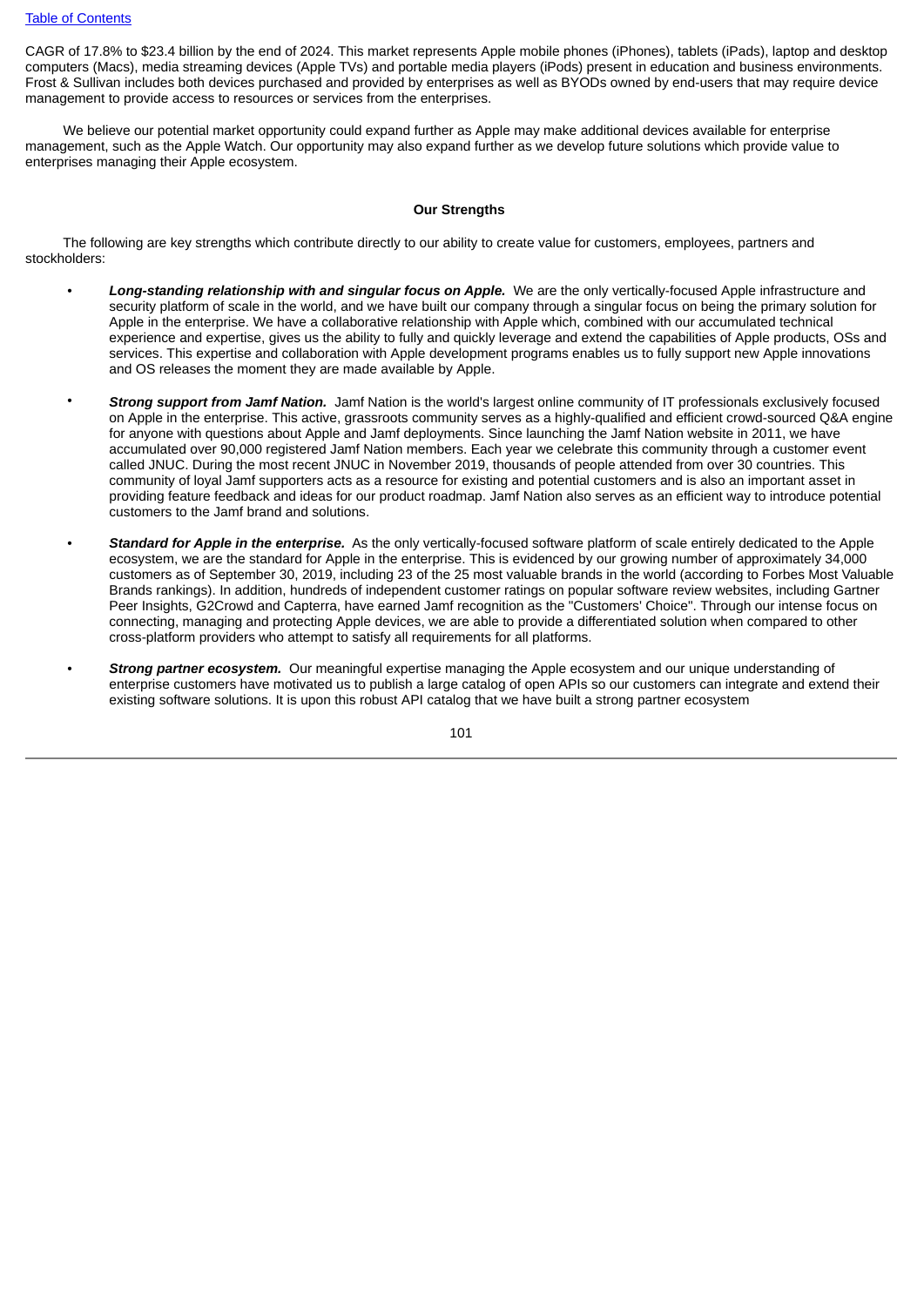CAGR of 17.8% to \$23.4 billion by the end of 2024. This market represents Apple mobile phones (iPhones), tablets (iPads), laptop and desktop computers (Macs), media streaming devices (Apple TVs) and portable media players (iPods) present in education and business environments. Frost & Sullivan includes both devices purchased and provided by enterprises as well as BYODs owned by end-users that may require device management to provide access to resources or services from the enterprises.

We believe our potential market opportunity could expand further as Apple may make additional devices available for enterprise management, such as the Apple Watch. Our opportunity may also expand further as we develop future solutions which provide value to enterprises managing their Apple ecosystem.

### **Our Strengths**

 The following are key strengths which contribute directly to our ability to create value for customers, employees, partners and stockholders:

- *Long-standing relationship with and singular focus on Apple.* We are the only vertically-focused Apple infrastructure and security platform of scale in the world, and we have built our company through a singular focus on being the primary solution for Apple in the enterprise. We have a collaborative relationship with Apple which, combined with our accumulated technical experience and expertise, gives us the ability to fully and quickly leverage and extend the capabilities of Apple products, OSs and services. This expertise and collaboration with Apple development programs enables us to fully support new Apple innovations and OS releases the moment they are made available by Apple.
- *Strong support from Jamf Nation.* Jamf Nation is the world's largest online community of IT professionals exclusively focused on Apple in the enterprise. This active, grassroots community serves as a highly-qualified and efficient crowd-sourced Q&A engine for anyone with questions about Apple and Jamf deployments. Since launching the Jamf Nation website in 2011, we have accumulated over 90,000 registered Jamf Nation members. Each year we celebrate this community through a customer event called JNUC. During the most recent JNUC in November 2019, thousands of people attended from over 30 countries. This community of loyal Jamf supporters acts as a resource for existing and potential customers and is also an important asset in providing feature feedback and ideas for our product roadmap. Jamf Nation also serves as an efficient way to introduce potential customers to the Jamf brand and solutions.
- *Standard for Apple in the enterprise.* As the only vertically-focused software platform of scale entirely dedicated to the Apple ecosystem, we are the standard for Apple in the enterprise. This is evidenced by our growing number of approximately 34,000 customers as of September 30, 2019, including 23 of the 25 most valuable brands in the world (according to Forbes Most Valuable Brands rankings). In addition, hundreds of independent customer ratings on popular software review websites, including Gartner Peer Insights, G2Crowd and Capterra, have earned Jamf recognition as the "Customers' Choice". Through our intense focus on connecting, managing and protecting Apple devices, we are able to provide a differentiated solution when compared to other cross-platform providers who attempt to satisfy all requirements for all platforms.
- *Strong partner ecosystem.* Our meaningful expertise managing the Apple ecosystem and our unique understanding of enterprise customers have motivated us to publish a large catalog of open APIs so our customers can integrate and extend their existing software solutions. It is upon this robust API catalog that we have built a strong partner ecosystem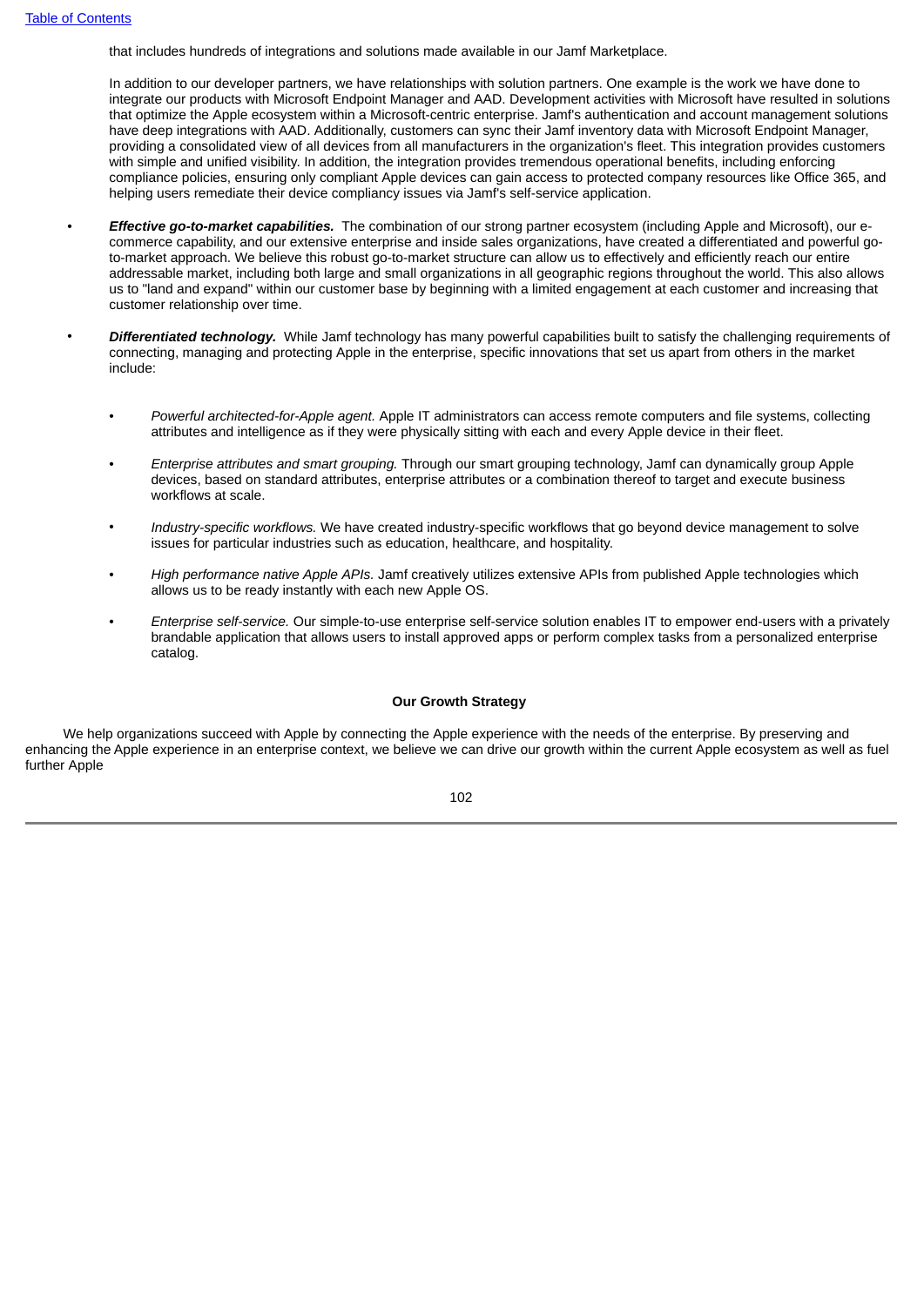that includes hundreds of integrations and solutions made available in our Jamf Marketplace.

In addition to our developer partners, we have relationships with solution partners. One example is the work we have done to integrate our products with Microsoft Endpoint Manager and AAD. Development activities with Microsoft have resulted in solutions that optimize the Apple ecosystem within a Microsoft-centric enterprise. Jamf's authentication and account management solutions have deep integrations with AAD. Additionally, customers can sync their Jamf inventory data with Microsoft Endpoint Manager, providing a consolidated view of all devices from all manufacturers in the organization's fleet. This integration provides customers with simple and unified visibility. In addition, the integration provides tremendous operational benefits, including enforcing compliance policies, ensuring only compliant Apple devices can gain access to protected company resources like Office 365, and helping users remediate their device compliancy issues via Jamf's self-service application.

- *Effective go-to-market capabilities.* The combination of our strong partner ecosystem (including Apple and Microsoft), our ecommerce capability, and our extensive enterprise and inside sales organizations, have created a differentiated and powerful goto-market approach. We believe this robust go-to-market structure can allow us to effectively and efficiently reach our entire addressable market, including both large and small organizations in all geographic regions throughout the world. This also allows us to "land and expand" within our customer base by beginning with a limited engagement at each customer and increasing that customer relationship over time.
- *Differentiated technology.* While Jamf technology has many powerful capabilities built to satisfy the challenging requirements of connecting, managing and protecting Apple in the enterprise, specific innovations that set us apart from others in the market include:
	- *Powerful architected-for-Apple agent.* Apple IT administrators can access remote computers and file systems, collecting attributes and intelligence as if they were physically sitting with each and every Apple device in their fleet.
	- *Enterprise attributes and smart grouping.* Through our smart grouping technology, Jamf can dynamically group Apple devices, based on standard attributes, enterprise attributes or a combination thereof to target and execute business workflows at scale.
	- *Industry-specific workflows.* We have created industry-specific workflows that go beyond device management to solve issues for particular industries such as education, healthcare, and hospitality.
	- *High performance native Apple APIs.* Jamf creatively utilizes extensive APIs from published Apple technologies which allows us to be ready instantly with each new Apple OS.
	- *Enterprise self-service.* Our simple-to-use enterprise self-service solution enables IT to empower end-users with a privately brandable application that allows users to install approved apps or perform complex tasks from a personalized enterprise catalog.

# **Our Growth Strategy**

 We help organizations succeed with Apple by connecting the Apple experience with the needs of the enterprise. By preserving and enhancing the Apple experience in an enterprise context, we believe we can drive our growth within the current Apple ecosystem as well as fuel further Apple

$$
102 \\
$$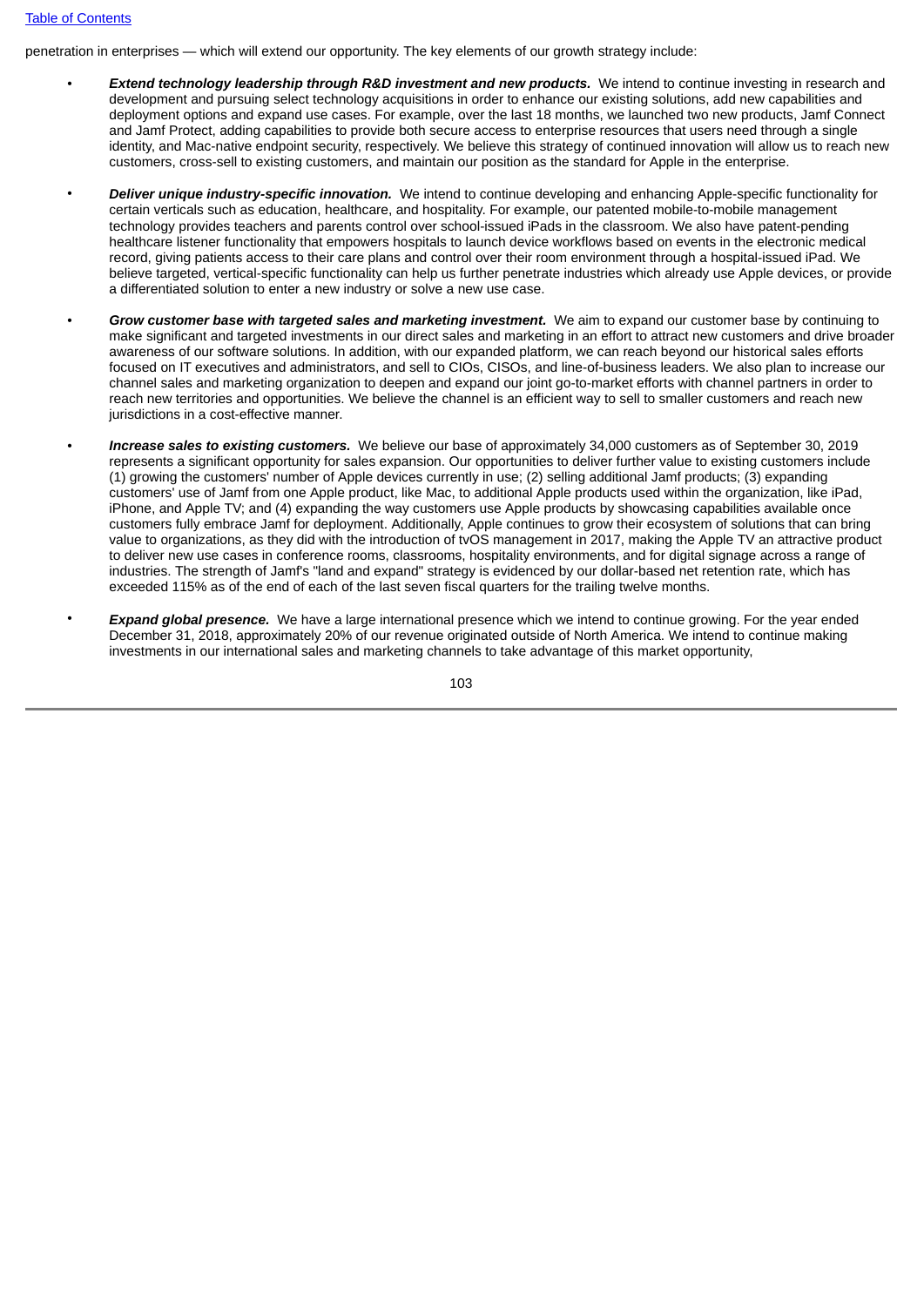penetration in enterprises — which will extend our opportunity. The key elements of our growth strategy include:

- *Extend technology leadership through R&D investment and new products.* We intend to continue investing in research and development and pursuing select technology acquisitions in order to enhance our existing solutions, add new capabilities and deployment options and expand use cases. For example, over the last 18 months, we launched two new products, Jamf Connect and Jamf Protect, adding capabilities to provide both secure access to enterprise resources that users need through a single identity, and Mac-native endpoint security, respectively. We believe this strategy of continued innovation will allow us to reach new customers, cross-sell to existing customers, and maintain our position as the standard for Apple in the enterprise.
- *Deliver unique industry-specific innovation.* We intend to continue developing and enhancing Apple-specific functionality for certain verticals such as education, healthcare, and hospitality. For example, our patented mobile-to-mobile management technology provides teachers and parents control over school-issued iPads in the classroom. We also have patent-pending healthcare listener functionality that empowers hospitals to launch device workflows based on events in the electronic medical record, giving patients access to their care plans and control over their room environment through a hospital-issued iPad. We believe targeted, vertical-specific functionality can help us further penetrate industries which already use Apple devices, or provide a differentiated solution to enter a new industry or solve a new use case.
- *Grow customer base with targeted sales and marketing investment.* We aim to expand our customer base by continuing to make significant and targeted investments in our direct sales and marketing in an effort to attract new customers and drive broader awareness of our software solutions. In addition, with our expanded platform, we can reach beyond our historical sales efforts focused on IT executives and administrators, and sell to CIOs, CISOs, and line-of-business leaders. We also plan to increase our channel sales and marketing organization to deepen and expand our joint go-to-market efforts with channel partners in order to reach new territories and opportunities. We believe the channel is an efficient way to sell to smaller customers and reach new jurisdictions in a cost-effective manner.
- *Increase sales to existing customers.* We believe our base of approximately 34,000 customers as of September 30, 2019 represents a significant opportunity for sales expansion. Our opportunities to deliver further value to existing customers include (1) growing the customers' number of Apple devices currently in use; (2) selling additional Jamf products; (3) expanding customers' use of Jamf from one Apple product, like Mac, to additional Apple products used within the organization, like iPad, iPhone, and Apple TV; and (4) expanding the way customers use Apple products by showcasing capabilities available once customers fully embrace Jamf for deployment. Additionally, Apple continues to grow their ecosystem of solutions that can bring value to organizations, as they did with the introduction of tvOS management in 2017, making the Apple TV an attractive product to deliver new use cases in conference rooms, classrooms, hospitality environments, and for digital signage across a range of industries. The strength of Jamf's "land and expand" strategy is evidenced by our dollar-based net retention rate, which has exceeded 115% as of the end of each of the last seven fiscal quarters for the trailing twelve months.
- *Expand global presence.* We have a large international presence which we intend to continue growing. For the year ended December 31, 2018, approximately 20% of our revenue originated outside of North America. We intend to continue making investments in our international sales and marketing channels to take advantage of this market opportunity,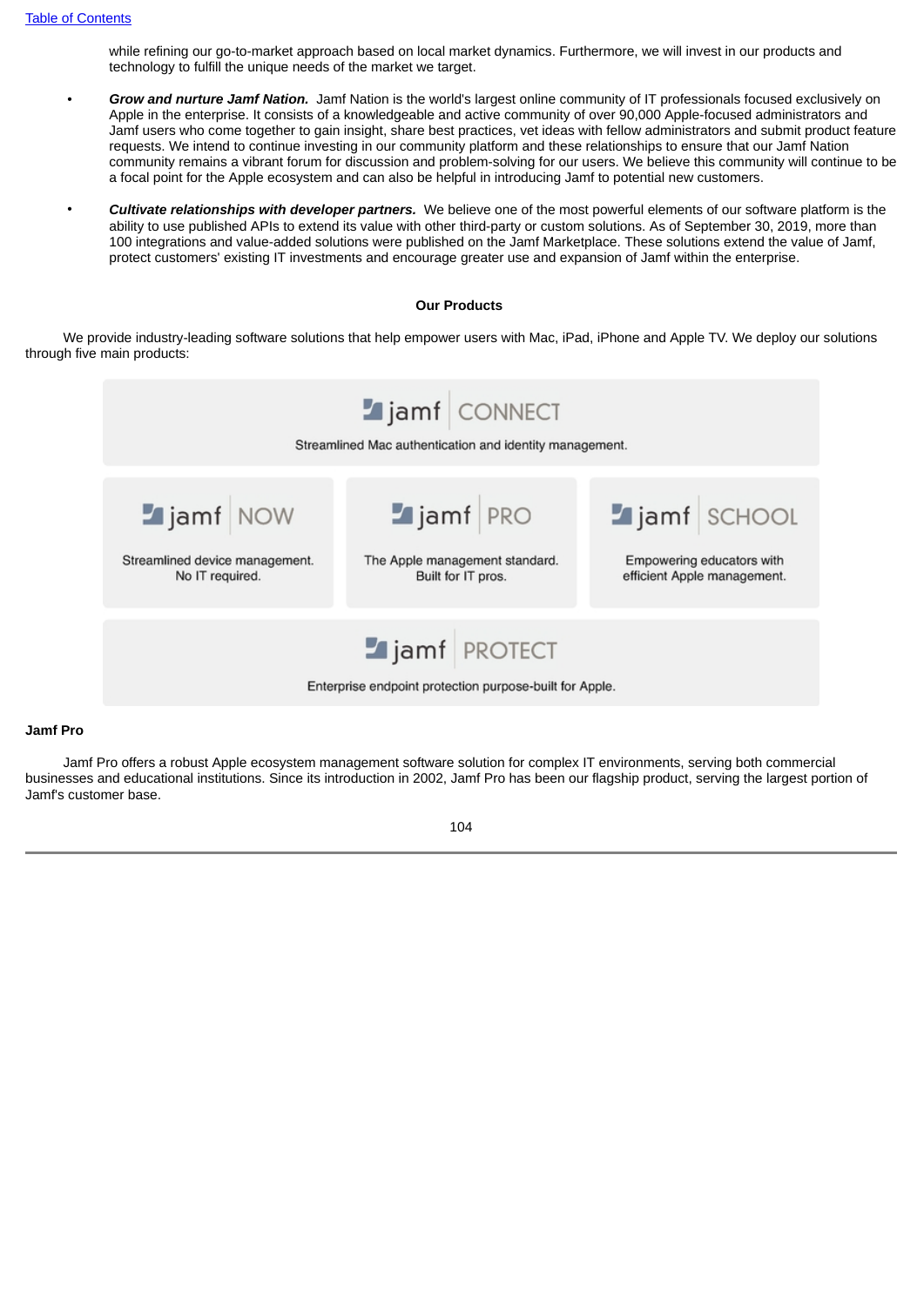while refining our go-to-market approach based on local market dynamics. Furthermore, we will invest in our products and technology to fulfill the unique needs of the market we target.

- *Grow and nurture Jamf Nation.* Jamf Nation is the world's largest online community of IT professionals focused exclusively on Apple in the enterprise. It consists of a knowledgeable and active community of over 90,000 Apple-focused administrators and Jamf users who come together to gain insight, share best practices, vet ideas with fellow administrators and submit product feature requests. We intend to continue investing in our community platform and these relationships to ensure that our Jamf Nation community remains a vibrant forum for discussion and problem-solving for our users. We believe this community will continue to be a focal point for the Apple ecosystem and can also be helpful in introducing Jamf to potential new customers.
	- *Cultivate relationships with developer partners.* We believe one of the most powerful elements of our software platform is the ability to use published APIs to extend its value with other third-party or custom solutions. As of September 30, 2019, more than 100 integrations and value-added solutions were published on the Jamf Marketplace. These solutions extend the value of Jamf, protect customers' existing IT investments and encourage greater use and expansion of Jamf within the enterprise.

#### **Our Products**

 We provide industry-leading software solutions that help empower users with Mac, iPad, iPhone and Apple TV. We deploy our solutions through five main products:



#### **Jamf Pro**

 Jamf Pro offers a robust Apple ecosystem management software solution for complex IT environments, serving both commercial businesses and educational institutions. Since its introduction in 2002, Jamf Pro has been our flagship product, serving the largest portion of Jamf's customer base.

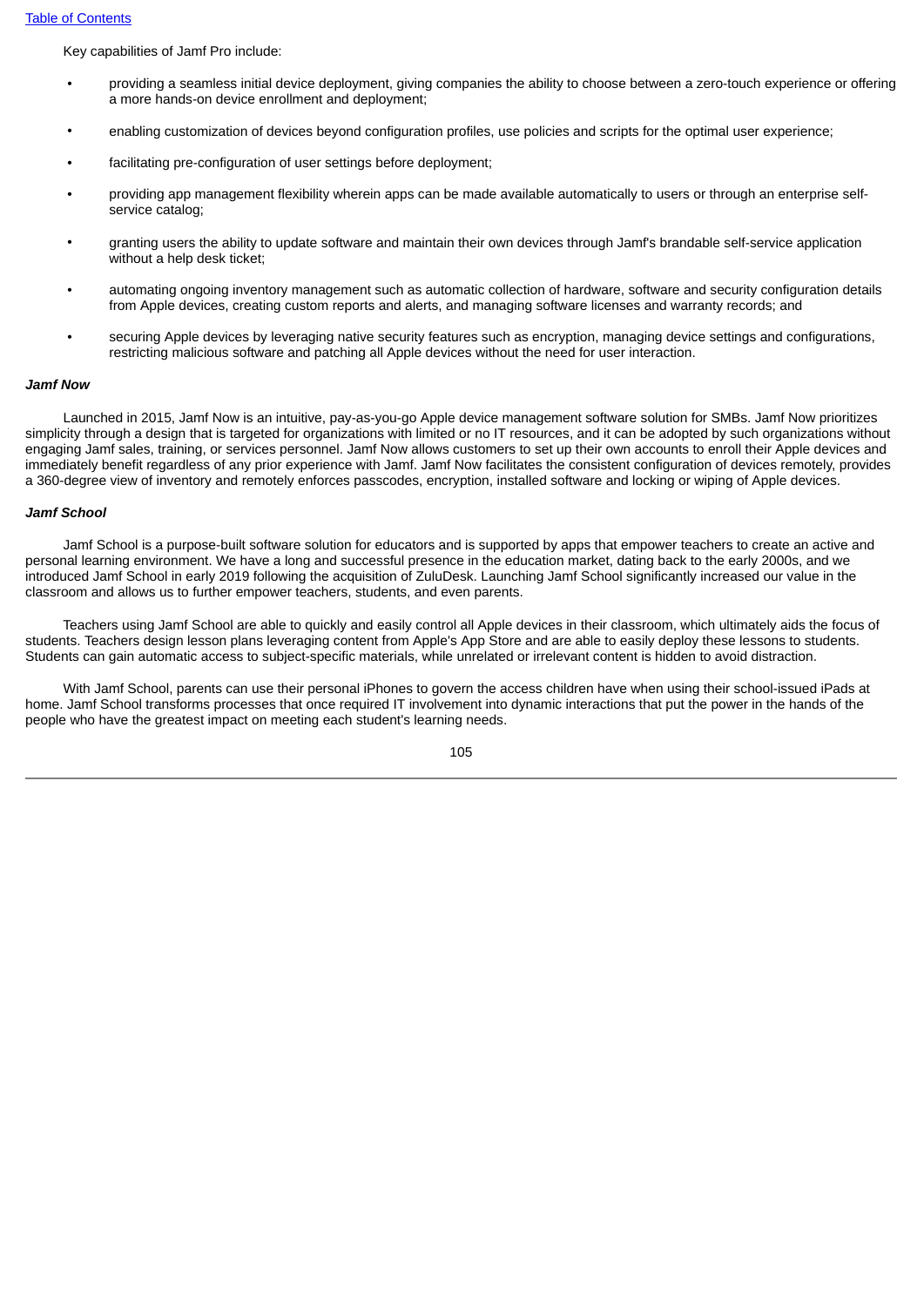Key capabilities of Jamf Pro include:

- providing a seamless initial device deployment, giving companies the ability to choose between a zero-touch experience or offering a more hands-on device enrollment and deployment;
- enabling customization of devices beyond configuration profiles, use policies and scripts for the optimal user experience;
- facilitating pre-configuration of user settings before deployment;
- providing app management flexibility wherein apps can be made available automatically to users or through an enterprise selfservice catalog;
- granting users the ability to update software and maintain their own devices through Jamf's brandable self-service application without a help desk ticket:
- automating ongoing inventory management such as automatic collection of hardware, software and security configuration details from Apple devices, creating custom reports and alerts, and managing software licenses and warranty records; and
- securing Apple devices by leveraging native security features such as encryption, managing device settings and configurations, restricting malicious software and patching all Apple devices without the need for user interaction.

### *Jamf Now*

 Launched in 2015, Jamf Now is an intuitive, pay-as-you-go Apple device management software solution for SMBs. Jamf Now prioritizes simplicity through a design that is targeted for organizations with limited or no IT resources, and it can be adopted by such organizations without engaging Jamf sales, training, or services personnel. Jamf Now allows customers to set up their own accounts to enroll their Apple devices and immediately benefit regardless of any prior experience with Jamf. Jamf Now facilitates the consistent configuration of devices remotely, provides a 360-degree view of inventory and remotely enforces passcodes, encryption, installed software and locking or wiping of Apple devices.

#### *Jamf School*

 Jamf School is a purpose-built software solution for educators and is supported by apps that empower teachers to create an active and personal learning environment. We have a long and successful presence in the education market, dating back to the early 2000s, and we introduced Jamf School in early 2019 following the acquisition of ZuluDesk. Launching Jamf School significantly increased our value in the classroom and allows us to further empower teachers, students, and even parents.

 Teachers using Jamf School are able to quickly and easily control all Apple devices in their classroom, which ultimately aids the focus of students. Teachers design lesson plans leveraging content from Apple's App Store and are able to easily deploy these lessons to students. Students can gain automatic access to subject-specific materials, while unrelated or irrelevant content is hidden to avoid distraction.

 With Jamf School, parents can use their personal iPhones to govern the access children have when using their school-issued iPads at home. Jamf School transforms processes that once required IT involvement into dynamic interactions that put the power in the hands of the people who have the greatest impact on meeting each student's learning needs.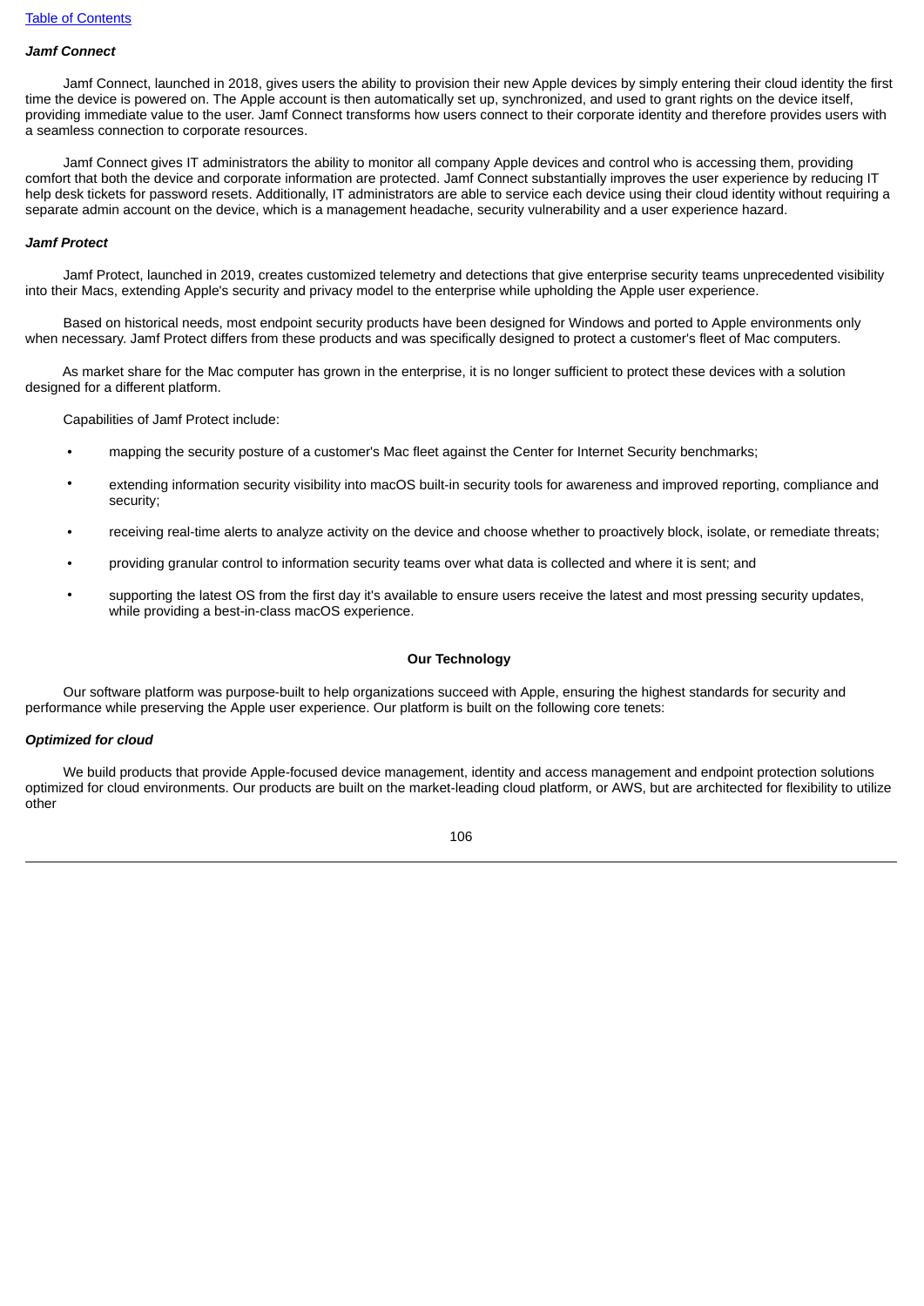# *Jamf Connect*

Jamf Connect, launched in 2018, gives users the ability to provision their new Apple devices by simply entering their cloud identity the first time the device is powered on. The Apple account is then automatically set up, synchronized, and used to grant rights on the device itself, providing immediate value to the user. Jamf Connect transforms how users connect to their corporate identity and therefore provides users with a seamless connection to corporate resources.

 Jamf Connect gives IT administrators the ability to monitor all company Apple devices and control who is accessing them, providing comfort that both the device and corporate information are protected. Jamf Connect substantially improves the user experience by reducing IT help desk tickets for password resets. Additionally, IT administrators are able to service each device using their cloud identity without requiring a separate admin account on the device, which is a management headache, security vulnerability and a user experience hazard.

### *Jamf Protect*

 Jamf Protect, launched in 2019, creates customized telemetry and detections that give enterprise security teams unprecedented visibility into their Macs, extending Apple's security and privacy model to the enterprise while upholding the Apple user experience.

 Based on historical needs, most endpoint security products have been designed for Windows and ported to Apple environments only when necessary. Jamf Protect differs from these products and was specifically designed to protect a customer's fleet of Mac computers.

 As market share for the Mac computer has grown in the enterprise, it is no longer sufficient to protect these devices with a solution designed for a different platform.

Capabilities of Jamf Protect include:

- mapping the security posture of a customer's Mac fleet against the Center for Internet Security benchmarks;
- extending information security visibility into macOS built-in security tools for awareness and improved reporting, compliance and security;
- receiving real-time alerts to analyze activity on the device and choose whether to proactively block, isolate, or remediate threats;
- providing granular control to information security teams over what data is collected and where it is sent; and
- supporting the latest OS from the first day it's available to ensure users receive the latest and most pressing security updates, while providing a best-in-class macOS experience.

### **Our Technology**

 Our software platform was purpose-built to help organizations succeed with Apple, ensuring the highest standards for security and performance while preserving the Apple user experience. Our platform is built on the following core tenets:

# *Optimized for cloud*

 We build products that provide Apple-focused device management, identity and access management and endpoint protection solutions optimized for cloud environments. Our products are built on the market-leading cloud platform, or AWS, but are architected for flexibility to utilize other

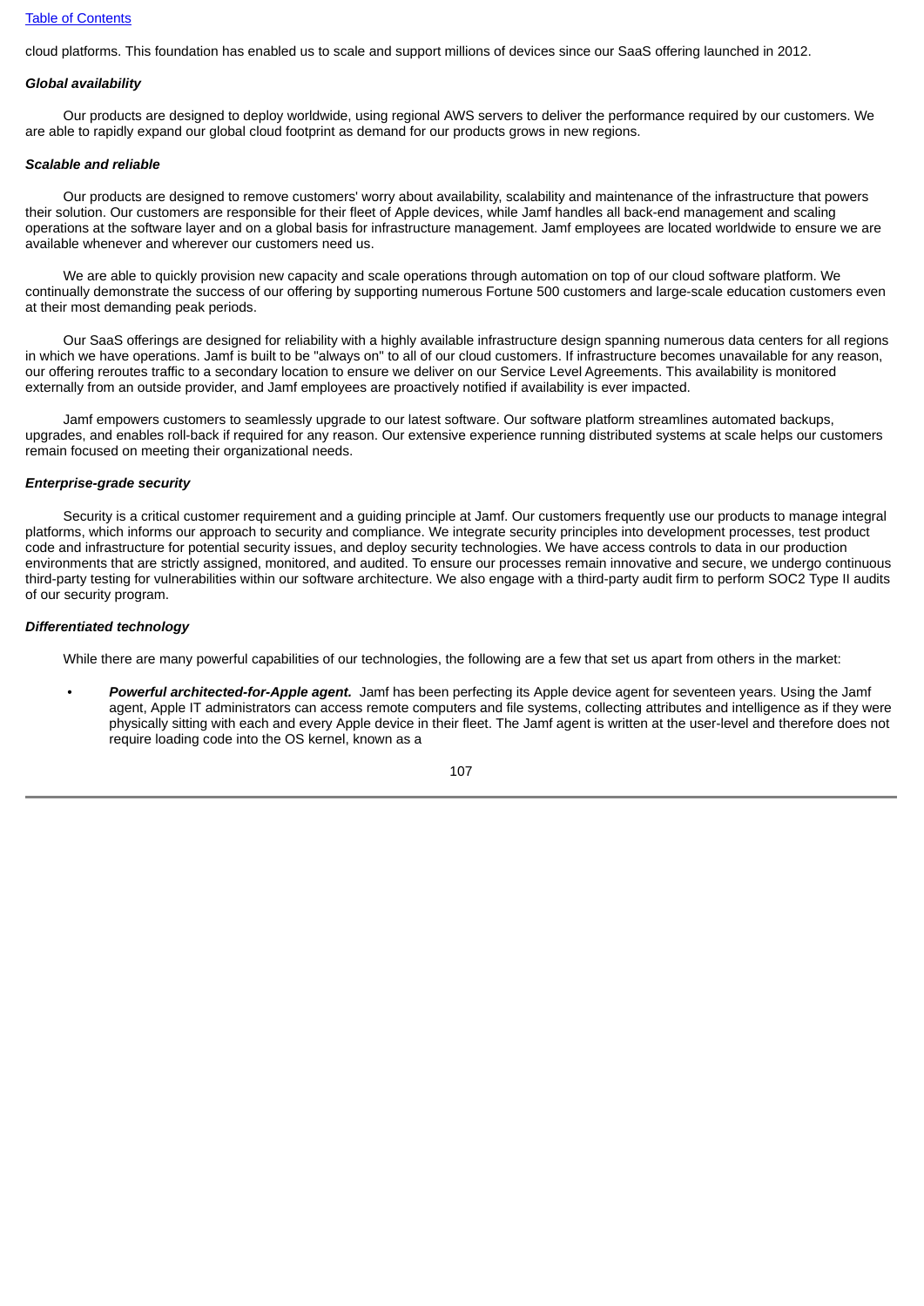cloud platforms. This foundation has enabled us to scale and support millions of devices since our SaaS offering launched in 2012.

#### *Global availability*

 Our products are designed to deploy worldwide, using regional AWS servers to deliver the performance required by our customers. We are able to rapidly expand our global cloud footprint as demand for our products grows in new regions.

# *Scalable and reliable*

 Our products are designed to remove customers' worry about availability, scalability and maintenance of the infrastructure that powers their solution. Our customers are responsible for their fleet of Apple devices, while Jamf handles all back-end management and scaling operations at the software layer and on a global basis for infrastructure management. Jamf employees are located worldwide to ensure we are available whenever and wherever our customers need us.

 We are able to quickly provision new capacity and scale operations through automation on top of our cloud software platform. We continually demonstrate the success of our offering by supporting numerous Fortune 500 customers and large-scale education customers even at their most demanding peak periods.

 Our SaaS offerings are designed for reliability with a highly available infrastructure design spanning numerous data centers for all regions in which we have operations. Jamf is built to be "always on" to all of our cloud customers. If infrastructure becomes unavailable for any reason, our offering reroutes traffic to a secondary location to ensure we deliver on our Service Level Agreements. This availability is monitored externally from an outside provider, and Jamf employees are proactively notified if availability is ever impacted.

Jamf empowers customers to seamlessly upgrade to our latest software. Our software platform streamlines automated backups, upgrades, and enables roll-back if required for any reason. Our extensive experience running distributed systems at scale helps our customers remain focused on meeting their organizational needs.

# *Enterprise-grade security*

 Security is a critical customer requirement and a guiding principle at Jamf. Our customers frequently use our products to manage integral platforms, which informs our approach to security and compliance. We integrate security principles into development processes, test product code and infrastructure for potential security issues, and deploy security technologies. We have access controls to data in our production environments that are strictly assigned, monitored, and audited. To ensure our processes remain innovative and secure, we undergo continuous third-party testing for vulnerabilities within our software architecture. We also engage with a third-party audit firm to perform SOC2 Type II audits of our security program.

## *Differentiated technology*

While there are many powerful capabilities of our technologies, the following are a few that set us apart from others in the market:

• *Powerful architected-for-Apple agent.* Jamf has been perfecting its Apple device agent for seventeen years. Using the Jamf agent, Apple IT administrators can access remote computers and file systems, collecting attributes and intelligence as if they were physically sitting with each and every Apple device in their fleet. The Jamf agent is written at the user-level and therefore does not require loading code into the OS kernel, known as a

$$
^{107}
$$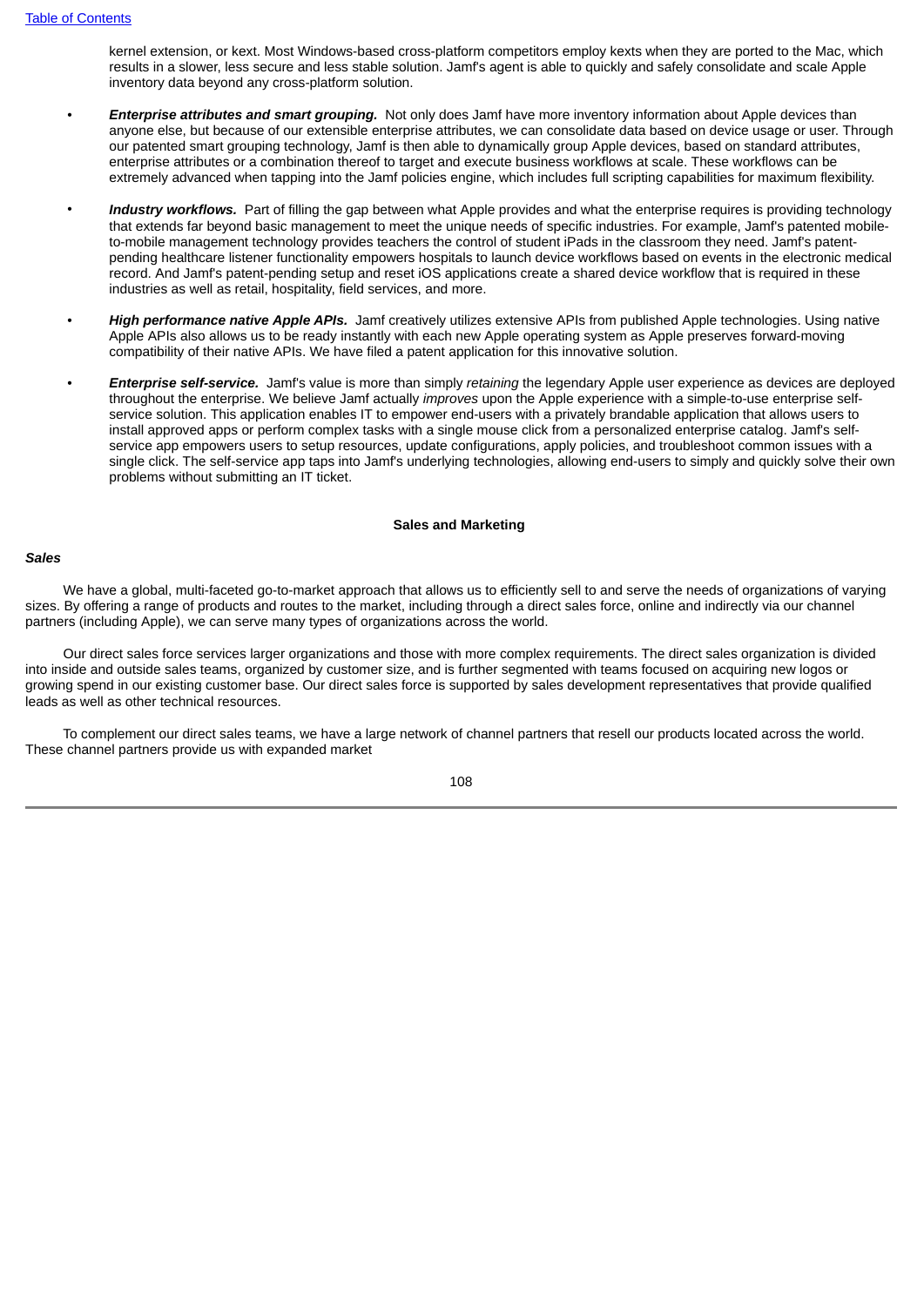kernel extension, or kext. Most Windows-based cross-platform competitors employ kexts when they are ported to the Mac, which results in a slower, less secure and less stable solution. Jamf's agent is able to quickly and safely consolidate and scale Apple inventory data beyond any cross-platform solution.

- *Enterprise attributes and smart grouping.* Not only does Jamf have more inventory information about Apple devices than anyone else, but because of our extensible enterprise attributes, we can consolidate data based on device usage or user. Through our patented smart grouping technology, Jamf is then able to dynamically group Apple devices, based on standard attributes, enterprise attributes or a combination thereof to target and execute business workflows at scale. These workflows can be extremely advanced when tapping into the Jamf policies engine, which includes full scripting capabilities for maximum flexibility.
- *Industry workflows.* Part of filling the gap between what Apple provides and what the enterprise requires is providing technology that extends far beyond basic management to meet the unique needs of specific industries. For example, Jamf's patented mobileto-mobile management technology provides teachers the control of student iPads in the classroom they need. Jamf's patentpending healthcare listener functionality empowers hospitals to launch device workflows based on events in the electronic medical record. And Jamf's patent-pending setup and reset iOS applications create a shared device workflow that is required in these industries as well as retail, hospitality, field services, and more.
- *High performance native Apple APIs.* Jamf creatively utilizes extensive APIs from published Apple technologies. Using native Apple APIs also allows us to be ready instantly with each new Apple operating system as Apple preserves forward-moving compatibility of their native APIs. We have filed a patent application for this innovative solution.
	- *Enterprise self-service.* Jamf's value is more than simply *retaining* the legendary Apple user experience as devices are deployed throughout the enterprise. We believe Jamf actually *improves* upon the Apple experience with a simple-to-use enterprise selfservice solution. This application enables IT to empower end-users with a privately brandable application that allows users to install approved apps or perform complex tasks with a single mouse click from a personalized enterprise catalog. Jamf's selfservice app empowers users to setup resources, update configurations, apply policies, and troubleshoot common issues with a single click. The self-service app taps into Jamf's underlying technologies, allowing end-users to simply and quickly solve their own problems without submitting an IT ticket.

### **Sales and Marketing**

#### *Sales*

 We have a global, multi-faceted go-to-market approach that allows us to efficiently sell to and serve the needs of organizations of varying sizes. By offering a range of products and routes to the market, including through a direct sales force, online and indirectly via our channel partners (including Apple), we can serve many types of organizations across the world.

 Our direct sales force services larger organizations and those with more complex requirements. The direct sales organization is divided into inside and outside sales teams, organized by customer size, and is further segmented with teams focused on acquiring new logos or growing spend in our existing customer base. Our direct sales force is supported by sales development representatives that provide qualified leads as well as other technical resources.

 To complement our direct sales teams, we have a large network of channel partners that resell our products located across the world. These channel partners provide us with expanded market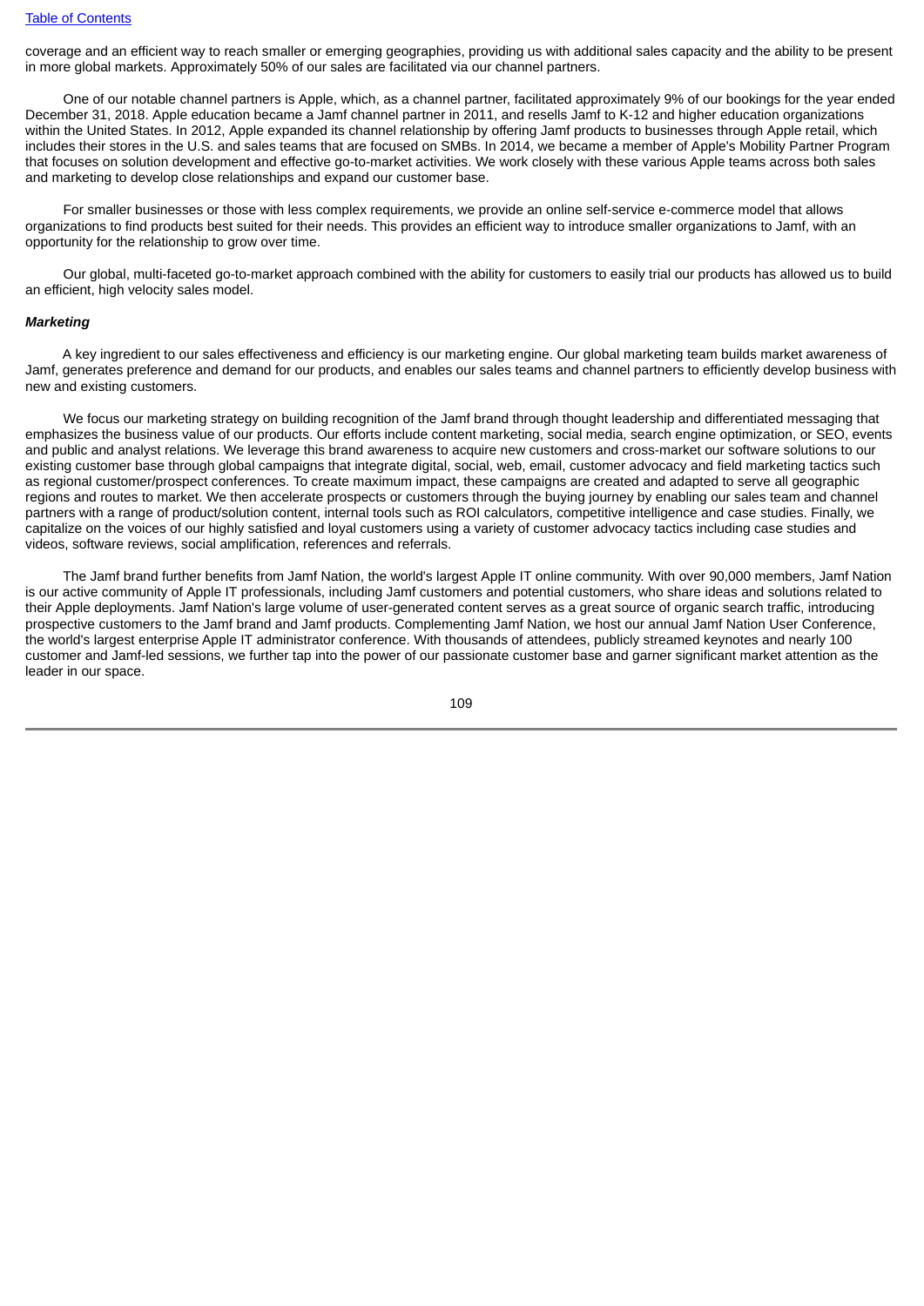coverage and an efficient way to reach smaller or emerging geographies, providing us with additional sales capacity and the ability to be present in more global markets. Approximately 50% of our sales are facilitated via our channel partners.

 One of our notable channel partners is Apple, which, as a channel partner, facilitated approximately 9% of our bookings for the year ended December 31, 2018. Apple education became a Jamf channel partner in 2011, and resells Jamf to K-12 and higher education organizations within the United States. In 2012, Apple expanded its channel relationship by offering Jamf products to businesses through Apple retail, which includes their stores in the U.S. and sales teams that are focused on SMBs. In 2014, we became a member of Apple's Mobility Partner Program that focuses on solution development and effective go-to-market activities. We work closely with these various Apple teams across both sales and marketing to develop close relationships and expand our customer base.

 For smaller businesses or those with less complex requirements, we provide an online self-service e-commerce model that allows organizations to find products best suited for their needs. This provides an efficient way to introduce smaller organizations to Jamf, with an opportunity for the relationship to grow over time.

 Our global, multi-faceted go-to-market approach combined with the ability for customers to easily trial our products has allowed us to build an efficient, high velocity sales model.

# *Marketing*

 A key ingredient to our sales effectiveness and efficiency is our marketing engine. Our global marketing team builds market awareness of Jamf, generates preference and demand for our products, and enables our sales teams and channel partners to efficiently develop business with new and existing customers.

We focus our marketing strategy on building recognition of the Jamf brand through thought leadership and differentiated messaging that emphasizes the business value of our products. Our efforts include content marketing, social media, search engine optimization, or SEO, events and public and analyst relations. We leverage this brand awareness to acquire new customers and cross-market our software solutions to our existing customer base through global campaigns that integrate digital, social, web, email, customer advocacy and field marketing tactics such as regional customer/prospect conferences. To create maximum impact, these campaigns are created and adapted to serve all geographic regions and routes to market. We then accelerate prospects or customers through the buying journey by enabling our sales team and channel partners with a range of product/solution content, internal tools such as ROI calculators, competitive intelligence and case studies. Finally, we capitalize on the voices of our highly satisfied and loyal customers using a variety of customer advocacy tactics including case studies and videos, software reviews, social amplification, references and referrals.

 The Jamf brand further benefits from Jamf Nation, the world's largest Apple IT online community. With over 90,000 members, Jamf Nation is our active community of Apple IT professionals, including Jamf customers and potential customers, who share ideas and solutions related to their Apple deployments. Jamf Nation's large volume of user-generated content serves as a great source of organic search traffic, introducing prospective customers to the Jamf brand and Jamf products. Complementing Jamf Nation, we host our annual Jamf Nation User Conference, the world's largest enterprise Apple IT administrator conference. With thousands of attendees, publicly streamed keynotes and nearly 100 customer and Jamf-led sessions, we further tap into the power of our passionate customer base and garner significant market attention as the leader in our space.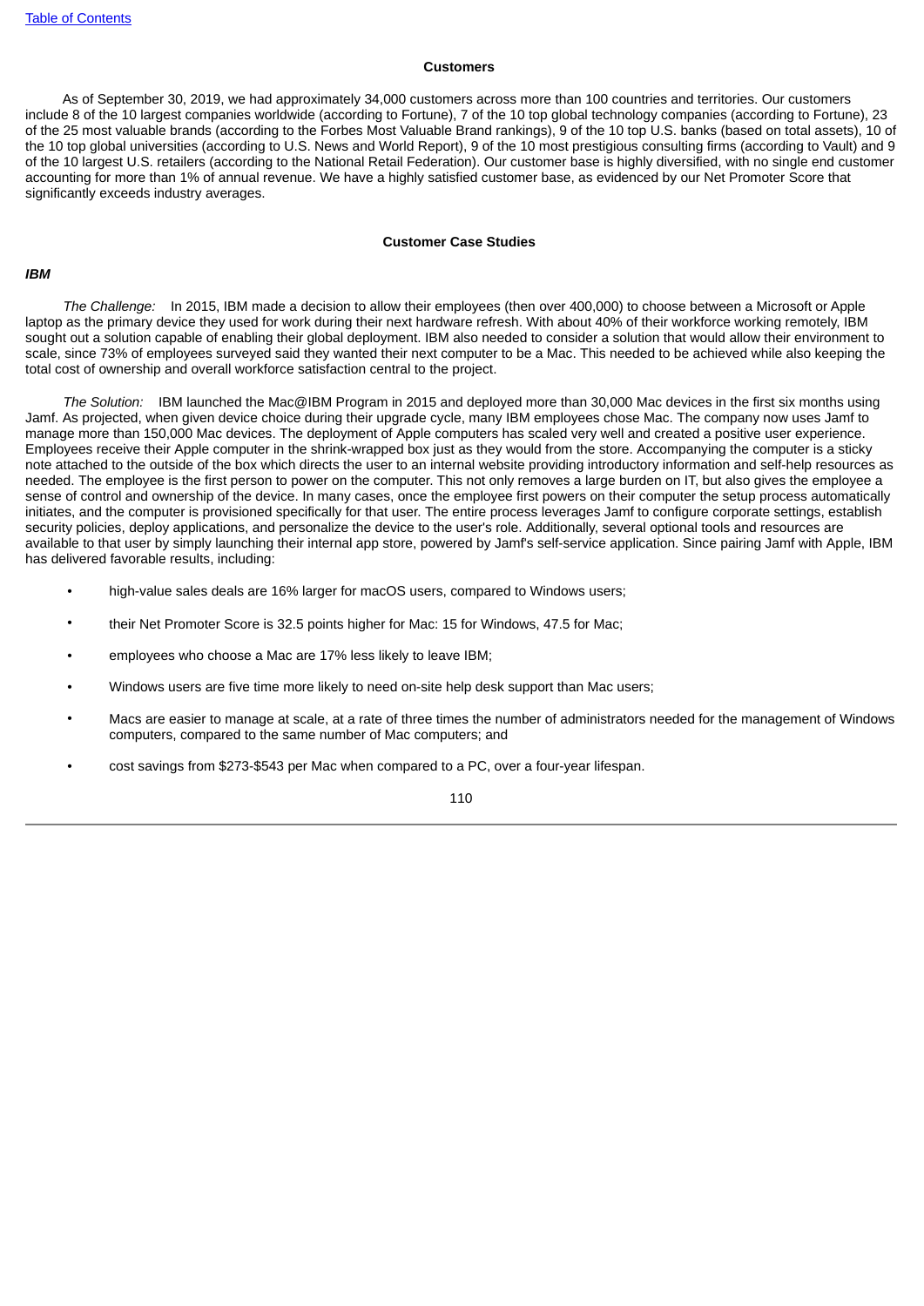### **Customers**

 As of September 30, 2019, we had approximately 34,000 customers across more than 100 countries and territories. Our customers include 8 of the 10 largest companies worldwide (according to Fortune), 7 of the 10 top global technology companies (according to Fortune), 23 of the 25 most valuable brands (according to the Forbes Most Valuable Brand rankings), 9 of the 10 top U.S. banks (based on total assets), 10 of the 10 top global universities (according to U.S. News and World Report), 9 of the 10 most prestigious consulting firms (according to Vault) and 9 of the 10 largest U.S. retailers (according to the National Retail Federation). Our customer base is highly diversified, with no single end customer accounting for more than 1% of annual revenue. We have a highly satisfied customer base, as evidenced by our Net Promoter Score that significantly exceeds industry averages.

#### **Customer Case Studies**

### *IBM*

 *The Challenge:* In 2015, IBM made a decision to allow their employees (then over 400,000) to choose between a Microsoft or Apple laptop as the primary device they used for work during their next hardware refresh. With about 40% of their workforce working remotely, IBM sought out a solution capable of enabling their global deployment. IBM also needed to consider a solution that would allow their environment to scale, since 73% of employees surveyed said they wanted their next computer to be a Mac. This needed to be achieved while also keeping the total cost of ownership and overall workforce satisfaction central to the project.

 *The Solution:* IBM launched the Mac@IBM Program in 2015 and deployed more than 30,000 Mac devices in the first six months using Jamf. As projected, when given device choice during their upgrade cycle, many IBM employees chose Mac. The company now uses Jamf to manage more than 150,000 Mac devices. The deployment of Apple computers has scaled very well and created a positive user experience. Employees receive their Apple computer in the shrink-wrapped box just as they would from the store. Accompanying the computer is a sticky note attached to the outside of the box which directs the user to an internal website providing introductory information and self-help resources as needed. The employee is the first person to power on the computer. This not only removes a large burden on IT, but also gives the employee a sense of control and ownership of the device. In many cases, once the employee first powers on their computer the setup process automatically initiates, and the computer is provisioned specifically for that user. The entire process leverages Jamf to configure corporate settings, establish security policies, deploy applications, and personalize the device to the user's role. Additionally, several optional tools and resources are available to that user by simply launching their internal app store, powered by Jamf's self-service application. Since pairing Jamf with Apple, IBM has delivered favorable results, including:

- high-value sales deals are 16% larger for macOS users, compared to Windows users;
- their Net Promoter Score is 32.5 points higher for Mac: 15 for Windows, 47.5 for Mac;
- employees who choose a Mac are 17% less likely to leave IBM;
- Windows users are five time more likely to need on-site help desk support than Mac users;
- Macs are easier to manage at scale, at a rate of three times the number of administrators needed for the management of Windows computers, compared to the same number of Mac computers; and
- cost savings from \$273-\$543 per Mac when compared to a PC, over a four-year lifespan.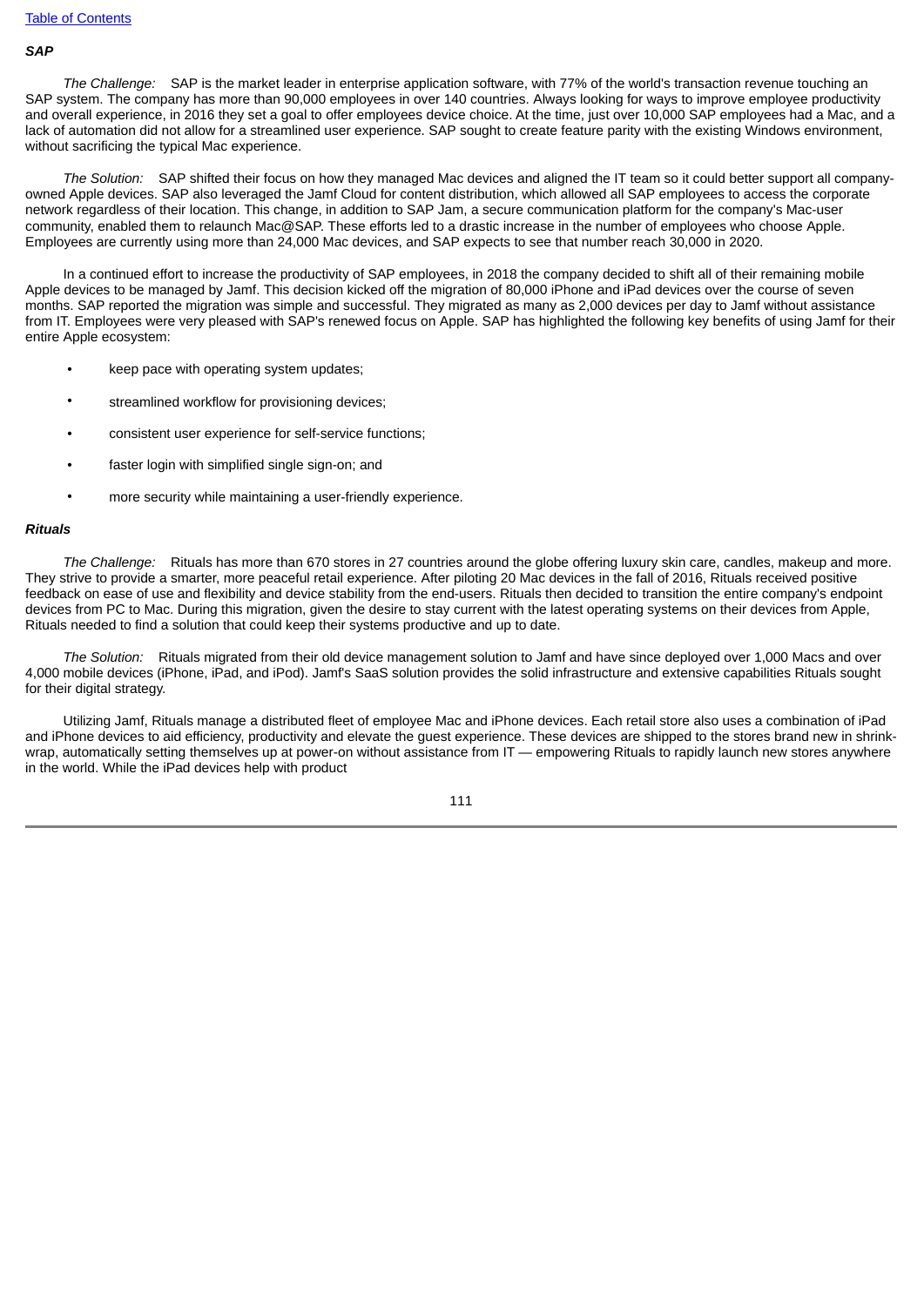# *SAP*

 *The Challenge:* SAP is the market leader in enterprise application software, with 77% of the world's transaction revenue touching an SAP system. The company has more than 90,000 employees in over 140 countries. Always looking for ways to improve employee productivity and overall experience, in 2016 they set a goal to offer employees device choice. At the time, just over 10,000 SAP employees had a Mac, and a lack of automation did not allow for a streamlined user experience. SAP sought to create feature parity with the existing Windows environment, without sacrificing the typical Mac experience.

 *The Solution:* SAP shifted their focus on how they managed Mac devices and aligned the IT team so it could better support all companyowned Apple devices. SAP also leveraged the Jamf Cloud for content distribution, which allowed all SAP employees to access the corporate network regardless of their location. This change, in addition to SAP Jam, a secure communication platform for the company's Mac-user community, enabled them to relaunch Mac@SAP. These efforts led to a drastic increase in the number of employees who choose Apple. Employees are currently using more than 24,000 Mac devices, and SAP expects to see that number reach 30,000 in 2020.

 In a continued effort to increase the productivity of SAP employees, in 2018 the company decided to shift all of their remaining mobile Apple devices to be managed by Jamf. This decision kicked off the migration of 80,000 iPhone and iPad devices over the course of seven months. SAP reported the migration was simple and successful. They migrated as many as 2,000 devices per day to Jamf without assistance from IT. Employees were very pleased with SAP's renewed focus on Apple. SAP has highlighted the following key benefits of using Jamf for their entire Apple ecosystem:

- keep pace with operating system updates;
- streamlined workflow for provisioning devices:
- consistent user experience for self-service functions;
- faster login with simplified single sign-on; and
- more security while maintaining a user-friendly experience.

### *Rituals*

 *The Challenge:* Rituals has more than 670 stores in 27 countries around the globe offering luxury skin care, candles, makeup and more. They strive to provide a smarter, more peaceful retail experience. After piloting 20 Mac devices in the fall of 2016, Rituals received positive feedback on ease of use and flexibility and device stability from the end-users. Rituals then decided to transition the entire company's endpoint devices from PC to Mac. During this migration, given the desire to stay current with the latest operating systems on their devices from Apple, Rituals needed to find a solution that could keep their systems productive and up to date.

 *The Solution:* Rituals migrated from their old device management solution to Jamf and have since deployed over 1,000 Macs and over 4,000 mobile devices (iPhone, iPad, and iPod). Jamf's SaaS solution provides the solid infrastructure and extensive capabilities Rituals sought for their digital strategy.

 Utilizing Jamf, Rituals manage a distributed fleet of employee Mac and iPhone devices. Each retail store also uses a combination of iPad and iPhone devices to aid efficiency, productivity and elevate the guest experience. These devices are shipped to the stores brand new in shrinkwrap, automatically setting themselves up at power-on without assistance from IT — empowering Rituals to rapidly launch new stores anywhere in the world. While the iPad devices help with product

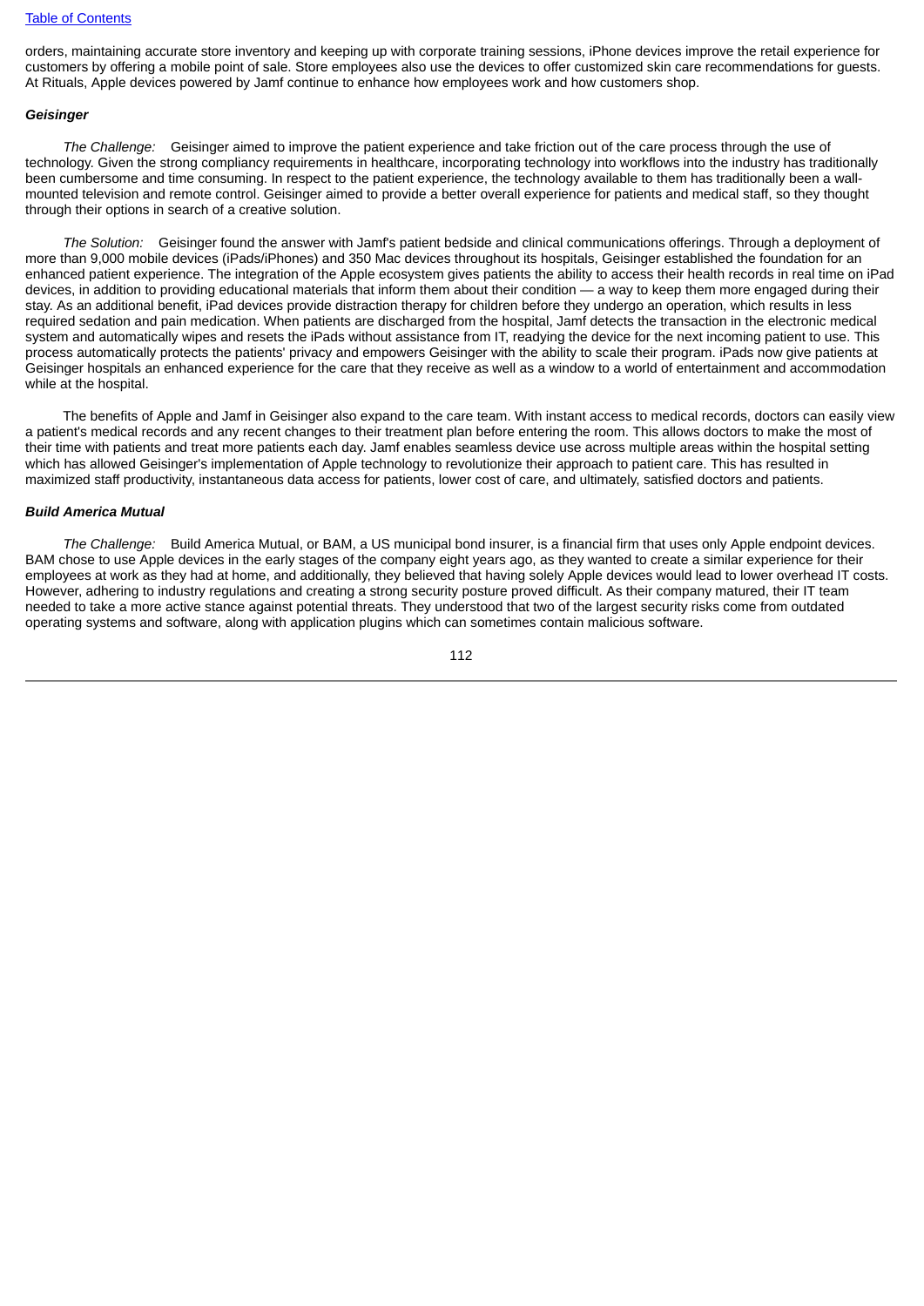### [Table of Contents](#page-3-0)

orders, maintaining accurate store inventory and keeping up with corporate training sessions, iPhone devices improve the retail experience for customers by offering a mobile point of sale. Store employees also use the devices to offer customized skin care recommendations for guests. At Rituals, Apple devices powered by Jamf continue to enhance how employees work and how customers shop.

# *Geisinger*

 *The Challenge:* Geisinger aimed to improve the patient experience and take friction out of the care process through the use of technology. Given the strong compliancy requirements in healthcare, incorporating technology into workflows into the industry has traditionally been cumbersome and time consuming. In respect to the patient experience, the technology available to them has traditionally been a wallmounted television and remote control. Geisinger aimed to provide a better overall experience for patients and medical staff, so they thought through their options in search of a creative solution.

 *The Solution:* Geisinger found the answer with Jamf's patient bedside and clinical communications offerings. Through a deployment of more than 9,000 mobile devices (iPads/iPhones) and 350 Mac devices throughout its hospitals, Geisinger established the foundation for an enhanced patient experience. The integration of the Apple ecosystem gives patients the ability to access their health records in real time on iPad devices, in addition to providing educational materials that inform them about their condition — a way to keep them more engaged during their stay. As an additional benefit, iPad devices provide distraction therapy for children before they undergo an operation, which results in less required sedation and pain medication. When patients are discharged from the hospital, Jamf detects the transaction in the electronic medical system and automatically wipes and resets the iPads without assistance from IT, readying the device for the next incoming patient to use. This process automatically protects the patients' privacy and empowers Geisinger with the ability to scale their program. iPads now give patients at Geisinger hospitals an enhanced experience for the care that they receive as well as a window to a world of entertainment and accommodation while at the hospital.

 The benefits of Apple and Jamf in Geisinger also expand to the care team. With instant access to medical records, doctors can easily view a patient's medical records and any recent changes to their treatment plan before entering the room. This allows doctors to make the most of their time with patients and treat more patients each day. Jamf enables seamless device use across multiple areas within the hospital setting which has allowed Geisinger's implementation of Apple technology to revolutionize their approach to patient care. This has resulted in maximized staff productivity, instantaneous data access for patients, lower cost of care, and ultimately, satisfied doctors and patients.

# *Build America Mutual*

 *The Challenge:* Build America Mutual, or BAM, a US municipal bond insurer, is a financial firm that uses only Apple endpoint devices. BAM chose to use Apple devices in the early stages of the company eight years ago, as they wanted to create a similar experience for their employees at work as they had at home, and additionally, they believed that having solely Apple devices would lead to lower overhead IT costs. However, adhering to industry regulations and creating a strong security posture proved difficult. As their company matured, their IT team needed to take a more active stance against potential threats. They understood that two of the largest security risks come from outdated operating systems and software, along with application plugins which can sometimes contain malicious software.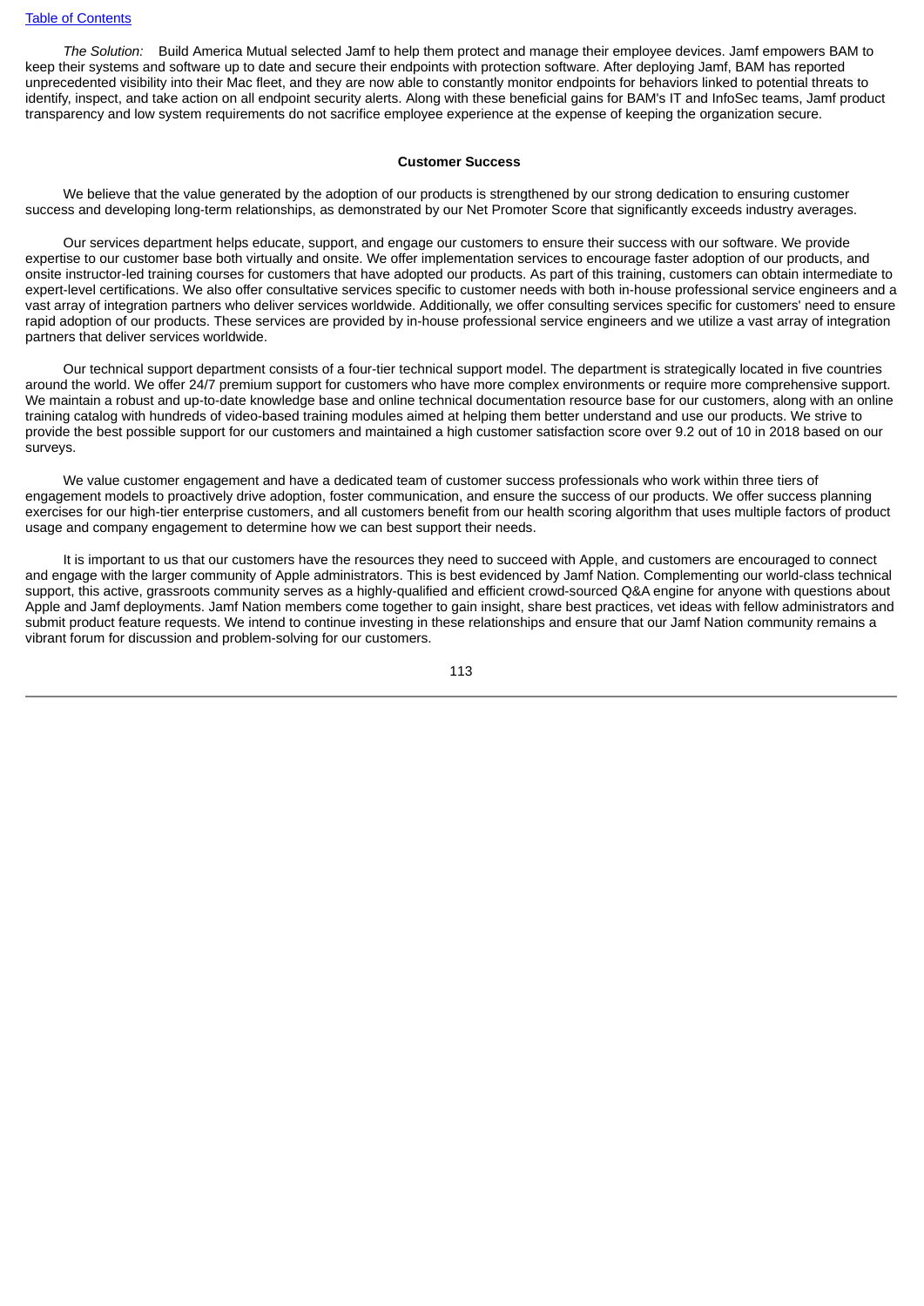*The Solution:* Build America Mutual selected Jamf to help them protect and manage their employee devices. Jamf empowers BAM to keep their systems and software up to date and secure their endpoints with protection software. After deploying Jamf, BAM has reported unprecedented visibility into their Mac fleet, and they are now able to constantly monitor endpoints for behaviors linked to potential threats to identify, inspect, and take action on all endpoint security alerts. Along with these beneficial gains for BAM's IT and InfoSec teams, Jamf product transparency and low system requirements do not sacrifice employee experience at the expense of keeping the organization secure.

# **Customer Success**

 We believe that the value generated by the adoption of our products is strengthened by our strong dedication to ensuring customer success and developing long-term relationships, as demonstrated by our Net Promoter Score that significantly exceeds industry averages.

 Our services department helps educate, support, and engage our customers to ensure their success with our software. We provide expertise to our customer base both virtually and onsite. We offer implementation services to encourage faster adoption of our products, and onsite instructor-led training courses for customers that have adopted our products. As part of this training, customers can obtain intermediate to expert-level certifications. We also offer consultative services specific to customer needs with both in-house professional service engineers and a vast array of integration partners who deliver services worldwide. Additionally, we offer consulting services specific for customers' need to ensure rapid adoption of our products. These services are provided by in-house professional service engineers and we utilize a vast array of integration partners that deliver services worldwide.

 Our technical support department consists of a four-tier technical support model. The department is strategically located in five countries around the world. We offer 24/7 premium support for customers who have more complex environments or require more comprehensive support. We maintain a robust and up-to-date knowledge base and online technical documentation resource base for our customers, along with an online training catalog with hundreds of video-based training modules aimed at helping them better understand and use our products. We strive to provide the best possible support for our customers and maintained a high customer satisfaction score over 9.2 out of 10 in 2018 based on our surveys.

 We value customer engagement and have a dedicated team of customer success professionals who work within three tiers of engagement models to proactively drive adoption, foster communication, and ensure the success of our products. We offer success planning exercises for our high-tier enterprise customers, and all customers benefit from our health scoring algorithm that uses multiple factors of product usage and company engagement to determine how we can best support their needs.

 It is important to us that our customers have the resources they need to succeed with Apple, and customers are encouraged to connect and engage with the larger community of Apple administrators. This is best evidenced by Jamf Nation. Complementing our world-class technical support, this active, grassroots community serves as a highly-qualified and efficient crowd-sourced Q&A engine for anyone with questions about Apple and Jamf deployments. Jamf Nation members come together to gain insight, share best practices, vet ideas with fellow administrators and submit product feature requests. We intend to continue investing in these relationships and ensure that our Jamf Nation community remains a vibrant forum for discussion and problem-solving for our customers.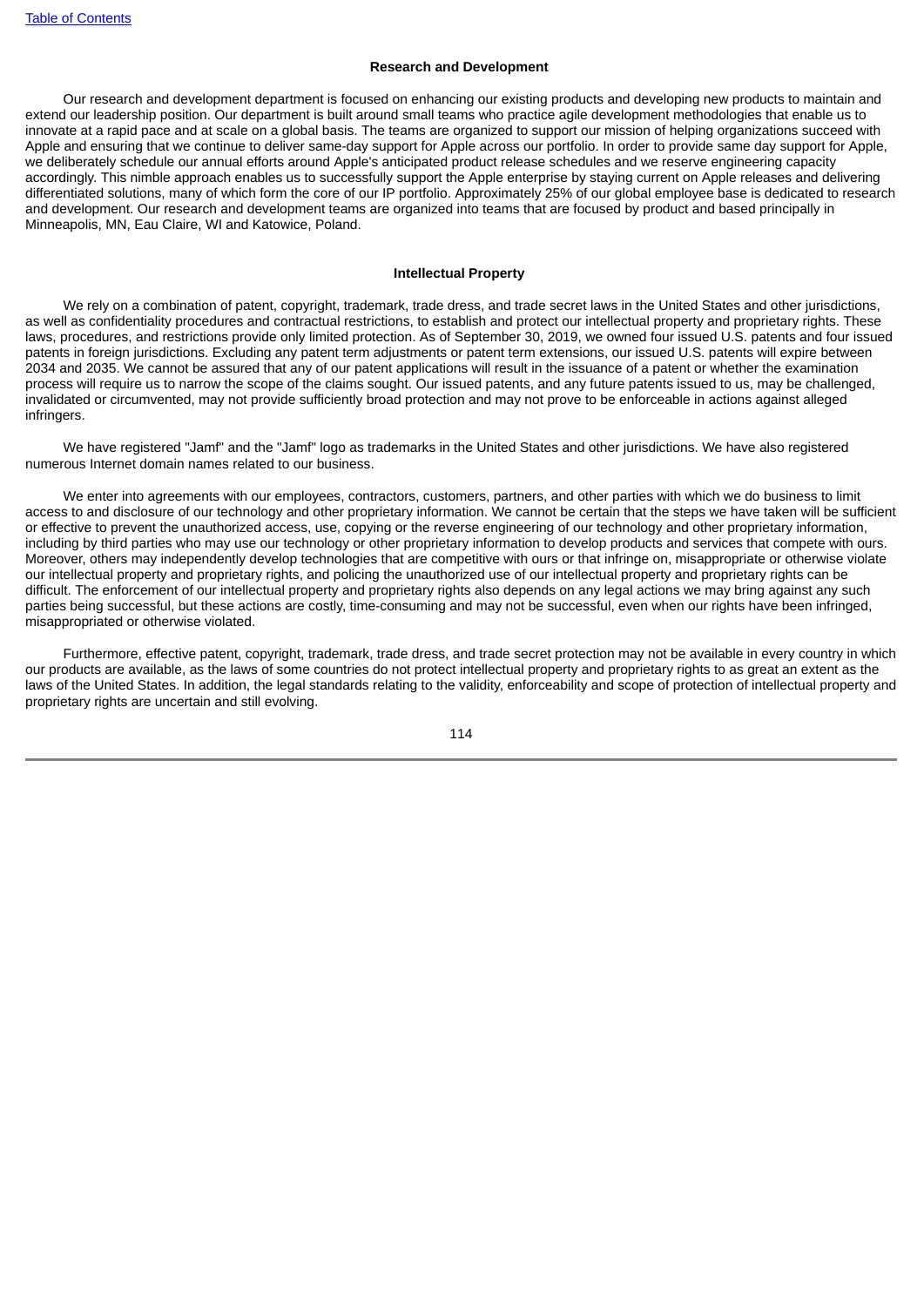### **Research and Development**

 Our research and development department is focused on enhancing our existing products and developing new products to maintain and extend our leadership position. Our department is built around small teams who practice agile development methodologies that enable us to innovate at a rapid pace and at scale on a global basis. The teams are organized to support our mission of helping organizations succeed with Apple and ensuring that we continue to deliver same-day support for Apple across our portfolio. In order to provide same day support for Apple, we deliberately schedule our annual efforts around Apple's anticipated product release schedules and we reserve engineering capacity accordingly. This nimble approach enables us to successfully support the Apple enterprise by staying current on Apple releases and delivering differentiated solutions, many of which form the core of our IP portfolio. Approximately 25% of our global employee base is dedicated to research and development. Our research and development teams are organized into teams that are focused by product and based principally in Minneapolis, MN, Eau Claire, WI and Katowice, Poland.

### **Intellectual Property**

We rely on a combination of patent, copyright, trademark, trade dress, and trade secret laws in the United States and other jurisdictions, as well as confidentiality procedures and contractual restrictions, to establish and protect our intellectual property and proprietary rights. These laws, procedures, and restrictions provide only limited protection. As of September 30, 2019, we owned four issued U.S. patents and four issued patents in foreign jurisdictions. Excluding any patent term adjustments or patent term extensions, our issued U.S. patents will expire between 2034 and 2035. We cannot be assured that any of our patent applications will result in the issuance of a patent or whether the examination process will require us to narrow the scope of the claims sought. Our issued patents, and any future patents issued to us, may be challenged, invalidated or circumvented, may not provide sufficiently broad protection and may not prove to be enforceable in actions against alleged infringers.

 We have registered "Jamf" and the "Jamf" logo as trademarks in the United States and other jurisdictions. We have also registered numerous Internet domain names related to our business.

 We enter into agreements with our employees, contractors, customers, partners, and other parties with which we do business to limit access to and disclosure of our technology and other proprietary information. We cannot be certain that the steps we have taken will be sufficient or effective to prevent the unauthorized access, use, copying or the reverse engineering of our technology and other proprietary information, including by third parties who may use our technology or other proprietary information to develop products and services that compete with ours. Moreover, others may independently develop technologies that are competitive with ours or that infringe on, misappropriate or otherwise violate our intellectual property and proprietary rights, and policing the unauthorized use of our intellectual property and proprietary rights can be difficult. The enforcement of our intellectual property and proprietary rights also depends on any legal actions we may bring against any such parties being successful, but these actions are costly, time-consuming and may not be successful, even when our rights have been infringed, misappropriated or otherwise violated.

 Furthermore, effective patent, copyright, trademark, trade dress, and trade secret protection may not be available in every country in which our products are available, as the laws of some countries do not protect intellectual property and proprietary rights to as great an extent as the laws of the United States. In addition, the legal standards relating to the validity, enforceability and scope of protection of intellectual property and proprietary rights are uncertain and still evolving.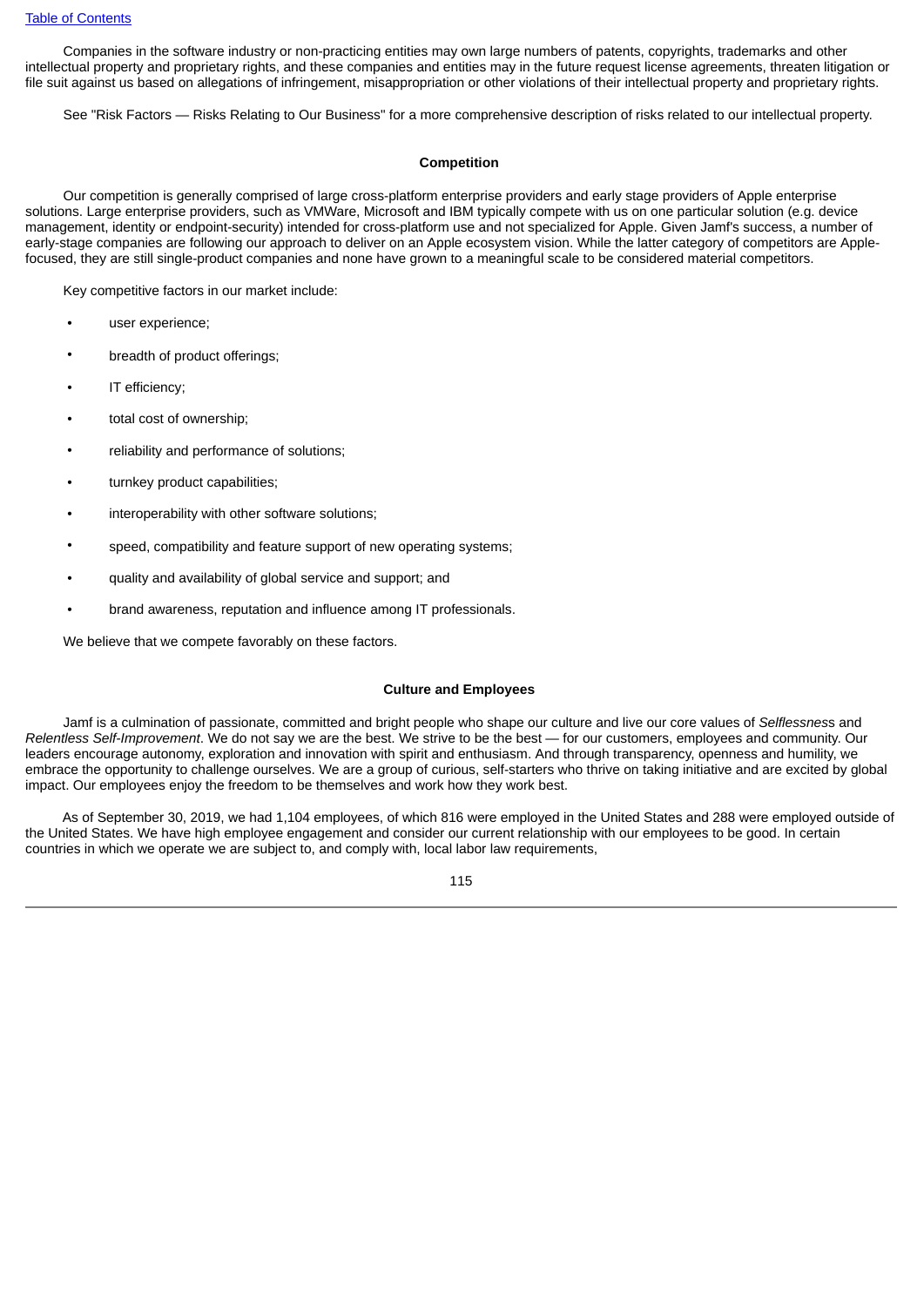Companies in the software industry or non-practicing entities may own large numbers of patents, copyrights, trademarks and other intellectual property and proprietary rights, and these companies and entities may in the future request license agreements, threaten litigation or file suit against us based on allegations of infringement, misappropriation or other violations of their intellectual property and proprietary rights.

See "Risk Factors — Risks Relating to Our Business" for a more comprehensive description of risks related to our intellectual property.

# **Competition**

 Our competition is generally comprised of large cross-platform enterprise providers and early stage providers of Apple enterprise solutions. Large enterprise providers, such as VMWare, Microsoft and IBM typically compete with us on one particular solution (e.g. device management, identity or endpoint-security) intended for cross-platform use and not specialized for Apple. Given Jamf's success, a number of early-stage companies are following our approach to deliver on an Apple ecosystem vision. While the latter category of competitors are Applefocused, they are still single-product companies and none have grown to a meaningful scale to be considered material competitors.

Key competitive factors in our market include:

- user experience;
- breadth of product offerings;
- IT efficiency;
- total cost of ownership;
- reliability and performance of solutions;
- turnkey product capabilities;
- interoperability with other software solutions;
- speed, compatibility and feature support of new operating systems;
- quality and availability of global service and support; and
- brand awareness, reputation and influence among IT professionals.

We believe that we compete favorably on these factors.

## **Culture and Employees**

 Jamf is a culmination of passionate, committed and bright people who shape our culture and live our core values of *Selflessnes*s and *Relentless Self-Improvement*. We do not say we are the best. We strive to be the best — for our customers, employees and community. Our leaders encourage autonomy, exploration and innovation with spirit and enthusiasm. And through transparency, openness and humility, we embrace the opportunity to challenge ourselves. We are a group of curious, self-starters who thrive on taking initiative and are excited by global impact. Our employees enjoy the freedom to be themselves and work how they work best.

 As of September 30, 2019, we had 1,104 employees, of which 816 were employed in the United States and 288 were employed outside of the United States. We have high employee engagement and consider our current relationship with our employees to be good. In certain countries in which we operate we are subject to, and comply with, local labor law requirements,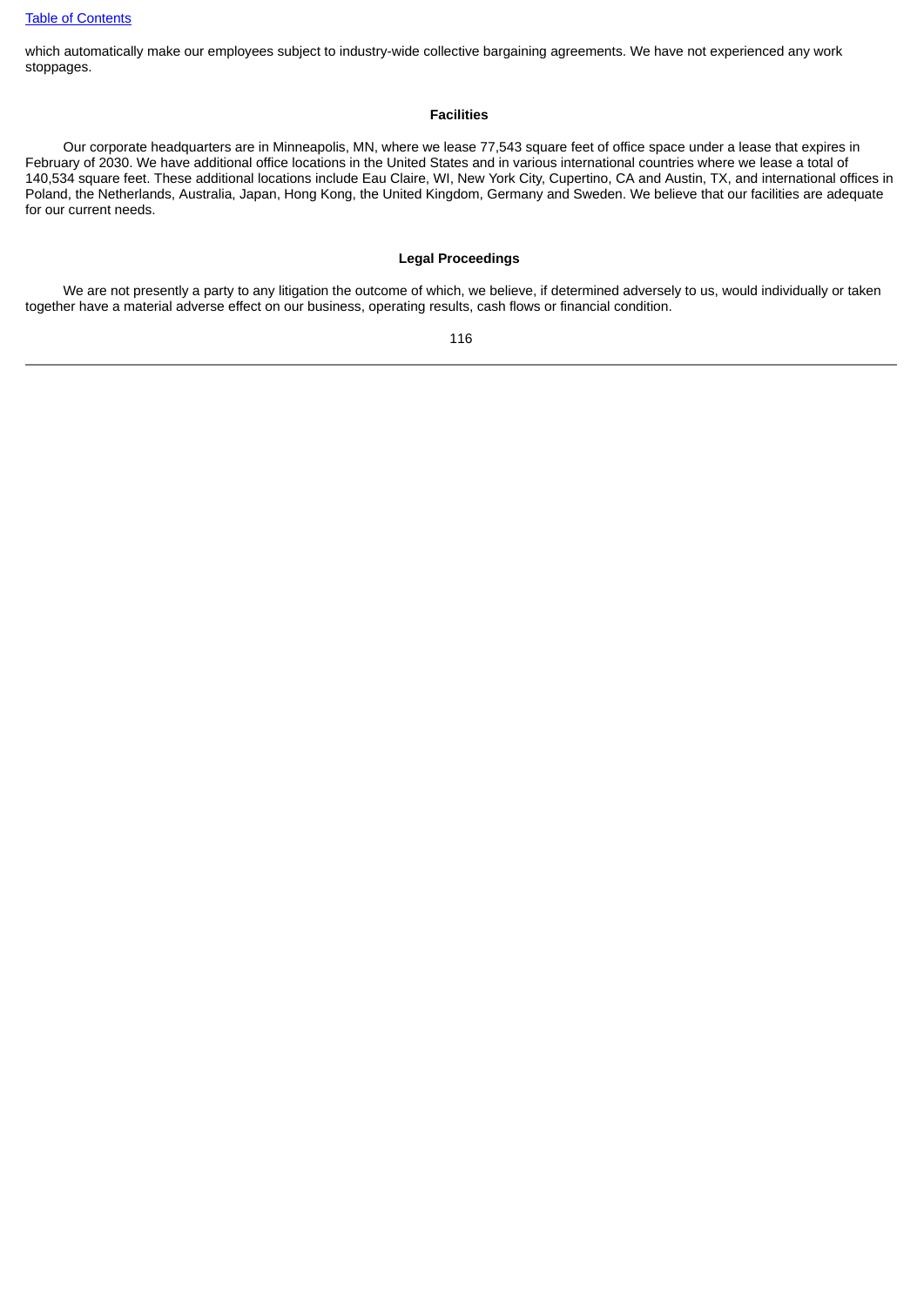which automatically make our employees subject to industry-wide collective bargaining agreements. We have not experienced any work stoppages.

# **Facilities**

 Our corporate headquarters are in Minneapolis, MN, where we lease 77,543 square feet of office space under a lease that expires in February of 2030. We have additional office locations in the United States and in various international countries where we lease a total of 140,534 square feet. These additional locations include Eau Claire, WI, New York City, Cupertino, CA and Austin, TX, and international offices in Poland, the Netherlands, Australia, Japan, Hong Kong, the United Kingdom, Germany and Sweden. We believe that our facilities are adequate for our current needs.

# **Legal Proceedings**

 We are not presently a party to any litigation the outcome of which, we believe, if determined adversely to us, would individually or taken together have a material adverse effect on our business, operating results, cash flows or financial condition.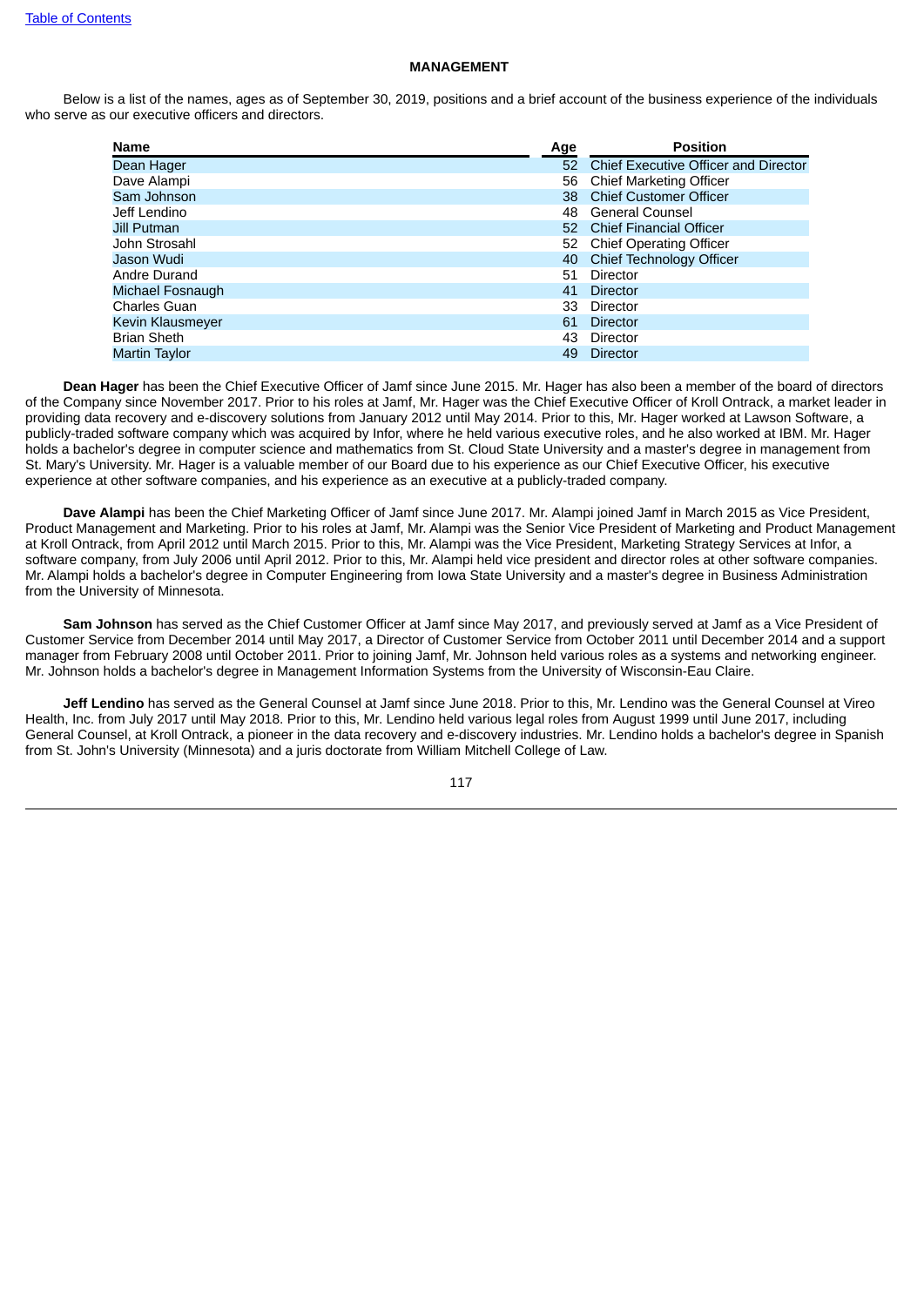### **MANAGEMENT**

 Below is a list of the names, ages as of September 30, 2019, positions and a brief account of the business experience of the individuals who serve as our executive officers and directors.

| <b>Name</b>          | <u>Age</u> | <b>Position</b>                         |
|----------------------|------------|-----------------------------------------|
| Dean Hager           |            | 52 Chief Executive Officer and Director |
| Dave Alampi          |            | 56 Chief Marketing Officer              |
| Sam Johnson          |            | 38 Chief Customer Officer               |
| Jeff Lendino         | 48         | General Counsel                         |
| <b>Jill Putman</b>   |            | 52 Chief Financial Officer              |
| John Strosahl        |            | 52 Chief Operating Officer              |
| Jason Wudi           | 40         | Chief Technology Officer                |
| Andre Durand         | 51         | <b>Director</b>                         |
| Michael Fosnaugh     | 41         | <b>Director</b>                         |
| Charles Guan         | 33         | Director                                |
| Kevin Klausmeyer     | 61         | <b>Director</b>                         |
| Brian Sheth          | 43         | Director                                |
| <b>Martin Taylor</b> | 49         | <b>Director</b>                         |
|                      |            |                                         |

 **Dean Hager** has been the Chief Executive Officer of Jamf since June 2015. Mr. Hager has also been a member of the board of directors of the Company since November 2017. Prior to his roles at Jamf, Mr. Hager was the Chief Executive Officer of Kroll Ontrack, a market leader in providing data recovery and e-discovery solutions from January 2012 until May 2014. Prior to this, Mr. Hager worked at Lawson Software, a publicly-traded software company which was acquired by Infor, where he held various executive roles, and he also worked at IBM. Mr. Hager holds a bachelor's degree in computer science and mathematics from St. Cloud State University and a master's degree in management from St. Mary's University. Mr. Hager is a valuable member of our Board due to his experience as our Chief Executive Officer, his executive experience at other software companies, and his experience as an executive at a publicly-traded company.

 **Dave Alampi** has been the Chief Marketing Officer of Jamf since June 2017. Mr. Alampi joined Jamf in March 2015 as Vice President, Product Management and Marketing. Prior to his roles at Jamf, Mr. Alampi was the Senior Vice President of Marketing and Product Management at Kroll Ontrack, from April 2012 until March 2015. Prior to this, Mr. Alampi was the Vice President, Marketing Strategy Services at Infor, a software company, from July 2006 until April 2012. Prior to this, Mr. Alampi held vice president and director roles at other software companies. Mr. Alampi holds a bachelor's degree in Computer Engineering from Iowa State University and a master's degree in Business Administration from the University of Minnesota.

 **Sam Johnson** has served as the Chief Customer Officer at Jamf since May 2017, and previously served at Jamf as a Vice President of Customer Service from December 2014 until May 2017, a Director of Customer Service from October 2011 until December 2014 and a support manager from February 2008 until October 2011. Prior to joining Jamf, Mr. Johnson held various roles as a systems and networking engineer. Mr. Johnson holds a bachelor's degree in Management Information Systems from the University of Wisconsin-Eau Claire.

 **Jeff Lendino** has served as the General Counsel at Jamf since June 2018. Prior to this, Mr. Lendino was the General Counsel at Vireo Health, Inc. from July 2017 until May 2018. Prior to this, Mr. Lendino held various legal roles from August 1999 until June 2017, including General Counsel, at Kroll Ontrack, a pioneer in the data recovery and e-discovery industries. Mr. Lendino holds a bachelor's degree in Spanish from St. John's University (Minnesota) and a juris doctorate from William Mitchell College of Law.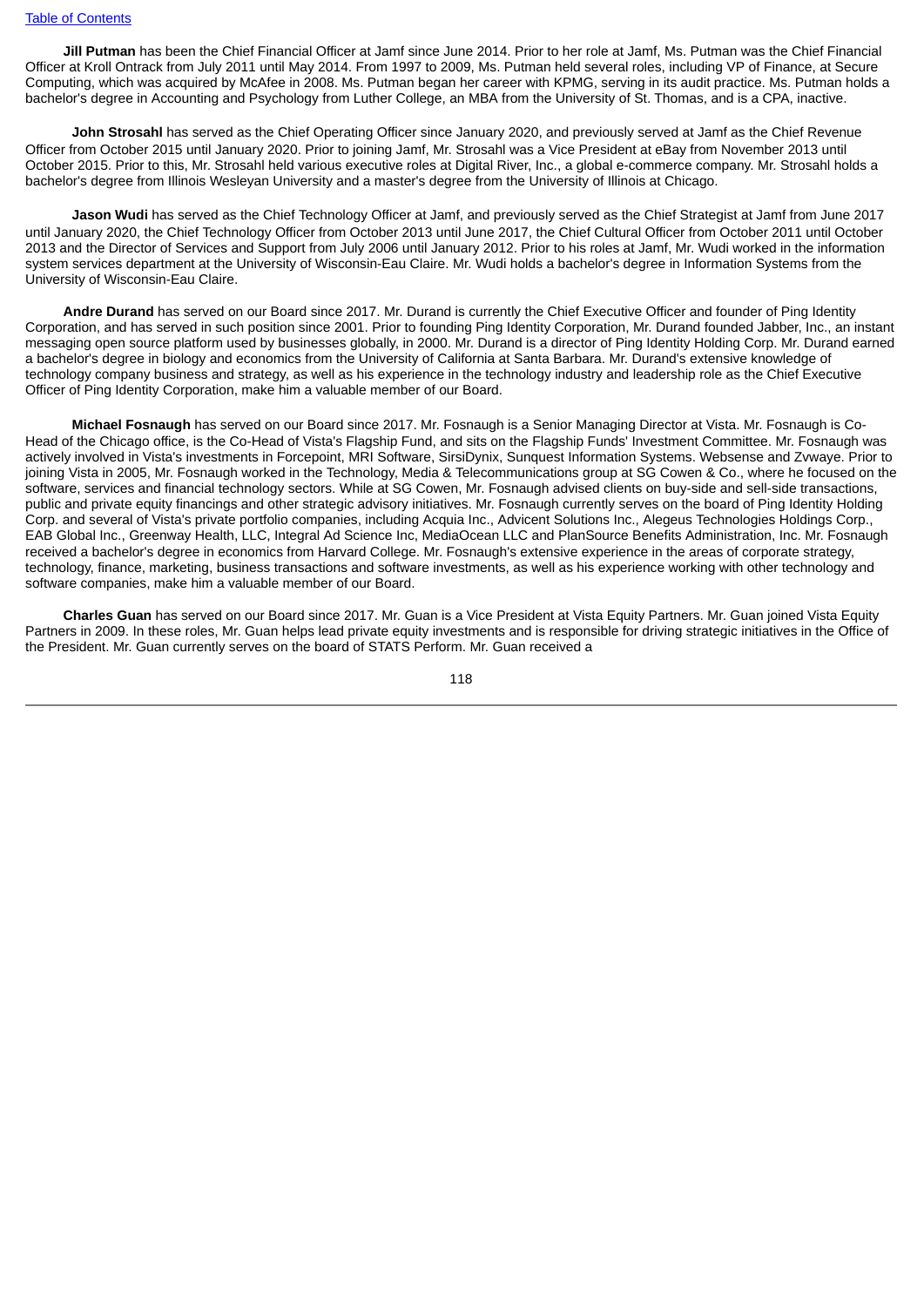**Jill Putman** has been the Chief Financial Officer at Jamf since June 2014. Prior to her role at Jamf, Ms. Putman was the Chief Financial Officer at Kroll Ontrack from July 2011 until May 2014. From 1997 to 2009, Ms. Putman held several roles, including VP of Finance, at Secure Computing, which was acquired by McAfee in 2008. Ms. Putman began her career with KPMG, serving in its audit practice. Ms. Putman holds a bachelor's degree in Accounting and Psychology from Luther College, an MBA from the University of St. Thomas, and is a CPA, inactive.

 **John Strosahl** has served as the Chief Operating Officer since January 2020, and previously served at Jamf as the Chief Revenue Officer from October 2015 until January 2020. Prior to joining Jamf, Mr. Strosahl was a Vice President at eBay from November 2013 until October 2015. Prior to this, Mr. Strosahl held various executive roles at Digital River, Inc., a global e-commerce company. Mr. Strosahl holds a bachelor's degree from Illinois Wesleyan University and a master's degree from the University of Illinois at Chicago.

 **Jason Wudi** has served as the Chief Technology Officer at Jamf, and previously served as the Chief Strategist at Jamf from June 2017 until January 2020, the Chief Technology Officer from October 2013 until June 2017, the Chief Cultural Officer from October 2011 until October 2013 and the Director of Services and Support from July 2006 until January 2012. Prior to his roles at Jamf, Mr. Wudi worked in the information system services department at the University of Wisconsin-Eau Claire. Mr. Wudi holds a bachelor's degree in Information Systems from the University of Wisconsin-Eau Claire.

 **Andre Durand** has served on our Board since 2017. Mr. Durand is currently the Chief Executive Officer and founder of Ping Identity Corporation, and has served in such position since 2001. Prior to founding Ping Identity Corporation, Mr. Durand founded Jabber, Inc., an instant messaging open source platform used by businesses globally, in 2000. Mr. Durand is a director of Ping Identity Holding Corp. Mr. Durand earned a bachelor's degree in biology and economics from the University of California at Santa Barbara. Mr. Durand's extensive knowledge of technology company business and strategy, as well as his experience in the technology industry and leadership role as the Chief Executive Officer of Ping Identity Corporation, make him a valuable member of our Board.

 **Michael Fosnaugh** has served on our Board since 2017. Mr. Fosnaugh is a Senior Managing Director at Vista. Mr. Fosnaugh is Co-Head of the Chicago office, is the Co-Head of Vista's Flagship Fund, and sits on the Flagship Funds' Investment Committee. Mr. Fosnaugh was actively involved in Vista's investments in Forcepoint, MRI Software, SirsiDynix, Sunquest Information Systems. Websense and Zvwaye. Prior to joining Vista in 2005, Mr. Fosnaugh worked in the Technology, Media & Telecommunications group at SG Cowen & Co., where he focused on the software, services and financial technology sectors. While at SG Cowen, Mr. Fosnaugh advised clients on buy-side and sell-side transactions, public and private equity financings and other strategic advisory initiatives. Mr. Fosnaugh currently serves on the board of Ping Identity Holding Corp. and several of Vista's private portfolio companies, including Acquia Inc., Advicent Solutions Inc., Alegeus Technologies Holdings Corp., EAB Global Inc., Greenway Health, LLC, Integral Ad Science Inc, MediaOcean LLC and PlanSource Benefits Administration, Inc. Mr. Fosnaugh received a bachelor's degree in economics from Harvard College. Mr. Fosnaugh's extensive experience in the areas of corporate strategy, technology, finance, marketing, business transactions and software investments, as well as his experience working with other technology and software companies, make him a valuable member of our Board.

 **Charles Guan** has served on our Board since 2017. Mr. Guan is a Vice President at Vista Equity Partners. Mr. Guan joined Vista Equity Partners in 2009. In these roles, Mr. Guan helps lead private equity investments and is responsible for driving strategic initiatives in the Office of the President. Mr. Guan currently serves on the board of STATS Perform. Mr. Guan received a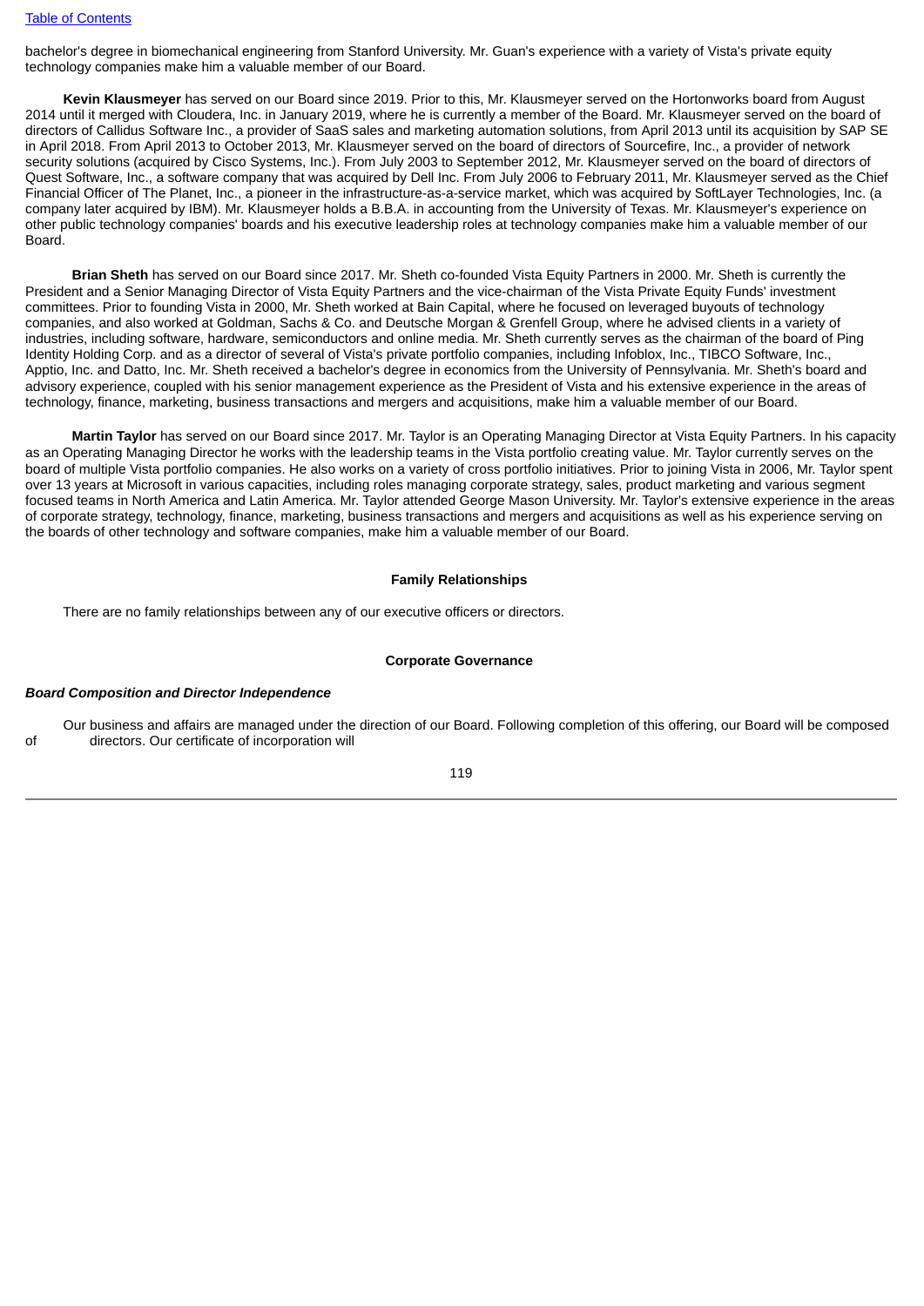bachelor's degree in biomechanical engineering from Stanford University. Mr. Guan's experience with a variety of Vista's private equity technology companies make him a valuable member of our Board.

 **Kevin Klausmeyer** has served on our Board since 2019. Prior to this, Mr. Klausmeyer served on the Hortonworks board from August 2014 until it merged with Cloudera, Inc. in January 2019, where he is currently a member of the Board. Mr. Klausmeyer served on the board of directors of Callidus Software Inc., a provider of SaaS sales and marketing automation solutions, from April 2013 until its acquisition by SAP SE in April 2018. From April 2013 to October 2013, Mr. Klausmeyer served on the board of directors of Sourcefire, Inc., a provider of network security solutions (acquired by Cisco Systems, Inc.). From July 2003 to September 2012, Mr. Klausmeyer served on the board of directors of Quest Software, Inc., a software company that was acquired by Dell Inc. From July 2006 to February 2011, Mr. Klausmeyer served as the Chief Financial Officer of The Planet, Inc., a pioneer in the infrastructure-as-a-service market, which was acquired by SoftLayer Technologies, Inc. (a company later acquired by IBM). Mr. Klausmeyer holds a B.B.A. in accounting from the University of Texas. Mr. Klausmeyer's experience on other public technology companies' boards and his executive leadership roles at technology companies make him a valuable member of our Board.

 **Brian Sheth** has served on our Board since 2017. Mr. Sheth co-founded Vista Equity Partners in 2000. Mr. Sheth is currently the President and a Senior Managing Director of Vista Equity Partners and the vice-chairman of the Vista Private Equity Funds' investment committees. Prior to founding Vista in 2000, Mr. Sheth worked at Bain Capital, where he focused on leveraged buyouts of technology companies, and also worked at Goldman, Sachs & Co. and Deutsche Morgan & Grenfell Group, where he advised clients in a variety of industries, including software, hardware, semiconductors and online media. Mr. Sheth currently serves as the chairman of the board of Ping Identity Holding Corp. and as a director of several of Vista's private portfolio companies, including Infoblox, Inc., TIBCO Software, Inc., Apptio, Inc. and Datto, Inc. Mr. Sheth received a bachelor's degree in economics from the University of Pennsylvania. Mr. Sheth's board and advisory experience, coupled with his senior management experience as the President of Vista and his extensive experience in the areas of technology, finance, marketing, business transactions and mergers and acquisitions, make him a valuable member of our Board.

 **Martin Taylor** has served on our Board since 2017. Mr. Taylor is an Operating Managing Director at Vista Equity Partners. In his capacity as an Operating Managing Director he works with the leadership teams in the Vista portfolio creating value. Mr. Taylor currently serves on the board of multiple Vista portfolio companies. He also works on a variety of cross portfolio initiatives. Prior to joining Vista in 2006, Mr. Taylor spent over 13 years at Microsoft in various capacities, including roles managing corporate strategy, sales, product marketing and various segment focused teams in North America and Latin America. Mr. Taylor attended George Mason University. Mr. Taylor's extensive experience in the areas of corporate strategy, technology, finance, marketing, business transactions and mergers and acquisitions as well as his experience serving on the boards of other technology and software companies, make him a valuable member of our Board.

### **Family Relationships**

There are no family relationships between any of our executive officers or directors.

### **Corporate Governance**

# *Board Composition and Director Independence*

Our business and affairs are managed under the direction of our Board. Following completion of this offering, our Board will be composed<br>of directors. Our certificate of incorporation will directors. Our certificate of incorporation will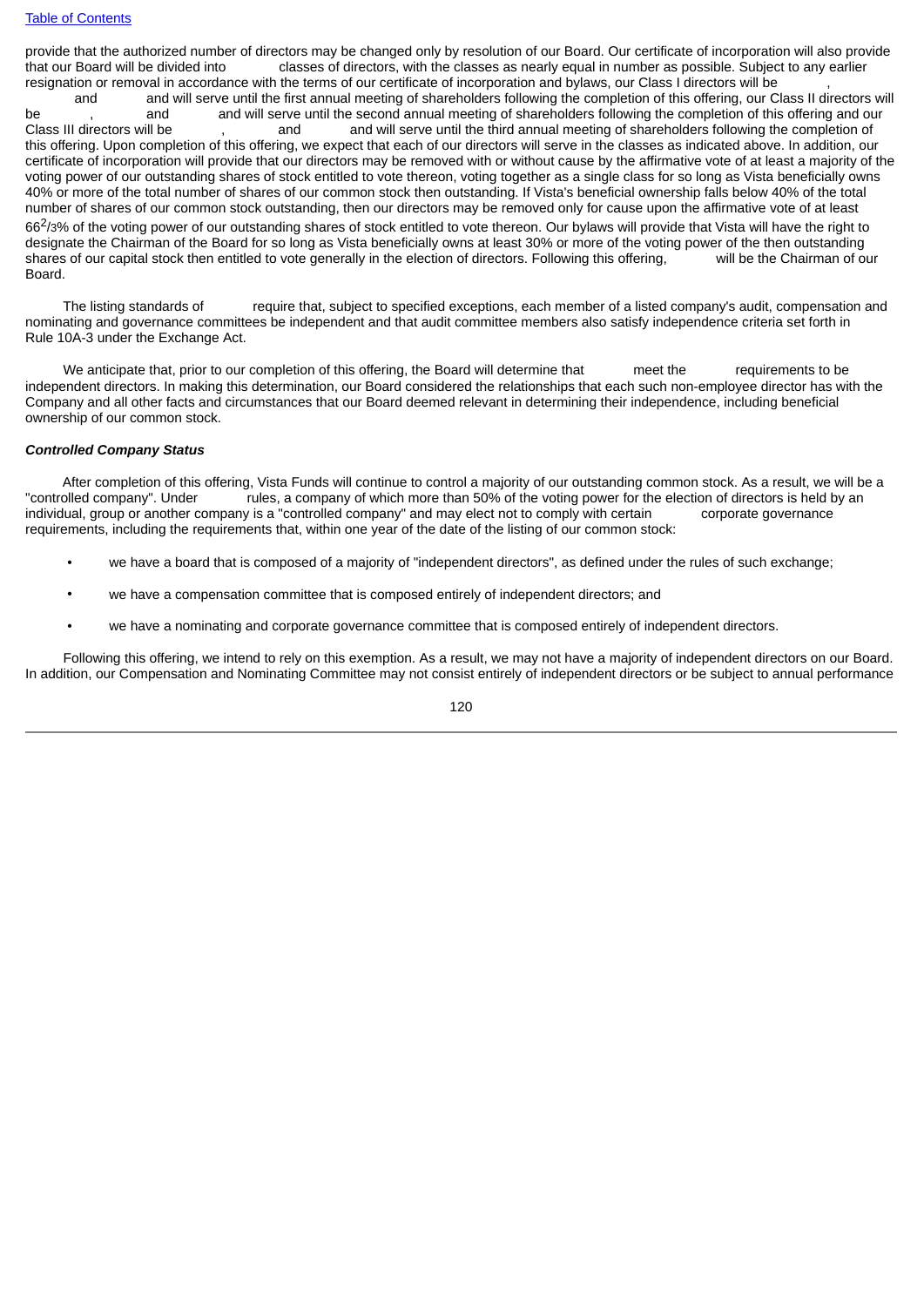provide that the authorized number of directors may be changed only by resolution of our Board. Our certificate of incorporation will also provide that our Board will be divided into classes of directors, with the classes as nearly equal in number as possible. Subject to any earlier resignation or removal in accordance with the terms of our certificate of incorporation and bylaws, our Class I directors will be and and will serve until the first annual meeting of shareholders following the completion of this offering, our Class II directors will be and and will serve until the second annual meeting of shareholders following the completion of this offering and our Class III directors will be  $\qquad \qquad$ , and and will serve until the third annual meeting of shareholders following the completion of this offering. Upon completion of this offering, we expect that each of our directors will serve in the classes as indicated above. In addition, our certificate of incorporation will provide that our directors may be removed with or without cause by the affirmative vote of at least a majority of the voting power of our outstanding shares of stock entitled to vote thereon, voting together as a single class for so long as Vista beneficially owns 40% or more of the total number of shares of our common stock then outstanding. If Vista's beneficial ownership falls below 40% of the total number of shares of our common stock outstanding, then our directors may be removed only for cause upon the affirmative vote of at least 66<sup>2</sup>/3% of the voting power of our outstanding shares of stock entitled to vote thereon. Our bylaws will provide that Vista will have the right to designate the Chairman of the Board for so long as Vista beneficially owns at least 30% or more of the voting power of the then outstanding<br>shares of our capital stock then entitled to vote generally in the election of dir shares of our capital stock then entitled to vote generally in the election of directors. Following this offering, Board.

The listing standards of require that, subject to specified exceptions, each member of a listed company's audit, compensation and nominating and governance committees be independent and that audit committee members also satisfy independence criteria set forth in Rule 10A-3 under the Exchange Act.

We anticipate that, prior to our completion of this offering, the Board will determine that meet the requirements to be independent directors. In making this determination, our Board considered the relationships that each such non-employee director has with the Company and all other facts and circumstances that our Board deemed relevant in determining their independence, including beneficial ownership of our common stock.

# *Controlled Company Status*

After completion of this offering, Vista Funds will continue to control a majority of our outstanding common stock. As a result, we will be a<br>"controlled company". Under rules, a company of which more than 50% of the votin rules, a company of which more than 50% of the voting power for the election of directors is held by an individual, group or another company is a "controlled company" and may elect not to comply with certain corporate governance requirements, including the requirements that, within one year of the date of the listing of our common stock:

- we have a board that is composed of a majority of "independent directors", as defined under the rules of such exchange;
- we have a compensation committee that is composed entirely of independent directors; and
- we have a nominating and corporate governance committee that is composed entirely of independent directors.

 Following this offering, we intend to rely on this exemption. As a result, we may not have a majority of independent directors on our Board. In addition, our Compensation and Nominating Committee may not consist entirely of independent directors or be subject to annual performance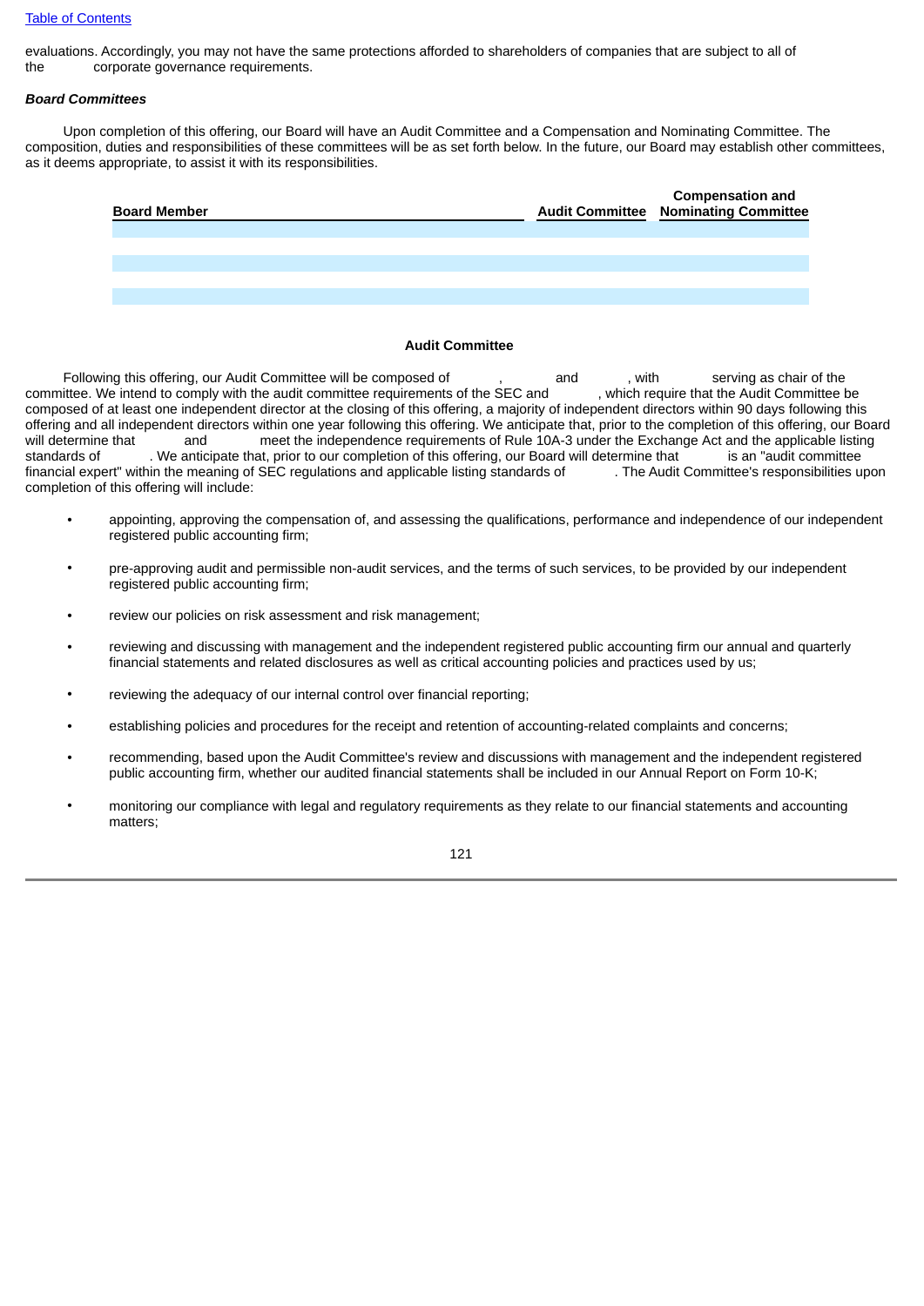evaluations. Accordingly, you may not have the same protections afforded to shareholders of companies that are subject to all of the corporate governance requirements.

# *Board Committees*

 Upon completion of this offering, our Board will have an Audit Committee and a Compensation and Nominating Committee. The composition, duties and responsibilities of these committees will be as set forth below. In the future, our Board may establish other committees, as it deems appropriate, to assist it with its responsibilities.

| <b>Board Member</b> | <b>Compensation and</b><br><b>Audit Committee Nominating Committee</b> |
|---------------------|------------------------------------------------------------------------|
|                     |                                                                        |
|                     |                                                                        |
|                     |                                                                        |
|                     |                                                                        |
|                     |                                                                        |
|                     |                                                                        |

# **Audit Committee**

Following this offering, our Audit Committee will be composed of , and , with serving as chair of the serving as chair of the serving as chair of the serving as chair of the serving as chair of the audit committee requirem committee. We intend to comply with the audit committee requirements of the SEC and composed of at least one independent director at the closing of this offering, a majority of independent directors within 90 days following this offering and all independent directors within one year following this offering. We anticipate that, prior to the completion of this offering, our Board will determine that and meet the independence requirements of Rule 10A-3 under the Exchange Act and the applicable listing standards of . We anticipate that, prior to our completion of this offering, our Board will determine that is an "audit committee financial expert" within the meaning of SEC regulations and applicable listing standards of . The Audit Committee's responsibilities upon completion of this offering will include:

- appointing, approving the compensation of, and assessing the qualifications, performance and independence of our independent registered public accounting firm;
- pre-approving audit and permissible non-audit services, and the terms of such services, to be provided by our independent registered public accounting firm;
- review our policies on risk assessment and risk management;
- reviewing and discussing with management and the independent registered public accounting firm our annual and quarterly financial statements and related disclosures as well as critical accounting policies and practices used by us;
- reviewing the adequacy of our internal control over financial reporting;
- establishing policies and procedures for the receipt and retention of accounting-related complaints and concerns;
- recommending, based upon the Audit Committee's review and discussions with management and the independent registered public accounting firm, whether our audited financial statements shall be included in our Annual Report on Form 10-K;
- monitoring our compliance with legal and regulatory requirements as they relate to our financial statements and accounting matters;

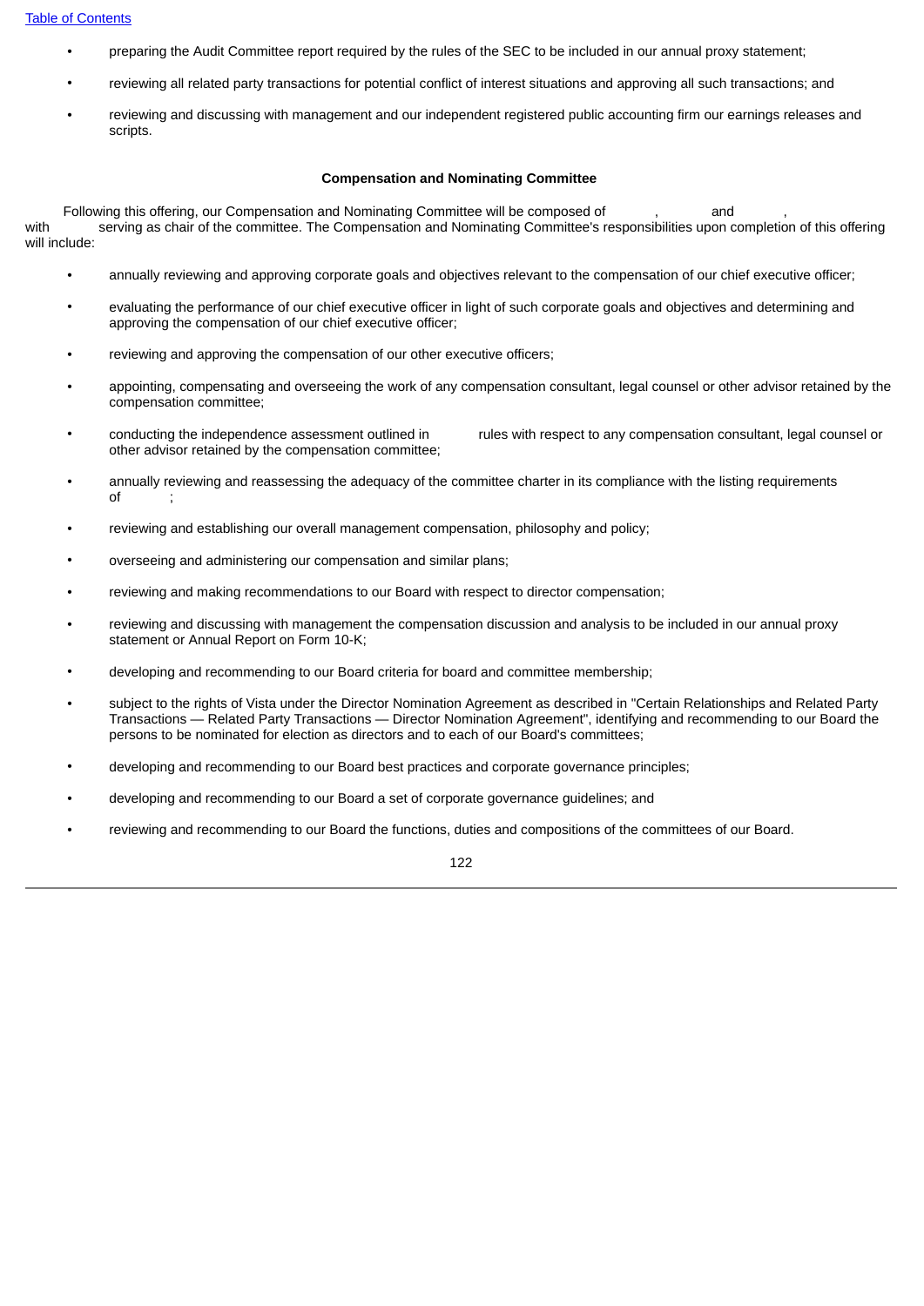- preparing the Audit Committee report required by the rules of the SEC to be included in our annual proxy statement;
- reviewing all related party transactions for potential conflict of interest situations and approving all such transactions; and
- reviewing and discussing with management and our independent registered public accounting firm our earnings releases and scripts.

# **Compensation and Nominating Committee**

Following this offering, our Compensation and Nominating Committee will be composed of , and , and , with serving as chair of the committee. The Compensation and Nominating Committee's responsibilities upon o serving as chair of the committee. The Compensation and Nominating Committee's responsibilities upon completion of this offering will include:

- annually reviewing and approving corporate goals and objectives relevant to the compensation of our chief executive officer;
- evaluating the performance of our chief executive officer in light of such corporate goals and objectives and determining and approving the compensation of our chief executive officer;
- reviewing and approving the compensation of our other executive officers;
- appointing, compensating and overseeing the work of any compensation consultant, legal counsel or other advisor retained by the compensation committee;
- conducting the independence assessment outlined in rules with respect to any compensation consultant, legal counsel or other advisor retained by the compensation committee;
- annually reviewing and reassessing the adequacy of the committee charter in its compliance with the listing requirements of ;
- reviewing and establishing our overall management compensation, philosophy and policy;
- overseeing and administering our compensation and similar plans;
- reviewing and making recommendations to our Board with respect to director compensation;
- reviewing and discussing with management the compensation discussion and analysis to be included in our annual proxy statement or Annual Report on Form 10-K;
- developing and recommending to our Board criteria for board and committee membership;
- subject to the rights of Vista under the Director Nomination Agreement as described in "Certain Relationships and Related Party Transactions — Related Party Transactions — Director Nomination Agreement", identifying and recommending to our Board the persons to be nominated for election as directors and to each of our Board's committees;
- developing and recommending to our Board best practices and corporate governance principles;
- developing and recommending to our Board a set of corporate governance guidelines; and
- reviewing and recommending to our Board the functions, duties and compositions of the committees of our Board.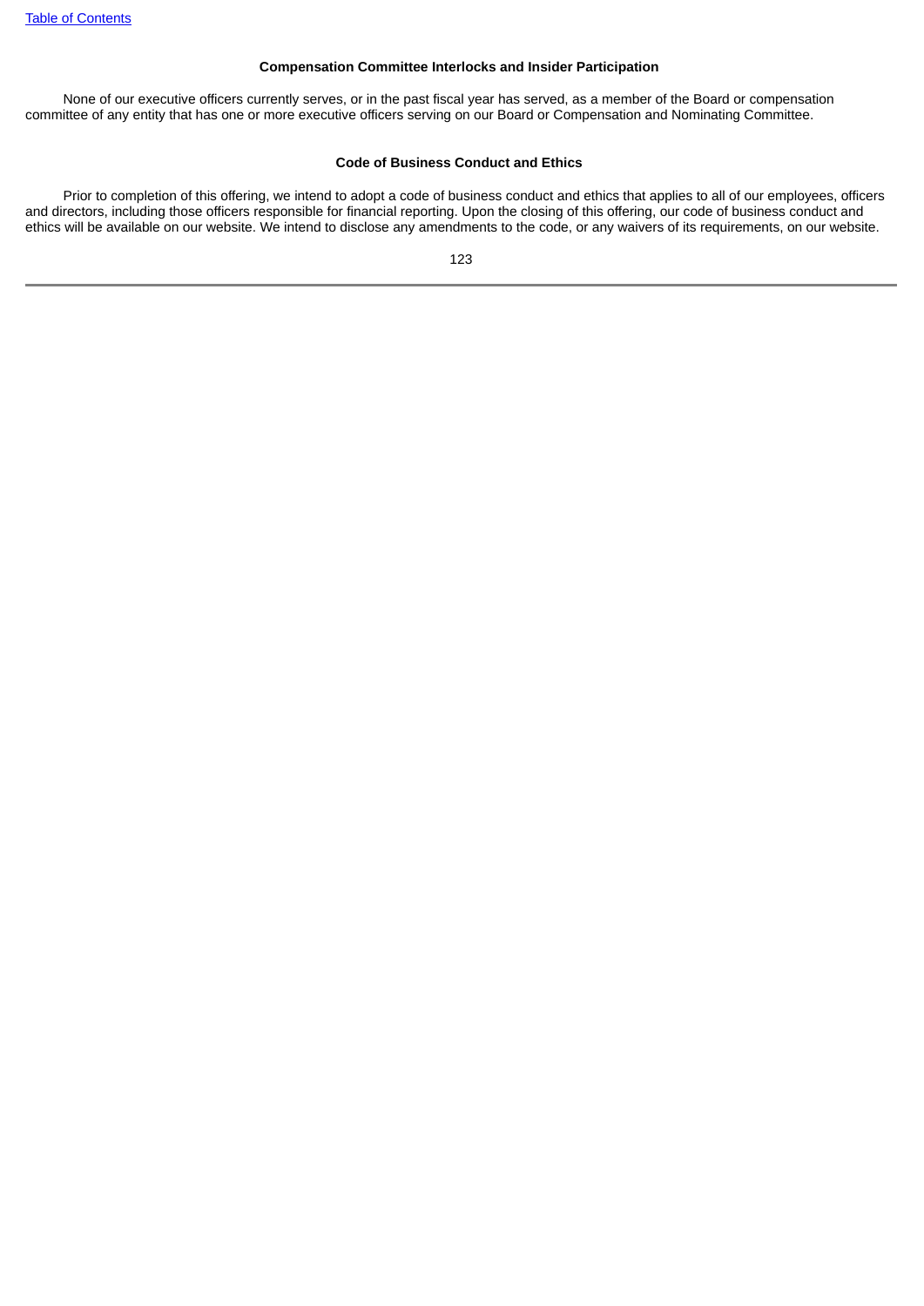# **Compensation Committee Interlocks and Insider Participation**

 None of our executive officers currently serves, or in the past fiscal year has served, as a member of the Board or compensation committee of any entity that has one or more executive officers serving on our Board or Compensation and Nominating Committee.

# **Code of Business Conduct and Ethics**

Prior to completion of this offering, we intend to adopt a code of business conduct and ethics that applies to all of our employees, officers and directors, including those officers responsible for financial reporting. Upon the closing of this offering, our code of business conduct and ethics will be available on our website. We intend to disclose any amendments to the code, or any waivers of its requirements, on our website.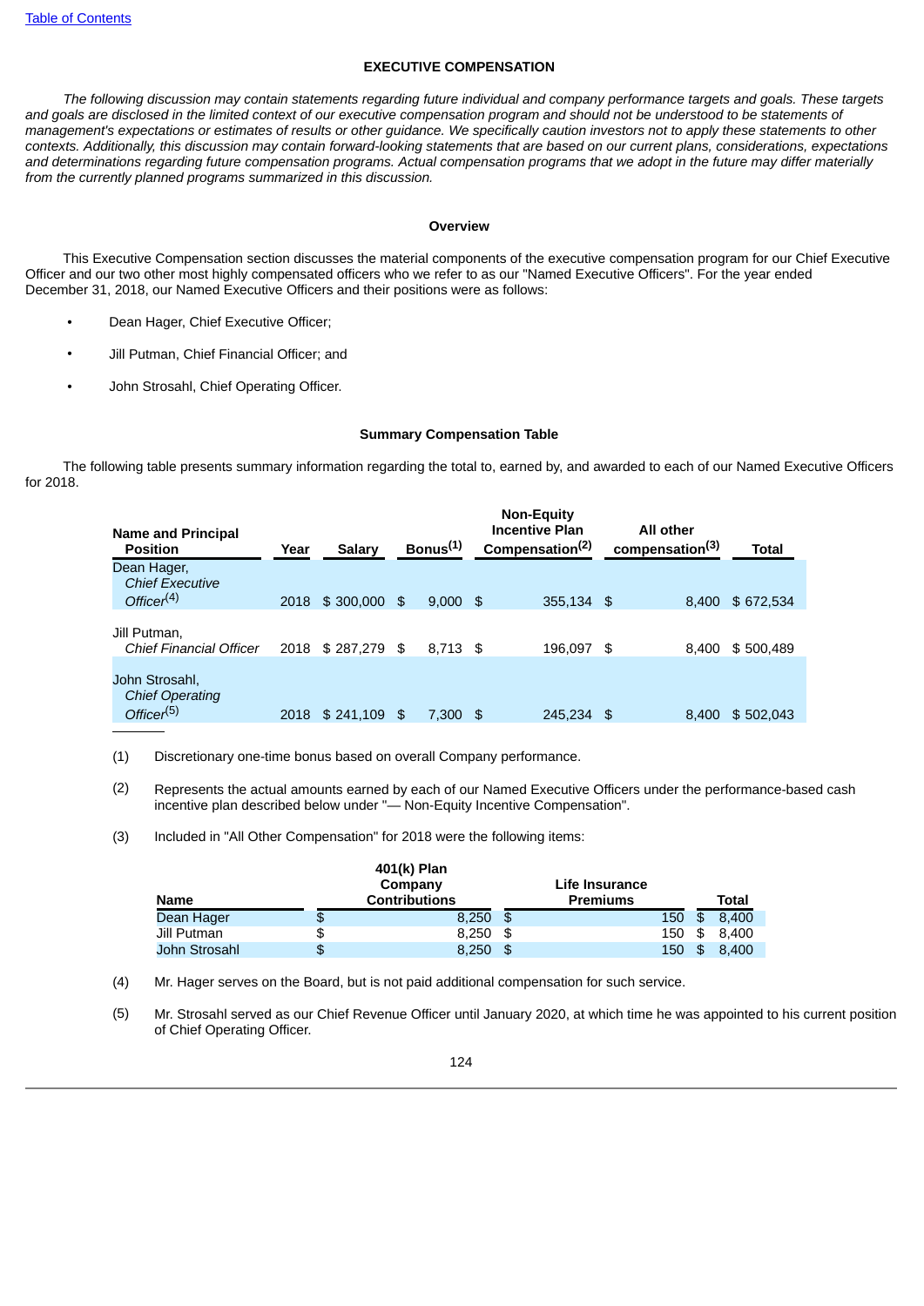### **EXECUTIVE COMPENSATION**

 *The following discussion may contain statements regarding future individual and company performance targets and goals. These targets and goals are disclosed in the limited context of our executive compensation program and should not be understood to be statements of management's expectations or estimates of results or other guidance. We specifically caution investors not to apply these statements to other contexts. Additionally, this discussion may contain forward-looking statements that are based on our current plans, considerations, expectations and determinations regarding future compensation programs. Actual compensation programs that we adopt in the future may differ materially from the currently planned programs summarized in this discussion.*

### **Overview**

 This Executive Compensation section discusses the material components of the executive compensation program for our Chief Executive Officer and our two other most highly compensated officers who we refer to as our "Named Executive Officers". For the year ended December 31, 2018, our Named Executive Officers and their positions were as follows:

- Dean Hager, Chief Executive Officer;
- Jill Putman, Chief Financial Officer; and
- John Strosahl, Chief Operating Officer.

# **Summary Compensation Table**

 The following table presents summary information regarding the total to, earned by, and awarded to each of our Named Executive Officers for 2018.

| Name and Principal<br><b>Position</b>                     | Year | <b>Salary</b> | Bonus <sup>(1)</sup> |      | <b>Non-Equity</b><br><b>Incentive Plan</b><br>Compensation <sup>(2)</sup> | All other<br>compensation <sup>(3)</sup> |       | Total     |
|-----------------------------------------------------------|------|---------------|----------------------|------|---------------------------------------------------------------------------|------------------------------------------|-------|-----------|
| Dean Hager,<br><b>Chief Executive</b>                     |      |               |                      |      |                                                                           |                                          |       |           |
| Office $r^{(4)}$                                          | 2018 | \$300,000     | \$<br>9.000          | - \$ | 355.134 \$                                                                |                                          | 8.400 | \$672,534 |
| Jill Putman.<br><b>Chief Financial Officer</b>            | 2018 | \$287.279     | \$<br>$8.713$ \$     |      | 196.097                                                                   | \$                                       | 8.400 | \$500,489 |
| John Strosahl.<br><b>Chief Operating</b><br>Officer $(5)$ | 2018 | \$241.109     | \$<br>7.300          | - \$ | 245.234                                                                   | - \$                                     | 8.400 | \$502.043 |
|                                                           |      |               |                      |      |                                                                           |                                          |       |           |

(1) Discretionary one-time bonus based on overall Company performance.

(2) Represents the actual amounts earned by each of our Named Executive Officers under the performance-based cash incentive plan described below under "— Non-Equity Incentive Compensation".

(3) Included in "All Other Compensation" for 2018 were the following items:

| <b>Name</b>   | 401(k) Plan<br>Company<br><b>Contributions</b> | Life Insurance<br><b>Premiums</b> |     | Total       |
|---------------|------------------------------------------------|-----------------------------------|-----|-------------|
| Dean Hager    | \$<br>8.250                                    | \$                                | 150 | \$<br>8.400 |
| Jill Putman   | \$<br>8.250                                    | \$                                | 150 | \$<br>8.400 |
| John Strosahl | \$<br>8.250                                    | \$                                | 150 | 8.400       |

(4) Mr. Hager serves on the Board, but is not paid additional compensation for such service.

(5) Mr. Strosahl served as our Chief Revenue Officer until January 2020, at which time he was appointed to his current position of Chief Operating Officer.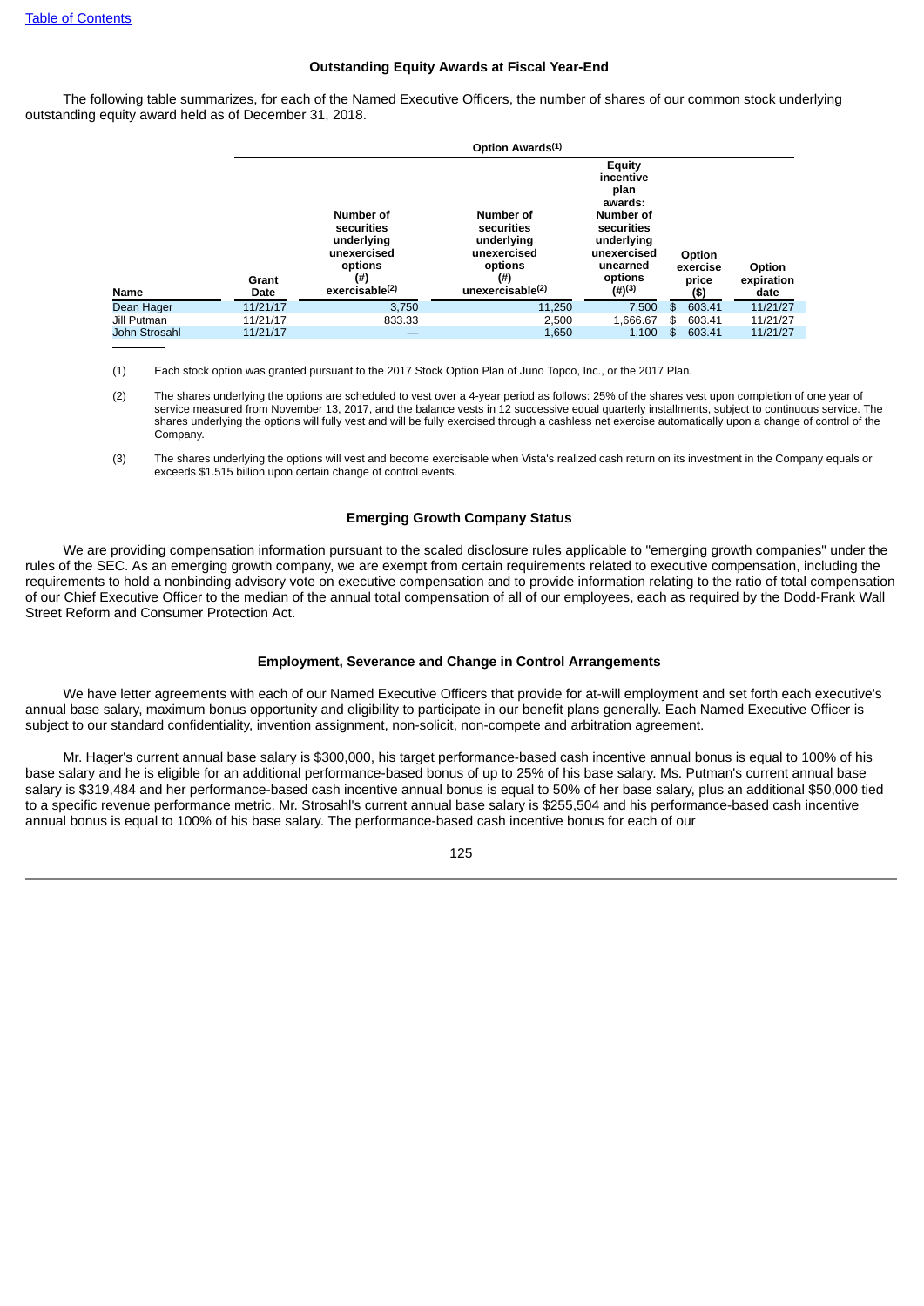# **Outstanding Equity Awards at Fiscal Year-End**

 The following table summarizes, for each of the Named Executive Officers, the number of shares of our common stock underlying outstanding equity award held as of December 31, 2018.

|               |               |                                                                                                      | Option Awards <sup>(1)</sup>                                                                           |                                                                                                                                               |                                     |                              |
|---------------|---------------|------------------------------------------------------------------------------------------------------|--------------------------------------------------------------------------------------------------------|-----------------------------------------------------------------------------------------------------------------------------------------------|-------------------------------------|------------------------------|
| <b>Name</b>   | Grant<br>Date | Number of<br>securities<br>underlying<br>unexercised<br>options<br>(#)<br>exercisable <sup>(2)</sup> | Number of<br>securities<br>underlying<br>unexercised<br>options<br>(#)<br>unexercisable <sup>(2)</sup> | Equity<br>incentive<br>plan<br>awards:<br>Number of<br>securities<br>underlying<br>unexercised<br>unearned<br>options<br>$(4)$ <sup>(3)</sup> | Option<br>exercise<br>price<br>(\$) | Option<br>expiration<br>date |
| Dean Hager    | 11/21/17      | 3.750                                                                                                | 11,250                                                                                                 | 7.500                                                                                                                                         | \$<br>603.41                        | 11/21/27                     |
| Jill Putman   | 11/21/17      | 833.33                                                                                               | 2,500                                                                                                  | 1.666.67                                                                                                                                      | \$<br>603.41                        | 11/21/27                     |
| John Strosahl | 11/21/17      |                                                                                                      | 1.650                                                                                                  | 1,100                                                                                                                                         | \$<br>603.41                        | 11/21/27                     |

(1) Each stock option was granted pursuant to the 2017 Stock Option Plan of Juno Topco, Inc., or the 2017 Plan.

(2) The shares underlying the options are scheduled to vest over a 4-year period as follows: 25% of the shares vest upon completion of one year of service measured from November 13, 2017, and the balance vests in 12 successive equal quarterly installments, subject to continuous service. The shares underlying the options will fully vest and will be fully exercised through a cashless net exercise automatically upon a change of control of the Company.

(3) The shares underlying the options will vest and become exercisable when Vista's realized cash return on its investment in the Company equals or exceeds \$1.515 billion upon certain change of control events.

# **Emerging Growth Company Status**

 We are providing compensation information pursuant to the scaled disclosure rules applicable to "emerging growth companies" under the rules of the SEC. As an emerging growth company, we are exempt from certain requirements related to executive compensation, including the requirements to hold a nonbinding advisory vote on executive compensation and to provide information relating to the ratio of total compensation of our Chief Executive Officer to the median of the annual total compensation of all of our employees, each as required by the Dodd-Frank Wall Street Reform and Consumer Protection Act.

# **Employment, Severance and Change in Control Arrangements**

 We have letter agreements with each of our Named Executive Officers that provide for at-will employment and set forth each executive's annual base salary, maximum bonus opportunity and eligibility to participate in our benefit plans generally. Each Named Executive Officer is subject to our standard confidentiality, invention assignment, non-solicit, non-compete and arbitration agreement.

 Mr. Hager's current annual base salary is \$300,000, his target performance-based cash incentive annual bonus is equal to 100% of his base salary and he is eligible for an additional performance-based bonus of up to 25% of his base salary. Ms. Putman's current annual base salary is \$319,484 and her performance-based cash incentive annual bonus is equal to 50% of her base salary, plus an additional \$50,000 tied to a specific revenue performance metric. Mr. Strosahl's current annual base salary is \$255,504 and his performance-based cash incentive annual bonus is equal to 100% of his base salary. The performance-based cash incentive bonus for each of our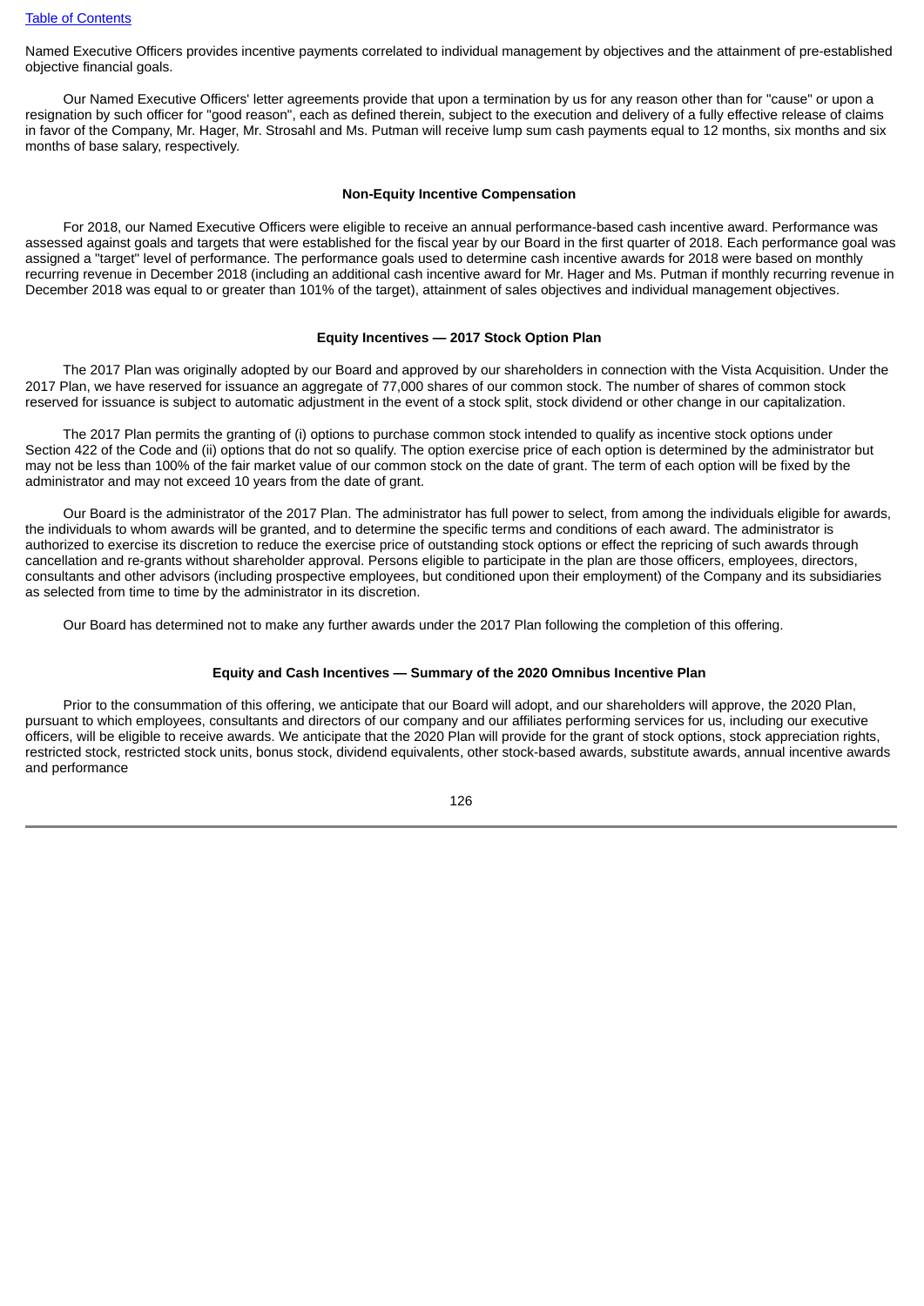Named Executive Officers provides incentive payments correlated to individual management by objectives and the attainment of pre-established objective financial goals.

 Our Named Executive Officers' letter agreements provide that upon a termination by us for any reason other than for "cause" or upon a resignation by such officer for "good reason", each as defined therein, subject to the execution and delivery of a fully effective release of claims in favor of the Company, Mr. Hager, Mr. Strosahl and Ms. Putman will receive lump sum cash payments equal to 12 months, six months and six months of base salary, respectively.

### **Non-Equity Incentive Compensation**

 For 2018, our Named Executive Officers were eligible to receive an annual performance-based cash incentive award. Performance was assessed against goals and targets that were established for the fiscal year by our Board in the first quarter of 2018. Each performance goal was assigned a "target" level of performance. The performance goals used to determine cash incentive awards for 2018 were based on monthly recurring revenue in December 2018 (including an additional cash incentive award for Mr. Hager and Ms. Putman if monthly recurring revenue in December 2018 was equal to or greater than 101% of the target), attainment of sales objectives and individual management objectives.

### **Equity Incentives — 2017 Stock Option Plan**

 The 2017 Plan was originally adopted by our Board and approved by our shareholders in connection with the Vista Acquisition. Under the 2017 Plan, we have reserved for issuance an aggregate of 77,000 shares of our common stock. The number of shares of common stock reserved for issuance is subject to automatic adjustment in the event of a stock split, stock dividend or other change in our capitalization.

 The 2017 Plan permits the granting of (i) options to purchase common stock intended to qualify as incentive stock options under Section 422 of the Code and (ii) options that do not so qualify. The option exercise price of each option is determined by the administrator but may not be less than 100% of the fair market value of our common stock on the date of grant. The term of each option will be fixed by the administrator and may not exceed 10 years from the date of grant.

 Our Board is the administrator of the 2017 Plan. The administrator has full power to select, from among the individuals eligible for awards, the individuals to whom awards will be granted, and to determine the specific terms and conditions of each award. The administrator is authorized to exercise its discretion to reduce the exercise price of outstanding stock options or effect the repricing of such awards through cancellation and re-grants without shareholder approval. Persons eligible to participate in the plan are those officers, employees, directors, consultants and other advisors (including prospective employees, but conditioned upon their employment) of the Company and its subsidiaries as selected from time to time by the administrator in its discretion.

Our Board has determined not to make any further awards under the 2017 Plan following the completion of this offering.

# **Equity and Cash Incentives — Summary of the 2020 Omnibus Incentive Plan**

Prior to the consummation of this offering, we anticipate that our Board will adopt, and our shareholders will approve. the 2020 Plan. pursuant to which employees, consultants and directors of our company and our affiliates performing services for us, including our executive officers, will be eligible to receive awards. We anticipate that the 2020 Plan will provide for the grant of stock options, stock appreciation rights, restricted stock, restricted stock units, bonus stock, dividend equivalents, other stock-based awards, substitute awards, annual incentive awards and performance

126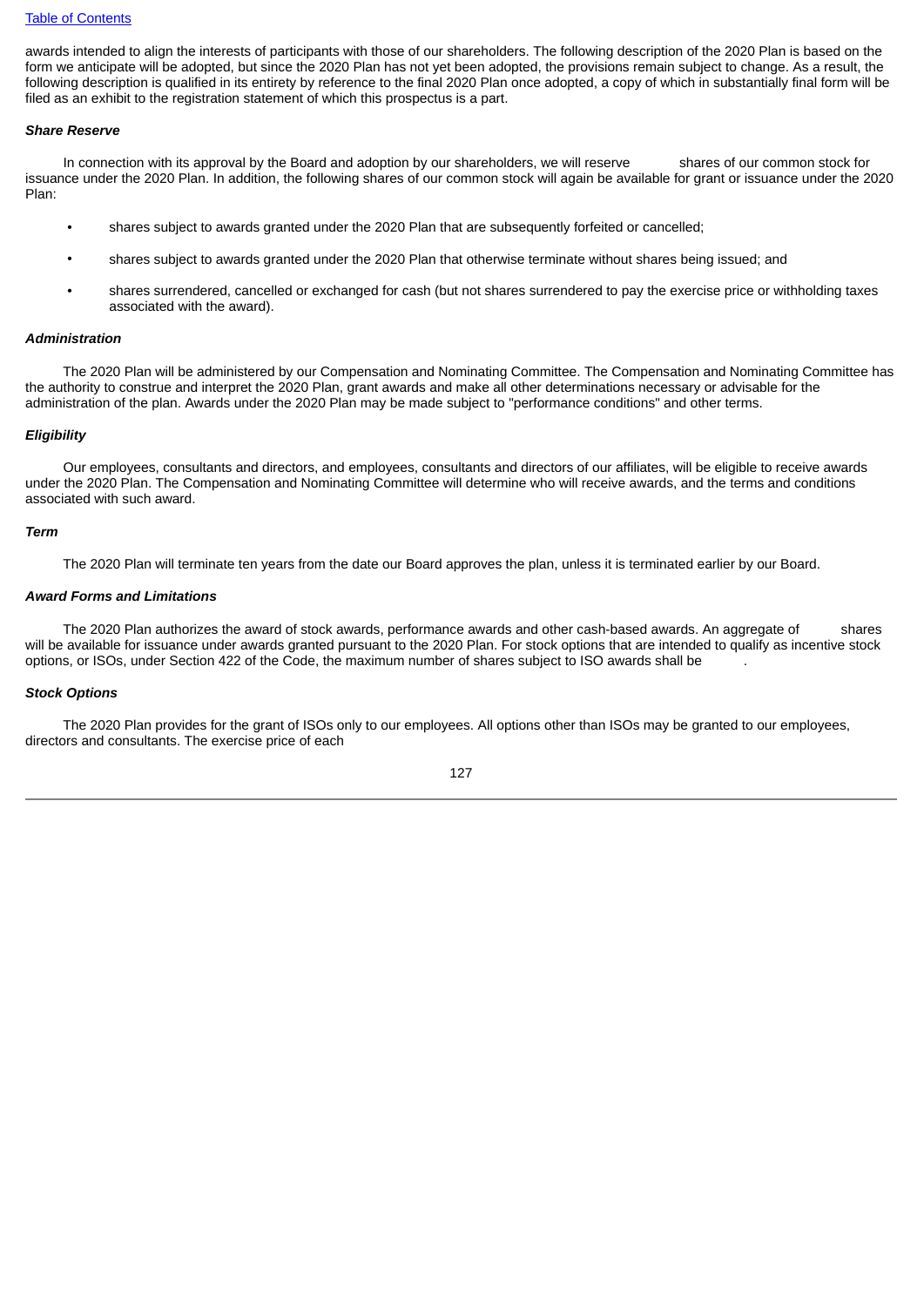# [Table of Contents](#page-3-0)

awards intended to align the interests of participants with those of our shareholders. The following description of the 2020 Plan is based on the form we anticipate will be adopted, but since the 2020 Plan has not yet been adopted, the provisions remain subject to change. As a result, the following description is qualified in its entirety by reference to the final 2020 Plan once adopted, a copy of which in substantially final form will be filed as an exhibit to the registration statement of which this prospectus is a part.

### *Share Reserve*

In connection with its approval by the Board and adoption by our shareholders, we will reserve shares of our common stock for issuance under the 2020 Plan. In addition, the following shares of our common stock will again be available for grant or issuance under the 2020 Plan:

- shares subject to awards granted under the 2020 Plan that are subsequently forfeited or cancelled:
- shares subject to awards granted under the 2020 Plan that otherwise terminate without shares being issued; and
- shares surrendered, cancelled or exchanged for cash (but not shares surrendered to pay the exercise price or withholding taxes associated with the award).

# *Administration*

 The 2020 Plan will be administered by our Compensation and Nominating Committee. The Compensation and Nominating Committee has the authority to construe and interpret the 2020 Plan, grant awards and make all other determinations necessary or advisable for the administration of the plan. Awards under the 2020 Plan may be made subject to "performance conditions" and other terms.

# *Eligibility*

 Our employees, consultants and directors, and employees, consultants and directors of our affiliates, will be eligible to receive awards under the 2020 Plan. The Compensation and Nominating Committee will determine who will receive awards, and the terms and conditions associated with such award.

# *Term*

The 2020 Plan will terminate ten years from the date our Board approves the plan, unless it is terminated earlier by our Board.

### *Award Forms and Limitations*

 The 2020 Plan authorizes the award of stock awards, performance awards and other cash-based awards. An aggregate of shares will be available for issuance under awards granted pursuant to the 2020 Plan. For stock options that are intended to qualify as incentive stock options, or ISOs, under Section 422 of the Code, the maximum number of shares subject to ISO awards shall be .

# *Stock Options*

 The 2020 Plan provides for the grant of ISOs only to our employees. All options other than ISOs may be granted to our employees, directors and consultants. The exercise price of each

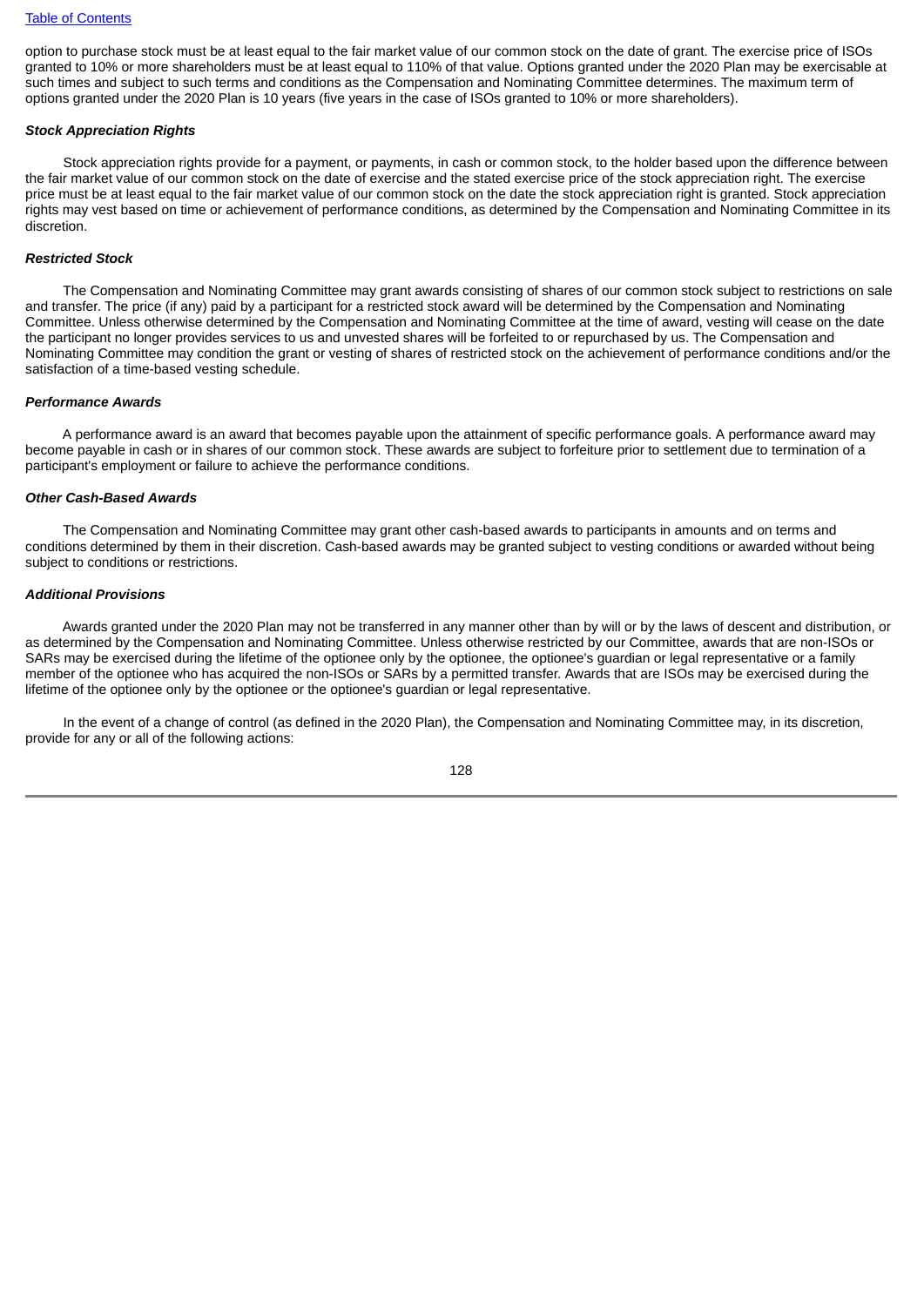option to purchase stock must be at least equal to the fair market value of our common stock on the date of grant. The exercise price of ISOs granted to 10% or more shareholders must be at least equal to 110% of that value. Options granted under the 2020 Plan may be exercisable at such times and subject to such terms and conditions as the Compensation and Nominating Committee determines. The maximum term of options granted under the 2020 Plan is 10 years (five years in the case of ISOs granted to 10% or more shareholders).

# *Stock Appreciation Rights*

 Stock appreciation rights provide for a payment, or payments, in cash or common stock, to the holder based upon the difference between the fair market value of our common stock on the date of exercise and the stated exercise price of the stock appreciation right. The exercise price must be at least equal to the fair market value of our common stock on the date the stock appreciation right is granted. Stock appreciation rights may vest based on time or achievement of performance conditions, as determined by the Compensation and Nominating Committee in its discretion.

# *Restricted Stock*

 The Compensation and Nominating Committee may grant awards consisting of shares of our common stock subject to restrictions on sale and transfer. The price (if any) paid by a participant for a restricted stock award will be determined by the Compensation and Nominating Committee. Unless otherwise determined by the Compensation and Nominating Committee at the time of award, vesting will cease on the date the participant no longer provides services to us and unvested shares will be forfeited to or repurchased by us. The Compensation and Nominating Committee may condition the grant or vesting of shares of restricted stock on the achievement of performance conditions and/or the satisfaction of a time-based vesting schedule.

### *Performance Awards*

 A performance award is an award that becomes payable upon the attainment of specific performance goals. A performance award may become payable in cash or in shares of our common stock. These awards are subject to forfeiture prior to settlement due to termination of a participant's employment or failure to achieve the performance conditions.

# *Other Cash-Based Awards*

 The Compensation and Nominating Committee may grant other cash-based awards to participants in amounts and on terms and conditions determined by them in their discretion. Cash-based awards may be granted subject to vesting conditions or awarded without being subject to conditions or restrictions.

### *Additional Provisions*

 Awards granted under the 2020 Plan may not be transferred in any manner other than by will or by the laws of descent and distribution, or as determined by the Compensation and Nominating Committee. Unless otherwise restricted by our Committee, awards that are non-ISOs or SARs may be exercised during the lifetime of the optionee only by the optionee, the optionee's guardian or legal representative or a family member of the optionee who has acquired the non-ISOs or SARs by a permitted transfer. Awards that are ISOs may be exercised during the lifetime of the optionee only by the optionee or the optionee's guardian or legal representative.

 In the event of a change of control (as defined in the 2020 Plan), the Compensation and Nominating Committee may, in its discretion, provide for any or all of the following actions: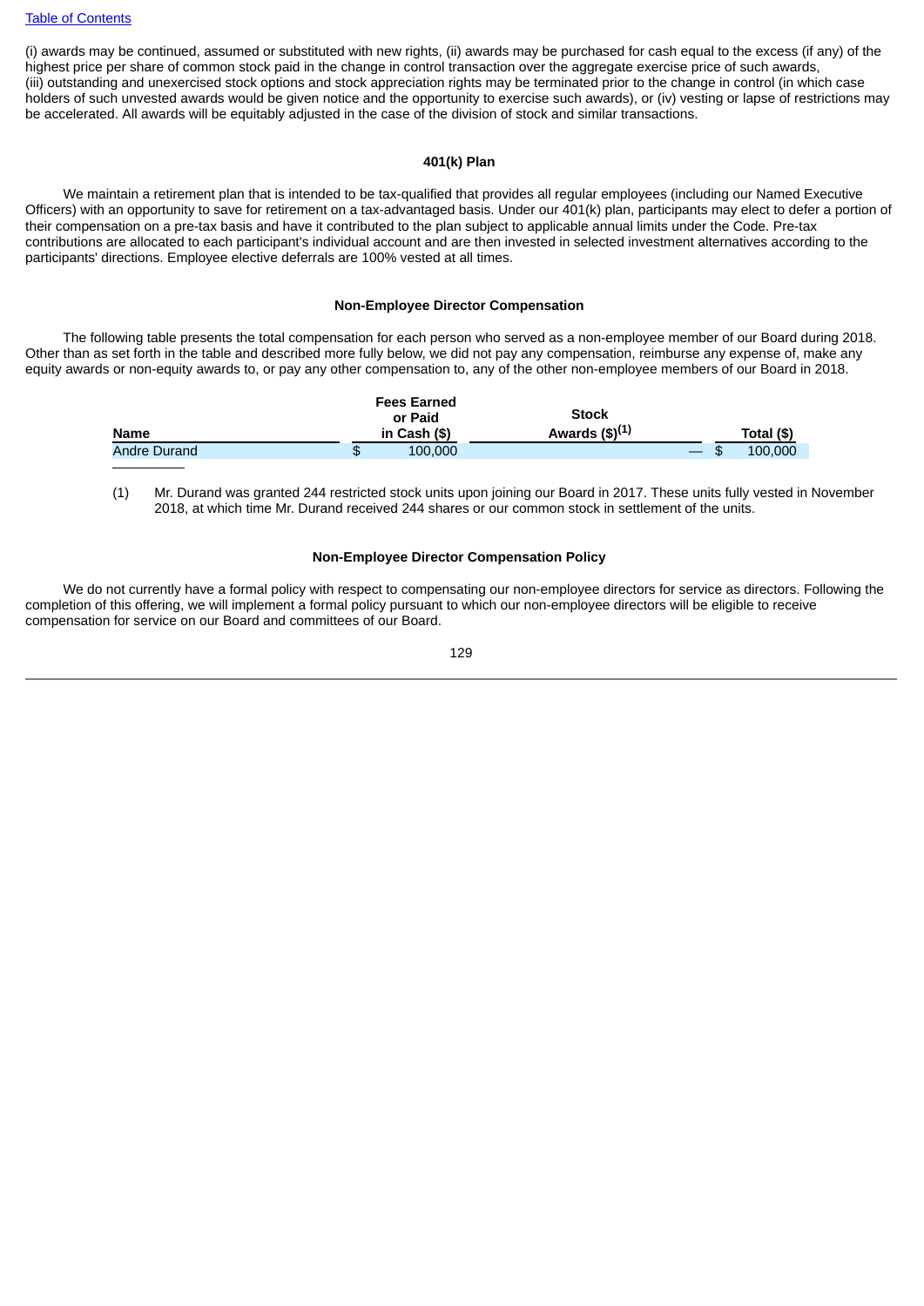(i) awards may be continued, assumed or substituted with new rights, (ii) awards may be purchased for cash equal to the excess (if any) of the highest price per share of common stock paid in the change in control transaction over the aggregate exercise price of such awards, (iii) outstanding and unexercised stock options and stock appreciation rights may be terminated prior to the change in control (in which case holders of such unvested awards would be given notice and the opportunity to exercise such awards), or (iv) vesting or lapse of restrictions may be accelerated. All awards will be equitably adjusted in the case of the division of stock and similar transactions.

# **401(k) Plan**

 We maintain a retirement plan that is intended to be tax-qualified that provides all regular employees (including our Named Executive Officers) with an opportunity to save for retirement on a tax-advantaged basis. Under our 401(k) plan, participants may elect to defer a portion of their compensation on a pre-tax basis and have it contributed to the plan subject to applicable annual limits under the Code. Pre-tax contributions are allocated to each participant's individual account and are then invested in selected investment alternatives according to the participants' directions. Employee elective deferrals are 100% vested at all times.

# **Non-Employee Director Compensation**

 The following table presents the total compensation for each person who served as a non-employee member of our Board during 2018. Other than as set forth in the table and described more fully below, we did not pay any compensation, reimburse any expense of, make any equity awards or non-equity awards to, or pay any other compensation to, any of the other non-employee members of our Board in 2018.

| <b>Name</b>  |    | <b>Fees Earned</b><br><b>Stock</b><br>or Paid<br>Awards $(\$)^{(1)}$<br>in Cash (\$) |  | Total (\$) |         |  |
|--------------|----|--------------------------------------------------------------------------------------|--|------------|---------|--|
|              |    |                                                                                      |  |            |         |  |
| Andre Durand | \$ | 100,000                                                                              |  |            | 100,000 |  |

(1) Mr. Durand was granted 244 restricted stock units upon joining our Board in 2017. These units fully vested in November 2018, at which time Mr. Durand received 244 shares or our common stock in settlement of the units.

# **Non-Employee Director Compensation Policy**

We do not currently have a formal policy with respect to compensating our non-employee directors for service as directors. Following the completion of this offering, we will implement a formal policy pursuant to which our non-employee directors will be eligible to receive compensation for service on our Board and committees of our Board.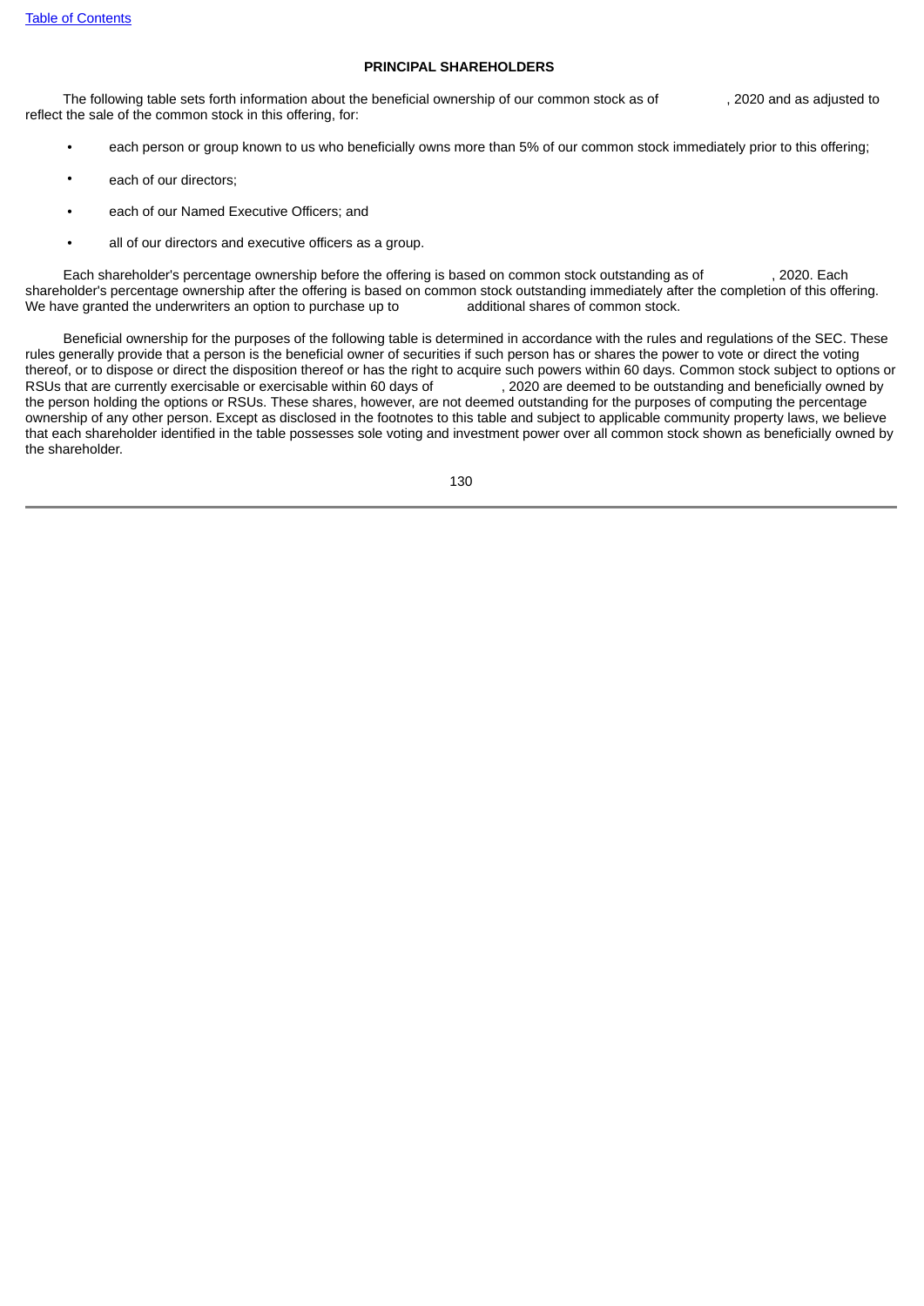### **PRINCIPAL SHAREHOLDERS**

The following table sets forth information about the beneficial ownership of our common stock as of , 2020 and as adjusted to reflect the sale of the common stock in this offering, for:

- each person or group known to us who beneficially owns more than 5% of our common stock immediately prior to this offering;
- each of our directors;
- each of our Named Executive Officers; and
- all of our directors and executive officers as a group.

Each shareholder's percentage ownership before the offering is based on common stock outstanding as of , 2020. Each shareholder's percentage ownership after the offering is based on common stock outstanding immediately after the completion of this offering. We have granted the underwriters an option to purchase up to additional shares of common stock.

 Beneficial ownership for the purposes of the following table is determined in accordance with the rules and regulations of the SEC. These rules generally provide that a person is the beneficial owner of securities if such person has or shares the power to vote or direct the voting thereof, or to dispose or direct the disposition thereof or has the right to acquire such powers within 60 days. Common stock subject to options or RSUs that are currently exercisable or exercisable within 60 days of , 2020 are deemed to be outstanding and beneficially owned by the person holding the options or RSUs. These shares, however, are not deemed outstanding for the purposes of computing the percentage ownership of any other person. Except as disclosed in the footnotes to this table and subject to applicable community property laws, we believe that each shareholder identified in the table possesses sole voting and investment power over all common stock shown as beneficially owned by the shareholder.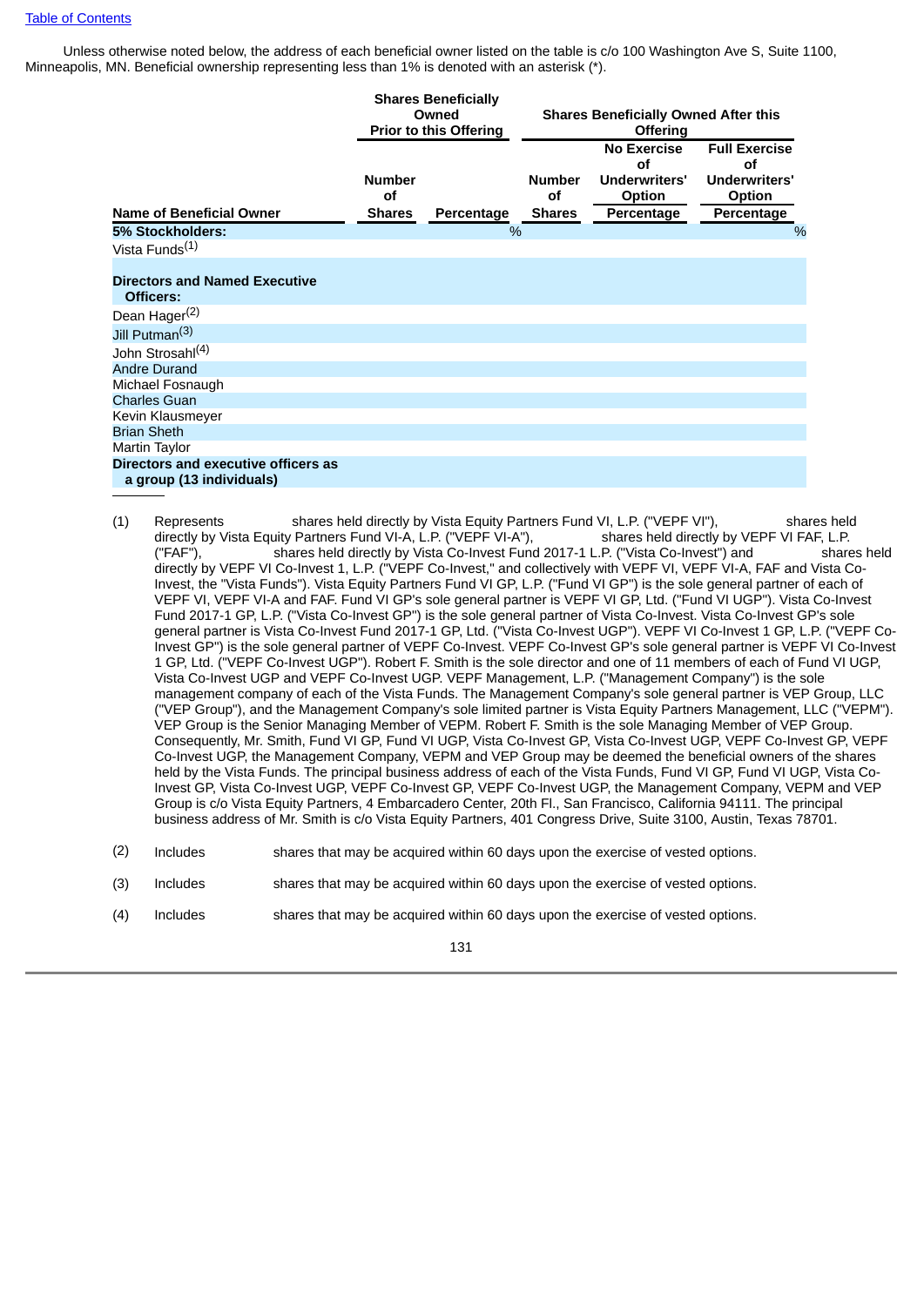Unless otherwise noted below, the address of each beneficial owner listed on the table is c/o 100 Washington Ave S, Suite 1100, Minneapolis, MN. Beneficial ownership representing less than 1% is denoted with an asterisk (\*).

|                                                                 |                     | <b>Shares Beneficially</b><br>Owned<br><b>Prior to this Offering</b> | <b>Shares Beneficially Owned After this</b><br><b>Offering</b> |                                    |                                             |  |  |  |
|-----------------------------------------------------------------|---------------------|----------------------------------------------------------------------|----------------------------------------------------------------|------------------------------------|---------------------------------------------|--|--|--|
|                                                                 | <b>Number</b>       |                                                                      | <b>Number</b>                                                  | No Exercise<br>οf<br>Underwriters' | <b>Full Exercise</b><br>οf<br>Underwriters' |  |  |  |
| <b>Name of Beneficial Owner</b>                                 | Οf<br><b>Shares</b> | Percentage                                                           | Οf<br><b>Shares</b>                                            | Option<br>Percentage               | Option<br>Percentage                        |  |  |  |
| 5% Stockholders:                                                |                     | $\%$                                                                 |                                                                |                                    | $\%$                                        |  |  |  |
| Vista Funds <sup>(1)</sup>                                      |                     |                                                                      |                                                                |                                    |                                             |  |  |  |
| <b>Directors and Named Executive</b><br>Officers:               |                     |                                                                      |                                                                |                                    |                                             |  |  |  |
| Dean Hager <sup>(2)</sup>                                       |                     |                                                                      |                                                                |                                    |                                             |  |  |  |
| Jill Putman <sup>(3)</sup>                                      |                     |                                                                      |                                                                |                                    |                                             |  |  |  |
| John Strosahl <sup>(4)</sup>                                    |                     |                                                                      |                                                                |                                    |                                             |  |  |  |
| <b>Andre Durand</b>                                             |                     |                                                                      |                                                                |                                    |                                             |  |  |  |
| Michael Fosnaugh                                                |                     |                                                                      |                                                                |                                    |                                             |  |  |  |
| <b>Charles Guan</b>                                             |                     |                                                                      |                                                                |                                    |                                             |  |  |  |
| Kevin Klausmeyer                                                |                     |                                                                      |                                                                |                                    |                                             |  |  |  |
| <b>Brian Sheth</b>                                              |                     |                                                                      |                                                                |                                    |                                             |  |  |  |
| Martin Taylor                                                   |                     |                                                                      |                                                                |                                    |                                             |  |  |  |
| Directors and executive officers as<br>a group (13 individuals) |                     |                                                                      |                                                                |                                    |                                             |  |  |  |

- (1) Represents shares held directly by Vista Equity Partners Fund VI, L.P. ("VEPF VI"), shares held directly by Vista Equity Partners Fund VI-A. L.P. ("VEPF VI-A"). shares held directly by VEPF VI FAF. L.P. directly by Vista Equity Partners Fund VI-A, L.P. ("VEPF VI-A"), shares held directly by VEPF VI FAF, L.P.<br>Farm ("Farm"), shares held directly by Vista Co-Invest Fund 2017-1 L.P. ("Vista Co-Invest") and shares held ( ("FAF"), shares held directly by Vista Co-Invest Fund 2017-1 L.P. ("Vista Co-Invest") and directly by VEPF VI Co-Invest 1, L.P. ("VEPF Co-Invest," and collectively with VEPF VI, VEPF VI-A, FAF and Vista Co-Invest, the "Vista Funds"). Vista Equity Partners Fund VI GP, L.P. ("Fund VI GP") is the sole general partner of each of VEPF VI, VEPF VI-A and FAF. Fund VI GP's sole general partner is VEPF VI GP, Ltd. ("Fund VI UGP"). Vista Co-Invest Fund 2017-1 GP, L.P. ("Vista Co-Invest GP") is the sole general partner of Vista Co-Invest. Vista Co-Invest GP's sole general partner is Vista Co-Invest Fund 2017-1 GP, Ltd. ("Vista Co-Invest UGP"). VEPF VI Co-Invest 1 GP, L.P. ("VEPF Co-Invest GP") is the sole general partner of VEPF Co-Invest. VEPF Co-Invest GP's sole general partner is VEPF VI Co-Invest 1 GP, Ltd. ("VEPF Co-Invest UGP"). Robert F. Smith is the sole director and one of 11 members of each of Fund VI UGP, Vista Co-Invest UGP and VEPF Co-Invest UGP. VEPF Management, L.P. ("Management Company") is the sole management company of each of the Vista Funds. The Management Company's sole general partner is VEP Group, LLC ("VEP Group"), and the Management Company's sole limited partner is Vista Equity Partners Management, LLC ("VEPM"). VEP Group is the Senior Managing Member of VEPM. Robert F. Smith is the sole Managing Member of VEP Group. Consequently, Mr. Smith, Fund VI GP, Fund VI UGP, Vista Co-Invest GP, Vista Co-Invest UGP, VEPF Co-Invest GP, VEPF Co-Invest UGP, the Management Company, VEPM and VEP Group may be deemed the beneficial owners of the shares held by the Vista Funds. The principal business address of each of the Vista Funds, Fund VI GP, Fund VI UGP, Vista Co-Invest GP, Vista Co-Invest UGP, VEPF Co-Invest GP, VEPF Co-Invest UGP, the Management Company, VEPM and VEP Group is c/o Vista Equity Partners, 4 Embarcadero Center, 20th Fl., San Francisco, California 94111. The principal business address of Mr. Smith is c/o Vista Equity Partners, 401 Congress Drive, Suite 3100, Austin, Texas 78701.
- (2) Includes shares that may be acquired within 60 days upon the exercise of vested options.
- (3) Includes shares that may be acquired within 60 days upon the exercise of vested options.
- (4) Includes shares that may be acquired within 60 days upon the exercise of vested options.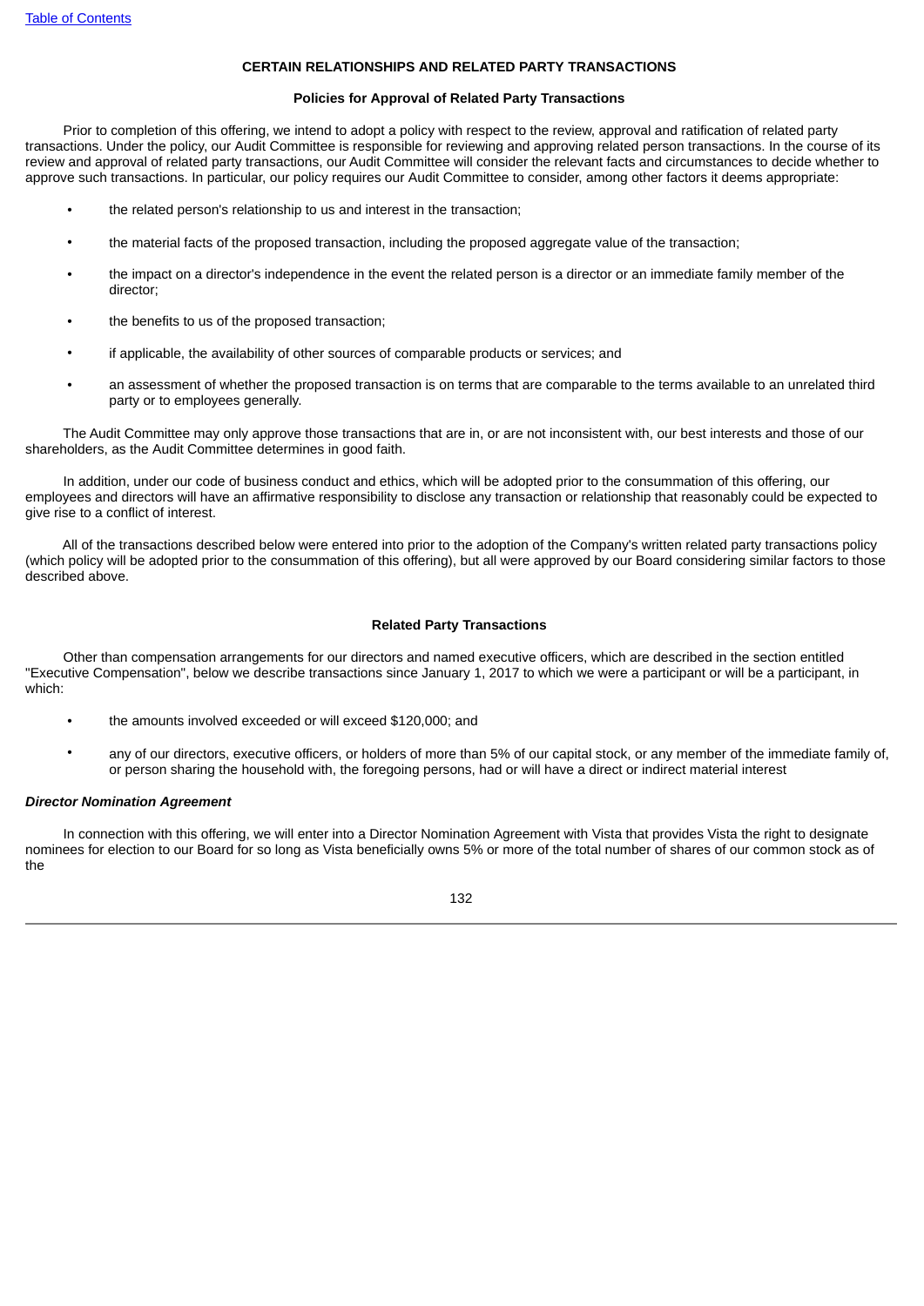# **CERTAIN RELATIONSHIPS AND RELATED PARTY TRANSACTIONS**

# **Policies for Approval of Related Party Transactions**

 Prior to completion of this offering, we intend to adopt a policy with respect to the review, approval and ratification of related party transactions. Under the policy, our Audit Committee is responsible for reviewing and approving related person transactions. In the course of its review and approval of related party transactions, our Audit Committee will consider the relevant facts and circumstances to decide whether to approve such transactions. In particular, our policy requires our Audit Committee to consider, among other factors it deems appropriate:

- the related person's relationship to us and interest in the transaction;
- the material facts of the proposed transaction, including the proposed aggregate value of the transaction;
- the impact on a director's independence in the event the related person is a director or an immediate family member of the director;
- the benefits to us of the proposed transaction:
- if applicable, the availability of other sources of comparable products or services; and
- an assessment of whether the proposed transaction is on terms that are comparable to the terms available to an unrelated third party or to employees generally.

 The Audit Committee may only approve those transactions that are in, or are not inconsistent with, our best interests and those of our shareholders, as the Audit Committee determines in good faith.

 In addition, under our code of business conduct and ethics, which will be adopted prior to the consummation of this offering, our employees and directors will have an affirmative responsibility to disclose any transaction or relationship that reasonably could be expected to give rise to a conflict of interest.

 All of the transactions described below were entered into prior to the adoption of the Company's written related party transactions policy (which policy will be adopted prior to the consummation of this offering), but all were approved by our Board considering similar factors to those described above.

# **Related Party Transactions**

 Other than compensation arrangements for our directors and named executive officers, which are described in the section entitled "Executive Compensation", below we describe transactions since January 1, 2017 to which we were a participant or will be a participant, in which:

- the amounts involved exceeded or will exceed \$120,000; and
- any of our directors, executive officers, or holders of more than 5% of our capital stock, or any member of the immediate family of, or person sharing the household with, the foregoing persons, had or will have a direct or indirect material interest

# *Director Nomination Agreement*

 In connection with this offering, we will enter into a Director Nomination Agreement with Vista that provides Vista the right to designate nominees for election to our Board for so long as Vista beneficially owns 5% or more of the total number of shares of our common stock as of the

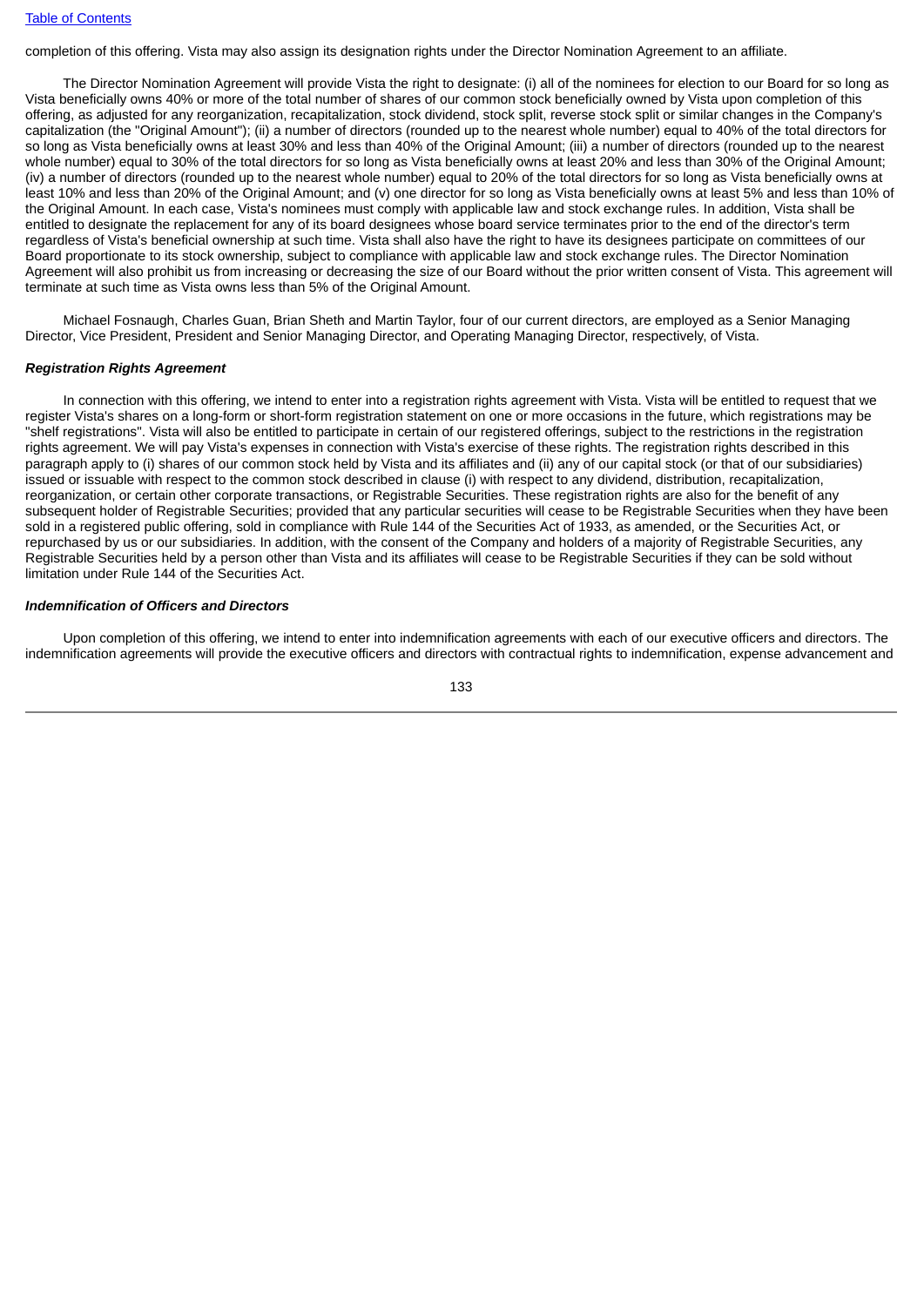completion of this offering. Vista may also assign its designation rights under the Director Nomination Agreement to an affiliate.

 The Director Nomination Agreement will provide Vista the right to designate: (i) all of the nominees for election to our Board for so long as Vista beneficially owns 40% or more of the total number of shares of our common stock beneficially owned by Vista upon completion of this offering, as adjusted for any reorganization, recapitalization, stock dividend, stock split, reverse stock split or similar changes in the Company's capitalization (the "Original Amount"); (ii) a number of directors (rounded up to the nearest whole number) equal to 40% of the total directors for so long as Vista beneficially owns at least 30% and less than 40% of the Original Amount; (iii) a number of directors (rounded up to the nearest whole number) equal to 30% of the total directors for so long as Vista beneficially owns at least 20% and less than 30% of the Original Amount; (iv) a number of directors (rounded up to the nearest whole number) equal to 20% of the total directors for so long as Vista beneficially owns at least 10% and less than 20% of the Original Amount; and (v) one director for so long as Vista beneficially owns at least 5% and less than 10% of the Original Amount. In each case, Vista's nominees must comply with applicable law and stock exchange rules. In addition, Vista shall be entitled to designate the replacement for any of its board designees whose board service terminates prior to the end of the director's term regardless of Vista's beneficial ownership at such time. Vista shall also have the right to have its designees participate on committees of our Board proportionate to its stock ownership, subject to compliance with applicable law and stock exchange rules. The Director Nomination Agreement will also prohibit us from increasing or decreasing the size of our Board without the prior written consent of Vista. This agreement will terminate at such time as Vista owns less than 5% of the Original Amount.

 Michael Fosnaugh, Charles Guan, Brian Sheth and Martin Taylor, four of our current directors, are employed as a Senior Managing Director, Vice President, President and Senior Managing Director, and Operating Managing Director, respectively, of Vista.

#### *Registration Rights Agreement*

 In connection with this offering, we intend to enter into a registration rights agreement with Vista. Vista will be entitled to request that we register Vista's shares on a long-form or short-form registration statement on one or more occasions in the future, which registrations may be "shelf registrations". Vista will also be entitled to participate in certain of our registered offerings, subject to the restrictions in the registration rights agreement. We will pay Vista's expenses in connection with Vista's exercise of these rights. The registration rights described in this paragraph apply to (i) shares of our common stock held by Vista and its affiliates and (ii) any of our capital stock (or that of our subsidiaries) issued or issuable with respect to the common stock described in clause (i) with respect to any dividend, distribution, recapitalization, reorganization, or certain other corporate transactions, or Registrable Securities. These registration rights are also for the benefit of any subsequent holder of Registrable Securities; provided that any particular securities will cease to be Registrable Securities when they have been sold in a registered public offering, sold in compliance with Rule 144 of the Securities Act of 1933, as amended, or the Securities Act, or repurchased by us or our subsidiaries. In addition, with the consent of the Company and holders of a majority of Registrable Securities, any Registrable Securities held by a person other than Vista and its affiliates will cease to be Registrable Securities if they can be sold without limitation under Rule 144 of the Securities Act.

# *Indemnification of Officers and Directors*

 Upon completion of this offering, we intend to enter into indemnification agreements with each of our executive officers and directors. The indemnification agreements will provide the executive officers and directors with contractual rights to indemnification, expense advancement and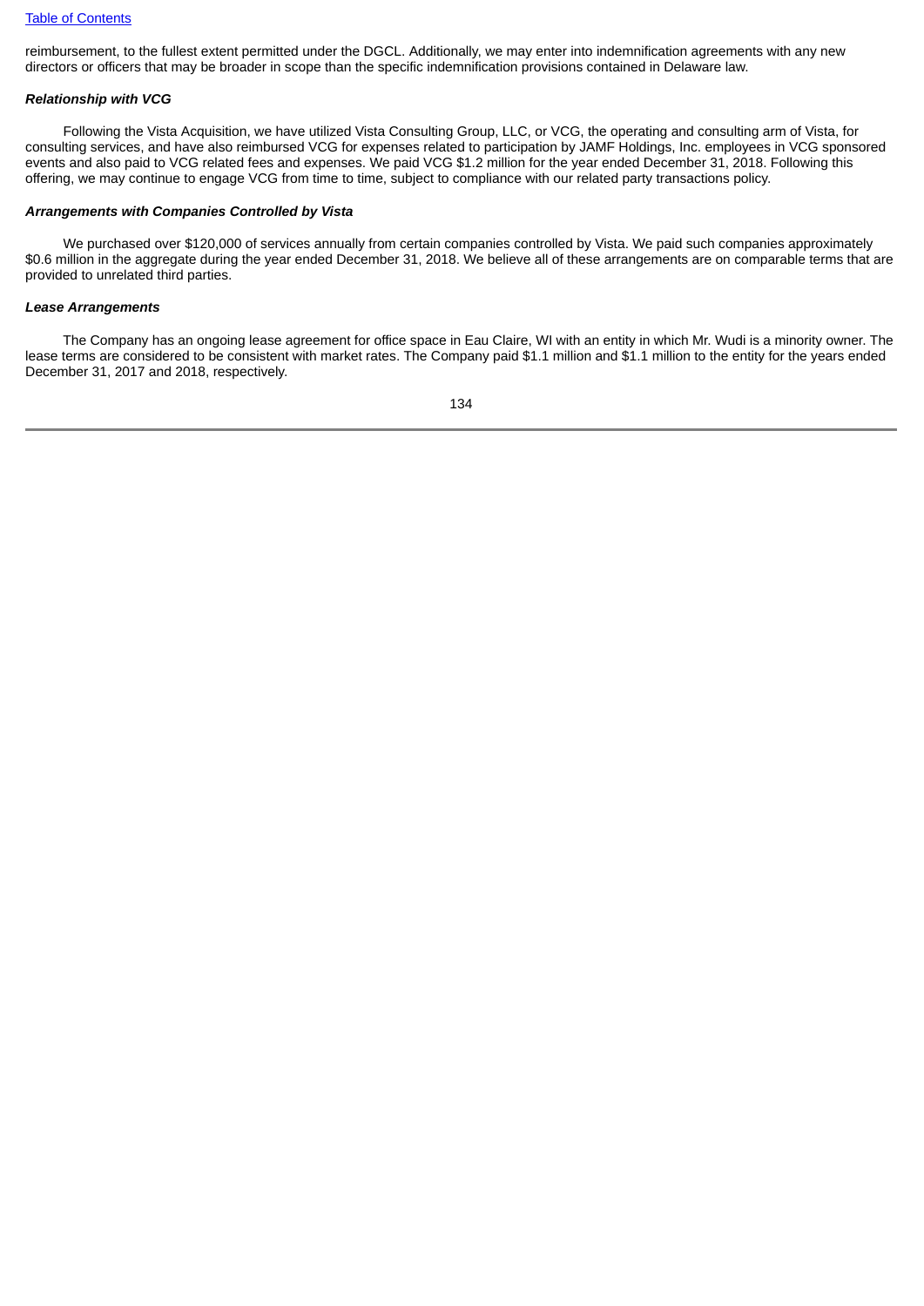reimbursement, to the fullest extent permitted under the DGCL. Additionally, we may enter into indemnification agreements with any new directors or officers that may be broader in scope than the specific indemnification provisions contained in Delaware law.

# *Relationship with VCG*

 Following the Vista Acquisition, we have utilized Vista Consulting Group, LLC, or VCG, the operating and consulting arm of Vista, for consulting services, and have also reimbursed VCG for expenses related to participation by JAMF Holdings, Inc. employees in VCG sponsored events and also paid to VCG related fees and expenses. We paid VCG \$1.2 million for the year ended December 31, 2018. Following this offering, we may continue to engage VCG from time to time, subject to compliance with our related party transactions policy.

# *Arrangements with Companies Controlled by Vista*

 We purchased over \$120,000 of services annually from certain companies controlled by Vista. We paid such companies approximately \$0.6 million in the aggregate during the year ended December 31, 2018. We believe all of these arrangements are on comparable terms that are provided to unrelated third parties.

# *Lease Arrangements*

 The Company has an ongoing lease agreement for office space in Eau Claire, WI with an entity in which Mr. Wudi is a minority owner. The lease terms are considered to be consistent with market rates. The Company paid \$1.1 million and \$1.1 million to the entity for the years ended December 31, 2017 and 2018, respectively.

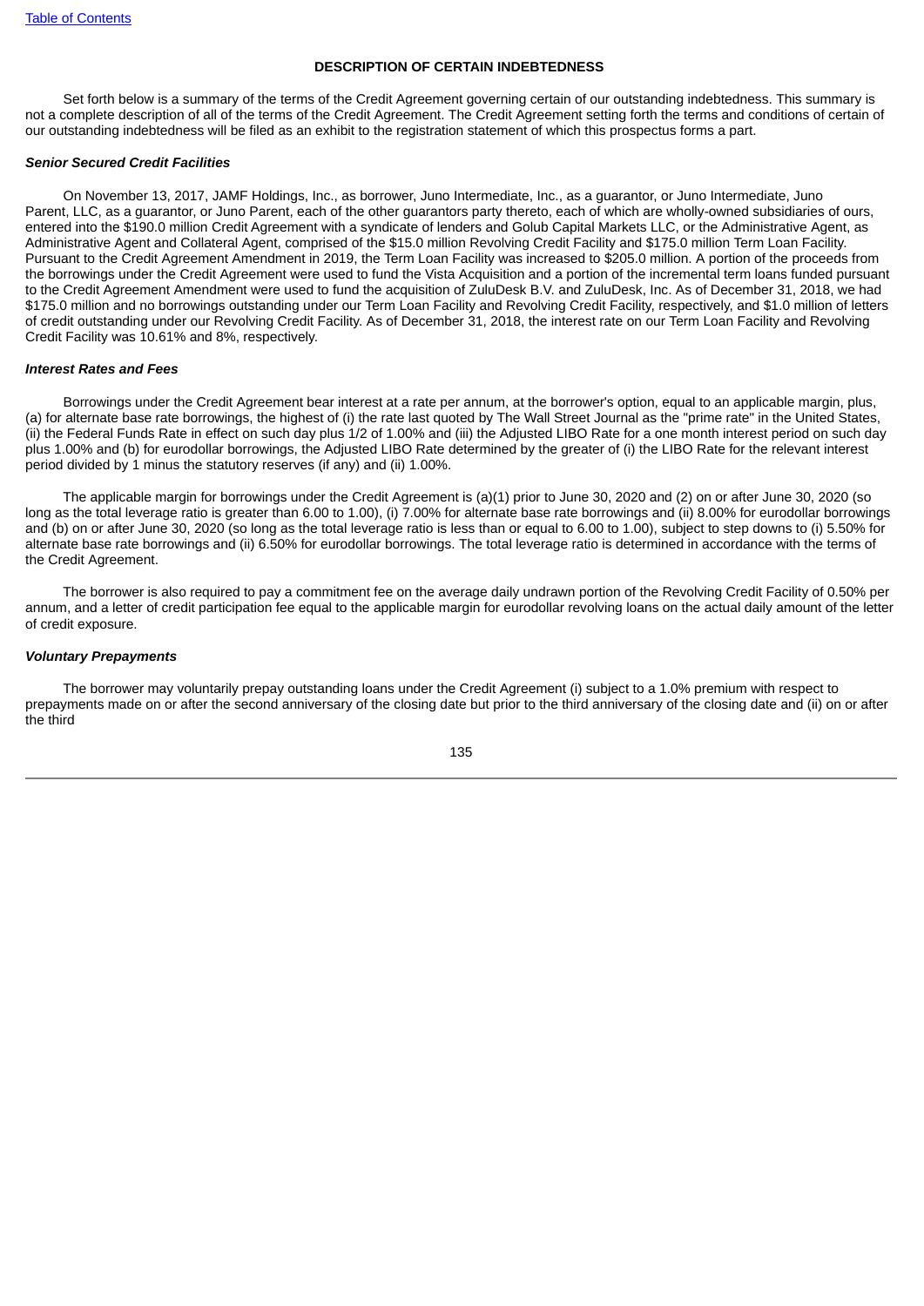# **DESCRIPTION OF CERTAIN INDEBTEDNESS**

 Set forth below is a summary of the terms of the Credit Agreement governing certain of our outstanding indebtedness. This summary is not a complete description of all of the terms of the Credit Agreement. The Credit Agreement setting forth the terms and conditions of certain of our outstanding indebtedness will be filed as an exhibit to the registration statement of which this prospectus forms a part.

### *Senior Secured Credit Facilities*

 On November 13, 2017, JAMF Holdings, Inc., as borrower, Juno Intermediate, Inc., as a guarantor, or Juno Intermediate, Juno Parent, LLC, as a guarantor, or Juno Parent, each of the other guarantors party thereto, each of which are wholly-owned subsidiaries of ours, entered into the \$190.0 million Credit Agreement with a syndicate of lenders and Golub Capital Markets LLC, or the Administrative Agent, as Administrative Agent and Collateral Agent, comprised of the \$15.0 million Revolving Credit Facility and \$175.0 million Term Loan Facility. Pursuant to the Credit Agreement Amendment in 2019, the Term Loan Facility was increased to \$205.0 million. A portion of the proceeds from the borrowings under the Credit Agreement were used to fund the Vista Acquisition and a portion of the incremental term loans funded pursuant to the Credit Agreement Amendment were used to fund the acquisition of ZuluDesk B.V. and ZuluDesk, Inc. As of December 31, 2018, we had \$175.0 million and no borrowings outstanding under our Term Loan Facility and Revolving Credit Facility, respectively, and \$1.0 million of letters of credit outstanding under our Revolving Credit Facility. As of December 31, 2018, the interest rate on our Term Loan Facility and Revolving Credit Facility was 10.61% and 8%, respectively.

### *Interest Rates and Fees*

 Borrowings under the Credit Agreement bear interest at a rate per annum, at the borrower's option, equal to an applicable margin, plus, (a) for alternate base rate borrowings, the highest of (i) the rate last quoted by The Wall Street Journal as the "prime rate" in the United States, (ii) the Federal Funds Rate in effect on such day plus 1/2 of 1.00% and (iii) the Adjusted LIBO Rate for a one month interest period on such day plus 1.00% and (b) for eurodollar borrowings, the Adjusted LIBO Rate determined by the greater of (i) the LIBO Rate for the relevant interest period divided by 1 minus the statutory reserves (if any) and (ii) 1.00%.

 The applicable margin for borrowings under the Credit Agreement is (a)(1) prior to June 30, 2020 and (2) on or after June 30, 2020 (so long as the total leverage ratio is greater than 6.00 to 1.00), (i) 7.00% for alternate base rate borrowings and (ii) 8.00% for eurodollar borrowings and (b) on or after June 30, 2020 (so long as the total leverage ratio is less than or equal to 6.00 to 1.00), subject to step downs to (i) 5.50% for alternate base rate borrowings and (ii) 6.50% for eurodollar borrowings. The total leverage ratio is determined in accordance with the terms of the Credit Agreement.

 The borrower is also required to pay a commitment fee on the average daily undrawn portion of the Revolving Credit Facility of 0.50% per annum, and a letter of credit participation fee equal to the applicable margin for eurodollar revolving loans on the actual daily amount of the letter of credit exposure.

### *Voluntary Prepayments*

 The borrower may voluntarily prepay outstanding loans under the Credit Agreement (i) subject to a 1.0% premium with respect to prepayments made on or after the second anniversary of the closing date but prior to the third anniversary of the closing date and (ii) on or after the third

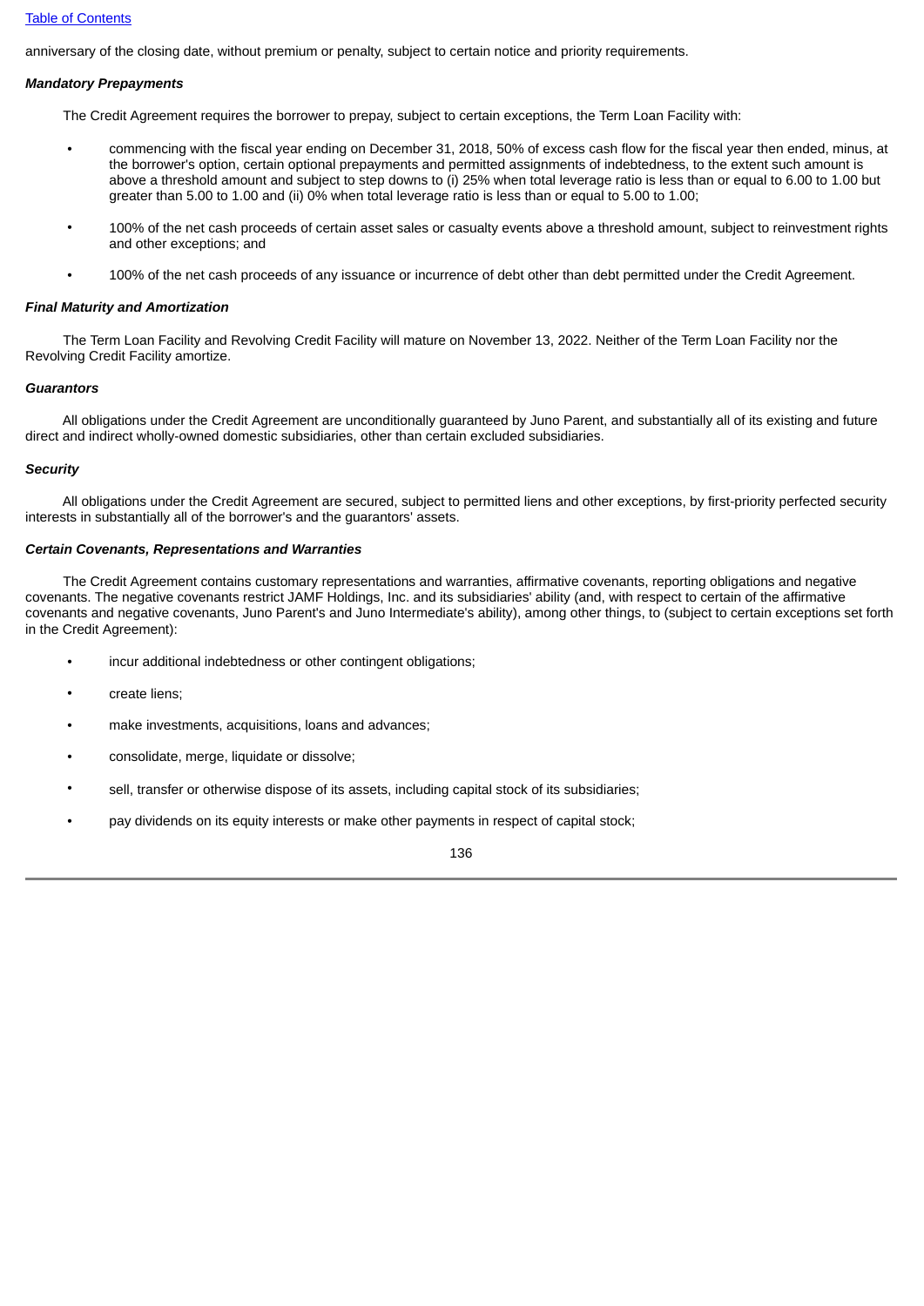# [Table of Contents](#page-3-0)

anniversary of the closing date, without premium or penalty, subject to certain notice and priority requirements.

# *Mandatory Prepayments*

The Credit Agreement requires the borrower to prepay, subject to certain exceptions, the Term Loan Facility with:

- commencing with the fiscal year ending on December 31, 2018, 50% of excess cash flow for the fiscal year then ended, minus, at the borrower's option, certain optional prepayments and permitted assignments of indebtedness, to the extent such amount is above a threshold amount and subject to step downs to (i) 25% when total leverage ratio is less than or equal to 6.00 to 1.00 but greater than 5.00 to 1.00 and (ii) 0% when total leverage ratio is less than or equal to 5.00 to 1.00;
- 100% of the net cash proceeds of certain asset sales or casualty events above a threshold amount, subject to reinvestment rights and other exceptions; and
- 100% of the net cash proceeds of any issuance or incurrence of debt other than debt permitted under the Credit Agreement.

#### *Final Maturity and Amortization*

 The Term Loan Facility and Revolving Credit Facility will mature on November 13, 2022. Neither of the Term Loan Facility nor the Revolving Credit Facility amortize.

# *Guarantors*

 All obligations under the Credit Agreement are unconditionally guaranteed by Juno Parent, and substantially all of its existing and future direct and indirect wholly-owned domestic subsidiaries, other than certain excluded subsidiaries.

# *Security*

 All obligations under the Credit Agreement are secured, subject to permitted liens and other exceptions, by first-priority perfected security interests in substantially all of the borrower's and the guarantors' assets.

# *Certain Covenants, Representations and Warranties*

 The Credit Agreement contains customary representations and warranties, affirmative covenants, reporting obligations and negative covenants. The negative covenants restrict JAMF Holdings, Inc. and its subsidiaries' ability (and, with respect to certain of the affirmative covenants and negative covenants, Juno Parent's and Juno Intermediate's ability), among other things, to (subject to certain exceptions set forth in the Credit Agreement):

- incur additional indebtedness or other contingent obligations;
- create liens;
- make investments, acquisitions, loans and advances;
- consolidate, merge, liquidate or dissolve;
- sell, transfer or otherwise dispose of its assets, including capital stock of its subsidiaries;
- pay dividends on its equity interests or make other payments in respect of capital stock;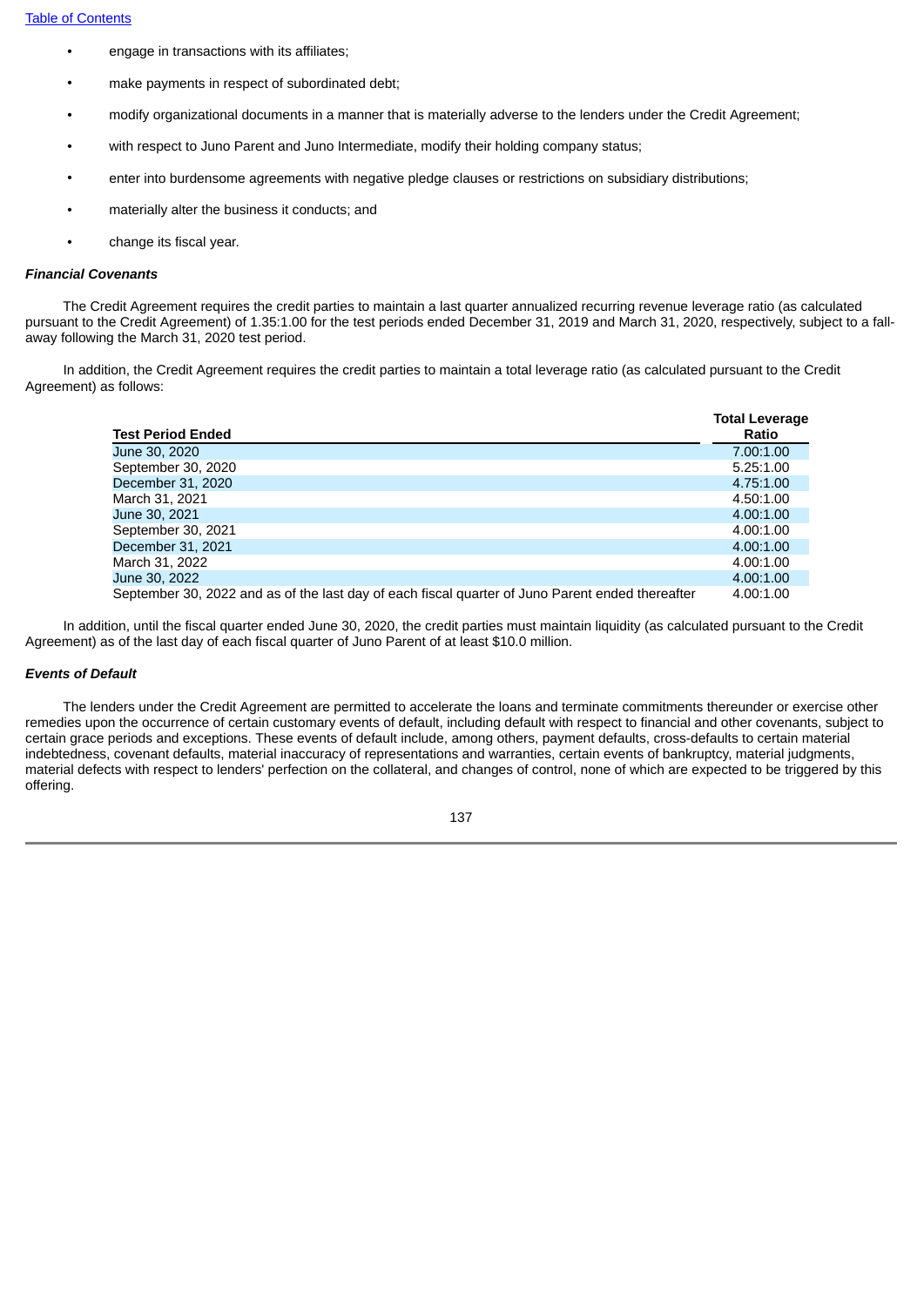- engage in transactions with its affiliates;
- make payments in respect of subordinated debt;
- modify organizational documents in a manner that is materially adverse to the lenders under the Credit Agreement;
- with respect to Juno Parent and Juno Intermediate, modify their holding company status;
- enter into burdensome agreements with negative pledge clauses or restrictions on subsidiary distributions;
- materially alter the business it conducts; and
- change its fiscal year.

# *Financial Covenants*

 The Credit Agreement requires the credit parties to maintain a last quarter annualized recurring revenue leverage ratio (as calculated pursuant to the Credit Agreement) of 1.35:1.00 for the test periods ended December 31, 2019 and March 31, 2020, respectively, subject to a fallaway following the March 31, 2020 test period.

 In addition, the Credit Agreement requires the credit parties to maintain a total leverage ratio (as calculated pursuant to the Credit Agreement) as follows:

|                                                                                                  | <b>Total Leverage</b> |
|--------------------------------------------------------------------------------------------------|-----------------------|
| <b>Test Period Ended</b>                                                                         | Ratio                 |
| June 30, 2020                                                                                    | 7.00:1.00             |
| September 30, 2020                                                                               | 5.25:1.00             |
| December 31, 2020                                                                                | 4.75:1.00             |
| March 31, 2021                                                                                   | 4.50:1.00             |
| June 30, 2021                                                                                    | 4.00:1.00             |
| September 30, 2021                                                                               | 4.00:1.00             |
| December 31, 2021                                                                                | 4.00:1.00             |
| March 31, 2022                                                                                   | 4.00:1.00             |
| June 30, 2022                                                                                    | 4.00:1.00             |
| September 30, 2022 and as of the last day of each fiscal quarter of Juno Parent ended thereafter | 4.00:1.00             |

 In addition, until the fiscal quarter ended June 30, 2020, the credit parties must maintain liquidity (as calculated pursuant to the Credit Agreement) as of the last day of each fiscal quarter of Juno Parent of at least \$10.0 million.

# *Events of Default*

 The lenders under the Credit Agreement are permitted to accelerate the loans and terminate commitments thereunder or exercise other remedies upon the occurrence of certain customary events of default, including default with respect to financial and other covenants, subject to certain grace periods and exceptions. These events of default include, among others, payment defaults, cross-defaults to certain material indebtedness, covenant defaults, material inaccuracy of representations and warranties, certain events of bankruptcy, material judgments, material defects with respect to lenders' perfection on the collateral, and changes of control, none of which are expected to be triggered by this offering.

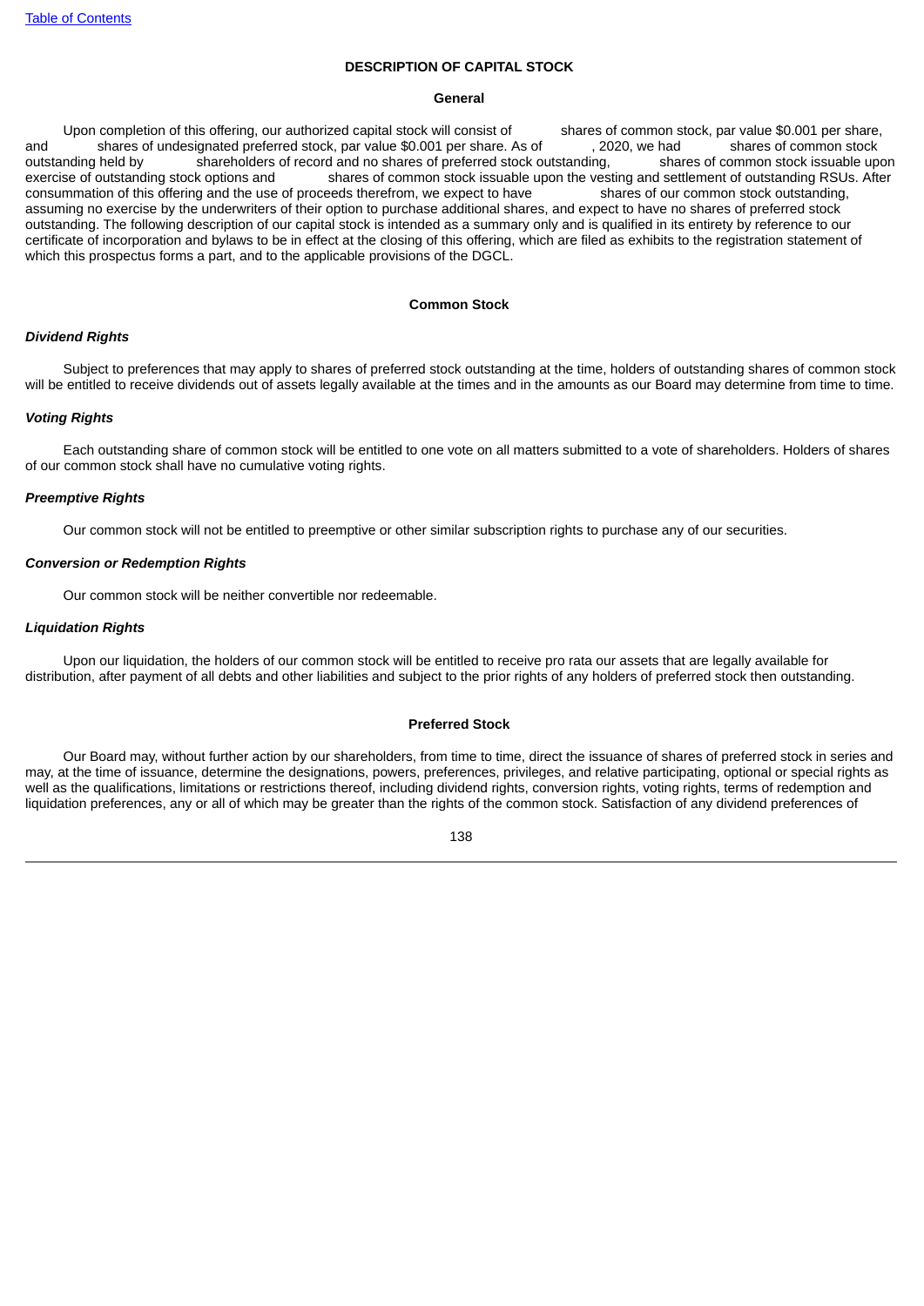# **DESCRIPTION OF CAPITAL STOCK**

### **General**

Upon completion of this offering, our authorized capital stock will consist of shares of common stock, par value \$0.001 per share. and shares of undesignated preferred stock, par value \$0.001 per share. As of , 2020, we had shares of common stock<br>outstanding held by shareholders of record and no shares of preferred stock outstanding, shares of common shareholders of record and no shares of preferred stock outstanding, exercise of outstanding stock options and shares of common stock issuable upon the vesting and settlement of outstanding RSUs. After consummation of this offering and the use of proceeds therefrom, we expect to have shares consummation of this offering and the use of proceeds therefrom, we expect to have assuming no exercise by the underwriters of their option to purchase additional shares, and expect to have no shares of preferred stock outstanding. The following description of our capital stock is intended as a summary only and is qualified in its entirety by reference to our certificate of incorporation and bylaws to be in effect at the closing of this offering, which are filed as exhibits to the registration statement of which this prospectus forms a part, and to the applicable provisions of the DGCL.

### **Common Stock**

# *Dividend Rights*

 Subject to preferences that may apply to shares of preferred stock outstanding at the time, holders of outstanding shares of common stock will be entitled to receive dividends out of assets legally available at the times and in the amounts as our Board may determine from time to time.

# *Voting Rights*

 Each outstanding share of common stock will be entitled to one vote on all matters submitted to a vote of shareholders. Holders of shares of our common stock shall have no cumulative voting rights.

# *Preemptive Rights*

Our common stock will not be entitled to preemptive or other similar subscription rights to purchase any of our securities.

#### *Conversion or Redemption Rights*

Our common stock will be neither convertible nor redeemable.

# *Liquidation Rights*

 Upon our liquidation, the holders of our common stock will be entitled to receive pro rata our assets that are legally available for distribution, after payment of all debts and other liabilities and subject to the prior rights of any holders of preferred stock then outstanding.

# **Preferred Stock**

 Our Board may, without further action by our shareholders, from time to time, direct the issuance of shares of preferred stock in series and may, at the time of issuance, determine the designations, powers, preferences, privileges, and relative participating, optional or special rights as well as the qualifications, limitations or restrictions thereof, including dividend rights, conversion rights, voting rights, terms of redemption and liquidation preferences, any or all of which may be greater than the rights of the common stock. Satisfaction of any dividend preferences of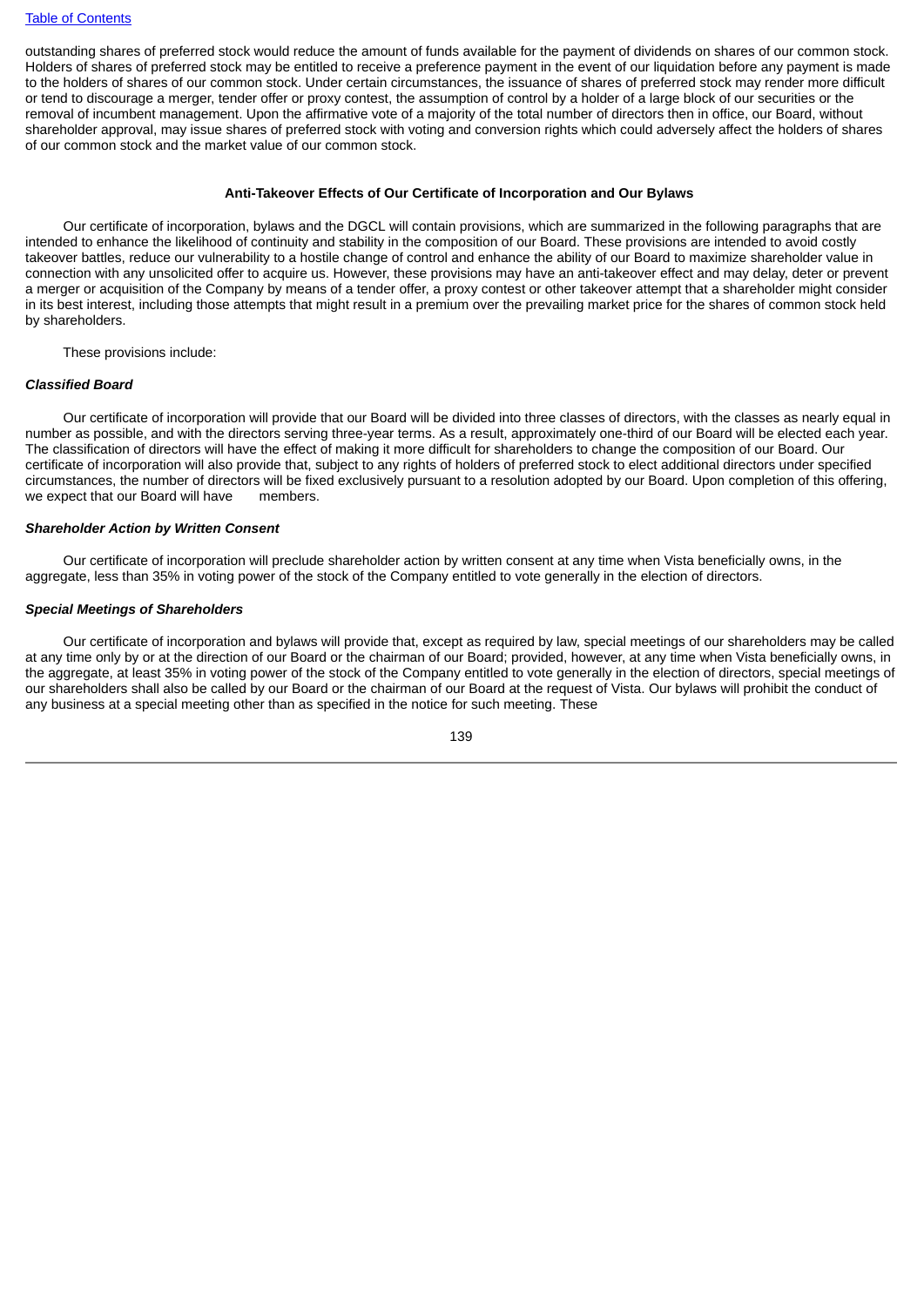outstanding shares of preferred stock would reduce the amount of funds available for the payment of dividends on shares of our common stock. Holders of shares of preferred stock may be entitled to receive a preference payment in the event of our liquidation before any payment is made to the holders of shares of our common stock. Under certain circumstances, the issuance of shares of preferred stock may render more difficult or tend to discourage a merger, tender offer or proxy contest, the assumption of control by a holder of a large block of our securities or the removal of incumbent management. Upon the affirmative vote of a majority of the total number of directors then in office, our Board, without shareholder approval, may issue shares of preferred stock with voting and conversion rights which could adversely affect the holders of shares of our common stock and the market value of our common stock.

### **Anti-Takeover Effects of Our Certificate of Incorporation and Our Bylaws**

 Our certificate of incorporation, bylaws and the DGCL will contain provisions, which are summarized in the following paragraphs that are intended to enhance the likelihood of continuity and stability in the composition of our Board. These provisions are intended to avoid costly takeover battles, reduce our vulnerability to a hostile change of control and enhance the ability of our Board to maximize shareholder value in connection with any unsolicited offer to acquire us. However, these provisions may have an anti-takeover effect and may delay, deter or prevent a merger or acquisition of the Company by means of a tender offer, a proxy contest or other takeover attempt that a shareholder might consider in its best interest, including those attempts that might result in a premium over the prevailing market price for the shares of common stock held by shareholders.

These provisions include:

### *Classified Board*

 Our certificate of incorporation will provide that our Board will be divided into three classes of directors, with the classes as nearly equal in number as possible, and with the directors serving three-year terms. As a result, approximately one-third of our Board will be elected each year. The classification of directors will have the effect of making it more difficult for shareholders to change the composition of our Board. Our certificate of incorporation will also provide that, subject to any rights of holders of preferred stock to elect additional directors under specified circumstances, the number of directors will be fixed exclusively pursuant to a resolution adopted by our Board. Upon completion of this offering, we expect that our Board will have members.

#### *Shareholder Action by Written Consent*

 Our certificate of incorporation will preclude shareholder action by written consent at any time when Vista beneficially owns, in the aggregate, less than 35% in voting power of the stock of the Company entitled to vote generally in the election of directors.

### *Special Meetings of Shareholders*

 Our certificate of incorporation and bylaws will provide that, except as required by law, special meetings of our shareholders may be called at any time only by or at the direction of our Board or the chairman of our Board; provided, however, at any time when Vista beneficially owns, in the aggregate, at least 35% in voting power of the stock of the Company entitled to vote generally in the election of directors, special meetings of our shareholders shall also be called by our Board or the chairman of our Board at the request of Vista. Our bylaws will prohibit the conduct of any business at a special meeting other than as specified in the notice for such meeting. These

139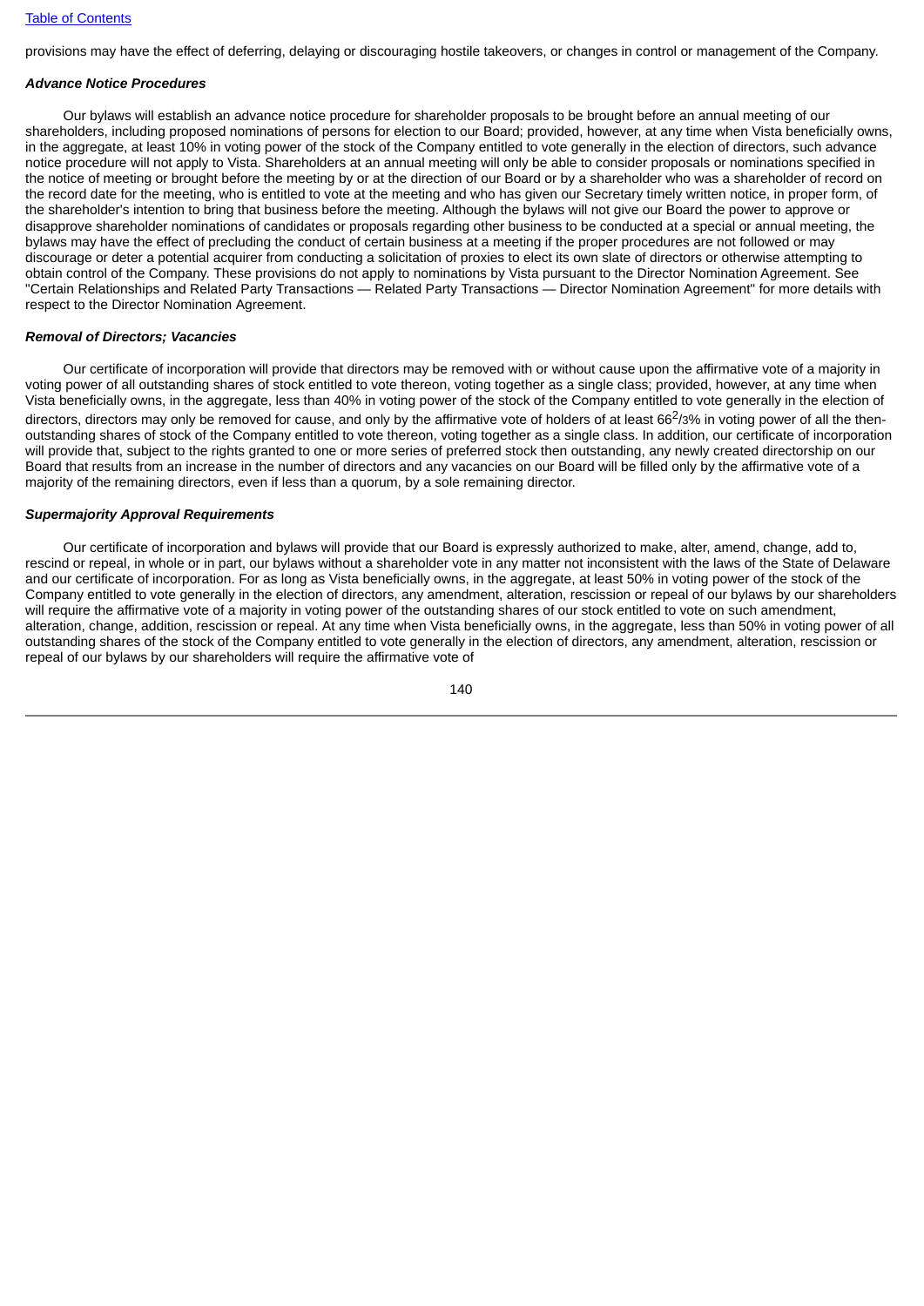provisions may have the effect of deferring, delaying or discouraging hostile takeovers, or changes in control or management of the Company.

### *Advance Notice Procedures*

 Our bylaws will establish an advance notice procedure for shareholder proposals to be brought before an annual meeting of our shareholders, including proposed nominations of persons for election to our Board; provided, however, at any time when Vista beneficially owns, in the aggregate, at least 10% in voting power of the stock of the Company entitled to vote generally in the election of directors, such advance notice procedure will not apply to Vista. Shareholders at an annual meeting will only be able to consider proposals or nominations specified in the notice of meeting or brought before the meeting by or at the direction of our Board or by a shareholder who was a shareholder of record on the record date for the meeting, who is entitled to vote at the meeting and who has given our Secretary timely written notice, in proper form, of the shareholder's intention to bring that business before the meeting. Although the bylaws will not give our Board the power to approve or disapprove shareholder nominations of candidates or proposals regarding other business to be conducted at a special or annual meeting, the bylaws may have the effect of precluding the conduct of certain business at a meeting if the proper procedures are not followed or may discourage or deter a potential acquirer from conducting a solicitation of proxies to elect its own slate of directors or otherwise attempting to obtain control of the Company. These provisions do not apply to nominations by Vista pursuant to the Director Nomination Agreement. See "Certain Relationships and Related Party Transactions — Related Party Transactions — Director Nomination Agreement" for more details with respect to the Director Nomination Agreement.

#### *Removal of Directors; Vacancies*

 Our certificate of incorporation will provide that directors may be removed with or without cause upon the affirmative vote of a majority in voting power of all outstanding shares of stock entitled to vote thereon, voting together as a single class; provided, however, at any time when Vista beneficially owns, in the aggregate, less than 40% in voting power of the stock of the Company entitled to vote generally in the election of directors, directors may only be removed for cause, and only by the affirmative vote of holders of at least 66<sup>2</sup>/3% in voting power of all the thenoutstanding shares of stock of the Company entitled to vote thereon, voting together as a single class. In addition, our certificate of incorporation will provide that, subject to the rights granted to one or more series of preferred stock then outstanding, any newly created directorship on our Board that results from an increase in the number of directors and any vacancies on our Board will be filled only by the affirmative vote of a majority of the remaining directors, even if less than a quorum, by a sole remaining director.

# *Supermajority Approval Requirements*

 Our certificate of incorporation and bylaws will provide that our Board is expressly authorized to make, alter, amend, change, add to, rescind or repeal, in whole or in part, our bylaws without a shareholder vote in any matter not inconsistent with the laws of the State of Delaware and our certificate of incorporation. For as long as Vista beneficially owns, in the aggregate, at least 50% in voting power of the stock of the Company entitled to vote generally in the election of directors, any amendment, alteration, rescission or repeal of our bylaws by our shareholders will require the affirmative vote of a majority in voting power of the outstanding shares of our stock entitled to vote on such amendment. alteration, change, addition, rescission or repeal. At any time when Vista beneficially owns, in the aggregate, less than 50% in voting power of all outstanding shares of the stock of the Company entitled to vote generally in the election of directors, any amendment, alteration, rescission or repeal of our bylaws by our shareholders will require the affirmative vote of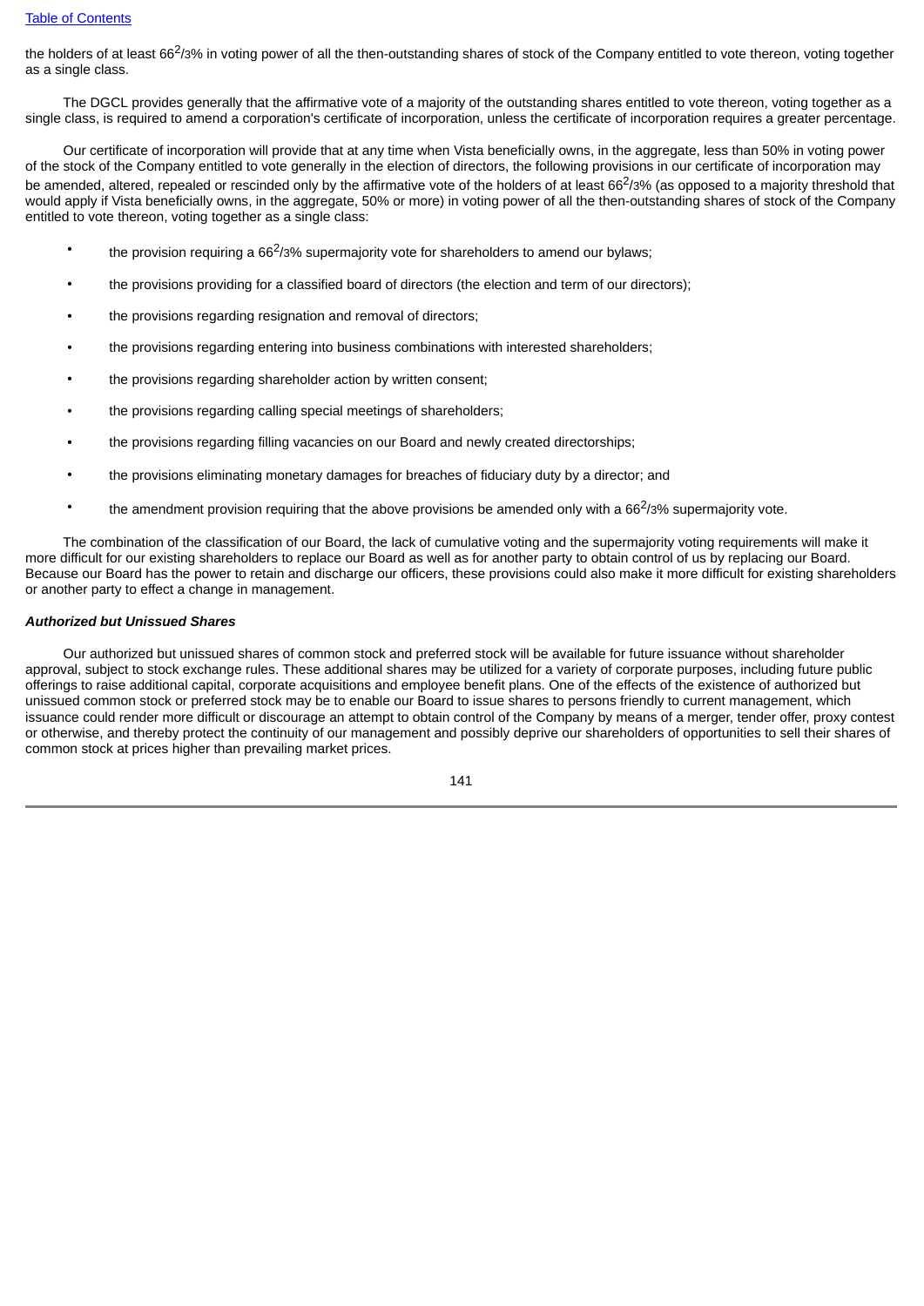the holders of at least 66<sup>2</sup>/3% in voting power of all the then-outstanding shares of stock of the Company entitled to vote thereon, voting together as a single class.

 The DGCL provides generally that the affirmative vote of a majority of the outstanding shares entitled to vote thereon, voting together as a single class, is required to amend a corporation's certificate of incorporation, unless the certificate of incorporation requires a greater percentage.

 Our certificate of incorporation will provide that at any time when Vista beneficially owns, in the aggregate, less than 50% in voting power of the stock of the Company entitled to vote generally in the election of directors, the following provisions in our certificate of incorporation may be amended, altered, repealed or rescinded only by the affirmative vote of the holders of at least 66 $^2$ /3% (as opposed to a majority threshold that would apply if Vista beneficially owns, in the aggregate, 50% or more) in voting power of all the then-outstanding shares of stock of the Company entitled to vote thereon, voting together as a single class:

- $\cdot$  the provision requiring a 66<sup>2</sup>/3% supermajority vote for shareholders to amend our bylaws;
- the provisions providing for a classified board of directors (the election and term of our directors);
- the provisions regarding resignation and removal of directors;
- the provisions regarding entering into business combinations with interested shareholders;
- the provisions regarding shareholder action by written consent;
- the provisions regarding calling special meetings of shareholders;
- the provisions regarding filling vacancies on our Board and newly created directorships;
- the provisions eliminating monetary damages for breaches of fiduciary duty by a director; and
- $\cdot$  the amendment provision requiring that the above provisions be amended only with a 66<sup>2</sup>/3% supermajority vote.

 The combination of the classification of our Board, the lack of cumulative voting and the supermajority voting requirements will make it more difficult for our existing shareholders to replace our Board as well as for another party to obtain control of us by replacing our Board. Because our Board has the power to retain and discharge our officers, these provisions could also make it more difficult for existing shareholders or another party to effect a change in management.

## *Authorized but Unissued Shares*

 Our authorized but unissued shares of common stock and preferred stock will be available for future issuance without shareholder approval, subject to stock exchange rules. These additional shares may be utilized for a variety of corporate purposes, including future public offerings to raise additional capital, corporate acquisitions and employee benefit plans. One of the effects of the existence of authorized but unissued common stock or preferred stock may be to enable our Board to issue shares to persons friendly to current management, which issuance could render more difficult or discourage an attempt to obtain control of the Company by means of a merger, tender offer, proxy contest or otherwise, and thereby protect the continuity of our management and possibly deprive our shareholders of opportunities to sell their shares of common stock at prices higher than prevailing market prices.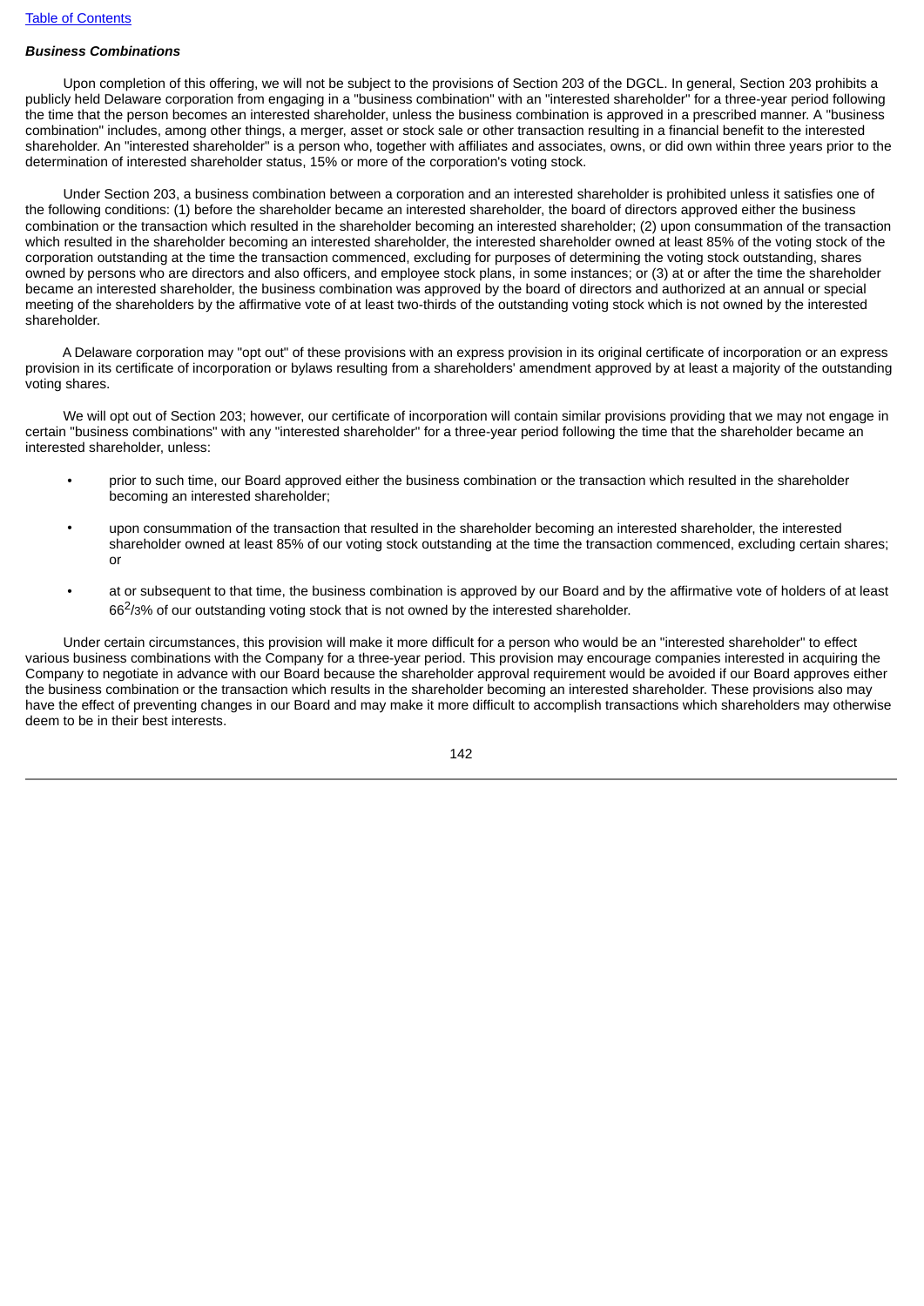## *Business Combinations*

 Upon completion of this offering, we will not be subject to the provisions of Section 203 of the DGCL. In general, Section 203 prohibits a publicly held Delaware corporation from engaging in a "business combination" with an "interested shareholder" for a three-year period following the time that the person becomes an interested shareholder, unless the business combination is approved in a prescribed manner. A "business combination" includes, among other things, a merger, asset or stock sale or other transaction resulting in a financial benefit to the interested shareholder. An "interested shareholder" is a person who, together with affiliates and associates, owns, or did own within three years prior to the determination of interested shareholder status, 15% or more of the corporation's voting stock.

 Under Section 203, a business combination between a corporation and an interested shareholder is prohibited unless it satisfies one of the following conditions: (1) before the shareholder became an interested shareholder, the board of directors approved either the business combination or the transaction which resulted in the shareholder becoming an interested shareholder; (2) upon consummation of the transaction which resulted in the shareholder becoming an interested shareholder, the interested shareholder owned at least 85% of the voting stock of the corporation outstanding at the time the transaction commenced, excluding for purposes of determining the voting stock outstanding, shares owned by persons who are directors and also officers, and employee stock plans, in some instances; or (3) at or after the time the shareholder became an interested shareholder, the business combination was approved by the board of directors and authorized at an annual or special meeting of the shareholders by the affirmative vote of at least two-thirds of the outstanding voting stock which is not owned by the interested shareholder.

 A Delaware corporation may "opt out" of these provisions with an express provision in its original certificate of incorporation or an express provision in its certificate of incorporation or bylaws resulting from a shareholders' amendment approved by at least a majority of the outstanding voting shares.

 We will opt out of Section 203; however, our certificate of incorporation will contain similar provisions providing that we may not engage in certain "business combinations" with any "interested shareholder" for a three-year period following the time that the shareholder became an interested shareholder, unless:

- prior to such time, our Board approved either the business combination or the transaction which resulted in the shareholder becoming an interested shareholder;
- upon consummation of the transaction that resulted in the shareholder becoming an interested shareholder, the interested shareholder owned at least 85% of our voting stock outstanding at the time the transaction commenced, excluding certain shares; or
- at or subsequent to that time, the business combination is approved by our Board and by the affirmative vote of holders of at least 66<sup>2</sup>/3% of our outstanding voting stock that is not owned by the interested shareholder.

 Under certain circumstances, this provision will make it more difficult for a person who would be an "interested shareholder" to effect various business combinations with the Company for a three-year period. This provision may encourage companies interested in acquiring the Company to negotiate in advance with our Board because the shareholder approval requirement would be avoided if our Board approves either the business combination or the transaction which results in the shareholder becoming an interested shareholder. These provisions also may have the effect of preventing changes in our Board and may make it more difficult to accomplish transactions which shareholders may otherwise deem to be in their best interests.

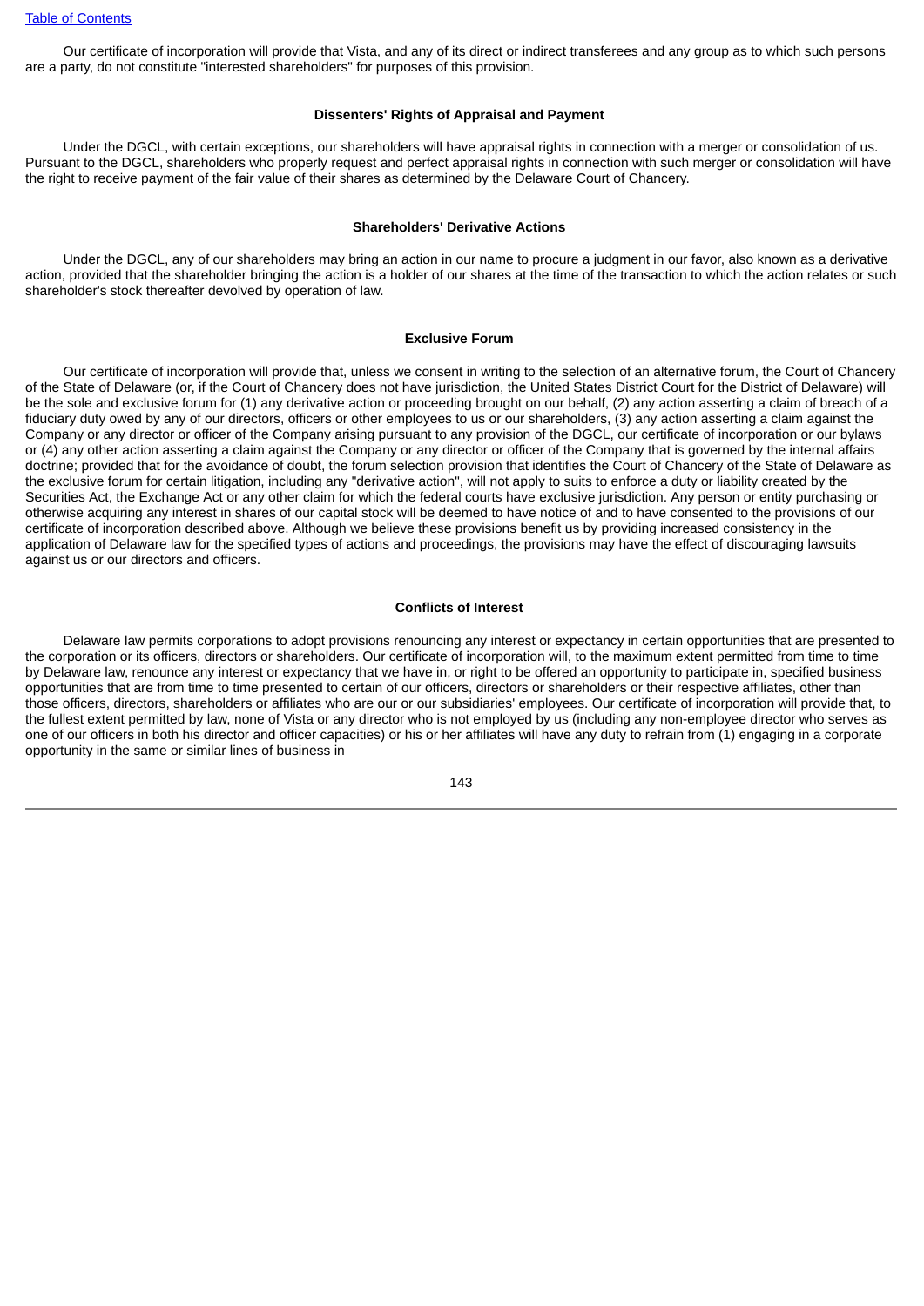Our certificate of incorporation will provide that Vista, and any of its direct or indirect transferees and any group as to which such persons are a party, do not constitute "interested shareholders" for purposes of this provision.

## **Dissenters' Rights of Appraisal and Payment**

 Under the DGCL, with certain exceptions, our shareholders will have appraisal rights in connection with a merger or consolidation of us. Pursuant to the DGCL, shareholders who properly request and perfect appraisal rights in connection with such merger or consolidation will have the right to receive payment of the fair value of their shares as determined by the Delaware Court of Chancery.

#### **Shareholders' Derivative Actions**

 Under the DGCL, any of our shareholders may bring an action in our name to procure a judgment in our favor, also known as a derivative action, provided that the shareholder bringing the action is a holder of our shares at the time of the transaction to which the action relates or such shareholder's stock thereafter devolved by operation of law.

#### **Exclusive Forum**

 Our certificate of incorporation will provide that, unless we consent in writing to the selection of an alternative forum, the Court of Chancery of the State of Delaware (or, if the Court of Chancery does not have jurisdiction, the United States District Court for the District of Delaware) will be the sole and exclusive forum for (1) any derivative action or proceeding brought on our behalf, (2) any action asserting a claim of breach of a fiduciary duty owed by any of our directors, officers or other employees to us or our shareholders, (3) any action asserting a claim against the Company or any director or officer of the Company arising pursuant to any provision of the DGCL, our certificate of incorporation or our bylaws or (4) any other action asserting a claim against the Company or any director or officer of the Company that is governed by the internal affairs doctrine; provided that for the avoidance of doubt, the forum selection provision that identifies the Court of Chancery of the State of Delaware as the exclusive forum for certain litigation, including any "derivative action", will not apply to suits to enforce a duty or liability created by the Securities Act, the Exchange Act or any other claim for which the federal courts have exclusive jurisdiction. Any person or entity purchasing or otherwise acquiring any interest in shares of our capital stock will be deemed to have notice of and to have consented to the provisions of our certificate of incorporation described above. Although we believe these provisions benefit us by providing increased consistency in the application of Delaware law for the specified types of actions and proceedings, the provisions may have the effect of discouraging lawsuits against us or our directors and officers.

#### **Conflicts of Interest**

 Delaware law permits corporations to adopt provisions renouncing any interest or expectancy in certain opportunities that are presented to the corporation or its officers, directors or shareholders. Our certificate of incorporation will, to the maximum extent permitted from time to time by Delaware law, renounce any interest or expectancy that we have in, or right to be offered an opportunity to participate in, specified business opportunities that are from time to time presented to certain of our officers, directors or shareholders or their respective affiliates, other than those officers, directors, shareholders or affiliates who are our or our subsidiaries' employees. Our certificate of incorporation will provide that, to the fullest extent permitted by law, none of Vista or any director who is not employed by us (including any non-employee director who serves as one of our officers in both his director and officer capacities) or his or her affiliates will have any duty to refrain from (1) engaging in a corporate opportunity in the same or similar lines of business in

143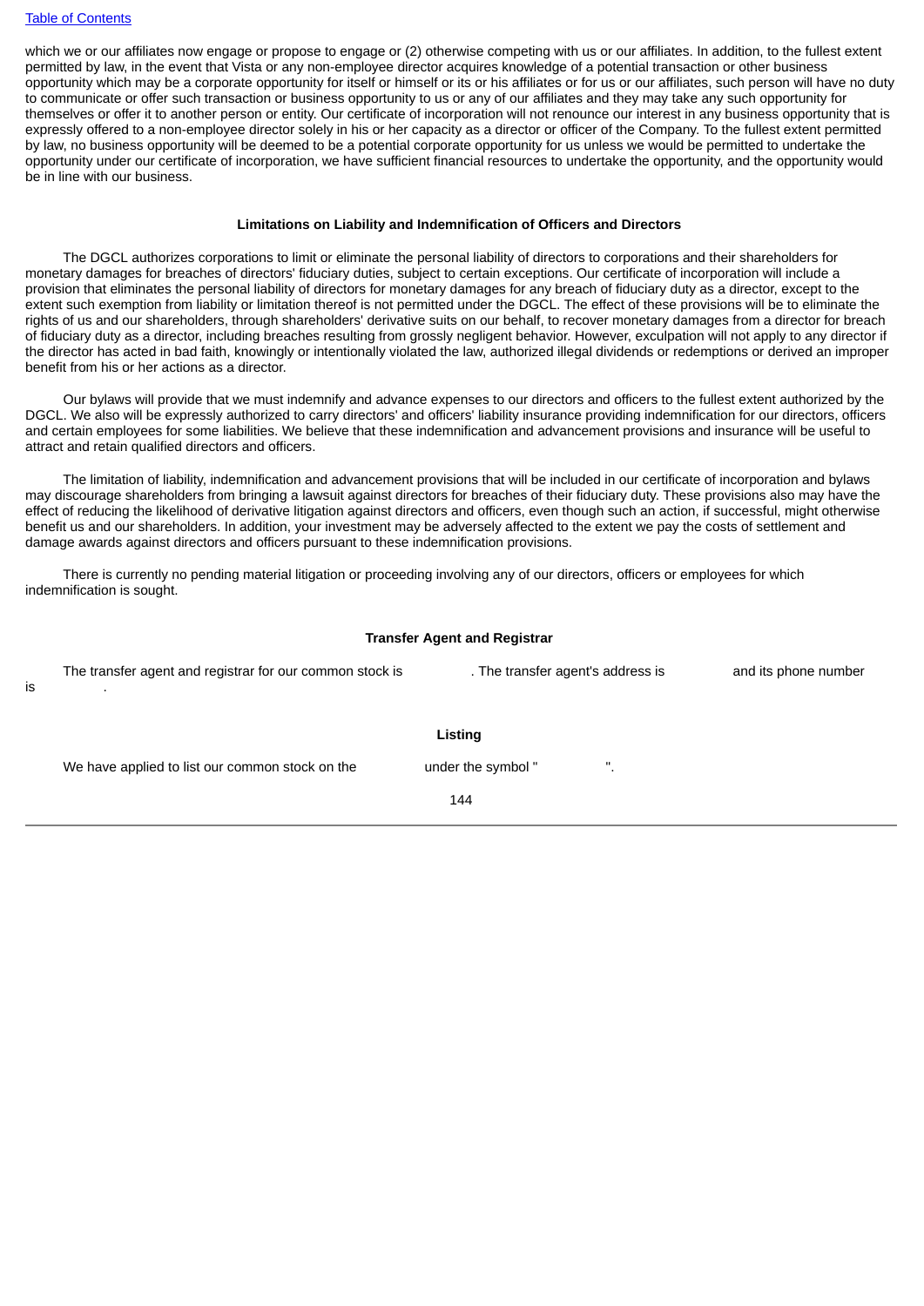#### [Table of Contents](#page-3-0)

which we or our affiliates now engage or propose to engage or (2) otherwise competing with us or our affiliates. In addition, to the fullest extent permitted by law, in the event that Vista or any non-employee director acquires knowledge of a potential transaction or other business opportunity which may be a corporate opportunity for itself or himself or its or his affiliates or for us or our affiliates, such person will have no duty to communicate or offer such transaction or business opportunity to us or any of our affiliates and they may take any such opportunity for themselves or offer it to another person or entity. Our certificate of incorporation will not renounce our interest in any business opportunity that is expressly offered to a non-employee director solely in his or her capacity as a director or officer of the Company. To the fullest extent permitted by law, no business opportunity will be deemed to be a potential corporate opportunity for us unless we would be permitted to undertake the opportunity under our certificate of incorporation, we have sufficient financial resources to undertake the opportunity, and the opportunity would be in line with our business.

## **Limitations on Liability and Indemnification of Officers and Directors**

 The DGCL authorizes corporations to limit or eliminate the personal liability of directors to corporations and their shareholders for monetary damages for breaches of directors' fiduciary duties, subject to certain exceptions. Our certificate of incorporation will include a provision that eliminates the personal liability of directors for monetary damages for any breach of fiduciary duty as a director, except to the extent such exemption from liability or limitation thereof is not permitted under the DGCL. The effect of these provisions will be to eliminate the rights of us and our shareholders, through shareholders' derivative suits on our behalf, to recover monetary damages from a director for breach of fiduciary duty as a director, including breaches resulting from grossly negligent behavior. However, exculpation will not apply to any director if the director has acted in bad faith, knowingly or intentionally violated the law, authorized illegal dividends or redemptions or derived an improper benefit from his or her actions as a director.

 Our bylaws will provide that we must indemnify and advance expenses to our directors and officers to the fullest extent authorized by the DGCL. We also will be expressly authorized to carry directors' and officers' liability insurance providing indemnification for our directors, officers and certain employees for some liabilities. We believe that these indemnification and advancement provisions and insurance will be useful to attract and retain qualified directors and officers.

 The limitation of liability, indemnification and advancement provisions that will be included in our certificate of incorporation and bylaws may discourage shareholders from bringing a lawsuit against directors for breaches of their fiduciary duty. These provisions also may have the effect of reducing the likelihood of derivative litigation against directors and officers, even though such an action, if successful, might otherwise benefit us and our shareholders. In addition, your investment may be adversely affected to the extent we pay the costs of settlement and damage awards against directors and officers pursuant to these indemnification provisions.

 There is currently no pending material litigation or proceeding involving any of our directors, officers or employees for which indemnification is sought.

|    | <b>Transfer Agent and Registrar</b>                                 |                                   |              |                      |  |  |  |
|----|---------------------------------------------------------------------|-----------------------------------|--------------|----------------------|--|--|--|
| is | The transfer agent and registrar for our common stock is<br>$\cdot$ | . The transfer agent's address is |              | and its phone number |  |  |  |
|    |                                                                     | Listing                           |              |                      |  |  |  |
|    | We have applied to list our common stock on the                     | under the symbol"                 | $\mathbf{H}$ |                      |  |  |  |
|    |                                                                     | 144                               |              |                      |  |  |  |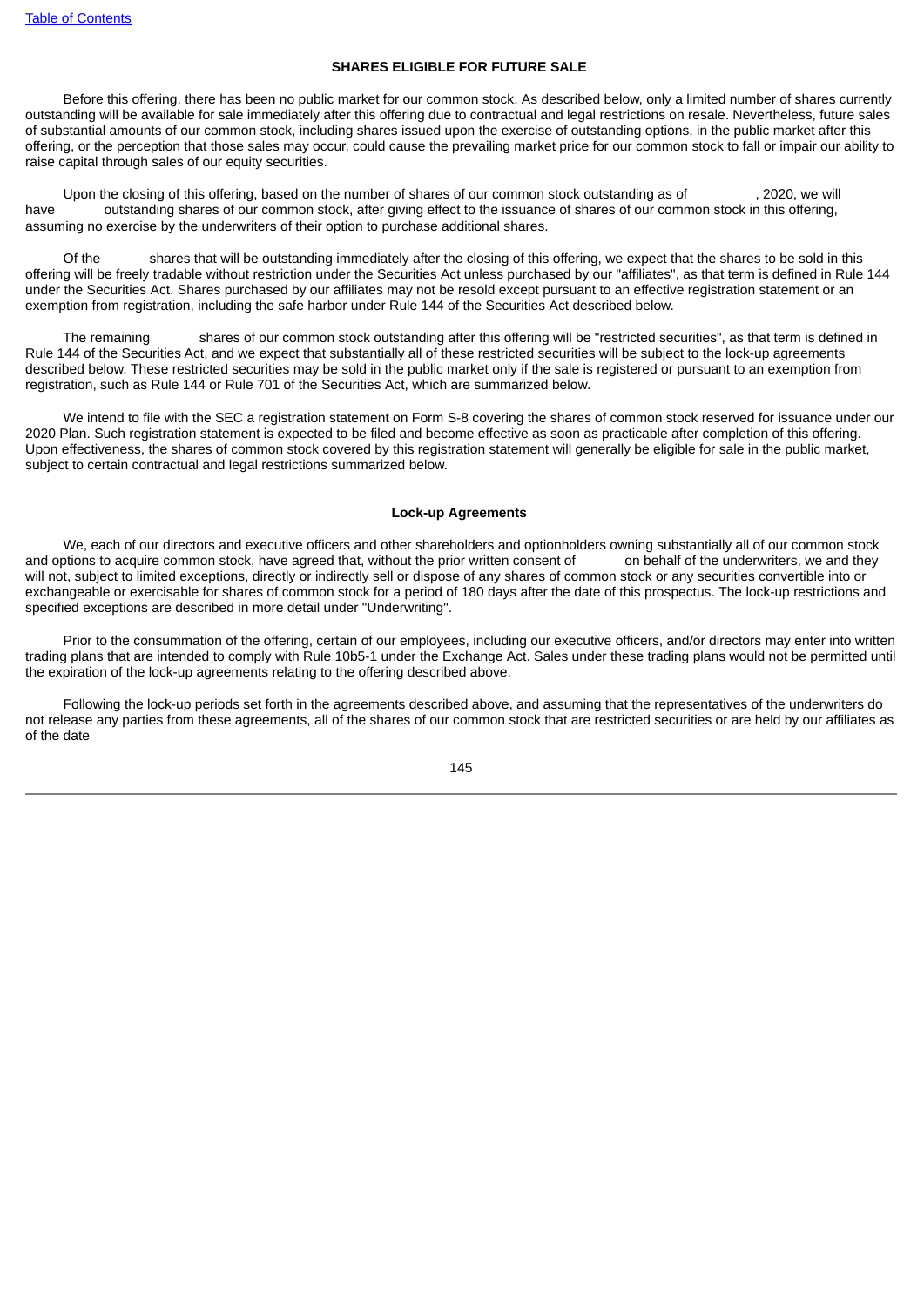## **SHARES ELIGIBLE FOR FUTURE SALE**

 Before this offering, there has been no public market for our common stock. As described below, only a limited number of shares currently outstanding will be available for sale immediately after this offering due to contractual and legal restrictions on resale. Nevertheless, future sales of substantial amounts of our common stock, including shares issued upon the exercise of outstanding options, in the public market after this offering, or the perception that those sales may occur, could cause the prevailing market price for our common stock to fall or impair our ability to raise capital through sales of our equity securities.

Upon the closing of this offering, based on the number of shares of our common stock outstanding as of , 2020, we will have outstanding shares of our common stock, after giving effect to the issuance of shares of our common stock in this offering, assuming no exercise by the underwriters of their option to purchase additional shares.

 Of the shares that will be outstanding immediately after the closing of this offering, we expect that the shares to be sold in this offering will be freely tradable without restriction under the Securities Act unless purchased by our "affiliates", as that term is defined in Rule 144 under the Securities Act. Shares purchased by our affiliates may not be resold except pursuant to an effective registration statement or an exemption from registration, including the safe harbor under Rule 144 of the Securities Act described below.

 The remaining shares of our common stock outstanding after this offering will be "restricted securities", as that term is defined in Rule 144 of the Securities Act, and we expect that substantially all of these restricted securities will be subject to the lock-up agreements described below. These restricted securities may be sold in the public market only if the sale is registered or pursuant to an exemption from registration, such as Rule 144 or Rule 701 of the Securities Act, which are summarized below.

 We intend to file with the SEC a registration statement on Form S-8 covering the shares of common stock reserved for issuance under our 2020 Plan. Such registration statement is expected to be filed and become effective as soon as practicable after completion of this offering. Upon effectiveness, the shares of common stock covered by this registration statement will generally be eligible for sale in the public market, subject to certain contractual and legal restrictions summarized below.

#### **Lock-up Agreements**

 We, each of our directors and executive officers and other shareholders and optionholders owning substantially all of our common stock and options to acquire common stock, have agreed that, without the prior written consent of on behalf of the underwriters, we and they will not, subject to limited exceptions, directly or indirectly sell or dispose of any shares of common stock or any securities convertible into or exchangeable or exercisable for shares of common stock for a period of 180 days after the date of this prospectus. The lock-up restrictions and specified exceptions are described in more detail under "Underwriting".

 Prior to the consummation of the offering, certain of our employees, including our executive officers, and/or directors may enter into written trading plans that are intended to comply with Rule 10b5-1 under the Exchange Act. Sales under these trading plans would not be permitted until the expiration of the lock-up agreements relating to the offering described above.

 Following the lock-up periods set forth in the agreements described above, and assuming that the representatives of the underwriters do not release any parties from these agreements, all of the shares of our common stock that are restricted securities or are held by our affiliates as of the date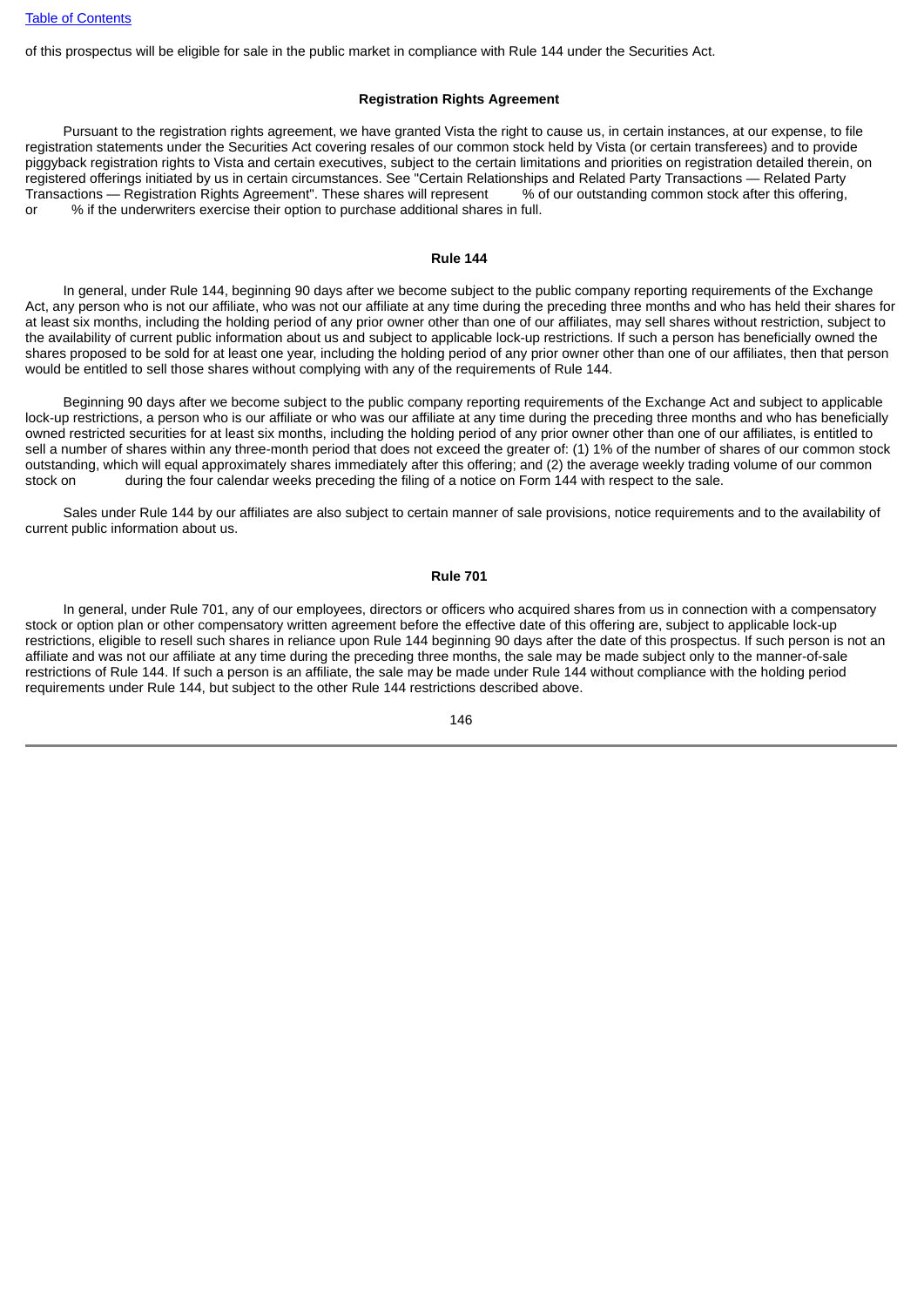of this prospectus will be eligible for sale in the public market in compliance with Rule 144 under the Securities Act.

#### **Registration Rights Agreement**

 Pursuant to the registration rights agreement, we have granted Vista the right to cause us, in certain instances, at our expense, to file registration statements under the Securities Act covering resales of our common stock held by Vista (or certain transferees) and to provide piggyback registration rights to Vista and certain executives, subject to the certain limitations and priorities on registration detailed therein, on registered offerings initiated by us in certain circumstances. See "Certain Relationships and Related Party Transactions — Related Party Transactions — Related Party Transactions — Registration Rights Agreement". These sha Transactions — Registration Rights Agreement". These shares will represent or % if the underwriters exercise their option to purchase additional shares in full.

## **Rule 144**

 In general, under Rule 144, beginning 90 days after we become subject to the public company reporting requirements of the Exchange Act, any person who is not our affiliate, who was not our affiliate at any time during the preceding three months and who has held their shares for at least six months, including the holding period of any prior owner other than one of our affiliates, may sell shares without restriction, subject to the availability of current public information about us and subject to applicable lock-up restrictions. If such a person has beneficially owned the shares proposed to be sold for at least one year, including the holding period of any prior owner other than one of our affiliates, then that person would be entitled to sell those shares without complying with any of the requirements of Rule 144.

 Beginning 90 days after we become subject to the public company reporting requirements of the Exchange Act and subject to applicable lock-up restrictions, a person who is our affiliate or who was our affiliate at any time during the preceding three months and who has beneficially owned restricted securities for at least six months, including the holding period of any prior owner other than one of our affiliates, is entitled to sell a number of shares within any three-month period that does not exceed the greater of: (1) 1% of the number of shares of our common stock outstanding, which will equal approximately shares immediately after this offering; and (2) the average weekly trading volume of our common stock on during the four calendar weeks preceding the filing of a notice on Form 144 with respect to the sale.

 Sales under Rule 144 by our affiliates are also subject to certain manner of sale provisions, notice requirements and to the availability of current public information about us.

#### **Rule 701**

 In general, under Rule 701, any of our employees, directors or officers who acquired shares from us in connection with a compensatory stock or option plan or other compensatory written agreement before the effective date of this offering are, subject to applicable lock-up restrictions, eligible to resell such shares in reliance upon Rule 144 beginning 90 days after the date of this prospectus. If such person is not an affiliate and was not our affiliate at any time during the preceding three months, the sale may be made subject only to the manner-of-sale restrictions of Rule 144. If such a person is an affiliate, the sale may be made under Rule 144 without compliance with the holding period requirements under Rule 144, but subject to the other Rule 144 restrictions described above.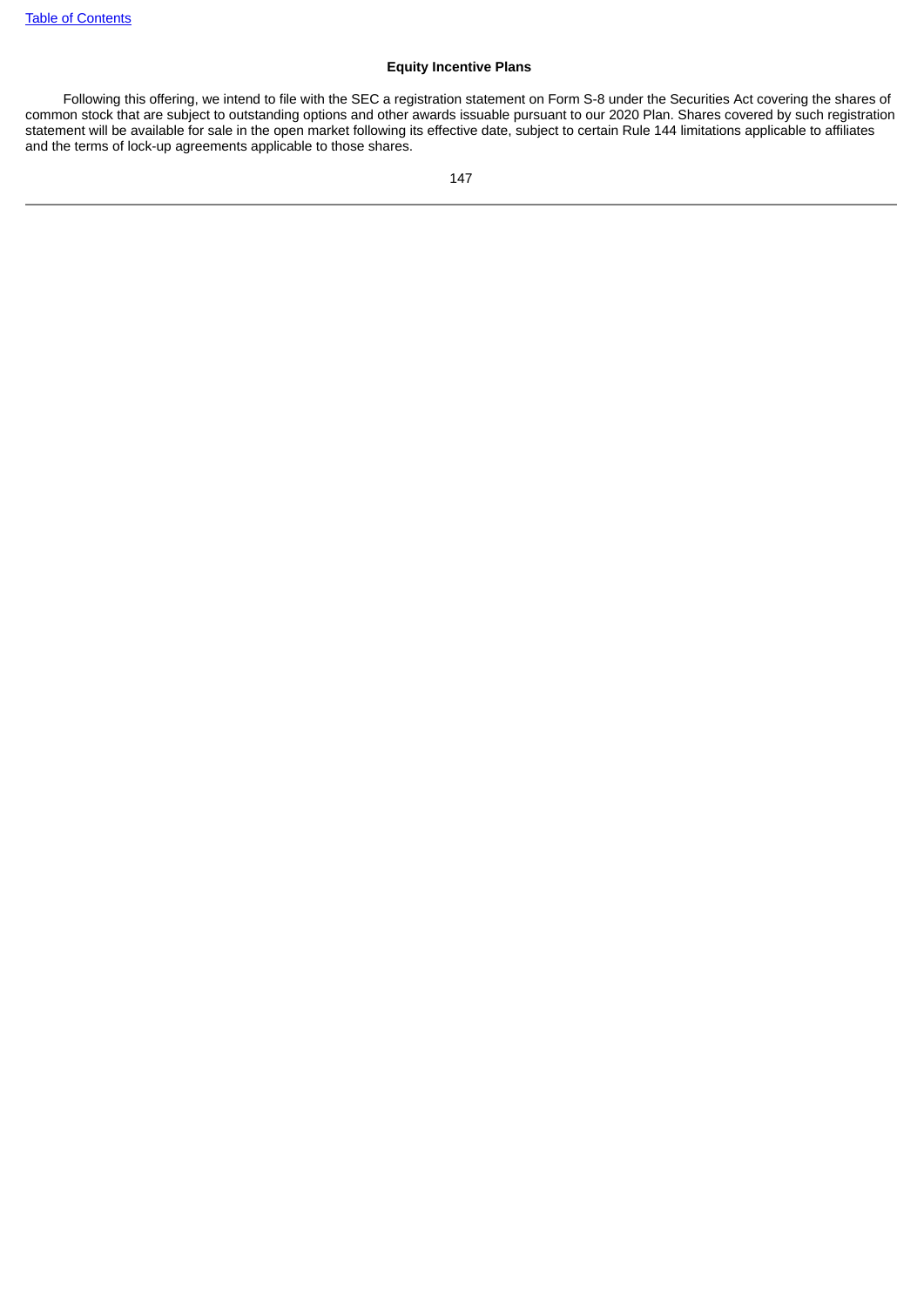# **Equity Incentive Plans**

 Following this offering, we intend to file with the SEC a registration statement on Form S-8 under the Securities Act covering the shares of common stock that are subject to outstanding options and other awards issuable pursuant to our 2020 Plan. Shares covered by such registration statement will be available for sale in the open market following its effective date, subject to certain Rule 144 limitations applicable to affiliates and the terms of lock-up agreements applicable to those shares.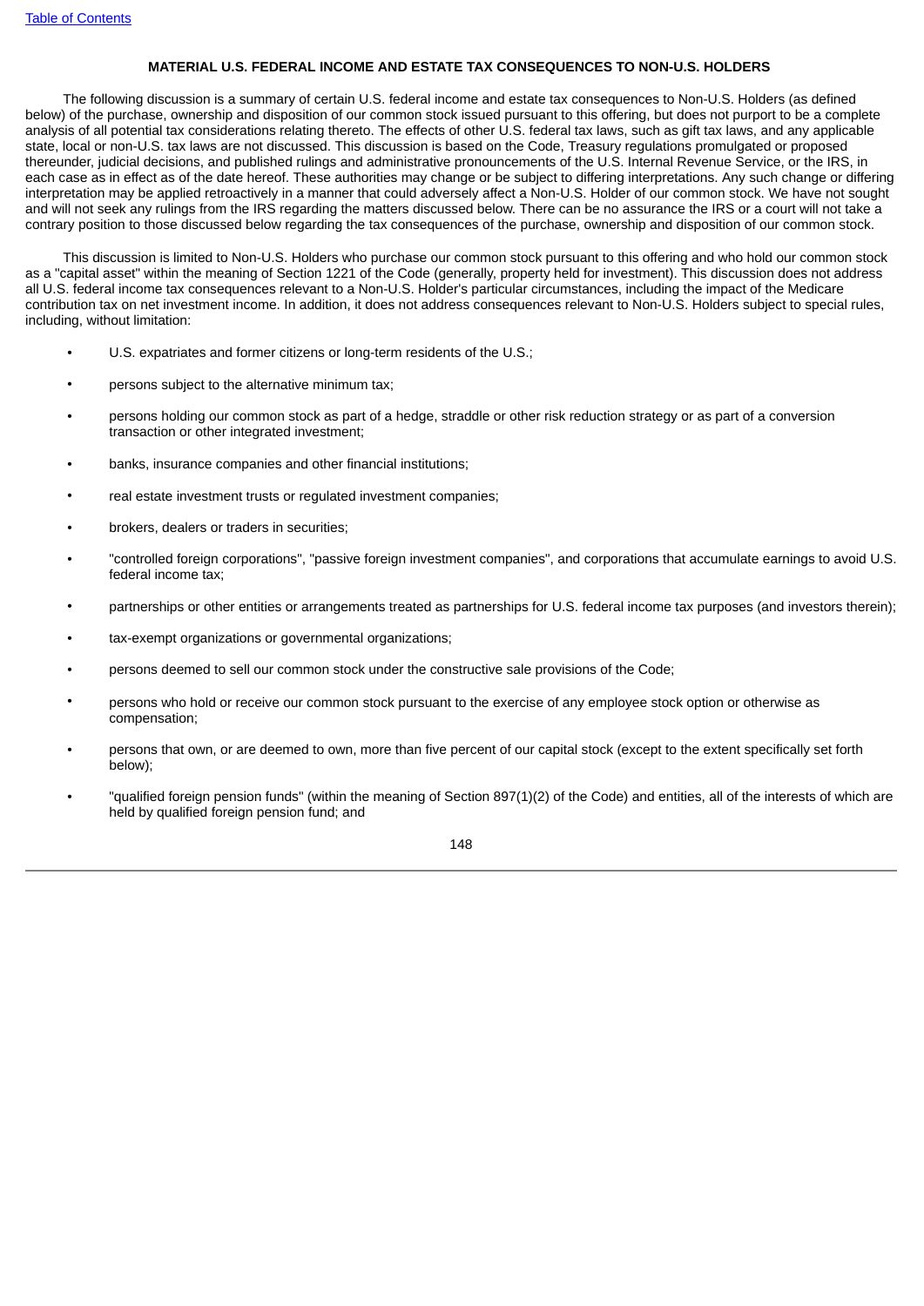## **MATERIAL U.S. FEDERAL INCOME AND ESTATE TAX CONSEQUENCES TO NON-U.S. HOLDERS**

 The following discussion is a summary of certain U.S. federal income and estate tax consequences to Non-U.S. Holders (as defined below) of the purchase, ownership and disposition of our common stock issued pursuant to this offering, but does not purport to be a complete analysis of all potential tax considerations relating thereto. The effects of other U.S. federal tax laws, such as gift tax laws, and any applicable state, local or non-U.S. tax laws are not discussed. This discussion is based on the Code, Treasury regulations promulgated or proposed thereunder, judicial decisions, and published rulings and administrative pronouncements of the U.S. Internal Revenue Service, or the IRS, in each case as in effect as of the date hereof. These authorities may change or be subject to differing interpretations. Any such change or differing interpretation may be applied retroactively in a manner that could adversely affect a Non-U.S. Holder of our common stock. We have not sought and will not seek any rulings from the IRS regarding the matters discussed below. There can be no assurance the IRS or a court will not take a contrary position to those discussed below regarding the tax consequences of the purchase, ownership and disposition of our common stock.

 This discussion is limited to Non-U.S. Holders who purchase our common stock pursuant to this offering and who hold our common stock as a "capital asset" within the meaning of Section 1221 of the Code (generally, property held for investment). This discussion does not address all U.S. federal income tax consequences relevant to a Non-U.S. Holder's particular circumstances, including the impact of the Medicare contribution tax on net investment income. In addition, it does not address consequences relevant to Non-U.S. Holders subject to special rules, including, without limitation:

- U.S. expatriates and former citizens or long-term residents of the U.S.;
- persons subject to the alternative minimum tax;
- persons holding our common stock as part of a hedge, straddle or other risk reduction strategy or as part of a conversion transaction or other integrated investment;
- banks, insurance companies and other financial institutions;
- real estate investment trusts or regulated investment companies;
- brokers, dealers or traders in securities;
- "controlled foreign corporations", "passive foreign investment companies", and corporations that accumulate earnings to avoid U.S. federal income tax:
- partnerships or other entities or arrangements treated as partnerships for U.S. federal income tax purposes (and investors therein);
- tax-exempt organizations or governmental organizations;
- persons deemed to sell our common stock under the constructive sale provisions of the Code;
- persons who hold or receive our common stock pursuant to the exercise of any employee stock option or otherwise as compensation;
- persons that own, or are deemed to own, more than five percent of our capital stock (except to the extent specifically set forth below);
- "qualified foreign pension funds" (within the meaning of Section 897(1)(2) of the Code) and entities, all of the interests of which are held by qualified foreign pension fund; and

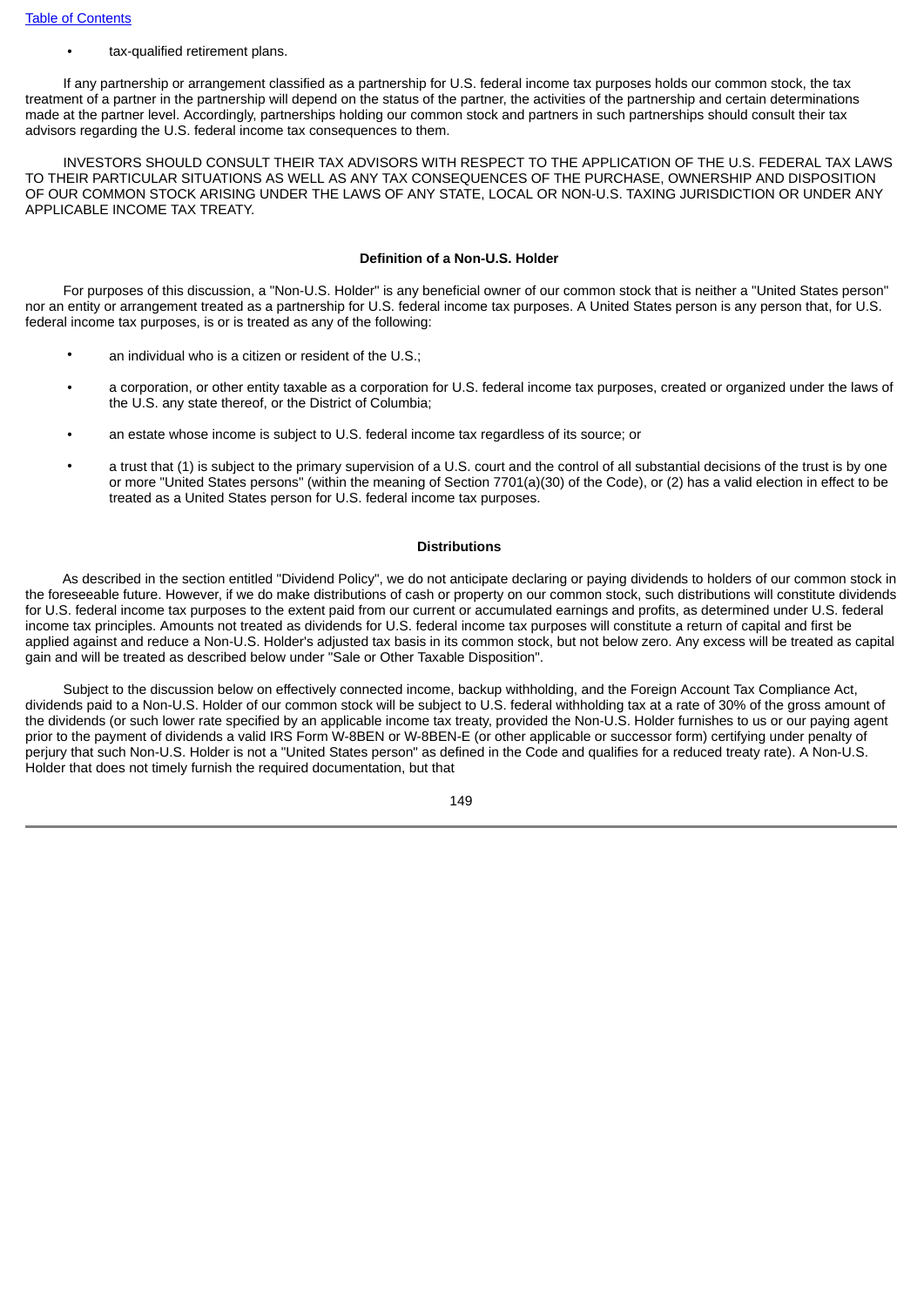• tax-qualified retirement plans.

 If any partnership or arrangement classified as a partnership for U.S. federal income tax purposes holds our common stock, the tax treatment of a partner in the partnership will depend on the status of the partner, the activities of the partnership and certain determinations made at the partner level. Accordingly, partnerships holding our common stock and partners in such partnerships should consult their tax advisors regarding the U.S. federal income tax consequences to them.

 INVESTORS SHOULD CONSULT THEIR TAX ADVISORS WITH RESPECT TO THE APPLICATION OF THE U.S. FEDERAL TAX LAWS TO THEIR PARTICULAR SITUATIONS AS WELL AS ANY TAX CONSEQUENCES OF THE PURCHASE, OWNERSHIP AND DISPOSITION OF OUR COMMON STOCK ARISING UNDER THE LAWS OF ANY STATE, LOCAL OR NON-U.S. TAXING JURISDICTION OR UNDER ANY APPLICABLE INCOME TAX TREATY.

#### **Definition of a Non-U.S. Holder**

 For purposes of this discussion, a "Non-U.S. Holder" is any beneficial owner of our common stock that is neither a "United States person" nor an entity or arrangement treated as a partnership for U.S. federal income tax purposes. A United States person is any person that, for U.S. federal income tax purposes, is or is treated as any of the following:

- an individual who is a citizen or resident of the U.S.;
- a corporation, or other entity taxable as a corporation for U.S. federal income tax purposes, created or organized under the laws of the U.S. any state thereof, or the District of Columbia;
- an estate whose income is subject to U.S. federal income tax regardless of its source; or
- a trust that (1) is subject to the primary supervision of a U.S. court and the control of all substantial decisions of the trust is by one or more "United States persons" (within the meaning of Section 7701(a)(30) of the Code), or (2) has a valid election in effect to be treated as a United States person for U.S. federal income tax purposes.

#### **Distributions**

 As described in the section entitled "Dividend Policy", we do not anticipate declaring or paying dividends to holders of our common stock in the foreseeable future. However, if we do make distributions of cash or property on our common stock, such distributions will constitute dividends for U.S. federal income tax purposes to the extent paid from our current or accumulated earnings and profits, as determined under U.S. federal income tax principles. Amounts not treated as dividends for U.S. federal income tax purposes will constitute a return of capital and first be applied against and reduce a Non-U.S. Holder's adjusted tax basis in its common stock, but not below zero. Any excess will be treated as capital gain and will be treated as described below under "Sale or Other Taxable Disposition".

Subject to the discussion below on effectively connected income, backup withholding, and the Foreign Account Tax Compliance Act, dividends paid to a Non-U.S. Holder of our common stock will be subject to U.S. federal withholding tax at a rate of 30% of the gross amount of the dividends (or such lower rate specified by an applicable income tax treaty, provided the Non-U.S. Holder furnishes to us or our paying agent prior to the payment of dividends a valid IRS Form W-8BEN or W-8BEN-E (or other applicable or successor form) certifying under penalty of perjury that such Non-U.S. Holder is not a "United States person" as defined in the Code and qualifies for a reduced treaty rate). A Non-U.S. Holder that does not timely furnish the required documentation, but that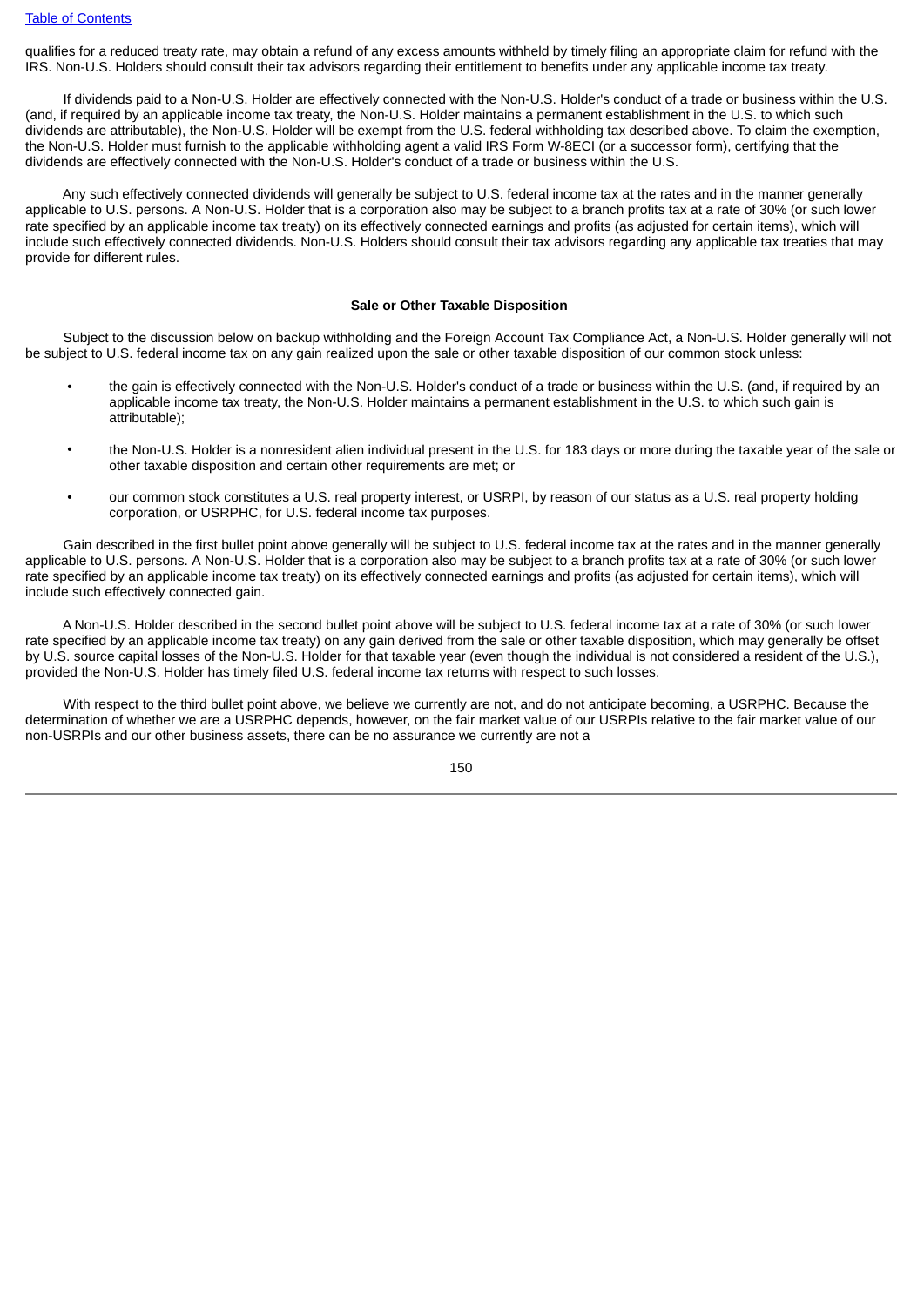qualifies for a reduced treaty rate, may obtain a refund of any excess amounts withheld by timely filing an appropriate claim for refund with the IRS. Non-U.S. Holders should consult their tax advisors regarding their entitlement to benefits under any applicable income tax treaty.

 If dividends paid to a Non-U.S. Holder are effectively connected with the Non-U.S. Holder's conduct of a trade or business within the U.S. (and, if required by an applicable income tax treaty, the Non-U.S. Holder maintains a permanent establishment in the U.S. to which such dividends are attributable), the Non-U.S. Holder will be exempt from the U.S. federal withholding tax described above. To claim the exemption, the Non-U.S. Holder must furnish to the applicable withholding agent a valid IRS Form W-8ECI (or a successor form), certifying that the dividends are effectively connected with the Non-U.S. Holder's conduct of a trade or business within the U.S.

 Any such effectively connected dividends will generally be subject to U.S. federal income tax at the rates and in the manner generally applicable to U.S. persons. A Non-U.S. Holder that is a corporation also may be subject to a branch profits tax at a rate of 30% (or such lower rate specified by an applicable income tax treaty) on its effectively connected earnings and profits (as adjusted for certain items), which will include such effectively connected dividends. Non-U.S. Holders should consult their tax advisors regarding any applicable tax treaties that may provide for different rules.

#### **Sale or Other Taxable Disposition**

 Subject to the discussion below on backup withholding and the Foreign Account Tax Compliance Act, a Non-U.S. Holder generally will not be subject to U.S. federal income tax on any gain realized upon the sale or other taxable disposition of our common stock unless:

- the gain is effectively connected with the Non-U.S. Holder's conduct of a trade or business within the U.S. (and, if required by an applicable income tax treaty, the Non-U.S. Holder maintains a permanent establishment in the U.S. to which such gain is attributable);
- the Non-U.S. Holder is a nonresident alien individual present in the U.S. for 183 days or more during the taxable year of the sale or other taxable disposition and certain other requirements are met; or
- our common stock constitutes a U.S. real property interest, or USRPI, by reason of our status as a U.S. real property holding corporation, or USRPHC, for U.S. federal income tax purposes.

 Gain described in the first bullet point above generally will be subject to U.S. federal income tax at the rates and in the manner generally applicable to U.S. persons. A Non-U.S. Holder that is a corporation also may be subject to a branch profits tax at a rate of 30% (or such lower rate specified by an applicable income tax treaty) on its effectively connected earnings and profits (as adjusted for certain items), which will include such effectively connected gain.

 A Non-U.S. Holder described in the second bullet point above will be subject to U.S. federal income tax at a rate of 30% (or such lower rate specified by an applicable income tax treaty) on any gain derived from the sale or other taxable disposition, which may generally be offset by U.S. source capital losses of the Non-U.S. Holder for that taxable year (even though the individual is not considered a resident of the U.S.), provided the Non-U.S. Holder has timely filed U.S. federal income tax returns with respect to such losses.

 With respect to the third bullet point above, we believe we currently are not, and do not anticipate becoming, a USRPHC. Because the determination of whether we are a USRPHC depends, however, on the fair market value of our USRPIs relative to the fair market value of our non-USRPIs and our other business assets, there can be no assurance we currently are not a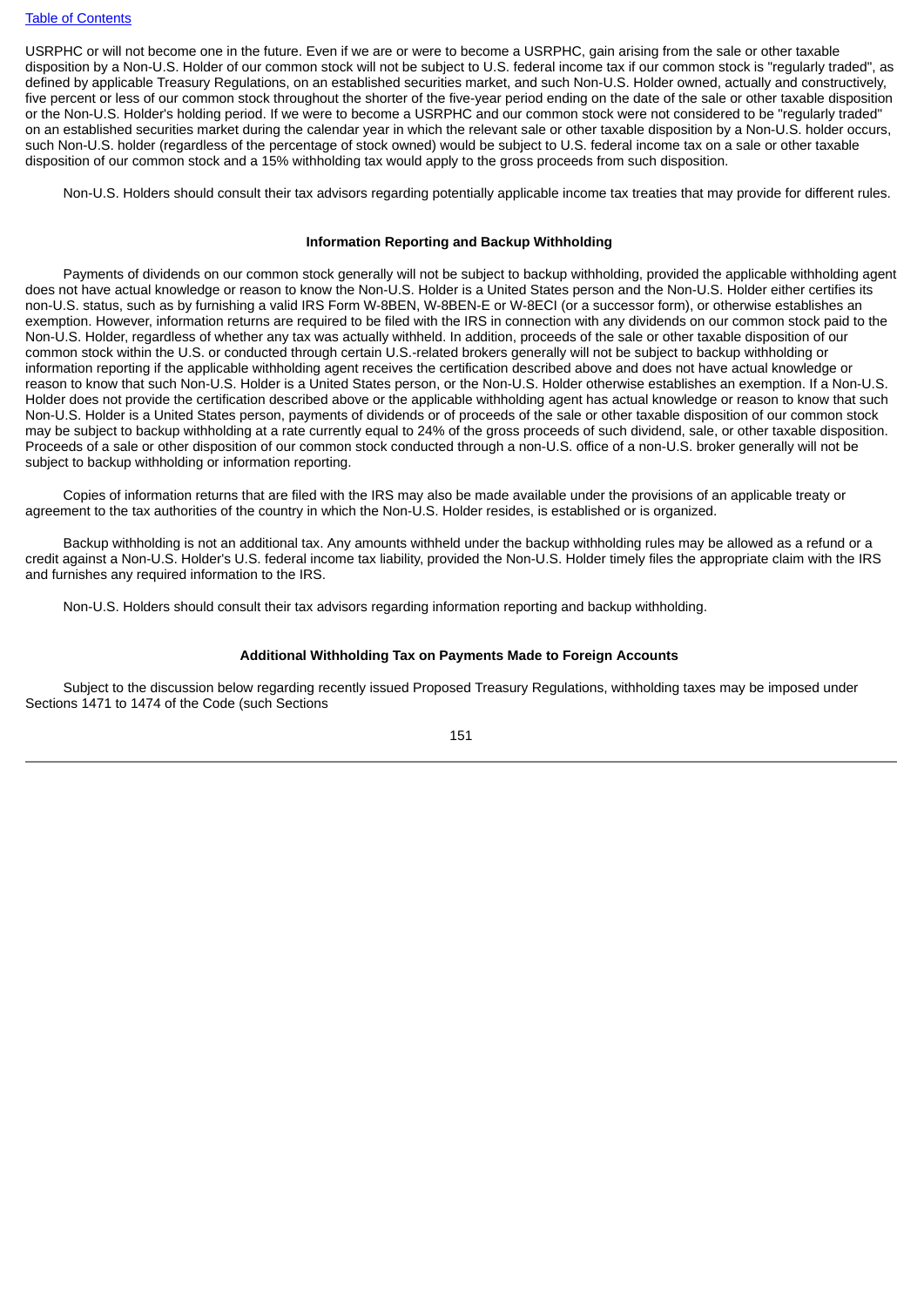USRPHC or will not become one in the future. Even if we are or were to become a USRPHC, gain arising from the sale or other taxable disposition by a Non-U.S. Holder of our common stock will not be subject to U.S. federal income tax if our common stock is "regularly traded", as defined by applicable Treasury Regulations, on an established securities market, and such Non-U.S. Holder owned, actually and constructively, five percent or less of our common stock throughout the shorter of the five-year period ending on the date of the sale or other taxable disposition or the Non-U.S. Holder's holding period. If we were to become a USRPHC and our common stock were not considered to be "regularly traded" on an established securities market during the calendar year in which the relevant sale or other taxable disposition by a Non-U.S. holder occurs, such Non-U.S. holder (regardless of the percentage of stock owned) would be subject to U.S. federal income tax on a sale or other taxable disposition of our common stock and a 15% withholding tax would apply to the gross proceeds from such disposition.

Non-U.S. Holders should consult their tax advisors regarding potentially applicable income tax treaties that may provide for different rules.

## **Information Reporting and Backup Withholding**

 Payments of dividends on our common stock generally will not be subject to backup withholding, provided the applicable withholding agent does not have actual knowledge or reason to know the Non-U.S. Holder is a United States person and the Non-U.S. Holder either certifies its non-U.S. status, such as by furnishing a valid IRS Form W-8BEN, W-8BEN-E or W-8ECI (or a successor form), or otherwise establishes an exemption. However, information returns are required to be filed with the IRS in connection with any dividends on our common stock paid to the Non-U.S. Holder, regardless of whether any tax was actually withheld. In addition, proceeds of the sale or other taxable disposition of our common stock within the U.S. or conducted through certain U.S.-related brokers generally will not be subject to backup withholding or information reporting if the applicable withholding agent receives the certification described above and does not have actual knowledge or reason to know that such Non-U.S. Holder is a United States person, or the Non-U.S. Holder otherwise establishes an exemption. If a Non-U.S. Holder does not provide the certification described above or the applicable withholding agent has actual knowledge or reason to know that such Non-U.S. Holder is a United States person, payments of dividends or of proceeds of the sale or other taxable disposition of our common stock may be subject to backup withholding at a rate currently equal to 24% of the gross proceeds of such dividend, sale, or other taxable disposition. Proceeds of a sale or other disposition of our common stock conducted through a non-U.S. office of a non-U.S. broker generally will not be subject to backup withholding or information reporting.

 Copies of information returns that are filed with the IRS may also be made available under the provisions of an applicable treaty or agreement to the tax authorities of the country in which the Non-U.S. Holder resides, is established or is organized.

 Backup withholding is not an additional tax. Any amounts withheld under the backup withholding rules may be allowed as a refund or a credit against a Non-U.S. Holder's U.S. federal income tax liability, provided the Non-U.S. Holder timely files the appropriate claim with the IRS and furnishes any required information to the IRS.

Non-U.S. Holders should consult their tax advisors regarding information reporting and backup withholding.

## **Additional Withholding Tax on Payments Made to Foreign Accounts**

 Subject to the discussion below regarding recently issued Proposed Treasury Regulations, withholding taxes may be imposed under Sections 1471 to 1474 of the Code (such Sections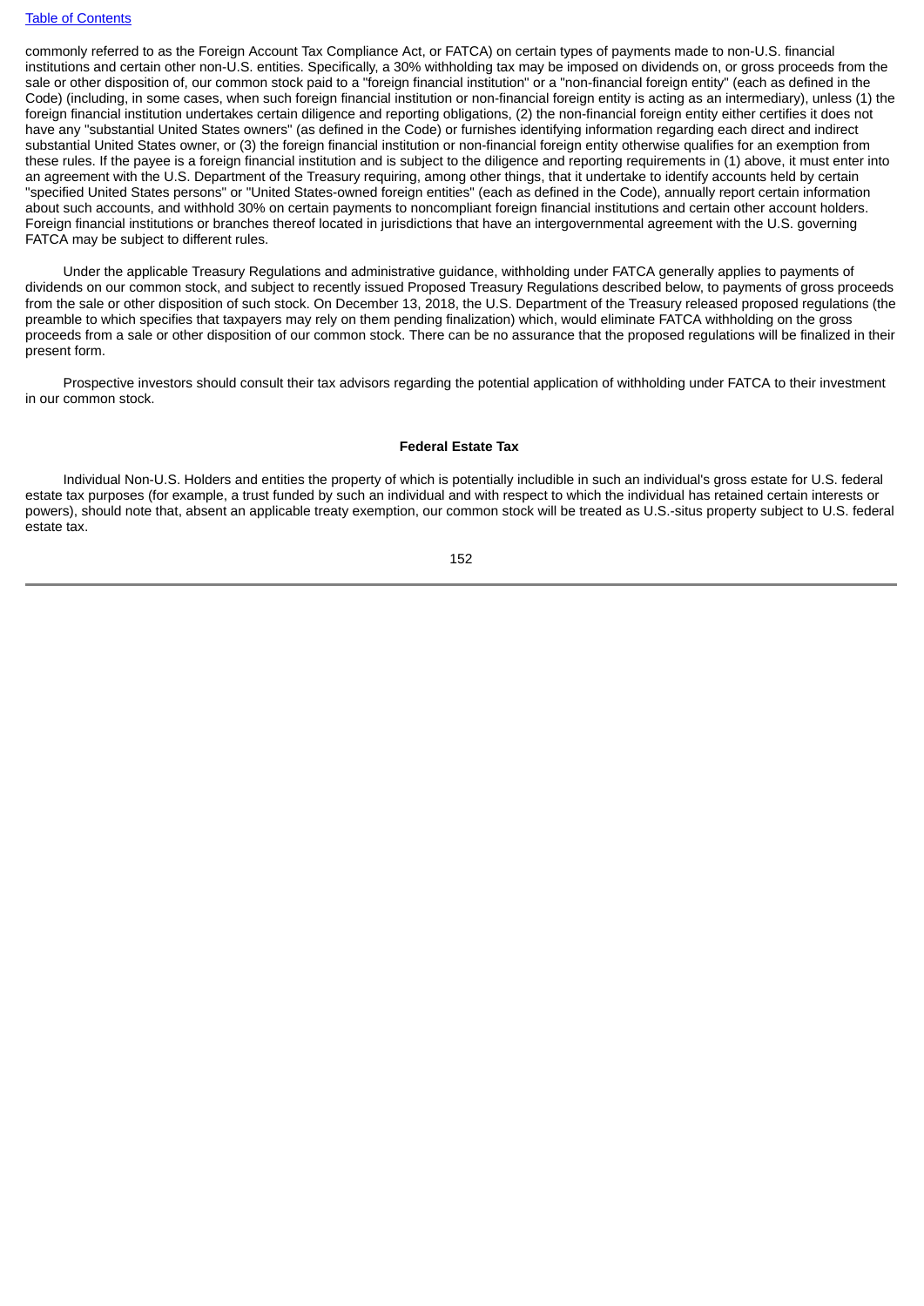#### [Table of Contents](#page-3-0)

commonly referred to as the Foreign Account Tax Compliance Act, or FATCA) on certain types of payments made to non-U.S. financial institutions and certain other non-U.S. entities. Specifically, a 30% withholding tax may be imposed on dividends on, or gross proceeds from the sale or other disposition of, our common stock paid to a "foreign financial institution" or a "non-financial foreign entity" (each as defined in the Code) (including, in some cases, when such foreign financial institution or non-financial foreign entity is acting as an intermediary), unless (1) the foreign financial institution undertakes certain diligence and reporting obligations, (2) the non-financial foreign entity either certifies it does not have any "substantial United States owners" (as defined in the Code) or furnishes identifying information regarding each direct and indirect substantial United States owner, or (3) the foreign financial institution or non-financial foreign entity otherwise qualifies for an exemption from these rules. If the payee is a foreign financial institution and is subject to the diligence and reporting requirements in (1) above, it must enter into an agreement with the U.S. Department of the Treasury requiring, among other things, that it undertake to identify accounts held by certain "specified United States persons" or "United States-owned foreign entities" (each as defined in the Code), annually report certain information about such accounts, and withhold 30% on certain payments to noncompliant foreign financial institutions and certain other account holders. Foreign financial institutions or branches thereof located in jurisdictions that have an intergovernmental agreement with the U.S. governing FATCA may be subject to different rules.

 Under the applicable Treasury Regulations and administrative guidance, withholding under FATCA generally applies to payments of dividends on our common stock, and subject to recently issued Proposed Treasury Regulations described below, to payments of gross proceeds from the sale or other disposition of such stock. On December 13, 2018, the U.S. Department of the Treasury released proposed regulations (the preamble to which specifies that taxpayers may rely on them pending finalization) which, would eliminate FATCA withholding on the gross proceeds from a sale or other disposition of our common stock. There can be no assurance that the proposed regulations will be finalized in their present form.

 Prospective investors should consult their tax advisors regarding the potential application of withholding under FATCA to their investment in our common stock.

#### **Federal Estate Tax**

 Individual Non-U.S. Holders and entities the property of which is potentially includible in such an individual's gross estate for U.S. federal estate tax purposes (for example, a trust funded by such an individual and with respect to which the individual has retained certain interests or powers), should note that, absent an applicable treaty exemption, our common stock will be treated as U.S.-situs property subject to U.S. federal estate tax.

$$
152 \\
$$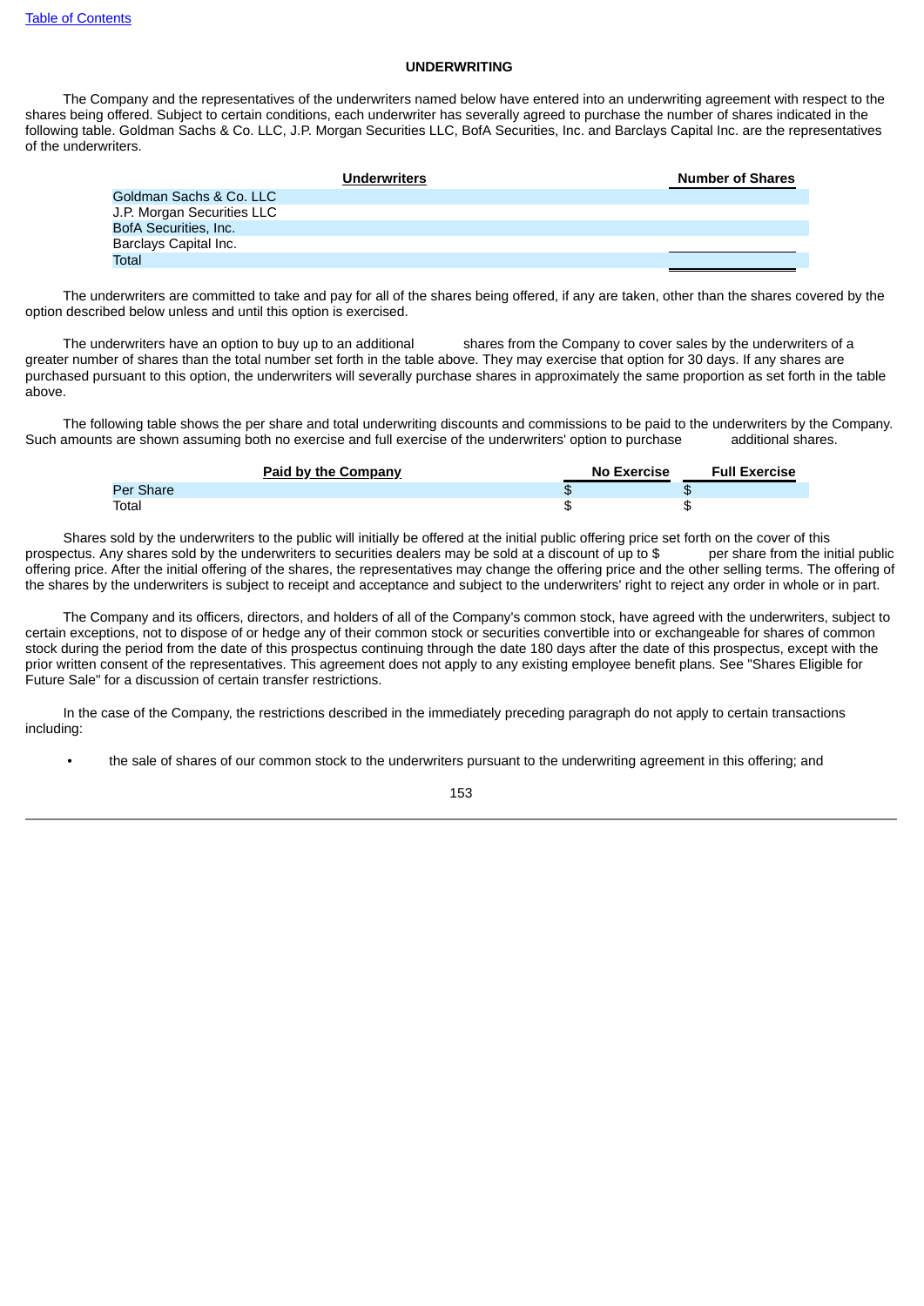## **UNDERWRITING**

 The Company and the representatives of the underwriters named below have entered into an underwriting agreement with respect to the shares being offered. Subject to certain conditions, each underwriter has severally agreed to purchase the number of shares indicated in the following table. Goldman Sachs & Co. LLC, J.P. Morgan Securities LLC, BofA Securities, Inc. and Barclays Capital Inc. are the representatives of the underwriters.

|                            | <b>Underwriters</b> | <b>Number of Shares</b> |
|----------------------------|---------------------|-------------------------|
| Goldman Sachs & Co. LLC    |                     |                         |
| J.P. Morgan Securities LLC |                     |                         |
| BofA Securities, Inc.      |                     |                         |
| Barclays Capital Inc.      |                     |                         |
| <b>Total</b>               |                     |                         |

 The underwriters are committed to take and pay for all of the shares being offered, if any are taken, other than the shares covered by the option described below unless and until this option is exercised.

 The underwriters have an option to buy up to an additional shares from the Company to cover sales by the underwriters of a greater number of shares than the total number set forth in the table above. They may exercise that option for 30 days. If any shares are purchased pursuant to this option, the underwriters will severally purchase shares in approximately the same proportion as set forth in the table above.

 The following table shows the per share and total underwriting discounts and commissions to be paid to the underwriters by the Company. Such amounts are shown assuming both no exercise and full exercise of the underwriters' option to purchase additional shares.

| Paid by the Company | <b>No Exercise</b> | <b>Full Exercise</b> |
|---------------------|--------------------|----------------------|
| Per Share           |                    |                      |
| Total               |                    |                      |

Shares sold by the underwriters to the public will initially be offered at the initial public offering price set forth on the cover of this ectus. Any shares sold by the underwriters to securities dealers may be sold at a prospectus. Any shares sold by the underwriters to securities dealers may be sold at a discount of up to  $$$ offering price. After the initial offering of the shares, the representatives may change the offering price and the other selling terms. The offering of the shares by the underwriters is subject to receipt and acceptance and subject to the underwriters' right to reject any order in whole or in part.

 The Company and its officers, directors, and holders of all of the Company's common stock, have agreed with the underwriters, subject to certain exceptions, not to dispose of or hedge any of their common stock or securities convertible into or exchangeable for shares of common stock during the period from the date of this prospectus continuing through the date 180 days after the date of this prospectus, except with the prior written consent of the representatives. This agreement does not apply to any existing employee benefit plans. See "Shares Eligible for Future Sale" for a discussion of certain transfer restrictions.

 In the case of the Company, the restrictions described in the immediately preceding paragraph do not apply to certain transactions including:

• the sale of shares of our common stock to the underwriters pursuant to the underwriting agreement in this offering; and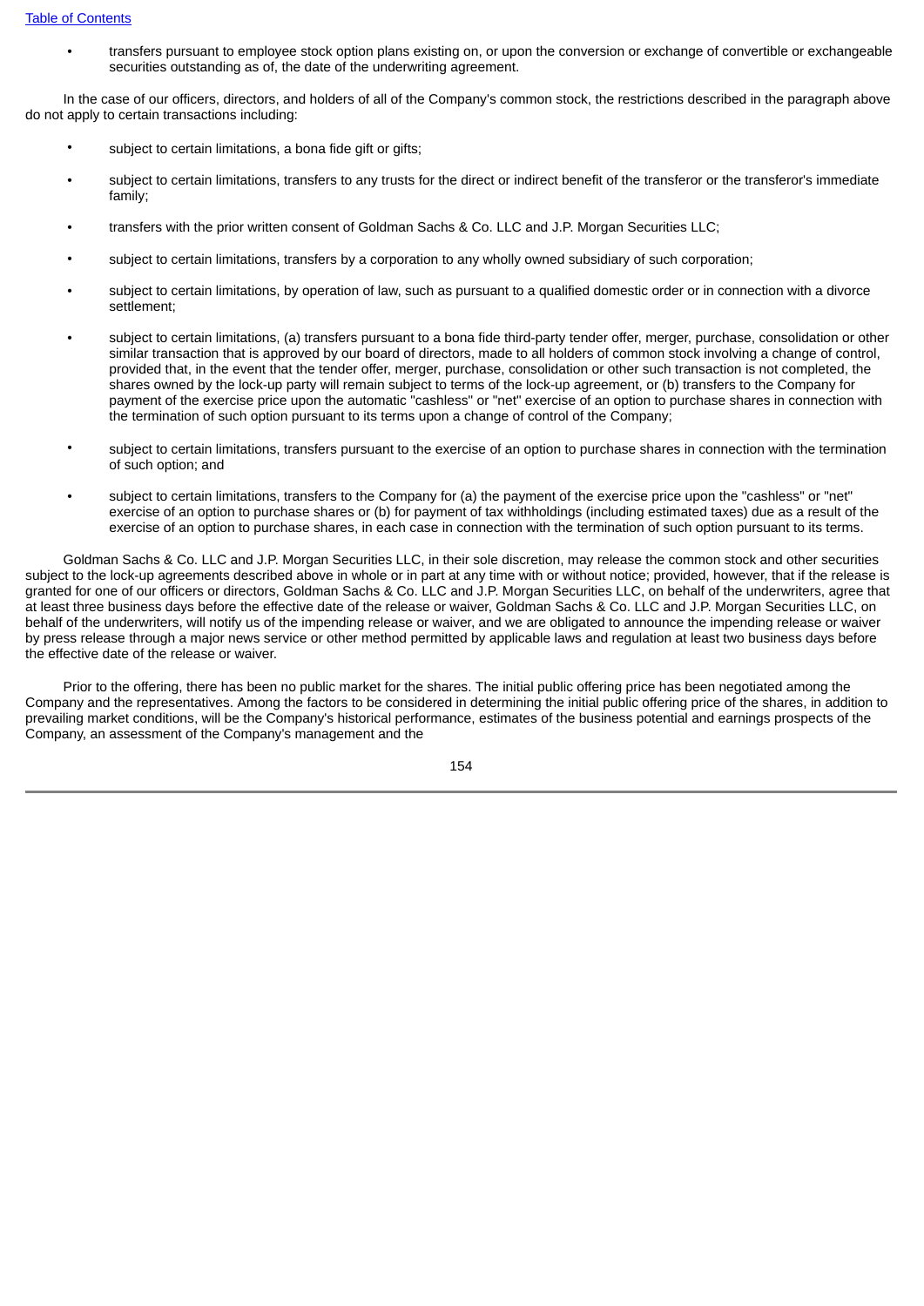• transfers pursuant to employee stock option plans existing on, or upon the conversion or exchange of convertible or exchangeable securities outstanding as of, the date of the underwriting agreement.

 In the case of our officers, directors, and holders of all of the Company's common stock, the restrictions described in the paragraph above do not apply to certain transactions including:

- subject to certain limitations, a bona fide gift or gifts;
- subject to certain limitations, transfers to any trusts for the direct or indirect benefit of the transferor or the transferor's immediate family;
- transfers with the prior written consent of Goldman Sachs & Co. LLC and J.P. Morgan Securities LLC;
- subject to certain limitations, transfers by a corporation to any wholly owned subsidiary of such corporation;
- subject to certain limitations, by operation of law, such as pursuant to a qualified domestic order or in connection with a divorce settlement;
- subject to certain limitations, (a) transfers pursuant to a bona fide third-party tender offer, merger, purchase, consolidation or other similar transaction that is approved by our board of directors, made to all holders of common stock involving a change of control, provided that, in the event that the tender offer, merger, purchase, consolidation or other such transaction is not completed, the shares owned by the lock-up party will remain subject to terms of the lock-up agreement, or (b) transfers to the Company for payment of the exercise price upon the automatic "cashless" or "net" exercise of an option to purchase shares in connection with the termination of such option pursuant to its terms upon a change of control of the Company;
- subject to certain limitations, transfers pursuant to the exercise of an option to purchase shares in connection with the termination of such option; and
- subject to certain limitations, transfers to the Company for (a) the payment of the exercise price upon the "cashless" or "net" exercise of an option to purchase shares or (b) for payment of tax withholdings (including estimated taxes) due as a result of the exercise of an option to purchase shares, in each case in connection with the termination of such option pursuant to its terms.

 Goldman Sachs & Co. LLC and J.P. Morgan Securities LLC, in their sole discretion, may release the common stock and other securities subject to the lock-up agreements described above in whole or in part at any time with or without notice; provided, however, that if the release is granted for one of our officers or directors, Goldman Sachs & Co. LLC and J.P. Morgan Securities LLC, on behalf of the underwriters, agree that at least three business days before the effective date of the release or waiver, Goldman Sachs & Co. LLC and J.P. Morgan Securities LLC, on behalf of the underwriters, will notify us of the impending release or waiver, and we are obligated to announce the impending release or waiver by press release through a major news service or other method permitted by applicable laws and regulation at least two business days before the effective date of the release or waiver.

 Prior to the offering, there has been no public market for the shares. The initial public offering price has been negotiated among the Company and the representatives. Among the factors to be considered in determining the initial public offering price of the shares, in addition to prevailing market conditions, will be the Company's historical performance, estimates of the business potential and earnings prospects of the Company, an assessment of the Company's management and the

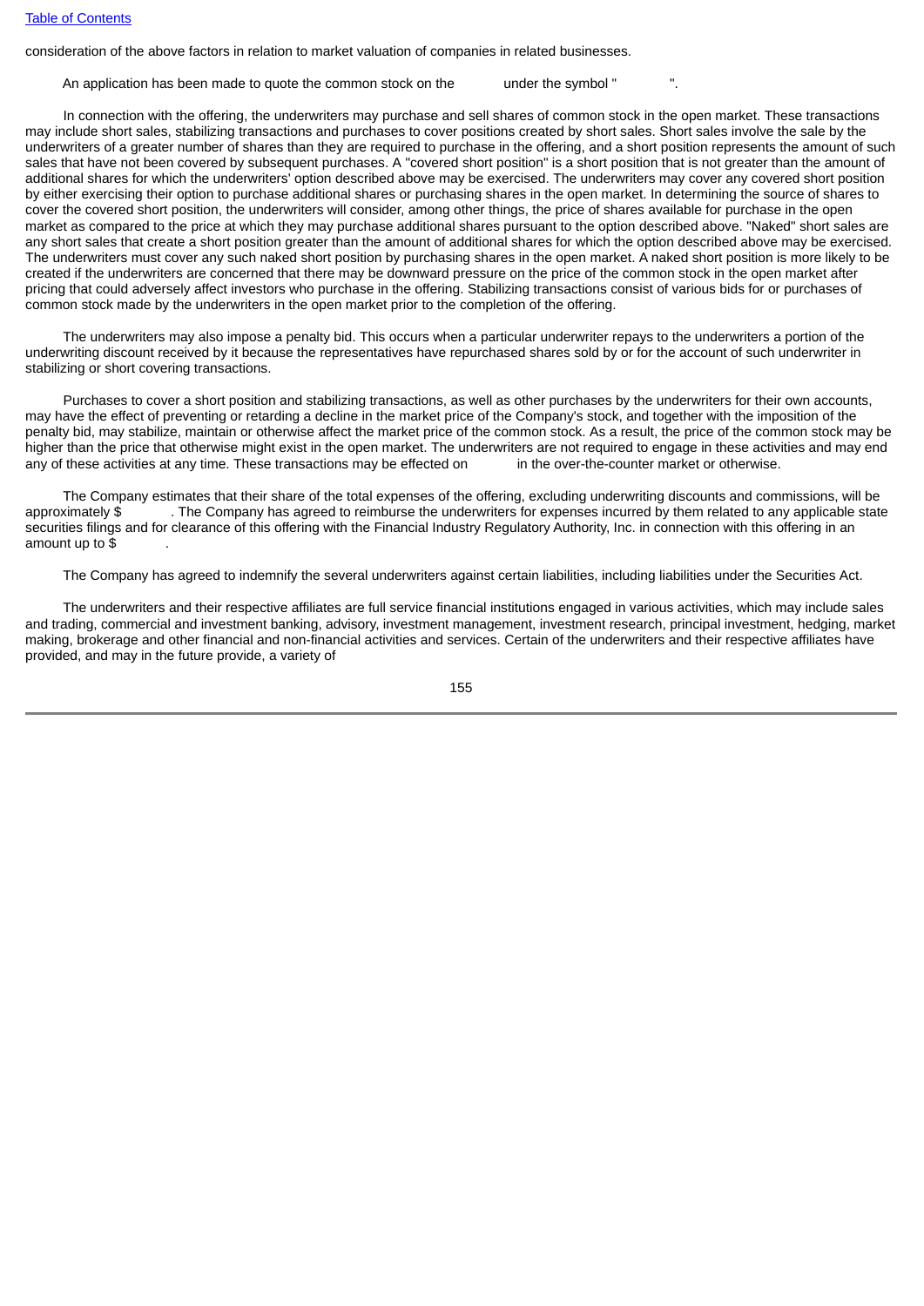consideration of the above factors in relation to market valuation of companies in related businesses.

An application has been made to quote the common stock on the under the symbol "

 In connection with the offering, the underwriters may purchase and sell shares of common stock in the open market. These transactions may include short sales, stabilizing transactions and purchases to cover positions created by short sales. Short sales involve the sale by the underwriters of a greater number of shares than they are required to purchase in the offering, and a short position represents the amount of such sales that have not been covered by subsequent purchases. A "covered short position" is a short position that is not greater than the amount of additional shares for which the underwriters' option described above may be exercised. The underwriters may cover any covered short position by either exercising their option to purchase additional shares or purchasing shares in the open market. In determining the source of shares to cover the covered short position, the underwriters will consider, among other things, the price of shares available for purchase in the open market as compared to the price at which they may purchase additional shares pursuant to the option described above. "Naked" short sales are any short sales that create a short position greater than the amount of additional shares for which the option described above may be exercised. The underwriters must cover any such naked short position by purchasing shares in the open market. A naked short position is more likely to be created if the underwriters are concerned that there may be downward pressure on the price of the common stock in the open market after pricing that could adversely affect investors who purchase in the offering. Stabilizing transactions consist of various bids for or purchases of common stock made by the underwriters in the open market prior to the completion of the offering.

 The underwriters may also impose a penalty bid. This occurs when a particular underwriter repays to the underwriters a portion of the underwriting discount received by it because the representatives have repurchased shares sold by or for the account of such underwriter in stabilizing or short covering transactions.

 Purchases to cover a short position and stabilizing transactions, as well as other purchases by the underwriters for their own accounts, may have the effect of preventing or retarding a decline in the market price of the Company's stock, and together with the imposition of the penalty bid, may stabilize, maintain or otherwise affect the market price of the common stock. As a result, the price of the common stock may be higher than the price that otherwise might exist in the open market. The underwriters are not required to engage in these activities and may end any of these activities at any time. These transactions may be effected on in the over-the-counter market or otherwise.

 The Company estimates that their share of the total expenses of the offering, excluding underwriting discounts and commissions, will be approximately \$ . The Company has agreed to reimburse the underwriters for expenses incurred by them related to any applicable state securities filings and for clearance of this offering with the Financial Industry Regulatory Authority, Inc. in connection with this offering in an amount up to \$ .

The Company has agreed to indemnify the several underwriters against certain liabilities, including liabilities under the Securities Act.

 The underwriters and their respective affiliates are full service financial institutions engaged in various activities, which may include sales and trading, commercial and investment banking, advisory, investment management, investment research, principal investment, hedging, market making, brokerage and other financial and non-financial activities and services. Certain of the underwriters and their respective affiliates have provided, and may in the future provide, a variety of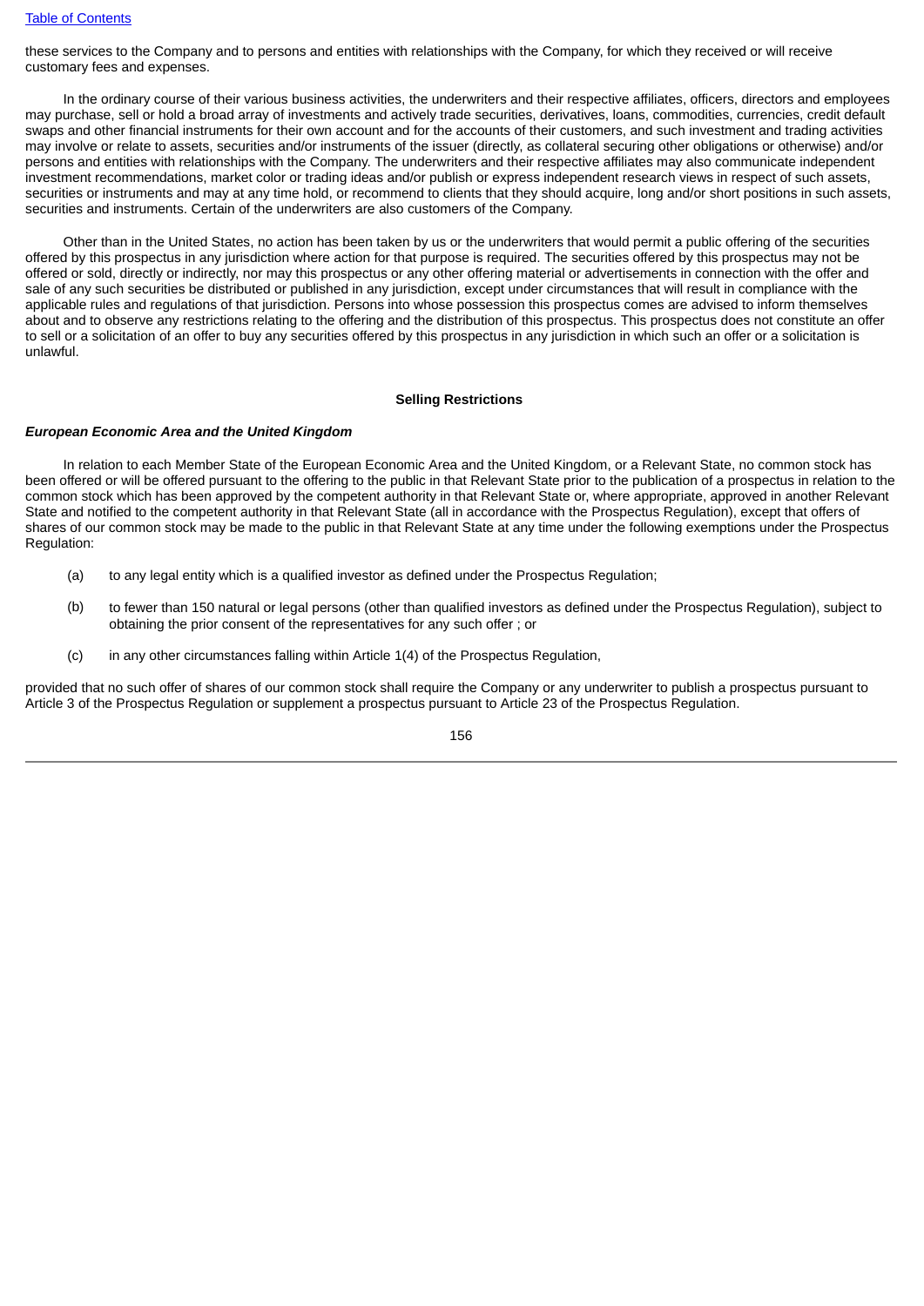these services to the Company and to persons and entities with relationships with the Company, for which they received or will receive customary fees and expenses.

 In the ordinary course of their various business activities, the underwriters and their respective affiliates, officers, directors and employees may purchase, sell or hold a broad array of investments and actively trade securities, derivatives, loans, commodities, currencies, credit default swaps and other financial instruments for their own account and for the accounts of their customers, and such investment and trading activities may involve or relate to assets, securities and/or instruments of the issuer (directly, as collateral securing other obligations or otherwise) and/or persons and entities with relationships with the Company. The underwriters and their respective affiliates may also communicate independent investment recommendations, market color or trading ideas and/or publish or express independent research views in respect of such assets, securities or instruments and may at any time hold, or recommend to clients that they should acquire, long and/or short positions in such assets, securities and instruments. Certain of the underwriters are also customers of the Company.

 Other than in the United States, no action has been taken by us or the underwriters that would permit a public offering of the securities offered by this prospectus in any jurisdiction where action for that purpose is required. The securities offered by this prospectus may not be offered or sold, directly or indirectly, nor may this prospectus or any other offering material or advertisements in connection with the offer and sale of any such securities be distributed or published in any jurisdiction, except under circumstances that will result in compliance with the applicable rules and regulations of that jurisdiction. Persons into whose possession this prospectus comes are advised to inform themselves about and to observe any restrictions relating to the offering and the distribution of this prospectus. This prospectus does not constitute an offer to sell or a solicitation of an offer to buy any securities offered by this prospectus in any jurisdiction in which such an offer or a solicitation is unlawful.

## **Selling Restrictions**

## *European Economic Area and the United Kingdom*

 In relation to each Member State of the European Economic Area and the United Kingdom, or a Relevant State, no common stock has been offered or will be offered pursuant to the offering to the public in that Relevant State prior to the publication of a prospectus in relation to the common stock which has been approved by the competent authority in that Relevant State or, where appropriate, approved in another Relevant State and notified to the competent authority in that Relevant State (all in accordance with the Prospectus Regulation), except that offers of shares of our common stock may be made to the public in that Relevant State at any time under the following exemptions under the Prospectus Regulation:

- (a) to any legal entity which is a qualified investor as defined under the Prospectus Regulation;
- (b) to fewer than 150 natural or legal persons (other than qualified investors as defined under the Prospectus Regulation), subject to obtaining the prior consent of the representatives for any such offer ; or
- (c) in any other circumstances falling within Article 1(4) of the Prospectus Regulation,

provided that no such offer of shares of our common stock shall require the Company or any underwriter to publish a prospectus pursuant to Article 3 of the Prospectus Regulation or supplement a prospectus pursuant to Article 23 of the Prospectus Regulation.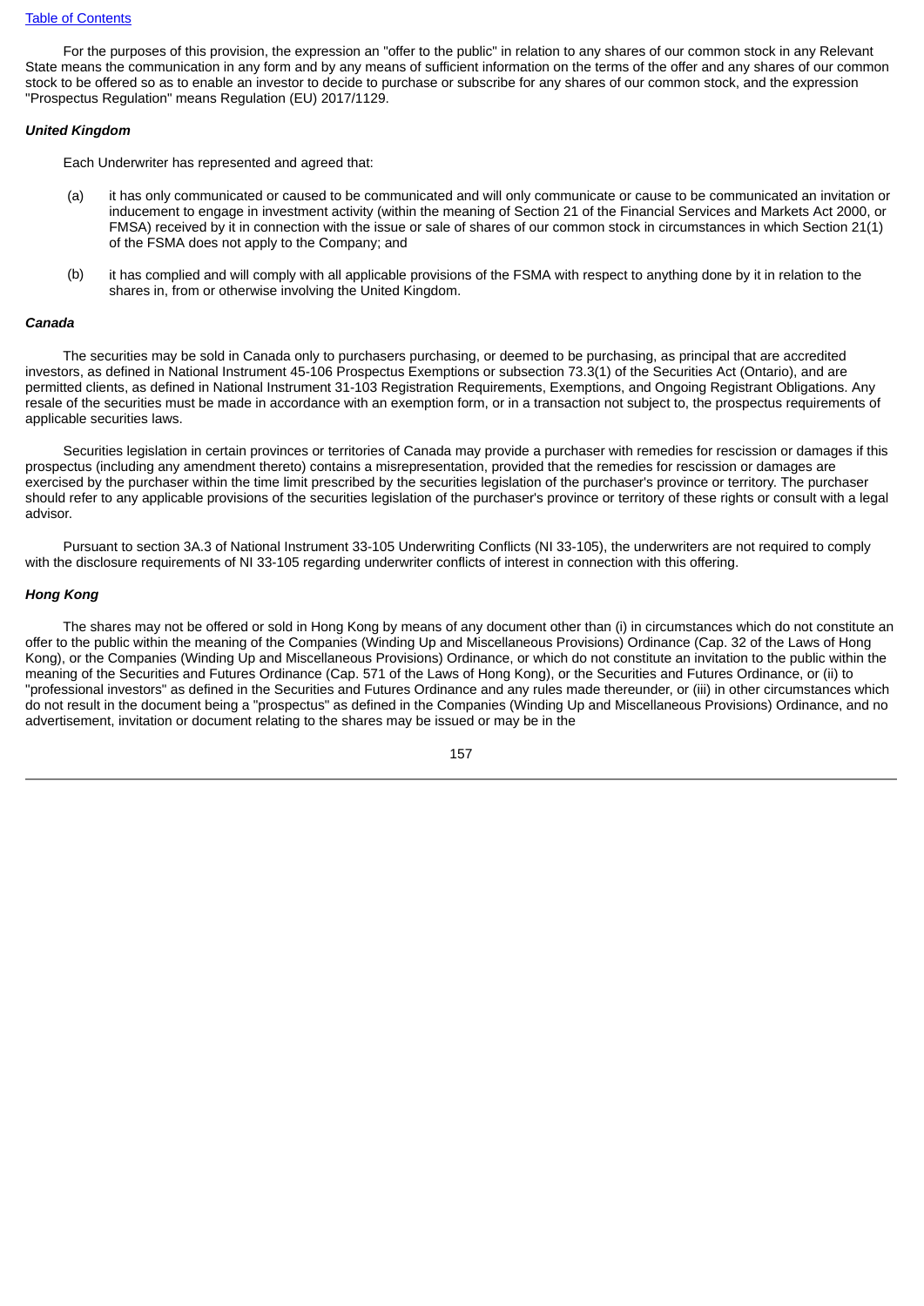For the purposes of this provision, the expression an "offer to the public" in relation to any shares of our common stock in any Relevant State means the communication in any form and by any means of sufficient information on the terms of the offer and any shares of our common stock to be offered so as to enable an investor to decide to purchase or subscribe for any shares of our common stock, and the expression "Prospectus Regulation" means Regulation (EU) 2017/1129.

## *United Kingdom*

Each Underwriter has represented and agreed that:

- (a) it has only communicated or caused to be communicated and will only communicate or cause to be communicated an invitation or inducement to engage in investment activity (within the meaning of Section 21 of the Financial Services and Markets Act 2000, or FMSA) received by it in connection with the issue or sale of shares of our common stock in circumstances in which Section 21(1) of the FSMA does not apply to the Company; and
- (b) it has complied and will comply with all applicable provisions of the FSMA with respect to anything done by it in relation to the shares in, from or otherwise involving the United Kingdom.

## *Canada*

 The securities may be sold in Canada only to purchasers purchasing, or deemed to be purchasing, as principal that are accredited investors, as defined in National Instrument 45-106 Prospectus Exemptions or subsection 73.3(1) of the Securities Act (Ontario), and are permitted clients, as defined in National Instrument 31-103 Registration Requirements, Exemptions, and Ongoing Registrant Obligations. Any resale of the securities must be made in accordance with an exemption form, or in a transaction not subject to, the prospectus requirements of applicable securities laws.

 Securities legislation in certain provinces or territories of Canada may provide a purchaser with remedies for rescission or damages if this prospectus (including any amendment thereto) contains a misrepresentation, provided that the remedies for rescission or damages are exercised by the purchaser within the time limit prescribed by the securities legislation of the purchaser's province or territory. The purchaser should refer to any applicable provisions of the securities legislation of the purchaser's province or territory of these rights or consult with a legal advisor.

 Pursuant to section 3A.3 of National Instrument 33-105 Underwriting Conflicts (NI 33-105), the underwriters are not required to comply with the disclosure requirements of NI 33-105 regarding underwriter conflicts of interest in connection with this offering.

## *Hong Kong*

 The shares may not be offered or sold in Hong Kong by means of any document other than (i) in circumstances which do not constitute an offer to the public within the meaning of the Companies (Winding Up and Miscellaneous Provisions) Ordinance (Cap. 32 of the Laws of Hong Kong), or the Companies (Winding Up and Miscellaneous Provisions) Ordinance, or which do not constitute an invitation to the public within the meaning of the Securities and Futures Ordinance (Cap. 571 of the Laws of Hong Kong), or the Securities and Futures Ordinance, or (ii) to "professional investors" as defined in the Securities and Futures Ordinance and any rules made thereunder, or (iii) in other circumstances which do not result in the document being a "prospectus" as defined in the Companies (Winding Up and Miscellaneous Provisions) Ordinance, and no advertisement, invitation or document relating to the shares may be issued or may be in the

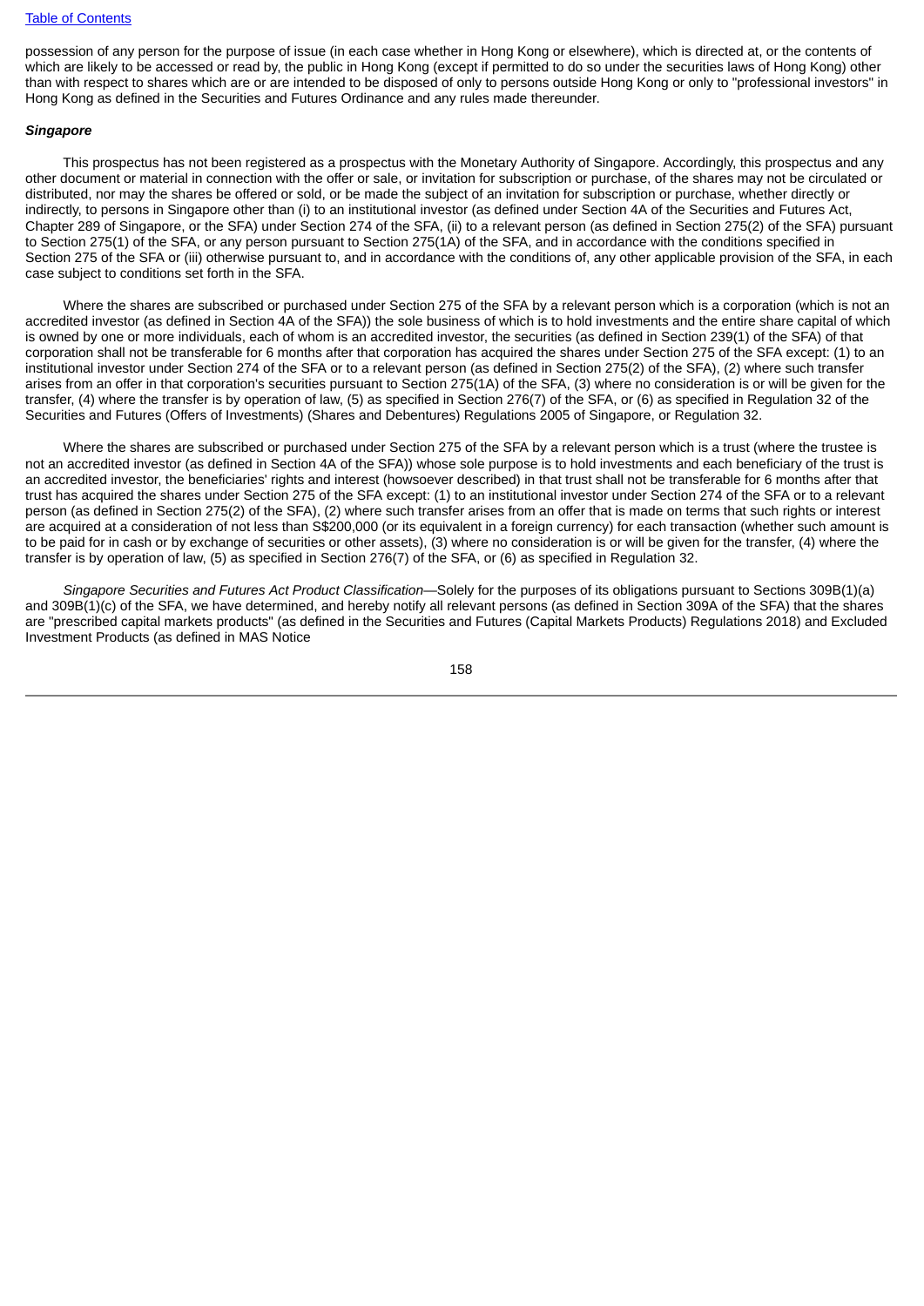#### [Table of Contents](#page-3-0)

possession of any person for the purpose of issue (in each case whether in Hong Kong or elsewhere), which is directed at, or the contents of which are likely to be accessed or read by, the public in Hong Kong (except if permitted to do so under the securities laws of Hong Kong) other than with respect to shares which are or are intended to be disposed of only to persons outside Hong Kong or only to "professional investors" in Hong Kong as defined in the Securities and Futures Ordinance and any rules made thereunder.

## *Singapore*

 This prospectus has not been registered as a prospectus with the Monetary Authority of Singapore. Accordingly, this prospectus and any other document or material in connection with the offer or sale, or invitation for subscription or purchase, of the shares may not be circulated or distributed, nor may the shares be offered or sold, or be made the subject of an invitation for subscription or purchase, whether directly or indirectly, to persons in Singapore other than (i) to an institutional investor (as defined under Section 4A of the Securities and Futures Act, Chapter 289 of Singapore, or the SFA) under Section 274 of the SFA, (ii) to a relevant person (as defined in Section 275(2) of the SFA) pursuant to Section 275(1) of the SFA, or any person pursuant to Section 275(1A) of the SFA, and in accordance with the conditions specified in Section 275 of the SFA or (iii) otherwise pursuant to, and in accordance with the conditions of, any other applicable provision of the SFA, in each case subject to conditions set forth in the SFA.

 Where the shares are subscribed or purchased under Section 275 of the SFA by a relevant person which is a corporation (which is not an accredited investor (as defined in Section 4A of the SFA)) the sole business of which is to hold investments and the entire share capital of which is owned by one or more individuals, each of whom is an accredited investor, the securities (as defined in Section 239(1) of the SFA) of that corporation shall not be transferable for 6 months after that corporation has acquired the shares under Section 275 of the SFA except: (1) to an institutional investor under Section 274 of the SFA or to a relevant person (as defined in Section 275(2) of the SFA), (2) where such transfer arises from an offer in that corporation's securities pursuant to Section 275(1A) of the SFA, (3) where no consideration is or will be given for the transfer, (4) where the transfer is by operation of law, (5) as specified in Section 276(7) of the SFA, or (6) as specified in Regulation 32 of the Securities and Futures (Offers of Investments) (Shares and Debentures) Regulations 2005 of Singapore, or Regulation 32.

 Where the shares are subscribed or purchased under Section 275 of the SFA by a relevant person which is a trust (where the trustee is not an accredited investor (as defined in Section 4A of the SFA)) whose sole purpose is to hold investments and each beneficiary of the trust is an accredited investor, the beneficiaries' rights and interest (howsoever described) in that trust shall not be transferable for 6 months after that trust has acquired the shares under Section 275 of the SFA except: (1) to an institutional investor under Section 274 of the SFA or to a relevant person (as defined in Section 275(2) of the SFA), (2) where such transfer arises from an offer that is made on terms that such rights or interest are acquired at a consideration of not less than S\$200,000 (or its equivalent in a foreign currency) for each transaction (whether such amount is to be paid for in cash or by exchange of securities or other assets), (3) where no consideration is or will be given for the transfer, (4) where the transfer is by operation of law, (5) as specified in Section 276(7) of the SFA, or (6) as specified in Regulation 32.

 *Singapore Securities and Futures Act Product Classification*—Solely for the purposes of its obligations pursuant to Sections 309B(1)(a) and 309B(1)(c) of the SFA, we have determined, and hereby notify all relevant persons (as defined in Section 309A of the SFA) that the shares are "prescribed capital markets products" (as defined in the Securities and Futures (Capital Markets Products) Regulations 2018) and Excluded Investment Products (as defined in MAS Notice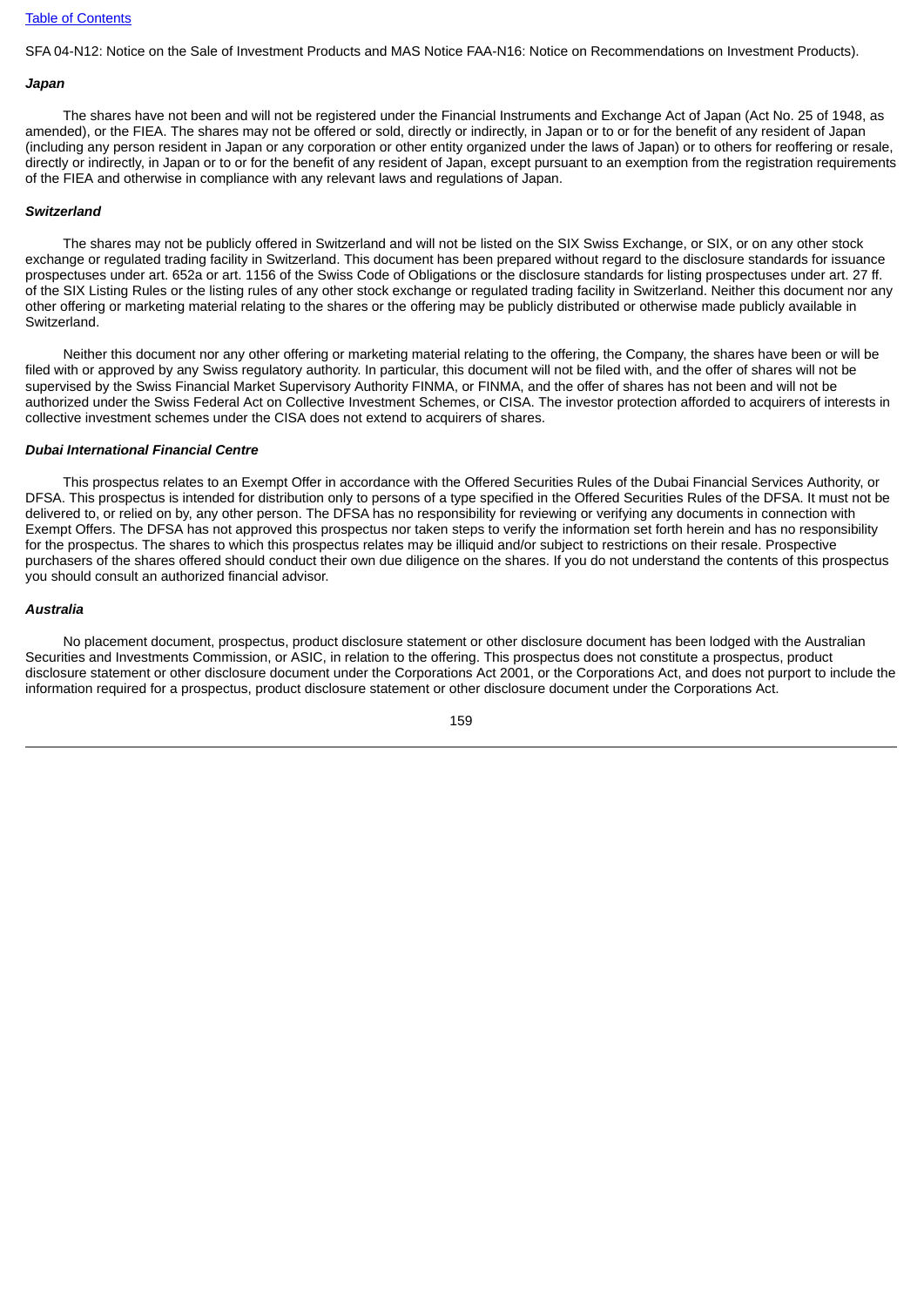#### [Table of Contents](#page-3-0)

SFA 04-N12: Notice on the Sale of Investment Products and MAS Notice FAA-N16: Notice on Recommendations on Investment Products).

#### *Japan*

 The shares have not been and will not be registered under the Financial Instruments and Exchange Act of Japan (Act No. 25 of 1948, as amended), or the FIEA. The shares may not be offered or sold, directly or indirectly, in Japan or to or for the benefit of any resident of Japan (including any person resident in Japan or any corporation or other entity organized under the laws of Japan) or to others for reoffering or resale, directly or indirectly, in Japan or to or for the benefit of any resident of Japan, except pursuant to an exemption from the registration requirements of the FIEA and otherwise in compliance with any relevant laws and regulations of Japan.

#### *Switzerland*

 The shares may not be publicly offered in Switzerland and will not be listed on the SIX Swiss Exchange, or SIX, or on any other stock exchange or regulated trading facility in Switzerland. This document has been prepared without regard to the disclosure standards for issuance prospectuses under art. 652a or art. 1156 of the Swiss Code of Obligations or the disclosure standards for listing prospectuses under art. 27 ff. of the SIX Listing Rules or the listing rules of any other stock exchange or regulated trading facility in Switzerland. Neither this document nor any other offering or marketing material relating to the shares or the offering may be publicly distributed or otherwise made publicly available in Switzerland.

 Neither this document nor any other offering or marketing material relating to the offering, the Company, the shares have been or will be filed with or approved by any Swiss regulatory authority. In particular, this document will not be filed with, and the offer of shares will not be supervised by the Swiss Financial Market Supervisory Authority FINMA, or FINMA, and the offer of shares has not been and will not be authorized under the Swiss Federal Act on Collective Investment Schemes, or CISA. The investor protection afforded to acquirers of interests in collective investment schemes under the CISA does not extend to acquirers of shares.

#### *Dubai International Financial Centre*

 This prospectus relates to an Exempt Offer in accordance with the Offered Securities Rules of the Dubai Financial Services Authority, or DFSA. This prospectus is intended for distribution only to persons of a type specified in the Offered Securities Rules of the DFSA. It must not be delivered to, or relied on by, any other person. The DFSA has no responsibility for reviewing or verifying any documents in connection with Exempt Offers. The DFSA has not approved this prospectus nor taken steps to verify the information set forth herein and has no responsibility for the prospectus. The shares to which this prospectus relates may be illiquid and/or subject to restrictions on their resale. Prospective purchasers of the shares offered should conduct their own due diligence on the shares. If you do not understand the contents of this prospectus you should consult an authorized financial advisor.

#### *Australia*

 No placement document, prospectus, product disclosure statement or other disclosure document has been lodged with the Australian Securities and Investments Commission, or ASIC, in relation to the offering. This prospectus does not constitute a prospectus, product disclosure statement or other disclosure document under the Corporations Act 2001, or the Corporations Act, and does not purport to include the information required for a prospectus, product disclosure statement or other disclosure document under the Corporations Act.

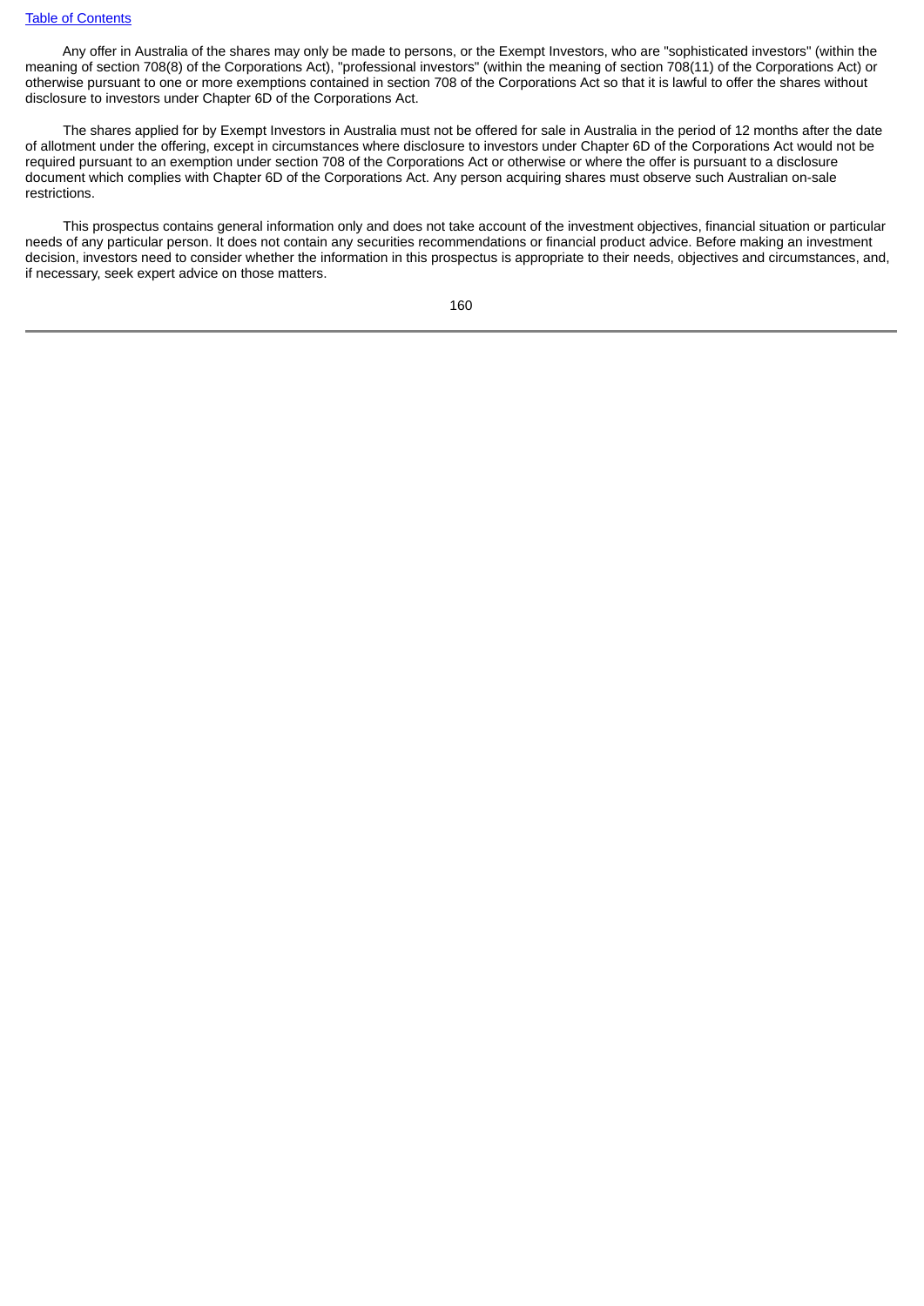Any offer in Australia of the shares may only be made to persons, or the Exempt Investors, who are "sophisticated investors" (within the meaning of section 708(8) of the Corporations Act), "professional investors" (within the meaning of section 708(11) of the Corporations Act) or otherwise pursuant to one or more exemptions contained in section 708 of the Corporations Act so that it is lawful to offer the shares without disclosure to investors under Chapter 6D of the Corporations Act.

 The shares applied for by Exempt Investors in Australia must not be offered for sale in Australia in the period of 12 months after the date of allotment under the offering, except in circumstances where disclosure to investors under Chapter 6D of the Corporations Act would not be required pursuant to an exemption under section 708 of the Corporations Act or otherwise or where the offer is pursuant to a disclosure document which complies with Chapter 6D of the Corporations Act. Any person acquiring shares must observe such Australian on-sale restrictions.

 This prospectus contains general information only and does not take account of the investment objectives, financial situation or particular needs of any particular person. It does not contain any securities recommendations or financial product advice. Before making an investment decision, investors need to consider whether the information in this prospectus is appropriate to their needs, objectives and circumstances, and, if necessary, seek expert advice on those matters.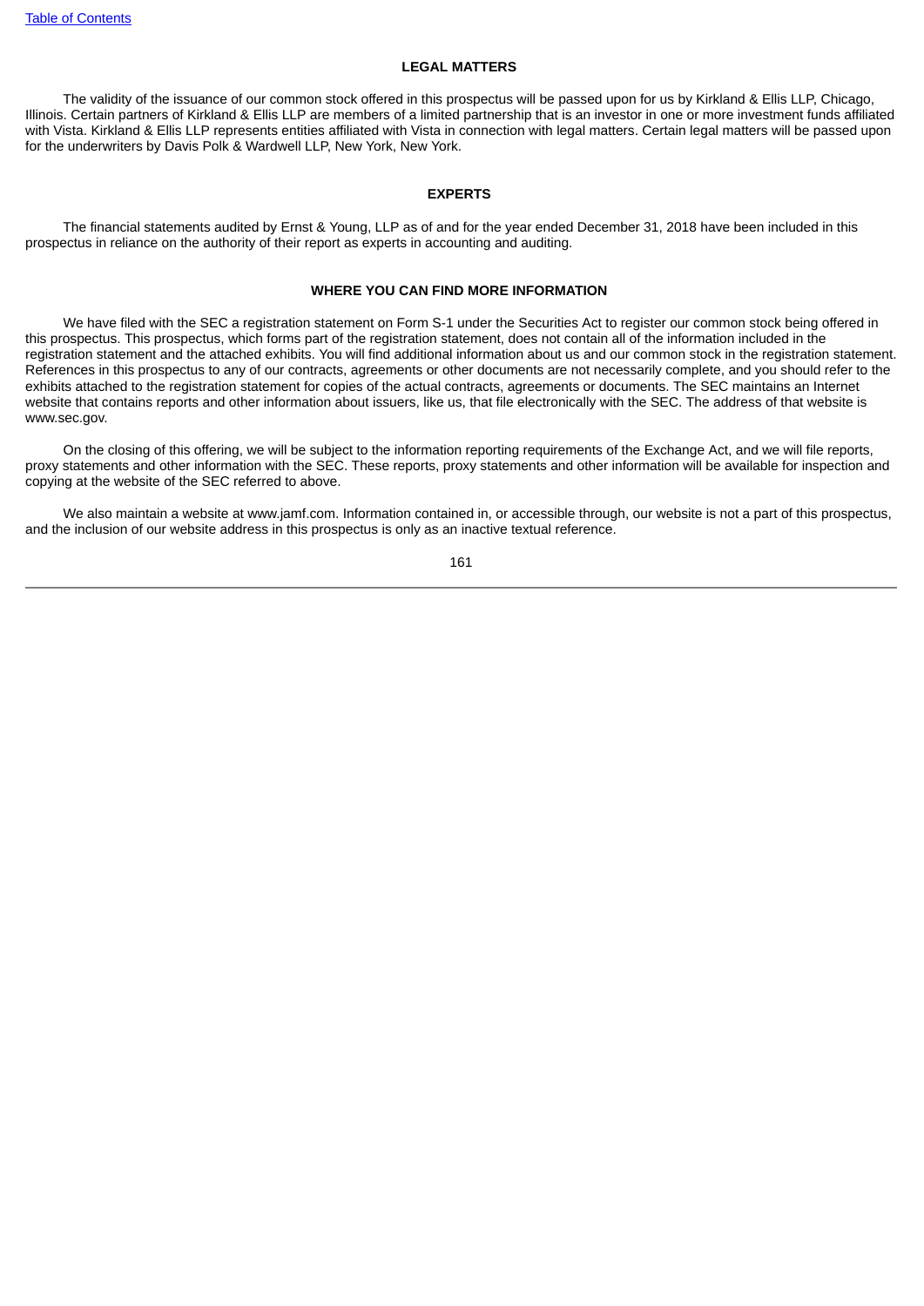#### **LEGAL MATTERS**

 The validity of the issuance of our common stock offered in this prospectus will be passed upon for us by Kirkland & Ellis LLP, Chicago, Illinois. Certain partners of Kirkland & Ellis LLP are members of a limited partnership that is an investor in one or more investment funds affiliated with Vista. Kirkland & Ellis LLP represents entities affiliated with Vista in connection with legal matters. Certain legal matters will be passed upon for the underwriters by Davis Polk & Wardwell LLP, New York, New York.

## **EXPERTS**

 The financial statements audited by Ernst & Young, LLP as of and for the year ended December 31, 2018 have been included in this prospectus in reliance on the authority of their report as experts in accounting and auditing.

### **WHERE YOU CAN FIND MORE INFORMATION**

 We have filed with the SEC a registration statement on Form S-1 under the Securities Act to register our common stock being offered in this prospectus. This prospectus, which forms part of the registration statement, does not contain all of the information included in the registration statement and the attached exhibits. You will find additional information about us and our common stock in the registration statement. References in this prospectus to any of our contracts, agreements or other documents are not necessarily complete, and you should refer to the exhibits attached to the registration statement for copies of the actual contracts, agreements or documents. The SEC maintains an Internet website that contains reports and other information about issuers, like us, that file electronically with the SEC. The address of that website is www.sec.gov.

 On the closing of this offering, we will be subject to the information reporting requirements of the Exchange Act, and we will file reports, proxy statements and other information with the SEC. These reports, proxy statements and other information will be available for inspection and copying at the website of the SEC referred to above.

We also maintain a website at www.jamf.com. Information contained in, or accessible through, our website is not a part of this prospectus, and the inclusion of our website address in this prospectus is only as an inactive textual reference.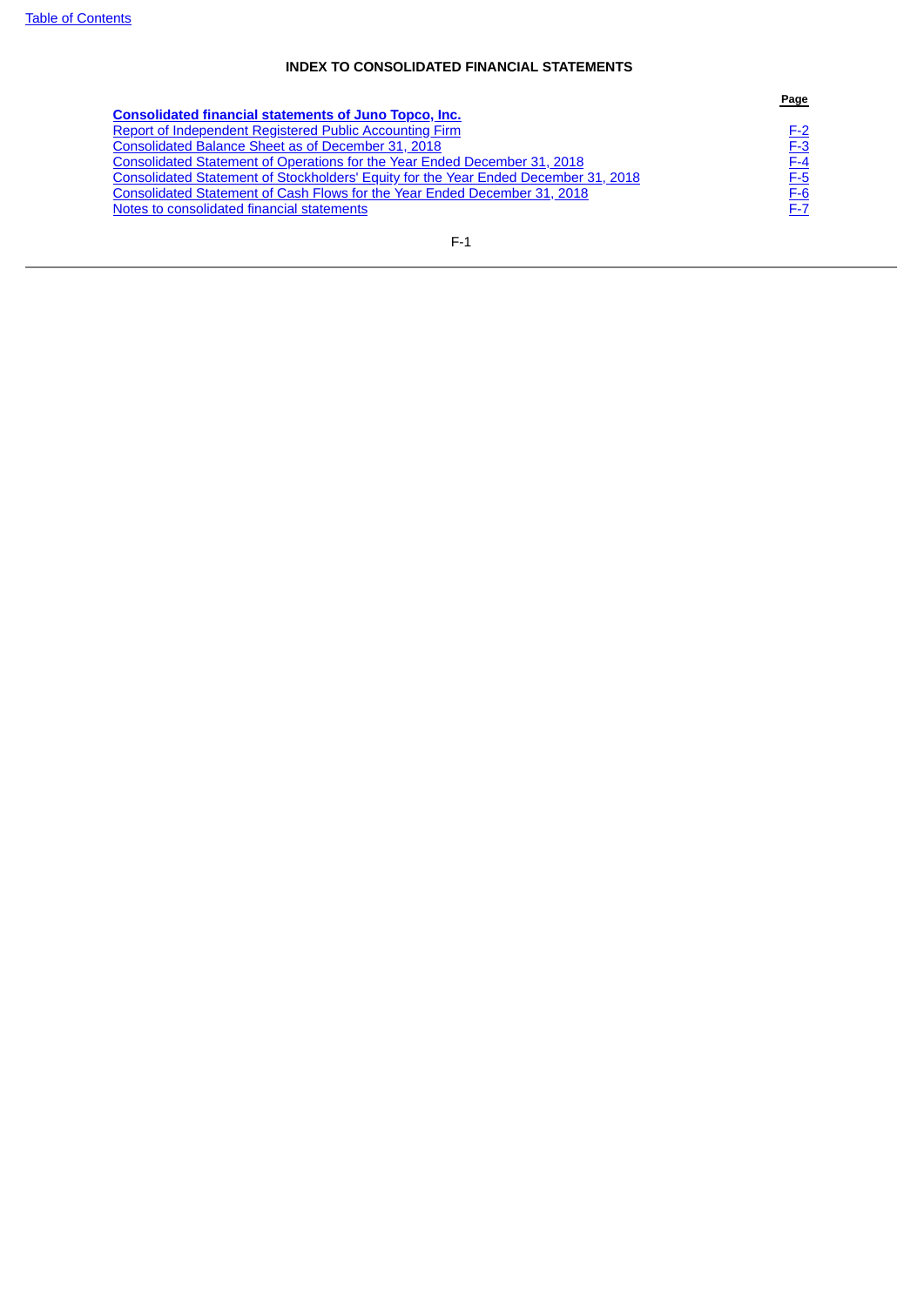# **INDEX TO CONSOLIDATED FINANCIAL STATEMENTS**

<span id="page-165-0"></span>

|                                                                                     | Page  |
|-------------------------------------------------------------------------------------|-------|
| <b>Consolidated financial statements of Juno Topco, Inc.</b>                        |       |
| Report of Independent Registered Public Accounting Firm                             | $F-2$ |
| Consolidated Balance Sheet as of December 31, 2018                                  | $F-3$ |
| Consolidated Statement of Operations for the Year Ended December 31, 2018           | $F-4$ |
| Consolidated Statement of Stockholders' Equity for the Year Ended December 31, 2018 | $F-5$ |
| Consolidated Statement of Cash Flows for the Year Ended December 31, 2018           | $F-6$ |
| Notes to consolidated financial statements                                          | $F-7$ |
|                                                                                     |       |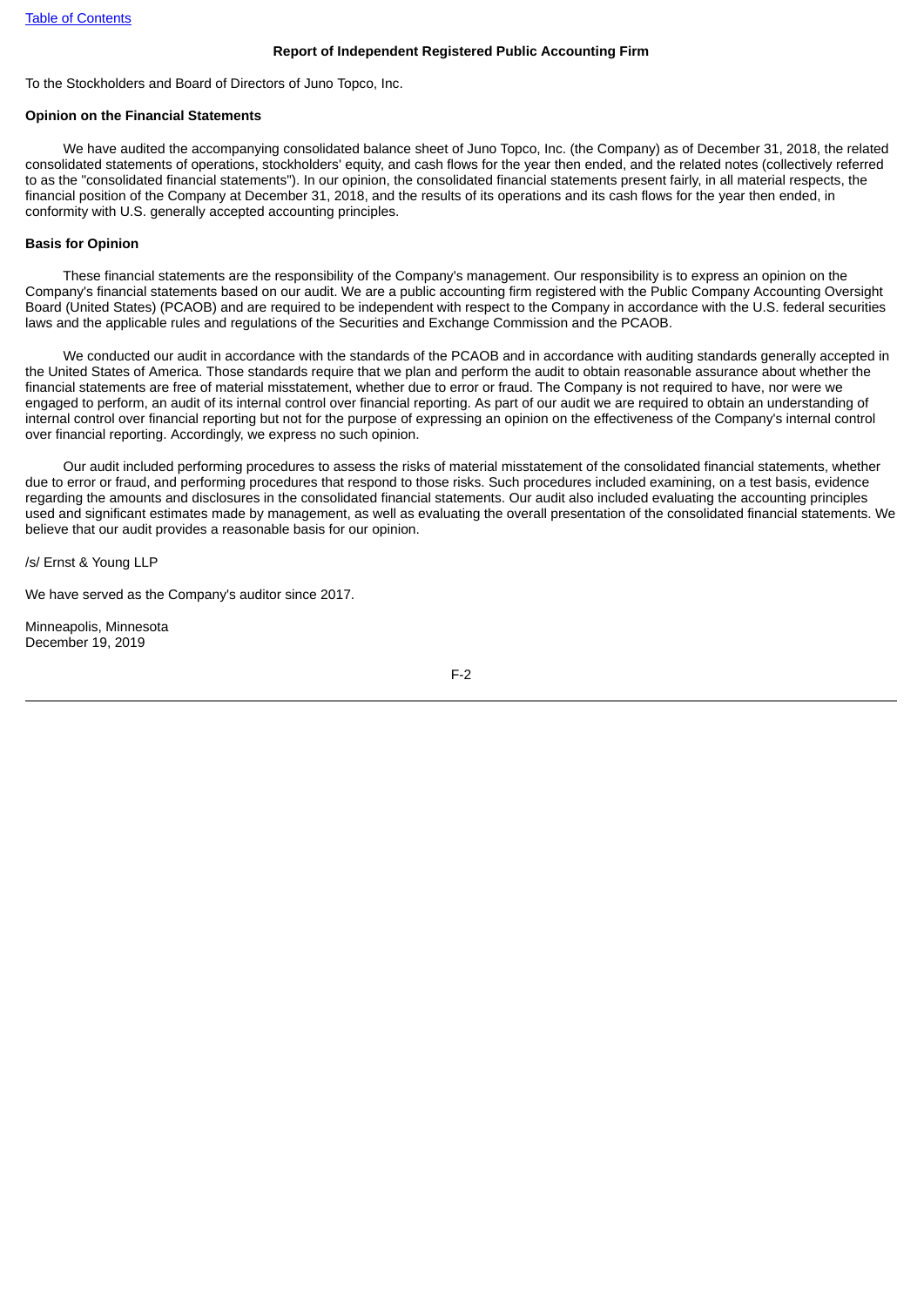## **Report of Independent Registered Public Accounting Firm**

<span id="page-166-0"></span>To the Stockholders and Board of Directors of Juno Topco, Inc.

#### **Opinion on the Financial Statements**

 We have audited the accompanying consolidated balance sheet of Juno Topco, Inc. (the Company) as of December 31, 2018, the related consolidated statements of operations, stockholders' equity, and cash flows for the year then ended, and the related notes (collectively referred to as the "consolidated financial statements"). In our opinion, the consolidated financial statements present fairly, in all material respects, the financial position of the Company at December 31, 2018, and the results of its operations and its cash flows for the year then ended, in conformity with U.S. generally accepted accounting principles.

### **Basis for Opinion**

 These financial statements are the responsibility of the Company's management. Our responsibility is to express an opinion on the Company's financial statements based on our audit. We are a public accounting firm registered with the Public Company Accounting Oversight Board (United States) (PCAOB) and are required to be independent with respect to the Company in accordance with the U.S. federal securities laws and the applicable rules and regulations of the Securities and Exchange Commission and the PCAOB.

 We conducted our audit in accordance with the standards of the PCAOB and in accordance with auditing standards generally accepted in the United States of America. Those standards require that we plan and perform the audit to obtain reasonable assurance about whether the financial statements are free of material misstatement, whether due to error or fraud. The Company is not required to have, nor were we engaged to perform, an audit of its internal control over financial reporting. As part of our audit we are required to obtain an understanding of internal control over financial reporting but not for the purpose of expressing an opinion on the effectiveness of the Company's internal control over financial reporting. Accordingly, we express no such opinion.

 Our audit included performing procedures to assess the risks of material misstatement of the consolidated financial statements, whether due to error or fraud, and performing procedures that respond to those risks. Such procedures included examining, on a test basis, evidence regarding the amounts and disclosures in the consolidated financial statements. Our audit also included evaluating the accounting principles used and significant estimates made by management, as well as evaluating the overall presentation of the consolidated financial statements. We believe that our audit provides a reasonable basis for our opinion.

/s/ Ernst & Young LLP

We have served as the Company's auditor since 2017.

Minneapolis, Minnesota December 19, 2019

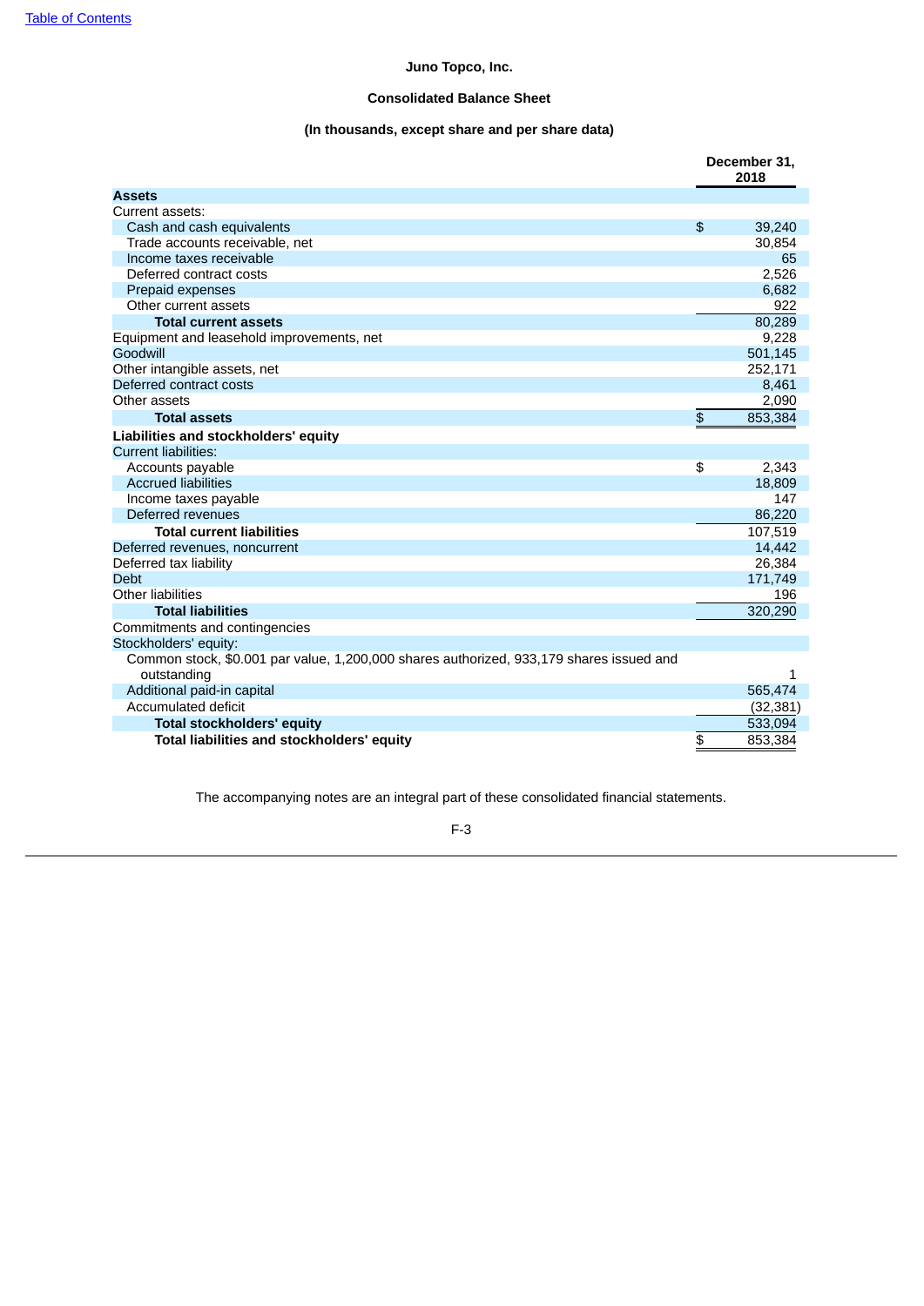# **Consolidated Balance Sheet**

# **(In thousands, except share and per share data)**

<span id="page-167-0"></span>

|                                                                                         | December 31,<br>2018 |
|-----------------------------------------------------------------------------------------|----------------------|
| <b>Assets</b>                                                                           |                      |
| Current assets:                                                                         |                      |
| Cash and cash equivalents                                                               | \$<br>39,240         |
| Trade accounts receivable, net                                                          | 30,854               |
| Income taxes receivable                                                                 | 65                   |
| Deferred contract costs                                                                 | 2,526                |
| Prepaid expenses                                                                        | 6,682                |
| Other current assets                                                                    | 922                  |
| <b>Total current assets</b>                                                             | 80,289               |
| Equipment and leasehold improvements, net                                               | 9,228                |
| Goodwill                                                                                | 501,145              |
| Other intangible assets, net                                                            | 252,171              |
| Deferred contract costs                                                                 | 8,461                |
| Other assets                                                                            | 2,090                |
| <b>Total assets</b>                                                                     | \$<br>853,384        |
| Liabilities and stockholders' equity                                                    |                      |
| <b>Current liabilities:</b>                                                             |                      |
| Accounts payable                                                                        | \$<br>2,343          |
| <b>Accrued liabilities</b>                                                              | 18,809               |
| Income taxes payable                                                                    | 147                  |
| Deferred revenues                                                                       | 86,220               |
| <b>Total current liabilities</b>                                                        | 107,519              |
| Deferred revenues, noncurrent                                                           | 14,442               |
| Deferred tax liability                                                                  | 26,384               |
| <b>Debt</b>                                                                             | 171,749              |
| Other liabilities                                                                       | 196                  |
| <b>Total liabilities</b>                                                                | 320.290              |
| Commitments and contingencies                                                           |                      |
| Stockholders' equity:                                                                   |                      |
| Common stock, \$0.001 par value, 1,200,000 shares authorized, 933,179 shares issued and |                      |
| outstanding                                                                             | 1                    |
| Additional paid-in capital                                                              | 565.474              |
| <b>Accumulated deficit</b>                                                              | (32, 381)            |
| <b>Total stockholders' equity</b>                                                       | 533,094              |
| Total liabilities and stockholders' equity                                              | \$<br>853,384        |

The accompanying notes are an integral part of these consolidated financial statements.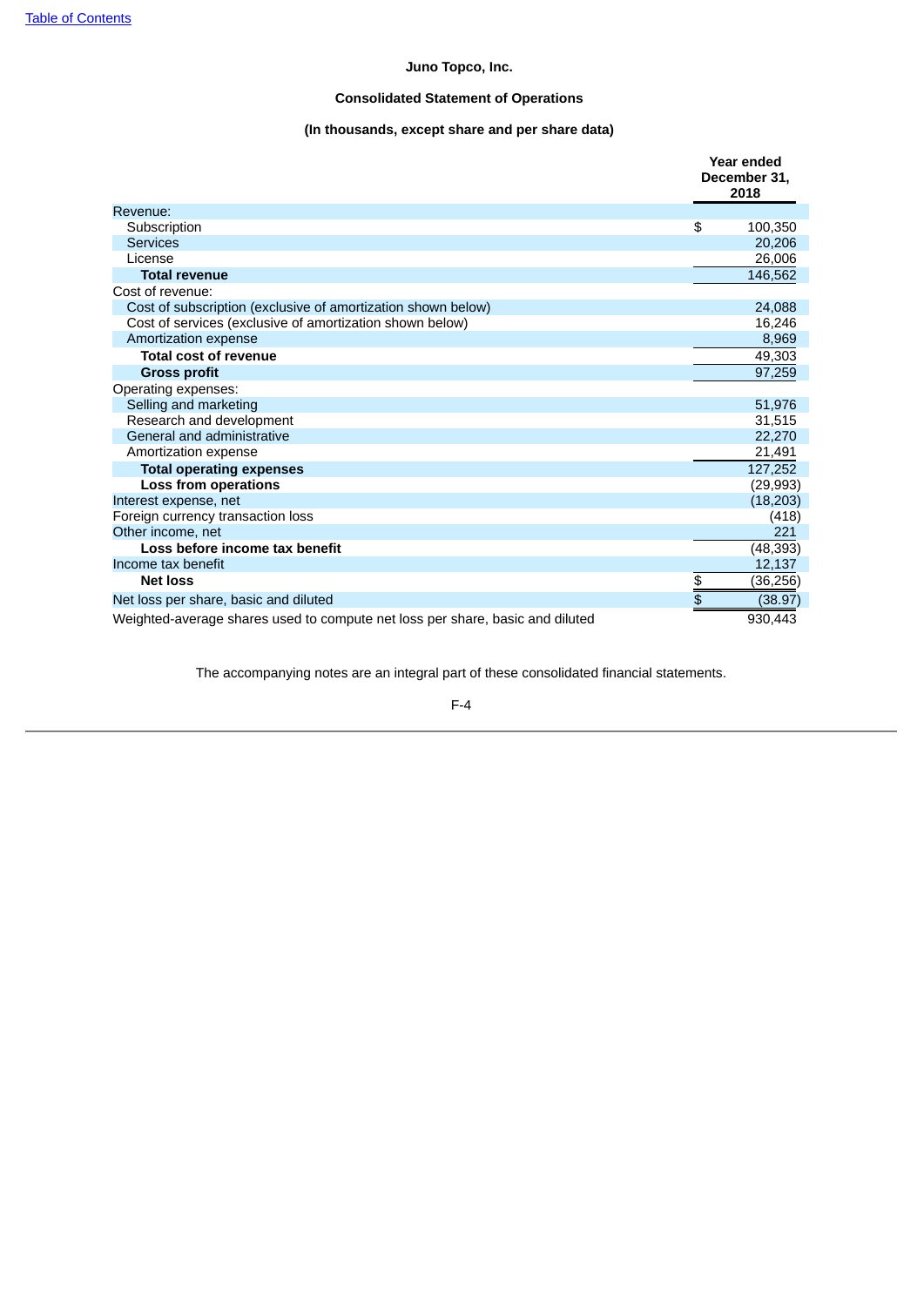# **Consolidated Statement of Operations**

# **(In thousands, except share and per share data)**

<span id="page-168-0"></span>

|                                                                               | Year ended<br>December 31,<br>2018 |
|-------------------------------------------------------------------------------|------------------------------------|
| Revenue:                                                                      |                                    |
| Subscription                                                                  | \$<br>100,350                      |
| <b>Services</b>                                                               | 20,206                             |
| License                                                                       | 26,006                             |
| <b>Total revenue</b>                                                          | 146,562                            |
| Cost of revenue:                                                              |                                    |
| Cost of subscription (exclusive of amortization shown below)                  | 24,088                             |
| Cost of services (exclusive of amortization shown below)                      | 16,246                             |
| Amortization expense                                                          | 8,969                              |
| <b>Total cost of revenue</b>                                                  | 49,303                             |
| <b>Gross profit</b>                                                           | 97,259                             |
| Operating expenses:                                                           |                                    |
| Selling and marketing                                                         | 51,976                             |
| Research and development                                                      | 31,515                             |
| General and administrative                                                    | 22,270                             |
| Amortization expense                                                          | 21,491                             |
| <b>Total operating expenses</b>                                               | 127,252                            |
| Loss from operations                                                          | (29, 993)                          |
| Interest expense, net                                                         | (18, 203)                          |
| Foreign currency transaction loss                                             | (418)                              |
| Other income, net                                                             | 221                                |
| Loss before income tax benefit                                                | (48, 393)                          |
| Income tax benefit                                                            | 12,137                             |
| <b>Net loss</b>                                                               | \$<br>(36,256)                     |
| Net loss per share, basic and diluted                                         | \$<br>(38.97)                      |
| Weighted-average shares used to compute net loss per share, basic and diluted | 930,443                            |

The accompanying notes are an integral part of these consolidated financial statements.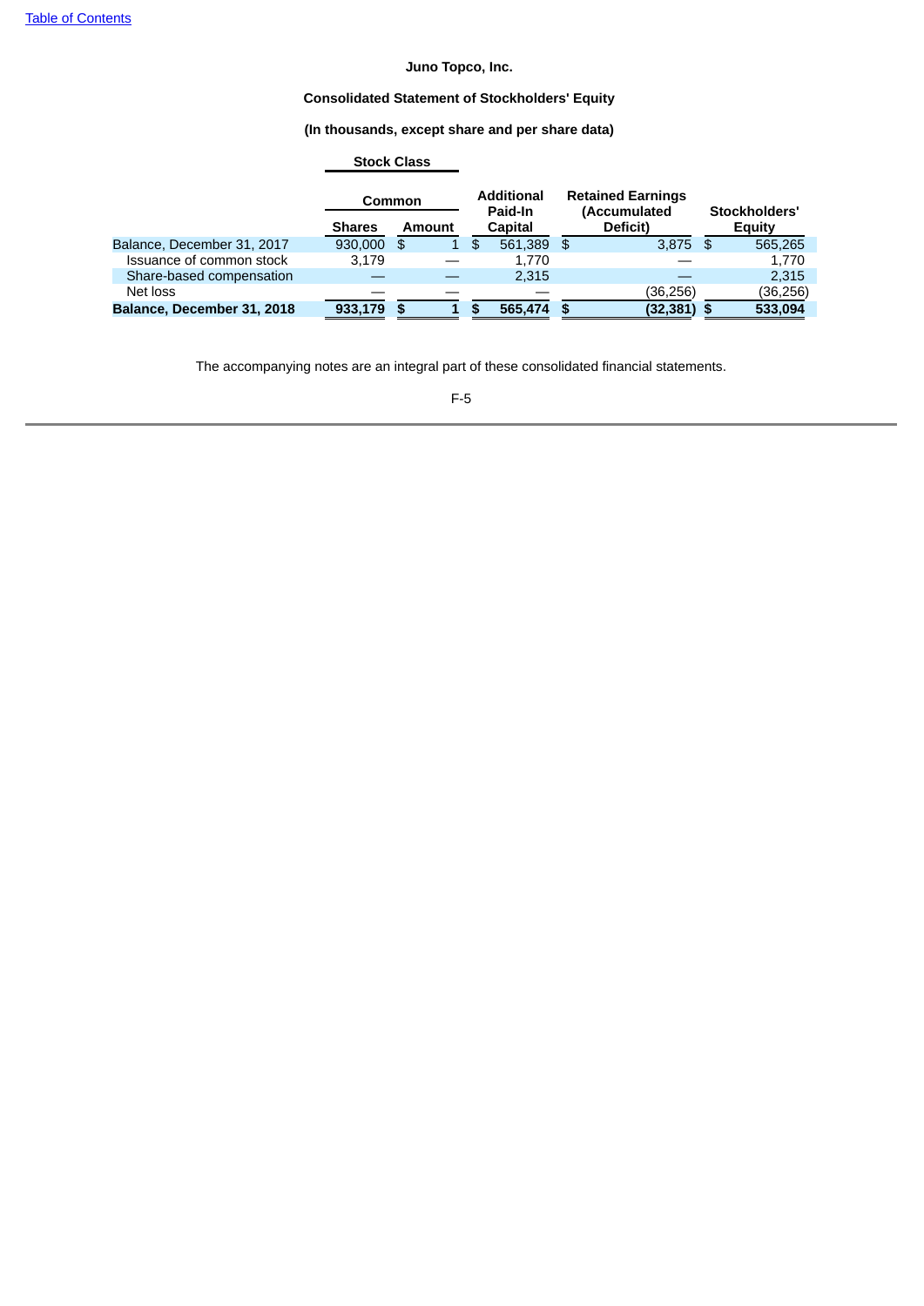# **Consolidated Statement of Stockholders' Equity**

# **(In thousands, except share and per share data)**

<span id="page-169-0"></span>

|                            |               | <b>Stock Class</b>      |                              |    |                                          |    |               |  |
|----------------------------|---------------|-------------------------|------------------------------|----|------------------------------------------|----|---------------|--|
|                            |               | Common                  | <b>Additional</b><br>Paid-In |    | <b>Retained Earnings</b><br>(Accumulated |    | Stockholders' |  |
|                            | <b>Shares</b> | Amount                  | Capital                      |    | Deficit)                                 |    | Equity        |  |
| Balance, December 31, 2017 | 930,000       | $\mathbf{\hat{f}}$<br>1 | \$<br>561,389                | \$ | 3,875                                    | \$ | 565,265       |  |
| Issuance of common stock   | 3.179         |                         | 1.770                        |    |                                          |    | 1,770         |  |
| Share-based compensation   |               |                         | 2.315                        |    |                                          |    | 2.315         |  |
| Net loss                   |               |                         |                              |    | (36,256)                                 |    | (36, 256)     |  |
| Balance, December 31, 2018 | 933,179       | 1                       | \$<br>565,474                | S  | (32, 381)                                |    | 533,094       |  |

The accompanying notes are an integral part of these consolidated financial statements.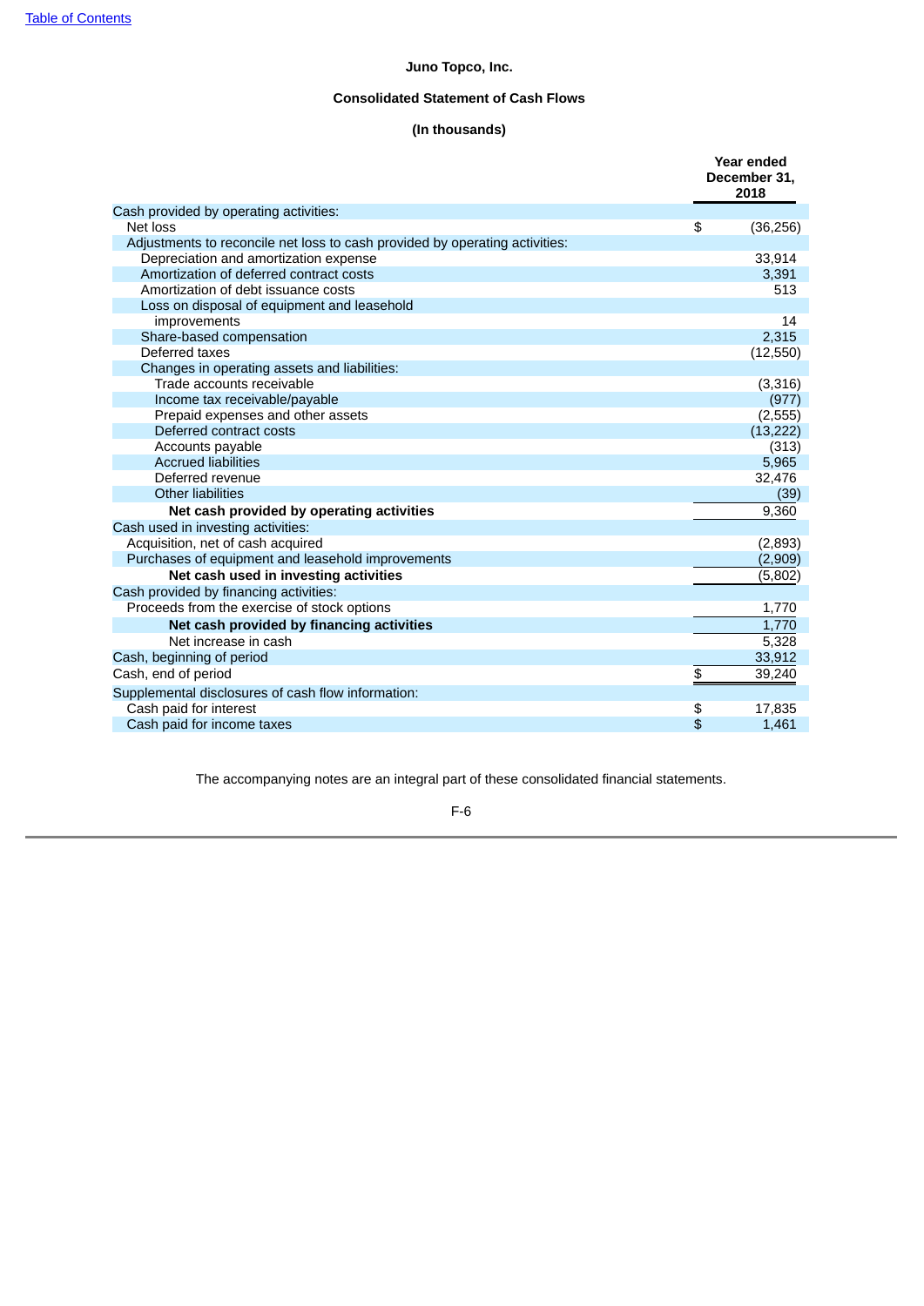# **Consolidated Statement of Cash Flows**

# **(In thousands)**

<span id="page-170-0"></span>

|                                                                             | <b>Year ended</b><br>December 31.<br>2018 |
|-----------------------------------------------------------------------------|-------------------------------------------|
| Cash provided by operating activities:                                      |                                           |
| Net loss                                                                    | \$<br>(36, 256)                           |
| Adjustments to reconcile net loss to cash provided by operating activities: |                                           |
| Depreciation and amortization expense                                       | 33,914                                    |
| Amortization of deferred contract costs                                     | 3,391                                     |
| Amortization of debt issuance costs                                         | 513                                       |
| Loss on disposal of equipment and leasehold                                 |                                           |
| improvements                                                                | 14                                        |
| Share-based compensation                                                    | 2,315                                     |
| Deferred taxes                                                              | (12, 550)                                 |
| Changes in operating assets and liabilities:                                |                                           |
| Trade accounts receivable                                                   | (3,316)                                   |
| Income tax receivable/payable                                               | (977)                                     |
| Prepaid expenses and other assets                                           | (2, 555)                                  |
| Deferred contract costs                                                     | (13, 222)                                 |
| Accounts payable                                                            | (313)                                     |
| <b>Accrued liabilities</b>                                                  | 5,965                                     |
| Deferred revenue                                                            | 32,476                                    |
| <b>Other liabilities</b>                                                    | (39)                                      |
| Net cash provided by operating activities                                   | 9,360                                     |
| Cash used in investing activities:                                          |                                           |
| Acquisition, net of cash acquired                                           | (2,893)                                   |
| Purchases of equipment and leasehold improvements                           | (2,909)                                   |
| Net cash used in investing activities                                       | (5,802)                                   |
| Cash provided by financing activities:                                      |                                           |
| Proceeds from the exercise of stock options                                 | 1,770                                     |
| Net cash provided by financing activities                                   | 1,770                                     |
| Net increase in cash                                                        | 5,328                                     |
| Cash, beginning of period                                                   | 33,912                                    |
| Cash, end of period                                                         | \$<br>39,240                              |
| Supplemental disclosures of cash flow information:                          |                                           |
| Cash paid for interest                                                      | \$<br>17,835                              |
| Cash paid for income taxes                                                  | \$<br>1.461                               |

The accompanying notes are an integral part of these consolidated financial statements.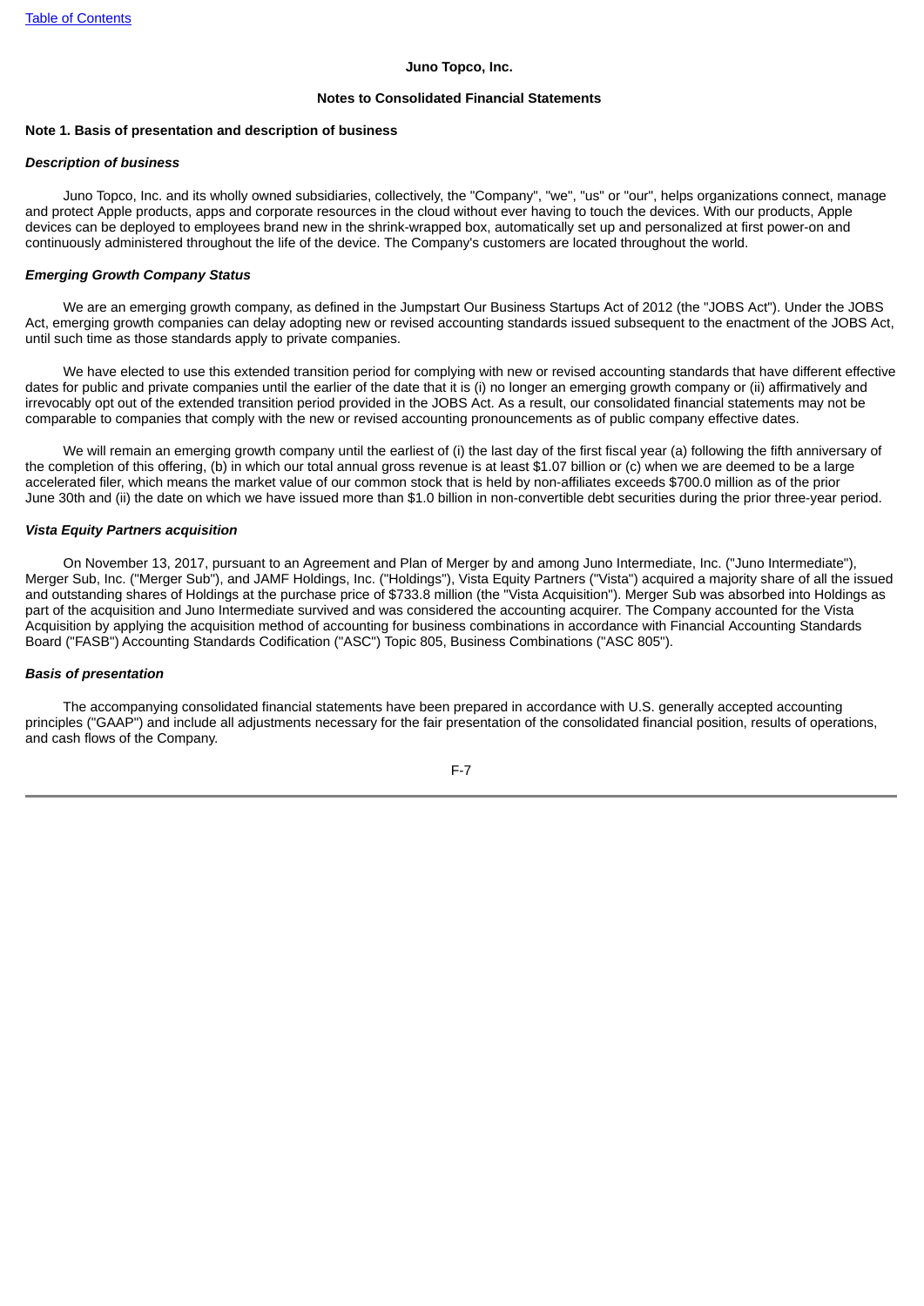#### **Notes to Consolidated Financial Statements**

#### <span id="page-171-0"></span>**Note 1. Basis of presentation and description of business**

#### *Description of business*

 Juno Topco, Inc. and its wholly owned subsidiaries, collectively, the "Company", "we", "us" or "our", helps organizations connect, manage and protect Apple products, apps and corporate resources in the cloud without ever having to touch the devices. With our products, Apple devices can be deployed to employees brand new in the shrink-wrapped box, automatically set up and personalized at first power-on and continuously administered throughout the life of the device. The Company's customers are located throughout the world.

## *Emerging Growth Company Status*

 We are an emerging growth company, as defined in the Jumpstart Our Business Startups Act of 2012 (the "JOBS Act"). Under the JOBS Act, emerging growth companies can delay adopting new or revised accounting standards issued subsequent to the enactment of the JOBS Act, until such time as those standards apply to private companies.

We have elected to use this extended transition period for complying with new or revised accounting standards that have different effective dates for public and private companies until the earlier of the date that it is (i) no longer an emerging growth company or (ii) affirmatively and irrevocably opt out of the extended transition period provided in the JOBS Act. As a result, our consolidated financial statements may not be comparable to companies that comply with the new or revised accounting pronouncements as of public company effective dates.

We will remain an emerging growth company until the earliest of (i) the last day of the first fiscal year (a) following the fifth anniversary of the completion of this offering, (b) in which our total annual gross revenue is at least \$1.07 billion or (c) when we are deemed to be a large accelerated filer, which means the market value of our common stock that is held by non-affiliates exceeds \$700.0 million as of the prior June 30th and (ii) the date on which we have issued more than \$1.0 billion in non-convertible debt securities during the prior three-year period.

#### *Vista Equity Partners acquisition*

 On November 13, 2017, pursuant to an Agreement and Plan of Merger by and among Juno Intermediate, Inc. ("Juno Intermediate"), Merger Sub, Inc. ("Merger Sub"), and JAMF Holdings, Inc. ("Holdings"), Vista Equity Partners ("Vista") acquired a majority share of all the issued and outstanding shares of Holdings at the purchase price of \$733.8 million (the "Vista Acquisition"). Merger Sub was absorbed into Holdings as part of the acquisition and Juno Intermediate survived and was considered the accounting acquirer. The Company accounted for the Vista Acquisition by applying the acquisition method of accounting for business combinations in accordance with Financial Accounting Standards Board ("FASB") Accounting Standards Codification ("ASC") Topic 805, Business Combinations ("ASC 805").

#### *Basis of presentation*

 The accompanying consolidated financial statements have been prepared in accordance with U.S. generally accepted accounting principles ("GAAP") and include all adjustments necessary for the fair presentation of the consolidated financial position, results of operations, and cash flows of the Company.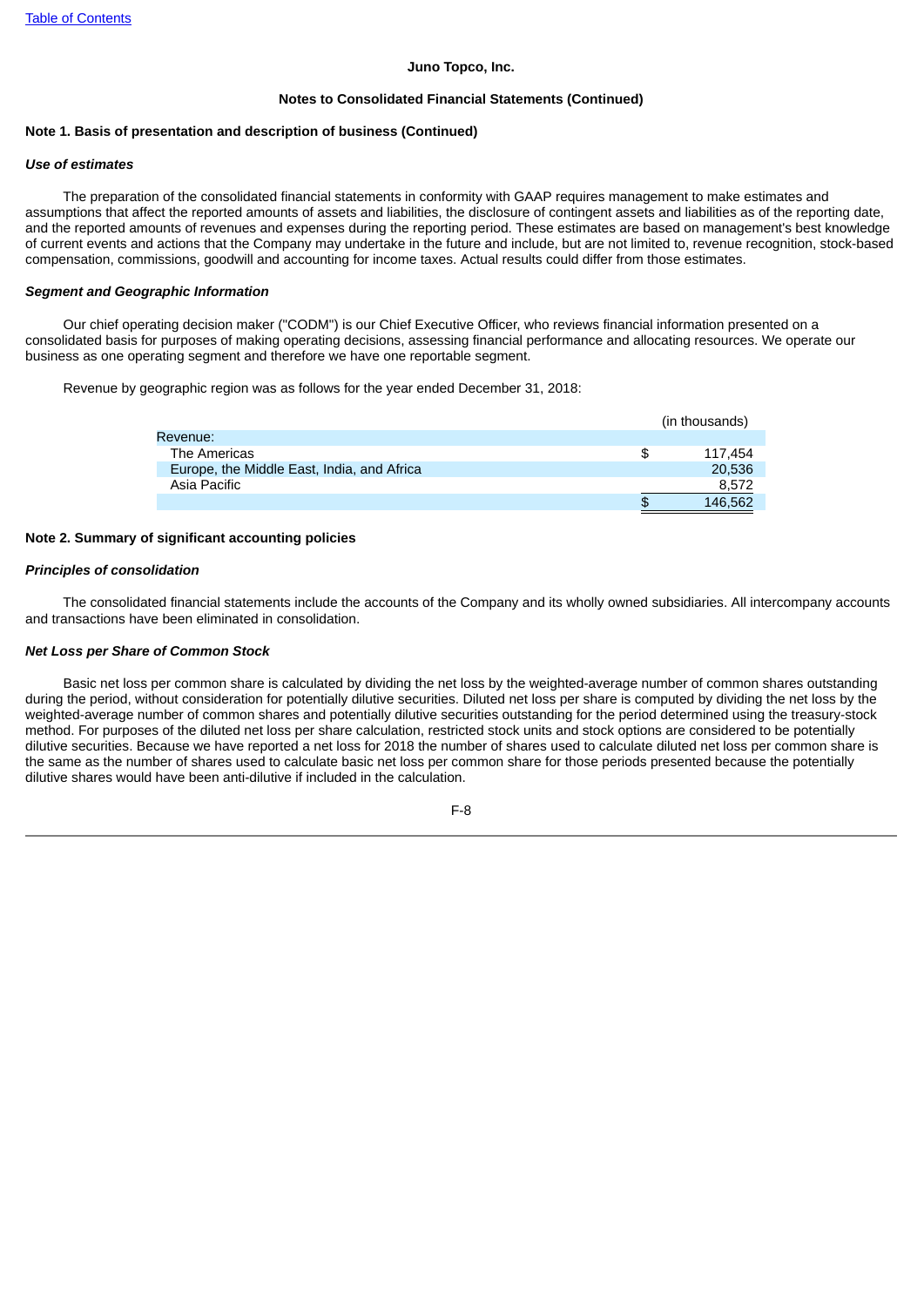#### **Notes to Consolidated Financial Statements (Continued)**

# **Note 1. Basis of presentation and description of business (Continued)**

#### *Use of estimates*

 The preparation of the consolidated financial statements in conformity with GAAP requires management to make estimates and assumptions that affect the reported amounts of assets and liabilities, the disclosure of contingent assets and liabilities as of the reporting date, and the reported amounts of revenues and expenses during the reporting period. These estimates are based on management's best knowledge of current events and actions that the Company may undertake in the future and include, but are not limited to, revenue recognition, stock-based compensation, commissions, goodwill and accounting for income taxes. Actual results could differ from those estimates.

#### *Segment and Geographic Information*

 Our chief operating decision maker ("CODM") is our Chief Executive Officer, who reviews financial information presented on a consolidated basis for purposes of making operating decisions, assessing financial performance and allocating resources. We operate our business as one operating segment and therefore we have one reportable segment.

Revenue by geographic region was as follows for the year ended December 31, 2018:

|                                            |    | (in thousands) |
|--------------------------------------------|----|----------------|
| Revenue:                                   |    |                |
| The Americas                               | £. | 117.454        |
| Europe, the Middle East, India, and Africa |    | 20,536         |
| Asia Pacific                               |    | 8.572          |
|                                            | \$ | 146.562        |

## **Note 2. Summary of significant accounting policies**

## *Principles of consolidation*

 The consolidated financial statements include the accounts of the Company and its wholly owned subsidiaries. All intercompany accounts and transactions have been eliminated in consolidation.

#### *Net Loss per Share of Common Stock*

 Basic net loss per common share is calculated by dividing the net loss by the weighted-average number of common shares outstanding during the period, without consideration for potentially dilutive securities. Diluted net loss per share is computed by dividing the net loss by the weighted-average number of common shares and potentially dilutive securities outstanding for the period determined using the treasury-stock method. For purposes of the diluted net loss per share calculation, restricted stock units and stock options are considered to be potentially dilutive securities. Because we have reported a net loss for 2018 the number of shares used to calculate diluted net loss per common share is the same as the number of shares used to calculate basic net loss per common share for those periods presented because the potentially dilutive shares would have been anti-dilutive if included in the calculation.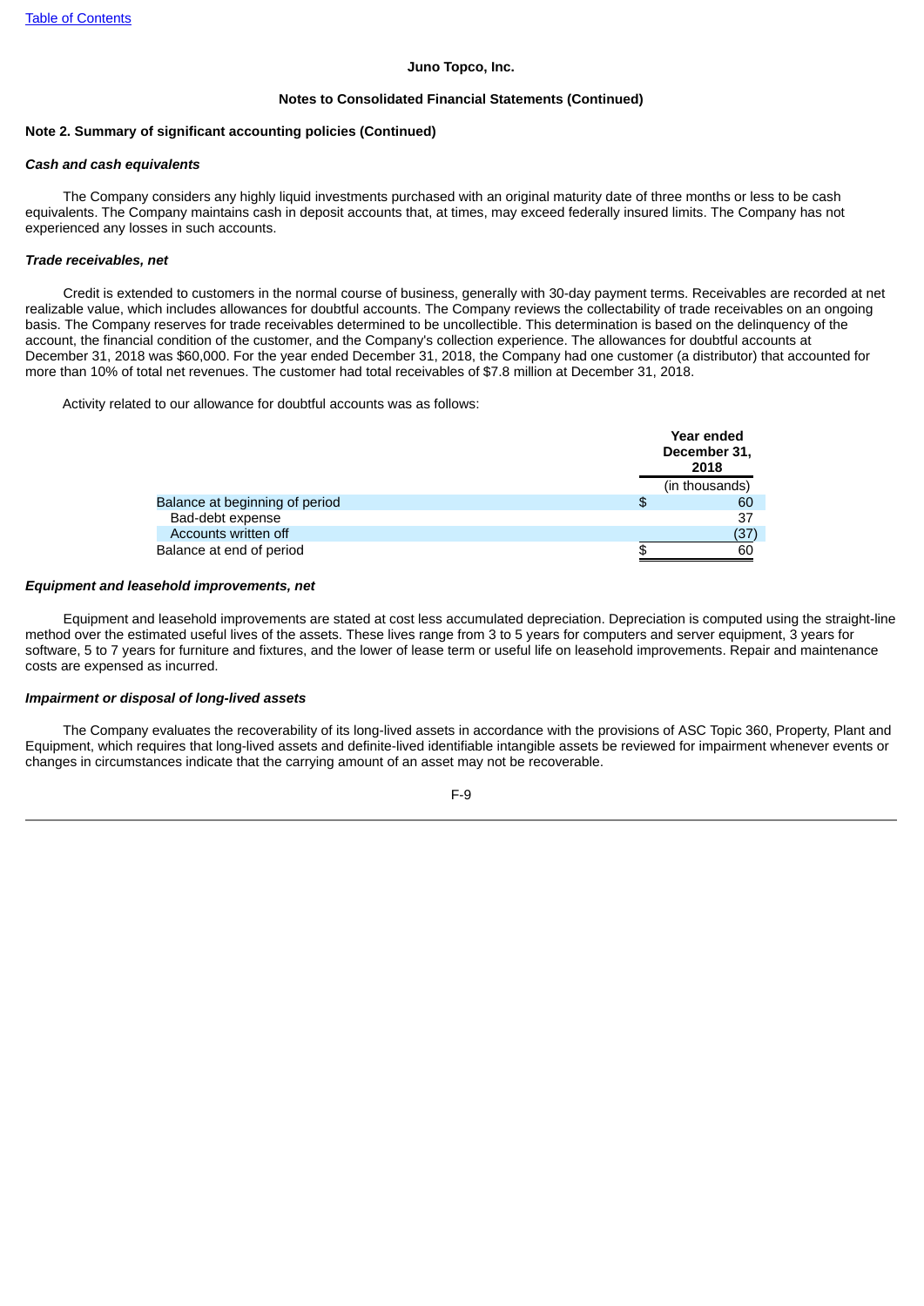#### **Notes to Consolidated Financial Statements (Continued)**

## **Note 2. Summary of significant accounting policies (Continued)**

#### *Cash and cash equivalents*

 The Company considers any highly liquid investments purchased with an original maturity date of three months or less to be cash equivalents. The Company maintains cash in deposit accounts that, at times, may exceed federally insured limits. The Company has not experienced any losses in such accounts.

## *Trade receivables, net*

 Credit is extended to customers in the normal course of business, generally with 30-day payment terms. Receivables are recorded at net realizable value, which includes allowances for doubtful accounts. The Company reviews the collectability of trade receivables on an ongoing basis. The Company reserves for trade receivables determined to be uncollectible. This determination is based on the delinquency of the account, the financial condition of the customer, and the Company's collection experience. The allowances for doubtful accounts at December 31, 2018 was \$60,000. For the year ended December 31, 2018, the Company had one customer (a distributor) that accounted for more than 10% of total net revenues. The customer had total receivables of \$7.8 million at December 31, 2018.

Activity related to our allowance for doubtful accounts was as follows:

|                                | <b>Year ended</b><br>December 31,<br>2018 |
|--------------------------------|-------------------------------------------|
|                                | (in thousands)                            |
| Balance at beginning of period | \$<br>60                                  |
| Bad-debt expense               | 37                                        |
| Accounts written off           | (37)                                      |
| Balance at end of period       | 60                                        |

## *Equipment and leasehold improvements, net*

 Equipment and leasehold improvements are stated at cost less accumulated depreciation. Depreciation is computed using the straight-line method over the estimated useful lives of the assets. These lives range from 3 to 5 years for computers and server equipment, 3 years for software, 5 to 7 years for furniture and fixtures, and the lower of lease term or useful life on leasehold improvements. Repair and maintenance costs are expensed as incurred.

### *Impairment or disposal of long-lived assets*

 The Company evaluates the recoverability of its long-lived assets in accordance with the provisions of ASC Topic 360, Property, Plant and Equipment, which requires that long-lived assets and definite-lived identifiable intangible assets be reviewed for impairment whenever events or changes in circumstances indicate that the carrying amount of an asset may not be recoverable.

$$
\mathsf{F}\text{-}\mathsf{9}
$$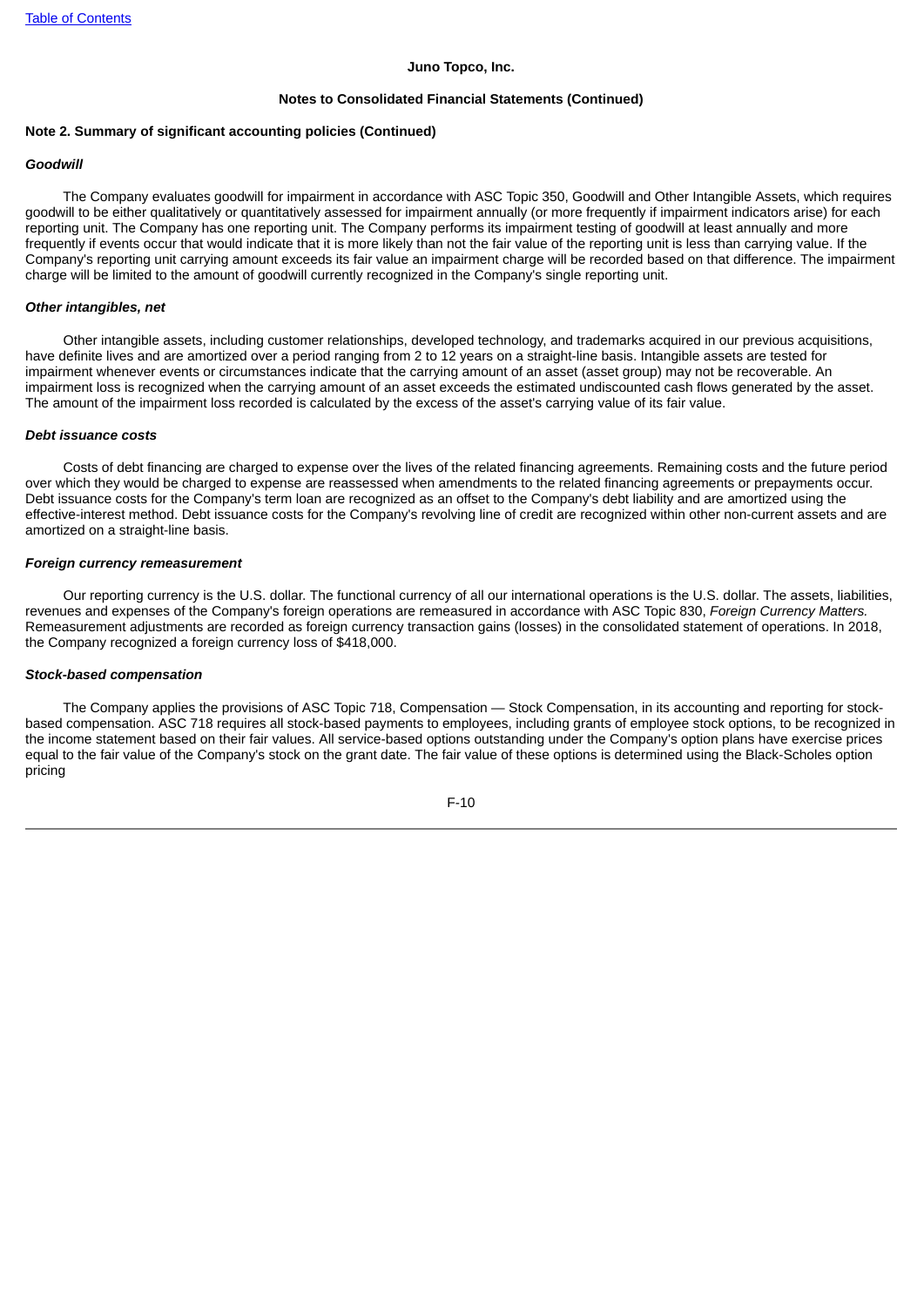## **Notes to Consolidated Financial Statements (Continued)**

## **Note 2. Summary of significant accounting policies (Continued)**

#### *Goodwill*

 The Company evaluates goodwill for impairment in accordance with ASC Topic 350, Goodwill and Other Intangible Assets, which requires goodwill to be either qualitatively or quantitatively assessed for impairment annually (or more frequently if impairment indicators arise) for each reporting unit. The Company has one reporting unit. The Company performs its impairment testing of goodwill at least annually and more frequently if events occur that would indicate that it is more likely than not the fair value of the reporting unit is less than carrying value. If the Company's reporting unit carrying amount exceeds its fair value an impairment charge will be recorded based on that difference. The impairment charge will be limited to the amount of goodwill currently recognized in the Company's single reporting unit.

## *Other intangibles, net*

 Other intangible assets, including customer relationships, developed technology, and trademarks acquired in our previous acquisitions, have definite lives and are amortized over a period ranging from 2 to 12 years on a straight-line basis. Intangible assets are tested for impairment whenever events or circumstances indicate that the carrying amount of an asset (asset group) may not be recoverable. An impairment loss is recognized when the carrying amount of an asset exceeds the estimated undiscounted cash flows generated by the asset. The amount of the impairment loss recorded is calculated by the excess of the asset's carrying value of its fair value.

## *Debt issuance costs*

 Costs of debt financing are charged to expense over the lives of the related financing agreements. Remaining costs and the future period over which they would be charged to expense are reassessed when amendments to the related financing agreements or prepayments occur. Debt issuance costs for the Company's term loan are recognized as an offset to the Company's debt liability and are amortized using the effective-interest method. Debt issuance costs for the Company's revolving line of credit are recognized within other non-current assets and are amortized on a straight-line basis.

## *Foreign currency remeasurement*

 Our reporting currency is the U.S. dollar. The functional currency of all our international operations is the U.S. dollar. The assets, liabilities, revenues and expenses of the Company's foreign operations are remeasured in accordance with ASC Topic 830, *Foreign Currency Matters.* Remeasurement adjustments are recorded as foreign currency transaction gains (losses) in the consolidated statement of operations. In 2018, the Company recognized a foreign currency loss of \$418,000.

## *Stock-based compensation*

 The Company applies the provisions of ASC Topic 718, Compensation — Stock Compensation, in its accounting and reporting for stockbased compensation. ASC 718 requires all stock-based payments to employees, including grants of employee stock options, to be recognized in the income statement based on their fair values. All service-based options outstanding under the Company's option plans have exercise prices equal to the fair value of the Company's stock on the grant date. The fair value of these options is determined using the Black-Scholes option pricing

$$
F-10
$$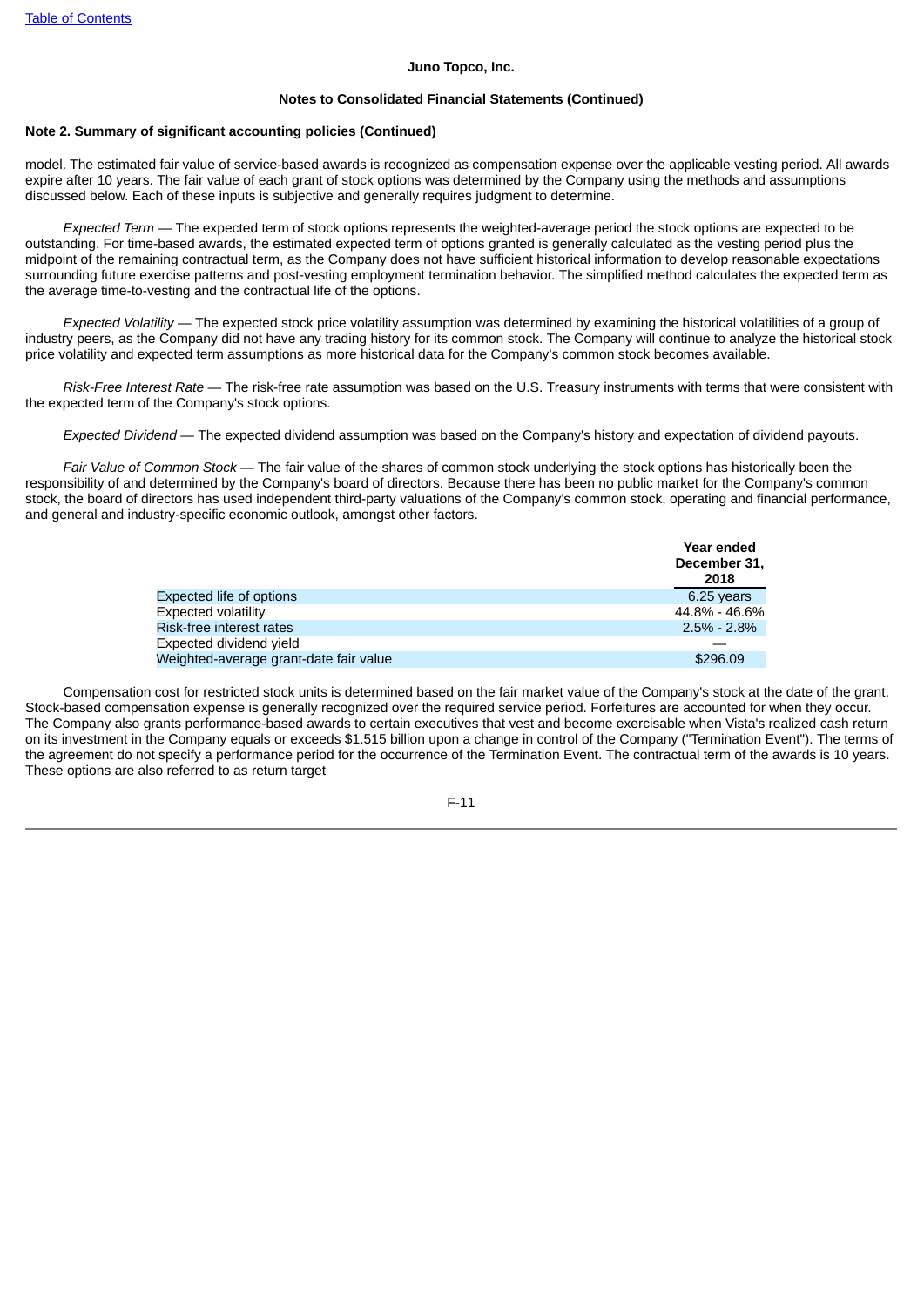## **Notes to Consolidated Financial Statements (Continued)**

## **Note 2. Summary of significant accounting policies (Continued)**

model. The estimated fair value of service-based awards is recognized as compensation expense over the applicable vesting period. All awards expire after 10 years. The fair value of each grant of stock options was determined by the Company using the methods and assumptions discussed below. Each of these inputs is subjective and generally requires judgment to determine.

 *Expected Term* — The expected term of stock options represents the weighted-average period the stock options are expected to be outstanding. For time-based awards, the estimated expected term of options granted is generally calculated as the vesting period plus the midpoint of the remaining contractual term, as the Company does not have sufficient historical information to develop reasonable expectations surrounding future exercise patterns and post-vesting employment termination behavior. The simplified method calculates the expected term as the average time-to-vesting and the contractual life of the options.

 *Expected Volatility* — The expected stock price volatility assumption was determined by examining the historical volatilities of a group of industry peers, as the Company did not have any trading history for its common stock. The Company will continue to analyze the historical stock price volatility and expected term assumptions as more historical data for the Company's common stock becomes available.

 *Risk-Free Interest Rate* — The risk-free rate assumption was based on the U.S. Treasury instruments with terms that were consistent with the expected term of the Company's stock options.

*Expected Dividend* — The expected dividend assumption was based on the Company's history and expectation of dividend payouts.

 *Fair Value of Common Stock* — The fair value of the shares of common stock underlying the stock options has historically been the responsibility of and determined by the Company's board of directors. Because there has been no public market for the Company's common stock, the board of directors has used independent third-party valuations of the Company's common stock, operating and financial performance, and general and industry-specific economic outlook, amongst other factors.

|                                        | <b>Year ended</b><br>December 31,<br>2018 |
|----------------------------------------|-------------------------------------------|
| Expected life of options               | 6.25 years                                |
| Expected volatility                    | 44.8% - 46.6%                             |
| Risk-free interest rates               | $2.5\% - 2.8\%$                           |
| Expected dividend yield                |                                           |
| Weighted-average grant-date fair value | \$296.09                                  |

 Compensation cost for restricted stock units is determined based on the fair market value of the Company's stock at the date of the grant. Stock-based compensation expense is generally recognized over the required service period. Forfeitures are accounted for when they occur. The Company also grants performance-based awards to certain executives that vest and become exercisable when Vista's realized cash return on its investment in the Company equals or exceeds \$1.515 billion upon a change in control of the Company ("Termination Event"). The terms of the agreement do not specify a performance period for the occurrence of the Termination Event. The contractual term of the awards is 10 years. These options are also referred to as return target

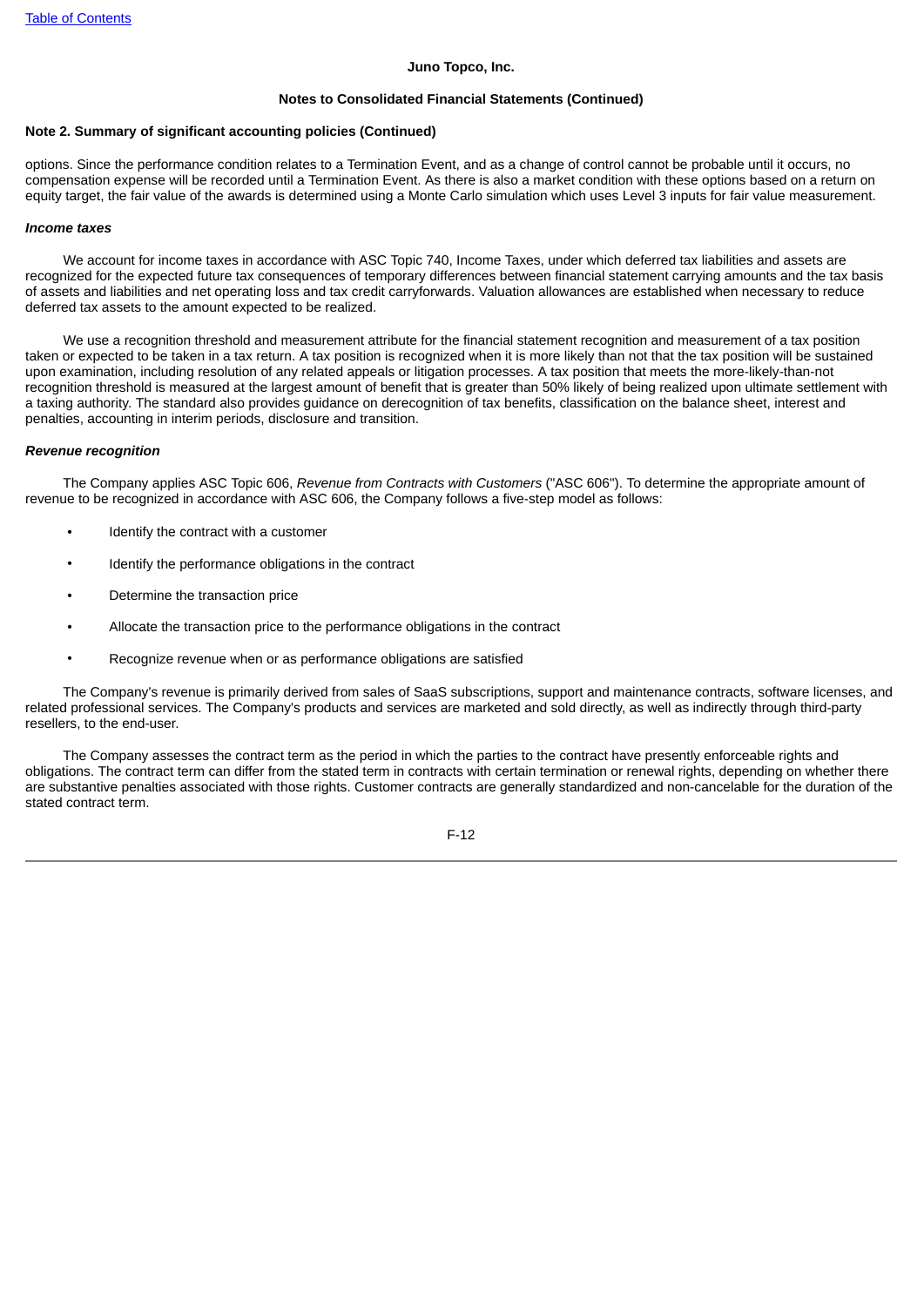## **Notes to Consolidated Financial Statements (Continued)**

## **Note 2. Summary of significant accounting policies (Continued)**

options. Since the performance condition relates to a Termination Event, and as a change of control cannot be probable until it occurs, no compensation expense will be recorded until a Termination Event. As there is also a market condition with these options based on a return on equity target, the fair value of the awards is determined using a Monte Carlo simulation which uses Level 3 inputs for fair value measurement.

## *Income taxes*

 We account for income taxes in accordance with ASC Topic 740, Income Taxes, under which deferred tax liabilities and assets are recognized for the expected future tax consequences of temporary differences between financial statement carrying amounts and the tax basis of assets and liabilities and net operating loss and tax credit carryforwards. Valuation allowances are established when necessary to reduce deferred tax assets to the amount expected to be realized.

We use a recognition threshold and measurement attribute for the financial statement recognition and measurement of a tax position taken or expected to be taken in a tax return. A tax position is recognized when it is more likely than not that the tax position will be sustained upon examination, including resolution of any related appeals or litigation processes. A tax position that meets the more-likely-than-not recognition threshold is measured at the largest amount of benefit that is greater than 50% likely of being realized upon ultimate settlement with a taxing authority. The standard also provides guidance on derecognition of tax benefits, classification on the balance sheet, interest and penalties, accounting in interim periods, disclosure and transition.

## *Revenue recognition*

 The Company applies ASC Topic 606, *Revenue from Contracts with Customers* ("ASC 606"). To determine the appropriate amount of revenue to be recognized in accordance with ASC 606, the Company follows a five-step model as follows:

- Identify the contract with a customer
- Identify the performance obligations in the contract
- Determine the transaction price
- Allocate the transaction price to the performance obligations in the contract
- Recognize revenue when or as performance obligations are satisfied

 The Company's revenue is primarily derived from sales of SaaS subscriptions, support and maintenance contracts, software licenses, and related professional services. The Company's products and services are marketed and sold directly, as well as indirectly through third-party resellers, to the end-user.

 The Company assesses the contract term as the period in which the parties to the contract have presently enforceable rights and obligations. The contract term can differ from the stated term in contracts with certain termination or renewal rights, depending on whether there are substantive penalties associated with those rights. Customer contracts are generally standardized and non-cancelable for the duration of the stated contract term.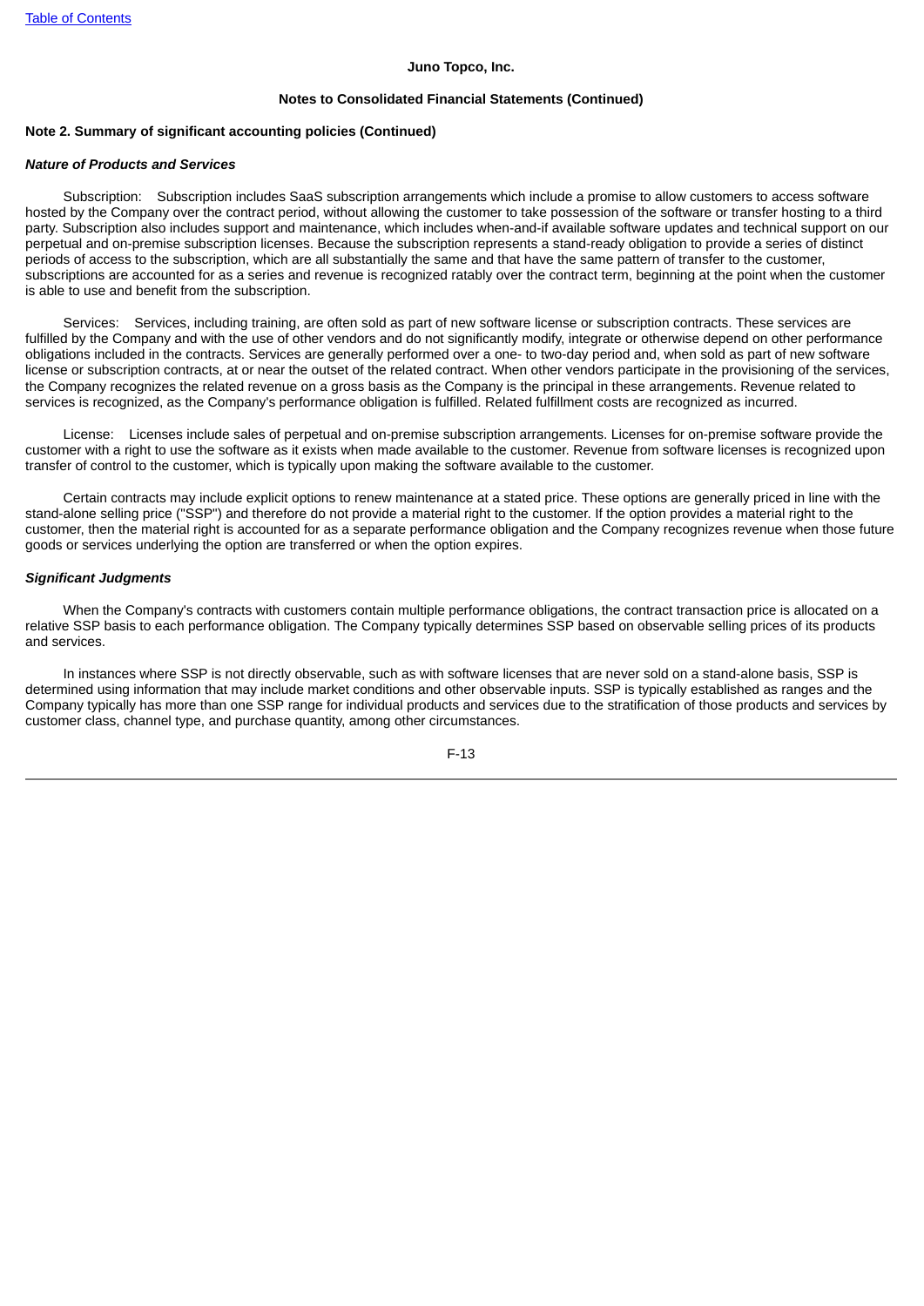#### **Notes to Consolidated Financial Statements (Continued)**

#### **Note 2. Summary of significant accounting policies (Continued)**

#### *Nature of Products and Services*

 Subscription: Subscription includes SaaS subscription arrangements which include a promise to allow customers to access software hosted by the Company over the contract period, without allowing the customer to take possession of the software or transfer hosting to a third party. Subscription also includes support and maintenance, which includes when-and-if available software updates and technical support on our perpetual and on-premise subscription licenses. Because the subscription represents a stand-ready obligation to provide a series of distinct periods of access to the subscription, which are all substantially the same and that have the same pattern of transfer to the customer, subscriptions are accounted for as a series and revenue is recognized ratably over the contract term, beginning at the point when the customer is able to use and benefit from the subscription.

 Services: Services, including training, are often sold as part of new software license or subscription contracts. These services are fulfilled by the Company and with the use of other vendors and do not significantly modify, integrate or otherwise depend on other performance obligations included in the contracts. Services are generally performed over a one- to two-day period and, when sold as part of new software license or subscription contracts, at or near the outset of the related contract. When other vendors participate in the provisioning of the services, the Company recognizes the related revenue on a gross basis as the Company is the principal in these arrangements. Revenue related to services is recognized, as the Company's performance obligation is fulfilled. Related fulfillment costs are recognized as incurred.

 License: Licenses include sales of perpetual and on-premise subscription arrangements. Licenses for on-premise software provide the customer with a right to use the software as it exists when made available to the customer. Revenue from software licenses is recognized upon transfer of control to the customer, which is typically upon making the software available to the customer.

 Certain contracts may include explicit options to renew maintenance at a stated price. These options are generally priced in line with the stand-alone selling price ("SSP") and therefore do not provide a material right to the customer. If the option provides a material right to the customer, then the material right is accounted for as a separate performance obligation and the Company recognizes revenue when those future goods or services underlying the option are transferred or when the option expires.

#### *Significant Judgments*

When the Company's contracts with customers contain multiple performance obligations, the contract transaction price is allocated on a relative SSP basis to each performance obligation. The Company typically determines SSP based on observable selling prices of its products and services.

 In instances where SSP is not directly observable, such as with software licenses that are never sold on a stand-alone basis, SSP is determined using information that may include market conditions and other observable inputs. SSP is typically established as ranges and the Company typically has more than one SSP range for individual products and services due to the stratification of those products and services by customer class, channel type, and purchase quantity, among other circumstances.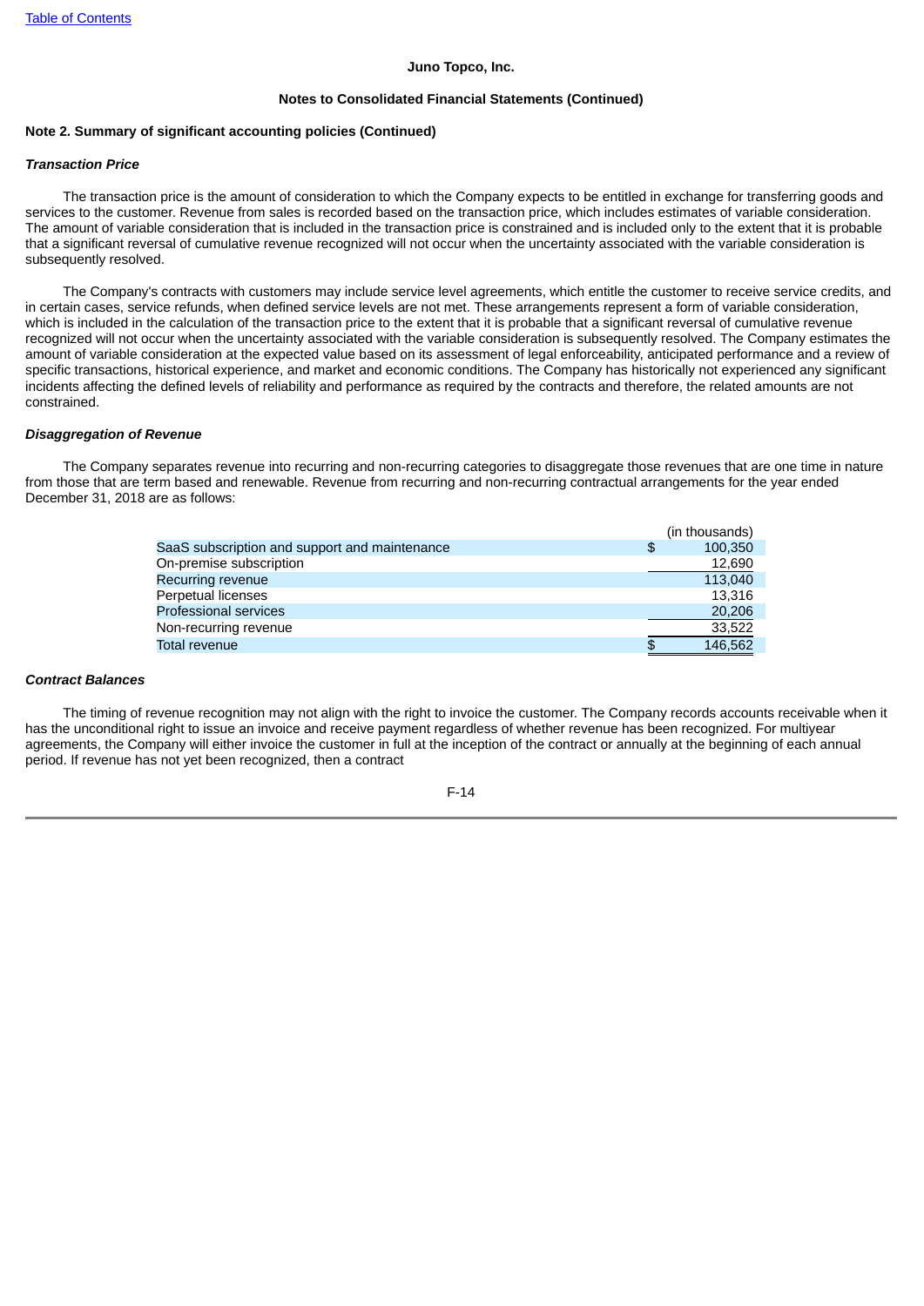#### **Notes to Consolidated Financial Statements (Continued)**

## **Note 2. Summary of significant accounting policies (Continued)**

#### *Transaction Price*

 The transaction price is the amount of consideration to which the Company expects to be entitled in exchange for transferring goods and services to the customer. Revenue from sales is recorded based on the transaction price, which includes estimates of variable consideration. The amount of variable consideration that is included in the transaction price is constrained and is included only to the extent that it is probable that a significant reversal of cumulative revenue recognized will not occur when the uncertainty associated with the variable consideration is subsequently resolved.

 The Company's contracts with customers may include service level agreements, which entitle the customer to receive service credits, and in certain cases, service refunds, when defined service levels are not met. These arrangements represent a form of variable consideration, which is included in the calculation of the transaction price to the extent that it is probable that a significant reversal of cumulative revenue recognized will not occur when the uncertainty associated with the variable consideration is subsequently resolved. The Company estimates the amount of variable consideration at the expected value based on its assessment of legal enforceability, anticipated performance and a review of specific transactions, historical experience, and market and economic conditions. The Company has historically not experienced any significant incidents affecting the defined levels of reliability and performance as required by the contracts and therefore, the related amounts are not constrained.

## *Disaggregation of Revenue*

 The Company separates revenue into recurring and non-recurring categories to disaggregate those revenues that are one time in nature from those that are term based and renewable. Revenue from recurring and non-recurring contractual arrangements for the year ended December 31, 2018 are as follows:

|                                               |    | (in thousands) |
|-----------------------------------------------|----|----------------|
| SaaS subscription and support and maintenance | \$ | 100,350        |
| On-premise subscription                       |    | 12,690         |
| Recurring revenue                             |    | 113.040        |
| Perpetual licenses                            |    | 13.316         |
| <b>Professional services</b>                  |    | 20,206         |
| Non-recurring revenue                         |    | 33,522         |
| <b>Total revenue</b>                          | £. | 146,562        |

## *Contract Balances*

 The timing of revenue recognition may not align with the right to invoice the customer. The Company records accounts receivable when it has the unconditional right to issue an invoice and receive payment regardless of whether revenue has been recognized. For multiyear agreements, the Company will either invoice the customer in full at the inception of the contract or annually at the beginning of each annual period. If revenue has not yet been recognized, then a contract

$$
F-14
$$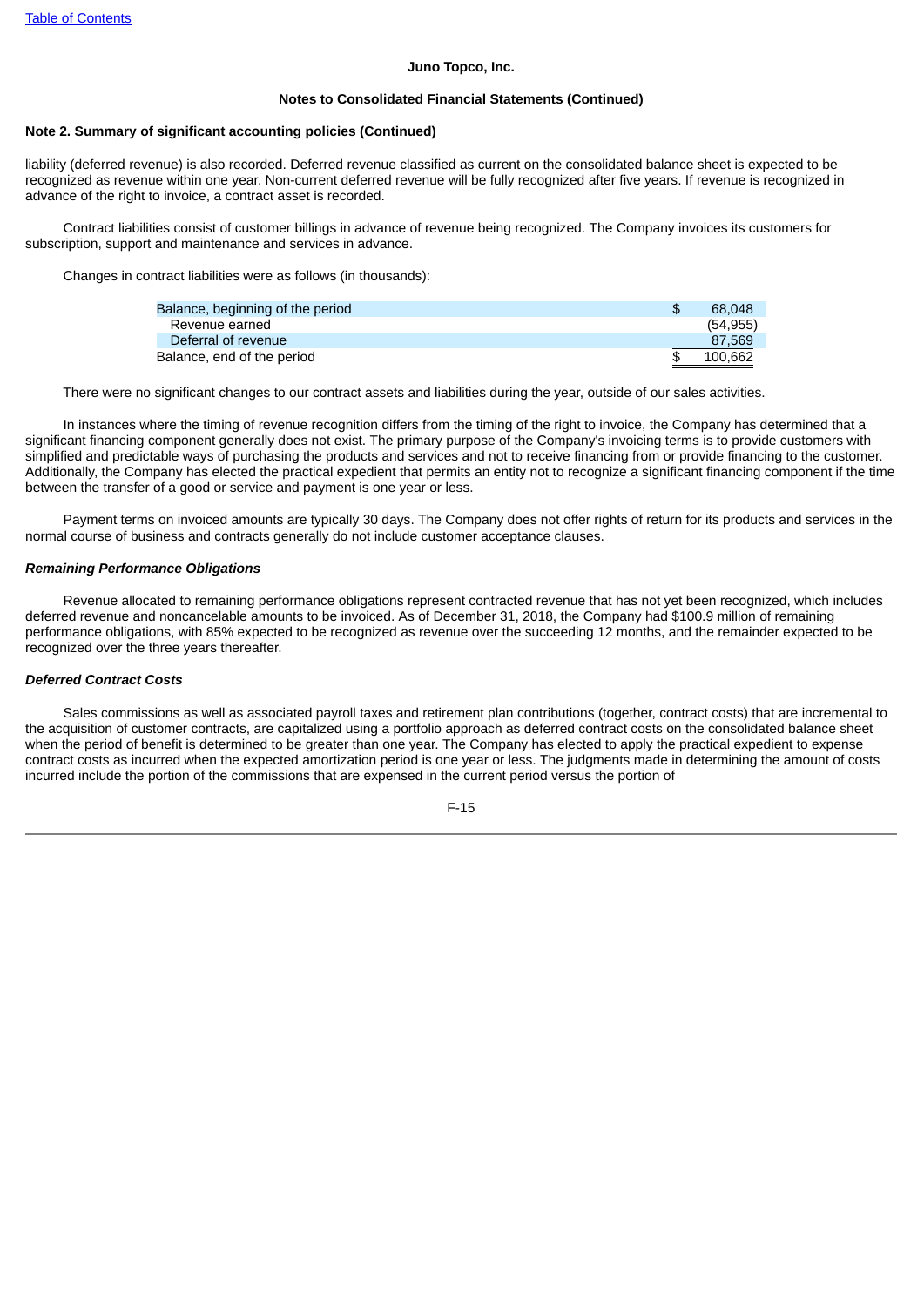#### **Notes to Consolidated Financial Statements (Continued)**

## **Note 2. Summary of significant accounting policies (Continued)**

liability (deferred revenue) is also recorded. Deferred revenue classified as current on the consolidated balance sheet is expected to be recognized as revenue within one year. Non-current deferred revenue will be fully recognized after five years. If revenue is recognized in advance of the right to invoice, a contract asset is recorded.

 Contract liabilities consist of customer billings in advance of revenue being recognized. The Company invoices its customers for subscription, support and maintenance and services in advance.

Changes in contract liabilities were as follows (in thousands):

| Balance, beginning of the period | 68.048    |
|----------------------------------|-----------|
| Revenue earned                   | (54, 955) |
| Deferral of revenue              | 87.569    |
| Balance, end of the period       | 100.662   |

There were no significant changes to our contract assets and liabilities during the year, outside of our sales activities.

 In instances where the timing of revenue recognition differs from the timing of the right to invoice, the Company has determined that a significant financing component generally does not exist. The primary purpose of the Company's invoicing terms is to provide customers with simplified and predictable ways of purchasing the products and services and not to receive financing from or provide financing to the customer. Additionally, the Company has elected the practical expedient that permits an entity not to recognize a significant financing component if the time between the transfer of a good or service and payment is one year or less.

 Payment terms on invoiced amounts are typically 30 days. The Company does not offer rights of return for its products and services in the normal course of business and contracts generally do not include customer acceptance clauses.

## *Remaining Performance Obligations*

 Revenue allocated to remaining performance obligations represent contracted revenue that has not yet been recognized, which includes deferred revenue and noncancelable amounts to be invoiced. As of December 31, 2018, the Company had \$100.9 million of remaining performance obligations, with 85% expected to be recognized as revenue over the succeeding 12 months, and the remainder expected to be recognized over the three years thereafter.

#### *Deferred Contract Costs*

 Sales commissions as well as associated payroll taxes and retirement plan contributions (together, contract costs) that are incremental to the acquisition of customer contracts, are capitalized using a portfolio approach as deferred contract costs on the consolidated balance sheet when the period of benefit is determined to be greater than one year. The Company has elected to apply the practical expedient to expense contract costs as incurred when the expected amortization period is one year or less. The judgments made in determining the amount of costs incurred include the portion of the commissions that are expensed in the current period versus the portion of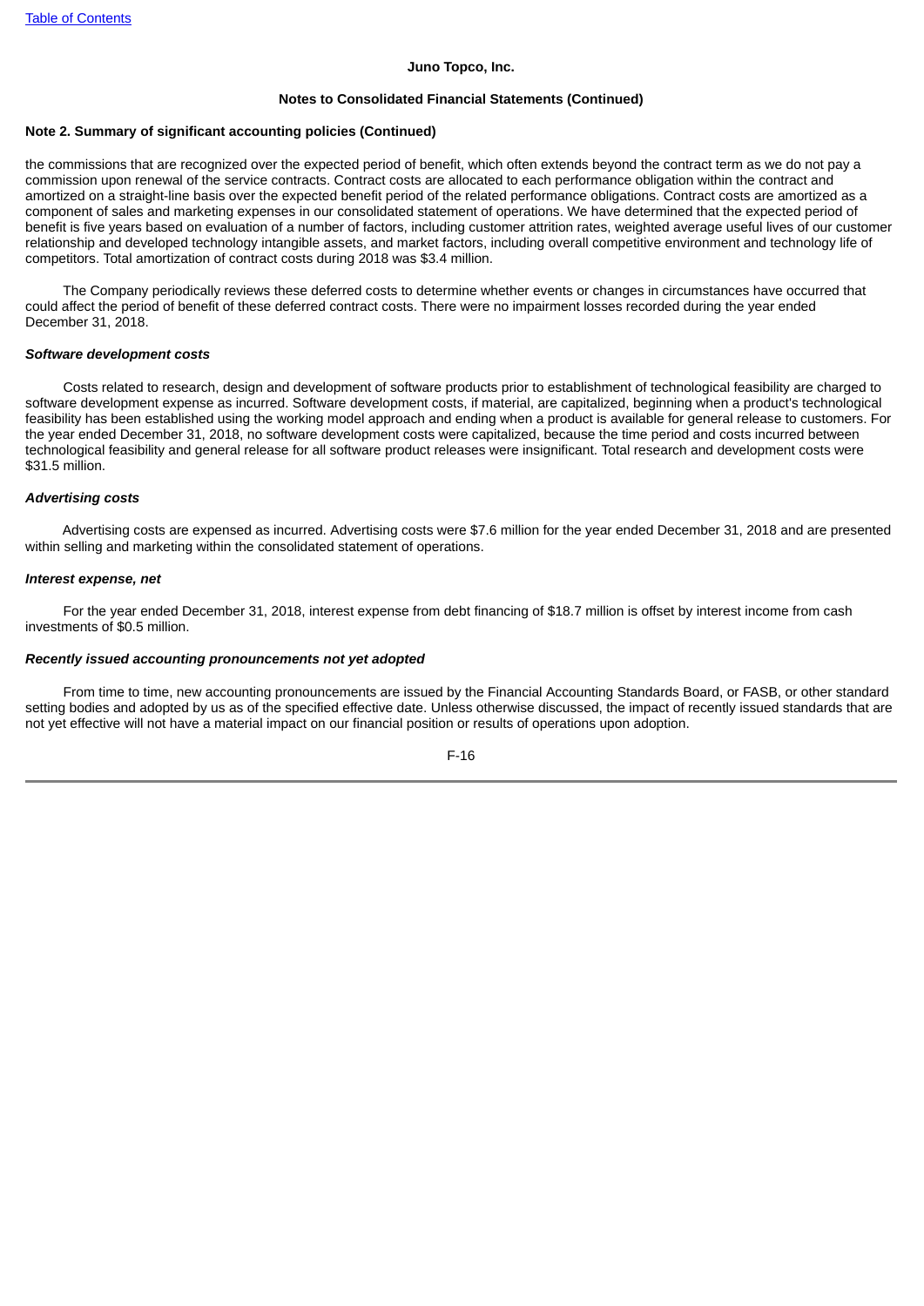#### **Notes to Consolidated Financial Statements (Continued)**

#### **Note 2. Summary of significant accounting policies (Continued)**

the commissions that are recognized over the expected period of benefit, which often extends beyond the contract term as we do not pay a commission upon renewal of the service contracts. Contract costs are allocated to each performance obligation within the contract and amortized on a straight-line basis over the expected benefit period of the related performance obligations. Contract costs are amortized as a component of sales and marketing expenses in our consolidated statement of operations. We have determined that the expected period of benefit is five years based on evaluation of a number of factors, including customer attrition rates, weighted average useful lives of our customer relationship and developed technology intangible assets, and market factors, including overall competitive environment and technology life of competitors. Total amortization of contract costs during 2018 was \$3.4 million.

 The Company periodically reviews these deferred costs to determine whether events or changes in circumstances have occurred that could affect the period of benefit of these deferred contract costs. There were no impairment losses recorded during the year ended December 31, 2018.

#### *Software development costs*

 Costs related to research, design and development of software products prior to establishment of technological feasibility are charged to software development expense as incurred. Software development costs, if material, are capitalized, beginning when a product's technological feasibility has been established using the working model approach and ending when a product is available for general release to customers. For the year ended December 31, 2018, no software development costs were capitalized, because the time period and costs incurred between technological feasibility and general release for all software product releases were insignificant. Total research and development costs were \$31.5 million.

#### *Advertising costs*

 Advertising costs are expensed as incurred. Advertising costs were \$7.6 million for the year ended December 31, 2018 and are presented within selling and marketing within the consolidated statement of operations.

#### *Interest expense, net*

 For the year ended December 31, 2018, interest expense from debt financing of \$18.7 million is offset by interest income from cash investments of \$0.5 million.

#### *Recently issued accounting pronouncements not yet adopted*

 From time to time, new accounting pronouncements are issued by the Financial Accounting Standards Board, or FASB, or other standard setting bodies and adopted by us as of the specified effective date. Unless otherwise discussed, the impact of recently issued standards that are not yet effective will not have a material impact on our financial position or results of operations upon adoption.

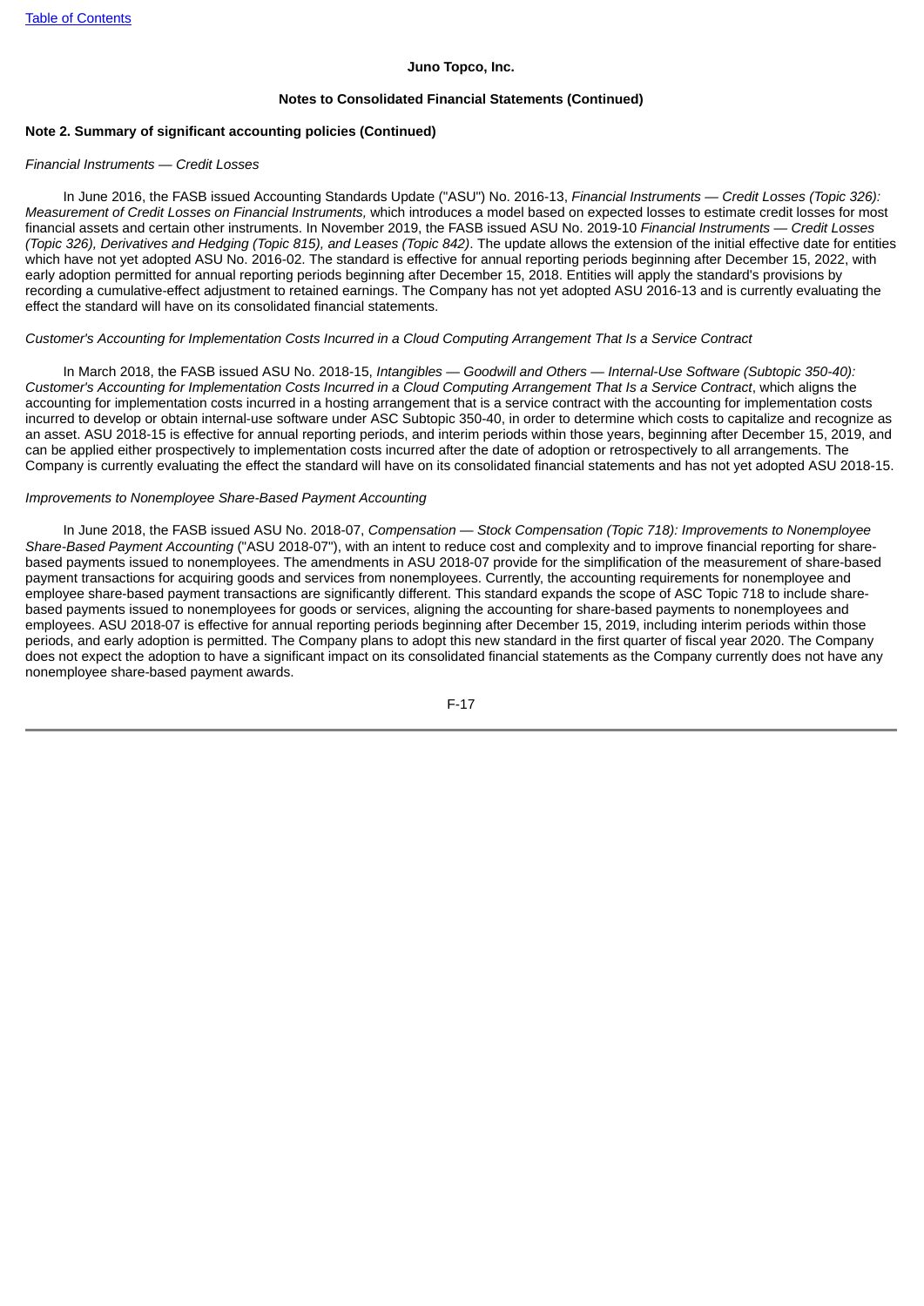#### **Notes to Consolidated Financial Statements (Continued)**

#### **Note 2. Summary of significant accounting policies (Continued)**

#### *Financial Instruments — Credit Losses*

 In June 2016, the FASB issued Accounting Standards Update ("ASU") No. 2016-13, *Financial Instruments — Credit Losses (Topic 326): Measurement of Credit Losses on Financial Instruments,* which introduces a model based on expected losses to estimate credit losses for most financial assets and certain other instruments. In November 2019, the FASB issued ASU No. 2019-10 *Financial Instruments — Credit Losses (Topic 326), Derivatives and Hedging (Topic 815), and Leases (Topic 842)*. The update allows the extension of the initial effective date for entities which have not vet adopted ASU No. 2016-02. The standard is effective for annual reporting periods beginning after December 15, 2022, with early adoption permitted for annual reporting periods beginning after December 15, 2018. Entities will apply the standard's provisions by recording a cumulative-effect adjustment to retained earnings. The Company has not yet adopted ASU 2016-13 and is currently evaluating the effect the standard will have on its consolidated financial statements.

#### *Customer's Accounting for Implementation Costs Incurred in a Cloud Computing Arrangement That Is a Service Contract*

 In March 2018, the FASB issued ASU No. 2018-15, *Intangibles — Goodwill and Others — Internal-Use Software (Subtopic 350-40): Customer's Accounting for Implementation Costs Incurred in a Cloud Computing Arrangement That Is a Service Contract*, which aligns the accounting for implementation costs incurred in a hosting arrangement that is a service contract with the accounting for implementation costs incurred to develop or obtain internal-use software under ASC Subtopic 350-40, in order to determine which costs to capitalize and recognize as an asset. ASU 2018-15 is effective for annual reporting periods, and interim periods within those years, beginning after December 15, 2019, and can be applied either prospectively to implementation costs incurred after the date of adoption or retrospectively to all arrangements. The Company is currently evaluating the effect the standard will have on its consolidated financial statements and has not yet adopted ASU 2018-15.

#### *Improvements to Nonemployee Share-Based Payment Accounting*

 In June 2018, the FASB issued ASU No. 2018-07, *Compensation — Stock Compensation (Topic 718): Improvements to Nonemployee Share-Based Payment Accounting* ("ASU 2018-07"), with an intent to reduce cost and complexity and to improve financial reporting for sharebased payments issued to nonemployees. The amendments in ASU 2018-07 provide for the simplification of the measurement of share-based payment transactions for acquiring goods and services from nonemployees. Currently, the accounting requirements for nonemployee and employee share-based payment transactions are significantly different. This standard expands the scope of ASC Topic 718 to include sharebased payments issued to nonemployees for goods or services, aligning the accounting for share-based payments to nonemployees and employees. ASU 2018-07 is effective for annual reporting periods beginning after December 15, 2019, including interim periods within those periods, and early adoption is permitted. The Company plans to adopt this new standard in the first quarter of fiscal year 2020. The Company does not expect the adoption to have a significant impact on its consolidated financial statements as the Company currently does not have any nonemployee share-based payment awards.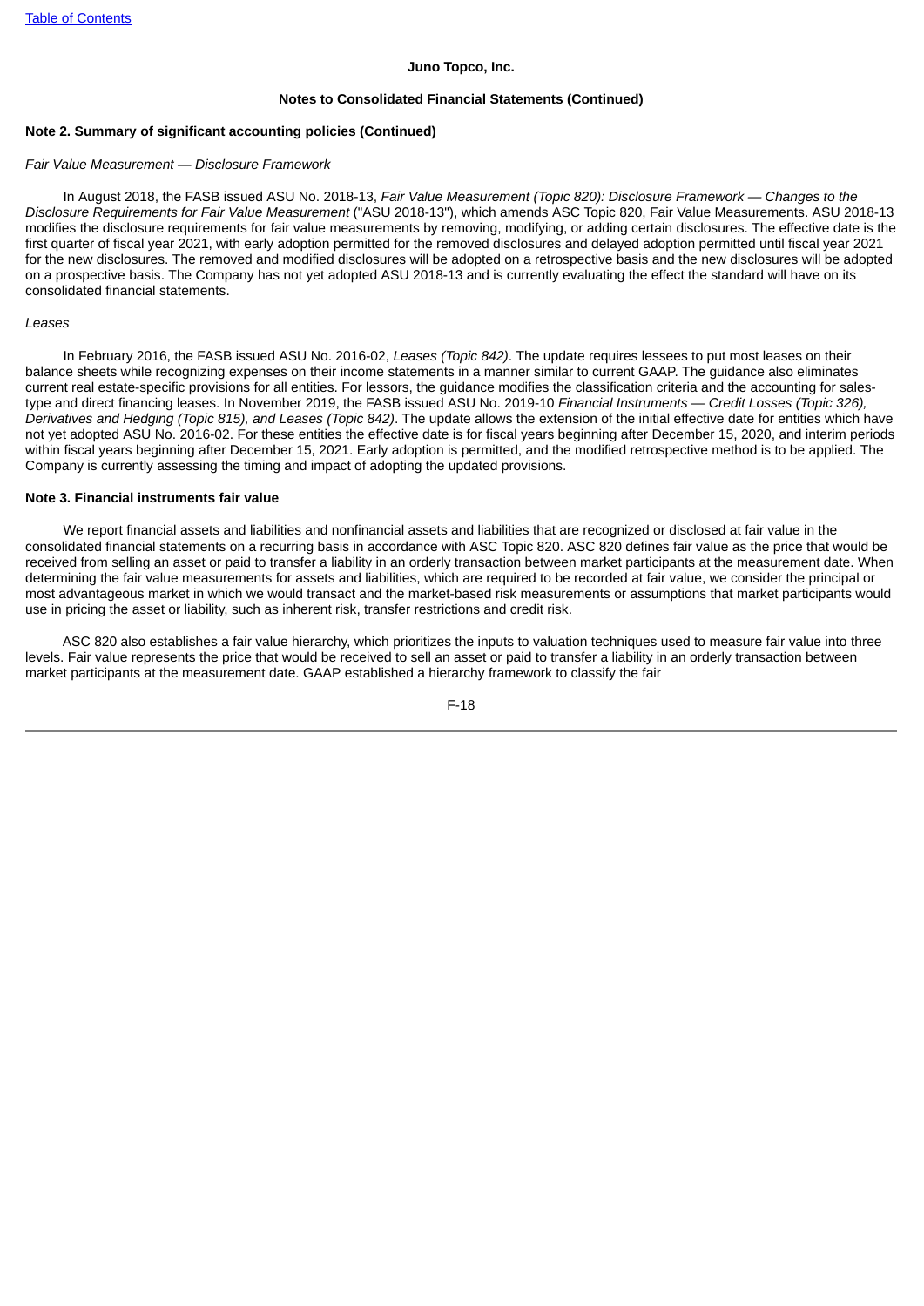#### **Notes to Consolidated Financial Statements (Continued)**

#### **Note 2. Summary of significant accounting policies (Continued)**

#### *Fair Value Measurement — Disclosure Framework*

 In August 2018, the FASB issued ASU No. 2018-13, *Fair Value Measurement (Topic 820): Disclosure Framework — Changes to the Disclosure Requirements for Fair Value Measurement* ("ASU 2018-13"), which amends ASC Topic 820, Fair Value Measurements. ASU 2018-13 modifies the disclosure requirements for fair value measurements by removing, modifying, or adding certain disclosures. The effective date is the first quarter of fiscal year 2021, with early adoption permitted for the removed disclosures and delayed adoption permitted until fiscal year 2021 for the new disclosures. The removed and modified disclosures will be adopted on a retrospective basis and the new disclosures will be adopted on a prospective basis. The Company has not yet adopted ASU 2018-13 and is currently evaluating the effect the standard will have on its consolidated financial statements.

#### *Leases*

 In February 2016, the FASB issued ASU No. 2016-02, *Leases (Topic 842)*. The update requires lessees to put most leases on their balance sheets while recognizing expenses on their income statements in a manner similar to current GAAP. The guidance also eliminates current real estate-specific provisions for all entities. For lessors, the guidance modifies the classification criteria and the accounting for salestype and direct financing leases. In November 2019, the FASB issued ASU No. 2019-10 *Financial Instruments — Credit Losses (Topic 326), Derivatives and Hedging (Topic 815), and Leases (Topic 842)*. The update allows the extension of the initial effective date for entities which have not yet adopted ASU No. 2016-02. For these entities the effective date is for fiscal years beginning after December 15, 2020, and interim periods within fiscal years beginning after December 15, 2021. Early adoption is permitted, and the modified retrospective method is to be applied. The Company is currently assessing the timing and impact of adopting the updated provisions.

#### **Note 3. Financial instruments fair value**

 We report financial assets and liabilities and nonfinancial assets and liabilities that are recognized or disclosed at fair value in the consolidated financial statements on a recurring basis in accordance with ASC Topic 820. ASC 820 defines fair value as the price that would be received from selling an asset or paid to transfer a liability in an orderly transaction between market participants at the measurement date. When determining the fair value measurements for assets and liabilities, which are required to be recorded at fair value, we consider the principal or most advantageous market in which we would transact and the market-based risk measurements or assumptions that market participants would use in pricing the asset or liability, such as inherent risk, transfer restrictions and credit risk.

 ASC 820 also establishes a fair value hierarchy, which prioritizes the inputs to valuation techniques used to measure fair value into three levels. Fair value represents the price that would be received to sell an asset or paid to transfer a liability in an orderly transaction between market participants at the measurement date. GAAP established a hierarchy framework to classify the fair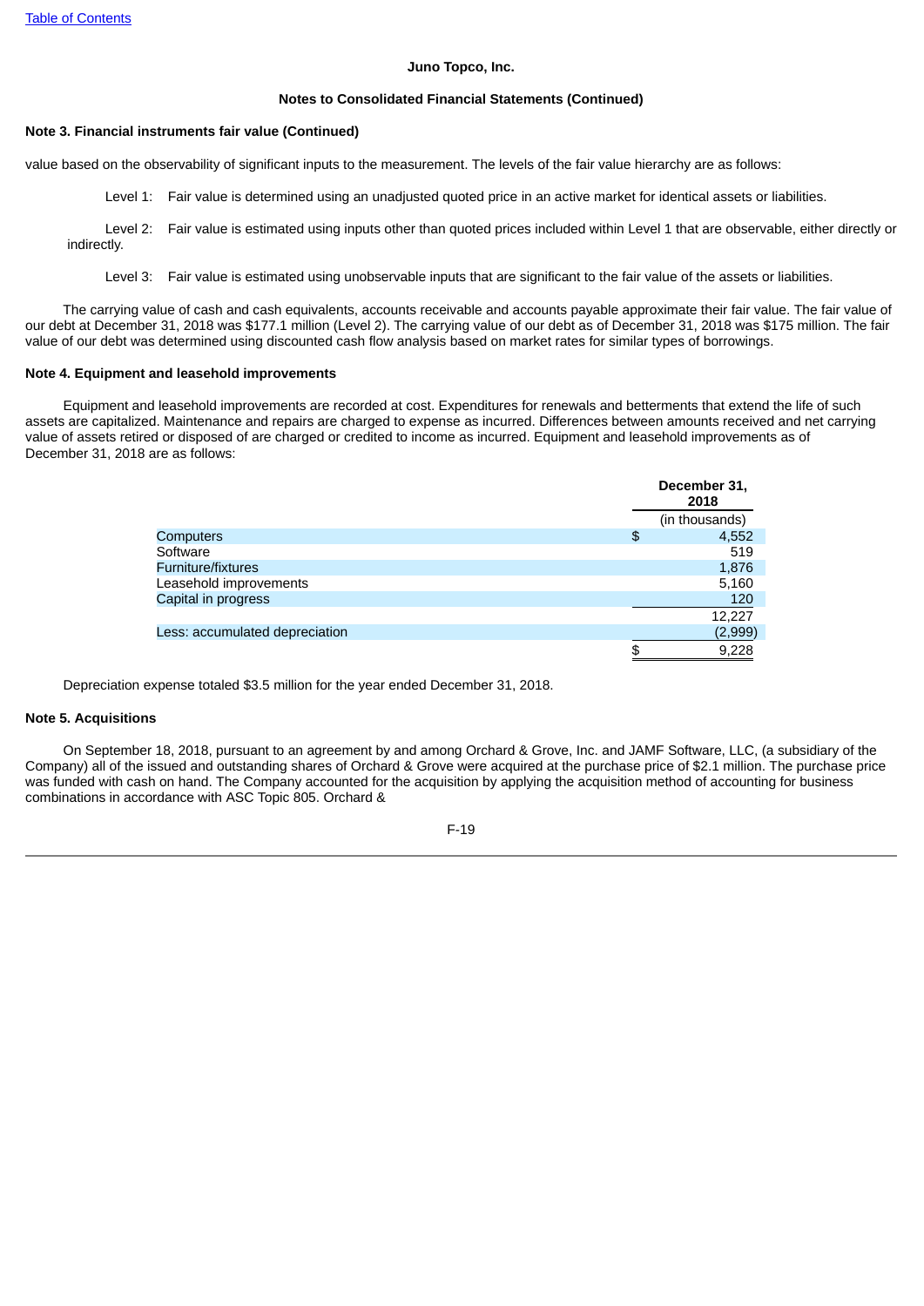#### **Notes to Consolidated Financial Statements (Continued)**

#### **Note 3. Financial instruments fair value (Continued)**

value based on the observability of significant inputs to the measurement. The levels of the fair value hierarchy are as follows:

Level 1: Fair value is determined using an unadjusted quoted price in an active market for identical assets or liabilities.

 Level 2: Fair value is estimated using inputs other than quoted prices included within Level 1 that are observable, either directly or indirectly.

Level 3: Fair value is estimated using unobservable inputs that are significant to the fair value of the assets or liabilities.

 The carrying value of cash and cash equivalents, accounts receivable and accounts payable approximate their fair value. The fair value of our debt at December 31, 2018 was \$177.1 million (Level 2). The carrying value of our debt as of December 31, 2018 was \$175 million. The fair value of our debt was determined using discounted cash flow analysis based on market rates for similar types of borrowings.

#### **Note 4. Equipment and leasehold improvements**

 Equipment and leasehold improvements are recorded at cost. Expenditures for renewals and betterments that extend the life of such assets are capitalized. Maintenance and repairs are charged to expense as incurred. Differences between amounts received and net carrying value of assets retired or disposed of are charged or credited to income as incurred. Equipment and leasehold improvements as of December 31, 2018 are as follows:

|                                | December 31,<br>2018 |
|--------------------------------|----------------------|
|                                | (in thousands)       |
| Computers                      | \$<br>4,552          |
| Software                       | 519                  |
| Furniture/fixtures             | 1,876                |
| Leasehold improvements         | 5,160                |
| Capital in progress            | 120                  |
|                                | 12,227               |
| Less: accumulated depreciation | (2,999)              |
|                                | 9,228                |

Depreciation expense totaled \$3.5 million for the year ended December 31, 2018.

### **Note 5. Acquisitions**

 On September 18, 2018, pursuant to an agreement by and among Orchard & Grove, Inc. and JAMF Software, LLC, (a subsidiary of the Company) all of the issued and outstanding shares of Orchard & Grove were acquired at the purchase price of \$2.1 million. The purchase price was funded with cash on hand. The Company accounted for the acquisition by applying the acquisition method of accounting for business combinations in accordance with ASC Topic 805. Orchard &

$$
\mathsf{F}\text{-}\mathsf{19}
$$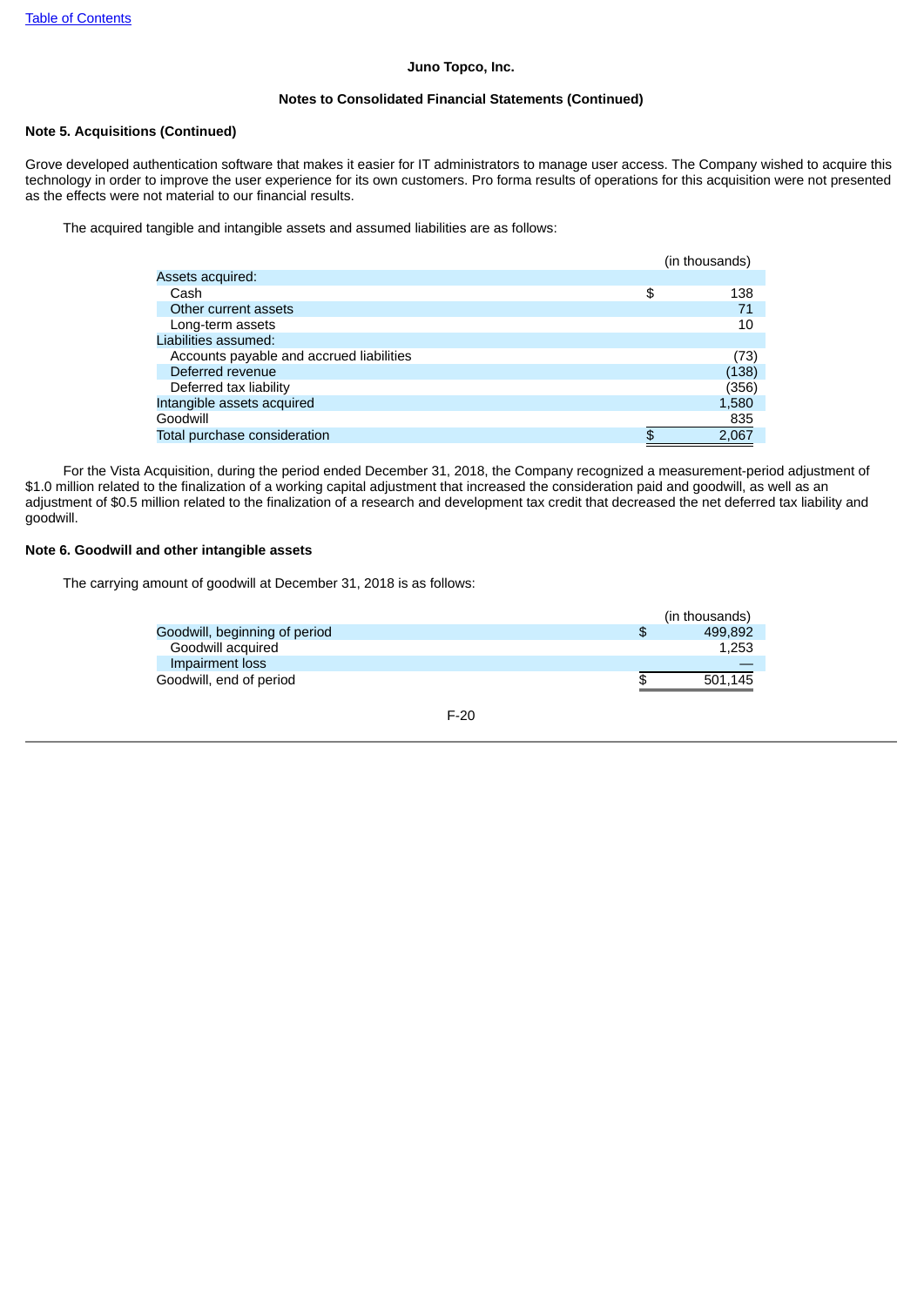#### **Notes to Consolidated Financial Statements (Continued)**

## **Note 5. Acquisitions (Continued)**

Grove developed authentication software that makes it easier for IT administrators to manage user access. The Company wished to acquire this technology in order to improve the user experience for its own customers. Pro forma results of operations for this acquisition were not presented as the effects were not material to our financial results.

The acquired tangible and intangible assets and assumed liabilities are as follows:

|                                          | (in thousands) |
|------------------------------------------|----------------|
| Assets acquired:                         |                |
| Cash                                     | \$<br>138      |
| Other current assets                     | 71             |
| Long-term assets                         | 10             |
| Liabilities assumed:                     |                |
| Accounts payable and accrued liabilities | (73)           |
| Deferred revenue                         | (138)          |
| Deferred tax liability                   | (356)          |
| Intangible assets acquired               | 1,580          |
| Goodwill                                 | 835            |
| Total purchase consideration             | 2,067          |

 For the Vista Acquisition, during the period ended December 31, 2018, the Company recognized a measurement-period adjustment of \$1.0 million related to the finalization of a working capital adjustment that increased the consideration paid and goodwill, as well as an adjustment of \$0.5 million related to the finalization of a research and development tax credit that decreased the net deferred tax liability and goodwill.

## **Note 6. Goodwill and other intangible assets**

The carrying amount of goodwill at December 31, 2018 is as follows:

|                               |     | (in thousands) |
|-------------------------------|-----|----------------|
| Goodwill, beginning of period | \$. | 499.892        |
| Goodwill acquired             |     | 1.253          |
| Impairment loss               |     |                |
| Goodwill, end of period       | S   | 501.145        |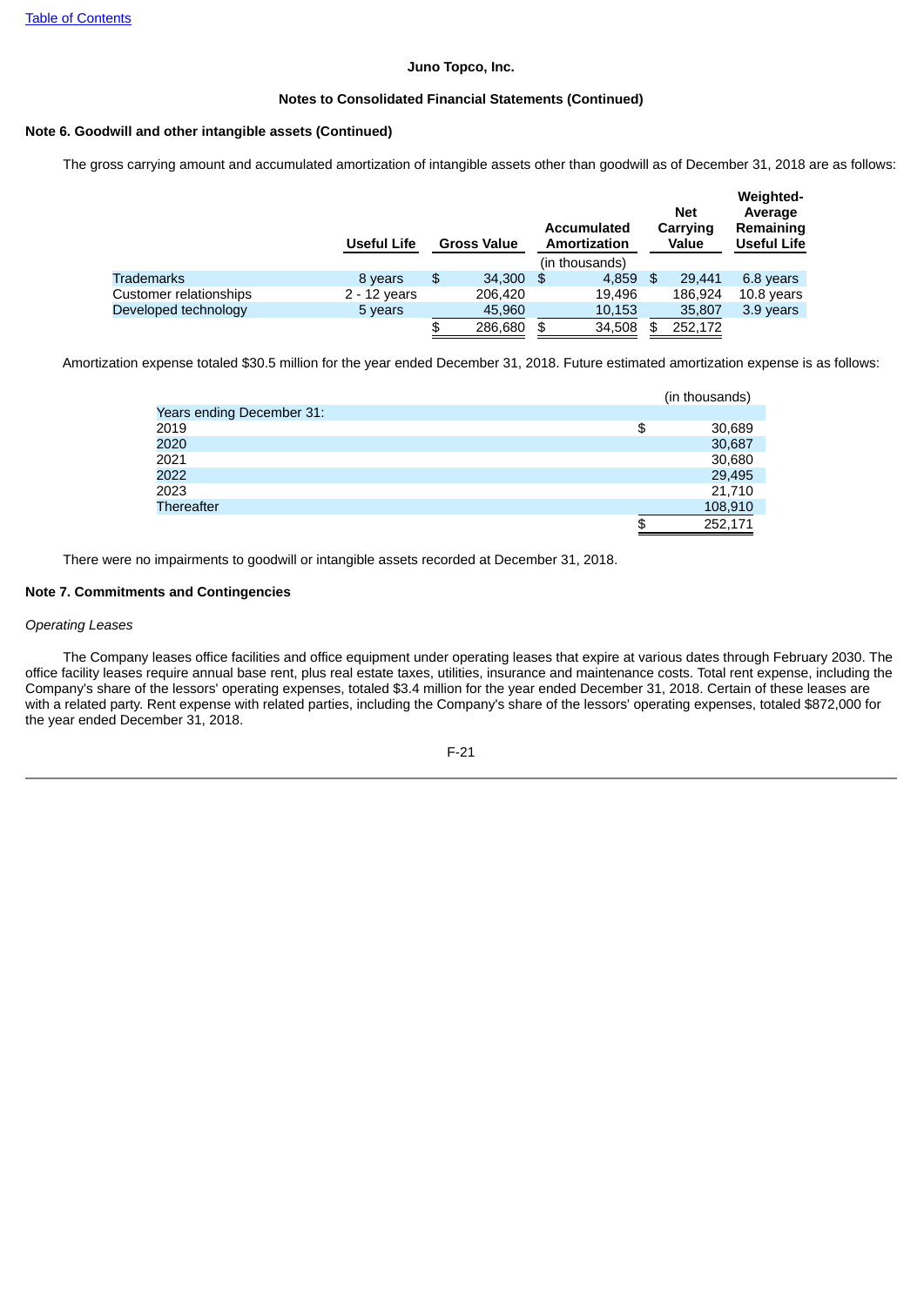#### **Notes to Consolidated Financial Statements (Continued)**

### **Note 6. Goodwill and other intangible assets (Continued)**

The gross carrying amount and accumulated amortization of intangible assets other than goodwill as of December 31, 2018 are as follows:

|                        | <b>Useful Life</b> | <b>Gross Value</b> |    | <b>Accumulated</b><br>Amortization | <b>Net</b><br>Carrying<br>Value | Weighted-<br>Average<br>Remaining<br>Useful Life |
|------------------------|--------------------|--------------------|----|------------------------------------|---------------------------------|--------------------------------------------------|
|                        |                    |                    |    | (in thousands)                     |                                 |                                                  |
| <b>Trademarks</b>      | 8 years            | \$<br>34.300 \$    |    | 4,859                              | \$<br>29,441                    | 6.8 years                                        |
| Customer relationships | $2 - 12$ years     | 206,420            |    | 19,496                             | 186.924                         | 10.8 years                                       |
| Developed technology   | 5 years            | 45,960             |    | 10,153                             | 35,807                          | 3.9 years                                        |
|                        |                    | \$<br>286.680      | \$ | 34.508                             | \$<br>252.172                   |                                                  |

Amortization expense totaled \$30.5 million for the year ended December 31, 2018. Future estimated amortization expense is as follows:

|                           | (in thousands) |
|---------------------------|----------------|
| Years ending December 31: |                |
| 2019                      | \$<br>30,689   |
| 2020                      | 30,687         |
| 2021                      | 30,680         |
| 2022                      | 29,495         |
| 2023                      | 21,710         |
| <b>Thereafter</b>         | 108,910        |
|                           | \$<br>252.171  |

There were no impairments to goodwill or intangible assets recorded at December 31, 2018.

#### **Note 7. Commitments and Contingencies**

#### *Operating Leases*

 The Company leases office facilities and office equipment under operating leases that expire at various dates through February 2030. The office facility leases require annual base rent, plus real estate taxes, utilities, insurance and maintenance costs. Total rent expense, including the Company's share of the lessors' operating expenses, totaled \$3.4 million for the year ended December 31, 2018. Certain of these leases are with a related party. Rent expense with related parties, including the Company's share of the lessors' operating expenses, totaled \$872,000 for the year ended December 31, 2018.

$$
\mathsf{F}\text{-}\mathsf{21}
$$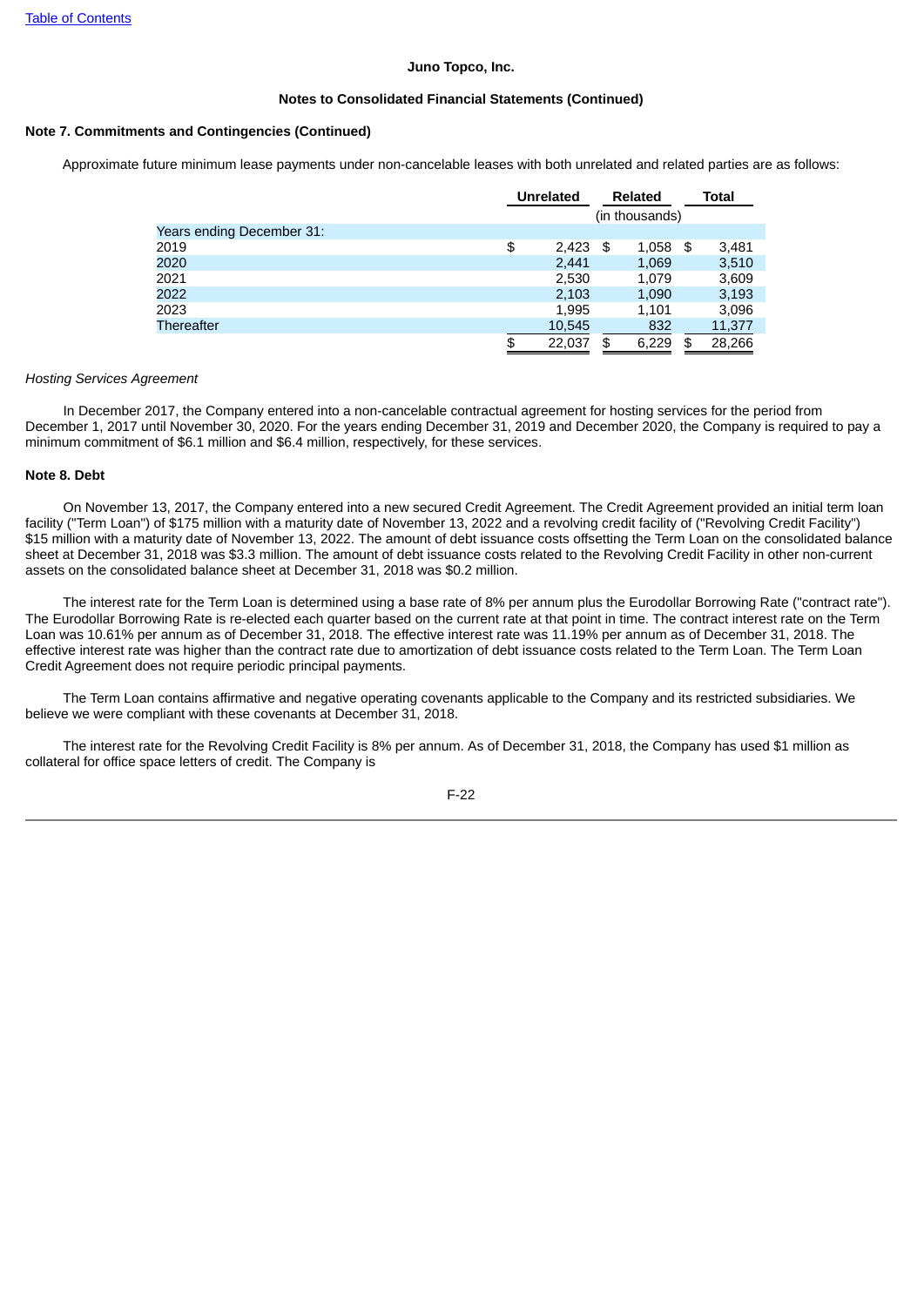#### **Notes to Consolidated Financial Statements (Continued)**

#### **Note 7. Commitments and Contingencies (Continued)**

Approximate future minimum lease payments under non-cancelable leases with both unrelated and related parties are as follows:

|                           | <b>Unrelated</b> | <b>Related</b> | Total        |
|---------------------------|------------------|----------------|--------------|
|                           |                  | (in thousands) |              |
| Years ending December 31: |                  |                |              |
| 2019                      | \$<br>$2,423$ \$ | $1,058$ \$     | 3,481        |
| 2020                      | 2,441            | 1,069          | 3,510        |
| 2021                      | 2,530            | 1.079          | 3,609        |
| 2022                      | 2,103            | 1,090          | 3,193        |
| 2023                      | 1,995            | 1,101          | 3,096        |
| Thereafter                | 10,545           | 832            | 11,377       |
|                           | \$<br>22.037     | \$<br>6.229    | \$<br>28.266 |

#### *Hosting Services Agreement*

 In December 2017, the Company entered into a non-cancelable contractual agreement for hosting services for the period from December 1, 2017 until November 30, 2020. For the years ending December 31, 2019 and December 2020, the Company is required to pay a minimum commitment of \$6.1 million and \$6.4 million, respectively, for these services.

#### **Note 8. Debt**

 On November 13, 2017, the Company entered into a new secured Credit Agreement. The Credit Agreement provided an initial term loan facility ("Term Loan") of \$175 million with a maturity date of November 13, 2022 and a revolving credit facility of ("Revolving Credit Facility") \$15 million with a maturity date of November 13, 2022. The amount of debt issuance costs offsetting the Term Loan on the consolidated balance sheet at December 31, 2018 was \$3.3 million. The amount of debt issuance costs related to the Revolving Credit Facility in other non-current assets on the consolidated balance sheet at December 31, 2018 was \$0.2 million.

 The interest rate for the Term Loan is determined using a base rate of 8% per annum plus the Eurodollar Borrowing Rate ("contract rate"). The Eurodollar Borrowing Rate is re-elected each quarter based on the current rate at that point in time. The contract interest rate on the Term Loan was 10.61% per annum as of December 31, 2018. The effective interest rate was 11.19% per annum as of December 31, 2018. The effective interest rate was higher than the contract rate due to amortization of debt issuance costs related to the Term Loan. The Term Loan Credit Agreement does not require periodic principal payments.

 The Term Loan contains affirmative and negative operating covenants applicable to the Company and its restricted subsidiaries. We believe we were compliant with these covenants at December 31, 2018.

 The interest rate for the Revolving Credit Facility is 8% per annum. As of December 31, 2018, the Company has used \$1 million as collateral for office space letters of credit. The Company is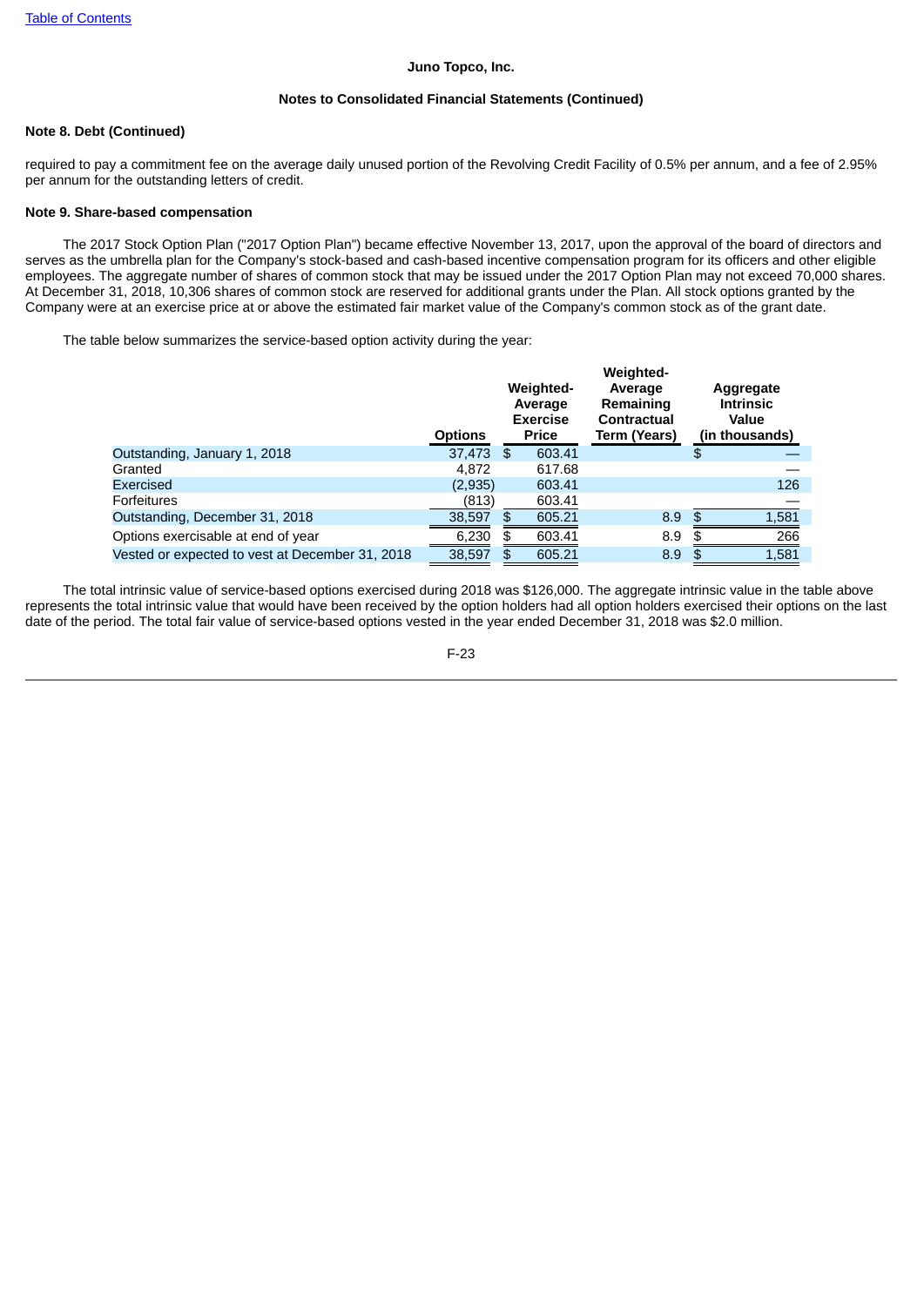#### **Notes to Consolidated Financial Statements (Continued)**

## **Note 8. Debt (Continued)**

required to pay a commitment fee on the average daily unused portion of the Revolving Credit Facility of 0.5% per annum, and a fee of 2.95% per annum for the outstanding letters of credit.

#### **Note 9. Share-based compensation**

 The 2017 Stock Option Plan ("2017 Option Plan") became effective November 13, 2017, upon the approval of the board of directors and serves as the umbrella plan for the Company's stock-based and cash-based incentive compensation program for its officers and other eligible employees. The aggregate number of shares of common stock that may be issued under the 2017 Option Plan may not exceed 70,000 shares. At December 31, 2018, 10,306 shares of common stock are reserved for additional grants under the Plan. All stock options granted by the Company were at an exercise price at or above the estimated fair market value of the Company's common stock as of the grant date.

The table below summarizes the service-based option activity during the year:

|                                                 | <b>Options</b> |      | Weighted-<br>Average<br><b>Exercise</b><br><b>Price</b> | Weighted-<br>Average<br>Remaining<br>Contractual<br>Term (Years) | Aggregate<br><b>Intrinsic</b><br>Value<br>(in thousands) |
|-------------------------------------------------|----------------|------|---------------------------------------------------------|------------------------------------------------------------------|----------------------------------------------------------|
| Outstanding, January 1, 2018                    | 37.473         | - SS | 603.41                                                  |                                                                  | \$                                                       |
| Granted                                         | 4.872          |      | 617.68                                                  |                                                                  |                                                          |
| Exercised                                       | (2,935)        |      | 603.41                                                  |                                                                  | 126                                                      |
| <b>Forfeitures</b>                              | (813)          |      | 603.41                                                  |                                                                  |                                                          |
| Outstanding, December 31, 2018                  | 38,597         |      | 605.21                                                  | 8.9                                                              | \$<br>1,581                                              |
| Options exercisable at end of year              | 6,230          |      | 603.41                                                  | 8.9                                                              | 266                                                      |
| Vested or expected to vest at December 31, 2018 | 38.597         | 3S   | 605.21                                                  | 8.9                                                              | \$<br>1.581                                              |

 The total intrinsic value of service-based options exercised during 2018 was \$126,000. The aggregate intrinsic value in the table above represents the total intrinsic value that would have been received by the option holders had all option holders exercised their options on the last date of the period. The total fair value of service-based options vested in the year ended December 31, 2018 was \$2.0 million.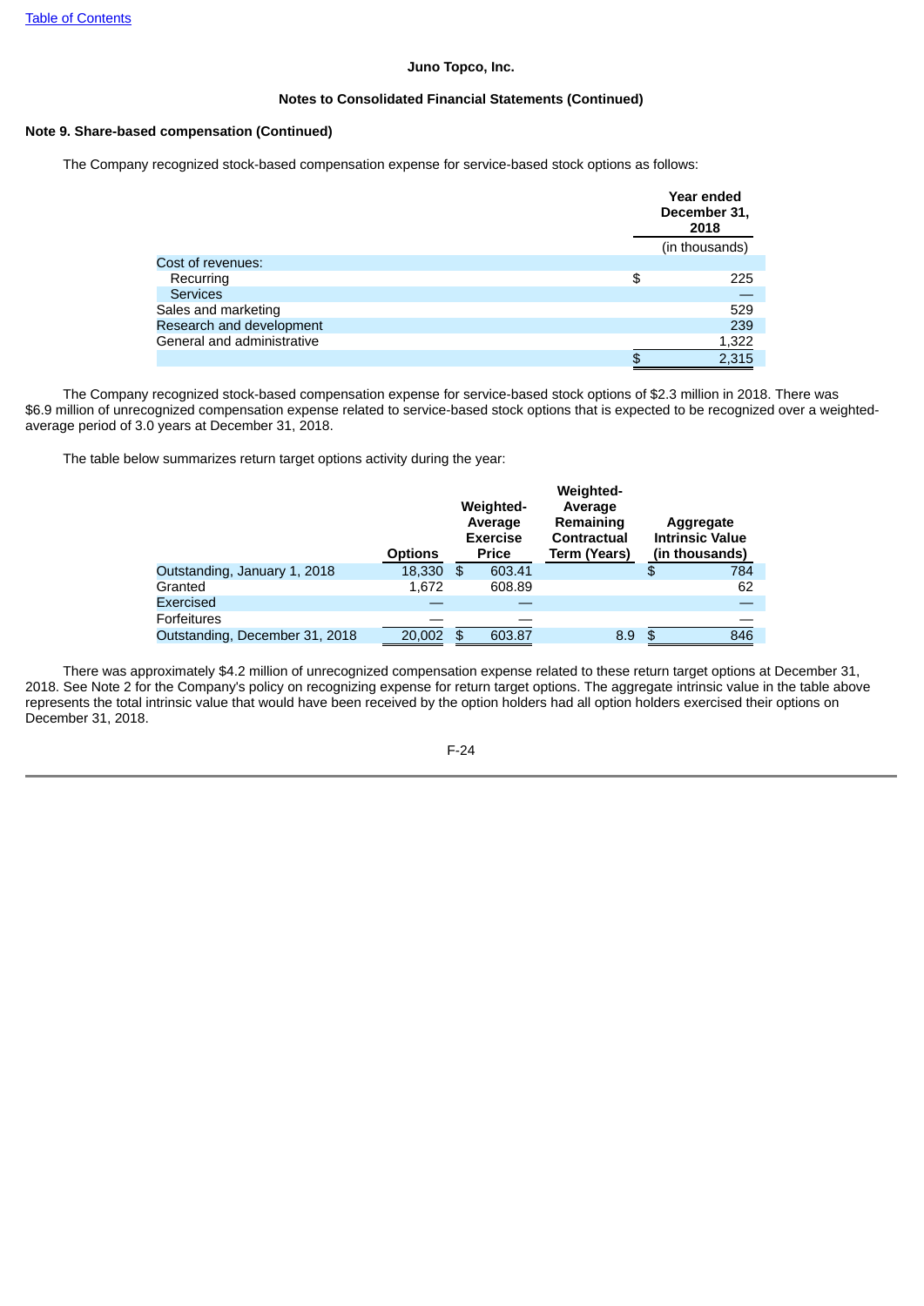#### **Notes to Consolidated Financial Statements (Continued)**

## **Note 9. Share-based compensation (Continued)**

The Company recognized stock-based compensation expense for service-based stock options as follows:

|                            | Year ended<br>December 31,<br>2018 |
|----------------------------|------------------------------------|
|                            | (in thousands)                     |
| Cost of revenues:          |                                    |
| Recurring                  | \$<br>225                          |
| <b>Services</b>            |                                    |
| Sales and marketing        | 529                                |
| Research and development   | 239                                |
| General and administrative | 1,322                              |
|                            | 2.315                              |

 The Company recognized stock-based compensation expense for service-based stock options of \$2.3 million in 2018. There was \$6.9 million of unrecognized compensation expense related to service-based stock options that is expected to be recognized over a weightedaverage period of 3.0 years at December 31, 2018.

The table below summarizes return target options activity during the year:

|                                | <b>Options</b> | Weighted-<br>Average<br><b>Exercise</b><br><b>Price</b> | Weighted-<br>Average<br>Remaining<br>Contractual<br><b>Term (Years)</b> |     | Aggregate<br><b>Intrinsic Value</b><br>(in thousands) |
|--------------------------------|----------------|---------------------------------------------------------|-------------------------------------------------------------------------|-----|-------------------------------------------------------|
| Outstanding, January 1, 2018   | 18,330         | \$<br>603.41                                            |                                                                         | \$  | 784                                                   |
| Granted                        | 1.672          | 608.89                                                  |                                                                         |     | 62                                                    |
| Exercised                      |                |                                                         |                                                                         |     |                                                       |
| Forfeitures                    |                |                                                         |                                                                         |     |                                                       |
| Outstanding, December 31, 2018 | 20,002         | \$<br>603.87                                            | 8.9                                                                     | \$. | 846                                                   |

 There was approximately \$4.2 million of unrecognized compensation expense related to these return target options at December 31, 2018. See Note 2 for the Company's policy on recognizing expense for return target options. The aggregate intrinsic value in the table above represents the total intrinsic value that would have been received by the option holders had all option holders exercised their options on December 31, 2018.

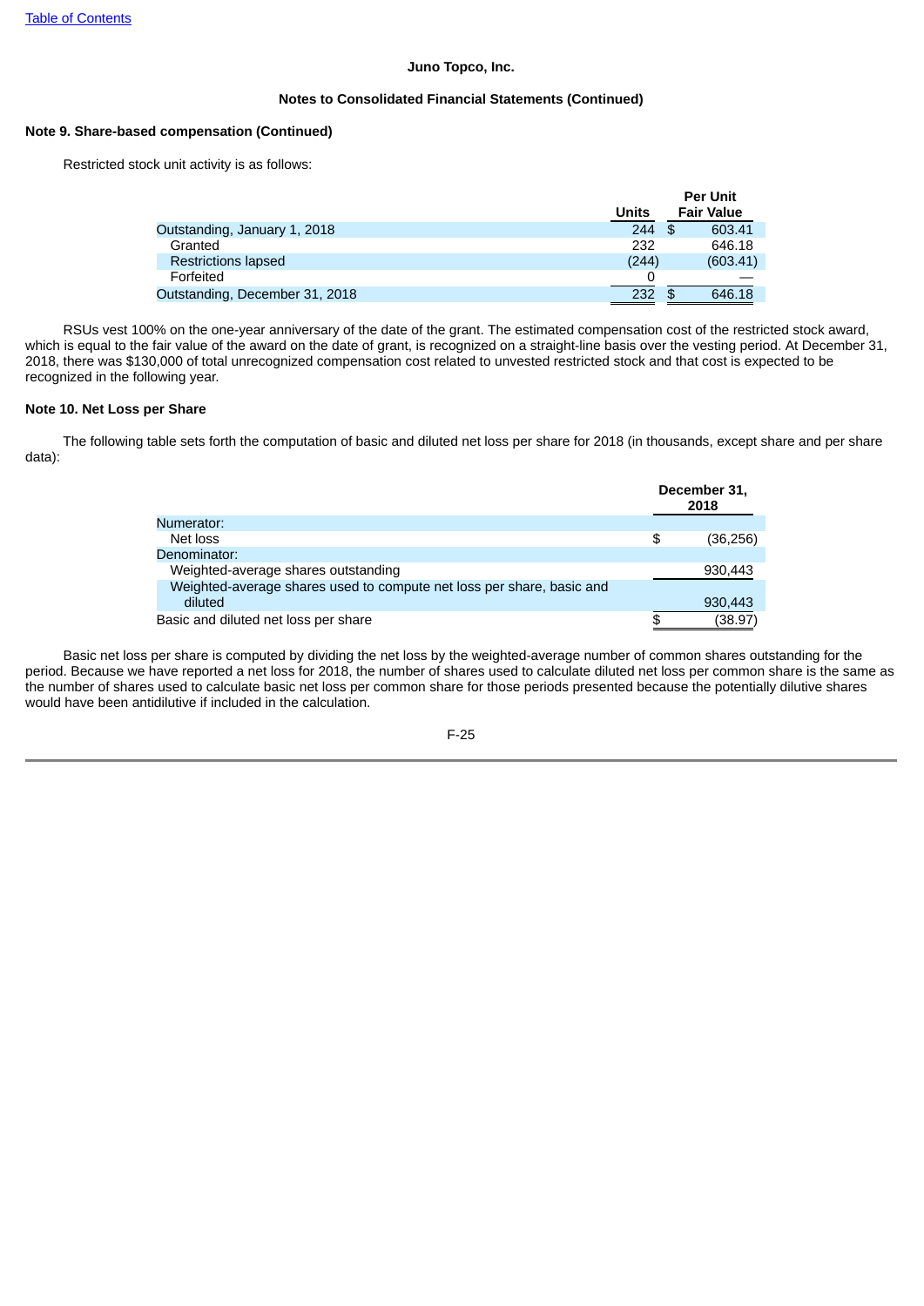#### **Notes to Consolidated Financial Statements (Continued)**

### **Note 9. Share-based compensation (Continued)**

Restricted stock unit activity is as follows:

|                                |              | <b>Per Unit</b>   |
|--------------------------------|--------------|-------------------|
|                                | <b>Units</b> | <b>Fair Value</b> |
| Outstanding, January 1, 2018   | 244          | \$<br>603.41      |
| Granted                        | 232          | 646.18            |
| <b>Restrictions lapsed</b>     | (244)        | (603.41)          |
| Forfeited                      |              |                   |
| Outstanding, December 31, 2018 | 232          | \$<br>646.18      |

 RSUs vest 100% on the one-year anniversary of the date of the grant. The estimated compensation cost of the restricted stock award, which is equal to the fair value of the award on the date of grant, is recognized on a straight-line basis over the vesting period. At December 31, 2018, there was \$130,000 of total unrecognized compensation cost related to unvested restricted stock and that cost is expected to be recognized in the following year.

#### **Note 10. Net Loss per Share**

 The following table sets forth the computation of basic and diluted net loss per share for 2018 (in thousands, except share and per share data):

|                                                                       | December 31,<br>2018 |
|-----------------------------------------------------------------------|----------------------|
| Numerator:                                                            |                      |
| Net loss                                                              | \$<br>(36, 256)      |
| Denominator:                                                          |                      |
| Weighted-average shares outstanding                                   | 930,443              |
| Weighted-average shares used to compute net loss per share, basic and |                      |
| diluted                                                               | 930,443              |
| Basic and diluted net loss per share                                  | (38.97)              |

 Basic net loss per share is computed by dividing the net loss by the weighted-average number of common shares outstanding for the period. Because we have reported a net loss for 2018, the number of shares used to calculate diluted net loss per common share is the same as the number of shares used to calculate basic net loss per common share for those periods presented because the potentially dilutive shares would have been antidilutive if included in the calculation.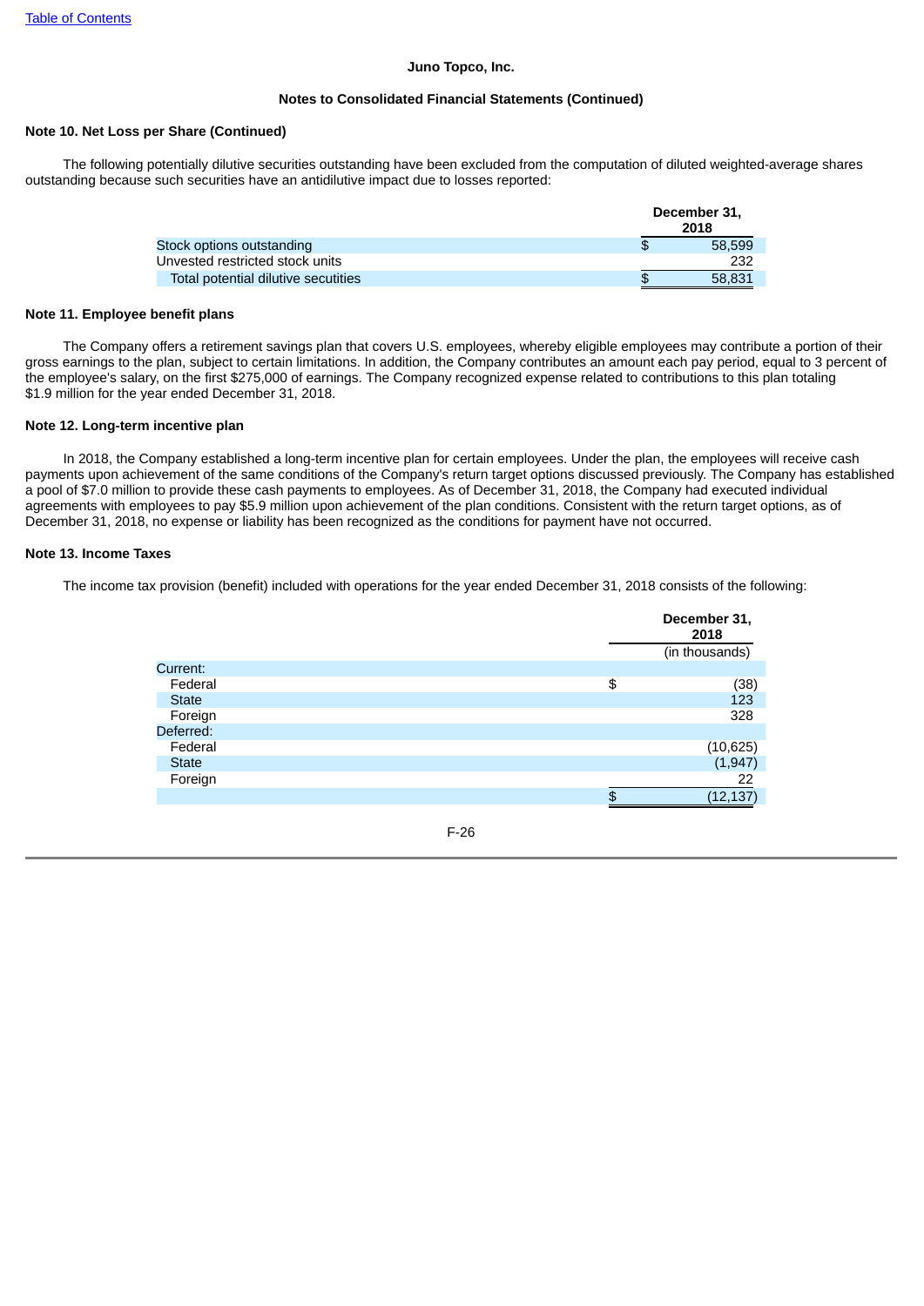#### **Notes to Consolidated Financial Statements (Continued)**

### **Note 10. Net Loss per Share (Continued)**

 The following potentially dilutive securities outstanding have been excluded from the computation of diluted weighted-average shares outstanding because such securities have an antidilutive impact due to losses reported:

|                                     | December 31,<br>2018 |        |
|-------------------------------------|----------------------|--------|
| Stock options outstanding           |                      | 58.599 |
| Unvested restricted stock units     |                      | 232    |
| Total potential dilutive secutities |                      | 58.831 |

#### **Note 11. Employee benefit plans**

 The Company offers a retirement savings plan that covers U.S. employees, whereby eligible employees may contribute a portion of their gross earnings to the plan, subject to certain limitations. In addition, the Company contributes an amount each pay period, equal to 3 percent of the employee's salary, on the first \$275,000 of earnings. The Company recognized expense related to contributions to this plan totaling \$1.9 million for the year ended December 31, 2018.

#### **Note 12. Long-term incentive plan**

 In 2018, the Company established a long-term incentive plan for certain employees. Under the plan, the employees will receive cash payments upon achievement of the same conditions of the Company's return target options discussed previously. The Company has established a pool of \$7.0 million to provide these cash payments to employees. As of December 31, 2018, the Company had executed individual agreements with employees to pay \$5.9 million upon achievement of the plan conditions. Consistent with the return target options, as of December 31, 2018, no expense or liability has been recognized as the conditions for payment have not occurred.

#### **Note 13. Income Taxes**

The income tax provision (benefit) included with operations for the year ended December 31, 2018 consists of the following:

|              | December 31,<br>2018<br>(in thousands) |
|--------------|----------------------------------------|
| Current:     |                                        |
| Federal      | \$<br>(38)                             |
| <b>State</b> | 123                                    |
| Foreign      | 328                                    |
| Deferred:    |                                        |
| Federal      | (10, 625)                              |
| <b>State</b> | (1, 947)                               |
| Foreign      | 22                                     |
|              | \$<br>(12, 137)                        |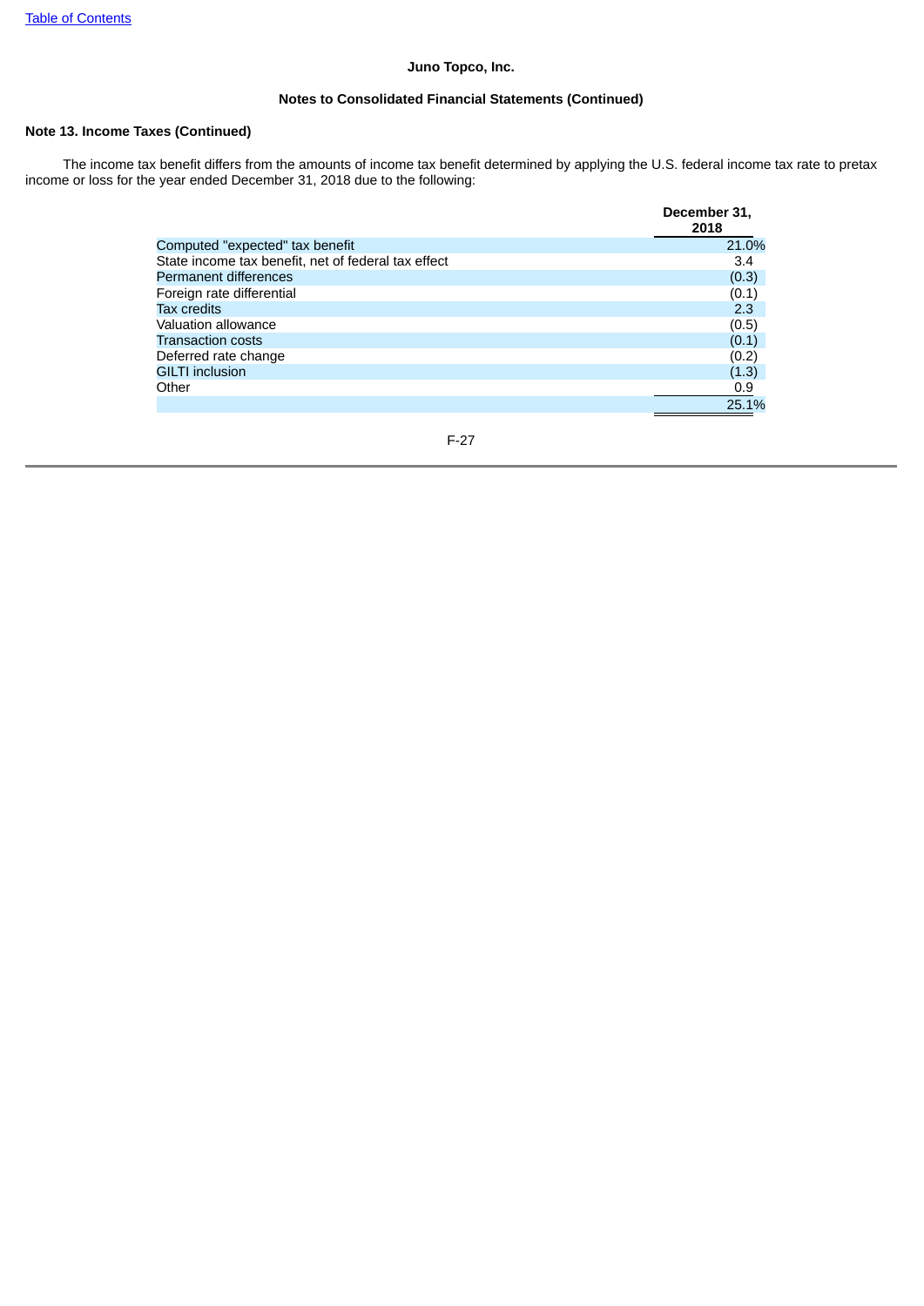## **Notes to Consolidated Financial Statements (Continued)**

## **Note 13. Income Taxes (Continued)**

 The income tax benefit differs from the amounts of income tax benefit determined by applying the U.S. federal income tax rate to pretax income or loss for the year ended December 31, 2018 due to the following:

|                                                     | December 31,<br>2018 |
|-----------------------------------------------------|----------------------|
| Computed "expected" tax benefit                     | 21.0%                |
| State income tax benefit, net of federal tax effect | 3.4                  |
| <b>Permanent differences</b>                        | (0.3)                |
| Foreign rate differential                           | (0.1)                |
| Tax credits                                         | 2.3                  |
| Valuation allowance                                 | (0.5)                |
| <b>Transaction costs</b>                            | (0.1)                |
| Deferred rate change                                | (0.2)                |
| <b>GILTI</b> inclusion                              | (1.3)                |
| Other                                               | 0.9                  |
|                                                     | 25.1%                |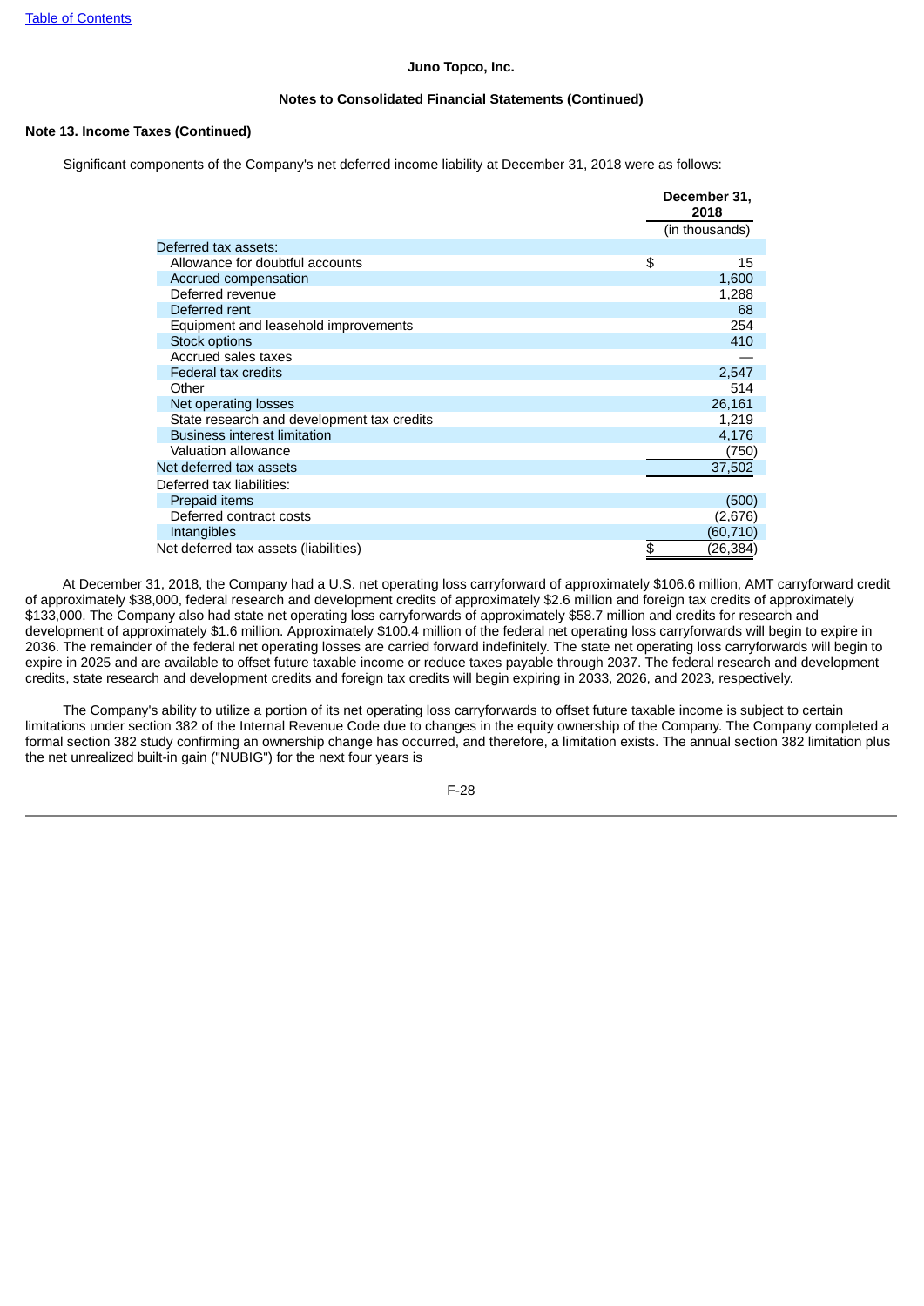#### **Notes to Consolidated Financial Statements (Continued)**

#### **Note 13. Income Taxes (Continued)**

Significant components of the Company's net deferred income liability at December 31, 2018 were as follows:

|                                            | December 31,<br>2018<br>(in thousands) |
|--------------------------------------------|----------------------------------------|
| Deferred tax assets:                       |                                        |
| Allowance for doubtful accounts            | \$<br>15                               |
| Accrued compensation                       | 1,600                                  |
| Deferred revenue                           | 1,288                                  |
| Deferred rent                              | 68                                     |
| Equipment and leasehold improvements       | 254                                    |
| Stock options                              | 410                                    |
| Accrued sales taxes                        |                                        |
| Federal tax credits                        | 2,547                                  |
| Other                                      | 514                                    |
| Net operating losses                       | 26,161                                 |
| State research and development tax credits | 1,219                                  |
| <b>Business interest limitation</b>        | 4,176                                  |
| Valuation allowance                        | (750)                                  |
| Net deferred tax assets                    | 37,502                                 |
| Deferred tax liabilities:                  |                                        |
| Prepaid items                              | (500)                                  |
| Deferred contract costs                    | (2,676)                                |
| <b>Intangibles</b>                         | (60,710)                               |
| Net deferred tax assets (liabilities)      | \$<br>(26,384)                         |

 At December 31, 2018, the Company had a U.S. net operating loss carryforward of approximately \$106.6 million, AMT carryforward credit of approximately \$38,000, federal research and development credits of approximately \$2.6 million and foreign tax credits of approximately \$133,000. The Company also had state net operating loss carryforwards of approximately \$58.7 million and credits for research and development of approximately \$1.6 million. Approximately \$100.4 million of the federal net operating loss carryforwards will begin to expire in 2036. The remainder of the federal net operating losses are carried forward indefinitely. The state net operating loss carryforwards will begin to expire in 2025 and are available to offset future taxable income or reduce taxes payable through 2037. The federal research and development credits, state research and development credits and foreign tax credits will begin expiring in 2033, 2026, and 2023, respectively.

 The Company's ability to utilize a portion of its net operating loss carryforwards to offset future taxable income is subject to certain limitations under section 382 of the Internal Revenue Code due to changes in the equity ownership of the Company. The Company completed a formal section 382 study confirming an ownership change has occurred, and therefore, a limitation exists. The annual section 382 limitation plus the net unrealized built-in gain ("NUBIG") for the next four years is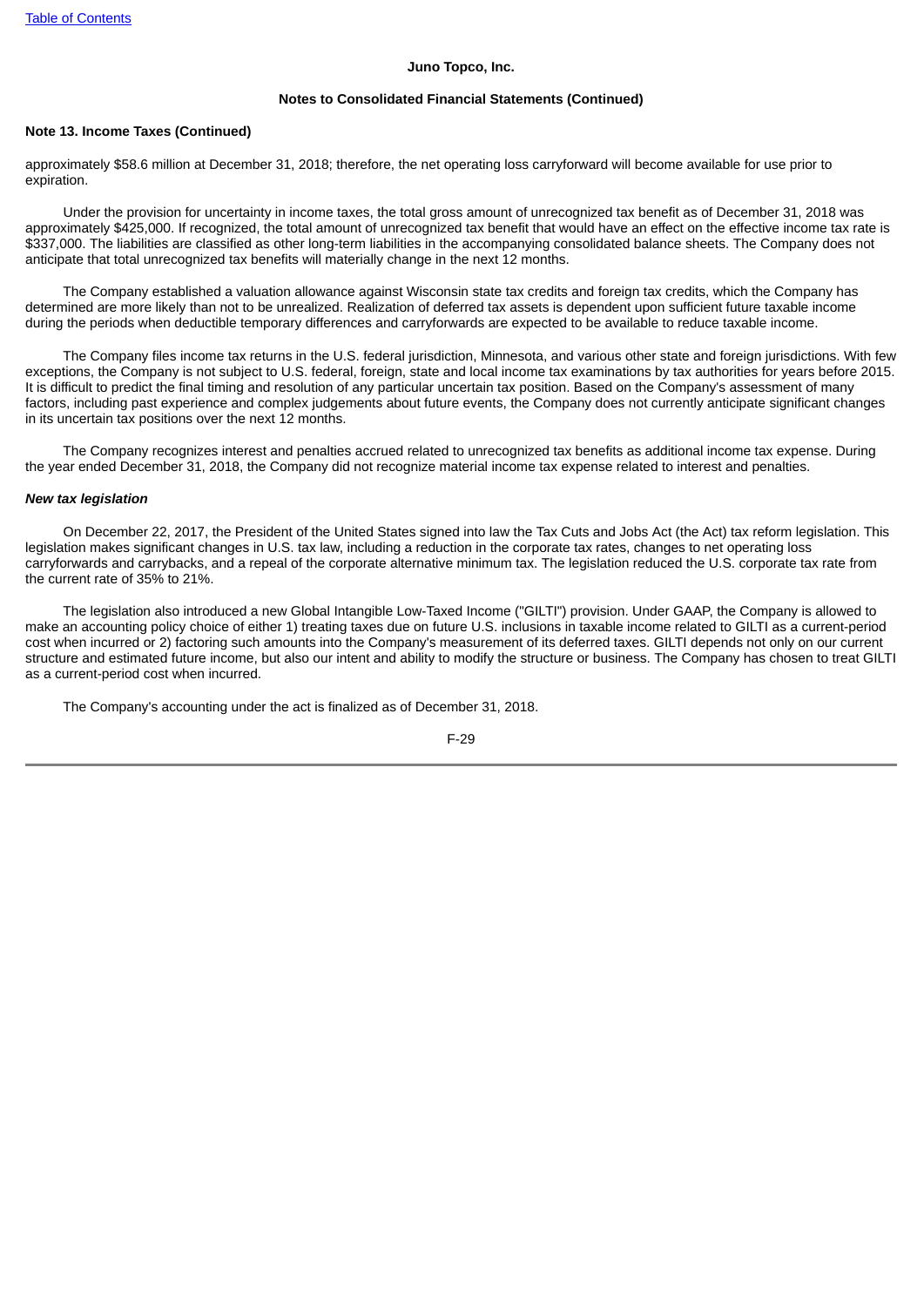#### **Notes to Consolidated Financial Statements (Continued)**

#### **Note 13. Income Taxes (Continued)**

approximately \$58.6 million at December 31, 2018; therefore, the net operating loss carryforward will become available for use prior to expiration.

 Under the provision for uncertainty in income taxes, the total gross amount of unrecognized tax benefit as of December 31, 2018 was approximately \$425,000. If recognized, the total amount of unrecognized tax benefit that would have an effect on the effective income tax rate is \$337,000. The liabilities are classified as other long-term liabilities in the accompanying consolidated balance sheets. The Company does not anticipate that total unrecognized tax benefits will materially change in the next 12 months.

 The Company established a valuation allowance against Wisconsin state tax credits and foreign tax credits, which the Company has determined are more likely than not to be unrealized. Realization of deferred tax assets is dependent upon sufficient future taxable income during the periods when deductible temporary differences and carryforwards are expected to be available to reduce taxable income.

 The Company files income tax returns in the U.S. federal jurisdiction, Minnesota, and various other state and foreign jurisdictions. With few exceptions, the Company is not subject to U.S. federal, foreign, state and local income tax examinations by tax authorities for years before 2015. It is difficult to predict the final timing and resolution of any particular uncertain tax position. Based on the Company's assessment of many factors, including past experience and complex judgements about future events, the Company does not currently anticipate significant changes in its uncertain tax positions over the next 12 months.

 The Company recognizes interest and penalties accrued related to unrecognized tax benefits as additional income tax expense. During the year ended December 31, 2018, the Company did not recognize material income tax expense related to interest and penalties.

#### *New tax legislation*

 On December 22, 2017, the President of the United States signed into law the Tax Cuts and Jobs Act (the Act) tax reform legislation. This legislation makes significant changes in U.S. tax law, including a reduction in the corporate tax rates, changes to net operating loss carryforwards and carrybacks, and a repeal of the corporate alternative minimum tax. The legislation reduced the U.S. corporate tax rate from the current rate of 35% to 21%.

 The legislation also introduced a new Global Intangible Low-Taxed Income ("GILTI") provision. Under GAAP, the Company is allowed to make an accounting policy choice of either 1) treating taxes due on future U.S. inclusions in taxable income related to GILTI as a current-period cost when incurred or 2) factoring such amounts into the Company's measurement of its deferred taxes. GILTI depends not only on our current structure and estimated future income, but also our intent and ability to modify the structure or business. The Company has chosen to treat GILTI as a current-period cost when incurred.

The Company's accounting under the act is finalized as of December 31, 2018.

$$
F-29
$$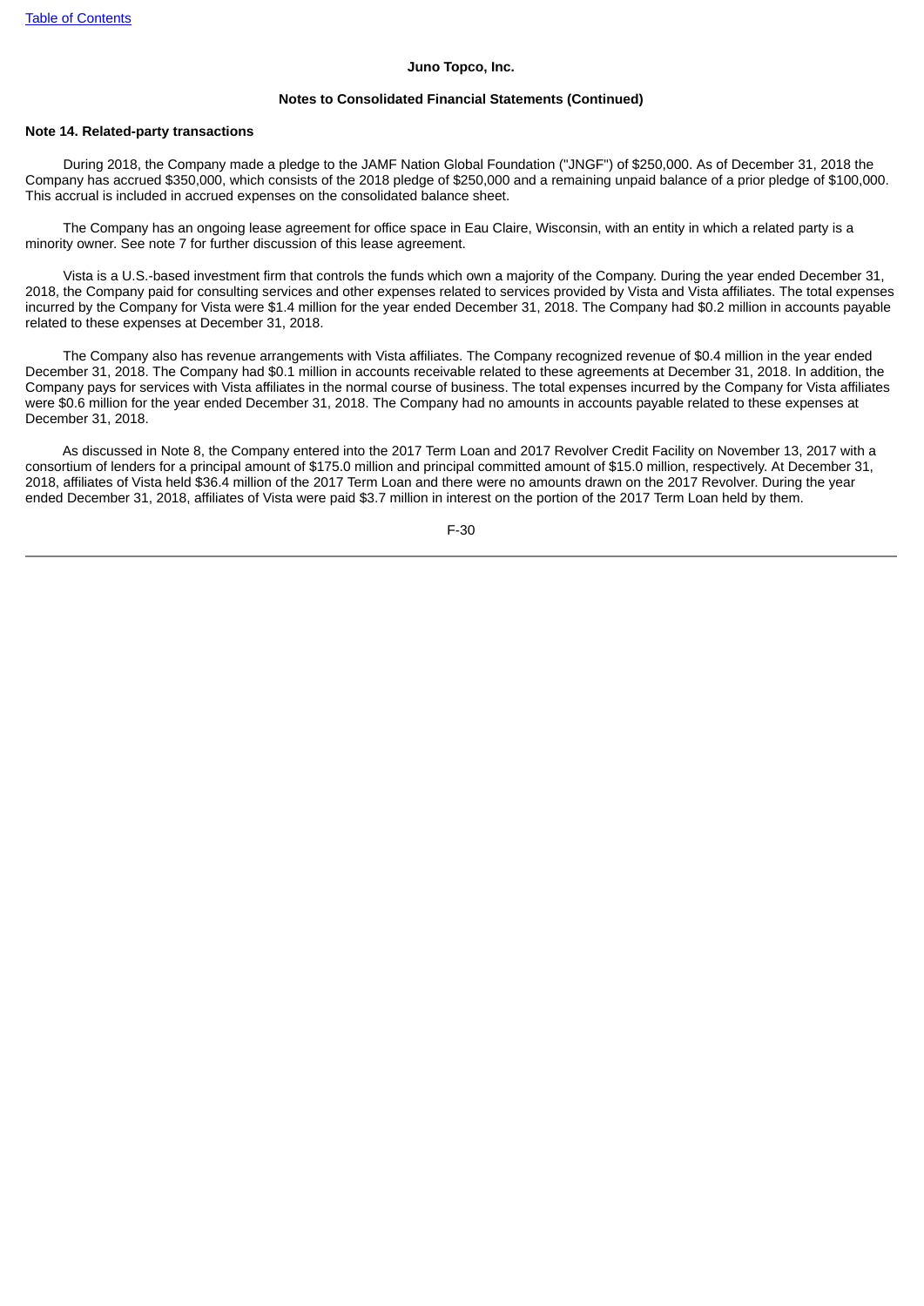#### **Notes to Consolidated Financial Statements (Continued)**

#### **Note 14. Related-party transactions**

 During 2018, the Company made a pledge to the JAMF Nation Global Foundation ("JNGF") of \$250,000. As of December 31, 2018 the Company has accrued \$350,000, which consists of the 2018 pledge of \$250,000 and a remaining unpaid balance of a prior pledge of \$100,000. This accrual is included in accrued expenses on the consolidated balance sheet.

 The Company has an ongoing lease agreement for office space in Eau Claire, Wisconsin, with an entity in which a related party is a minority owner. See note 7 for further discussion of this lease agreement.

 Vista is a U.S.-based investment firm that controls the funds which own a majority of the Company. During the year ended December 31, 2018, the Company paid for consulting services and other expenses related to services provided by Vista and Vista affiliates. The total expenses incurred by the Company for Vista were \$1.4 million for the year ended December 31, 2018. The Company had \$0.2 million in accounts payable related to these expenses at December 31, 2018.

 The Company also has revenue arrangements with Vista affiliates. The Company recognized revenue of \$0.4 million in the year ended December 31, 2018. The Company had \$0.1 million in accounts receivable related to these agreements at December 31, 2018. In addition, the Company pays for services with Vista affiliates in the normal course of business. The total expenses incurred by the Company for Vista affiliates were \$0.6 million for the year ended December 31, 2018. The Company had no amounts in accounts payable related to these expenses at December 31, 2018.

 As discussed in Note 8, the Company entered into the 2017 Term Loan and 2017 Revolver Credit Facility on November 13, 2017 with a consortium of lenders for a principal amount of \$175.0 million and principal committed amount of \$15.0 million, respectively. At December 31, 2018, affiliates of Vista held \$36.4 million of the 2017 Term Loan and there were no amounts drawn on the 2017 Revolver. During the year ended December 31, 2018, affiliates of Vista were paid \$3.7 million in interest on the portion of the 2017 Term Loan held by them.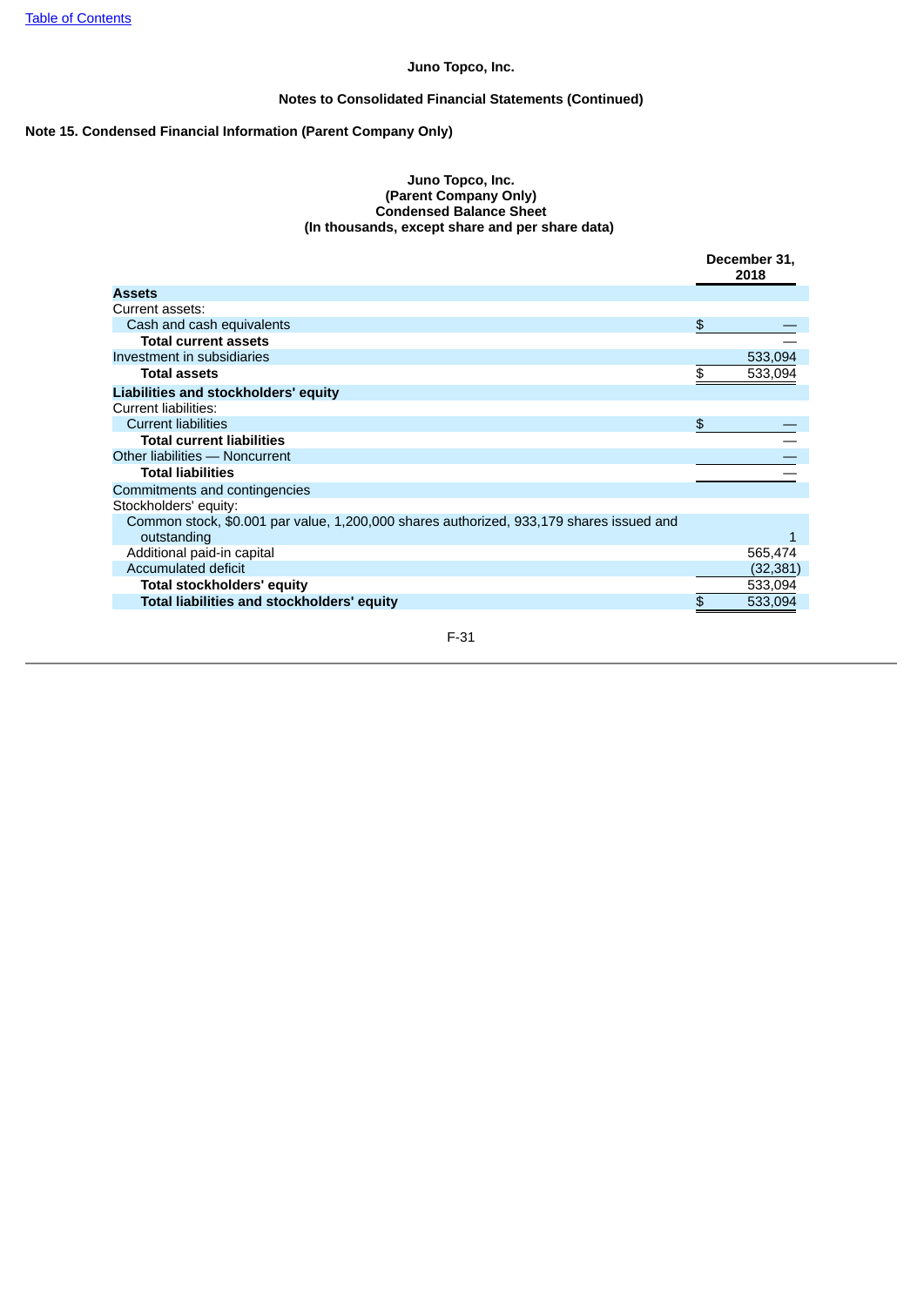## **Notes to Consolidated Financial Statements (Continued)**

**Note 15. Condensed Financial Information (Parent Company Only)**

#### **Juno Topco, Inc. (Parent Company Only) Condensed Balance Sheet (In thousands, except share and per share data)**

|                                                                                                        | December 31,<br>2018 |
|--------------------------------------------------------------------------------------------------------|----------------------|
| <b>Assets</b>                                                                                          |                      |
| Current assets:                                                                                        |                      |
| Cash and cash equivalents                                                                              | \$                   |
| <b>Total current assets</b>                                                                            |                      |
| Investment in subsidiaries                                                                             | 533,094              |
| <b>Total assets</b>                                                                                    | 533,094              |
| Liabilities and stockholders' equity                                                                   |                      |
| Current liabilities:                                                                                   |                      |
| <b>Current liabilities</b>                                                                             | \$                   |
| <b>Total current liabilities</b>                                                                       |                      |
| Other liabilities - Noncurrent                                                                         |                      |
| <b>Total liabilities</b>                                                                               |                      |
| Commitments and contingencies                                                                          |                      |
| Stockholders' equity:                                                                                  |                      |
| Common stock, \$0.001 par value, 1,200,000 shares authorized, 933,179 shares issued and<br>outstanding |                      |
| Additional paid-in capital                                                                             | 565,474              |
| <b>Accumulated deficit</b>                                                                             | (32, 381)            |
| <b>Total stockholders' equity</b>                                                                      | 533,094              |
| Total liabilities and stockholders' equity                                                             | \$<br>533,094        |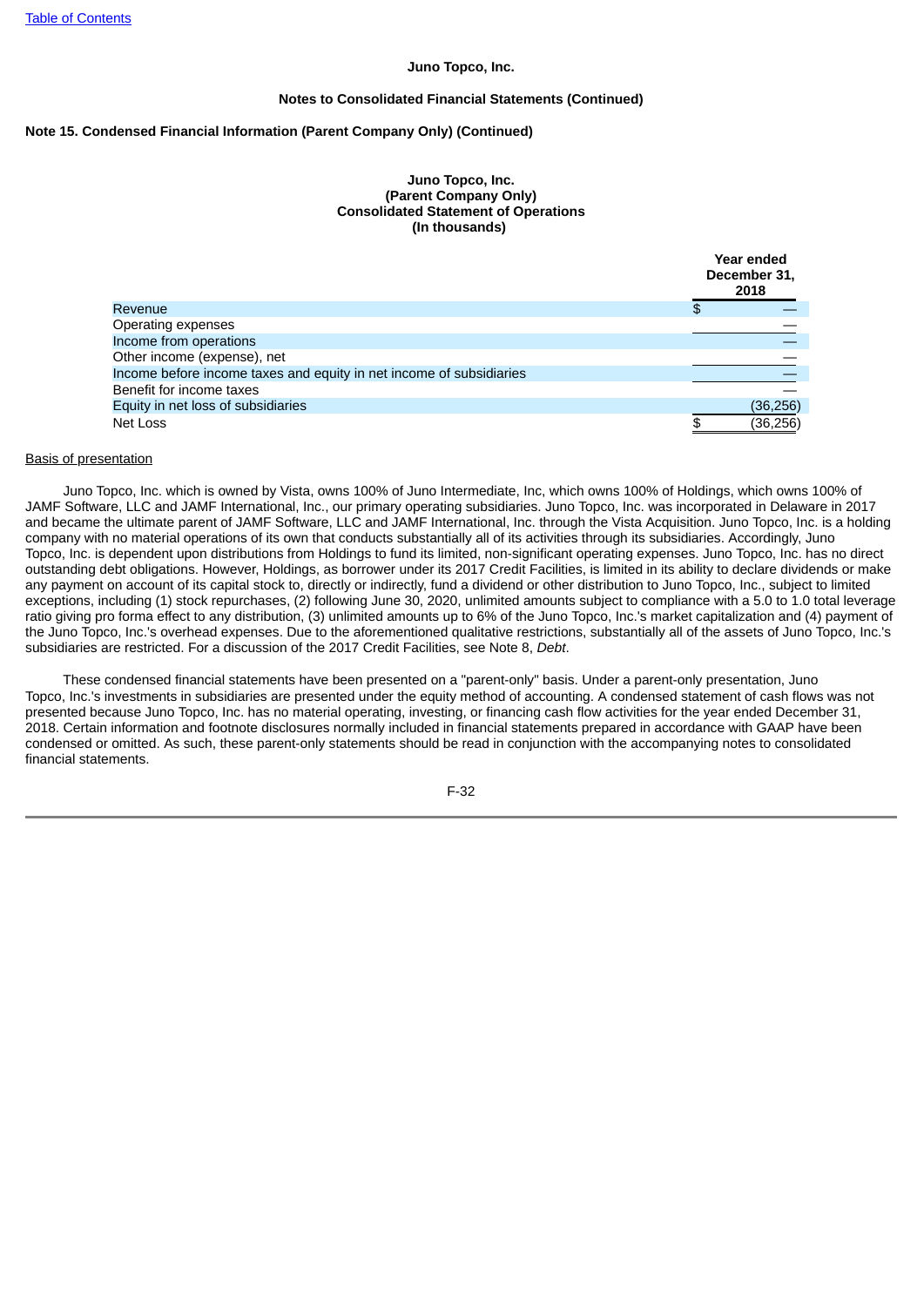#### **Notes to Consolidated Financial Statements (Continued)**

#### **Note 15. Condensed Financial Information (Parent Company Only) (Continued)**

#### **Juno Topco, Inc. (Parent Company Only) Consolidated Statement of Operations (In thousands)**

|                                                                     | Year ended<br>December 31,<br>2018 |
|---------------------------------------------------------------------|------------------------------------|
| Revenue                                                             |                                    |
| Operating expenses                                                  |                                    |
| Income from operations                                              |                                    |
| Other income (expense), net                                         |                                    |
| Income before income taxes and equity in net income of subsidiaries |                                    |
| Benefit for income taxes                                            |                                    |
| Equity in net loss of subsidiaries                                  | (36,256)                           |
| Net Loss                                                            | (36, 256)                          |

#### Basis of presentation

 Juno Topco, Inc. which is owned by Vista, owns 100% of Juno Intermediate, Inc, which owns 100% of Holdings, which owns 100% of JAMF Software, LLC and JAMF International, Inc., our primary operating subsidiaries. Juno Topco, Inc. was incorporated in Delaware in 2017 and became the ultimate parent of JAMF Software, LLC and JAMF International, Inc. through the Vista Acquisition. Juno Topco, Inc. is a holding company with no material operations of its own that conducts substantially all of its activities through its subsidiaries. Accordingly, Juno Topco, Inc. is dependent upon distributions from Holdings to fund its limited, non-significant operating expenses. Juno Topco, Inc. has no direct outstanding debt obligations. However, Holdings, as borrower under its 2017 Credit Facilities, is limited in its ability to declare dividends or make any payment on account of its capital stock to, directly or indirectly, fund a dividend or other distribution to Juno Topco, Inc., subject to limited exceptions, including (1) stock repurchases, (2) following June 30, 2020, unlimited amounts subject to compliance with a 5.0 to 1.0 total leverage ratio giving pro forma effect to any distribution, (3) unlimited amounts up to 6% of the Juno Topco, Inc.'s market capitalization and (4) payment of the Juno Topco, Inc.'s overhead expenses. Due to the aforementioned qualitative restrictions, substantially all of the assets of Juno Topco, Inc.'s subsidiaries are restricted. For a discussion of the 2017 Credit Facilities, see Note 8, *Debt*.

 These condensed financial statements have been presented on a "parent-only" basis. Under a parent-only presentation, Juno Topco, Inc.'s investments in subsidiaries are presented under the equity method of accounting. A condensed statement of cash flows was not presented because Juno Topco, Inc. has no material operating, investing, or financing cash flow activities for the year ended December 31, 2018. Certain information and footnote disclosures normally included in financial statements prepared in accordance with GAAP have been condensed or omitted. As such, these parent-only statements should be read in conjunction with the accompanying notes to consolidated financial statements.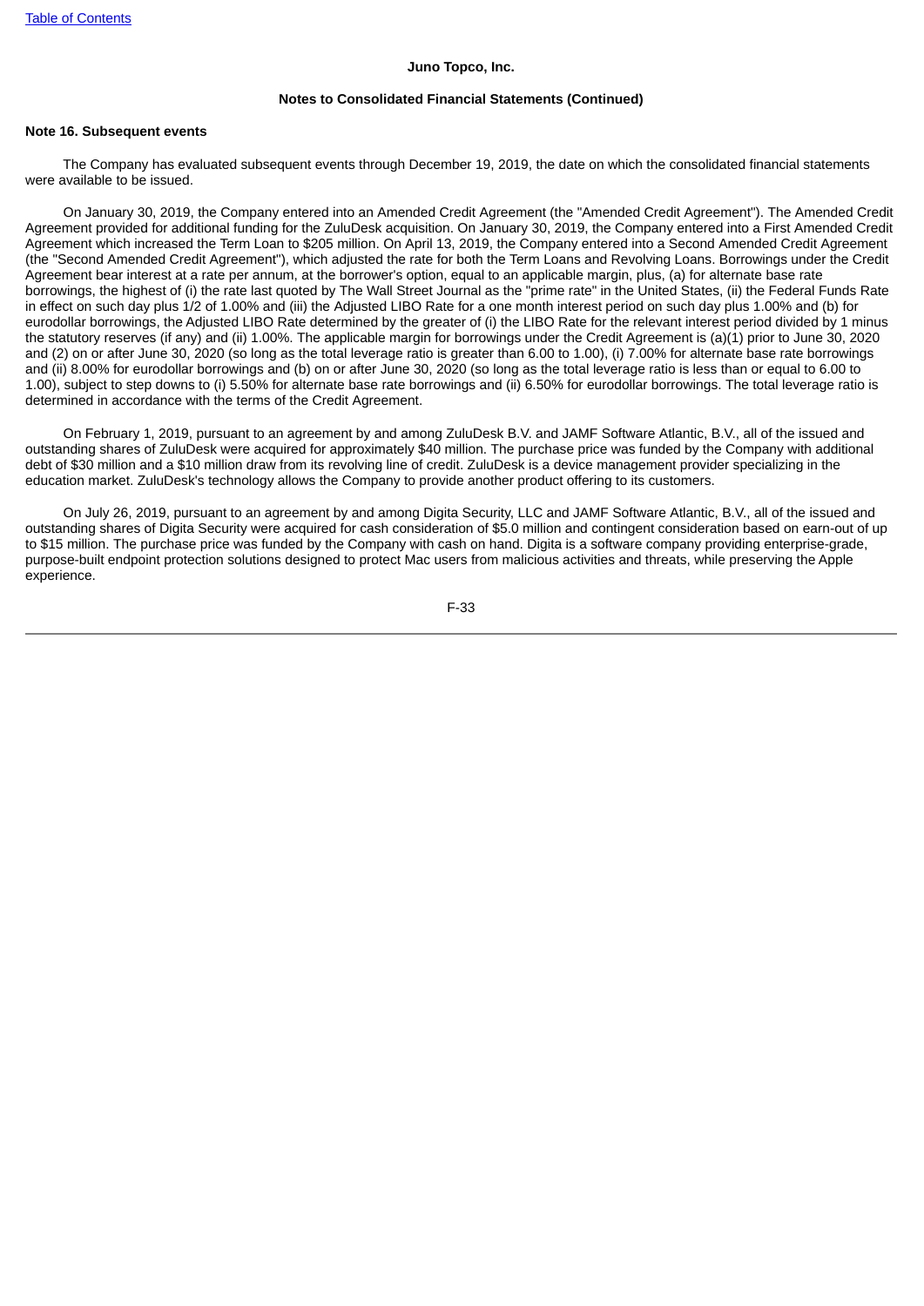#### **Notes to Consolidated Financial Statements (Continued)**

#### **Note 16. Subsequent events**

 The Company has evaluated subsequent events through December 19, 2019, the date on which the consolidated financial statements were available to be issued.

 On January 30, 2019, the Company entered into an Amended Credit Agreement (the "Amended Credit Agreement"). The Amended Credit Agreement provided for additional funding for the ZuluDesk acquisition. On January 30, 2019, the Company entered into a First Amended Credit Agreement which increased the Term Loan to \$205 million. On April 13, 2019, the Company entered into a Second Amended Credit Agreement (the "Second Amended Credit Agreement"), which adjusted the rate for both the Term Loans and Revolving Loans. Borrowings under the Credit Agreement bear interest at a rate per annum, at the borrower's option, equal to an applicable margin, plus, (a) for alternate base rate borrowings, the highest of (i) the rate last quoted by The Wall Street Journal as the "prime rate" in the United States, (ii) the Federal Funds Rate in effect on such day plus 1/2 of 1.00% and (iii) the Adjusted LIBO Rate for a one month interest period on such day plus 1.00% and (b) for eurodollar borrowings, the Adjusted LIBO Rate determined by the greater of (i) the LIBO Rate for the relevant interest period divided by 1 minus the statutory reserves (if any) and (ii) 1.00%. The applicable margin for borrowings under the Credit Agreement is (a)(1) prior to June 30, 2020 and (2) on or after June 30, 2020 (so long as the total leverage ratio is greater than 6.00 to 1.00), (i) 7.00% for alternate base rate borrowings and (ii) 8.00% for eurodollar borrowings and (b) on or after June 30, 2020 (so long as the total leverage ratio is less than or equal to 6.00 to 1.00), subject to step downs to (i) 5.50% for alternate base rate borrowings and (ii) 6.50% for eurodollar borrowings. The total leverage ratio is determined in accordance with the terms of the Credit Agreement.

 On February 1, 2019, pursuant to an agreement by and among ZuluDesk B.V. and JAMF Software Atlantic, B.V., all of the issued and outstanding shares of ZuluDesk were acquired for approximately \$40 million. The purchase price was funded by the Company with additional debt of \$30 million and a \$10 million draw from its revolving line of credit. ZuluDesk is a device management provider specializing in the education market. ZuluDesk's technology allows the Company to provide another product offering to its customers.

 On July 26, 2019, pursuant to an agreement by and among Digita Security, LLC and JAMF Software Atlantic, B.V., all of the issued and outstanding shares of Digita Security were acquired for cash consideration of \$5.0 million and contingent consideration based on earn-out of up to \$15 million. The purchase price was funded by the Company with cash on hand. Digita is a software company providing enterprise-grade, purpose-built endpoint protection solutions designed to protect Mac users from malicious activities and threats, while preserving the Apple experience.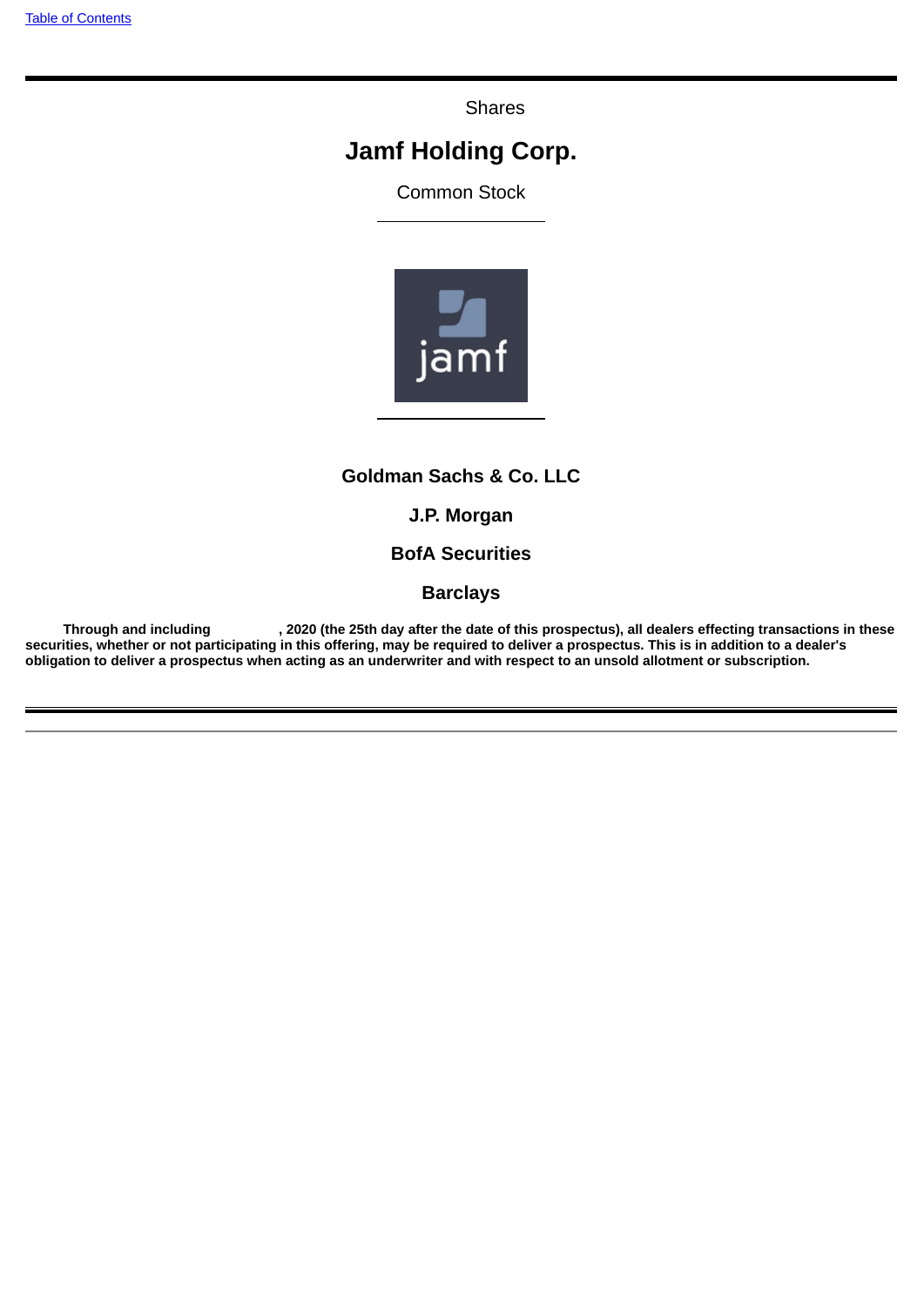**Shares** 

# **Jamf Holding Corp.**

## Common Stock



## **Goldman Sachs & Co. LLC**

## **J.P. Morgan**

## **BofA Securities**

## **Barclays**

 **Through and including , 2020 (the 25th day after the date of this prospectus), all dealers effecting transactions in these securities, whether or not participating in this offering, may be required to deliver a prospectus. This is in addition to a dealer's obligation to deliver a prospectus when acting as an underwriter and with respect to an unsold allotment or subscription.**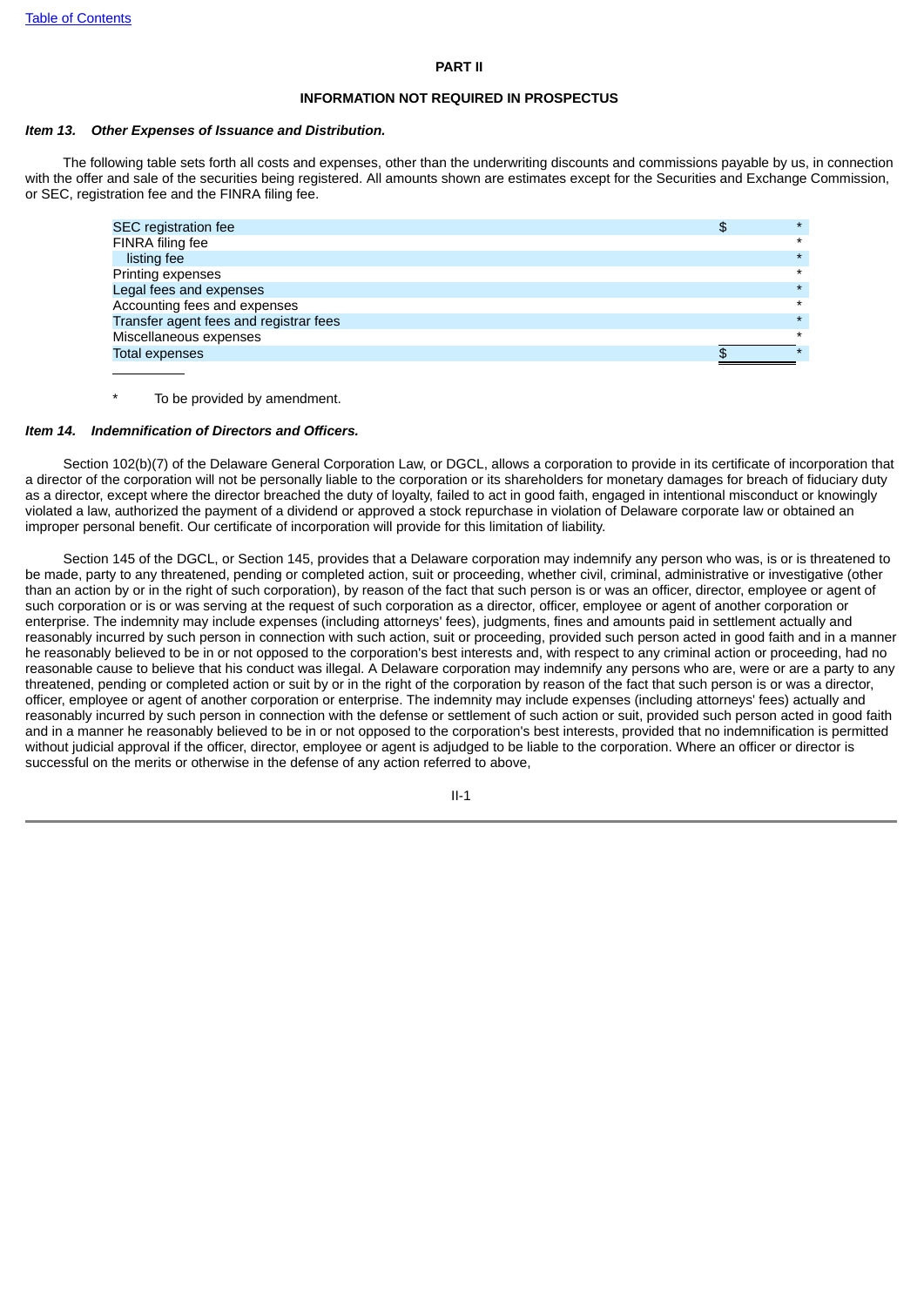#### **PART II**

#### **INFORMATION NOT REQUIRED IN PROSPECTUS**

#### *Item 13. Other Expenses of Issuance and Distribution.*

 The following table sets forth all costs and expenses, other than the underwriting discounts and commissions payable by us, in connection with the offer and sale of the securities being registered. All amounts shown are estimates except for the Securities and Exchange Commission, or SEC, registration fee and the FINRA filing fee.

| SEC registration fee                   | \$      |
|----------------------------------------|---------|
| FINRA filing fee                       | $\star$ |
| listing fee                            | $\star$ |
| Printing expenses                      | $\star$ |
| Legal fees and expenses                | $\star$ |
| Accounting fees and expenses           | $\star$ |
| Transfer agent fees and registrar fees | $\star$ |
| Miscellaneous expenses                 | $\star$ |
| <b>Total expenses</b>                  |         |
|                                        |         |

To be provided by amendment.

#### *Item 14. Indemnification of Directors and Officers.*

Section 102(b)(7) of the Delaware General Corporation Law, or DGCL, allows a corporation to provide in its certificate of incorporation that a director of the corporation will not be personally liable to the corporation or its shareholders for monetary damages for breach of fiduciary duty as a director, except where the director breached the duty of loyalty, failed to act in good faith, engaged in intentional misconduct or knowingly violated a law, authorized the payment of a dividend or approved a stock repurchase in violation of Delaware corporate law or obtained an improper personal benefit. Our certificate of incorporation will provide for this limitation of liability.

 Section 145 of the DGCL, or Section 145, provides that a Delaware corporation may indemnify any person who was, is or is threatened to be made, party to any threatened, pending or completed action, suit or proceeding, whether civil, criminal, administrative or investigative (other than an action by or in the right of such corporation), by reason of the fact that such person is or was an officer, director, employee or agent of such corporation or is or was serving at the request of such corporation as a director, officer, employee or agent of another corporation or enterprise. The indemnity may include expenses (including attorneys' fees), judgments, fines and amounts paid in settlement actually and reasonably incurred by such person in connection with such action, suit or proceeding, provided such person acted in good faith and in a manner he reasonably believed to be in or not opposed to the corporation's best interests and, with respect to any criminal action or proceeding, had no reasonable cause to believe that his conduct was illegal. A Delaware corporation may indemnify any persons who are, were or are a party to any threatened, pending or completed action or suit by or in the right of the corporation by reason of the fact that such person is or was a director, officer, employee or agent of another corporation or enterprise. The indemnity may include expenses (including attorneys' fees) actually and reasonably incurred by such person in connection with the defense or settlement of such action or suit, provided such person acted in good faith and in a manner he reasonably believed to be in or not opposed to the corporation's best interests, provided that no indemnification is permitted without judicial approval if the officer, director, employee or agent is adjudged to be liable to the corporation. Where an officer or director is successful on the merits or otherwise in the defense of any action referred to above,

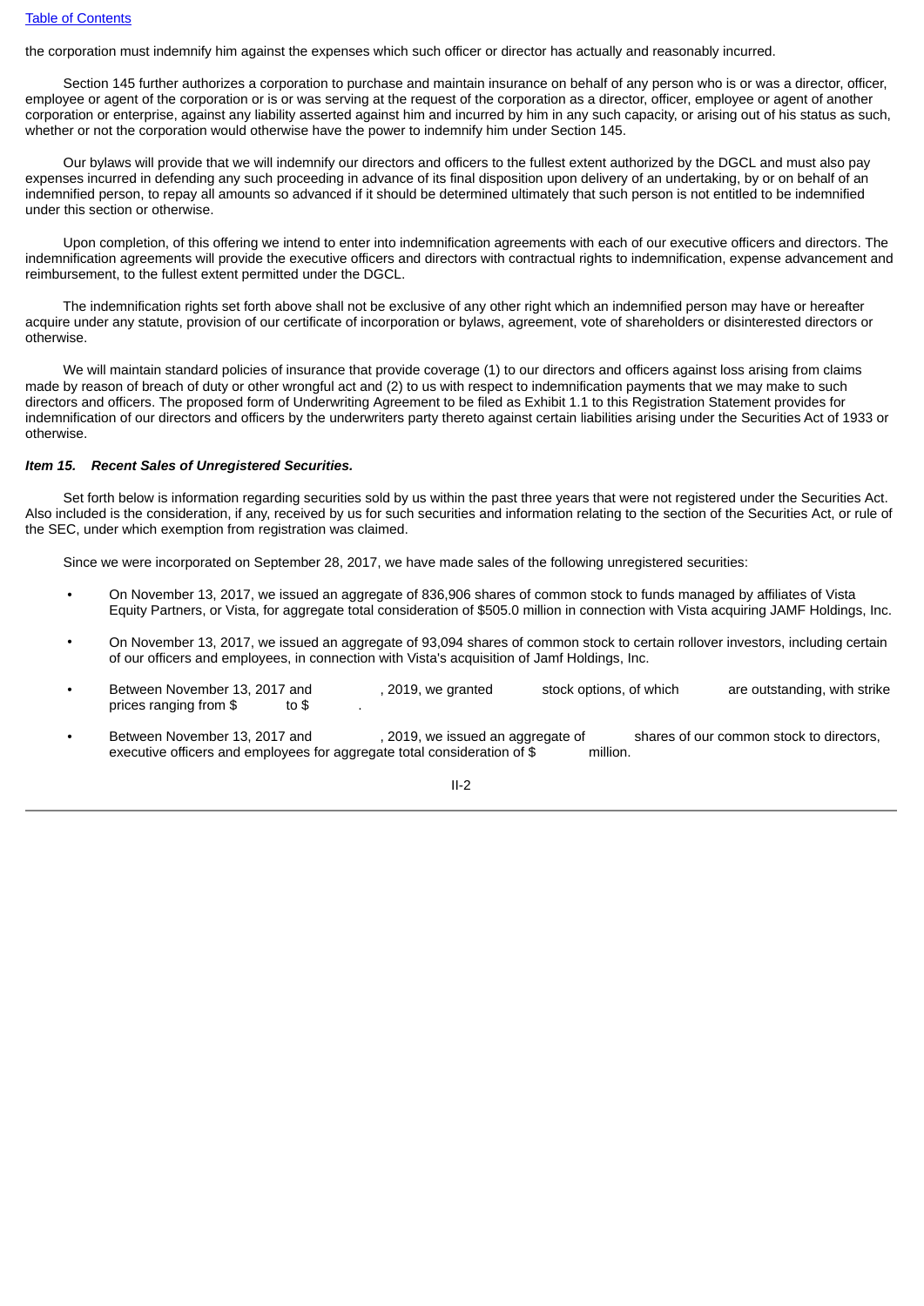the corporation must indemnify him against the expenses which such officer or director has actually and reasonably incurred.

 Section 145 further authorizes a corporation to purchase and maintain insurance on behalf of any person who is or was a director, officer, employee or agent of the corporation or is or was serving at the request of the corporation as a director, officer, employee or agent of another corporation or enterprise, against any liability asserted against him and incurred by him in any such capacity, or arising out of his status as such, whether or not the corporation would otherwise have the power to indemnify him under Section 145.

 Our bylaws will provide that we will indemnify our directors and officers to the fullest extent authorized by the DGCL and must also pay expenses incurred in defending any such proceeding in advance of its final disposition upon delivery of an undertaking, by or on behalf of an indemnified person, to repay all amounts so advanced if it should be determined ultimately that such person is not entitled to be indemnified under this section or otherwise.

 Upon completion, of this offering we intend to enter into indemnification agreements with each of our executive officers and directors. The indemnification agreements will provide the executive officers and directors with contractual rights to indemnification, expense advancement and reimbursement, to the fullest extent permitted under the DGCL.

 The indemnification rights set forth above shall not be exclusive of any other right which an indemnified person may have or hereafter acquire under any statute, provision of our certificate of incorporation or bylaws, agreement, vote of shareholders or disinterested directors or otherwise.

 We will maintain standard policies of insurance that provide coverage (1) to our directors and officers against loss arising from claims made by reason of breach of duty or other wrongful act and (2) to us with respect to indemnification payments that we may make to such directors and officers. The proposed form of Underwriting Agreement to be filed as Exhibit 1.1 to this Registration Statement provides for indemnification of our directors and officers by the underwriters party thereto against certain liabilities arising under the Securities Act of 1933 or otherwise.

#### *Item 15. Recent Sales of Unregistered Securities.*

 Set forth below is information regarding securities sold by us within the past three years that were not registered under the Securities Act. Also included is the consideration, if any, received by us for such securities and information relating to the section of the Securities Act, or rule of the SEC, under which exemption from registration was claimed.

Since we were incorporated on September 28, 2017, we have made sales of the following unregistered securities:

- On November 13, 2017, we issued an aggregate of 836,906 shares of common stock to funds managed by affiliates of Vista Equity Partners, or Vista, for aggregate total consideration of \$505.0 million in connection with Vista acquiring JAMF Holdings, Inc.
- On November 13, 2017, we issued an aggregate of 93,094 shares of common stock to certain rollover investors, including certain of our officers and employees, in connection with Vista's acquisition of Jamf Holdings, Inc.
- Between November 13, 2017 and , 2019, we granted stock options, of which are outstanding, with strike prices ranging from \$ to \$
- Between November 13, 2017 and , 2019, we issued an aggregate of shares of our common stock to directors, executive officers and employees for aggregate total consideration of \$ million. executive officers and employees for aggregate total consideration of  $$$

 $II-2$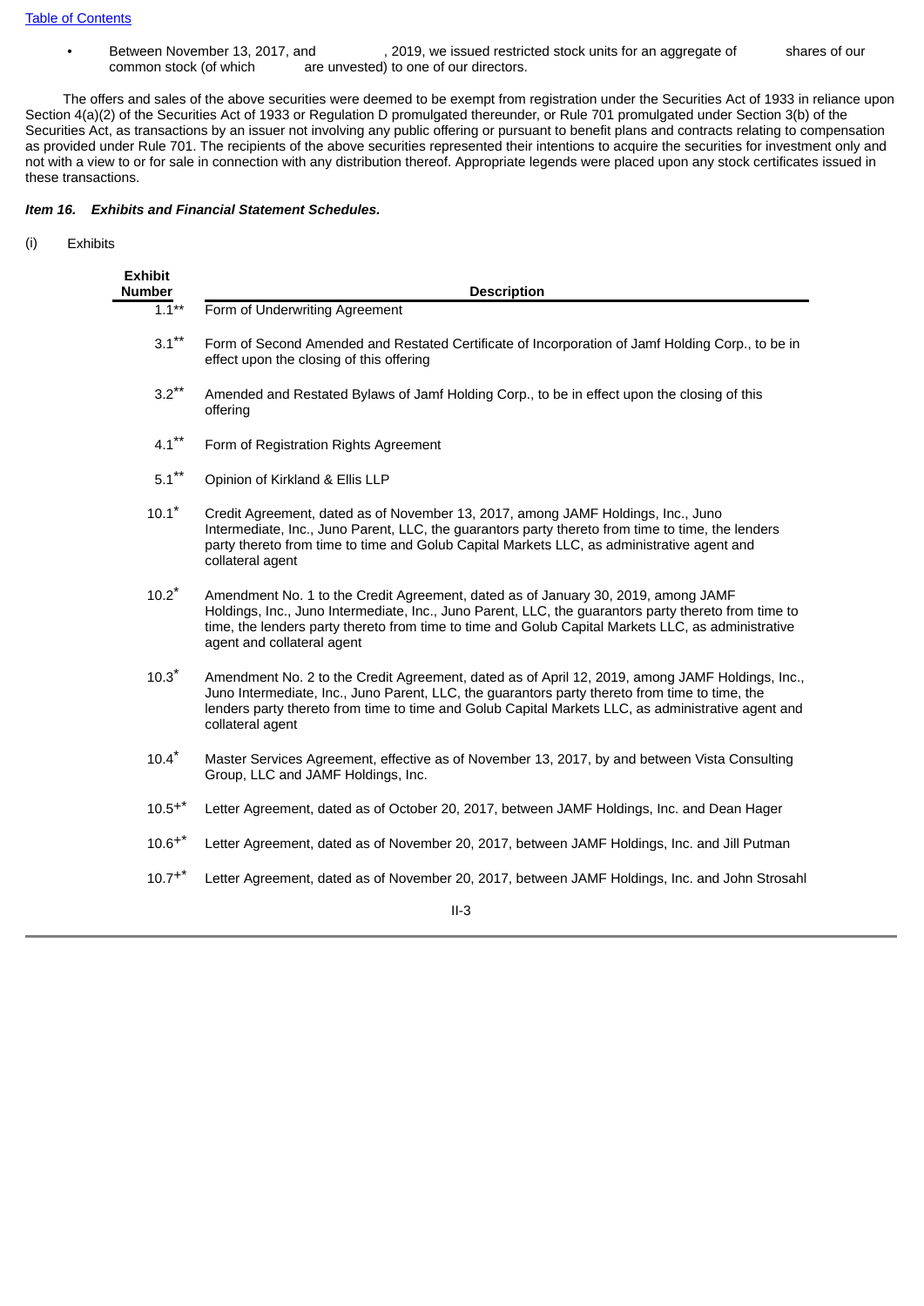• Between November 13, 2017, and , 2019, we issued restricted stock units for an aggregate of shares of our common stock (of which are unvested) to one of our directors.

 The offers and sales of the above securities were deemed to be exempt from registration under the Securities Act of 1933 in reliance upon Section 4(a)(2) of the Securities Act of 1933 or Regulation D promulgated thereunder, or Rule 701 promulgated under Section 3(b) of the Securities Act, as transactions by an issuer not involving any public offering or pursuant to benefit plans and contracts relating to compensation as provided under Rule 701. The recipients of the above securities represented their intentions to acquire the securities for investment only and not with a view to or for sale in connection with any distribution thereof. Appropriate legends were placed upon any stock certificates issued in these transactions.

#### *Item 16. Exhibits and Financial Statement Schedules.*

(i) Exhibits

| <b>Exhibit</b><br><b>Number</b> | <b>Description</b>                                                                                                                                                                                                                                                                                                            |
|---------------------------------|-------------------------------------------------------------------------------------------------------------------------------------------------------------------------------------------------------------------------------------------------------------------------------------------------------------------------------|
| $1.1**$                         | Form of Underwriting Agreement                                                                                                                                                                                                                                                                                                |
| $3.1***$                        | Form of Second Amended and Restated Certificate of Incorporation of Jamf Holding Corp., to be in<br>effect upon the closing of this offering                                                                                                                                                                                  |
| $3.2***$                        | Amended and Restated Bylaws of Jamf Holding Corp., to be in effect upon the closing of this<br>offering                                                                                                                                                                                                                       |
| $4.1***$                        | Form of Registration Rights Agreement                                                                                                                                                                                                                                                                                         |
| $5.1^{\star\star}$              | Opinion of Kirkland & Ellis LLP                                                                                                                                                                                                                                                                                               |
| $10.1*$                         | Credit Agreement, dated as of November 13, 2017, among JAMF Holdings, Inc., Juno<br>Intermediate, Inc., Juno Parent, LLC, the guarantors party thereto from time to time, the lenders<br>party thereto from time to time and Golub Capital Markets LLC, as administrative agent and<br>collateral agent                       |
| $10.2*$                         | Amendment No. 1 to the Credit Agreement, dated as of January 30, 2019, among JAMF<br>Holdings, Inc., Juno Intermediate, Inc., Juno Parent, LLC, the guarantors party thereto from time to<br>time, the lenders party thereto from time to time and Golub Capital Markets LLC, as administrative<br>agent and collateral agent |
| $10.3*$                         | Amendment No. 2 to the Credit Agreement, dated as of April 12, 2019, among JAMF Holdings, Inc.,<br>Juno Intermediate, Inc., Juno Parent, LLC, the guarantors party thereto from time to time, the<br>lenders party thereto from time to time and Golub Capital Markets LLC, as administrative agent and<br>collateral agent   |
| $10.4*$                         | Master Services Agreement, effective as of November 13, 2017, by and between Vista Consulting<br>Group, LLC and JAMF Holdings, Inc.                                                                                                                                                                                           |
| $10.5^{+*}$                     | Letter Agreement, dated as of October 20, 2017, between JAMF Holdings, Inc. and Dean Hager                                                                                                                                                                                                                                    |
| $10.6^{+*}$                     | Letter Agreement, dated as of November 20, 2017, between JAMF Holdings, Inc. and Jill Putman                                                                                                                                                                                                                                  |
| $10.7^{+*}$                     | Letter Agreement, dated as of November 20, 2017, between JAMF Holdings, Inc. and John Strosahl                                                                                                                                                                                                                                |
|                                 |                                                                                                                                                                                                                                                                                                                               |

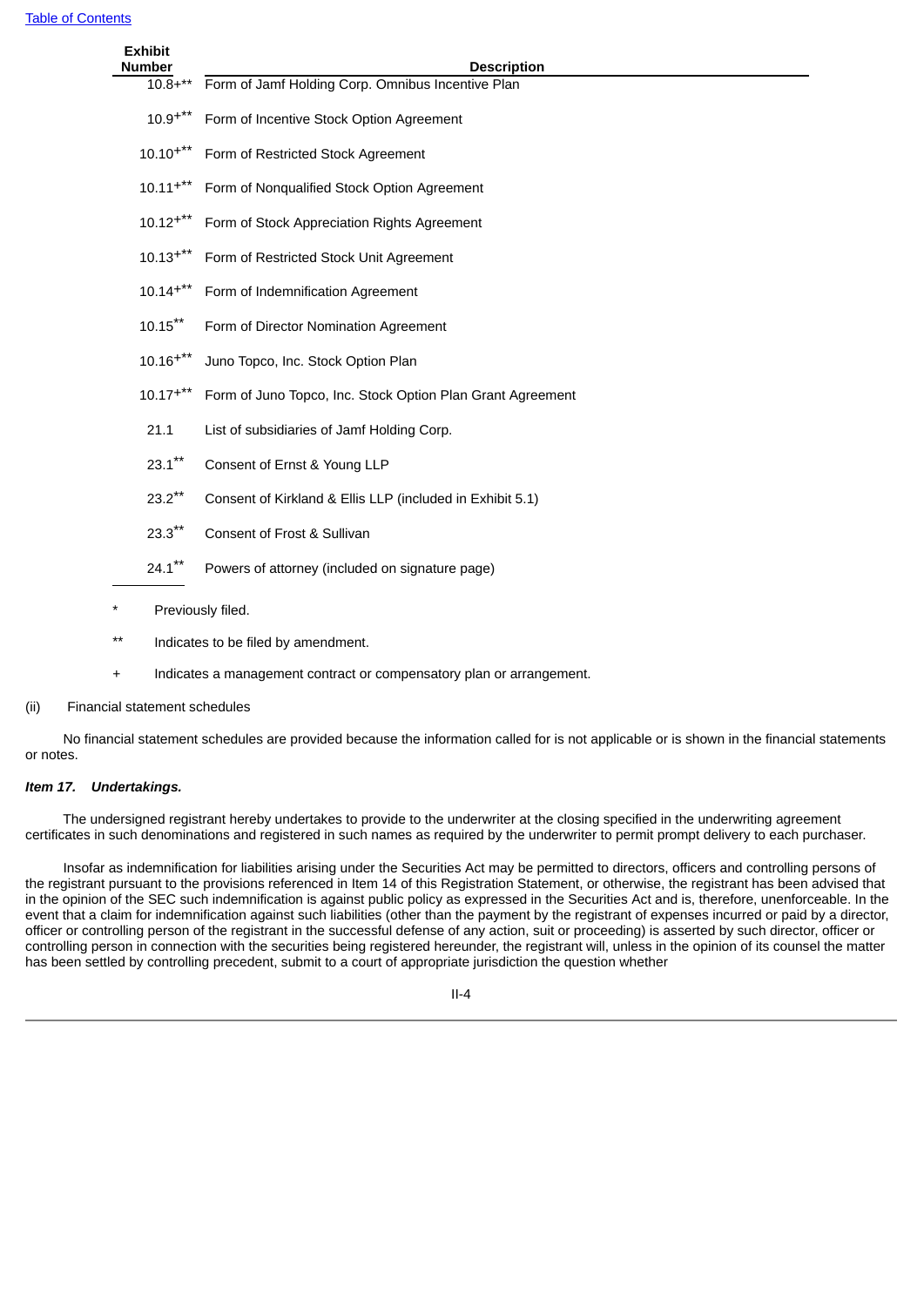[Table of Contents](#page-3-0)

| <b>Exhibit</b>              |                                                                         |  |  |
|-----------------------------|-------------------------------------------------------------------------|--|--|
| <b>Number</b><br>$10.8+***$ | <b>Description</b><br>Form of Jamf Holding Corp. Omnibus Incentive Plan |  |  |
| $10.9^{+**}$                | Form of Incentive Stock Option Agreement                                |  |  |
| $10.10^{+**}$               | Form of Restricted Stock Agreement                                      |  |  |
| $10.11^{+**}$               | Form of Nonqualified Stock Option Agreement                             |  |  |
| $10.12^{+**}$               | Form of Stock Appreciation Rights Agreement                             |  |  |
| $10.13^{+**}$               | Form of Restricted Stock Unit Agreement                                 |  |  |
| $10.14^{+**}$               | Form of Indemnification Agreement                                       |  |  |
| $10.15***$                  | Form of Director Nomination Agreement                                   |  |  |
| $10.16^{+**}$               | Juno Topco, Inc. Stock Option Plan                                      |  |  |
| $10.17^{+**}$               | Form of Juno Topco, Inc. Stock Option Plan Grant Agreement              |  |  |
| 21.1                        | List of subsidiaries of Jamf Holding Corp.                              |  |  |
| $23.1***$                   | Consent of Ernst & Young LLP                                            |  |  |
| $23.2***$                   | Consent of Kirkland & Ellis LLP (included in Exhibit 5.1)               |  |  |
| $23.3***$                   | Consent of Frost & Sullivan                                             |  |  |
| $24.1***$                   | Powers of attorney (included on signature page)                         |  |  |
| *                           | Previously filed.                                                       |  |  |
| $^{\star\star}$             | Indicates to be filed by amendment.                                     |  |  |

+ Indicates a management contract or compensatory plan or arrangement.

### (ii) Financial statement schedules

 No financial statement schedules are provided because the information called for is not applicable or is shown in the financial statements or notes.

#### *Item 17. Undertakings.*

 The undersigned registrant hereby undertakes to provide to the underwriter at the closing specified in the underwriting agreement certificates in such denominations and registered in such names as required by the underwriter to permit prompt delivery to each purchaser.

 Insofar as indemnification for liabilities arising under the Securities Act may be permitted to directors, officers and controlling persons of the registrant pursuant to the provisions referenced in Item 14 of this Registration Statement, or otherwise, the registrant has been advised that in the opinion of the SEC such indemnification is against public policy as expressed in the Securities Act and is, therefore, unenforceable. In the event that a claim for indemnification against such liabilities (other than the payment by the registrant of expenses incurred or paid by a director, officer or controlling person of the registrant in the successful defense of any action, suit or proceeding) is asserted by such director, officer or controlling person in connection with the securities being registered hereunder, the registrant will, unless in the opinion of its counsel the matter has been settled by controlling precedent, submit to a court of appropriate jurisdiction the question whether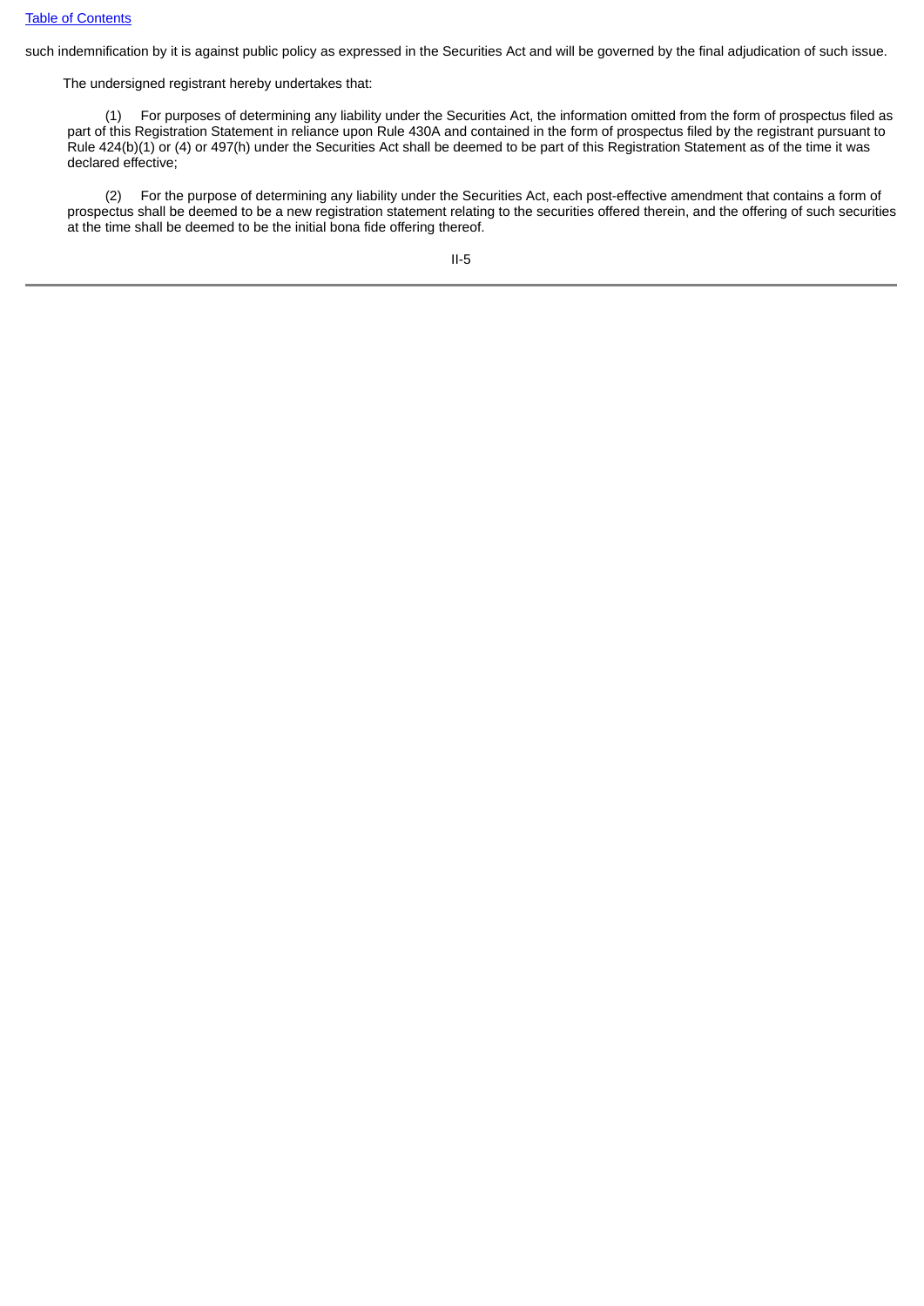such indemnification by it is against public policy as expressed in the Securities Act and will be governed by the final adjudication of such issue.

The undersigned registrant hereby undertakes that:

 (1) For purposes of determining any liability under the Securities Act, the information omitted from the form of prospectus filed as part of this Registration Statement in reliance upon Rule 430A and contained in the form of prospectus filed by the registrant pursuant to Rule 424(b)(1) or (4) or 497(h) under the Securities Act shall be deemed to be part of this Registration Statement as of the time it was declared effective;

 (2) For the purpose of determining any liability under the Securities Act, each post-effective amendment that contains a form of prospectus shall be deemed to be a new registration statement relating to the securities offered therein, and the offering of such securities at the time shall be deemed to be the initial bona fide offering thereof.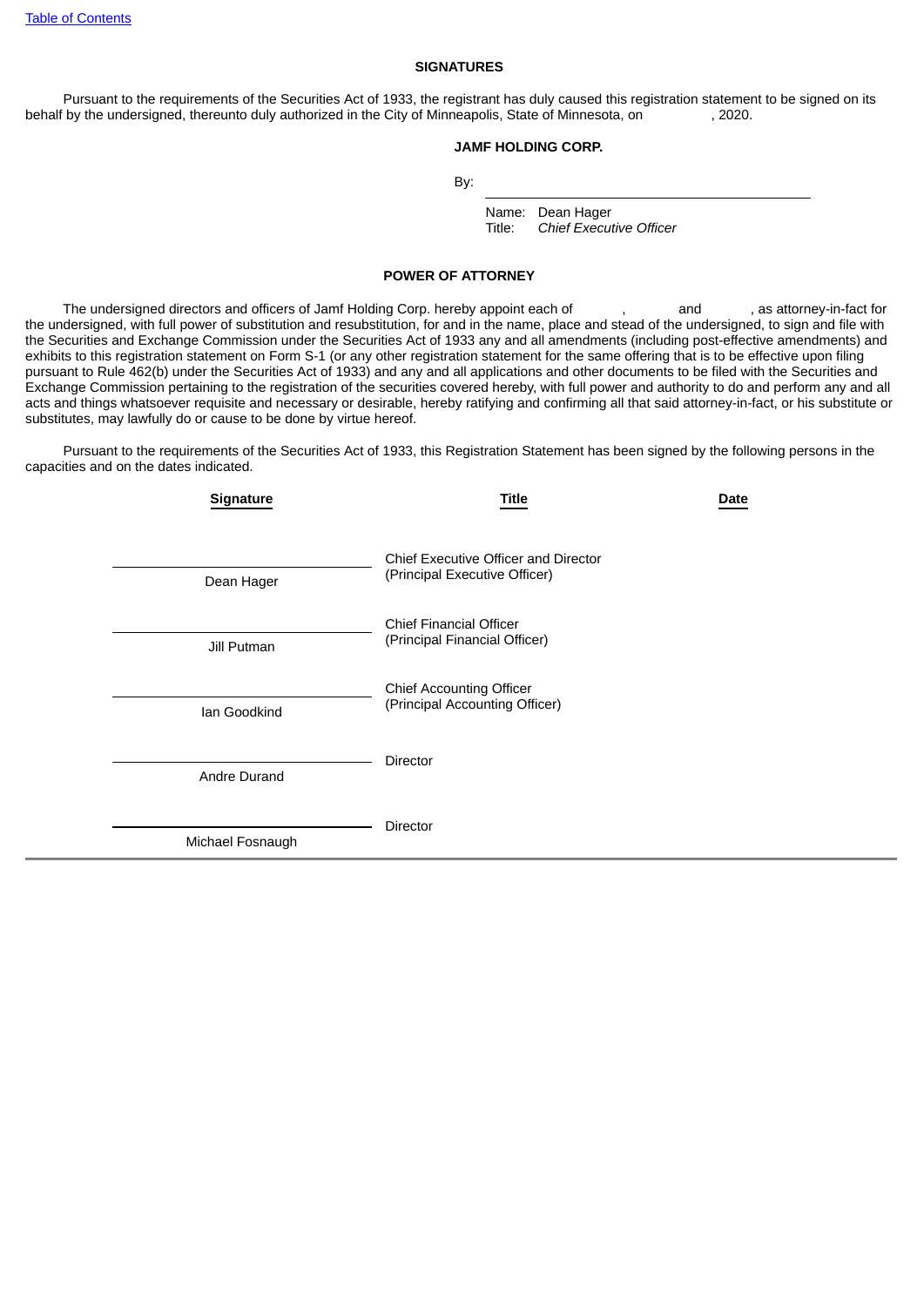#### **SIGNATURES**

 Pursuant to the requirements of the Securities Act of 1933, the registrant has duly caused this registration statement to be signed on its behalf by the undersigned, thereunto duly authorized in the City of Minneapolis, State of Minnesota, on , 2020.

#### **JAMF HOLDING CORP.**

By:

Name: Dean Hager<br>Title: Chief Execut **Chief Executive Officer** 

### **POWER OF ATTORNEY**

The undersigned directors and officers of Jamf Holding Corp. hereby appoint each of , and , as attorney-in-fact for the undersigned, with full power of substitution and resubstitution, for and in the name, place and stead of the undersigned, to sign and file with the Securities and Exchange Commission under the Securities Act of 1933 any and all amendments (including post-effective amendments) and exhibits to this registration statement on Form S-1 (or any other registration statement for the same offering that is to be effective upon filing pursuant to Rule 462(b) under the Securities Act of 1933) and any and all applications and other documents to be filed with the Securities and Exchange Commission pertaining to the registration of the securities covered hereby, with full power and authority to do and perform any and all acts and things whatsoever requisite and necessary or desirable, hereby ratifying and confirming all that said attorney-in-fact, or his substitute or substitutes, may lawfully do or cause to be done by virtue hereof.

 Pursuant to the requirements of the Securities Act of 1933, this Registration Statement has been signed by the following persons in the capacities and on the dates indicated.

| Signature        | Title                                                                        | <b>Date</b> |
|------------------|------------------------------------------------------------------------------|-------------|
| Dean Hager       | <b>Chief Executive Officer and Director</b><br>(Principal Executive Officer) |             |
| Jill Putman      | <b>Chief Financial Officer</b><br>(Principal Financial Officer)              |             |
| Ian Goodkind     | <b>Chief Accounting Officer</b><br>(Principal Accounting Officer)            |             |
| Andre Durand     | <b>Director</b>                                                              |             |
| Michael Fosnaugh | Director                                                                     |             |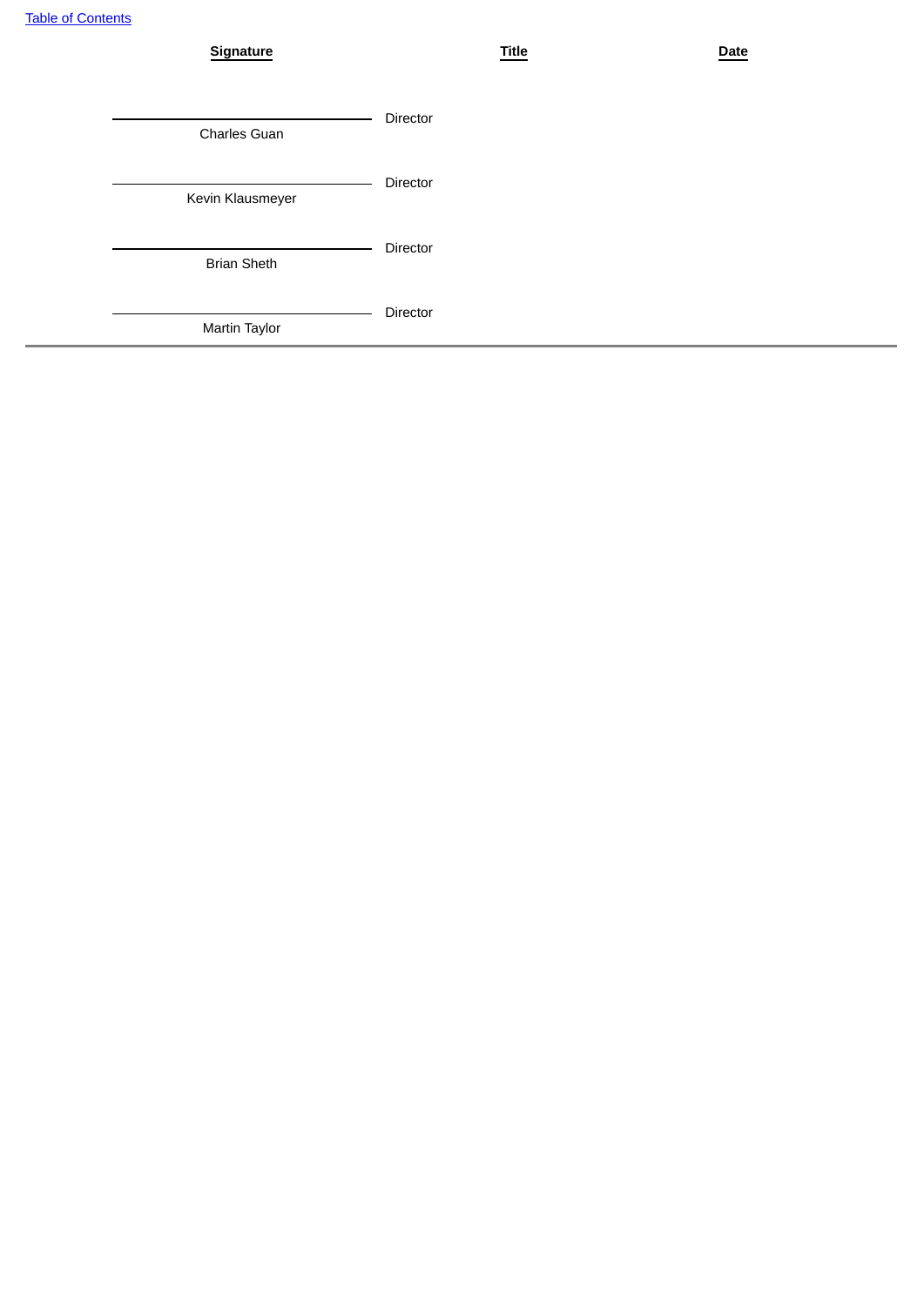| Signature           |          | <b>Title</b> | <b>Date</b> |  |
|---------------------|----------|--------------|-------------|--|
| <b>Charles Guan</b> | Director |              |             |  |
| Kevin Klausmeyer    | Director |              |             |  |
| <b>Brian Sheth</b>  | Director |              |             |  |
| Martin Taylor       | Director |              |             |  |